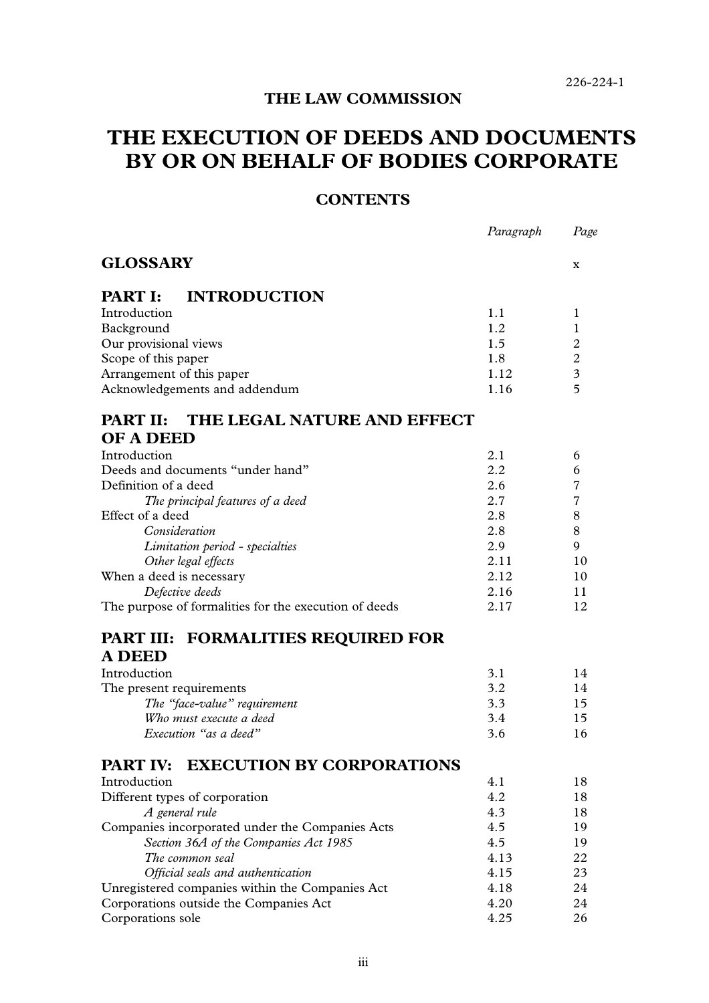226-224-1

# **THE LAW COMMISSION**

# **THE EXECUTION OF DEEDS AND DOCUMENTS BY OR ON BEHALF OF BODIES CORPORATE**

# **CONTENTS**

|                           |                                                       | Paragraph | Page           |
|---------------------------|-------------------------------------------------------|-----------|----------------|
| <b>GLOSSARY</b>           |                                                       |           | X              |
| <b>PART I:</b>            | <b>INTRODUCTION</b>                                   |           |                |
| Introduction              |                                                       | 1.1       | 1              |
| Background                |                                                       | 1.2       | $\mathbf{1}$   |
| Our provisional views     |                                                       | 1.5       | $\overline{2}$ |
| Scope of this paper       |                                                       | 1.8       | $\overline{2}$ |
| Arrangement of this paper |                                                       | 1.12      | 3              |
|                           | Acknowledgements and addendum                         | 1.16      | 5              |
|                           | PART II: THE LEGAL NATURE AND EFFECT                  |           |                |
| <b>OF A DEED</b>          |                                                       |           |                |
| Introduction              |                                                       | 2.1       | 6              |
|                           | Deeds and documents "under hand"                      | 2.2       | 6              |
| Definition of a deed      |                                                       | 2.6       | 7              |
|                           | The principal features of a deed                      | 2.7       | 7              |
| Effect of a deed          |                                                       | 2.8       | 8              |
|                           | Consideration                                         | 2.8       | 8              |
|                           | Limitation period - specialties                       | 2.9       | 9              |
|                           | Other legal effects                                   | 2.11      | 10             |
| When a deed is necessary  |                                                       | 2.12      | 10             |
|                           | Defective deeds                                       | 2.16      | 11             |
|                           | The purpose of formalities for the execution of deeds | 2.17      | 12             |
|                           | PART III: FORMALITIES REQUIRED FOR                    |           |                |
| <b>A DEED</b>             |                                                       |           |                |
| Introduction              |                                                       | 3.1       | 14             |
| The present requirements  |                                                       | 3.2       | 14             |
|                           | The "face-value" requirement                          | 3.3       | 15             |
|                           | Who must execute a deed                               | 3.4       | 15             |
|                           | Execution "as a deed"                                 | 3.6       | 16             |
|                           | PART IV: EXECUTION BY CORPORATIONS                    |           |                |
| Introduction              |                                                       | 4.1       | 18             |
|                           | Different types of corporation                        | 4.2       | 18             |
|                           | A general rule                                        | 4.3       | 18             |
|                           | Companies incorporated under the Companies Acts       | 4.5       | 19             |
|                           | Section 36A of the Companies Act 1985                 | 4.5       | 19             |
|                           | The common seal                                       | 4.13      | 22             |
|                           | Official seals and authentication                     | 4.15      | 23             |
|                           | Unregistered companies within the Companies Act       | 4.18      | 24             |
|                           | Corporations outside the Companies Act                | 4.20      | 24             |
| Corporations sole         |                                                       | 4.25      | 26             |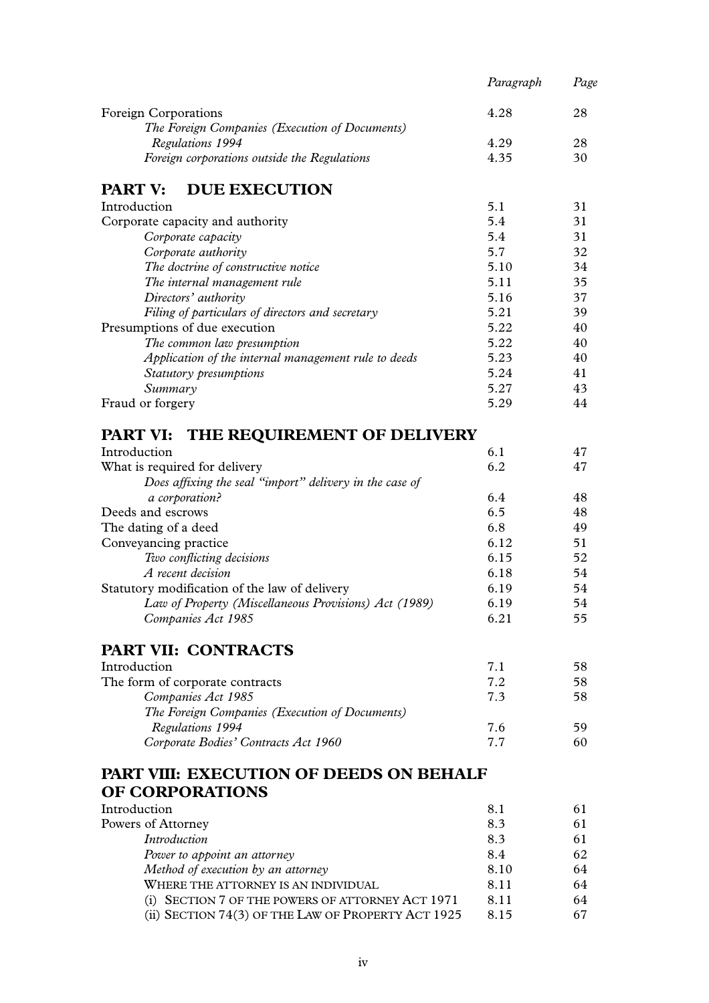|                                                                                | Paragraph    | Page     |
|--------------------------------------------------------------------------------|--------------|----------|
| <b>Foreign Corporations</b>                                                    | 4.28         | 28       |
| The Foreign Companies (Execution of Documents)                                 |              |          |
| Regulations 1994                                                               | 4.29         | 28       |
| Foreign corporations outside the Regulations                                   | 4.35         | 30       |
| <b>DUE EXECUTION</b><br><b>PART V:</b>                                         |              |          |
| Introduction                                                                   | 5.1          | 31       |
| Corporate capacity and authority                                               | 5.4          | 31       |
| Corporate capacity                                                             | 5.4          | 31       |
| Corporate authority                                                            | 5.7          | 32       |
| The doctrine of constructive notice                                            | 5.10         | 34       |
| The internal management rule                                                   | 5.11         | 35       |
| Directors' authority                                                           | 5.16         | 37       |
| Filing of particulars of directors and secretary                               | 5.21         | 39       |
| Presumptions of due execution                                                  | 5.22         | 40       |
| The common law presumption                                                     | 5.22<br>5.23 | 40<br>40 |
| Application of the internal management rule to deeds<br>Statutory presumptions | 5.24         | 41       |
| Summary                                                                        | 5.27         | 43       |
| Fraud or forgery                                                               | 5.29         | 44       |
|                                                                                |              |          |
| THE REQUIREMENT OF DELIVERY<br><b>PART VI:</b>                                 |              |          |
| Introduction                                                                   | 6.1          | 47       |
| What is required for delivery                                                  | 6.2          | 47       |
| Does affixing the seal "import" delivery in the case of<br>a corporation?      | 6.4          | 48       |
| Deeds and escrows                                                              | 6.5          | 48       |
| The dating of a deed                                                           | 6.8          | 49       |
| Conveyancing practice                                                          | 6.12         | 51       |
| Two conflicting decisions                                                      | 6.15         | 52       |
| A recent decision                                                              | 6.18         | 54       |
| Statutory modification of the law of delivery                                  | 6.19         | 54       |
| Law of Property (Miscellaneous Provisions) Act (1989)                          | 6.19         | 54       |
| Companies Act 1985                                                             | 6.21         | 55       |
| <b>PART VII: CONTRACTS</b>                                                     |              |          |
| Introduction                                                                   | 7.1          | 58       |
| The form of corporate contracts                                                | 7.2          | 58       |
| Companies Act 1985                                                             | 7.3          | 58       |
| The Foreign Companies (Execution of Documents)                                 |              |          |
| Regulations 1994                                                               | 7.6          | 59       |
| Corporate Bodies' Contracts Act 1960                                           | 7.7          | 60       |
| PART VIII: EXECUTION OF DEEDS ON BEHALF                                        |              |          |
| OF CORPORATIONS                                                                |              |          |
| Introduction                                                                   | 8.1          | 61       |
| Powers of Attorney                                                             | 8.3          | 61       |
| Introduction                                                                   | 8.3          | 61       |
| Power to appoint an attorney                                                   | 8.4          | 62       |
| Method of execution by an attorney                                             | 8.10         | 64       |
| WHERE THE ATTORNEY IS AN INDIVIDUAL                                            | 8.11         | 64       |
| (i) SECTION 7 OF THE POWERS OF ATTORNEY ACT 1971                               | 8.11         | 64       |
| (ii) SECTION 74(3) OF THE LAW OF PROPERTY ACT 1925                             | 8.15         | 67       |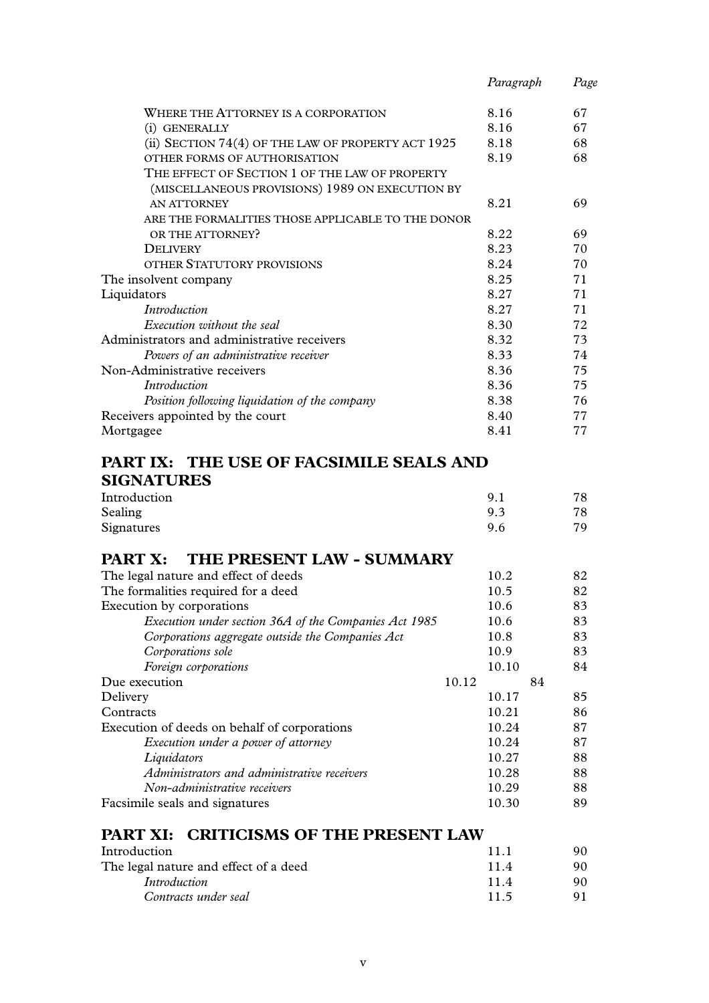|                                                                                                   | Paragraph         | Page           |
|---------------------------------------------------------------------------------------------------|-------------------|----------------|
| WHERE THE ATTORNEY IS A CORPORATION                                                               | 8.16              | 67             |
| (i) GENERALLY                                                                                     | 8.16              | 67             |
| (ii) SECTION 74(4) OF THE LAW OF PROPERTY ACT 1925                                                | 8.18              | 68             |
| OTHER FORMS OF AUTHORISATION                                                                      | 8.19              | 68             |
| THE EFFECT OF SECTION 1 OF THE LAW OF PROPERTY<br>(MISCELLANEOUS PROVISIONS) 1989 ON EXECUTION BY |                   |                |
| <b>AN ATTORNEY</b><br>ARE THE FORMALITIES THOSE APPLICABLE TO THE DONOR                           | 8.21              | 69             |
| OR THE ATTORNEY?                                                                                  | 8.22              | 69             |
| <b>DELIVERY</b>                                                                                   | 8.23              | 70             |
| OTHER STATUTORY PROVISIONS                                                                        | 8.24              | 70             |
| The insolvent company                                                                             | 8.25              | 71             |
| Liquidators                                                                                       | 8.27              | 71             |
| Introduction                                                                                      | 8.27              | 71             |
| Execution without the seal                                                                        | 8.30              | 72             |
| Administrators and administrative receivers                                                       | 8.32              | 73             |
| Powers of an administrative receiver                                                              | 8.33              | 74             |
| Non-Administrative receivers                                                                      | 8.36              | 75             |
| Introduction                                                                                      | 8.36              | 75             |
| Position following liquidation of the company                                                     | 8.38              | 76             |
| Receivers appointed by the court                                                                  | 8.40              | 77             |
| Mortgagee                                                                                         | 8.41              | 77             |
| Introduction<br>Sealing<br>Signatures                                                             | 9.1<br>9.3<br>9.6 | 78<br>78<br>79 |
| THE PRESENT LAW - SUMMARY<br><b>PART X:</b>                                                       |                   |                |
| The legal nature and effect of deeds                                                              | 10.2              | 82             |
| The formalities required for a deed                                                               | 10.5              | 82             |
| Execution by corporations                                                                         | 10.6              | 83             |
| Execution under section 36A of the Companies Act 1985                                             | 10.6              | 83             |
| Corporations aggregate outside the Companies Act                                                  | 10.8              | 83             |
| Corporations sole                                                                                 | 10.9              | 83             |
| Foreign corporations                                                                              | 10.10             | 84             |
| Due execution                                                                                     | 10.12<br>84       |                |
| Delivery                                                                                          | 10.17             | 85             |
| Contracts                                                                                         | 10.21             | 86             |
| Execution of deeds on behalf of corporations                                                      | 10.24             | 87             |
| Execution under a power of attorney                                                               | 10.24             | 87             |
| Liquidators                                                                                       | 10.27             | 88             |
| Administrators and administrative receivers                                                       | 10.28             | 88             |
| Non-administrative receivers                                                                      | 10.29             | 88             |
| Facsimile seals and signatures                                                                    | 10.30             | 89             |
| <b>CRITICISMS OF THE PRESENT LAW</b><br><b>PART XI:</b>                                           |                   |                |
| Introduction                                                                                      | 11.1              | 90             |
| The legal nature and effect of a deed                                                             | 11.4              | 90             |
| Introduction                                                                                      | 11.4              | 90             |
| Contracts under seal                                                                              | 11.5              | 91             |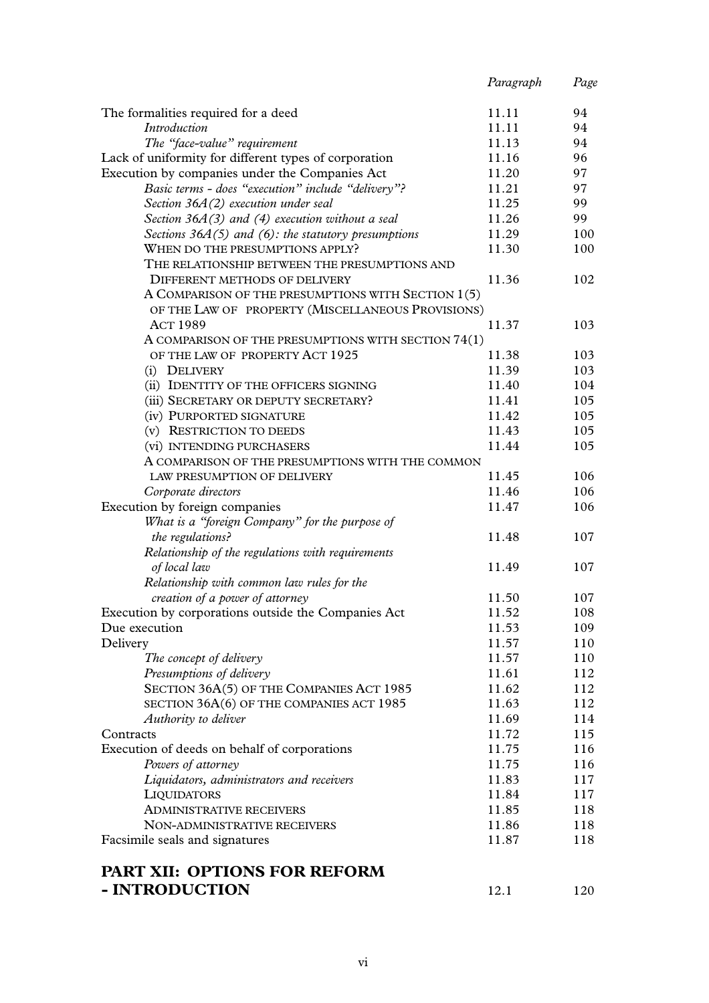|                                                       | Paragraph | Page |
|-------------------------------------------------------|-----------|------|
| The formalities required for a deed                   | 11.11     | 94   |
| <b>Introduction</b>                                   | 11.11     | 94   |
| The "face-value" requirement                          | 11.13     | 94   |
| Lack of uniformity for different types of corporation | 11.16     | 96   |
| Execution by companies under the Companies Act        | 11.20     | 97   |
| Basic terms - does "execution" include "delivery"?    | 11.21     | 97   |
| Section $36A(2)$ execution under seal                 | 11.25     | 99   |
| Section $36A(3)$ and (4) execution without a seal     | 11.26     | 99   |
| Sections $36A(5)$ and (6): the statutory presumptions | 11.29     | 100  |
| WHEN DO THE PRESUMPTIONS APPLY?                       | 11.30     | 100  |
| THE RELATIONSHIP BETWEEN THE PRESUMPTIONS AND         |           |      |
| <b>DIFFERENT METHODS OF DELIVERY</b>                  | 11.36     | 102  |
| A COMPARISON OF THE PRESUMPTIONS WITH SECTION 1(5)    |           |      |
| OF THE LAW OF PROPERTY (MISCELLANEOUS PROVISIONS)     |           |      |
| <b>ACT 1989</b>                                       | 11.37     | 103  |
| A COMPARISON OF THE PRESUMPTIONS WITH SECTION 74(1)   |           |      |
| OF THE LAW OF PROPERTY ACT 1925                       | 11.38     | 103  |
| (i) DELIVERY                                          | 11.39     | 103  |
| (ii) IDENTITY OF THE OFFICERS SIGNING                 | 11.40     | 104  |
| (iii) SECRETARY OR DEPUTY SECRETARY?                  | 11.41     | 105  |
| (iv) PURPORTED SIGNATURE                              | 11.42     | 105  |
| (v) RESTRICTION TO DEEDS                              | 11.43     | 105  |
| (vi) INTENDING PURCHASERS                             | 11.44     | 105  |
| A COMPARISON OF THE PRESUMPTIONS WITH THE COMMON      |           |      |
| LAW PRESUMPTION OF DELIVERY                           | 11.45     | 106  |
| Corporate directors                                   | 11.46     | 106  |
| Execution by foreign companies                        | 11.47     | 106  |
| What is a "foreign Company" for the purpose of        |           |      |
| the regulations?                                      | 11.48     | 107  |
| Relationship of the regulations with requirements     |           |      |
| of local law                                          | 11.49     | 107  |
| Relationship with common law rules for the            |           |      |
| creation of a power of attorney                       | 11.50     | 107  |
| Execution by corporations outside the Companies Act   | 11.52     | 108  |
| Due execution                                         | 11.53     | 109  |
| Delivery                                              | 11.57     | 110  |
| The concept of delivery                               | 11.57     | 110  |
| Presumptions of delivery                              | 11.61     | 112  |
| SECTION 36A(5) OF THE COMPANIES ACT 1985              | 11.62     | 112  |
| SECTION 36A(6) OF THE COMPANIES ACT 1985              | 11.63     | 112  |
| Authority to deliver                                  | 11.69     | 114  |
| Contracts                                             | 11.72     | 115  |
| Execution of deeds on behalf of corporations          | 11.75     | 116  |
| Powers of attorney                                    | 11.75     | 116  |
| Liquidators, administrators and receivers             | 11.83     | 117  |
| <b>LIQUIDATORS</b>                                    | 11.84     | 117  |
| <b>ADMINISTRATIVE RECEIVERS</b>                       | 11.85     | 118  |
| NON-ADMINISTRATIVE RECEIVERS                          | 11.86     | 118  |
| Facsimile seals and signatures                        | 11.87     | 118  |
| <b>PART XII: OPTIONS FOR REFORM</b>                   |           |      |
| - INTRODUCTION                                        | 12.1      | 120  |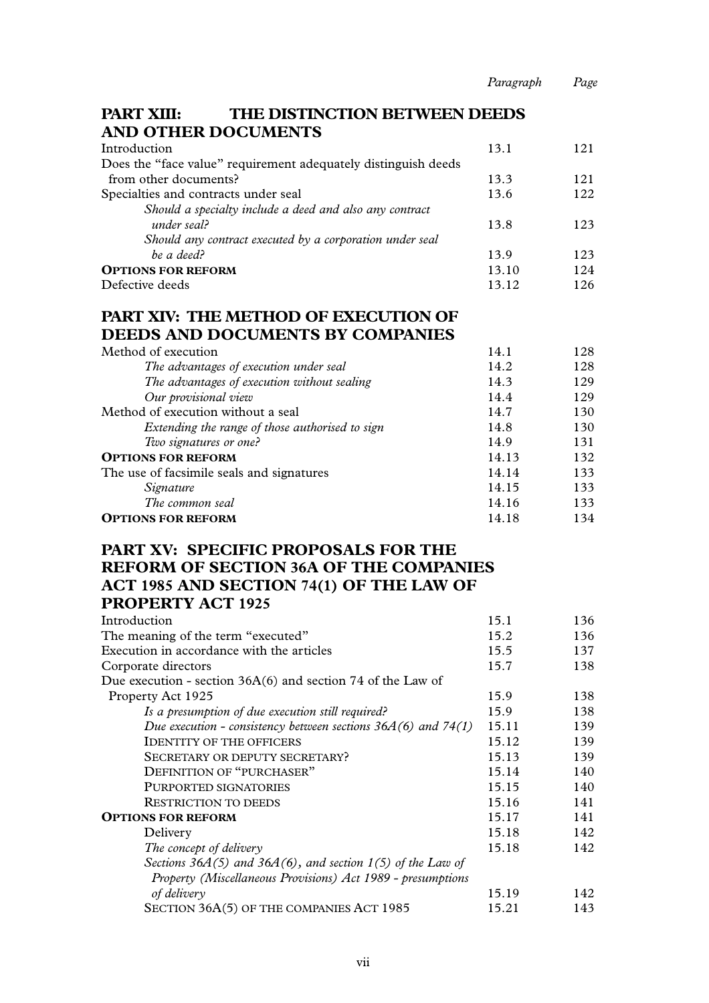# **PART XIII: THE DISTINCTION BETWEEN DEEDS AND OTHER DOCUMENTS**

| Introduction                                                   | 13.1  | 121 |
|----------------------------------------------------------------|-------|-----|
| Does the "face value" requirement adequately distinguish deeds |       |     |
| from other documents?                                          | 13.3  | 121 |
| Specialties and contracts under seal                           | 13.6  | 122 |
| Should a specialty include a deed and also any contract        |       |     |
| under seal?                                                    | 13.8  | 123 |
| Should any contract executed by a corporation under seal       |       |     |
| be a deed?                                                     | 13.9  | 123 |
| <b>OPTIONS FOR REFORM</b>                                      | 13.10 | 124 |
| Defective deeds                                                | 13.12 | 126 |

# **PART XIV: THE METHOD OF EXECUTION OF DEEDS AND DOCUMENTS BY COMPANIES**

| Method of execution                             | 14.1  | 128 |
|-------------------------------------------------|-------|-----|
| The advantages of execution under seal          | 14.2  | 128 |
| The advantages of execution without sealing     | 14.3  | 129 |
| Our provisional view                            | 14.4  | 129 |
| Method of execution without a seal              | 14.7  | 130 |
| Extending the range of those authorised to sign | 14.8  | 130 |
| Two signatures or one?                          | 14.9  | 131 |
| <b>OPTIONS FOR REFORM</b>                       | 14.13 | 132 |
| The use of facsimile seals and signatures       | 14.14 | 133 |
| Signature                                       | 14.15 | 133 |
| The common seal                                 | 14.16 | 133 |
| <b>OPTIONS FOR REFORM</b>                       | 14.18 | 134 |

# **PART XV: SPECIFIC PROPOSALS FOR THE REFORM OF SECTION 36A OF THE COMPANIES ACT 1985 AND SECTION 74(1) OF THE LAW OF PROPERTY ACT 1925**

| Introduction                                                      | 15.1  | 136 |
|-------------------------------------------------------------------|-------|-----|
| The meaning of the term "executed"                                |       | 136 |
| Execution in accordance with the articles                         | 15.5  | 137 |
| Corporate directors                                               | 15.7  | 138 |
| Due execution - section $36A(6)$ and section 74 of the Law of     |       |     |
| Property Act 1925                                                 | 15.9  | 138 |
| Is a presumption of due execution still required?                 | 15.9  | 138 |
| Due execution - consistency between sections $36A(6)$ and $74(1)$ | 15.11 | 139 |
| <b>IDENTITY OF THE OFFICERS</b>                                   | 15.12 | 139 |
| SECRETARY OR DEPUTY SECRETARY?                                    | 15.13 | 139 |
| DEFINITION OF "PURCHASER"                                         | 15.14 | 140 |
| PURPORTED SIGNATORIES                                             | 15.15 | 140 |
| <b>RESTRICTION TO DEEDS</b>                                       | 15.16 | 141 |
| <b>OPTIONS FOR REFORM</b>                                         | 15.17 | 141 |
| Delivery                                                          | 15.18 | 142 |
| The concept of delivery                                           | 15.18 | 142 |
| Sections 36A(5) and 36A(6), and section 1(5) of the Law of        |       |     |
| Property (Miscellaneous Provisions) Act 1989 - presumptions       |       |     |
| of delivery                                                       | 15.19 | 142 |
| SECTION 36A(5) OF THE COMPANIES ACT 1985                          | 15.21 | 143 |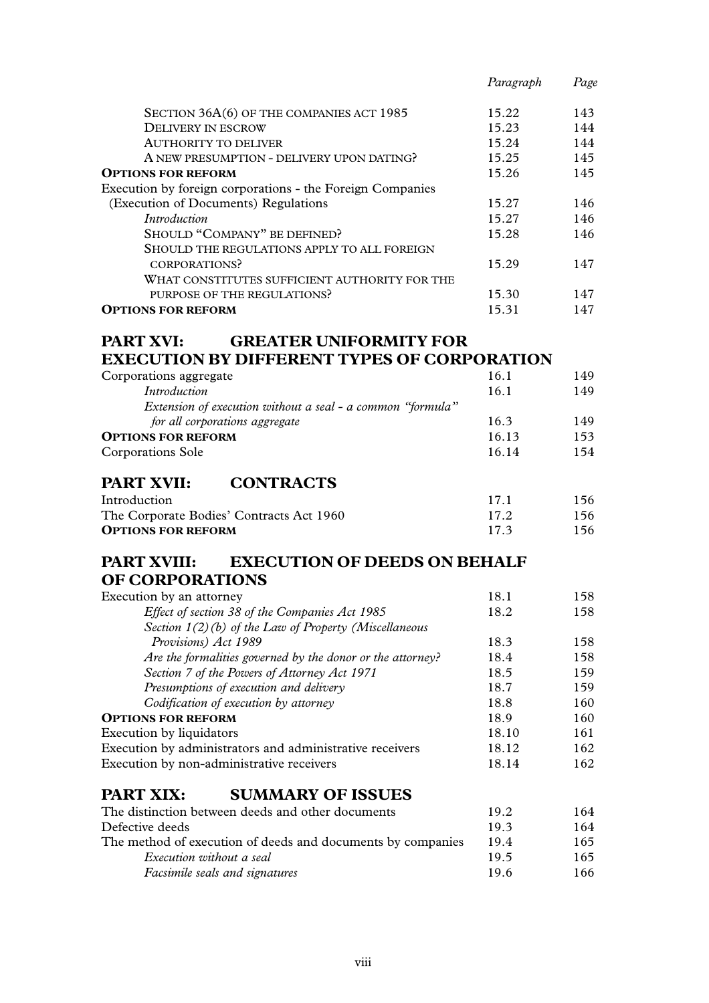|                                                             | Paragraph | Page |
|-------------------------------------------------------------|-----------|------|
| SECTION 36A(6) OF THE COMPANIES ACT 1985                    | 15.22     | 143  |
| <b>DELIVERY IN ESCROW</b>                                   | 15.23     | 144  |
| <b>AUTHORITY TO DELIVER</b>                                 | 15.24     | 144  |
| A NEW PRESUMPTION - DELIVERY UPON DATING?                   | 15.25     | 145  |
| <b>OPTIONS FOR REFORM</b>                                   | 15.26     | 145  |
| Execution by foreign corporations - the Foreign Companies   |           |      |
| (Execution of Documents) Regulations                        | 15.27     | 146  |
| Introduction                                                | 15.27     | 146  |
| SHOULD "COMPANY" BE DEFINED?                                | 15.28     | 146  |
| SHOULD THE REGULATIONS APPLY TO ALL FOREIGN                 |           |      |
| CORPORATIONS?                                               | 15.29     | 147  |
|                                                             |           |      |
| WHAT CONSTITUTES SUFFICIENT AUTHORITY FOR THE               |           |      |
| PURPOSE OF THE REGULATIONS?                                 | 15.30     | 147  |
| <b>OPTIONS FOR REFORM</b>                                   | 15.31     | 147  |
| <b>GREATER UNIFORMITY FOR</b><br><b>PART XVI:</b>           |           |      |
| <b>EXECUTION BY DIFFERENT TYPES OF CORPORATION</b>          |           |      |
| Corporations aggregate                                      | 16.1      | 149  |
| <b>Introduction</b>                                         | 16.1      | 149  |
| Extension of execution without a seal - a common "formula"  |           |      |
| for all corporations aggregate                              | 16.3      | 149  |
| <b>OPTIONS FOR REFORM</b>                                   | 16.13     | 153  |
| Corporations Sole                                           | 16.14     | 154  |
|                                                             |           |      |
| <b>PART XVII:</b><br><b>CONTRACTS</b>                       |           |      |
| Introduction                                                | 17.1      | 156  |
| The Corporate Bodies' Contracts Act 1960                    | 17.2      | 156  |
| <b>OPTIONS FOR REFORM</b>                                   | 17.3      | 156  |
| <b>EXECUTION OF DEEDS ON BEHALF</b><br><b>PART XVIII:</b>   |           |      |
| <b>OF CORPORATIONS</b>                                      |           |      |
| Execution by an attorney                                    | 18.1      | 158  |
| Effect of section 38 of the Companies Act 1985              | 18.2      | 158  |
| Section 1(2)(b) of the Law of Property (Miscellaneous       |           |      |
| Provisions) Act 1989                                        | 18.3      | 158  |
| Are the formalities governed by the donor or the attorney?  | 18.4      | 158  |
| Section 7 of the Powers of Attorney Act 1971                | 18.5      | 159  |
| Presumptions of execution and delivery                      | 18.7      | 159  |
| Codification of execution by attorney                       | 18.8      | 160  |
| <b>OPTIONS FOR REFORM</b>                                   | 18.9      | 160  |
| Execution by liquidators                                    | 18.10     | 161  |
| Execution by administrators and administrative receivers    | 18.12     | 162  |
| Execution by non-administrative receivers                   | 18.14     | 162  |
|                                                             |           |      |
| <b>SUMMARY OF ISSUES</b><br><b>PART XIX:</b>                |           |      |
| The distinction between deeds and other documents           | 19.2      | 164  |
| Defective deeds                                             | 19.3      | 164  |
| The method of execution of deeds and documents by companies | 19.4      | 165  |
| Execution without a seal                                    | 19.5      | 165  |
| Facsimile seals and signatures                              | 19.6      | 166  |
|                                                             |           |      |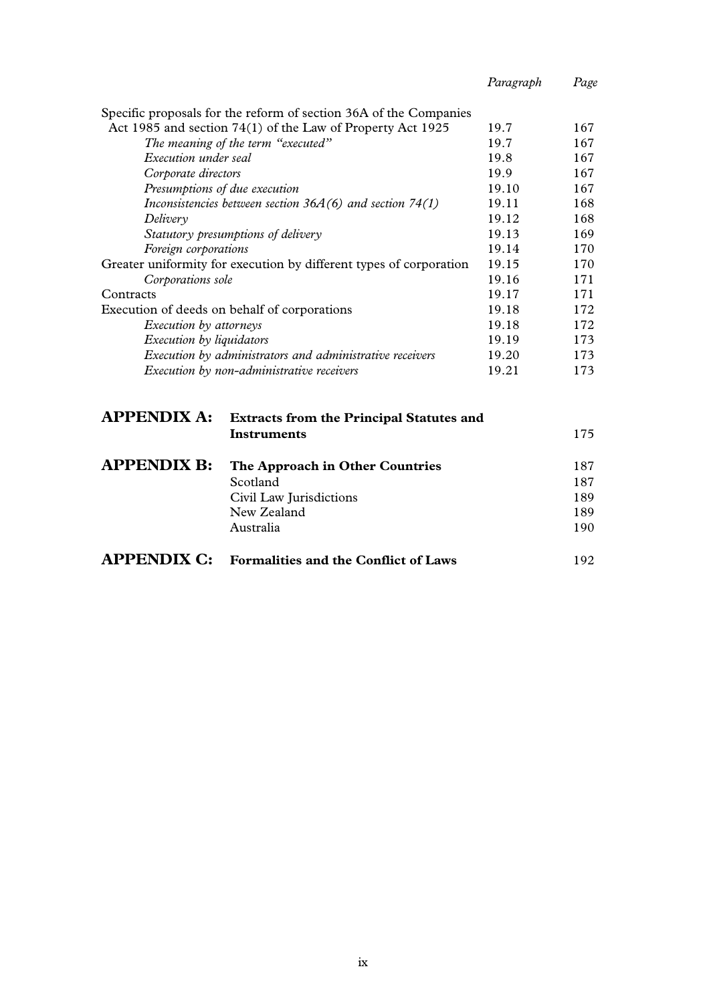|                                                            |                                                                    | Paragraph | Page |
|------------------------------------------------------------|--------------------------------------------------------------------|-----------|------|
|                                                            | Specific proposals for the reform of section 36A of the Companies  |           |      |
| Act 1985 and section 74(1) of the Law of Property Act 1925 |                                                                    | 19.7      | 167  |
|                                                            | The meaning of the term "executed"                                 | 19.7      | 167  |
| Execution under seal                                       |                                                                    | 19.8      | 167  |
| Corporate directors                                        |                                                                    | 19.9      | 167  |
|                                                            | Presumptions of due execution                                      | 19.10     | 167  |
|                                                            | Inconsistencies between section $36A(6)$ and section $74(1)$       | 19.11     | 168  |
| Delivery                                                   |                                                                    | 19.12     | 168  |
|                                                            | Statutory presumptions of delivery                                 | 19.13     | 169  |
| Foreign corporations                                       |                                                                    | 19.14     | 170  |
|                                                            | Greater uniformity for execution by different types of corporation | 19.15     | 170  |
| Corporations sole                                          |                                                                    | 19.16     | 171  |
| Contracts                                                  |                                                                    | 19.17     | 171  |
|                                                            | Execution of deeds on behalf of corporations                       | 19.18     | 172  |
| <i>Execution by attorneys</i>                              |                                                                    | 19.18     | 172  |
| Execution by liquidators                                   |                                                                    | 19.19     | 173  |
| Execution by administrators and administrative receivers   |                                                                    | 19.20     | 173  |
|                                                            | Execution by non-administrative receivers                          | 19.21     | 173  |
| <b>APPENDIX A:</b>                                         | <b>Extracts from the Principal Statutes and</b>                    |           |      |
|                                                            | <b>Instruments</b>                                                 |           | 175  |
| <b>APPENDIX B:</b>                                         | The Approach in Other Countries                                    |           | 187  |
|                                                            | Scotland                                                           |           | 187  |
|                                                            | Civil Law Jurisdictions                                            |           | 189  |
|                                                            | New Zealand                                                        |           | 189  |
|                                                            | Australia                                                          |           | 190  |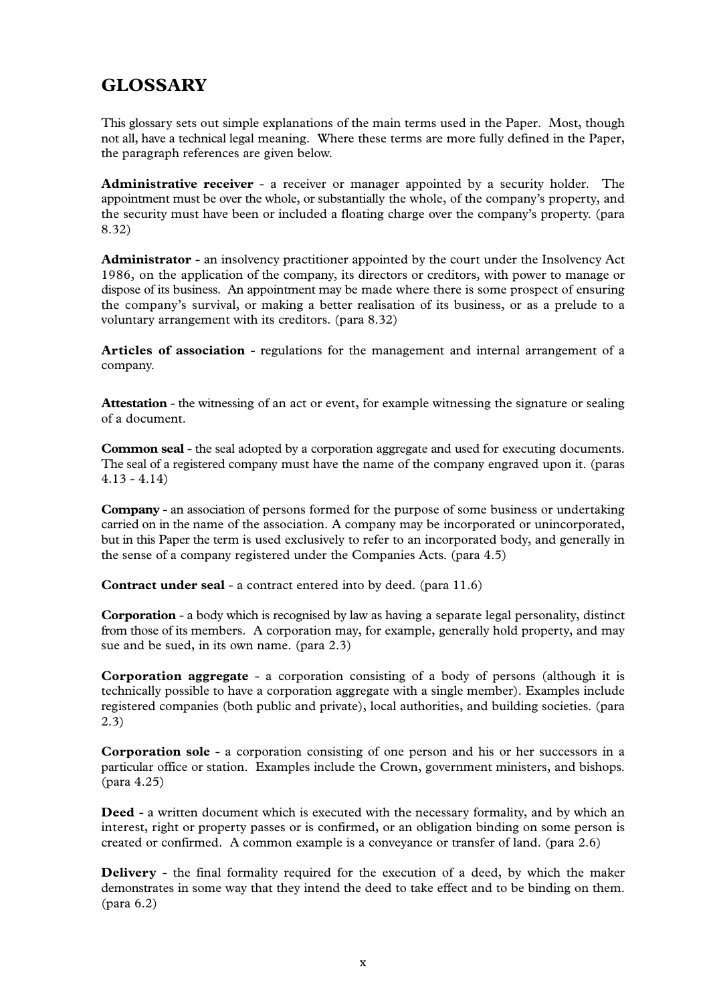# **GLOSSARY**

This glossary sets out simple explanations of the main terms used in the Paper. Most, though not all, have a technical legal meaning. Where these terms are more fully defined in the Paper, the paragraph references are given below.

**Administrative receiver** - a receiver or manager appointed by a security holder. The appointment must be over the whole, or substantially the whole, of the company's property, and the security must have been or included a floating charge over the company's property. (para 8.32)

**Administrator** - an insolvency practitioner appointed by the court under the Insolvency Act 1986, on the application of the company, its directors or creditors, with power to manage or dispose of its business. An appointment may be made where there is some prospect of ensuring the company's survival, or making a better realisation of its business, or as a prelude to a voluntary arrangement with its creditors. (para 8.32)

**Articles of association** - regulations for the management and internal arrangement of a company.

**Attestation** - the witnessing of an act or event, for example witnessing the signature or sealing of a document.

**Common seal** - the seal adopted by a corporation aggregate and used for executing documents. The seal of a registered company must have the name of the company engraved upon it. (paras  $4.13 - 4.14$ 

**Company** - an association of persons formed for the purpose of some business or undertaking carried on in the name of the association. A company may be incorporated or unincorporated, but in this Paper the term is used exclusively to refer to an incorporated body, and generally in the sense of a company registered under the Companies Acts. (para 4.5)

**Contract under seal** - a contract entered into by deed. (para 11.6)

**Corporation** - a body which is recognised by law as having a separate legal personality, distinct from those of its members. A corporation may, for example, generally hold property, and may sue and be sued, in its own name. (para 2.3)

**Corporation aggregate** - a corporation consisting of a body of persons (although it is technically possible to have a corporation aggregate with a single member). Examples include registered companies (both public and private), local authorities, and building societies. (para 2.3)

**Corporation sole** - a corporation consisting of one person and his or her successors in a particular office or station. Examples include the Crown, government ministers, and bishops. (para 4.25)

**Deed** - a written document which is executed with the necessary formality, and by which an interest, right or property passes or is confirmed, or an obligation binding on some person is created or confirmed. A common example is a conveyance or transfer of land. (para 2.6)

**Delivery** - the final formality required for the execution of a deed, by which the maker demonstrates in some way that they intend the deed to take effect and to be binding on them. (para 6.2)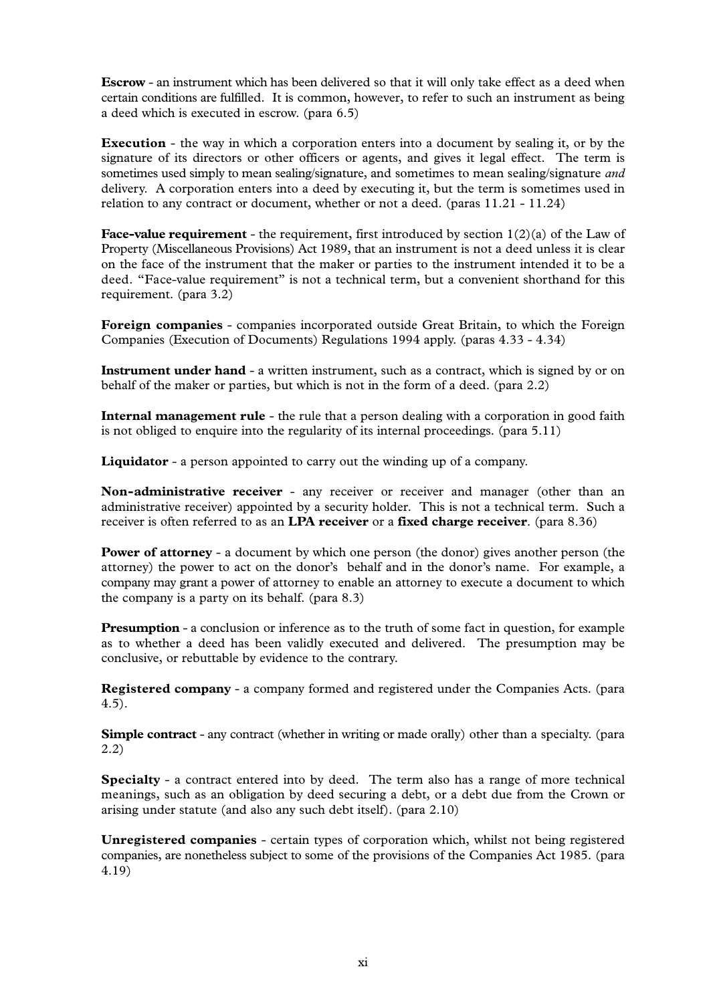**Escrow** - an instrument which has been delivered so that it will only take effect as a deed when certain conditions are fulfilled. It is common, however, to refer to such an instrument as being a deed which is executed in escrow. (para 6.5)

**Execution** - the way in which a corporation enters into a document by sealing it, or by the signature of its directors or other officers or agents, and gives it legal effect. The term is sometimes used simply to mean sealing/signature, and sometimes to mean sealing/signature *and* delivery. A corporation enters into a deed by executing it, but the term is sometimes used in relation to any contract or document, whether or not a deed. (paras 11.21 - 11.24)

**Face-value requirement** - the requirement, first introduced by section 1(2)(a) of the Law of Property (Miscellaneous Provisions) Act 1989, that an instrument is not a deed unless it is clear on the face of the instrument that the maker or parties to the instrument intended it to be a deed. "Face-value requirement" is not a technical term, but a convenient shorthand for this requirement. (para 3.2)

**Foreign companies** - companies incorporated outside Great Britain, to which the Foreign Companies (Execution of Documents) Regulations 1994 apply. (paras 4.33 - 4.34)

**Instrument under hand** - a written instrument, such as a contract, which is signed by or on behalf of the maker or parties, but which is not in the form of a deed. (para 2.2)

**Internal management rule** - the rule that a person dealing with a corporation in good faith is not obliged to enquire into the regularity of its internal proceedings. (para 5.11)

**Liquidator** - a person appointed to carry out the winding up of a company.

**Non-administrative receiver** - any receiver or receiver and manager (other than an administrative receiver) appointed by a security holder. This is not a technical term. Such a receiver is often referred to as an **LPA receiver** or a **fixed charge receiver**. (para 8.36)

**Power of attorney** - a document by which one person (the donor) gives another person (the attorney) the power to act on the donor's behalf and in the donor's name. For example, a company may grant a power of attorney to enable an attorney to execute a document to which the company is a party on its behalf. (para 8.3)

**Presumption** - a conclusion or inference as to the truth of some fact in question, for example as to whether a deed has been validly executed and delivered. The presumption may be conclusive, or rebuttable by evidence to the contrary.

**Registered company** - a company formed and registered under the Companies Acts. (para 4.5).

**Simple contract** - any contract (whether in writing or made orally) other than a specialty. (para 2.2)

**Specialty** - a contract entered into by deed. The term also has a range of more technical meanings, such as an obligation by deed securing a debt, or a debt due from the Crown or arising under statute (and also any such debt itself). (para 2.10)

**Unregistered companies** - certain types of corporation which, whilst not being registered companies, are nonetheless subject to some of the provisions of the Companies Act 1985. (para 4.19)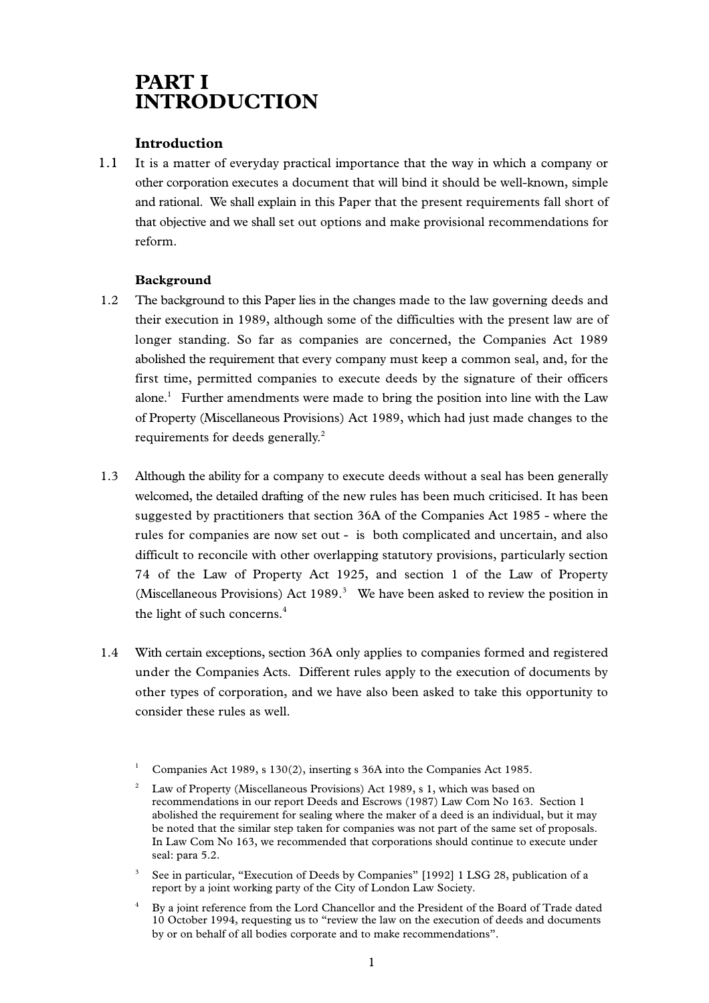# **PART I INTRODUCTION**

# **Introduction**

1.1 It is a matter of everyday practical importance that the way in which a company or other corporation executes a document that will bind it should be well-known, simple and rational. We shall explain in this Paper that the present requirements fall short of that objective and we shall set out options and make provisional recommendations for reform.

# **Background**

- 1.2 The background to this Paper lies in the changes made to the law governing deeds and their execution in 1989, although some of the difficulties with the present law are of longer standing. So far as companies are concerned, the Companies Act 1989 abolished the requirement that every company must keep a common seal, and, for the first time, permitted companies to execute deeds by the signature of their officers alone.<sup>1</sup> Further amendments were made to bring the position into line with the Law of Property (Miscellaneous Provisions) Act 1989, which had just made changes to the requirements for deeds generally.<sup>2</sup>
- 1.3 Although the ability for a company to execute deeds without a seal has been generally welcomed, the detailed drafting of the new rules has been much criticised. It has been suggested by practitioners that section 36A of the Companies Act 1985 - where the rules for companies are now set out - is both complicated and uncertain, and also difficult to reconcile with other overlapping statutory provisions, particularly section 74 of the Law of Property Act 1925, and section 1 of the Law of Property (Miscellaneous Provisions) Act 1989.<sup>3</sup> We have been asked to review the position in the light of such concerns. 4
- 1.4 With certain exceptions, section 36A only applies to companies formed and registered under the Companies Acts. Different rules apply to the execution of documents by other types of corporation, and we have also been asked to take this opportunity to consider these rules as well.

Companies Act 1989, s 130(2), inserting s 36A into the Companies Act 1985. <sup>1</sup>

<sup>&</sup>lt;sup>2</sup> Law of Property (Miscellaneous Provisions) Act 1989, s 1, which was based on recommendations in our report Deeds and Escrows (1987) Law Com No 163. Section 1 abolished the requirement for sealing where the maker of a deed is an individual, but it may be noted that the similar step taken for companies was not part of the same set of proposals. In Law Com No 163, we recommended that corporations should continue to execute under seal: para 5.2.

<sup>&</sup>lt;sup>3</sup> See in particular, "Execution of Deeds by Companies" [1992] 1 LSG 28, publication of a report by a joint working party of the City of London Law Society.

By a joint reference from the Lord Chancellor and the President of the Board of Trade dated <sup>4</sup> 10 October 1994, requesting us to "review the law on the execution of deeds and documents by or on behalf of all bodies corporate and to make recommendations".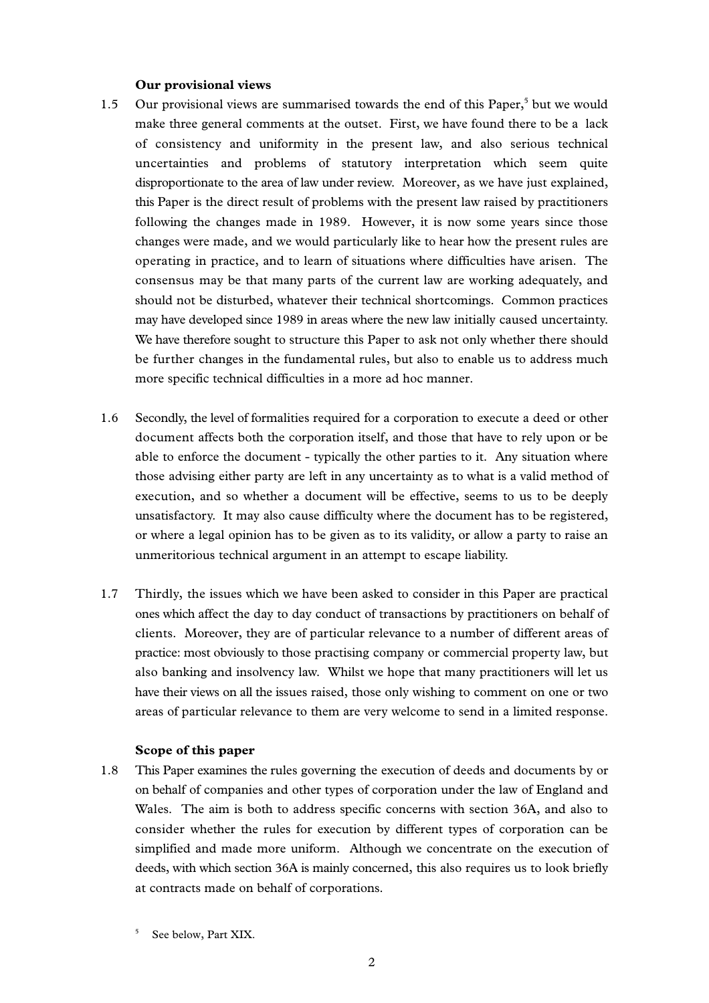### **Our provisional views**

- 1.5 Our provisional views are summarised towards the end of this Paper,<sup>5</sup> but we would make three general comments at the outset. First, we have found there to be a lack of consistency and uniformity in the present law, and also serious technical uncertainties and problems of statutory interpretation which seem quite disproportionate to the area of law under review. Moreover, as we have just explained, this Paper is the direct result of problems with the present law raised by practitioners following the changes made in 1989. However, it is now some years since those changes were made, and we would particularly like to hear how the present rules are operating in practice, and to learn of situations where difficulties have arisen. The consensus may be that many parts of the current law are working adequately, and should not be disturbed, whatever their technical shortcomings. Common practices may have developed since 1989 in areas where the new law initially caused uncertainty. We have therefore sought to structure this Paper to ask not only whether there should be further changes in the fundamental rules, but also to enable us to address much more specific technical difficulties in a more ad hoc manner.
- 1.6 Secondly, the level of formalities required for a corporation to execute a deed or other document affects both the corporation itself, and those that have to rely upon or be able to enforce the document - typically the other parties to it. Any situation where those advising either party are left in any uncertainty as to what is a valid method of execution, and so whether a document will be effective, seems to us to be deeply unsatisfactory. It may also cause difficulty where the document has to be registered, or where a legal opinion has to be given as to its validity, or allow a party to raise an unmeritorious technical argument in an attempt to escape liability.
- 1.7 Thirdly, the issues which we have been asked to consider in this Paper are practical ones which affect the day to day conduct of transactions by practitioners on behalf of clients. Moreover, they are of particular relevance to a number of different areas of practice: most obviously to those practising company or commercial property law, but also banking and insolvency law. Whilst we hope that many practitioners will let us have their views on all the issues raised, those only wishing to comment on one or two areas of particular relevance to them are very welcome to send in a limited response.

# **Scope of this paper**

1.8 This Paper examines the rules governing the execution of deeds and documents by or on behalf of companies and other types of corporation under the law of England and Wales. The aim is both to address specific concerns with section 36A, and also to consider whether the rules for execution by different types of corporation can be simplified and made more uniform. Although we concentrate on the execution of deeds, with which section 36A is mainly concerned, this also requires us to look briefly at contracts made on behalf of corporations.

See below, Part XIX.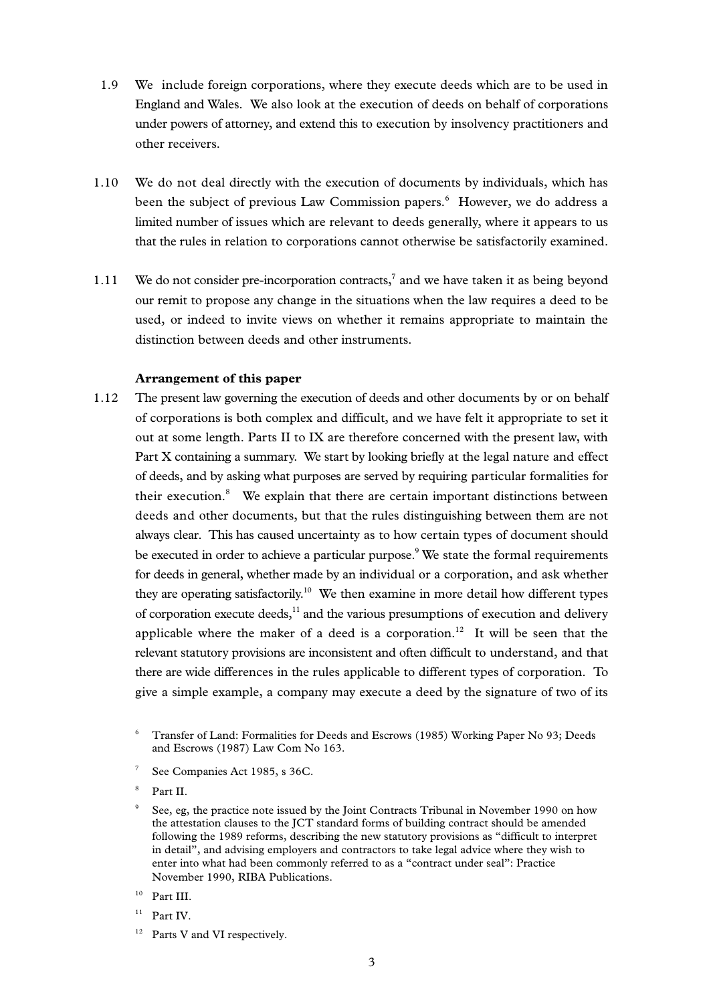- 1.9 We include foreign corporations, where they execute deeds which are to be used in England and Wales. We also look at the execution of deeds on behalf of corporations under powers of attorney, and extend this to execution by insolvency practitioners and other receivers.
- 1.10 We do not deal directly with the execution of documents by individuals, which has been the subject of previous Law Commission papers.<sup>6</sup> However, we do address a limited number of issues which are relevant to deeds generally, where it appears to us that the rules in relation to corporations cannot otherwise be satisfactorily examined.
- 1.11 We do not consider pre-incorporation contracts,<sup> $7$ </sup> and we have taken it as being beyond our remit to propose any change in the situations when the law requires a deed to be used, or indeed to invite views on whether it remains appropriate to maintain the distinction between deeds and other instruments.

### **Arrangement of this paper**

1.12 The present law governing the execution of deeds and other documents by or on behalf of corporations is both complex and difficult, and we have felt it appropriate to set it out at some length. Parts II to IX are therefore concerned with the present law, with Part X containing a summary. We start by looking briefly at the legal nature and effect of deeds, and by asking what purposes are served by requiring particular formalities for their execution. $8$  We explain that there are certain important distinctions between deeds and other documents, but that the rules distinguishing between them are not always clear. This has caused uncertainty as to how certain types of document should be executed in order to achieve a particular purpose.<sup>9</sup> We state the formal requirements for deeds in general, whether made by an individual or a corporation, and ask whether they are operating satisfactorily.<sup>10</sup> We then examine in more detail how different types of corporation execute deeds, $11$  and the various presumptions of execution and delivery applicable where the maker of a deed is a corporation.<sup>12</sup> It will be seen that the relevant statutory provisions are inconsistent and often difficult to understand, and that there are wide differences in the rules applicable to different types of corporation. To give a simple example, a company may execute a deed by the signature of two of its

See Companies Act 1985, s 36C.

Transfer of Land: Formalities for Deeds and Escrows (1985) Working Paper No 93; Deeds <sup>6</sup> and Escrows (1987) Law Com No 163.

Part II. <sup>8</sup>

See, eg, the practice note issued by the Joint Contracts Tribunal in November 1990 on how <sup>9</sup> the attestation clauses to the JCT standard forms of building contract should be amended following the 1989 reforms, describing the new statutory provisions as "difficult to interpret in detail", and advising employers and contractors to take legal advice where they wish to enter into what had been commonly referred to as a "contract under seal": Practice November 1990, RIBA Publications.

 $10$  Part III.

 $11$  Part IV.

 $12$  Parts V and VI respectively.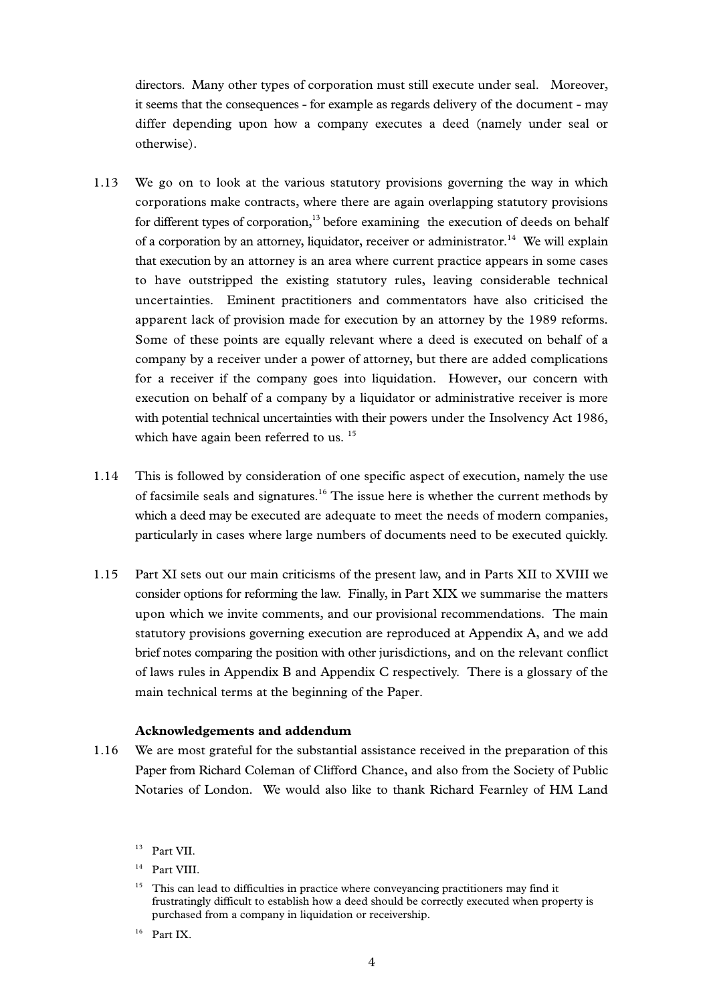directors. Many other types of corporation must still execute under seal. Moreover, it seems that the consequences - for example as regards delivery of the document - may differ depending upon how a company executes a deed (namely under seal or otherwise).

- 1.13 We go on to look at the various statutory provisions governing the way in which corporations make contracts, where there are again overlapping statutory provisions for different types of corporation, $\frac{13}{3}$  before examining the execution of deeds on behalf of a corporation by an attorney, liquidator, receiver or administrator.<sup>14</sup> We will explain that execution by an attorney is an area where current practice appears in some cases to have outstripped the existing statutory rules, leaving considerable technical uncertainties. Eminent practitioners and commentators have also criticised the apparent lack of provision made for execution by an attorney by the 1989 reforms. Some of these points are equally relevant where a deed is executed on behalf of a company by a receiver under a power of attorney, but there are added complications for a receiver if the company goes into liquidation. However, our concern with execution on behalf of a company by a liquidator or administrative receiver is more with potential technical uncertainties with their powers under the Insolvency Act 1986, which have again been referred to us.<sup>15</sup>
- 1.14 This is followed by consideration of one specific aspect of execution, namely the use of facsimile seals and signatures.<sup>16</sup> The issue here is whether the current methods by which a deed may be executed are adequate to meet the needs of modern companies, particularly in cases where large numbers of documents need to be executed quickly.
- 1.15 Part XI sets out our main criticisms of the present law, and in Parts XII to XVIII we consider options for reforming the law. Finally, in Part XIX we summarise the matters upon which we invite comments, and our provisional recommendations. The main statutory provisions governing execution are reproduced at Appendix A, and we add brief notes comparing the position with other jurisdictions, and on the relevant conflict of laws rules in Appendix B and Appendix C respectively. There is a glossary of the main technical terms at the beginning of the Paper.

### **Acknowledgements and addendum**

1.16 We are most grateful for the substantial assistance received in the preparation of this Paper from Richard Coleman of Clifford Chance, and also from the Society of Public Notaries of London. We would also like to thank Richard Fearnley of HM Land

- $15$  This can lead to difficulties in practice where conveyancing practitioners may find it frustratingly difficult to establish how a deed should be correctly executed when property is purchased from a company in liquidation or receivership.
- $16$  Part IX.

 $13$  Part VII.

 $14$  Part VIII.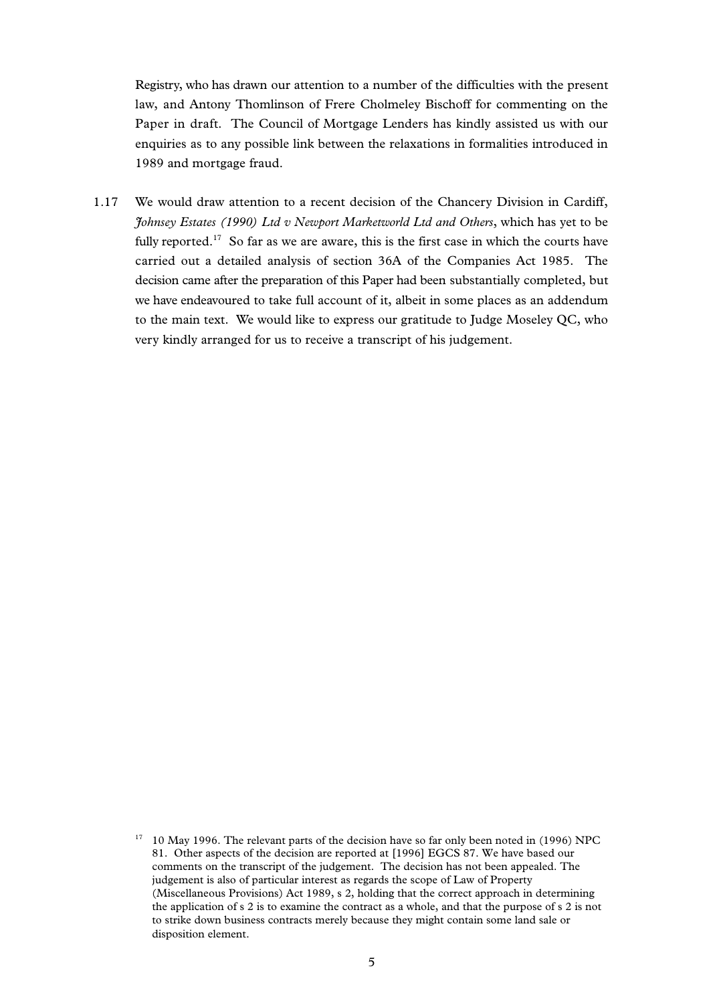Registry, who has drawn our attention to a number of the difficulties with the present law, and Antony Thomlinson of Frere Cholmeley Bischoff for commenting on the Paper in draft. The Council of Mortgage Lenders has kindly assisted us with our enquiries as to any possible link between the relaxations in formalities introduced in 1989 and mortgage fraud.

1.17 We would draw attention to a recent decision of the Chancery Division in Cardiff, *Johnsey Estates (1990) Ltd v Newport Marketworld Ltd and Others*, which has yet to be fully reported.<sup>17</sup> So far as we are aware, this is the first case in which the courts have carried out a detailed analysis of section 36A of the Companies Act 1985. The decision came after the preparation of this Paper had been substantially completed, but we have endeavoured to take full account of it, albeit in some places as an addendum to the main text. We would like to express our gratitude to Judge Moseley QC, who very kindly arranged for us to receive a transcript of his judgement.

 $17$  10 May 1996. The relevant parts of the decision have so far only been noted in (1996) NPC 81. Other aspects of the decision are reported at [1996] EGCS 87. We have based our comments on the transcript of the judgement. The decision has not been appealed. The judgement is also of particular interest as regards the scope of Law of Property (Miscellaneous Provisions) Act 1989, s 2, holding that the correct approach in determining the application of s 2 is to examine the contract as a whole, and that the purpose of s 2 is not to strike down business contracts merely because they might contain some land sale or disposition element.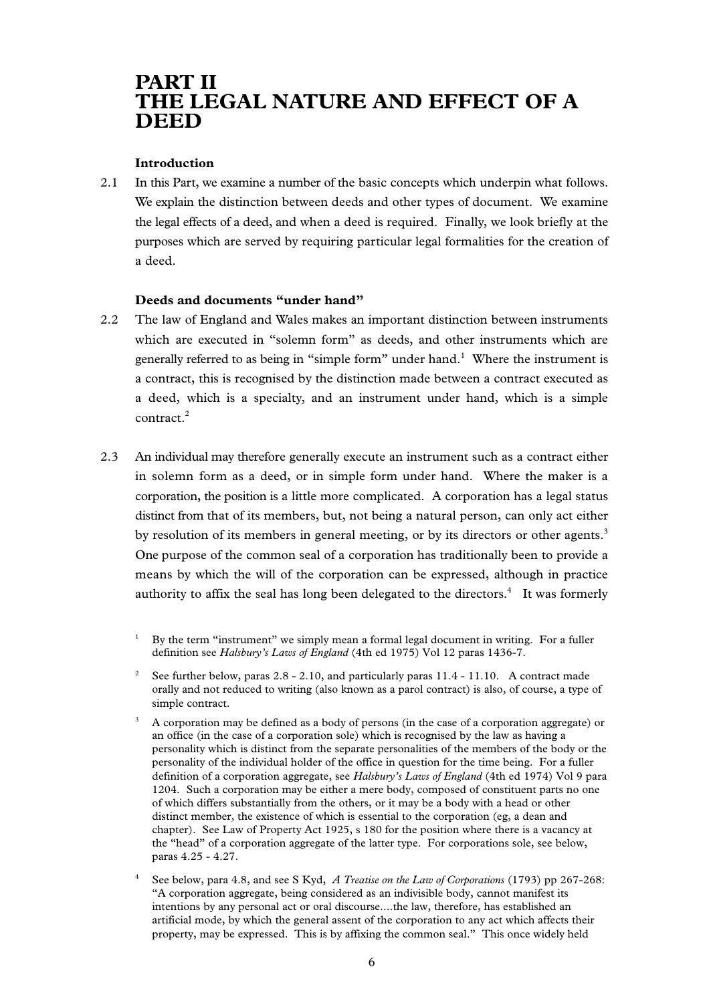# **PART II THE LEGAL NATURE AND EFFECT OF A DEED**

# **Introduction**

2.1 In this Part, we examine a number of the basic concepts which underpin what follows. We explain the distinction between deeds and other types of document. We examine the legal effects of a deed, and when a deed is required. Finally, we look briefly at the purposes which are served by requiring particular legal formalities for the creation of a deed.

# **Deeds and documents "under hand"**

- 2.2 The law of England and Wales makes an important distinction between instruments which are executed in "solemn form" as deeds, and other instruments which are generally referred to as being in "simple form" under hand.<sup>1</sup> Where the instrument is a contract, this is recognised by the distinction made between a contract executed as a deed, which is a specialty, and an instrument under hand, which is a simple contract.<sup>2</sup>
- 2.3 An individual may therefore generally execute an instrument such as a contract either in solemn form as a deed, or in simple form under hand. Where the maker is a corporation, the position is a little more complicated. A corporation has a legal status distinct from that of its members, but, not being a natural person, can only act either by resolution of its members in general meeting, or by its directors or other agents.<sup>3</sup> One purpose of the common seal of a corporation has traditionally been to provide a means by which the will of the corporation can be expressed, although in practice authority to affix the seal has long been delegated to the directors.<sup>4</sup> It was formerly

 $\frac{1}{1}$  By the term "instrument" we simply mean a formal legal document in writing. For a fuller definition see *Halsbury's Laws of England* (4th ed 1975) Vol 12 paras 1436-7.

See further below, paras  $2.8 - 2.10$ , and particularly paras  $11.4 - 11.10$ . A contract made orally and not reduced to writing (also known as a parol contract) is also, of course, a type of simple contract.

A corporation may be defined as a body of persons (in the case of a corporation aggregate) or <sup>3</sup> an office (in the case of a corporation sole) which is recognised by the law as having a personality which is distinct from the separate personalities of the members of the body or the personality of the individual holder of the office in question for the time being. For a fuller definition of a corporation aggregate, see *Halsbury's Laws of England* (4th ed 1974) Vol 9 para 1204. Such a corporation may be either a mere body, composed of constituent parts no one of which differs substantially from the others, or it may be a body with a head or other distinct member, the existence of which is essential to the corporation (eg, a dean and chapter). See Law of Property Act 1925, s 180 for the position where there is a vacancy at the "head" of a corporation aggregate of the latter type. For corporations sole, see below, paras 4.25 - 4.27.

See below, para 4.8, and see S Kyd, *A Treatise on the Law of Corporations* (1793) pp 267-268: <sup>4</sup> "A corporation aggregate, being considered as an indivisible body, cannot manifest its intentions by any personal act or oral discourse....the law, therefore, has established an artificial mode, by which the general assent of the corporation to any act which affects their property, may be expressed. This is by affixing the common seal." This once widely held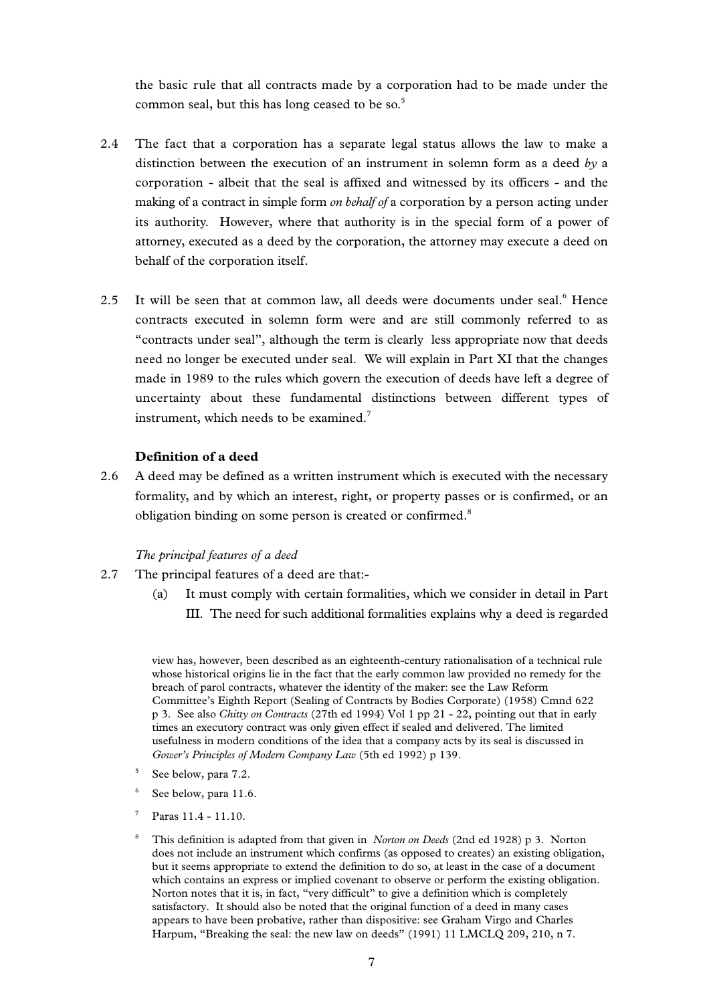the basic rule that all contracts made by a corporation had to be made under the common seal, but this has long ceased to be so. 5

- 2.4 The fact that a corporation has a separate legal status allows the law to make a distinction between the execution of an instrument in solemn form as a deed *by* a corporation - albeit that the seal is affixed and witnessed by its officers - and the making of a contract in simple form *on behalf of* a corporation by a person acting under its authority. However, where that authority is in the special form of a power of attorney, executed as a deed by the corporation, the attorney may execute a deed on behalf of the corporation itself.
- 2.5 It will be seen that at common law, all deeds were documents under seal. $6$  Hence contracts executed in solemn form were and are still commonly referred to as "contracts under seal", although the term is clearly less appropriate now that deeds need no longer be executed under seal. We will explain in Part XI that the changes made in 1989 to the rules which govern the execution of deeds have left a degree of uncertainty about these fundamental distinctions between different types of instrument, which needs to be examined.<sup>7</sup>

# **Definition of a deed**

2.6 A deed may be defined as a written instrument which is executed with the necessary formality, and by which an interest, right, or property passes or is confirmed, or an obligation binding on some person is created or confirmed.<sup>8</sup>

#### *The principal features of a deed*

- 2.7 The principal features of a deed are that:-
	- (a) It must comply with certain formalities, which we consider in detail in Part III. The need for such additional formalities explains why a deed is regarded

view has, however, been described as an eighteenth-century rationalisation of a technical rule whose historical origins lie in the fact that the early common law provided no remedy for the breach of parol contracts, whatever the identity of the maker: see the Law Reform Committee's Eighth Report (Sealing of Contracts by Bodies Corporate) (1958) Cmnd 622 p 3. See also *Chitty on Contracts* (27th ed 1994) Vol 1 pp 21 - 22, pointing out that in early times an executory contract was only given effect if sealed and delivered. The limited usefulness in modern conditions of the idea that a company acts by its seal is discussed in *Gower's Principles of Modern Company Law* (5th ed 1992) p 139.

- See below, para 7.2.
- $6$  See below, para 11.6.
- $7$  Paras 11.4 11.10.
- This definition is adapted from that given in *Norton on Deeds* (2nd ed 1928) p 3. Norton does not include an instrument which confirms (as opposed to creates) an existing obligation, but it seems appropriate to extend the definition to do so, at least in the case of a document which contains an express or implied covenant to observe or perform the existing obligation. Norton notes that it is, in fact, "very difficult" to give a definition which is completely satisfactory. It should also be noted that the original function of a deed in many cases appears to have been probative, rather than dispositive: see Graham Virgo and Charles Harpum, "Breaking the seal: the new law on deeds" (1991) 11 LMCLQ 209, 210, n 7.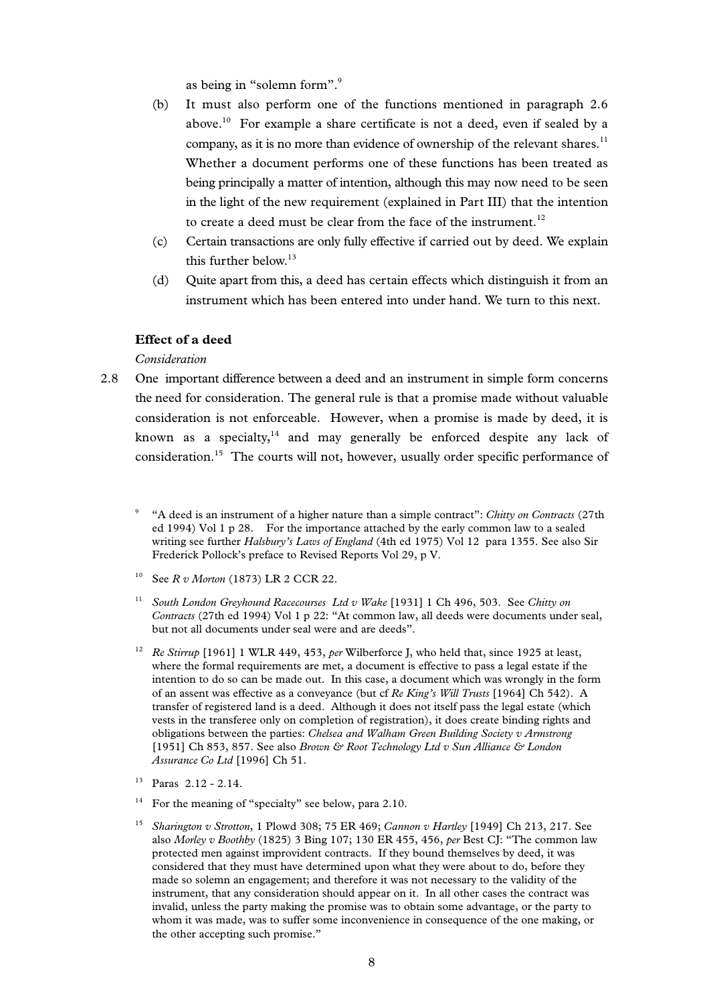as being in "solemn form".<sup>9</sup>

- (b) It must also perform one of the functions mentioned in paragraph 2.6 above.<sup>10</sup> For example a share certificate is not a deed, even if sealed by a company, as it is no more than evidence of ownership of the relevant shares.<sup>11</sup> Whether a document performs one of these functions has been treated as being principally a matter of intention, although this may now need to be seen in the light of the new requirement (explained in Part III) that the intention to create a deed must be clear from the face of the instrument.<sup>12</sup>
- (c) Certain transactions are only fully effective if carried out by deed. We explain this further below. 13
- (d) Quite apart from this, a deed has certain effects which distinguish it from an instrument which has been entered into under hand. We turn to this next.

### **Effect of a deed**

#### *Consideration*

- 2.8 One important difference between a deed and an instrument in simple form concerns the need for consideration. The general rule is that a promise made without valuable consideration is not enforceable. However, when a promise is made by deed, it is known as a specialty, $14$  and may generally be enforced despite any lack of  $\alpha$ consideration.<sup>15</sup> The courts will not, however, usually order specific performance of
	- <sup>9</sup> "A deed is an instrument of a higher nature than a simple contract": *Chitty on Contracts* (27th ed 1994) Vol 1 p 28. For the importance attached by the early common law to a sealed writing see further *Halsbury's Laws of England* (4th ed 1975) Vol 12 para 1355. See also Sir Frederick Pollock's preface to Revised Reports Vol 29, p V.
	- <sup>10</sup> See *R v Morton* (1873) LR 2 CCR 22.
	- <sup>11</sup> South London Greyhound Racecourses Ltd v Wake [1931] 1 Ch 496, 503. See *Chitty on Contracts* (27th ed 1994) Vol 1 p 22: "At common law, all deeds were documents under seal, but not all documents under seal were and are deeds".
	- *Re Stirrup* [1961] 1 WLR 449, 453, *per Wilberforce J*, who held that, since 1925 at least, where the formal requirements are met, a document is effective to pass a legal estate if the intention to do so can be made out. In this case, a document which was wrongly in the form of an assent was effective as a conveyance (but cf *Re King's Will Trusts* [1964] Ch 542). A transfer of registered land is a deed. Although it does not itself pass the legal estate (which vests in the transferee only on completion of registration), it does create binding rights and obligations between the parties: *Chelsea and Walham Green Building Society v Armstrong* [1951] Ch 853, 857. See also *Brown & Root Technology Ltd v Sun Alliance & London Assurance Co Ltd* [1996] Ch 51.
	- $Paras 2.12 2.14.$
	- <sup>14</sup> For the meaning of "specialty" see below, para 2.10.
	- <sup>15</sup> Sharington v Strotton, 1 Plowd 308; 75 ER 469; *Cannon v Hartley* [1949] Ch 213, 217. See also *Morley v Boothby* (1825) 3 Bing 107; 130 ER 455, 456, *per* Best CJ: "The common law protected men against improvident contracts. If they bound themselves by deed, it was considered that they must have determined upon what they were about to do, before they made so solemn an engagement; and therefore it was not necessary to the validity of the instrument, that any consideration should appear on it. In all other cases the contract was invalid, unless the party making the promise was to obtain some advantage, or the party to whom it was made, was to suffer some inconvenience in consequence of the one making, or the other accepting such promise."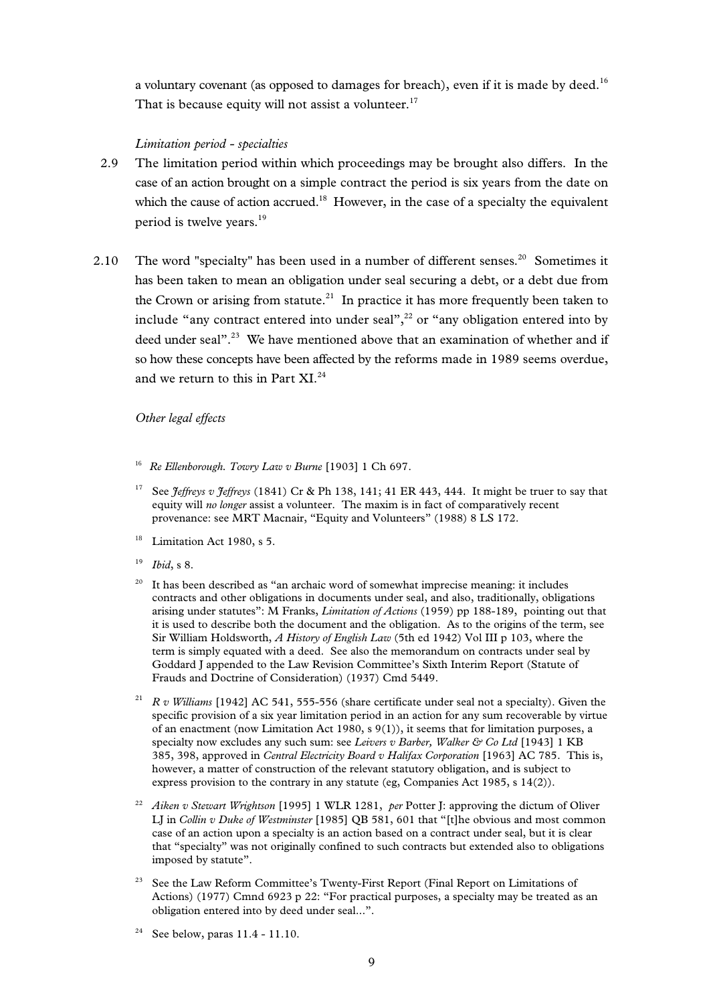a voluntary covenant (as opposed to damages for breach), even if it is made by deed.<sup>16</sup> That is because equity will not assist a volunteer.<sup>17</sup>

# *Limitation period - specialties*

- 2.9 The limitation period within which proceedings may be brought also differs. In the case of an action brought on a simple contract the period is six years from the date on which the cause of action accrued.<sup>18</sup> However, in the case of a specialty the equivalent period is twelve years.<sup>19</sup>
- 2.10 The word "specialty" has been used in a number of different senses.<sup>20</sup> Sometimes it has been taken to mean an obligation under seal securing a debt, or a debt due from the Crown or arising from statute.<sup>21</sup> In practice it has more frequently been taken to include "any contract entered into under seal", $^{22}$  or "any obligation entered into by deed under seal".<sup>23</sup> We have mentioned above that an examination of whether and if so how these concepts have been affected by the reforms made in 1989 seems overdue, and we return to this in Part  $Xl^{24}$

### *Other legal effects*

- <sup>16</sup> Re Ellenborough. Towry Law v Burne [1903] 1 Ch 697.
- <sup>17</sup> See *Jeffreys v Jeffreys* (1841) Cr & Ph 138, 141; 41 ER 443, 444. It might be truer to say that equity will *no longer* assist a volunteer. The maxim is in fact of comparatively recent provenance: see MRT Macnair, "Equity and Volunteers" (1988) 8 LS 172.
- <sup>18</sup> Limitation Act 1980, s 5.
- <sup>19</sup> *Ibid*, s 8.
- $20$  It has been described as "an archaic word of somewhat imprecise meaning: it includes contracts and other obligations in documents under seal, and also, traditionally, obligations arising under statutes": M Franks, *Limitation of Actions* (1959) pp 188-189, pointing out that it is used to describe both the document and the obligation. As to the origins of the term, see Sir William Holdsworth, *A History of English Law* (5th ed 1942) Vol III p 103, where the term is simply equated with a deed. See also the memorandum on contracts under seal by Goddard J appended to the Law Revision Committee's Sixth Interim Report (Statute of Frauds and Doctrine of Consideration) (1937) Cmd 5449.
- *R v Williams* [1942] AC 541, 555-556 (share certificate under seal not a specialty). Given the specific provision of a six year limitation period in an action for any sum recoverable by virtue of an enactment (now Limitation Act 1980, s 9(1)), it seems that for limitation purposes, a specialty now excludes any such sum: see *Leivers v Barber, Walker & Co Ltd* [1943] 1 KB 385, 398, approved in *Central Electricity Board v Halifax Corporation* [1963] AC 785. This is, however, a matter of construction of the relevant statutory obligation, and is subject to express provision to the contrary in any statute (eg, Companies Act 1985, s 14(2)).
- <sup>22</sup> Aiken v Stewart Wrightson [1995] 1 WLR 1281, per Potter J: approving the dictum of Oliver LJ in *Collin v Duke of Westminster* [1985] QB 581, 601 that "[t]he obvious and most common case of an action upon a specialty is an action based on a contract under seal, but it is clear that "specialty" was not originally confined to such contracts but extended also to obligations imposed by statute".
- <sup>23</sup> See the Law Reform Committee's Twenty-First Report (Final Report on Limitations of Actions) (1977) Cmnd 6923 p 22: "For practical purposes, a specialty may be treated as an obligation entered into by deed under seal...".
- <sup>24</sup> See below, paras  $11.4 11.10$ .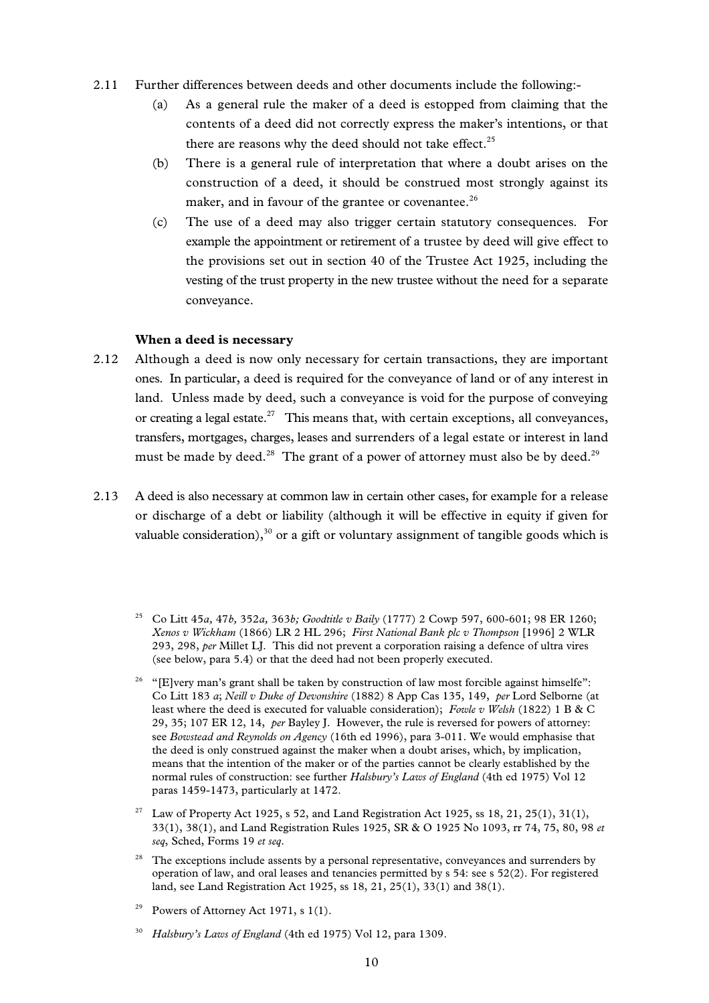- 2.11 Further differences between deeds and other documents include the following:-
	- (a) As a general rule the maker of a deed is estopped from claiming that the contents of a deed did not correctly express the maker's intentions, or that there are reasons why the deed should not take effect. $25$
	- (b) There is a general rule of interpretation that where a doubt arises on the construction of a deed, it should be construed most strongly against its maker, and in favour of the grantee or covenantee.<sup>26</sup>
	- (c) The use of a deed may also trigger certain statutory consequences. For example the appointment or retirement of a trustee by deed will give effect to the provisions set out in section 40 of the Trustee Act 1925, including the vesting of the trust property in the new trustee without the need for a separate conveyance.

#### **When a deed is necessary**

- 2.12 Although a deed is now only necessary for certain transactions, they are important ones. In particular, a deed is required for the conveyance of land or of any interest in land. Unless made by deed, such a conveyance is void for the purpose of conveying or creating a legal estate.<sup>27</sup> This means that, with certain exceptions, all conveyances, transfers, mortgages, charges, leases and surrenders of a legal estate or interest in land must be made by deed.<sup>28</sup> The grant of a power of attorney must also be by deed.<sup>29</sup>
- 2.13 A deed is also necessary at common law in certain other cases, for example for a release or discharge of a debt or liability (although it will be effective in equity if given for valuable consideration),  $30$  or a gift or voluntary assignment of tangible goods which is
	- Co Litt 45*a,* 47*b,* 352*a,* 363*b; Goodtitle v Baily* (1777) 2 Cowp 597, 600-601; 98 ER 1260; 25 *Xenos v Wickham* (1866) LR 2 HL 296; *First National Bank plc v Thompson* [1996] 2 WLR 293, 298, *per* Millet LJ. This did not prevent a corporation raising a defence of ultra vires (see below, para 5.4) or that the deed had not been properly executed.
	- $26$  "[E]very man's grant shall be taken by construction of law most forcible against himselfe": Co Litt 183 *a*; *Neill v Duke of Devonshire* (1882) 8 App Cas 135, 149, *per* Lord Selborne (at least where the deed is executed for valuable consideration); *Fowle v Welsh* (1822) 1 B & C 29, 35; 107 ER 12, 14, *per* Bayley J. However, the rule is reversed for powers of attorney: see *Bowstead and Reynolds on Agency* (16th ed 1996), para 3-011. We would emphasise that the deed is only construed against the maker when a doubt arises, which, by implication, means that the intention of the maker or of the parties cannot be clearly established by the normal rules of construction: see further *Halsbury's Laws of England* (4th ed 1975) Vol 12 paras 1459-1473, particularly at 1472.
	- Law of Property Act 1925, s 52, and Land Registration Act 1925, ss 18, 21, 25(1), 31(1), 33(1), 38(1), and Land Registration Rules 1925, SR & O 1925 No 1093, rr 74, 75, 80, 98 *et seq*, Sched, Forms 19 *et seq*.
	- <sup>28</sup> The exceptions include assents by a personal representative, conveyances and surrenders by operation of law, and oral leases and tenancies permitted by s 54: see s 52(2). For registered land, see Land Registration Act 1925, ss 18, 21, 25(1), 33(1) and 38(1).
	- <sup>29</sup> Powers of Attorney Act 1971, s  $1(1)$ .
	- *Halsbury's Laws of England* (4th ed 1975) Vol 12, para 1309.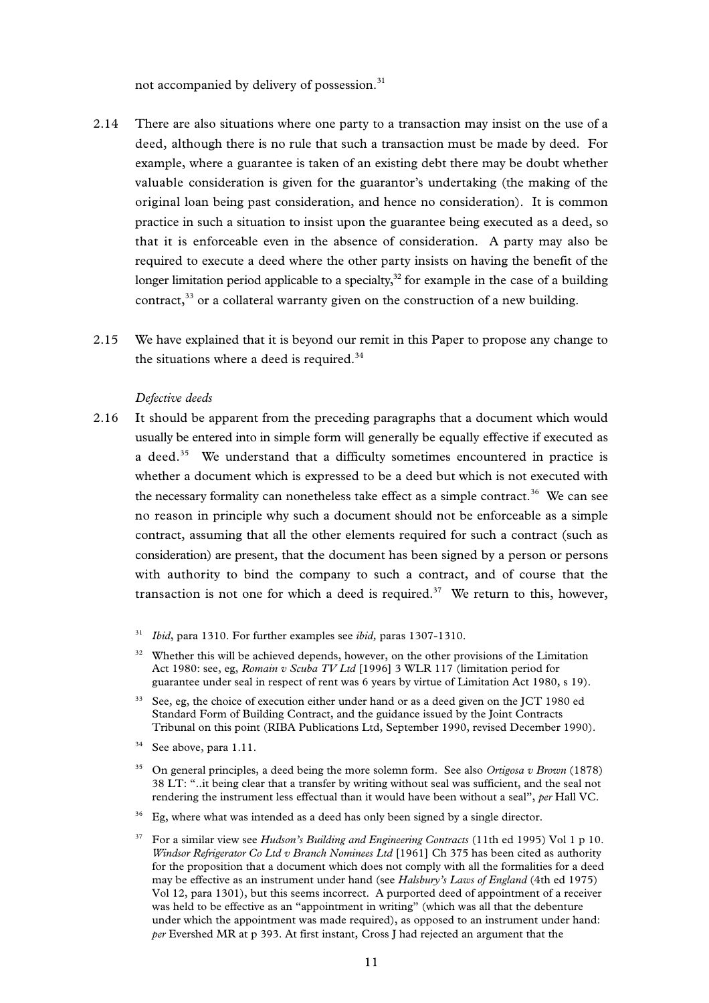not accompanied by delivery of possession.<sup>31</sup>

- 2.14 There are also situations where one party to a transaction may insist on the use of a deed, although there is no rule that such a transaction must be made by deed. For example, where a guarantee is taken of an existing debt there may be doubt whether valuable consideration is given for the guarantor's undertaking (the making of the original loan being past consideration, and hence no consideration). It is common practice in such a situation to insist upon the guarantee being executed as a deed, so that it is enforceable even in the absence of consideration. A party may also be required to execute a deed where the other party insists on having the benefit of the longer limitation period applicable to a specialty, $32$  for example in the case of a building contract,  $33$  or a collateral warranty given on the construction of a new building.
- 2.15 We have explained that it is beyond our remit in this Paper to propose any change to the situations where a deed is required. $34$

#### *Defective deeds*

- 2.16 It should be apparent from the preceding paragraphs that a document which would usually be entered into in simple form will generally be equally effective if executed as a deed. $35$  We understand that a difficulty sometimes encountered in practice is whether a document which is expressed to be a deed but which is not executed with the necessary formality can nonetheless take effect as a simple contract.<sup>36</sup> We can see no reason in principle why such a document should not be enforceable as a simple contract, assuming that all the other elements required for such a contract (such as consideration) are present, that the document has been signed by a person or persons with authority to bind the company to such a contract, and of course that the transaction is not one for which a deed is required.<sup>37</sup> We return to this, however,
	- <sup>31</sup> *Ibid*, para 1310. For further examples see *ibid*, paras 1307-1310.

- $33$  See, eg, the choice of execution either under hand or as a deed given on the JCT 1980 ed Standard Form of Building Contract, and the guidance issued by the Joint Contracts Tribunal on this point (RIBA Publications Ltd, September 1990, revised December 1990).
- $34$  See above, para 1.11.
- On general principles, a deed being the more solemn form. See also *Ortigosa v Brown* (1878) 38 LT: "..it being clear that a transfer by writing without seal was sufficient, and the seal not rendering the instrument less effectual than it would have been without a seal", *per* Hall VC.
- $^{36}$  Eg, where what was intended as a deed has only been signed by a single director.
- For a similar view see *Hudson's Building and Engineering Contracts* (11th ed 1995) Vol 1 p 10. <sup>37</sup> *Windsor Refrigerator Co Ltd v Branch Nominees Ltd* [1961] Ch 375 has been cited as authority for the proposition that a document which does not comply with all the formalities for a deed may be effective as an instrument under hand (see *Halsbury's Laws of England* (4th ed 1975) Vol 12, para 1301), but this seems incorrect. A purported deed of appointment of a receiver was held to be effective as an "appointment in writing" (which was all that the debenture under which the appointment was made required), as opposed to an instrument under hand: *per* Evershed MR at p 393. At first instant, Cross J had rejected an argument that the

 $32$  Whether this will be achieved depends, however, on the other provisions of the Limitation Act 1980: see, eg, *Romain v Scuba TV Ltd* [1996] 3 WLR 117 (limitation period for guarantee under seal in respect of rent was 6 years by virtue of Limitation Act 1980, s 19).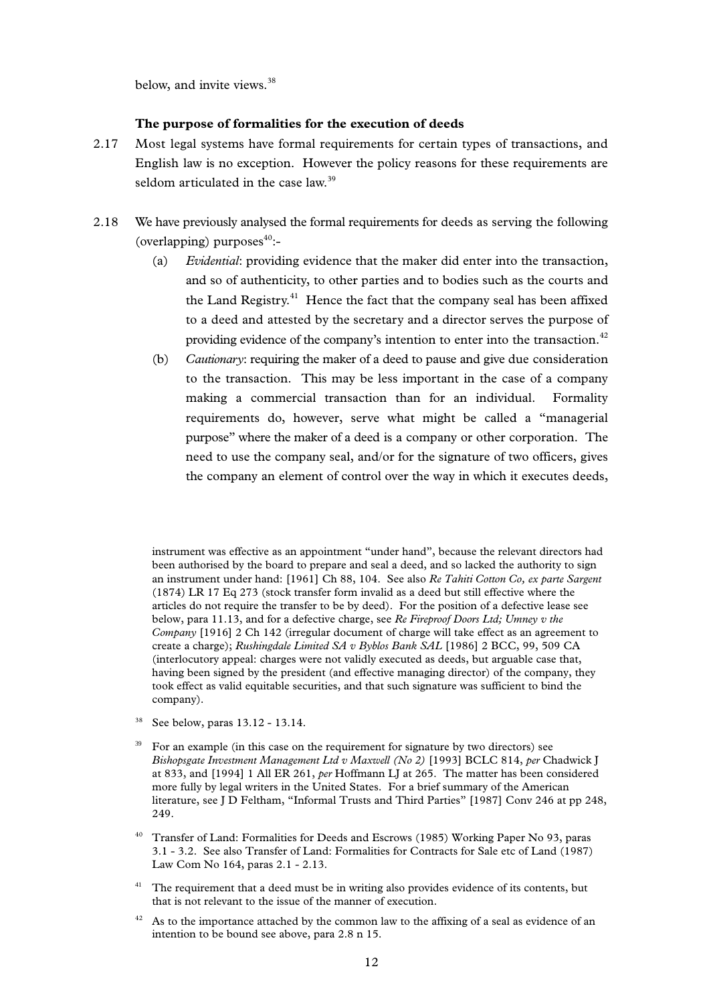below, and invite views. 38

### **The purpose of formalities for the execution of deeds**

- 2.17 Most legal systems have formal requirements for certain types of transactions, and English law is no exception. However the policy reasons for these requirements are seldom articulated in the case law.<sup>39</sup>
- 2.18 We have previously analysed the formal requirements for deeds as serving the following (overlapping) purposes $40$ :-
	- (a) *Evidential*: providing evidence that the maker did enter into the transaction, and so of authenticity, to other parties and to bodies such as the courts and the Land Registry. $41$  Hence the fact that the company seal has been affixed to a deed and attested by the secretary and a director serves the purpose of providing evidence of the company's intention to enter into the transaction.<sup>42</sup>
	- (b) *Cautionary*: requiring the maker of a deed to pause and give due consideration to the transaction. This may be less important in the case of a company making a commercial transaction than for an individual. Formality requirements do, however, serve what might be called a "managerial purpose" where the maker of a deed is a company or other corporation. The need to use the company seal, and/or for the signature of two officers, gives the company an element of control over the way in which it executes deeds,

instrument was effective as an appointment "under hand", because the relevant directors had been authorised by the board to prepare and seal a deed, and so lacked the authority to sign an instrument under hand: [1961] Ch 88, 104. See also *Re Tahiti Cotton Co, ex parte Sargent* (1874) LR 17 Eq 273 (stock transfer form invalid as a deed but still effective where the articles do not require the transfer to be by deed). For the position of a defective lease see below, para 11.13, and for a defective charge, see *Re Fireproof Doors Ltd; Umney v the Company* [1916] 2 Ch 142 (irregular document of charge will take effect as an agreement to create a charge); *Rushingdale Limited SA v Byblos Bank SAL* [1986] 2 BCC, 99, 509 CA (interlocutory appeal: charges were not validly executed as deeds, but arguable case that, having been signed by the president (and effective managing director) of the company, they took effect as valid equitable securities, and that such signature was sufficient to bind the company).

- See below, paras 13.12 13.14.
- For an example (in this case on the requirement for signature by two directors) see *Bishopsgate Investment Management Ltd v Maxwell (No 2)* [1993] BCLC 814, *per* Chadwick J at 833, and [1994] 1 All ER 261, *per* Hoffmann LJ at 265. The matter has been considered more fully by legal writers in the United States. For a brief summary of the American literature, see J D Feltham, "Informal Trusts and Third Parties" [1987] Conv 246 at pp 248, 249.
- <sup>40</sup> Transfer of Land: Formalities for Deeds and Escrows (1985) Working Paper No 93, paras 3.1 - 3.2. See also Transfer of Land: Formalities for Contracts for Sale etc of Land (1987) Law Com No 164, paras 2.1 - 2.13.
- <sup>41</sup> The requirement that a deed must be in writing also provides evidence of its contents, but that is not relevant to the issue of the manner of execution.
- As to the importance attached by the common law to the affixing of a seal as evidence of an intention to be bound see above, para 2.8 n 15.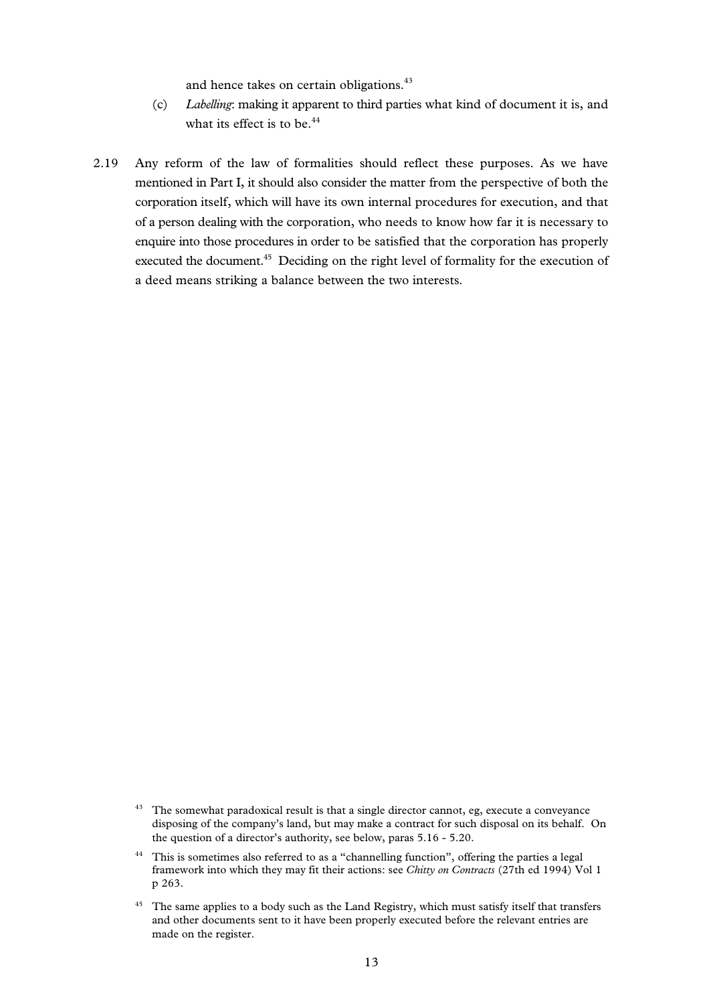and hence takes on certain obligations.<sup>43</sup>

- (c) *Labelling*: making it apparent to third parties what kind of document it is, and what its effect is to be.<sup>44</sup>
- 2.19 Any reform of the law of formalities should reflect these purposes. As we have mentioned in Part I, it should also consider the matter from the perspective of both the corporation itself, which will have its own internal procedures for execution, and that of a person dealing with the corporation, who needs to know how far it is necessary to enquire into those procedures in order to be satisfied that the corporation has properly executed the document.<sup> $45$ </sup> Deciding on the right level of formality for the execution of a deed means striking a balance between the two interests.

<sup>&</sup>lt;sup>43</sup> The somewhat paradoxical result is that a single director cannot, eg, execute a conveyance disposing of the company's land, but may make a contract for such disposal on its behalf. On the question of a director's authority, see below, paras 5.16 - 5.20.

 $44$  This is sometimes also referred to as a "channelling function", offering the parties a legal framework into which they may fit their actions: see *Chitty on Contracts* (27th ed 1994) Vol 1 p 263.

<sup>&</sup>lt;sup>45</sup> The same applies to a body such as the Land Registry, which must satisfy itself that transfers and other documents sent to it have been properly executed before the relevant entries are made on the register.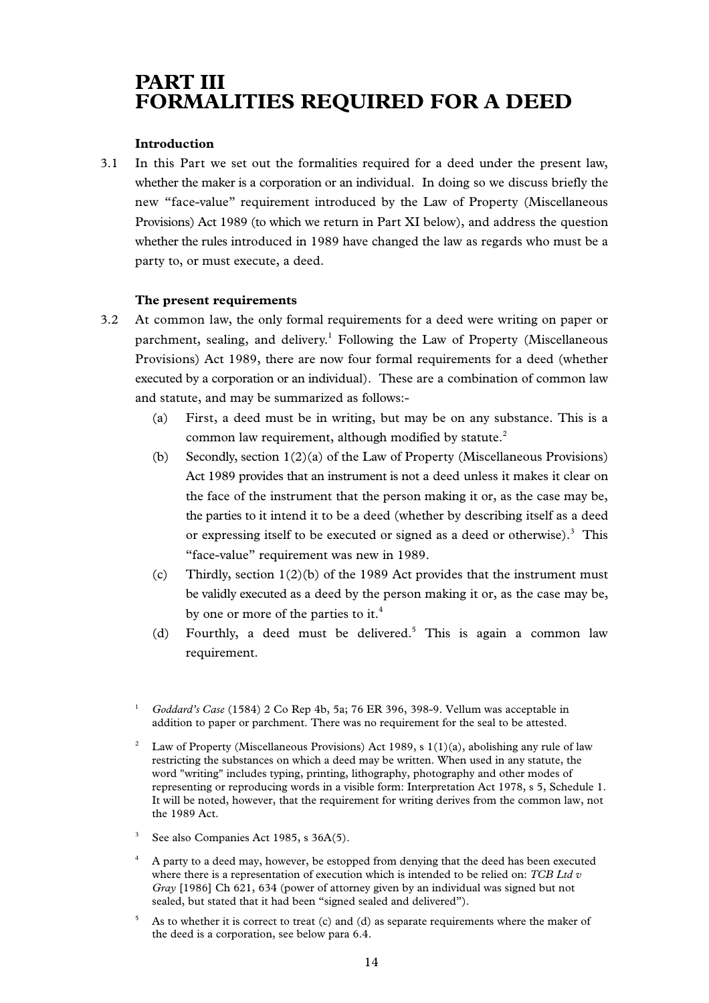# **PART III FORMALITIES REQUIRED FOR A DEED**

# **Introduction**

3.1 In this Part we set out the formalities required for a deed under the present law, whether the maker is a corporation or an individual. In doing so we discuss briefly the new "face-value" requirement introduced by the Law of Property (Miscellaneous Provisions) Act 1989 (to which we return in Part XI below), and address the question whether the rules introduced in 1989 have changed the law as regards who must be a party to, or must execute, a deed.

# **The present requirements**

- 3.2 At common law, the only formal requirements for a deed were writing on paper or parchment, sealing, and delivery.<sup>1</sup> Following the Law of Property (Miscellaneous Provisions) Act 1989, there are now four formal requirements for a deed (whether executed by a corporation or an individual). These are a combination of common law and statute, and may be summarized as follows:-
	- (a) First, a deed must be in writing, but may be on any substance. This is a common law requirement, although modified by statute.<sup>2</sup>
	- (b) Secondly, section 1(2)(a) of the Law of Property (Miscellaneous Provisions) Act 1989 provides that an instrument is not a deed unless it makes it clear on the face of the instrument that the person making it or, as the case may be, the parties to it intend it to be a deed (whether by describing itself as a deed or expressing itself to be executed or signed as a deed or otherwise). $3$  This "face-value" requirement was new in 1989.
	- (c) Thirdly, section  $1(2)(b)$  of the 1989 Act provides that the instrument must be validly executed as a deed by the person making it or, as the case may be, by one or more of the parties to it.<sup>4</sup>
	- (d) Fourthly, a deed must be delivered.<sup>5</sup> This is again a common law requirement.
	- *Goddard's Case* (1584) 2 Co Rep 4b, 5a; 76 ER 396, 398-9. Vellum was acceptable in <sup>1</sup> addition to paper or parchment. There was no requirement for the seal to be attested.
	- Law of Property (Miscellaneous Provisions) Act 1989, s  $1(1)(a)$ , abolishing any rule of law restricting the substances on which a deed may be written. When used in any statute, the word "writing" includes typing, printing, lithography, photography and other modes of representing or reproducing words in a visible form: Interpretation Act 1978, s 5, Schedule 1. It will be noted, however, that the requirement for writing derives from the common law, not the 1989 Act.
	- See also Companies Act 1985, s 36A(5).
	- A party to a deed may, however, be estopped from denying that the deed has been executed <sup>4</sup> where there is a representation of execution which is intended to be relied on: *TCB Ltd v Gray* [1986] Ch 621, 634 (power of attorney given by an individual was signed but not sealed, but stated that it had been "signed sealed and delivered").
	- $5$  As to whether it is correct to treat (c) and (d) as separate requirements where the maker of the deed is a corporation, see below para 6.4.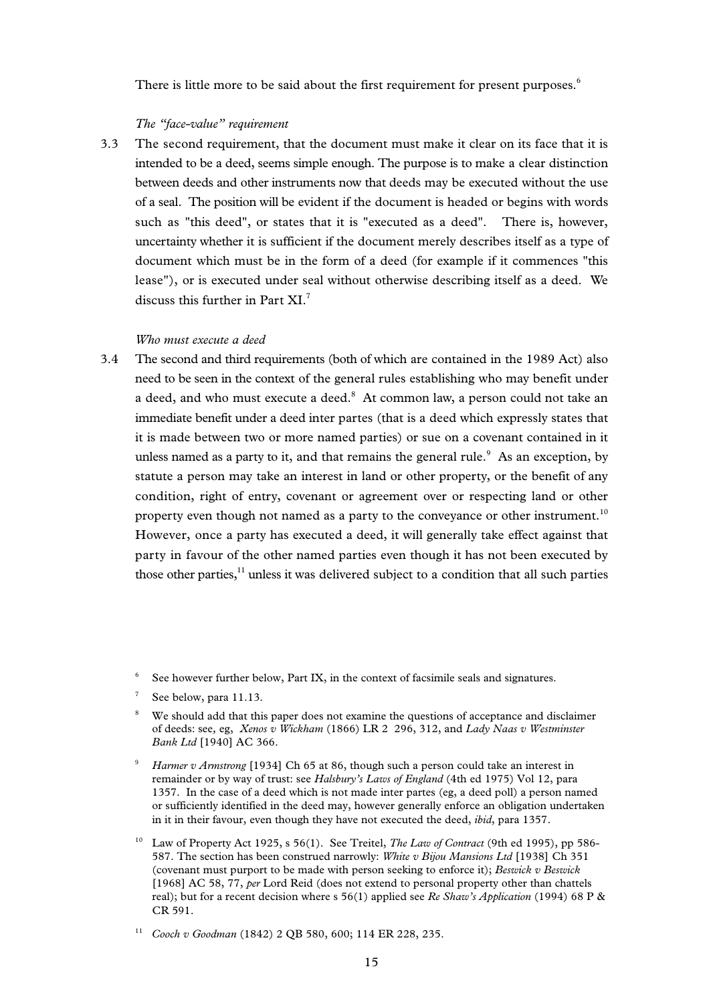There is little more to be said about the first requirement for present purposes.<sup>6</sup>

#### *The "face-value" requirement*

3.3 The second requirement, that the document must make it clear on its face that it is intended to be a deed, seems simple enough. The purpose is to make a clear distinction between deeds and other instruments now that deeds may be executed without the use of a seal. The position will be evident if the document is headed or begins with words such as "this deed", or states that it is "executed as a deed". There is, however, uncertainty whether it is sufficient if the document merely describes itself as a type of document which must be in the form of a deed (for example if it commences "this lease"), or is executed under seal without otherwise describing itself as a deed. We discuss this further in Part XI.<sup>7</sup>

#### *Who must execute a deed*

- 3.4 The second and third requirements (both of which are contained in the 1989 Act) also need to be seen in the context of the general rules establishing who may benefit under a deed, and who must execute a deed.<sup>8</sup> At common law, a person could not take an immediate benefit under a deed inter partes (that is a deed which expressly states that it is made between two or more named parties) or sue on a covenant contained in it unless named as a party to it, and that remains the general rule.<sup>9</sup> As an exception, by statute a person may take an interest in land or other property, or the benefit of any condition, right of entry, covenant or agreement over or respecting land or other property even though not named as a party to the conveyance or other instrument.<sup>10</sup> However, once a party has executed a deed, it will generally take effect against that party in favour of the other named parties even though it has not been executed by those other parties, $\frac{11}{11}$  unless it was delivered subject to a condition that all such parties
	- See however further below, Part IX, in the context of facsimile seals and signatures.
	- See below, para 11.13.
	- We should add that this paper does not examine the questions of acceptance and disclaimer of deeds: see*,* eg, *Xenos v Wickham* (1866) LR 2 296, 312, and *Lady Naas v Westminster Bank Ltd* [1940] AC 366.
	- *Harmer v Armstrong* [1934] Ch 65 at 86, though such a person could take an interest in remainder or by way of trust: see *Halsbury's Laws of England* (4th ed 1975) Vol 12, para 1357. In the case of a deed which is not made inter partes (eg, a deed poll) a person named or sufficiently identified in the deed may, however generally enforce an obligation undertaken in it in their favour, even though they have not executed the deed, *ibid*, para 1357.
	- <sup>10</sup> Law of Property Act 1925, s 56(1). See Treitel, *The Law of Contract* (9th ed 1995), pp 586-587. The section has been construed narrowly: *White v Bijou Mansions Ltd* [1938] Ch 351 (covenant must purport to be made with person seeking to enforce it); *Beswick v Beswick* [1968] AC 58, 77, *per* Lord Reid (does not extend to personal property other than chattels real); but for a recent decision where s 56(1) applied see *Re Shaw's Application* (1994) 68 P & CR 591.

<sup>11</sup> Cooch v Goodman (1842) 2 QB 580, 600; 114 ER 228, 235.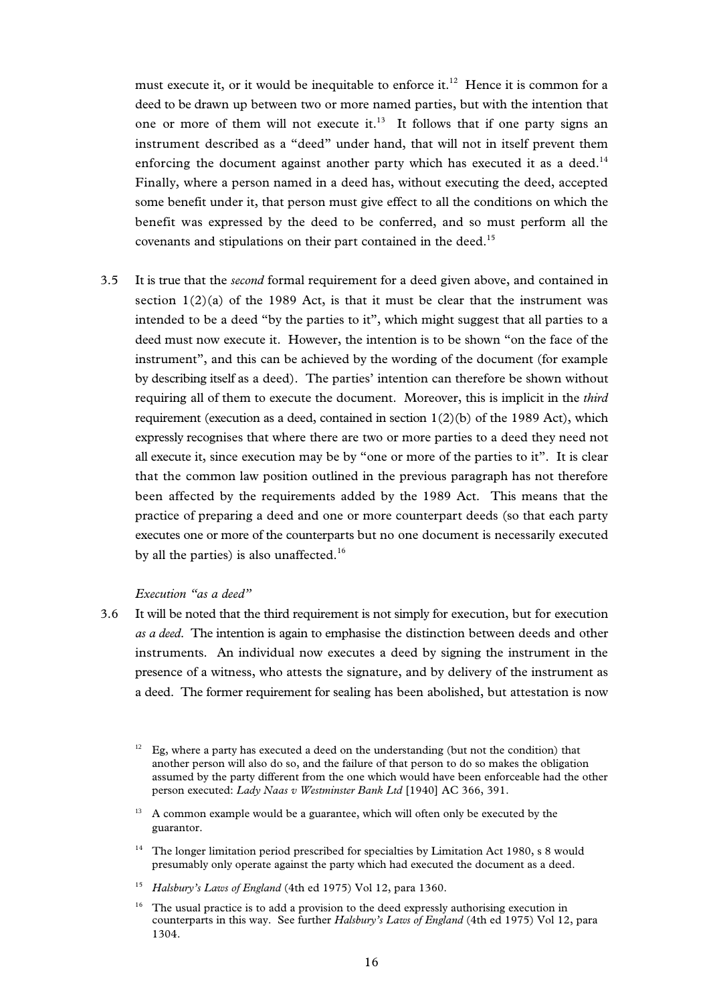must execute it, or it would be inequitable to enforce it.<sup>12</sup> Hence it is common for a deed to be drawn up between two or more named parties, but with the intention that one or more of them will not execute it.<sup>13</sup> It follows that if one party signs an instrument described as a "deed" under hand, that will not in itself prevent them enforcing the document against another party which has executed it as a deed.<sup>14</sup> Finally, where a person named in a deed has, without executing the deed, accepted some benefit under it, that person must give effect to all the conditions on which the benefit was expressed by the deed to be conferred, and so must perform all the covenants and stipulations on their part contained in the deed.<sup>15</sup>

3.5 It is true that the *second* formal requirement for a deed given above, and contained in section  $1(2)(a)$  of the 1989 Act, is that it must be clear that the instrument was intended to be a deed "by the parties to it", which might suggest that all parties to a deed must now execute it. However, the intention is to be shown "on the face of the instrument", and this can be achieved by the wording of the document (for example by describing itself as a deed). The parties' intention can therefore be shown without requiring all of them to execute the document. Moreover, this is implicit in the *third* requirement (execution as a deed, contained in section  $1(2)(b)$  of the 1989 Act), which expressly recognises that where there are two or more parties to a deed they need not all execute it, since execution may be by "one or more of the parties to it". It is clear that the common law position outlined in the previous paragraph has not therefore been affected by the requirements added by the 1989 Act. This means that the practice of preparing a deed and one or more counterpart deeds (so that each party executes one or more of the counterparts but no one document is necessarily executed by all the parties) is also unaffected.<sup>16</sup>

#### *Execution "as a deed"*

3.6 It will be noted that the third requirement is not simply for execution, but for execution *as a deed*. The intention is again to emphasise the distinction between deeds and other instruments. An individual now executes a deed by signing the instrument in the presence of a witness, who attests the signature, and by delivery of the instrument as a deed. The former requirement for sealing has been abolished, but attestation is now

- A common example would be a guarantee, which will often only be executed by the guarantor.
- $14$  The longer limitation period prescribed for specialties by Limitation Act 1980, s 8 would presumably only operate against the party which had executed the document as a deed.
- <sup>15</sup> Halsbury's Laws of England (4th ed 1975) Vol 12, para 1360.
- $16$  The usual practice is to add a provision to the deed expressly authorising execution in counterparts in this way. See further *Halsbury's Laws of England* (4th ed 1975) Vol 12, para 1304.

<sup>&</sup>lt;sup>12</sup> Eg, where a party has executed a deed on the understanding (but not the condition) that another person will also do so, and the failure of that person to do so makes the obligation assumed by the party different from the one which would have been enforceable had the other person executed: *Lady Naas v Westminster Bank Ltd* [1940] AC 366, 391.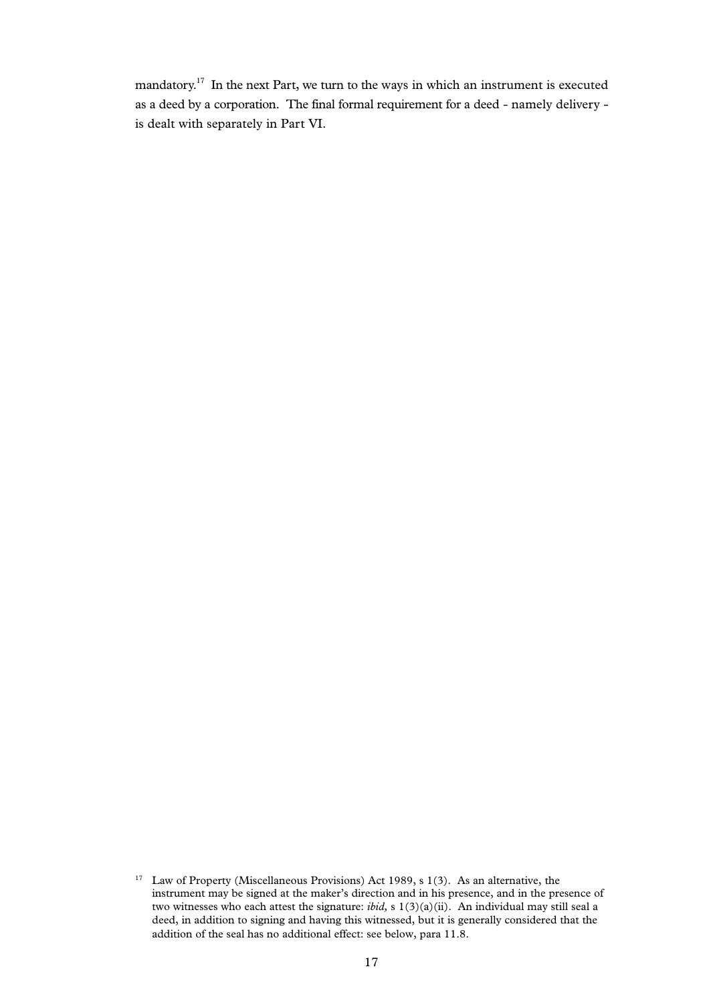mandatory.<sup>17</sup> In the next Part, we turn to the ways in which an instrument is executed as a deed by a corporation. The final formal requirement for a deed - namely delivery is dealt with separately in Part VI.

<sup>&</sup>lt;sup>17</sup> Law of Property (Miscellaneous Provisions) Act 1989, s 1(3). As an alternative, the instrument may be signed at the maker's direction and in his presence, and in the presence of two witnesses who each attest the signature: *ibid,* s 1(3)(a)(ii). An individual may still seal a deed, in addition to signing and having this witnessed, but it is generally considered that the addition of the seal has no additional effect: see below, para 11.8.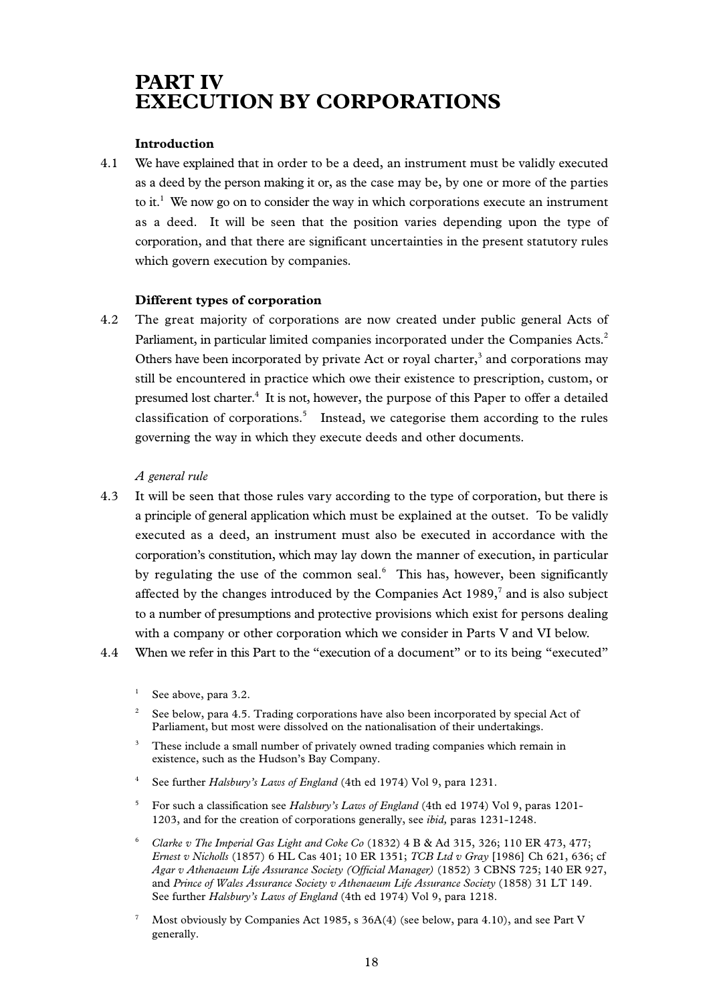# **PART IV EXECUTION BY CORPORATIONS**

# **Introduction**

4.1 We have explained that in order to be a deed, an instrument must be validly executed as a deed by the person making it or, as the case may be, by one or more of the parties to it.<sup>1</sup> We now go on to consider the way in which corporations execute an instrument as a deed. It will be seen that the position varies depending upon the type of corporation, and that there are significant uncertainties in the present statutory rules which govern execution by companies.

# **Different types of corporation**

4.2 The great majority of corporations are now created under public general Acts of Parliament, in particular limited companies incorporated under the Companies Acts.<sup>2</sup> Others have been incorporated by private Act or royal charter, $3$  and corporations may still be encountered in practice which owe their existence to prescription, custom, or presumed lost charter. $4$  It is not, however, the purpose of this Paper to offer a detailed classification of corporations.<sup>5</sup> Instead, we categorise them according to the rules governing the way in which they execute deeds and other documents.

# *A general rule*

- 4.3 It will be seen that those rules vary according to the type of corporation, but there is a principle of general application which must be explained at the outset. To be validly executed as a deed, an instrument must also be executed in accordance with the corporation's constitution, which may lay down the manner of execution, in particular by regulating the use of the common seal.<sup>6</sup> This has, however, been significantly affected by the changes introduced by the Companies Act  $1989<sub>1</sub><sup>7</sup>$  and is also subject to a number of presumptions and protective provisions which exist for persons dealing with a company or other corporation which we consider in Parts V and VI below.
- 4.4 When we refer in this Part to the "execution of a document" or to its being "executed"
	- See above, para 3.2.
	- $\degree$  See below, para 4.5. Trading corporations have also been incorporated by special Act of Parliament, but most were dissolved on the nationalisation of their undertakings.
	- These include a small number of privately owned trading companies which remain in <sup>3</sup> existence, such as the Hudson's Bay Company.
	- <sup>4</sup> See further *Halsbury's Laws of England* (4th ed 1974) Vol 9, para 1231.
	- <sup>5</sup> For such a classification see *Halsbury's Laws of England* (4th ed 1974) Vol 9, paras 1201-1203, and for the creation of corporations generally, see *ibid,* paras 1231-1248.
	- <sup>6</sup> Clarke v The Imperial Gas Light and Coke Co (1832) 4 B & Ad 315, 326; 110 ER 473, 477; *Ernest v Nicholls* (1857) 6 HL Cas 401; 10 ER 1351; *TCB Ltd v Gray* [1986] Ch 621, 636; cf *Agar v Athenaeum Life Assurance Society (Official Manager)* (1852) 3 CBNS 725; 140 ER 927, and *Prince of Wales Assurance Society v Athenaeum Life Assurance Society* (1858) 31 LT 149. See further *Halsbury's Laws of England* (4th ed 1974) Vol 9, para 1218.
	- Most obviously by Companies Act 1985, s  $36A(4)$  (see below, para 4.10), and see Part V generally.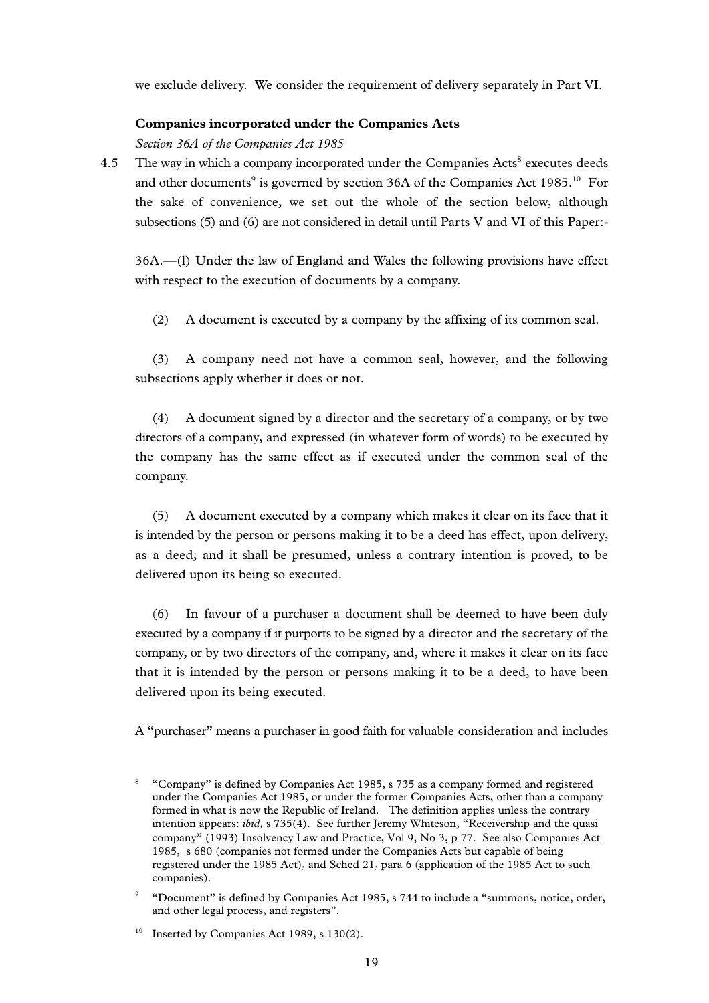we exclude delivery. We consider the requirement of delivery separately in Part VI.

### **Companies incorporated under the Companies Acts**

*Section 36A of the Companies Act 1985*

4.5 The way in which a company incorporated under the Companies Acts<sup>8</sup> executes deeds and other documents<sup>9</sup> is governed by section 36A of the Companies Act 1985.<sup>10</sup> For the sake of convenience, we set out the whole of the section below, although subsections (5) and (6) are not considered in detail until Parts V and VI of this Paper:-

36A.—(l) Under the law of England and Wales the following provisions have effect with respect to the execution of documents by a company.

(2) A document is executed by a company by the affixing of its common seal.

(3) A company need not have a common seal, however, and the following subsections apply whether it does or not.

(4) A document signed by a director and the secretary of a company, or by two directors of a company, and expressed (in whatever form of words) to be executed by the company has the same effect as if executed under the common seal of the company.

(5) A document executed by a company which makes it clear on its face that it is intended by the person or persons making it to be a deed has effect, upon delivery, as a deed; and it shall be presumed, unless a contrary intention is proved, to be delivered upon its being so executed.

(6) In favour of a purchaser a document shall be deemed to have been duly executed by a company if it purports to be signed by a director and the secretary of the company, or by two directors of the company, and, where it makes it clear on its face that it is intended by the person or persons making it to be a deed, to have been delivered upon its being executed.

A "purchaser" means a purchaser in good faith for valuable consideration and includes

<sup>&</sup>quot;Company" is defined by Companies Act 1985, s 735 as a company formed and registered <sup>8</sup> under the Companies Act 1985, or under the former Companies Acts, other than a company formed in what is now the Republic of Ireland. The definition applies unless the contrary intention appears: *ibid,* s 735(4). See further Jeremy Whiteson, "Receivership and the quasi company" (1993) Insolvency Law and Practice, Vol 9, No 3, p 77. See also Companies Act 1985, s 680 (companies not formed under the Companies Acts but capable of being registered under the 1985 Act), and Sched 21, para 6 (application of the 1985 Act to such companies).

<sup>&</sup>quot;Document" is defined by Companies Act 1985, s 744 to include a "summons, notice, order, <sup>9</sup> and other legal process, and registers".

Inserted by Companies Act 1989,  $s$  130(2).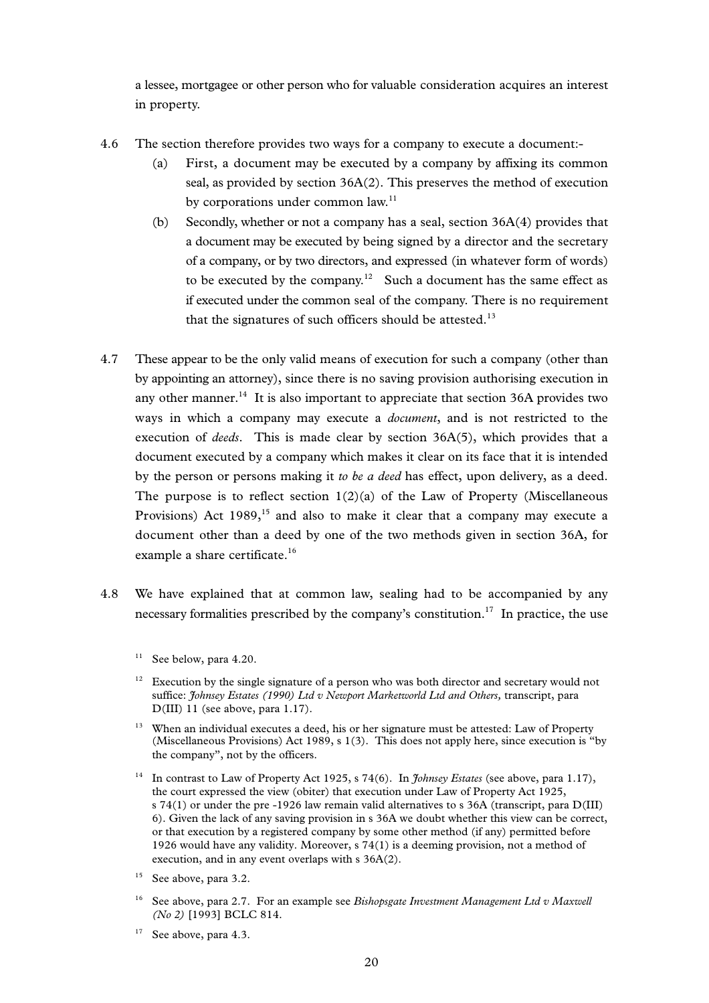a lessee, mortgagee or other person who for valuable consideration acquires an interest in property.

- 4.6 The section therefore provides two ways for a company to execute a document:-
	- (a) First, a document may be executed by a company by affixing its common seal, as provided by section 36A(2). This preserves the method of execution by corporations under common law.<sup>11</sup>
	- (b) Secondly, whether or not a company has a seal, section 36A(4) provides that a document may be executed by being signed by a director and the secretary of a company, or by two directors, and expressed (in whatever form of words) to be executed by the company.<sup>12</sup> Such a document has the same effect as if executed under the common seal of the company. There is no requirement that the signatures of such officers should be attested.<sup>13</sup>
- 4.7 These appear to be the only valid means of execution for such a company (other than by appointing an attorney), since there is no saving provision authorising execution in any other manner.<sup>14</sup> It is also important to appreciate that section 36A provides two ways in which a company may execute a *document*, and is not restricted to the execution of *deeds*. This is made clear by section 36A(5), which provides that a document executed by a company which makes it clear on its face that it is intended by the person or persons making it *to be a deed* has effect, upon delivery, as a deed. The purpose is to reflect section  $1(2)(a)$  of the Law of Property (Miscellaneous Provisions) Act  $1989$ ,<sup>15</sup> and also to make it clear that a company may execute a document other than a deed by one of the two methods given in section 36A, for example a share certificate.<sup>16</sup>
- 4.8 We have explained that at common law, sealing had to be accompanied by any necessary formalities prescribed by the company's constitution.<sup>17</sup> In practice, the use

- $12$  Execution by the single signature of a person who was both director and secretary would not suffice: *Johnsey Estates (1990) Ltd v Newport Marketworld Ltd and Others*, transcript, para D(III) 11 (see above, para 1.17).
- <sup>13</sup> When an individual executes a deed, his or her signature must be attested: Law of Property (Miscellaneous Provisions) Act 1989, s 1(3). This does not apply here, since execution is "by the company", not by the officers.
- <sup>14</sup> In contrast to Law of Property Act 1925, s 74(6). In *Johnsey Estates* (see above, para 1.17), the court expressed the view (obiter) that execution under Law of Property Act 1925, s 74(1) or under the pre -1926 law remain valid alternatives to s 36A (transcript, para  $D(III)$ 6). Given the lack of any saving provision in s 36A we doubt whether this view can be correct, or that execution by a registered company by some other method (if any) permitted before 1926 would have any validity. Moreover, s 74(1) is a deeming provision, not a method of execution, and in any event overlaps with s 36A(2).
- $15$  See above, para 3.2.
- <sup>16</sup> See above, para 2.7. For an example see *Bishopsgate Investment Management Ltd v Maxwell (No 2)* [1993] BCLC 814.
- $17$  See above, para 4.3.

 $11$  See below, para 4.20.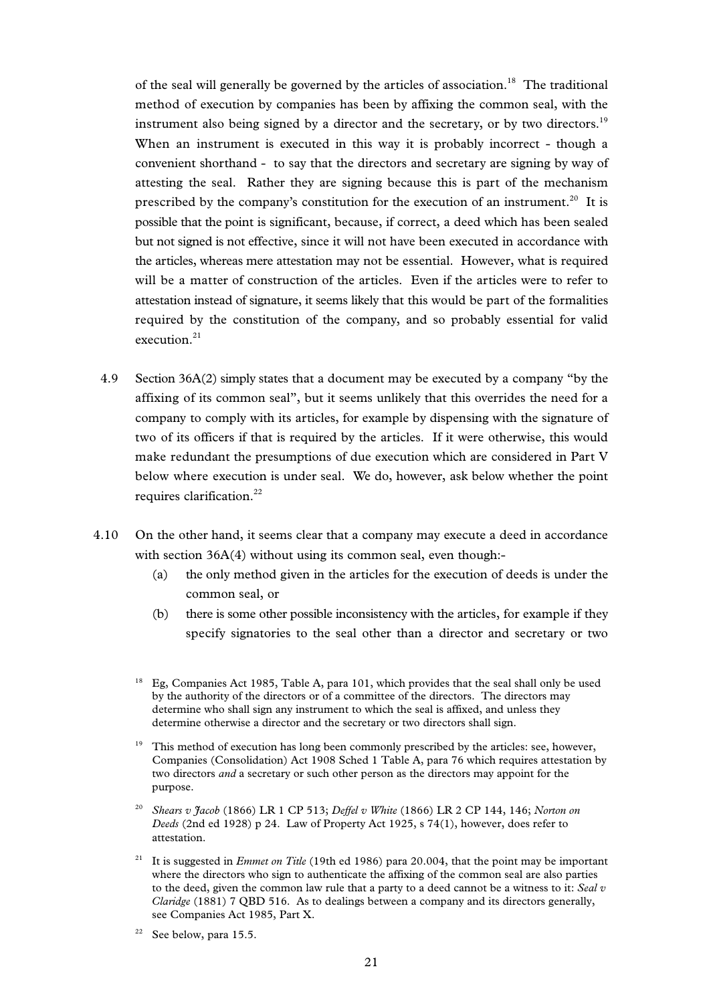of the seal will generally be governed by the articles of association.<sup>18</sup> The traditional method of execution by companies has been by affixing the common seal, with the instrument also being signed by a director and the secretary, or by two directors.<sup>19</sup> When an instrument is executed in this way it is probably incorrect - though a convenient shorthand - to say that the directors and secretary are signing by way of attesting the seal. Rather they are signing because this is part of the mechanism prescribed by the company's constitution for the execution of an instrument.<sup>20</sup> It is possible that the point is significant, because, if correct, a deed which has been sealed but not signed is not effective, since it will not have been executed in accordance with the articles, whereas mere attestation may not be essential. However, what is required will be a matter of construction of the articles. Even if the articles were to refer to attestation instead of signature, it seems likely that this would be part of the formalities required by the constitution of the company, and so probably essential for valid execution.<sup>21</sup>

- 4.9 Section 36A(2) simply states that a document may be executed by a company "by the affixing of its common seal", but it seems unlikely that this overrides the need for a company to comply with its articles, for example by dispensing with the signature of two of its officers if that is required by the articles. If it were otherwise, this would make redundant the presumptions of due execution which are considered in Part V below where execution is under seal. We do, however, ask below whether the point requires clarification.<sup>22</sup>
- 4.10 On the other hand, it seems clear that a company may execute a deed in accordance with section 36A(4) without using its common seal, even though:-
	- (a) the only method given in the articles for the execution of deeds is under the common seal, or
	- (b) there is some other possible inconsistency with the articles, for example if they specify signatories to the seal other than a director and secretary or two
	- Eg, Companies Act 1985, Table A, para 101, which provides that the seal shall only be used <sup>18</sup> by the authority of the directors or of a committee of the directors. The directors may determine who shall sign any instrument to which the seal is affixed, and unless they determine otherwise a director and the secretary or two directors shall sign.
	- This method of execution has long been commonly prescribed by the articles: see, however, Companies (Consolidation) Act 1908 Sched 1 Table A, para 76 which requires attestation by two directors *and* a secretary or such other person as the directors may appoint for the purpose.
	- <sup>20</sup> Shears v Jacob (1866) LR 1 CP 513; *Deffel v White* (1866) LR 2 CP 144, 146; Norton on *Deeds* (2nd ed 1928) p 24. Law of Property Act 1925, s 74(1), however, does refer to attestation.
	- <sup>21</sup> It is suggested in *Emmet on Title* (19th ed 1986) para 20.004, that the point may be important where the directors who sign to authenticate the affixing of the common seal are also parties to the deed, given the common law rule that a party to a deed cannot be a witness to it: *Seal v Claridge* (1881) 7 QBD 516. As to dealings between a company and its directors generally, see Companies Act 1985, Part X.
	- See below, para 15.5.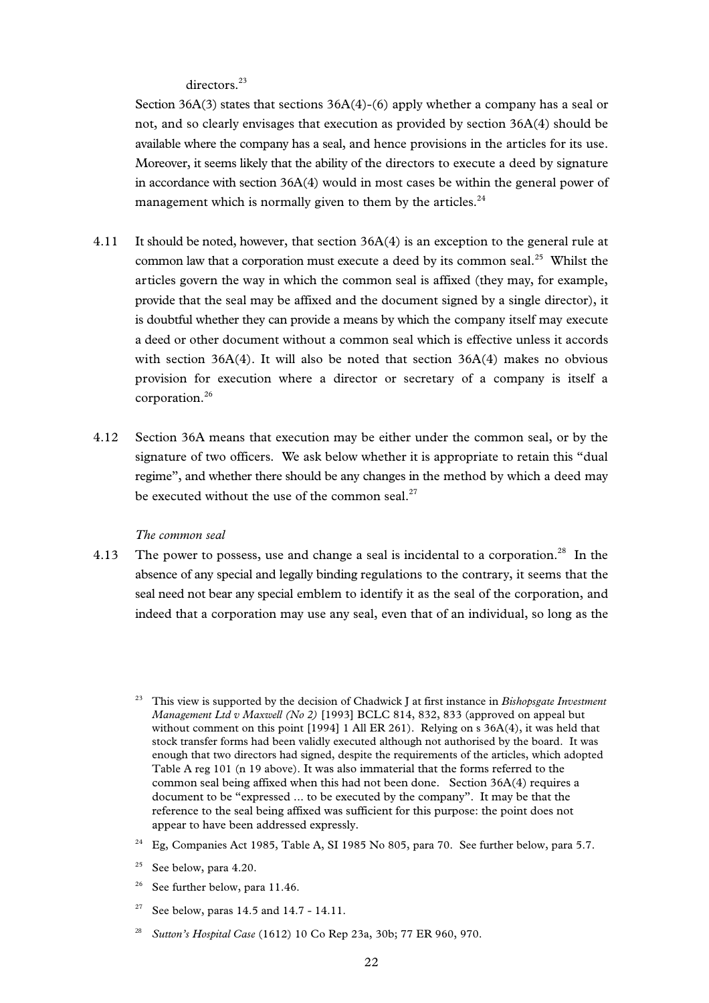directors.<sup>23</sup>

Section 36A(3) states that sections 36A(4)-(6) apply whether a company has a seal or not, and so clearly envisages that execution as provided by section 36A(4) should be available where the company has a seal, and hence provisions in the articles for its use. Moreover, it seems likely that the ability of the directors to execute a deed by signature in accordance with section  $36A(4)$  would in most cases be within the general power of management which is normally given to them by the articles.<sup>24</sup>

- 4.11 It should be noted, however, that section 36A(4) is an exception to the general rule at common law that a corporation must execute a deed by its common seal.<sup>25</sup> Whilst the articles govern the way in which the common seal is affixed (they may, for example, provide that the seal may be affixed and the document signed by a single director), it is doubtful whether they can provide a means by which the company itself may execute a deed or other document without a common seal which is effective unless it accords with section  $36A(4)$ . It will also be noted that section  $36A(4)$  makes no obvious provision for execution where a director or secretary of a company is itself a corporation.<sup>26</sup>
- 4.12 Section 36A means that execution may be either under the common seal, or by the signature of two officers. We ask below whether it is appropriate to retain this "dual regime", and whether there should be any changes in the method by which a deed may be executed without the use of the common seal.  $27$

#### *The common seal*

4.13 The power to possess, use and change a seal is incidental to a corporation.<sup>28</sup> In the absence of any special and legally binding regulations to the contrary, it seems that the seal need not bear any special emblem to identify it as the seal of the corporation, and indeed that a corporation may use any seal, even that of an individual, so long as the

- <sup>24</sup> Eg, Companies Act 1985, Table A, SI 1985 No 805, para 70. See further below, para 5.7.
- $25$  See below, para 4.20.
- <sup>26</sup> See further below, para 11.46.
- <sup>27</sup> See below, paras 14.5 and 14.7 14.11.
- <sup>28</sup> *Sutton's Hospital Case* (1612) 10 Co Rep 23a, 30b; 77 ER 960, 970.

<sup>&</sup>lt;sup>23</sup> This view is supported by the decision of Chadwick J at first instance in *Bishopsgate Investment Management Ltd v Maxwell (No 2)* [1993] BCLC 814, 832, 833 (approved on appeal but without comment on this point [1994] 1 All ER 261). Relying on s 36A(4), it was held that stock transfer forms had been validly executed although not authorised by the board. It was enough that two directors had signed, despite the requirements of the articles, which adopted Table A reg 101 (n 19 above). It was also immaterial that the forms referred to the common seal being affixed when this had not been done. Section 36A(4) requires a document to be "expressed ... to be executed by the company". It may be that the reference to the seal being affixed was sufficient for this purpose: the point does not appear to have been addressed expressly.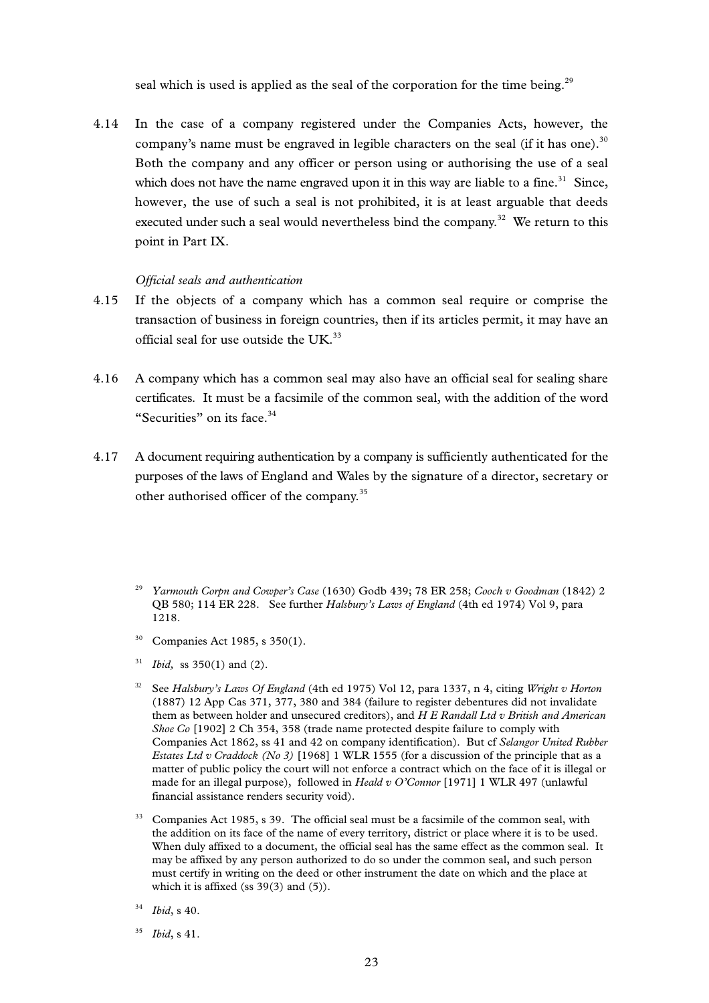seal which is used is applied as the seal of the corporation for the time being.<sup>29</sup>

4.14 In the case of a company registered under the Companies Acts, however, the company's name must be engraved in legible characters on the seal (if it has one).<sup>30</sup> Both the company and any officer or person using or authorising the use of a seal which does not have the name engraved upon it in this way are liable to a fine.<sup>31</sup> Since, however, the use of such a seal is not prohibited, it is at least arguable that deeds executed under such a seal would nevertheless bind the company.<sup>32</sup> We return to this point in Part IX.

#### *Official seals and authentication*

- 4.15 If the objects of a company which has a common seal require or comprise the transaction of business in foreign countries, then if its articles permit, it may have an official seal for use outside the UK.<sup>33</sup>
- 4.16 A company which has a common seal may also have an official seal for sealing share certificates. It must be a facsimile of the common seal, with the addition of the word "Securities" on its face.<sup>34</sup>
- 4.17 A document requiring authentication by a company is sufficiently authenticated for the purposes of the laws of England and Wales by the signature of a director, secretary or other authorised officer of the company.<sup>35</sup>
	- *Yarmouth Corpn and Cowper's Case* (1630) Godb 439; 78 ER 258; *Cooch v Goodman* (1842) 2 <sup>29</sup> QB 580; 114 ER 228. See further *Halsbury's Laws of England* (4th ed 1974) Vol 9, para 1218.
	- <sup>30</sup> Companies Act 1985, s 350(1).
	- $10^{31}$  *Ibid,* ss 350(1) and (2).
	- See *Halsbury's Laws Of England* (4th ed 1975) Vol 12, para 1337, n 4, citing *Wright v Horton* <sup>32</sup> (1887) 12 App Cas 371, 377, 380 and 384 (failure to register debentures did not invalidate them as between holder and unsecured creditors), and *H E Randall Ltd v British and American Shoe Co* [1902] 2 Ch 354, 358 (trade name protected despite failure to comply with Companies Act 1862, ss 41 and 42 on company identification). But cf *Selangor United Rubber Estates Ltd v Craddock (No 3)* [1968] 1 WLR 1555 (for a discussion of the principle that as a matter of public policy the court will not enforce a contract which on the face of it is illegal or made for an illegal purpose), followed in *Heald v O'Connor* [1971] 1 WLR 497 (unlawful financial assistance renders security void).
	- <sup>33</sup> Companies Act 1985, s 39. The official seal must be a facsimile of the common seal, with the addition on its face of the name of every territory, district or place where it is to be used. When duly affixed to a document, the official seal has the same effect as the common seal. It may be affixed by any person authorized to do so under the common seal, and such person must certify in writing on the deed or other instrument the date on which and the place at which it is affixed (ss  $39(3)$  and  $(5)$ ).
	- <sup>34</sup> *Ibid*, s 40.
	- <sup>35</sup> *Ibid*, s 41.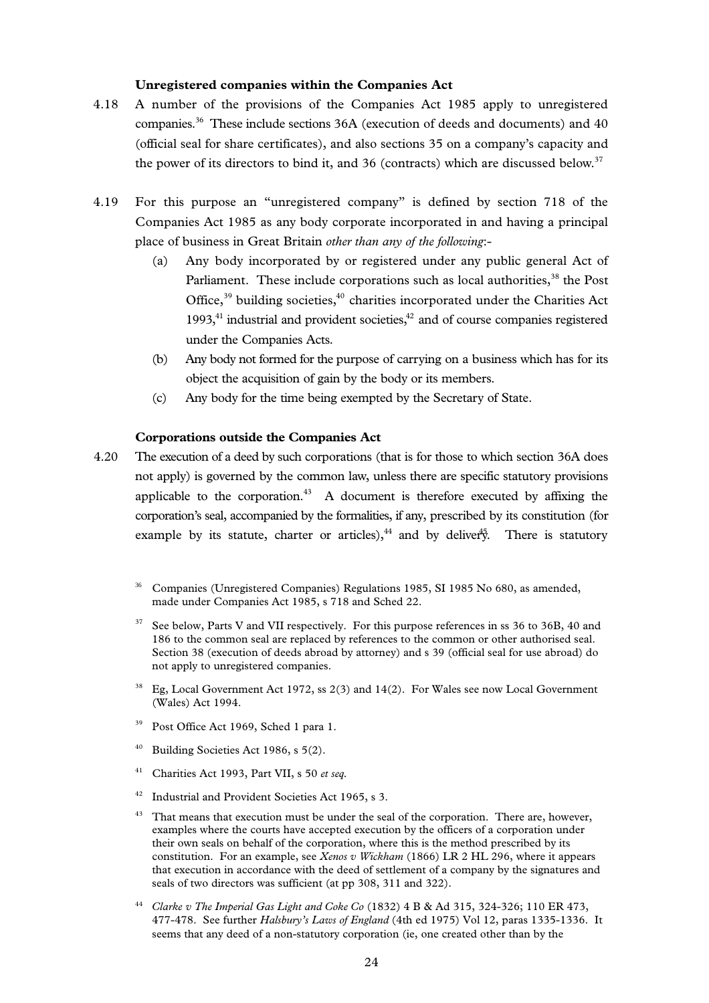# **Unregistered companies within the Companies Act**

- 4.18 A number of the provisions of the Companies Act 1985 apply to unregistered companies.<sup>36</sup> These include sections  $36A$  (execution of deeds and documents) and  $40$ (official seal for share certificates), and also sections 35 on a company's capacity and the power of its directors to bind it, and 36 (contracts) which are discussed below.<sup>37</sup>
- 4.19 For this purpose an "unregistered company" is defined by section 718 of the Companies Act 1985 as any body corporate incorporated in and having a principal place of business in Great Britain *other than any of the following*:-
	- (a) Any body incorporated by or registered under any public general Act of Parliament. These include corporations such as local authorities,  $38$  the Post Office,  $39$  building societies,  $40$  charities incorporated under the Charities Act 1993, $<sup>41</sup>$  industrial and provident societies, $<sup>42</sup>$  and of course companies registered</sup></sup> under the Companies Acts.
	- (b) Any body not formed for the purpose of carrying on a business which has for its object the acquisition of gain by the body or its members.
	- (c) Any body for the time being exempted by the Secretary of State.

### **Corporations outside the Companies Act**

- 4.20 The execution of a deed by such corporations (that is for those to which section 36A does not apply) is governed by the common law, unless there are specific statutory provisions applicable to the corporation.<sup>43</sup> A document is therefore executed by affixing the corporation's seal, accompanied by the formalities, if any, prescribed by its constitution (for example by its statute, charter or articles), $44$  and by deliver  $\frac{45}{3}$ . There is statutory
	- <sup>36</sup> Companies (Unregistered Companies) Regulations 1985, SI 1985 No 680, as amended, made under Companies Act 1985, s 718 and Sched 22.
	- See below, Parts V and VII respectively. For this purpose references in ss 36 to 36B, 40 and 186 to the common seal are replaced by references to the common or other authorised seal. Section 38 (execution of deeds abroad by attorney) and s 39 (official seal for use abroad) do not apply to unregistered companies.
	- <sup>38</sup> Eg, Local Government Act 1972, ss  $2(3)$  and  $14(2)$ . For Wales see now Local Government (Wales) Act 1994.
	- <sup>39</sup> Post Office Act 1969, Sched 1 para 1.
	- <sup>40</sup> Building Societies Act 1986, s  $5(2)$ .
	- <sup>41</sup> Charities Act 1993, Part VII, s 50 et seq.
	- <sup>42</sup> Industrial and Provident Societies Act 1965, s 3.
	- <sup>43</sup> That means that execution must be under the seal of the corporation. There are, however, examples where the courts have accepted execution by the officers of a corporation under their own seals on behalf of the corporation, where this is the method prescribed by its constitution. For an example, see *Xenos v Wickham* (1866) LR 2 HL 296, where it appears that execution in accordance with the deed of settlement of a company by the signatures and seals of two directors was sufficient (at pp 308, 311 and 322).
	- *Clarke v The Imperial Gas Light and Coke Co* (1832) 4 B & Ad 315, 324-326; 110 ER 473, <sup>44</sup> 477-478. See further *Halsbury's Laws of England* (4th ed 1975) Vol 12, paras 1335-1336. It seems that any deed of a non-statutory corporation (ie, one created other than by the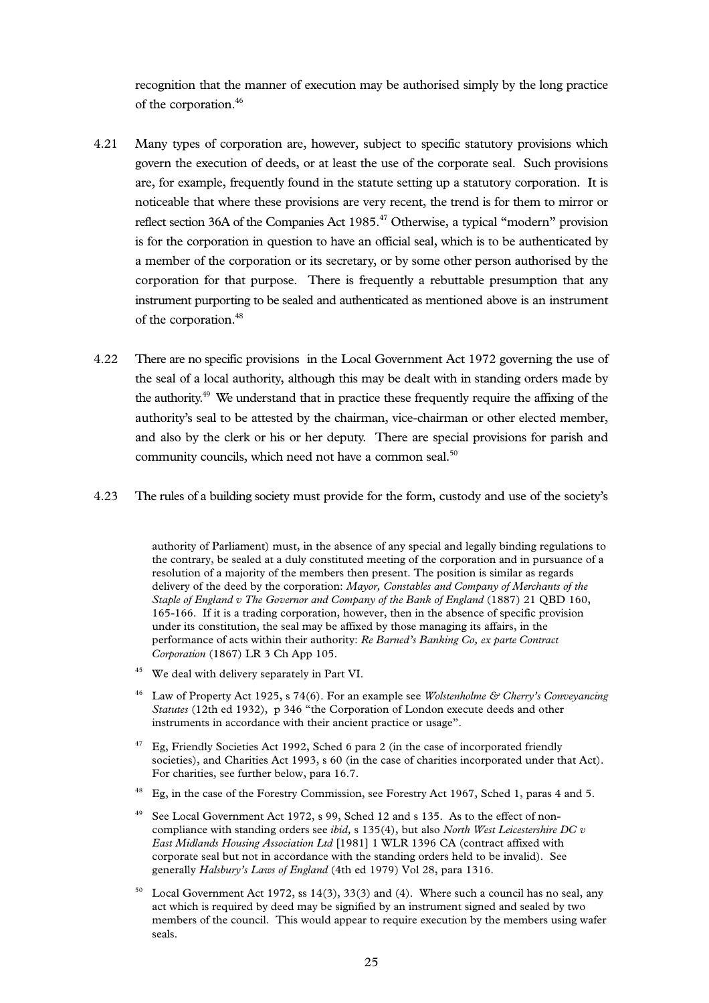recognition that the manner of execution may be authorised simply by the long practice of the corporation.<sup>46</sup>

- 4.21 Many types of corporation are, however, subject to specific statutory provisions which govern the execution of deeds, or at least the use of the corporate seal. Such provisions are, for example, frequently found in the statute setting up a statutory corporation. It is noticeable that where these provisions are very recent, the trend is for them to mirror or reflect section 36A of the Companies Act 1985.<sup> $47$ </sup> Otherwise, a typical "modern" provision is for the corporation in question to have an official seal, which is to be authenticated by a member of the corporation or its secretary, or by some other person authorised by the corporation for that purpose. There is frequently a rebuttable presumption that any instrument purporting to be sealed and authenticated as mentioned above is an instrument of the corporation.<sup>48</sup>
- 4.22 There are no specific provisions in the Local Government Act 1972 governing the use of the seal of a local authority, although this may be dealt with in standing orders made by the authority.<sup> $49$ </sup> We understand that in practice these frequently require the affixing of the authority's seal to be attested by the chairman, vice-chairman or other elected member, and also by the clerk or his or her deputy. There are special provisions for parish and community councils, which need not have a common seal. $50$
- 4.23 The rules of a building society must provide for the form, custody and use of the society's

authority of Parliament) must, in the absence of any special and legally binding regulations to the contrary, be sealed at a duly constituted meeting of the corporation and in pursuance of a resolution of a majority of the members then present. The position is similar as regards delivery of the deed by the corporation: *Mayor, Constables and Company of Merchants of the Staple of England v The Governor and Company of the Bank of England* (1887) 21 QBD 160, 165-166. If it is a trading corporation, however, then in the absence of specific provision under its constitution, the seal may be affixed by those managing its affairs, in the performance of acts within their authority: *Re Barned's Banking Co, ex parte Contract Corporation* (1867) LR 3 Ch App 105.

- <sup>45</sup> We deal with delivery separately in Part VI.
- Law of Property Act 1925, s 74(6). For an example see *Wolstenholme & Cherry's Conveyancing* <sup>46</sup> *Statutes* (12th ed 1932), p 346 "the Corporation of London execute deeds and other instruments in accordance with their ancient practice or usage".
- Eg, Friendly Societies Act 1992, Sched 6 para 2 (in the case of incorporated friendly societies), and Charities Act 1993, s 60 (in the case of charities incorporated under that Act). For charities, see further below, para 16.7.
- <sup>48</sup> Eg, in the case of the Forestry Commission, see Forestry Act 1967, Sched 1, paras 4 and 5.
- See Local Government Act 1972, s 99, Sched 12 and s 135. As to the effect of noncompliance with standing orders see *ibid,* s 135(4), but also *North West Leicestershire DC v East Midlands Housing Association Ltd* [1981] 1 WLR 1396 CA (contract affixed with corporate seal but not in accordance with the standing orders held to be invalid). See generally *Halsbury's Laws of England* (4th ed 1979) Vol 28, para 1316.
- Local Government Act 1972, ss  $14(3)$ ,  $33(3)$  and  $(4)$ . Where such a council has no seal, any act which is required by deed may be signified by an instrument signed and sealed by two members of the council. This would appear to require execution by the members using wafer seals.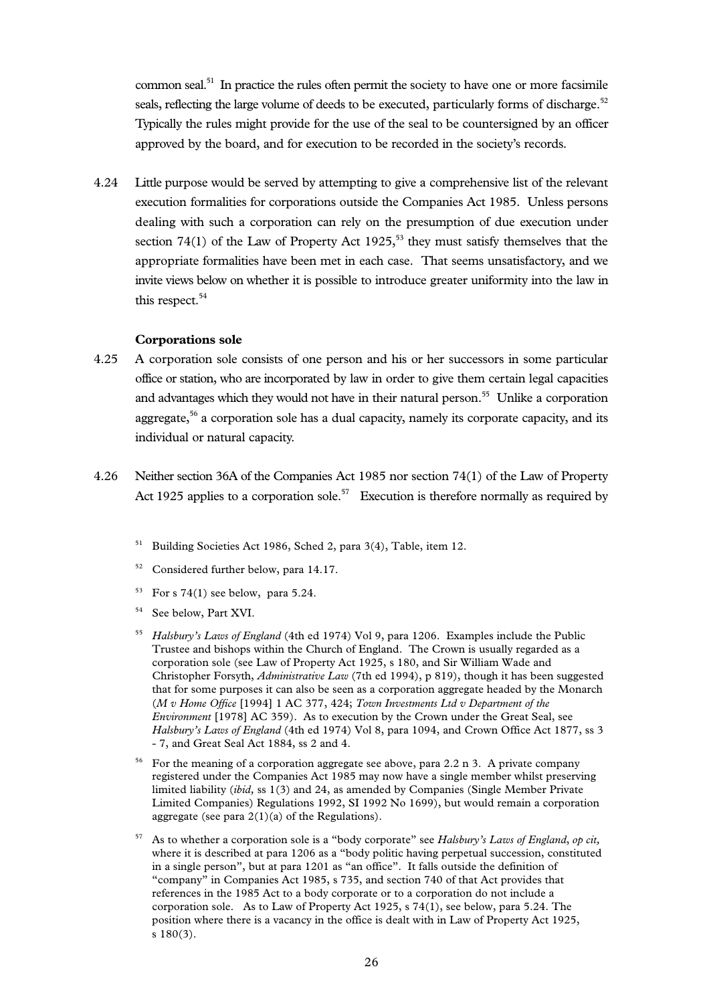common seal.<sup>51</sup> In practice the rules often permit the society to have one or more facsimile seals, reflecting the large volume of deeds to be executed, particularly forms of discharge.<sup>52</sup> Typically the rules might provide for the use of the seal to be countersigned by an officer approved by the board, and for execution to be recorded in the society's records.

4.24 Little purpose would be served by attempting to give a comprehensive list of the relevant execution formalities for corporations outside the Companies Act 1985. Unless persons dealing with such a corporation can rely on the presumption of due execution under section 74(1) of the Law of Property Act  $1925$ ,<sup>53</sup> they must satisfy themselves that the appropriate formalities have been met in each case. That seems unsatisfactory, and we invite views below on whether it is possible to introduce greater uniformity into the law in this respect.<sup>54</sup>

#### **Corporations sole**

- 4.25 A corporation sole consists of one person and his or her successors in some particular office or station, who are incorporated by law in order to give them certain legal capacities and advantages which they would not have in their natural person.<sup>55</sup> Unlike a corporation aggregate,  $56$  a corporation sole has a dual capacity, namely its corporate capacity, and its individual or natural capacity.
- 4.26 Neither section 36A of the Companies Act 1985 nor section 74(1) of the Law of Property Act 1925 applies to a corporation sole.<sup>57</sup> Execution is therefore normally as required by
	- <sup>51</sup> Building Societies Act 1986, Sched 2, para  $3(4)$ , Table, item 12.
	- $52$  Considered further below, para 14.17.
	- $53$  For s 74(1) see below, para 5.24.
	- <sup>54</sup> See below, Part XVI.
	- <sup>55</sup> Halsbury's Laws of England (4th ed 1974) Vol 9, para 1206. Examples include the Public Trustee and bishops within the Church of England. The Crown is usually regarded as a corporation sole (see Law of Property Act 1925, s 180, and Sir William Wade and Christopher Forsyth, *Administrative Law* (7th ed 1994), p 819), though it has been suggested that for some purposes it can also be seen as a corporation aggregate headed by the Monarch (*M v Home Office* [1994] 1 AC 377, 424; *Town Investments Ltd v Department of the Environment* [1978] AC 359). As to execution by the Crown under the Great Seal, see *Halsbury's Laws of England* (4th ed 1974) Vol 8, para 1094, and Crown Office Act 1877, ss 3 - 7, and Great Seal Act 1884, ss 2 and 4.
	- For the meaning of a corporation aggregate see above, para 2.2 n 3. A private company registered under the Companies Act 1985 may now have a single member whilst preserving limited liability (*ibid,* ss 1(3) and 24, as amended by Companies (Single Member Private Limited Companies) Regulations 1992, SI 1992 No 1699), but would remain a corporation aggregate (see para  $2(1)(a)$  of the Regulations).
	- As to whether a corporation sole is a "body corporate" see *Halsbury's Laws of England*, *op cit,* <sup>57</sup> where it is described at para 1206 as a "body politic having perpetual succession, constituted in a single person", but at para 1201 as "an office". It falls outside the definition of "company" in Companies Act 1985, s 735, and section 740 of that Act provides that references in the 1985 Act to a body corporate or to a corporation do not include a corporation sole. As to Law of Property Act 1925, s 74(1), see below, para 5.24. The position where there is a vacancy in the office is dealt with in Law of Property Act 1925, s 180(3).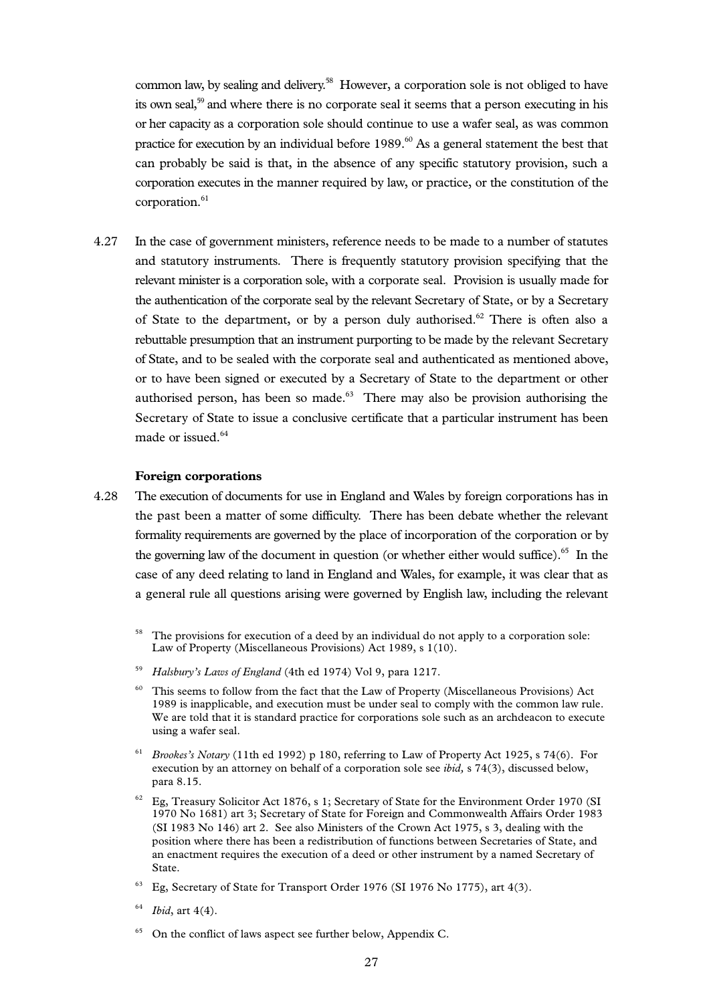common law, by sealing and delivery.<sup>58</sup> However, a corporation sole is not obliged to have its own seal,<sup>59</sup> and where there is no corporate seal it seems that a person executing in his or her capacity as a corporation sole should continue to use a wafer seal, as was common practice for execution by an individual before  $1989$ .<sup>60</sup> As a general statement the best that can probably be said is that, in the absence of any specific statutory provision, such a corporation executes in the manner required by law, or practice, or the constitution of the corporation.<sup>61</sup>

4.27 In the case of government ministers, reference needs to be made to a number of statutes and statutory instruments. There is frequently statutory provision specifying that the relevant minister is a corporation sole, with a corporate seal. Provision is usually made for the authentication of the corporate seal by the relevant Secretary of State, or by a Secretary of State to the department, or by a person duly authorised.<sup>62</sup> There is often also a rebuttable presumption that an instrument purporting to be made by the relevant Secretary of State, and to be sealed with the corporate seal and authenticated as mentioned above, or to have been signed or executed by a Secretary of State to the department or other authorised person, has been so made. $63$  There may also be provision authorising the Secretary of State to issue a conclusive certificate that a particular instrument has been made or issued.<sup>64</sup>

#### **Foreign corporations**

- 4.28 The execution of documents for use in England and Wales by foreign corporations has in the past been a matter of some difficulty. There has been debate whether the relevant formality requirements are governed by the place of incorporation of the corporation or by the governing law of the document in question (or whether either would suffice).  $65$  In the case of any deed relating to land in England and Wales, for example, it was clear that as a general rule all questions arising were governed by English law, including the relevant
	- <sup>58</sup> The provisions for execution of a deed by an individual do not apply to a corporation sole: Law of Property (Miscellaneous Provisions) Act 1989, s 1(10).
	- <sup>59</sup> Halsbury's Laws of England (4th ed 1974) Vol 9, para 1217.
	- $60$  This seems to follow from the fact that the Law of Property (Miscellaneous Provisions) Act 1989 is inapplicable, and execution must be under seal to comply with the common law rule. We are told that it is standard practice for corporations sole such as an archdeacon to execute using a wafer seal.
	- <sup>61</sup> Brookes's Notary (11th ed 1992) p 180, referring to Law of Property Act 1925, s 74(6). For execution by an attorney on behalf of a corporation sole see *ibid,* s 74(3), discussed below, para 8.15.
	- Eg, Treasury Solicitor Act 1876, s 1; Secretary of State for the Environment Order 1970 (SI 1970 No 1681) art 3; Secretary of State for Foreign and Commonwealth Affairs Order 1983 (SI 1983 No 146) art 2. See also Ministers of the Crown Act 1975, s 3, dealing with the position where there has been a redistribution of functions between Secretaries of State, and an enactment requires the execution of a deed or other instrument by a named Secretary of State.
	- $^{63}$  Eg, Secretary of State for Transport Order 1976 (SI 1976 No 1775), art 4(3).
	- $^{64}$  *Ibid*, art 4(4).
	- $65$  On the conflict of laws aspect see further below, Appendix C.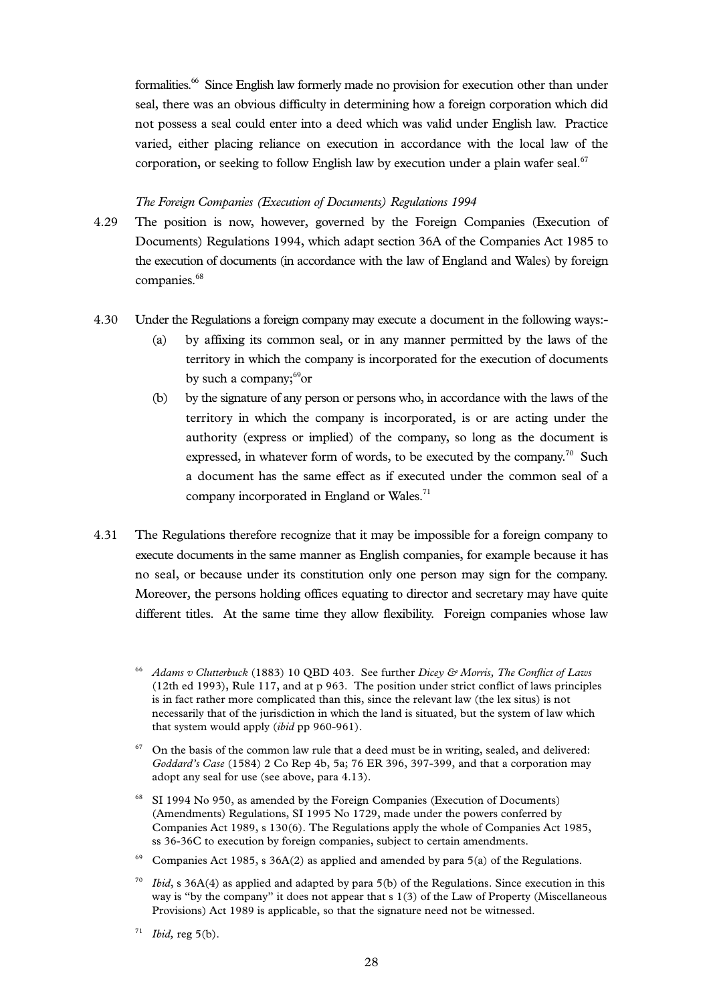formalities.<sup>66</sup> Since English law formerly made no provision for execution other than under seal, there was an obvious difficulty in determining how a foreign corporation which did not possess a seal could enter into a deed which was valid under English law. Practice varied, either placing reliance on execution in accordance with the local law of the corporation, or seeking to follow English law by execution under a plain wafer seal.<sup>67</sup>

# *The Foreign Companies (Execution of Documents) Regulations 1994*

- 4.29 The position is now, however, governed by the Foreign Companies (Execution of Documents) Regulations 1994, which adapt section 36A of the Companies Act 1985 to the execution of documents (in accordance with the law of England and Wales) by foreign companies. 68
- 4.30 Under the Regulations a foreign company may execute a document in the following ways:-
	- (a) by affixing its common seal, or in any manner permitted by the laws of the territory in which the company is incorporated for the execution of documents by such a company; $^{69}$ or
	- (b) by the signature of any person or persons who, in accordance with the laws of the territory in which the company is incorporated, is or are acting under the authority (express or implied) of the company, so long as the document is expressed, in whatever form of words, to be executed by the company.<sup>70</sup> Such a document has the same effect as if executed under the common seal of a company incorporated in England or Wales.<sup>71</sup>
- 4.31 The Regulations therefore recognize that it may be impossible for a foreign company to execute documents in the same manner as English companies, for example because it has no seal, or because under its constitution only one person may sign for the company. Moreover, the persons holding offices equating to director and secretary may have quite different titles. At the same time they allow flexibility. Foreign companies whose law
	- *Adams v Clutterbuck* (1883) 10 QBD 403. See further *Dicey & Morris, The Conflict of Laws* <sup>66</sup> (12th ed 1993), Rule 117, and at p 963. The position under strict conflict of laws principles is in fact rather more complicated than this, since the relevant law (the lex situs) is not necessarily that of the jurisdiction in which the land is situated, but the system of law which that system would apply (*ibid* pp 960-961).
	- $67$  On the basis of the common law rule that a deed must be in writing, sealed, and delivered: *Goddard's Case* (1584) 2 Co Rep 4b, 5a; 76 ER 396, 397-399, and that a corporation may adopt any seal for use (see above, para 4.13).
	- SI 1994 No 950, as amended by the Foreign Companies (Execution of Documents) (Amendments) Regulations, SI 1995 No 1729, made under the powers conferred by Companies Act 1989, s 130(6). The Regulations apply the whole of Companies Act 1985, ss 36-36C to execution by foreign companies, subject to certain amendments.
	- <sup>69</sup> Companies Act 1985, s 36A(2) as applied and amended by para 5(a) of the Regulations.
	- <sup>70</sup> *Ibid*, s 36A(4) as applied and adapted by para 5(b) of the Regulations. Since execution in this way is "by the company" it does not appear that s 1(3) of the Law of Property (Miscellaneous Provisions) Act 1989 is applicable, so that the signature need not be witnessed.
	- $71$  *Ibid, reg* 5(b).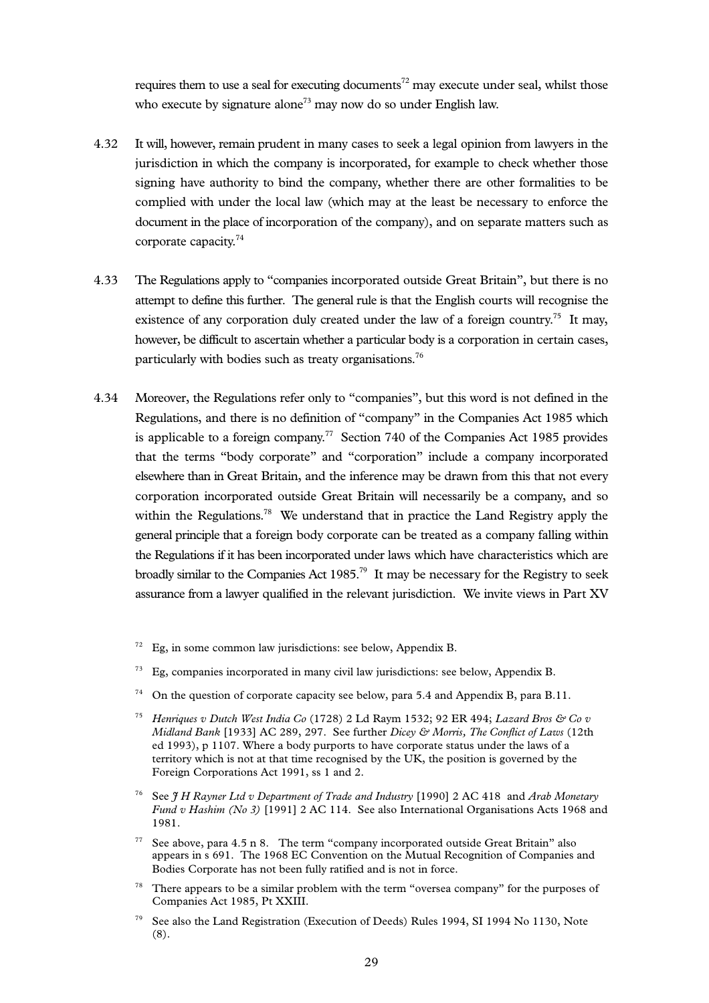requires them to use a seal for executing documents<sup> $72$ </sup> may execute under seal, whilst those who execute by signature alone<sup>73</sup> may now do so under English law.

- 4.32 It will, however, remain prudent in many cases to seek a legal opinion from lawyers in the jurisdiction in which the company is incorporated, for example to check whether those signing have authority to bind the company, whether there are other formalities to be complied with under the local law (which may at the least be necessary to enforce the document in the place of incorporation of the company), and on separate matters such as corporate capacity. 74
- 4.33 The Regulations apply to "companies incorporated outside Great Britain", but there is no attempt to define this further. The general rule is that the English courts will recognise the existence of any corporation duly created under the law of a foreign country.<sup>75</sup> It may, however, be difficult to ascertain whether a particular body is a corporation in certain cases, particularly with bodies such as treaty organisations.<sup>76</sup>
- 4.34 Moreover, the Regulations refer only to "companies", but this word is not defined in the Regulations, and there is no definition of "company" in the Companies Act 1985 which is applicable to a foreign company.<sup>77</sup> Section 740 of the Companies Act 1985 provides that the terms "body corporate" and "corporation" include a company incorporated elsewhere than in Great Britain, and the inference may be drawn from this that not every corporation incorporated outside Great Britain will necessarily be a company, and so within the Regulations.<sup>78</sup> We understand that in practice the Land Registry apply the general principle that a foreign body corporate can be treated as a company falling within the Regulations if it has been incorporated under laws which have characteristics which are broadly similar to the Companies Act 1985.<sup>79</sup> It may be necessary for the Registry to seek assurance from a lawyer qualified in the relevant jurisdiction. We invite views in Part XV

- $^{73}$  Eg, companies incorporated in many civil law jurisdictions: see below, Appendix B.
- $74$  On the question of corporate capacity see below, para 5.4 and Appendix B, para B.11.
- *Henriques v Dutch West India Co* (1728) 2 Ld Raym 1532; 92 ER 494; *Lazard Bros & Co v* <sup>75</sup> *Midland Bank* [1933] AC 289, 297. See further *Dicey & Morris, The Conflict of Laws* (12th ed 1993), p 1107. Where a body purports to have corporate status under the laws of a territory which is not at that time recognised by the UK, the position is governed by the Foreign Corporations Act 1991, ss 1 and 2.
- See *J H Rayner Ltd v Department of Trade and Industry* [1990] 2 AC 418 and *Arab Monetary* <sup>76</sup> *Fund v Hashim (No 3)* [1991] 2 AC 114. See also International Organisations Acts 1968 and 1981.
- $77$  See above, para 4.5 n 8. The term "company incorporated outside Great Britain" also appears in s 691. The 1968 EC Convention on the Mutual Recognition of Companies and Bodies Corporate has not been fully ratified and is not in force.
- $78$  There appears to be a similar problem with the term "oversea company" for the purposes of Companies Act 1985, Pt XXIII.
- See also the Land Registration (Execution of Deeds) Rules 1994, SI 1994 No 1130, Note (8).

<sup>&</sup>lt;sup>72</sup> Eg, in some common law jurisdictions: see below, Appendix B.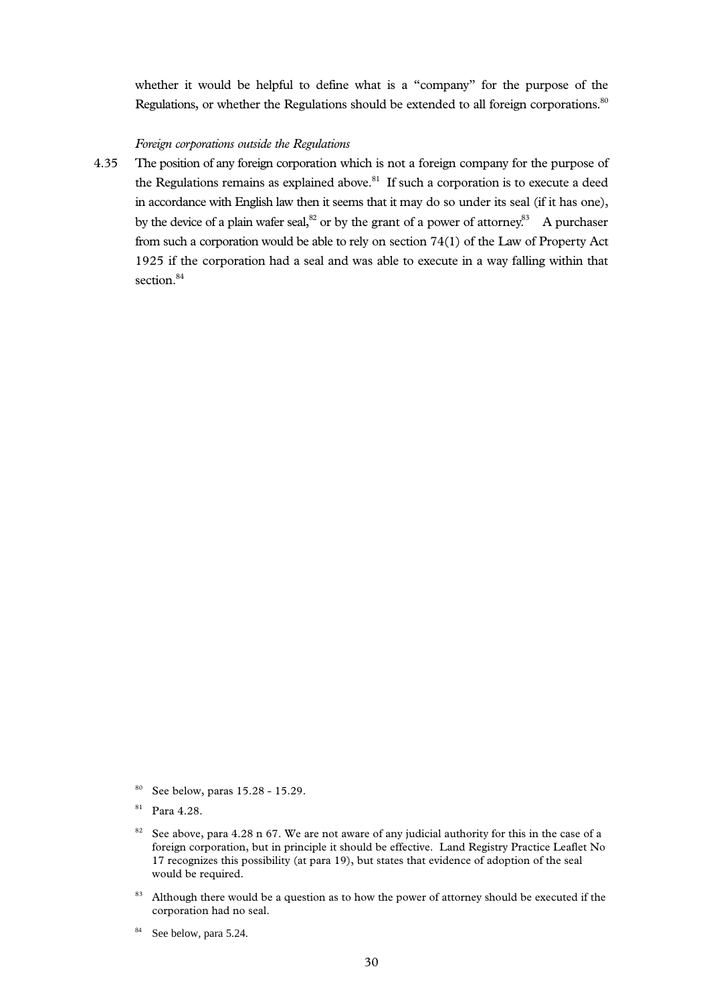whether it would be helpful to define what is a "company" for the purpose of the Regulations, or whether the Regulations should be extended to all foreign corporations.<sup>80</sup>

# *Foreign corporations outside the Regulations*

4.35 The position of any foreign corporation which is not a foreign company for the purpose of the Regulations remains as explained above.<sup>81</sup> If such a corporation is to execute a deed in accordance with English law then it seems that it may do so under its seal (if it has one), by the device of a plain wafer seal,<sup>82</sup> or by the grant of a power of attorney.<sup>83</sup> A purchaser from such a corporation would be able to rely on section 74(1) of the Law of Property Act 1925 if the corporation had a seal and was able to execute in a way falling within that section.<sup>84</sup>

- $80$  See below, paras 15.28 15.29.
- $81$  Para 4.28.
- <sup>82</sup> See above, para 4.28 n 67. We are not aware of any judicial authority for this in the case of a foreign corporation, but in principle it should be effective. Land Registry Practice Leaflet No 17 recognizes this possibility (at para 19), but states that evidence of adoption of the seal would be required.
- <sup>83</sup> Although there would be a question as to how the power of attorney should be executed if the corporation had no seal.
- $84$  See below, para 5.24.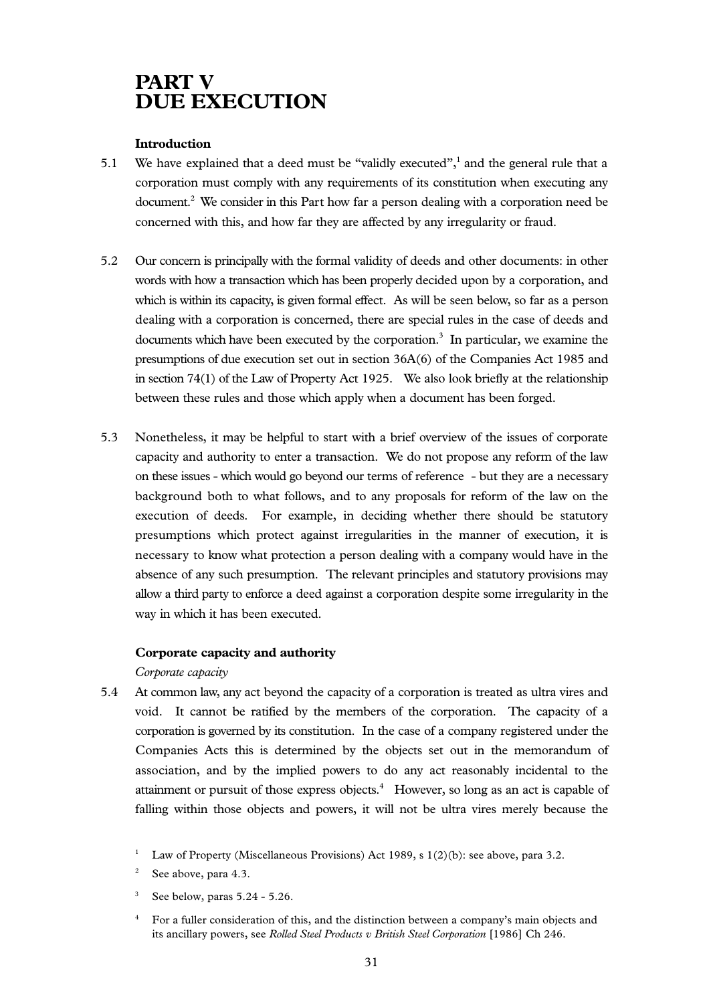# **PART V DUE EXECUTION**

# **Introduction**

- 5.1 We have explained that a deed must be "validly executed", and the general rule that a corporation must comply with any requirements of its constitution when executing any document. $2$  We consider in this Part how far a person dealing with a corporation need be concerned with this, and how far they are affected by any irregularity or fraud.
- 5.2 Our concern is principally with the formal validity of deeds and other documents: in other words with how a transaction which has been properly decided upon by a corporation, and which is within its capacity, is given formal effect. As will be seen below, so far as a person dealing with a corporation is concerned, there are special rules in the case of deeds and documents which have been executed by the corporation.<sup>3</sup> In particular, we examine the presumptions of due execution set out in section 36A(6) of the Companies Act 1985 and in section 74(1) of the Law of Property Act 1925. We also look briefly at the relationship between these rules and those which apply when a document has been forged.
- 5.3 Nonetheless, it may be helpful to start with a brief overview of the issues of corporate capacity and authority to enter a transaction. We do not propose any reform of the law on these issues - which would go beyond our terms of reference - but they are a necessary background both to what follows, and to any proposals for reform of the law on the execution of deeds. For example, in deciding whether there should be statutory presumptions which protect against irregularities in the manner of execution, it is necessary to know what protection a person dealing with a company would have in the absence of any such presumption. The relevant principles and statutory provisions may allow a third party to enforce a deed against a corporation despite some irregularity in the way in which it has been executed.

# **Corporate capacity and authority**

*Corporate capacity*

5.4 At common law, any act beyond the capacity of a corporation is treated as ultra vires and void. It cannot be ratified by the members of the corporation. The capacity of a corporation is governed by its constitution. In the case of a company registered under the Companies Acts this is determined by the objects set out in the memorandum of association, and by the implied powers to do any act reasonably incidental to the attainment or pursuit of those express objects.<sup> $4$ </sup> However, so long as an act is capable of falling within those objects and powers, it will not be ultra vires merely because the

- $2^{\circ}$  See above, para 4.3.
- $S<sup>3</sup>$  See below, paras 5.24 5.26.

Law of Property (Miscellaneous Provisions) Act 1989, s 1(2)(b): see above, para 3.2.

 $<sup>4</sup>$  For a fuller consideration of this, and the distinction between a company's main objects and</sup> its ancillary powers, see *Rolled Steel Products v British Steel Corporation* [1986] Ch 246.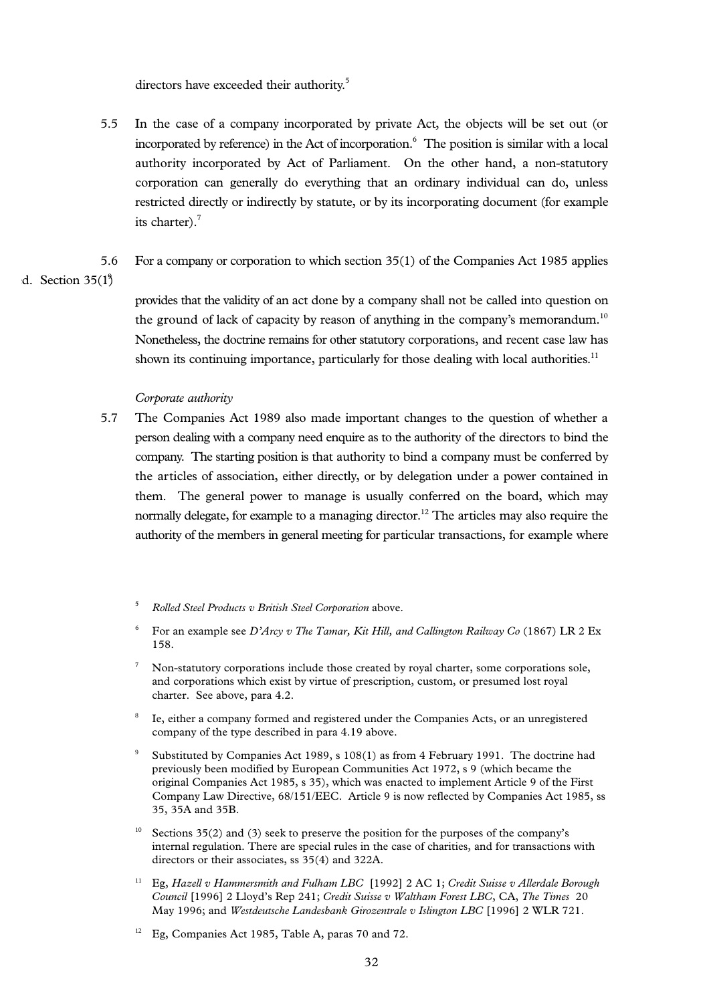directors have exceeded their authority.<sup>5</sup>

- 5.5 In the case of a company incorporated by private Act, the objects will be set out (or incorporated by reference) in the Act of incorporation.<sup>6</sup> The position is similar with a local authority incorporated by Act of Parliament. On the other hand, a non-statutory corporation can generally do everything that an ordinary individual can do, unless restricted directly or indirectly by statute, or by its incorporating document (for example its charter).<sup>7</sup>
- 5.6 For a company or corporation to which section 35(1) of the Companies Act 1985 applies

d. Section  $35(1)$ 

provides that the validity of an act done by a company shall not be called into question on the ground of lack of capacity by reason of anything in the company's memorandum.<sup>10</sup> Nonetheless, the doctrine remains for other statutory corporations, and recent case law has shown its continuing importance, particularly for those dealing with local authorities.<sup>11</sup>

#### *Corporate authority*

- 5.7 The Companies Act 1989 also made important changes to the question of whether a person dealing with a company need enquire as to the authority of the directors to bind the company. The starting position is that authority to bind a company must be conferred by the articles of association, either directly, or by delegation under a power contained in them. The general power to manage is usually conferred on the board, which may normally delegate, for example to a managing director.<sup>12</sup> The articles may also require the authority of the members in general meeting for particular transactions, for example where
	- <sup>5</sup> Rolled Steel Products v British Steel Corporation above.
	- <sup>6</sup> For an example see *D'Arcy v The Tamar, Kit Hill, and Callington Railway Co* (1867) LR 2 Ex 158.
	- Non-statutory corporations include those created by royal charter, some corporations sole, <sup>7</sup> and corporations which exist by virtue of prescription, custom, or presumed lost royal charter. See above, para 4.2.
	- Ie, either a company formed and registered under the Companies Acts, or an unregistered company of the type described in para 4.19 above.
	- Substituted by Companies Act 1989, s 108(1) as from 4 February 1991. The doctrine had <sup>9</sup> previously been modified by European Communities Act 1972, s 9 (which became the original Companies Act 1985, s 35), which was enacted to implement Article 9 of the First Company Law Directive, 68/151/EEC. Article 9 is now reflected by Companies Act 1985, ss 35, 35A and 35B.
	- $10$  Sections 35(2) and (3) seek to preserve the position for the purposes of the company's internal regulation. There are special rules in the case of charities, and for transactions with directors or their associates, ss 35(4) and 322A.
	- Eg, *Hazell v Hammersmith and Fulham LBC* [1992] 2 AC 1; *Credit Suisse v Allerdale Borough* <sup>11</sup> *Council* [1996] 2 Lloyd's Rep 241; *Credit Suisse v Waltham Forest LBC*, CA, *The Times* 20 May 1996; and *Westdeutsche Landesbank Girozentrale v Islington LBC* [1996] 2 WLR 721.
	- Eg, Companies Act 1985, Table A, paras 70 and 72.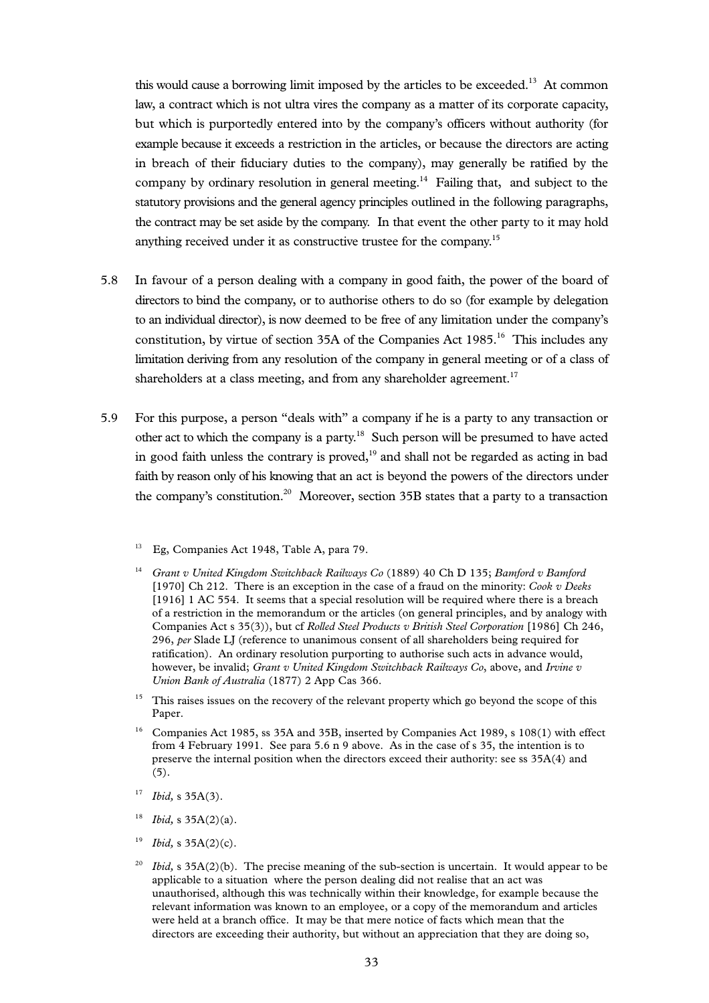this would cause a borrowing limit imposed by the articles to be exceeded.<sup>13</sup> At common law, a contract which is not ultra vires the company as a matter of its corporate capacity, but which is purportedly entered into by the company's officers without authority (for example because it exceeds a restriction in the articles, or because the directors are acting in breach of their fiduciary duties to the company), may generally be ratified by the company by ordinary resolution in general meeting.<sup>14</sup> Failing that, and subject to the statutory provisions and the general agency principles outlined in the following paragraphs, the contract may be set aside by the company. In that event the other party to it may hold anything received under it as constructive trustee for the company.<sup>15</sup>

- 5.8 In favour of a person dealing with a company in good faith, the power of the board of directors to bind the company, or to authorise others to do so (for example by delegation to an individual director), is now deemed to be free of any limitation under the company's constitution, by virtue of section 35A of the Companies Act  $1985$ .<sup>16</sup> This includes any limitation deriving from any resolution of the company in general meeting or of a class of shareholders at a class meeting, and from any shareholder agreement.<sup>17</sup>
- 5.9 For this purpose, a person "deals with" a company if he is a party to any transaction or other act to which the company is a party.<sup>18</sup> Such person will be presumed to have acted in good faith unless the contrary is proved,<sup>19</sup> and shall not be regarded as acting in bad faith by reason only of his knowing that an act is beyond the powers of the directors under the company's constitution.<sup>20</sup> Moreover, section 35B states that a party to a transaction
	- Eg, Companies Act 1948, Table A, para 79.
	- <sup>14</sup> Grant v United Kingdom Switchback Railways Co (1889) 40 Ch D 135; *Bamford v Bamford* [1970] Ch 212. There is an exception in the case of a fraud on the minority: *Cook v Deeks* [1916] 1 AC 554. It seems that a special resolution will be required where there is a breach of a restriction in the memorandum or the articles (on general principles, and by analogy with Companies Act s 35(3)), but cf *Rolled Steel Products v British Steel Corporation* [1986] Ch 246, 296, *per* Slade LJ (reference to unanimous consent of all shareholders being required for ratification). An ordinary resolution purporting to authorise such acts in advance would, however, be invalid; *Grant v United Kingdom Switchback Railways Co*, above, and *Irvine v Union Bank of Australia* (1877) 2 App Cas 366.
	- $15$  This raises issues on the recovery of the relevant property which go beyond the scope of this Paper.
	- <sup>16</sup> Companies Act 1985, ss 35A and 35B, inserted by Companies Act 1989, s 108(1) with effect from 4 February 1991. See para 5.6 n 9 above. As in the case of s 35, the intention is to preserve the internal position when the directors exceed their authority: see ss 35A(4) and  $(5).$
	- <sup>17</sup> *Ibid, s* 35A(3).
	- $18$  *Ibid, s* 35A(2)(a).
	- $I^{9}$  *Ibid, s* 35A(2)(c).
	- <sup>20</sup> *Ibid*, s  $35A(2)(b)$ . The precise meaning of the sub-section is uncertain. It would appear to be applicable to a situation where the person dealing did not realise that an act was unauthorised, although this was technically within their knowledge, for example because the relevant information was known to an employee, or a copy of the memorandum and articles were held at a branch office. It may be that mere notice of facts which mean that the directors are exceeding their authority, but without an appreciation that they are doing so,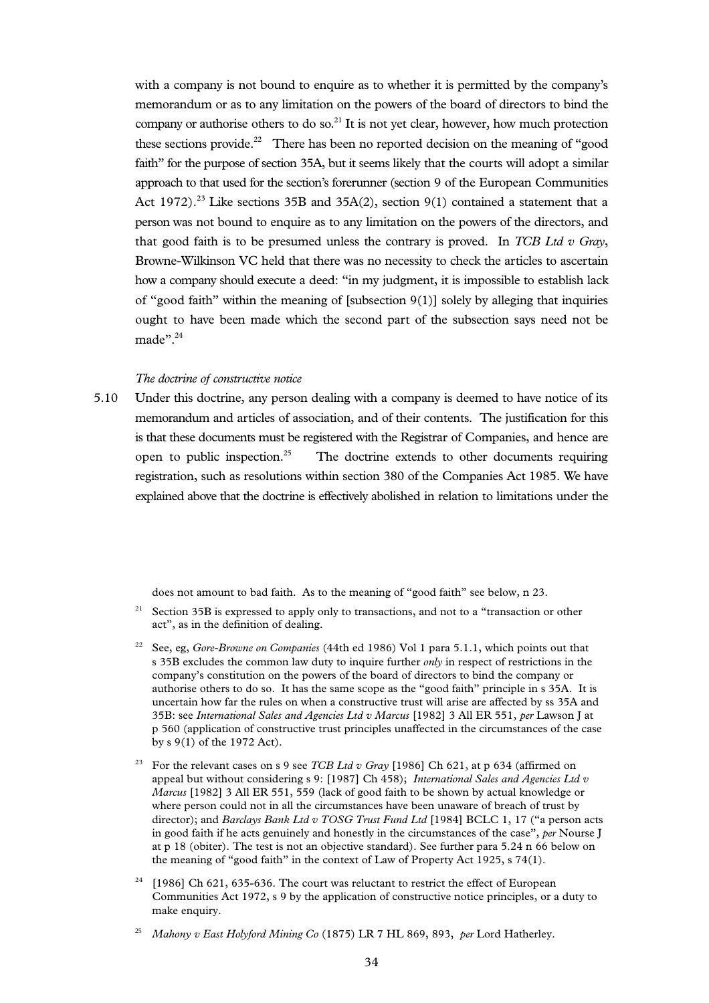with a company is not bound to enquire as to whether it is permitted by the company's memorandum or as to any limitation on the powers of the board of directors to bind the company or authorise others to do so. $^{21}$  It is not yet clear, however, how much protection these sections provide. $22$  There has been no reported decision on the meaning of "good faith" for the purpose of section 35A, but it seems likely that the courts will adopt a similar approach to that used for the section's forerunner (section 9 of the European Communities Act 1972).<sup>23</sup> Like sections 35B and 35A(2), section 9(1) contained a statement that a person was not bound to enquire as to any limitation on the powers of the directors, and that good faith is to be presumed unless the contrary is proved. In *TCB Ltd v Gray*, Browne-Wilkinson VC held that there was no necessity to check the articles to ascertain how a company should execute a deed: "in my judgment, it is impossible to establish lack of "good faith" within the meaning of [subsection  $9(1)$ ] solely by alleging that inquiries ought to have been made which the second part of the subsection says need not be made".<sup>24</sup>

#### *The doctrine of constructive notice*

5.10 Under this doctrine, any person dealing with a company is deemed to have notice of its memorandum and articles of association, and of their contents. The justification for this is that these documents must be registered with the Registrar of Companies, and hence are The doctrine extends to other documents requiring open to public inspection. $25$ registration, such as resolutions within section 380 of the Companies Act 1985. We have explained above that the doctrine is effectively abolished in relation to limitations under the

does not amount to bad faith. As to the meaning of "good faith" see below, n 23.

- $21$  Section 35B is expressed to apply only to transactions, and not to a "transaction or other act", as in the definition of dealing.
- <sup>22</sup> See, eg, *Gore-Browne on Companies* (44th ed 1986) Vol 1 para 5.1.1, which points out that s 35B excludes the common law duty to inquire further *only* in respect of restrictions in the company's constitution on the powers of the board of directors to bind the company or authorise others to do so. It has the same scope as the "good faith" principle in s 35A. It is uncertain how far the rules on when a constructive trust will arise are affected by ss 35A and 35B: see *International Sales and Agencies Ltd v Marcus* [1982] 3 All ER 551, *per* Lawson J at p 560 (application of constructive trust principles unaffected in the circumstances of the case by s 9(1) of the 1972 Act).
- <sup>23</sup> For the relevant cases on s 9 see *TCB Ltd v Gray* [1986] Ch 621, at p 634 (affirmed on appeal but without considering s 9: [1987] Ch 458); *International Sales and Agencies Ltd v Marcus* [1982] 3 All ER 551, 559 (lack of good faith to be shown by actual knowledge or where person could not in all the circumstances have been unaware of breach of trust by director); and *Barclays Bank Ltd v TOSG Trust Fund Ltd* [1984] BCLC 1, 17 ("a person acts in good faith if he acts genuinely and honestly in the circumstances of the case", *per* Nourse J at p 18 (obiter). The test is not an objective standard). See further para 5.24 n 66 below on the meaning of "good faith" in the context of Law of Property Act 1925, s 74(1).
- <sup>24</sup> [1986] Ch 621, 635-636. The court was reluctant to restrict the effect of European Communities Act 1972, s 9 by the application of constructive notice principles, or a duty to make enquiry.
- *Mahony v East Holyford Mining Co* (1875) LR 7 HL 869, 893, *per Lord Hatherley.*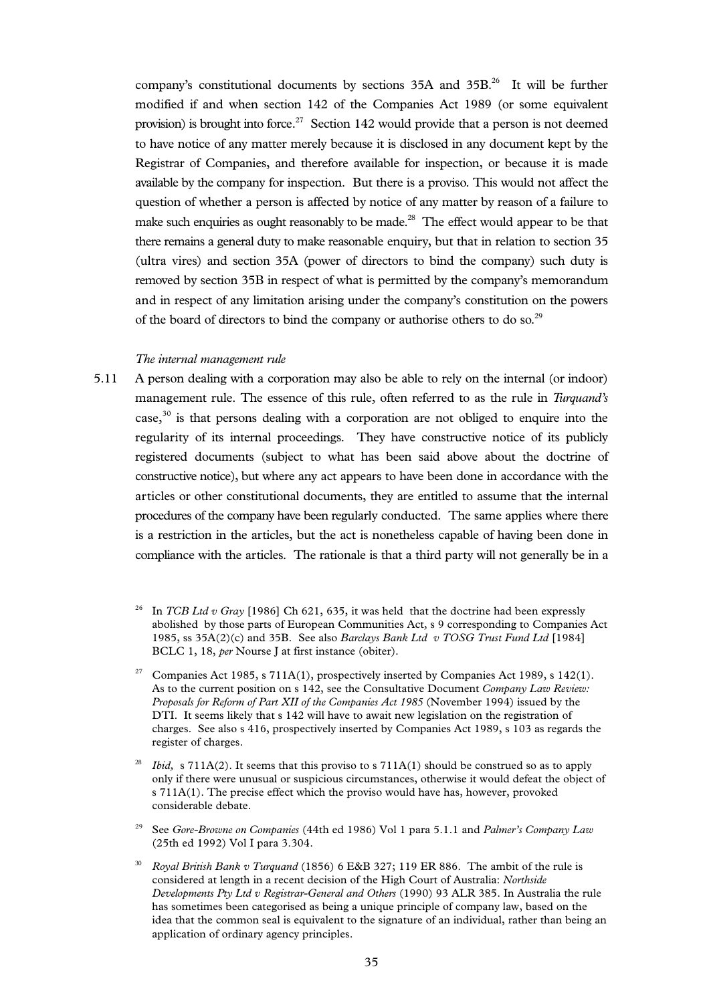company's constitutional documents by sections  $35A$  and  $35B$ <sup>26</sup> It will be further modified if and when section 142 of the Companies Act 1989 (or some equivalent provision) is brought into force.<sup>27</sup> Section 142 would provide that a person is not deemed to have notice of any matter merely because it is disclosed in any document kept by the Registrar of Companies, and therefore available for inspection, or because it is made available by the company for inspection. But there is a proviso. This would not affect the question of whether a person is affected by notice of any matter by reason of a failure to make such enquiries as ought reasonably to be made.<sup>28</sup> The effect would appear to be that there remains a general duty to make reasonable enquiry, but that in relation to section 35 (ultra vires) and section 35A (power of directors to bind the company) such duty is removed by section 35B in respect of what is permitted by the company's memorandum and in respect of any limitation arising under the company's constitution on the powers of the board of directors to bind the company or authorise others to do so.<sup>29</sup>

#### *The internal management rule*

- 5.11 A person dealing with a corporation may also be able to rely on the internal (or indoor) management rule. The essence of this rule, often referred to as the rule in *Turquand's* case, $30$  is that persons dealing with a corporation are not obliged to enquire into the regularity of its internal proceedings. They have constructive notice of its publicly registered documents (subject to what has been said above about the doctrine of constructive notice), but where any act appears to have been done in accordance with the articles or other constitutional documents, they are entitled to assume that the internal procedures of the company have been regularly conducted. The same applies where there is a restriction in the articles, but the act is nonetheless capable of having been done in compliance with the articles. The rationale is that a third party will not generally be in a
	- <sup>26</sup> In *TCB Ltd v Gray* [1986] Ch 621, 635, it was held that the doctrine had been expressly abolished by those parts of European Communities Act, s 9 corresponding to Companies Act 1985, ss 35A(2)(c) and 35B. See also *Barclays Bank Ltd v TOSG Trust Fund Ltd* [1984] BCLC 1, 18, *per* Nourse J at first instance (obiter).
	- <sup>27</sup> Companies Act 1985, s 711A(1), prospectively inserted by Companies Act 1989, s 142(1). As to the current position on s 142, see the Consultative Document *Company Law Review: Proposals for Reform of Part XII of the Companies Act 1985* (November 1994) issued by the DTI. It seems likely that s 142 will have to await new legislation on the registration of charges. See also s 416, prospectively inserted by Companies Act 1989, s 103 as regards the register of charges.
	- <sup>28</sup> *Ibid,* s 711A(2). It seems that this proviso to s 711A(1) should be construed so as to apply only if there were unusual or suspicious circumstances, otherwise it would defeat the object of s 711A(1). The precise effect which the proviso would have has, however, provoked considerable debate.
	- <sup>29</sup> See *Gore-Browne on Companies* (44th ed 1986) Vol 1 para 5.1.1 and *Palmer's Company Law* (25th ed 1992) Vol I para 3.304.
	- *Royal British Bank v Turquand* (1856) 6 E&B 327; 119 ER 886. The ambit of the rule is considered at length in a recent decision of the High Court of Australia: *Northside Developments Pty Ltd v Registrar-General and Others* (1990) 93 ALR 385. In Australia the rule has sometimes been categorised as being a unique principle of company law, based on the idea that the common seal is equivalent to the signature of an individual, rather than being an application of ordinary agency principles.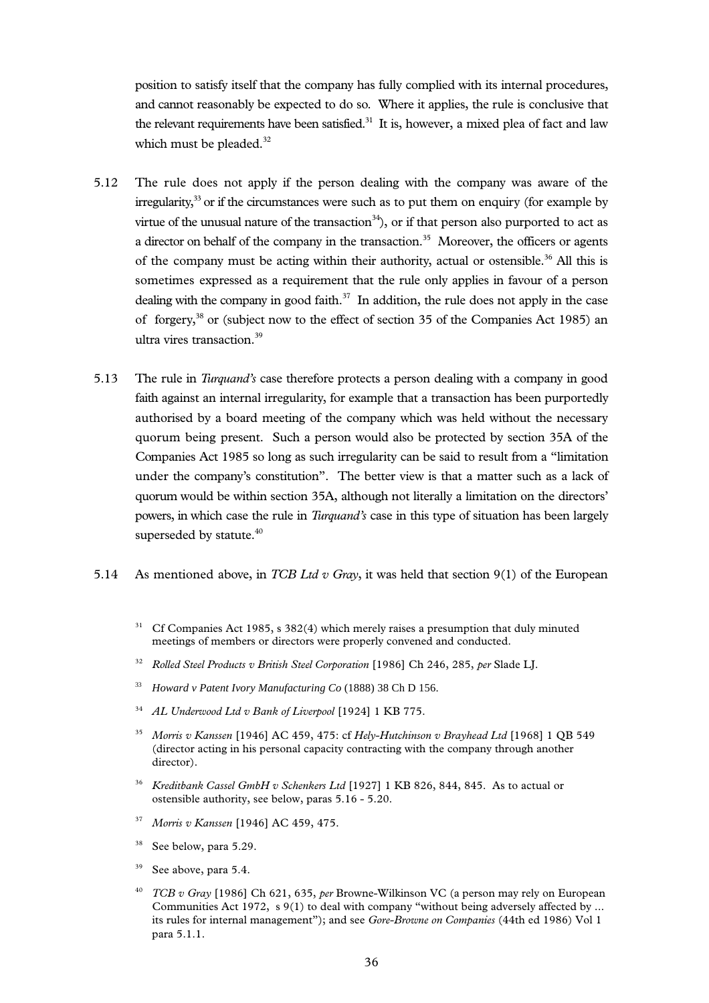position to satisfy itself that the company has fully complied with its internal procedures, and cannot reasonably be expected to do so. Where it applies, the rule is conclusive that the relevant requirements have been satisfied.<sup>31</sup> It is, however, a mixed plea of fact and law which must be pleaded. $32$ 

- 5.12 The rule does not apply if the person dealing with the company was aware of the irregularity, $33$  or if the circumstances were such as to put them on enquiry (for example by virtue of the unusual nature of the transaction<sup>34</sup>), or if that person also purported to act as a director on behalf of the company in the transaction.<sup>35</sup> Moreover, the officers or agents of the company must be acting within their authority, actual or ostensible.<sup>36</sup> All this is sometimes expressed as a requirement that the rule only applies in favour of a person dealing with the company in good faith.<sup>37</sup> In addition, the rule does not apply in the case of forgery,<sup>38</sup> or (subject now to the effect of section 35 of the Companies Act 1985) an ultra vires transaction.<sup>39</sup>
- 5.13 The rule in *Turquand's* case therefore protects a person dealing with a company in good faith against an internal irregularity, for example that a transaction has been purportedly authorised by a board meeting of the company which was held without the necessary quorum being present. Such a person would also be protected by section 35A of the Companies Act 1985 so long as such irregularity can be said to result from a "limitation under the company's constitution". The better view is that a matter such as a lack of quorum would be within section 35A, although not literally a limitation on the directors' powers, in which case the rule in *Turquand's* case in this type of situation has been largely superseded by statute.<sup>40</sup>
- 5.14 As mentioned above, in *TCB Ltd v Gray*, it was held that section 9(1) of the European
	- $31$  Cf Companies Act 1985, s 382(4) which merely raises a presumption that duly minuted meetings of members or directors were properly convened and conducted.
	- <sup>32</sup> Rolled Steel Products v British Steel Corporation [1986] Ch 246, 285, per Slade LJ.
	- <sup>33</sup> Howard v Patent Ivory Manufacturing Co (1888) 38 Ch D 156.
	- <sup>34</sup> AL Underwood Ltd v Bank of Liverpool [1924] 1 KB 775.
	- *Morris v Kanssen* [1946] AC 459, 475: cf *Hely-Hutchinson v Brayhead Ltd* [1968] 1 QB 549 <sup>35</sup> (director acting in his personal capacity contracting with the company through another director).
	- <sup>36</sup> Kreditbank Cassel GmbH v Schenkers Ltd [1927] 1 KB 826, 844, 845. As to actual or ostensible authority, see below, paras 5.16 - 5.20.
	- *Morris v Kanssen* [1946] AC 459, 475. <sup>37</sup>
	- $38$  See below, para 5.29.
	- $39$  See above, para 5.4.
	- <sup>40</sup> *TCB v Gray* [1986] Ch 621, 635, *per Browne-Wilkinson VC* (a person may rely on European Communities Act 1972, s 9(1) to deal with company "without being adversely affected by ... its rules for internal management"); and see *Gore-Browne on Companies* (44th ed 1986) Vol 1 para 5.1.1.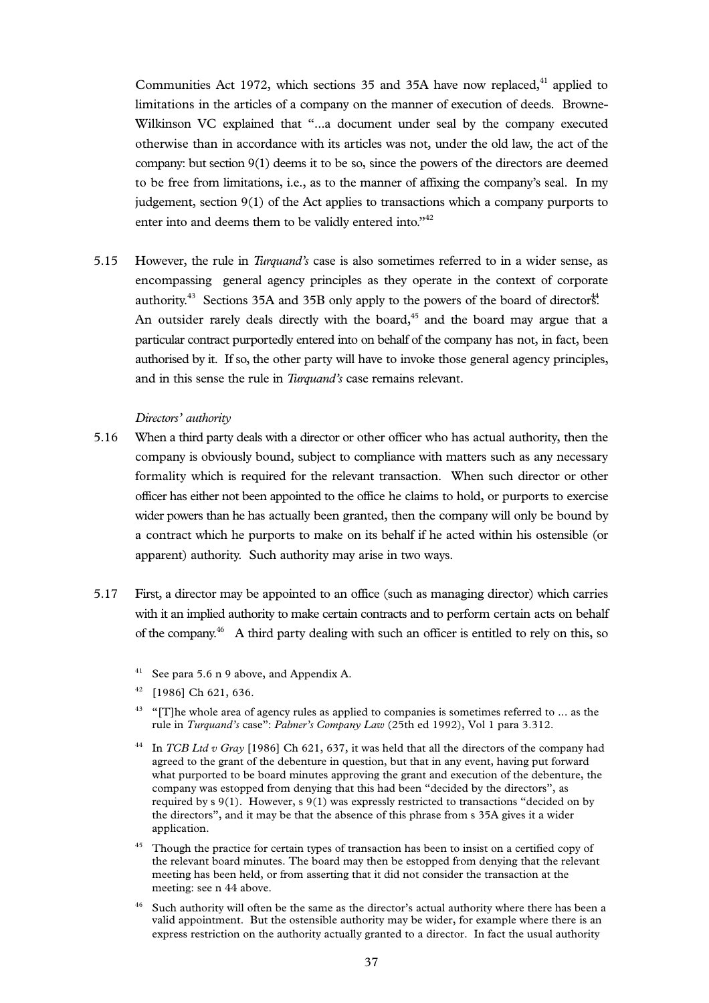Communities Act 1972, which sections 35 and 35A have now replaced, $41$  applied to limitations in the articles of a company on the manner of execution of deeds. Browne-Wilkinson VC explained that "...a document under seal by the company executed otherwise than in accordance with its articles was not, under the old law, the act of the company: but section 9(1) deems it to be so, since the powers of the directors are deemed to be free from limitations, i.e., as to the manner of affixing the company's seal. In my judgement, section 9(1) of the Act applies to transactions which a company purports to enter into and deems them to be validly entered into."<sup>42</sup>

5.15 However, the rule in *Turquand's* case is also sometimes referred to in a wider sense, as encompassing general agency principles as they operate in the context of corporate authority.<sup>43</sup> Sections 35A and 35B only apply to the powers of the board of directors. An outsider rarely deals directly with the board, $45$  and the board may argue that a particular contract purportedly entered into on behalf of the company has not, in fact, been authorised by it. If so, the other party will have to invoke those general agency principles, and in this sense the rule in *Turquand's* case remains relevant.

#### *Directors' authority*

- 5.16 When a third party deals with a director or other officer who has actual authority, then the company is obviously bound, subject to compliance with matters such as any necessary formality which is required for the relevant transaction. When such director or other officer has either not been appointed to the office he claims to hold, or purports to exercise wider powers than he has actually been granted, then the company will only be bound by a contract which he purports to make on its behalf if he acted within his ostensible (or apparent) authority. Such authority may arise in two ways.
- 5.17 First, a director may be appointed to an office (such as managing director) which carries with it an implied authority to make certain contracts and to perform certain acts on behalf of the company.<sup> $46$ </sup> A third party dealing with such an officer is entitled to rely on this, so
	- <sup>41</sup> See para 5.6 n 9 above, and Appendix A.
	- $1986$ ] Ch 621, 636.
	- $43$  "[T]he whole area of agency rules as applied to companies is sometimes referred to ... as the rule in *Turquand's* case": *Palmer's Company Law* (25th ed 1992), Vol 1 para 3.312.
	- <sup>44</sup> In *TCB Ltd v Gray* [1986] Ch 621, 637, it was held that all the directors of the company had agreed to the grant of the debenture in question, but that in any event, having put forward what purported to be board minutes approving the grant and execution of the debenture, the company was estopped from denying that this had been "decided by the directors", as required by s 9(1). However, s 9(1) was expressly restricted to transactions "decided on by the directors", and it may be that the absence of this phrase from s 35A gives it a wider application.
	- $45$  Though the practice for certain types of transaction has been to insist on a certified copy of the relevant board minutes. The board may then be estopped from denying that the relevant meeting has been held, or from asserting that it did not consider the transaction at the meeting: see n 44 above.
	- Such authority will often be the same as the director's actual authority where there has been a valid appointment. But the ostensible authority may be wider, for example where there is an express restriction on the authority actually granted to a director. In fact the usual authority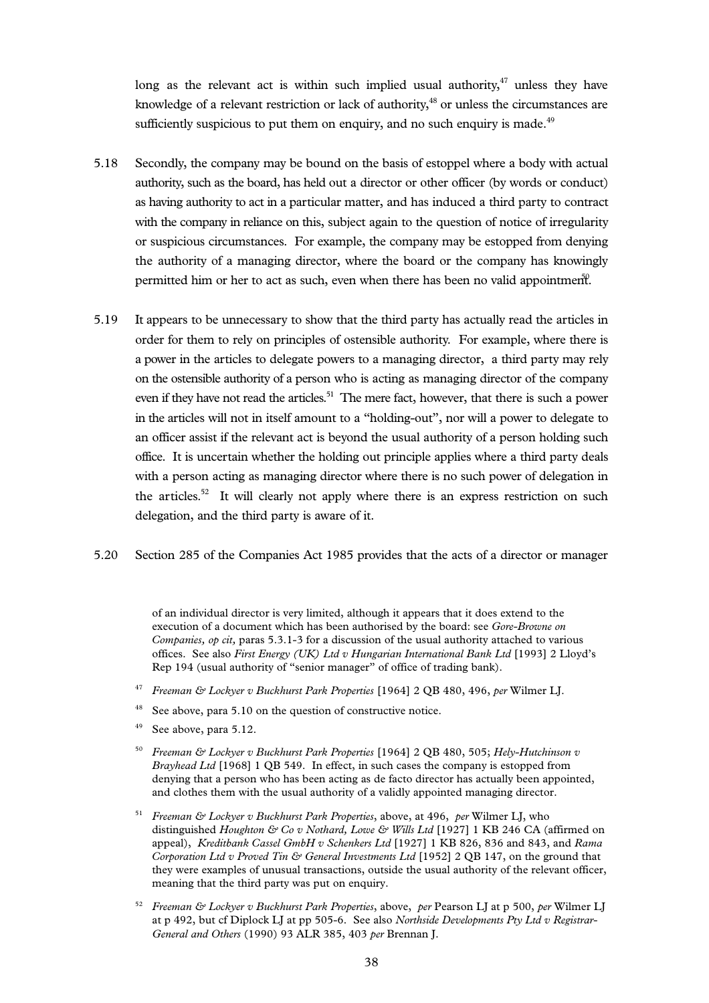long as the relevant act is within such implied usual authority, $47$  unless they have knowledge of a relevant restriction or lack of authority, $48$  or unless the circumstances are sufficiently suspicious to put them on enquiry, and no such enquiry is made.<sup>49</sup>

- 5.18 Secondly, the company may be bound on the basis of estoppel where a body with actual authority, such as the board, has held out a director or other officer (by words or conduct) as having authority to act in a particular matter, and has induced a third party to contract with the company in reliance on this, subject again to the question of notice of irregularity or suspicious circumstances. For example, the company may be estopped from denying the authority of a managing director, where the board or the company has knowingly permitted him or her to act as such, even when there has been no valid appointment.
- 5.19 It appears to be unnecessary to show that the third party has actually read the articles in order for them to rely on principles of ostensible authority. For example, where there is a power in the articles to delegate powers to a managing director, a third party may rely on the ostensible authority of a person who is acting as managing director of the company even if they have not read the articles.<sup>51</sup> The mere fact, however, that there is such a power in the articles will not in itself amount to a "holding-out", nor will a power to delegate to an officer assist if the relevant act is beyond the usual authority of a person holding such office. It is uncertain whether the holding out principle applies where a third party deals with a person acting as managing director where there is no such power of delegation in the articles.<sup>52</sup> It will clearly not apply where there is an express restriction on such delegation, and the third party is aware of it.
- 5.20 Section 285 of the Companies Act 1985 provides that the acts of a director or manager

of an individual director is very limited, although it appears that it does extend to the execution of a document which has been authorised by the board: see *Gore-Browne on Companies, op cit,* paras 5.3.1-3 for a discussion of the usual authority attached to various offices. See also *First Energy (UK) Ltd v Hungarian International Bank Ltd* [1993] 2 Lloyd's Rep 194 (usual authority of "senior manager" of office of trading bank).

- *Freeman & Lockyer v Buckhurst Park Properties* [1964] 2 QB 480, 496, *per* Wilmer LJ. <sup>47</sup>
- See above, para 5.10 on the question of constructive notice.
- $49$  See above, para 5.12.
- <sup>50</sup> Freeman & Lockyer v Buckhurst Park Properties [1964] 2 OB 480, 505; *Hely-Hutchinson v Brayhead Ltd* [1968] 1 QB 549. In effect, in such cases the company is estopped from denying that a person who has been acting as de facto director has actually been appointed, and clothes them with the usual authority of a validly appointed managing director.
- *Freeman & Lockyer v Buckhurst Park Properties*, above, at 496, *per* Wilmer LJ, who <sup>51</sup> distinguished *Houghton & Co v Nothard, Lowe & Wills Ltd* [1927] 1 KB 246 CA (affirmed on appeal), *Kreditbank Cassel GmbH v Schenkers Ltd* [1927] 1 KB 826, 836 and 843, and *Rama Corporation Ltd v Proved Tin & General Investments Ltd* [1952] 2 QB 147, on the ground that they were examples of unusual transactions, outside the usual authority of the relevant officer, meaning that the third party was put on enquiry.
- *Freeman & Lockyer v Buckhurst Park Properties*, above, *per* Pearson LJ at p 500, *per* Wilmer LJ <sup>52</sup> at p 492, but cf Diplock LJ at pp 505-6. See also *Northside Developments Pty Ltd v Registrar-General and Others* (1990) 93 ALR 385, 403 *per* Brennan J.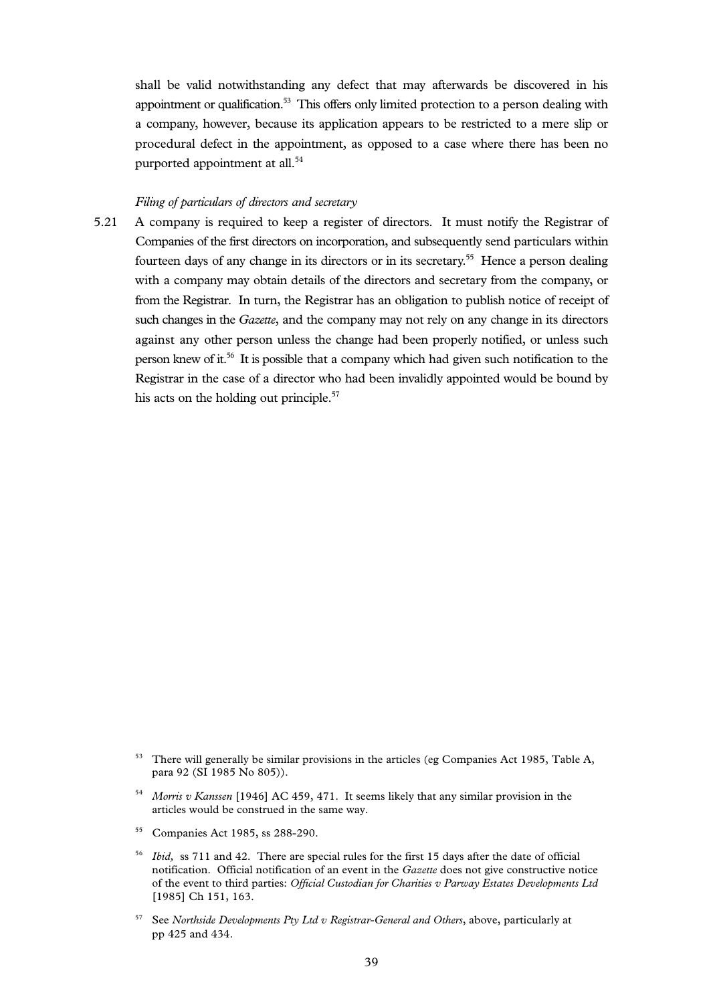shall be valid notwithstanding any defect that may afterwards be discovered in his appointment or qualification.<sup>53</sup> This offers only limited protection to a person dealing with a company, however, because its application appears to be restricted to a mere slip or procedural defect in the appointment, as opposed to a case where there has been no purported appointment at all.<sup>54</sup>

# *Filing of particulars of directors and secretary*

5.21 A company is required to keep a register of directors. It must notify the Registrar of Companies of the first directors on incorporation, and subsequently send particulars within fourteen days of any change in its directors or in its secretary.<sup>55</sup> Hence a person dealing with a company may obtain details of the directors and secretary from the company, or from the Registrar. In turn, the Registrar has an obligation to publish notice of receipt of such changes in the *Gazette*, and the company may not rely on any change in its directors against any other person unless the change had been properly notified, or unless such person knew of it.<sup>56</sup> It is possible that a company which had given such notification to the Registrar in the case of a director who had been invalidly appointed would be bound by his acts on the holding out principle.<sup>57</sup>

- $53$  There will generally be similar provisions in the articles (eg Companies Act 1985, Table A, para 92 (SI 1985 No 805)).
- <sup>54</sup> Morris v Kanssen [1946] AC 459, 471. It seems likely that any similar provision in the articles would be construed in the same way.
- <sup>55</sup> Companies Act 1985, ss 288-290.
- <sup>56</sup> *Ibid,* ss 711 and 42. There are special rules for the first 15 days after the date of official notification. Official notification of an event in the *Gazette* does not give constructive notice of the event to third parties: *Official Custodian for Charities v Parway Estates Developments Ltd* [1985] Ch 151, 163.
- <sup>57</sup> See *Northside Developments Pty Ltd v Registrar-General and Others*, above, particularly at pp 425 and 434.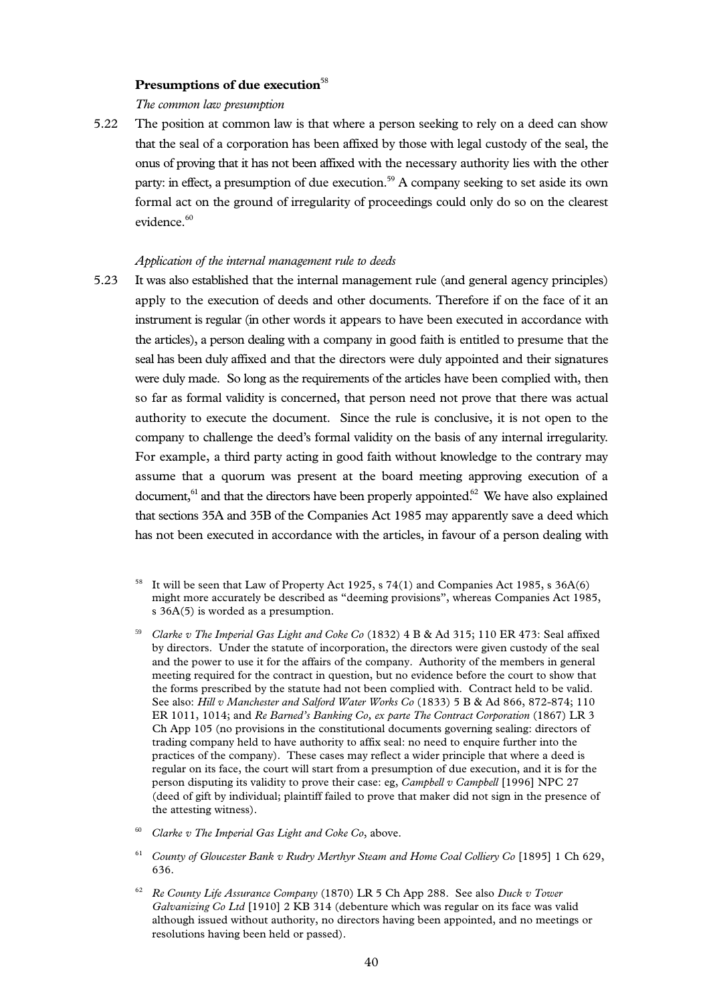### **Presumptions of due execution**<sup>58</sup>

*The common law presumption*

5.22 The position at common law is that where a person seeking to rely on a deed can show that the seal of a corporation has been affixed by those with legal custody of the seal, the onus of proving that it has not been affixed with the necessary authority lies with the other party: in effect, a presumption of due execution.<sup>59</sup> A company seeking to set aside its own formal act on the ground of irregularity of proceedings could only do so on the clearest  $e$ vidence  $60$ 

#### *Application of the internal management rule to deeds*

- 5.23 It was also established that the internal management rule (and general agency principles) apply to the execution of deeds and other documents. Therefore if on the face of it an instrument is regular (in other words it appears to have been executed in accordance with the articles), a person dealing with a company in good faith is entitled to presume that the seal has been duly affixed and that the directors were duly appointed and their signatures were duly made. So long as the requirements of the articles have been complied with, then so far as formal validity is concerned, that person need not prove that there was actual authority to execute the document. Since the rule is conclusive, it is not open to the company to challenge the deed's formal validity on the basis of any internal irregularity. For example, a third party acting in good faith without knowledge to the contrary may assume that a quorum was present at the board meeting approving execution of a document, $^{61}$  and that the directors have been properly appointed.<sup> $^{62}$ </sup> We have also explained that sections 35A and 35B of the Companies Act 1985 may apparently save a deed which has not been executed in accordance with the articles, in favour of a person dealing with
	- It will be seen that Law of Property Act 1925, s  $74(1)$  and Companies Act 1985, s  $36A(6)$ might more accurately be described as "deeming provisions", whereas Companies Act 1985, s 36A(5) is worded as a presumption.
	- <sup>59</sup> Clarke v The Imperial Gas Light and Coke Co (1832) 4 B & Ad 315; 110 ER 473: Seal affixed by directors. Under the statute of incorporation, the directors were given custody of the seal and the power to use it for the affairs of the company. Authority of the members in general meeting required for the contract in question, but no evidence before the court to show that the forms prescribed by the statute had not been complied with. Contract held to be valid. See also: *Hill v Manchester and Salford Water Works Co* (1833) 5 B & Ad 866, 872-874; 110 ER 1011, 1014; and *Re Barned's Banking Co, ex parte The Contract Corporation* (1867) LR 3 Ch App 105 (no provisions in the constitutional documents governing sealing: directors of trading company held to have authority to affix seal: no need to enquire further into the practices of the company). These cases may reflect a wider principle that where a deed is regular on its face, the court will start from a presumption of due execution, and it is for the person disputing its validity to prove their case: eg, *Campbell v Campbell* [1996] NPC 27 (deed of gift by individual; plaintiff failed to prove that maker did not sign in the presence of the attesting witness).
	- <sup>60</sup> Clarke v The Imperial Gas Light and Coke Co, above.
	- <sup>61</sup> County of Gloucester Bank v Rudry Merthyr Steam and Home Coal Colliery Co [1895] 1 Ch 629, 636.
	- *Re County Life Assurance Company* (1870) LR 5 Ch App 288. See also *Duck v Tower Galvanizing Co Ltd* [1910] 2 KB 314 (debenture which was regular on its face was valid although issued without authority, no directors having been appointed, and no meetings or resolutions having been held or passed).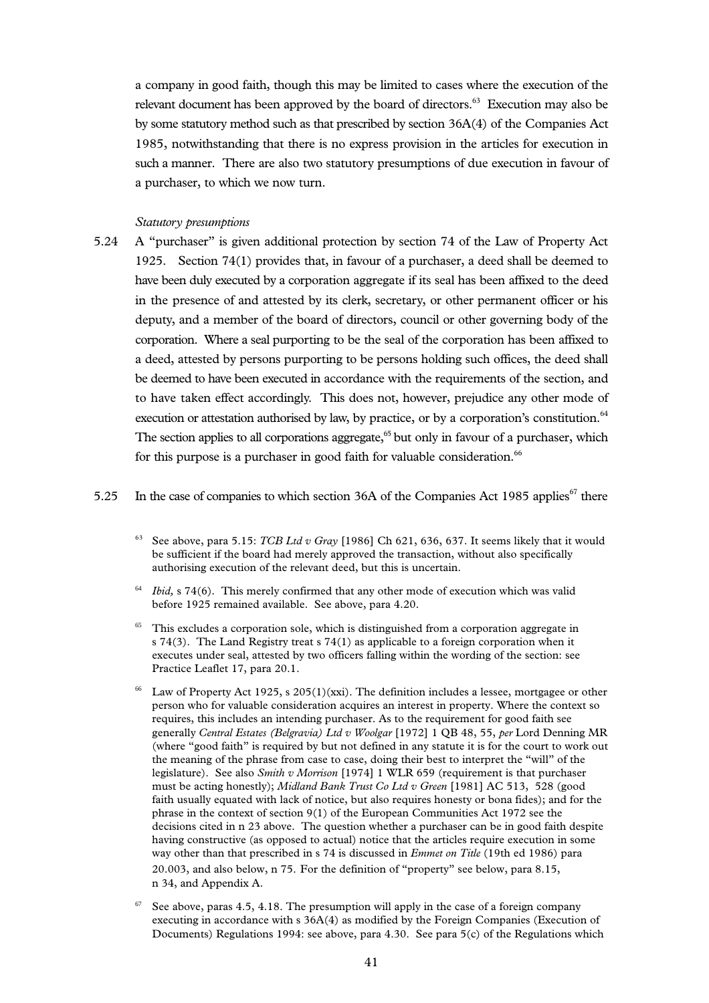a company in good faith, though this may be limited to cases where the execution of the relevant document has been approved by the board of directors. $^{63}$  Execution may also be by some statutory method such as that prescribed by section 36A(4) of the Companies Act 1985, notwithstanding that there is no express provision in the articles for execution in such a manner. There are also two statutory presumptions of due execution in favour of a purchaser, to which we now turn.

#### *Statutory presumptions*

5.24 A "purchaser" is given additional protection by section 74 of the Law of Property Act 1925. Section 74(1) provides that, in favour of a purchaser, a deed shall be deemed to have been duly executed by a corporation aggregate if its seal has been affixed to the deed in the presence of and attested by its clerk, secretary, or other permanent officer or his deputy, and a member of the board of directors, council or other governing body of the corporation. Where a seal purporting to be the seal of the corporation has been affixed to a deed, attested by persons purporting to be persons holding such offices, the deed shall be deemed to have been executed in accordance with the requirements of the section, and to have taken effect accordingly. This does not, however, prejudice any other mode of execution or attestation authorised by law, by practice, or by a corporation's constitution.<sup>64</sup> The section applies to all corporations aggregate,  $65$  but only in favour of a purchaser, which for this purpose is a purchaser in good faith for valuable consideration. $66$ 

# 5.25 In the case of companies to which section 36A of the Companies Act 1985 applies<sup>67</sup> there

- See above, para 5.15: *TCB Ltd v Gray* [1986] Ch 621, 636, 637. It seems likely that it would be sufficient if the board had merely approved the transaction, without also specifically authorising execution of the relevant deed, but this is uncertain.
- <sup>64</sup> *Ibid*, s 74(6). This merely confirmed that any other mode of execution which was valid before 1925 remained available. See above, para 4.20.
- This excludes a corporation sole, which is distinguished from a corporation aggregate in <sup>65</sup> s 74(3). The Land Registry treat s 74(1) as applicable to a foreign corporation when it executes under seal, attested by two officers falling within the wording of the section: see Practice Leaflet 17, para 20.1.
- Law of Property Act 1925, s  $205(1)(xx)$ . The definition includes a lessee, mortgagee or other person who for valuable consideration acquires an interest in property. Where the context so requires, this includes an intending purchaser. As to the requirement for good faith see generally *Central Estates (Belgravia) Ltd v Woolgar* [1972] 1 QB 48, 55, *per* Lord Denning MR (where "good faith" is required by but not defined in any statute it is for the court to work out the meaning of the phrase from case to case, doing their best to interpret the "will" of the legislature). See also *Smith v Morrison* [1974] 1 WLR 659 (requirement is that purchaser must be acting honestly); *Midland Bank Trust Co Ltd v Green* [1981] AC 513, 528 (good faith usually equated with lack of notice, but also requires honesty or bona fides); and for the phrase in the context of section 9(1) of the European Communities Act 1972 see the decisions cited in n 23 above. The question whether a purchaser can be in good faith despite having constructive (as opposed to actual) notice that the articles require execution in some way other than that prescribed in s 74 is discussed in *Emmet on Title* (19th ed 1986) para 20.003, and also below, n 75. For the definition of "property" see below, para 8.15, n 34, and Appendix A.
- See above, paras 4.5, 4.18. The presumption will apply in the case of a foreign company executing in accordance with s 36A(4) as modified by the Foreign Companies (Execution of Documents) Regulations 1994: see above, para 4.30. See para 5(c) of the Regulations which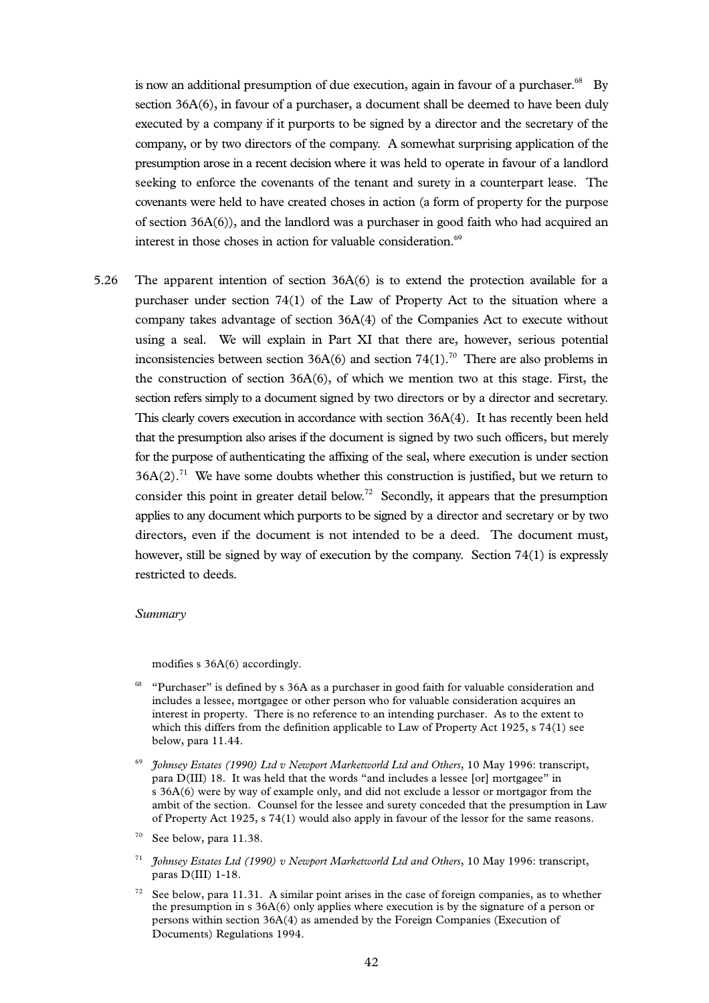is now an additional presumption of due execution, again in favour of a purchaser. $^{68}$  By section 36A(6), in favour of a purchaser, a document shall be deemed to have been duly executed by a company if it purports to be signed by a director and the secretary of the company, or by two directors of the company. A somewhat surprising application of the presumption arose in a recent decision where it was held to operate in favour of a landlord seeking to enforce the covenants of the tenant and surety in a counterpart lease. The covenants were held to have created choses in action (a form of property for the purpose of section 36A(6)), and the landlord was a purchaser in good faith who had acquired an interest in those choses in action for valuable consideration.<sup>69</sup>

5.26 The apparent intention of section 36A(6) is to extend the protection available for a purchaser under section 74(1) of the Law of Property Act to the situation where a company takes advantage of section 36A(4) of the Companies Act to execute without using a seal. We will explain in Part XI that there are, however, serious potential inconsistencies between section 36A(6) and section 74(1).<sup>70</sup> There are also problems in the construction of section 36A(6), of which we mention two at this stage. First, the section refers simply to a document signed by two directors or by a director and secretary. This clearly covers execution in accordance with section 36A(4). It has recently been held that the presumption also arises if the document is signed by two such officers, but merely for the purpose of authenticating the affixing of the seal, where execution is under section  $36A(2)$ .<sup>71</sup> We have some doubts whether this construction is justified, but we return to consider this point in greater detail below.<sup>72</sup> Secondly, it appears that the presumption applies to any document which purports to be signed by a director and secretary or by two directors, even if the document is not intended to be a deed. The document must, however, still be signed by way of execution by the company. Section 74(1) is expressly restricted to deeds.

#### *Summary*

modifies s 36A(6) accordingly.

- "Purchaser" is defined by s 36A as a purchaser in good faith for valuable consideration and <sup>68</sup> includes a lessee, mortgagee or other person who for valuable consideration acquires an interest in property. There is no reference to an intending purchaser. As to the extent to which this differs from the definition applicable to Law of Property Act 1925, s 74(1) see below, para 11.44.
- *Johnsey Estates (1990) Ltd v Newport Marketworld Ltd and Others*, 10 May 1996: transcript, <sup>69</sup> para D(III) 18. It was held that the words "and includes a lessee [or] mortgagee" in s 36A(6) were by way of example only, and did not exclude a lessor or mortgagor from the ambit of the section. Counsel for the lessee and surety conceded that the presumption in Law of Property Act 1925, s 74(1) would also apply in favour of the lessor for the same reasons.
- $70$  See below, para 11.38.
- <sup>71</sup> *Johnsey Estates Ltd (1990) v Newport Marketworld Ltd and Others*, 10 May 1996: transcript, paras D(III) 1-18.
- $\frac{72}{2}$  See below, para 11.31. A similar point arises in the case of foreign companies, as to whether the presumption in s 36A(6) only applies where execution is by the signature of a person or persons within section 36A(4) as amended by the Foreign Companies (Execution of Documents) Regulations 1994.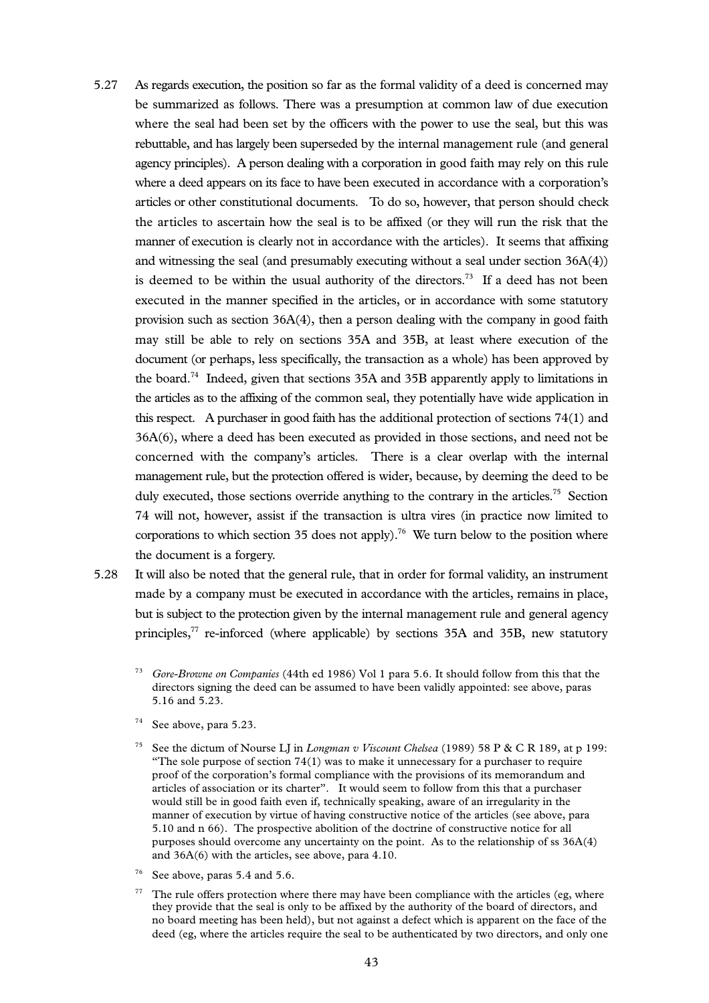- 5.27 As regards execution, the position so far as the formal validity of a deed is concerned may be summarized as follows. There was a presumption at common law of due execution where the seal had been set by the officers with the power to use the seal, but this was rebuttable, and has largely been superseded by the internal management rule (and general agency principles). A person dealing with a corporation in good faith may rely on this rule where a deed appears on its face to have been executed in accordance with a corporation's articles or other constitutional documents. To do so, however, that person should check the articles to ascertain how the seal is to be affixed (or they will run the risk that the manner of execution is clearly not in accordance with the articles). It seems that affixing and witnessing the seal (and presumably executing without a seal under section 36A(4)) is deemed to be within the usual authority of the directors.<sup>73</sup> If a deed has not been executed in the manner specified in the articles, or in accordance with some statutory provision such as section  $36A(4)$ , then a person dealing with the company in good faith may still be able to rely on sections 35A and 35B, at least where execution of the document (or perhaps, less specifically, the transaction as a whole) has been approved by the board.<sup>74</sup> Indeed, given that sections 35A and 35B apparently apply to limitations in the articles as to the affixing of the common seal, they potentially have wide application in this respect. A purchaser in good faith has the additional protection of sections 74(1) and 36A(6), where a deed has been executed as provided in those sections, and need not be concerned with the company's articles. There is a clear overlap with the internal management rule, but the protection offered is wider, because, by deeming the deed to be duly executed, those sections override anything to the contrary in the articles.<sup>75</sup> Section 74 will not, however, assist if the transaction is ultra vires (in practice now limited to corporations to which section 35 does not apply).<sup>76</sup> We turn below to the position where the document is a forgery.
- 5.28 It will also be noted that the general rule, that in order for formal validity, an instrument made by a company must be executed in accordance with the articles, remains in place, but is subject to the protection given by the internal management rule and general agency principles, $^{77}$  re-inforced (where applicable) by sections 35A and 35B, new statutory
	- <sup>73</sup> Gore-Browne on Companies (44th ed 1986) Vol 1 para 5.6. It should follow from this that the directors signing the deed can be assumed to have been validly appointed: see above, paras 5.16 and 5.23.
	- $74$  See above, para 5.23.
	- See the dictum of Nourse LJ in *Longman v Viscount Chelsea* (1989) 58 P & C R 189, at p 199: "The sole purpose of section  $74(1)$  was to make it unnecessary for a purchaser to require proof of the corporation's formal compliance with the provisions of its memorandum and articles of association or its charter". It would seem to follow from this that a purchaser would still be in good faith even if, technically speaking, aware of an irregularity in the manner of execution by virtue of having constructive notice of the articles (see above, para 5.10 and n 66). The prospective abolition of the doctrine of constructive notice for all purposes should overcome any uncertainty on the point. As to the relationship of ss 36A(4) and 36A(6) with the articles, see above, para 4.10.
	- $76$  See above, paras 5.4 and 5.6.
	- The rule offers protection where there may have been compliance with the articles (eg, where they provide that the seal is only to be affixed by the authority of the board of directors, and no board meeting has been held), but not against a defect which is apparent on the face of the deed (eg, where the articles require the seal to be authenticated by two directors, and only one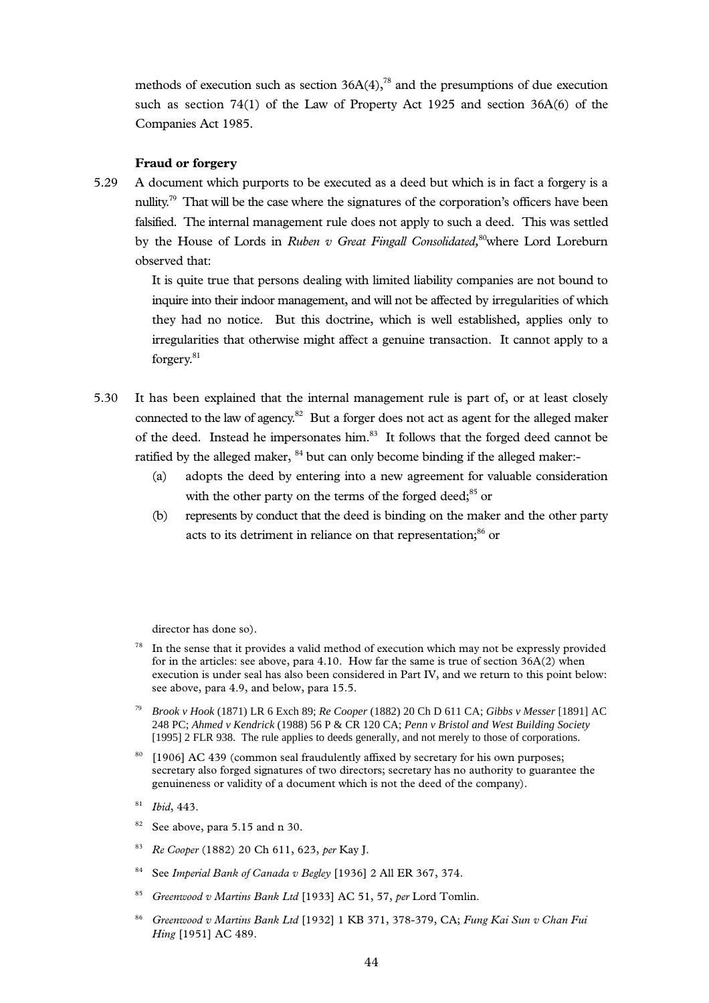methods of execution such as section  $36A(4)$ ,<sup>78</sup> and the presumptions of due execution such as section 74(1) of the Law of Property Act 1925 and section 36A(6) of the Companies Act 1985.

# **Fraud or forgery**

5.29 A document which purports to be executed as a deed but which is in fact a forgery is a nullity.<sup>79</sup> That will be the case where the signatures of the corporation's officers have been falsified. The internal management rule does not apply to such a deed. This was settled by the House of Lords in *Ruben v Great Fingall Consolidated*,<sup>80</sup>where Lord Loreburn observed that:

> It is quite true that persons dealing with limited liability companies are not bound to inquire into their indoor management, and will not be affected by irregularities of which they had no notice. But this doctrine, which is well established, applies only to irregularities that otherwise might affect a genuine transaction. It cannot apply to a forgery.<sup>81</sup>

- 5.30 It has been explained that the internal management rule is part of, or at least closely connected to the law of agency. $82$  But a forger does not act as agent for the alleged maker of the deed. Instead he impersonates him.<sup>83</sup> It follows that the forged deed cannot be ratified by the alleged maker,  $84$  but can only become binding if the alleged maker:-
	- (a) adopts the deed by entering into a new agreement for valuable consideration with the other party on the terms of the forged deed; $85$  or
	- (b) represents by conduct that the deed is binding on the maker and the other party acts to its detriment in reliance on that representation; $^{86}$  or

director has done so).

- In the sense that it provides a valid method of execution which may not be expressly provided for in the articles: see above, para 4.10. How far the same is true of section  $36A(2)$  when execution is under seal has also been considered in Part IV, and we return to this point below: see above, para 4.9, and below, para 15.5.
- *Brook v Hook* (1871) LR 6 Exch 89; *Re Cooper* (1882) 20 Ch D 611 CA; *Gibbs v Messer* [1891] AC <sup>79</sup> 248 PC; *Ahmed v Kendrick* (1988) 56 P & CR 120 CA; *Penn v Bristol and West Building Society* [1995] 2 FLR 938. The rule applies to deeds generally, and not merely to those of corporations.
- $80$  [1906] AC 439 (common seal fraudulently affixed by secretary for his own purposes; secretary also forged signatures of two directors; secretary has no authority to guarantee the genuineness or validity of a document which is not the deed of the company).

- $82$  See above, para 5.15 and n 30.
- <sup>83</sup> Re Cooper (1882) 20 Ch 611, 623, per Kay J.
- <sup>84</sup> See *Imperial Bank of Canada v Begley* [1936] 2 All ER 367, 374.
- <sup>85</sup> Greenwood v Martins Bank Ltd [1933] AC 51, 57, per Lord Tomlin.
- *Greenwood v Martins Bank Ltd* [1932] 1 KB 371, 378-379, CA; *Fung Kai Sun v Chan Fui* <sup>86</sup> *Hing* [1951] AC 489.

<sup>&</sup>lt;sup>81</sup> *Ibid*, 443.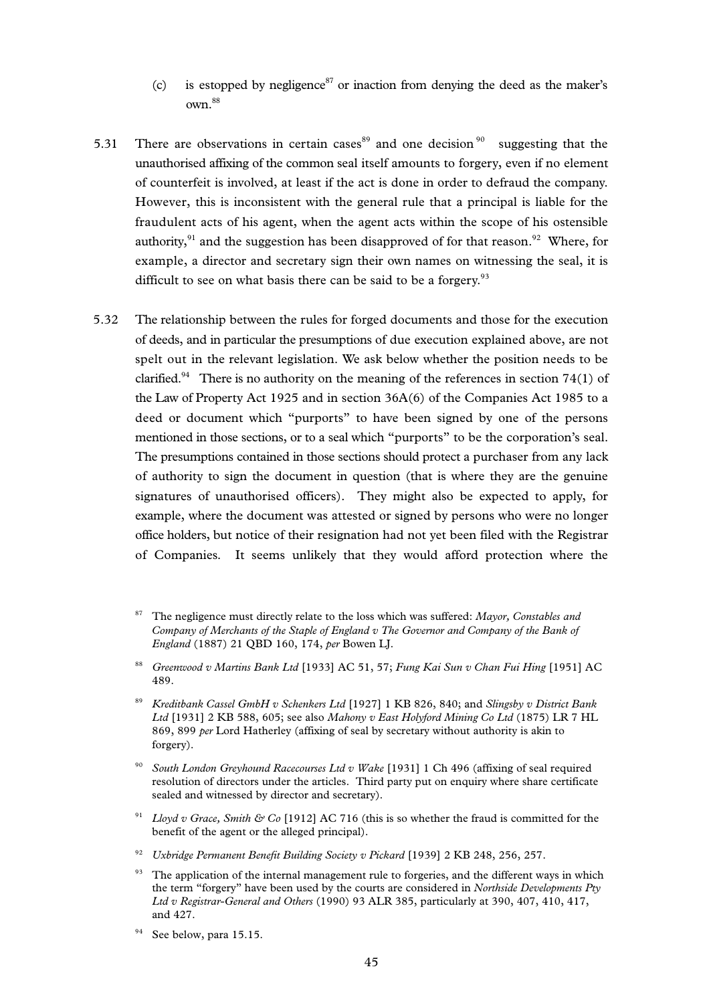- (c) is estopped by negligence $87$  or inaction from denying the deed as the maker's own.<sup>88</sup>
- 5.31 There are observations in certain cases<sup>89</sup> and one decision<sup>90</sup> suggesting that the unauthorised affixing of the common seal itself amounts to forgery, even if no element of counterfeit is involved, at least if the act is done in order to defraud the company. However, this is inconsistent with the general rule that a principal is liable for the fraudulent acts of his agent, when the agent acts within the scope of his ostensible authority,  $91$  and the suggestion has been disapproved of for that reason. <sup>92</sup> Where, for example, a director and secretary sign their own names on witnessing the seal, it is difficult to see on what basis there can be said to be a forgery.<sup>93</sup>
- 5.32 The relationship between the rules for forged documents and those for the execution of deeds, and in particular the presumptions of due execution explained above, are not spelt out in the relevant legislation. We ask below whether the position needs to be clarified.<sup>94</sup> There is no authority on the meaning of the references in section 74(1) of the Law of Property Act 1925 and in section 36A(6) of the Companies Act 1985 to a deed or document which "purports" to have been signed by one of the persons mentioned in those sections, or to a seal which "purports" to be the corporation's seal. The presumptions contained in those sections should protect a purchaser from any lack of authority to sign the document in question (that is where they are the genuine signatures of unauthorised officers). They might also be expected to apply, for example, where the document was attested or signed by persons who were no longer office holders, but notice of their resignation had not yet been filed with the Registrar of Companies. It seems unlikely that they would afford protection where the

- <sup>88</sup> Greenwood v Martins Bank Ltd [1933] AC 51, 57; *Fung Kai Sun v Chan Fui Hing* [1951] AC 489.
- *Kreditbank Cassel GmbH v Schenkers Ltd* [1927] 1 KB 826, 840; and *Slingsby v District Bank Ltd* [1931] 2 KB 588, 605; see also *Mahony v East Holyford Mining Co Ltd* (1875) LR 7 HL 869, 899 *per* Lord Hatherley (affixing of seal by secretary without authority is akin to forgery).
- *South London Greyhound Racecourses Ltd v Wake* [1931] 1 Ch 496 (affixing of seal required resolution of directors under the articles. Third party put on enquiry where share certificate sealed and witnessed by director and secretary).
- *Lloyd v Grace, Smith & Co* [1912] AC 716 (this is so whether the fraud is committed for the benefit of the agent or the alleged principal).

The negligence must directly relate to the loss which was suffered: *Mayor, Constables and* <sup>87</sup> *Company of Merchants of the Staple of England v The Governor and Company of the Bank of England* (1887) 21 QBD 160, 174, *per* Bowen LJ.

<sup>&</sup>lt;sup>92</sup> Uxbridge Permanent Benefit Building Society v Pickard [1939] 2 KB 248, 256, 257.

The application of the internal management rule to forgeries, and the different ways in which the term "forgery" have been used by the courts are considered in *Northside Developments Pty Ltd v Registrar-General and Others* (1990) 93 ALR 385, particularly at 390, 407, 410, 417, and 427.

See below, para 15.15.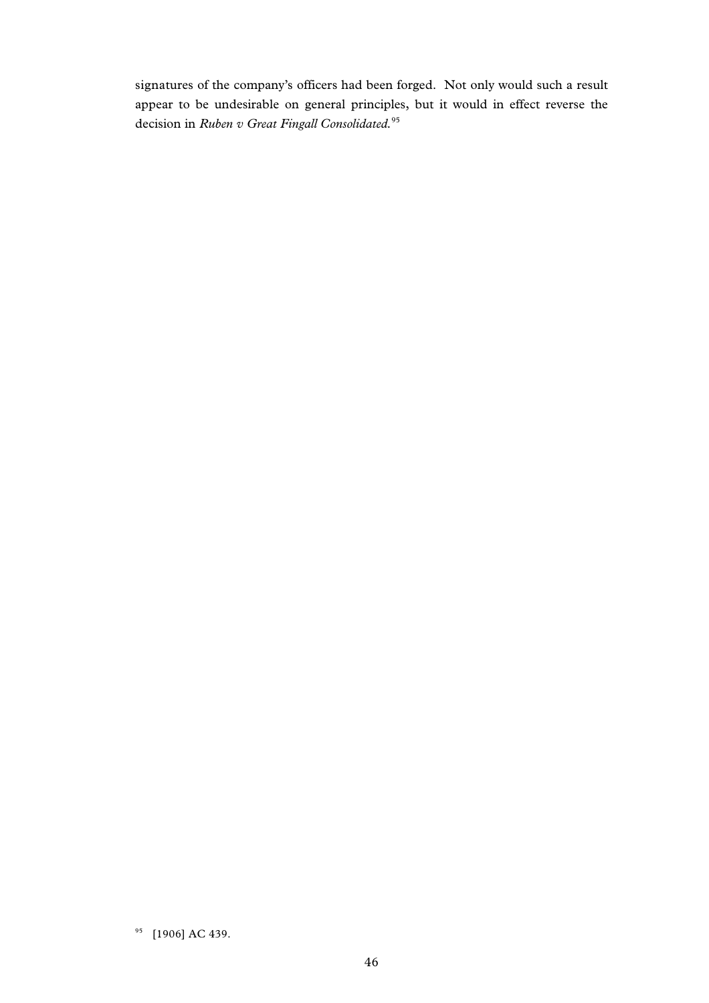signatures of the company's officers had been forged. Not only would such a result appear to be undesirable on general principles, but it would in effect reverse the decision in *Ruben v Great Fingall Consolidated.*<sup>95</sup>

<sup>&</sup>lt;sup>95</sup> [1906] AC 439.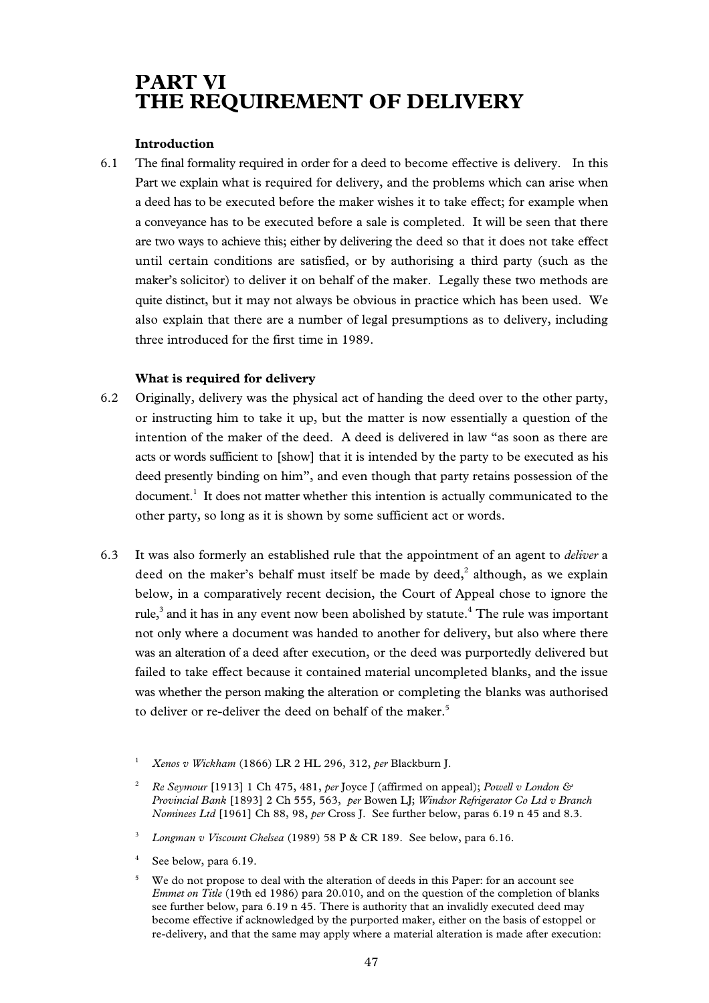# **PART VI THE REQUIREMENT OF DELIVERY**

# **Introduction**

6.1 The final formality required in order for a deed to become effective is delivery. In this Part we explain what is required for delivery, and the problems which can arise when a deed has to be executed before the maker wishes it to take effect; for example when a conveyance has to be executed before a sale is completed. It will be seen that there are two ways to achieve this; either by delivering the deed so that it does not take effect until certain conditions are satisfied, or by authorising a third party (such as the maker's solicitor) to deliver it on behalf of the maker. Legally these two methods are quite distinct, but it may not always be obvious in practice which has been used. We also explain that there are a number of legal presumptions as to delivery, including three introduced for the first time in 1989.

# **What is required for delivery**

- 6.2 Originally, delivery was the physical act of handing the deed over to the other party, or instructing him to take it up, but the matter is now essentially a question of the intention of the maker of the deed. A deed is delivered in law "as soon as there are acts or words sufficient to [show] that it is intended by the party to be executed as his deed presently binding on him", and even though that party retains possession of the  $\alpha$  document.<sup>1</sup> It does not matter whether this intention is actually communicated to the other party, so long as it is shown by some sufficient act or words.
- 6.3 It was also formerly an established rule that the appointment of an agent to *deliver* a deed on the maker's behalf must itself be made by deed,<sup>2</sup> although, as we explain below, in a comparatively recent decision, the Court of Appeal chose to ignore the rule, $3$  and it has in any event now been abolished by statute.<sup>4</sup> The rule was important not only where a document was handed to another for delivery, but also where there was an alteration of a deed after execution, or the deed was purportedly delivered but failed to take effect because it contained material uncompleted blanks, and the issue was whether the person making the alteration or completing the blanks was authorised to deliver or re-deliver the deed on behalf of the maker.<sup>5</sup>

<sup>&</sup>lt;sup>1</sup> *Xenos v Wickham* (1866) LR 2 HL 296, 312, *per Blackburn J.* 

<sup>2</sup> *Re Seymour* [1913] 1 Ch 475, 481, *per* Joyce J (affirmed on appeal); *Powell v London & Provincial Bank* [1893] 2 Ch 555, 563, *per* Bowen LJ; *Windsor Refrigerator Co Ltd v Branch Nominees Ltd* [1961] Ch 88, 98, *per* Cross J. See further below, paras 6.19 n 45 and 8.3.

*Longman v Viscount Chelsea* (1989) 58 P & CR 189. See below, para 6.16. <sup>3</sup>

 $4$  See below, para 6.19.

 $5$  We do not propose to deal with the alteration of deeds in this Paper: for an account see *Emmet on Title* (19th ed 1986) para 20.010, and on the question of the completion of blanks see further below, para 6.19 n 45. There is authority that an invalidly executed deed may become effective if acknowledged by the purported maker, either on the basis of estoppel or re-delivery, and that the same may apply where a material alteration is made after execution: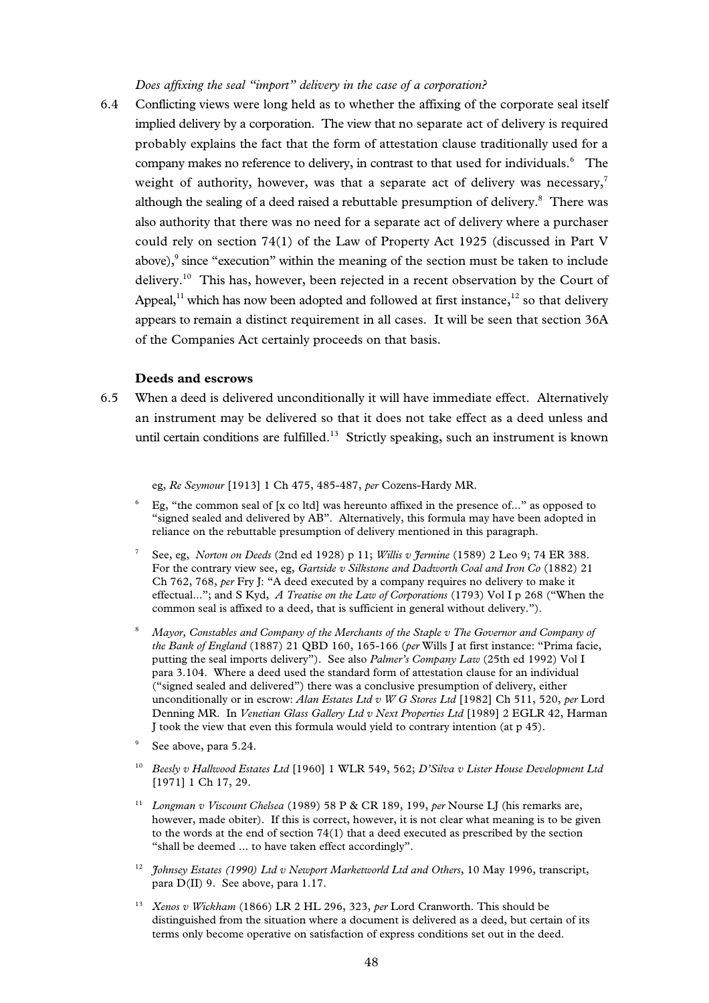*Does affixing the seal "import" delivery in the case of a corporation?*

6.4 Conflicting views were long held as to whether the affixing of the corporate seal itself implied delivery by a corporation. The view that no separate act of delivery is required probably explains the fact that the form of attestation clause traditionally used for a company makes no reference to delivery, in contrast to that used for individuals.<sup>6</sup> The weight of authority, however, was that a separate act of delivery was necessary, $7$ although the sealing of a deed raised a rebuttable presumption of delivery.<sup>8</sup> There was also authority that there was no need for a separate act of delivery where a purchaser could rely on section 74(1) of the Law of Property Act 1925 (discussed in Part V above), $\degree$  since "execution" within the meaning of the section must be taken to include delivery.<sup>10</sup> This has, however, been rejected in a recent observation by the Court of Appeal,<sup>11</sup> which has now been adopted and followed at first instance,  $12$  so that delivery appears to remain a distinct requirement in all cases. It will be seen that section 36A of the Companies Act certainly proceeds on that basis.

### **Deeds and escrows**

6.5 When a deed is delivered unconditionally it will have immediate effect. Alternatively an instrument may be delivered so that it does not take effect as a deed unless and until certain conditions are fulfilled.<sup>13</sup> Strictly speaking, such an instrument is known

eg, *Re Seymour* [1913] 1 Ch 475, 485-487, *per* Cozens-Hardy MR.

- Eg, "the common seal of  $[x \text{ coltd}]$  was hereunto affixed in the presence of..." as opposed to "signed sealed and delivered by AB". Alternatively, this formula may have been adopted in reliance on the rebuttable presumption of delivery mentioned in this paragraph.
- See, eg, *Norton on Deeds* (2nd ed 1928) p 11; *Willis v Jermine* (1589) 2 Leo 9; 74 ER 388. <sup>7</sup> For the contrary view see, eg, *Gartside v Silkstone and Dadworth Coal and Iron Co* (1882) 21 Ch 762, 768, *per* Fry J: "A deed executed by a company requires no delivery to make it effectual..."; and S Kyd, *A Treatise on the Law of Corporations* (1793) Vol I p 268 ("When the common seal is affixed to a deed, that is sufficient in general without delivery.").
- *Mayor, Constables and Company of the Merchants of the Staple v The Governor and Company of* <sup>8</sup> *the Bank of England* (1887) 21 QBD 160, 165-166 (*per* Wills J at first instance: "Prima facie, putting the seal imports delivery"). See also *Palmer's Company Law* (25th ed 1992) Vol I para 3.104. Where a deed used the standard form of attestation clause for an individual ("signed sealed and delivered") there was a conclusive presumption of delivery, either unconditionally or in escrow: *Alan Estates Ltd v W G Stores Ltd* [1982] Ch 511, 520, *per* Lord Denning MR. In *Venetian Glass Gallery Ltd v Next Properties Ltd* [1989] 2 EGLR 42, Harman J took the view that even this formula would yield to contrary intention (at p 45).
- See above, para 5.24.
- *Beesly v Hallwood Estates Ltd* [1960] 1 WLR 549, 562; *D'Silva v Lister House Development Ltd* <sup>10</sup> [1971] 1 Ch 17, 29.
- <sup>11</sup> Longman v Viscount Chelsea (1989) 58 P & CR 189, 199, *per* Nourse LJ (his remarks are, however, made obiter). If this is correct, however, it is not clear what meaning is to be given to the words at the end of section 74(1) that a deed executed as prescribed by the section "shall be deemed ... to have taken effect accordingly".
- <sup>12</sup> *Tohnsey Estates (1990) Ltd v Newport Marketworld Ltd and Others*, 10 May 1996, transcript, para D(II) 9. See above, para 1.17.
- *Xenos v Wickham* (1866) LR 2 HL 296, 323, per Lord Cranworth. This should be distinguished from the situation where a document is delivered as a deed, but certain of its terms only become operative on satisfaction of express conditions set out in the deed.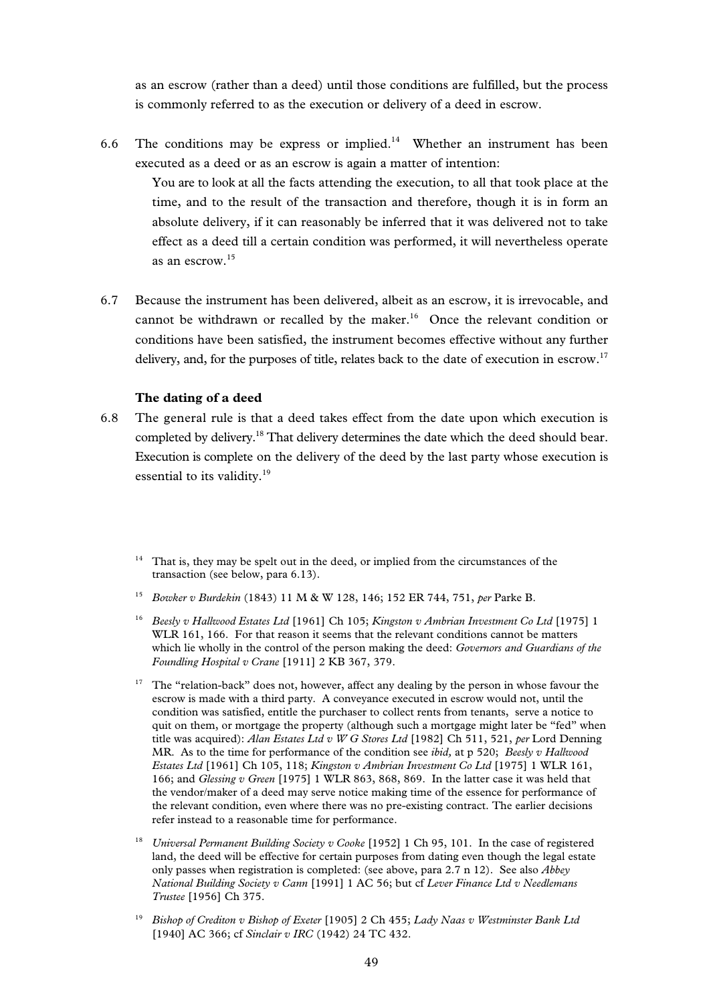as an escrow (rather than a deed) until those conditions are fulfilled, but the process is commonly referred to as the execution or delivery of a deed in escrow.

- 6.6 The conditions may be express or implied.<sup>14</sup> Whether an instrument has been executed as a deed or as an escrow is again a matter of intention: You are to look at all the facts attending the execution, to all that took place at the time, and to the result of the transaction and therefore, though it is in form an absolute delivery, if it can reasonably be inferred that it was delivered not to take effect as a deed till a certain condition was performed, it will nevertheless operate as an escrow.<sup>15</sup>
- 6.7 Because the instrument has been delivered, albeit as an escrow, it is irrevocable, and cannot be withdrawn or recalled by the maker.<sup>16</sup> Once the relevant condition or conditions have been satisfied, the instrument becomes effective without any further delivery, and, for the purposes of title, relates back to the date of execution in escrow.<sup>17</sup>

### **The dating of a deed**

- 6.8 The general rule is that a deed takes effect from the date upon which execution is completed by delivery.<sup>18</sup> That delivery determines the date which the deed should bear. Execution is complete on the delivery of the deed by the last party whose execution is essential to its validity.<sup>19</sup>
	- That is, they may be spelt out in the deed, or implied from the circumstances of the transaction (see below, para 6.13).
	- <sup>15</sup> Bowker v Burdekin (1843) 11 M & W 128, 146; 152 ER 744, 751, per Parke B.
	- <sup>16</sup> Beesly v Hallwood Estates Ltd [1961] Ch 105; *Kingston v Ambrian Investment Co Ltd* [1975] 1 WLR 161, 166. For that reason it seems that the relevant conditions cannot be matters which lie wholly in the control of the person making the deed: *Governors and Guardians of the Foundling Hospital v Crane* [1911] 2 KB 367, 379.
	- <sup>17</sup> The "relation-back" does not, however, affect any dealing by the person in whose favour the escrow is made with a third party. A conveyance executed in escrow would not, until the condition was satisfied, entitle the purchaser to collect rents from tenants, serve a notice to quit on them, or mortgage the property (although such a mortgage might later be "fed" when title was acquired): *Alan Estates Ltd v W G Stores Ltd* [1982] Ch 511, 521, *per* Lord Denning MR. As to the time for performance of the condition see *ibid,* at p 520; *Beesly v Hallwood Estates Ltd* [1961] Ch 105, 118; *Kingston v Ambrian Investment Co Ltd* [1975] 1 WLR 161, 166; and *Glessing v Green* [1975] 1 WLR 863, 868, 869. In the latter case it was held that the vendor/maker of a deed may serve notice making time of the essence for performance of the relevant condition, even where there was no pre-existing contract. The earlier decisions refer instead to a reasonable time for performance.
	- *Universal Permanent Building Society v Cooke* [1952] 1 Ch 95, 101. In the case of registered land, the deed will be effective for certain purposes from dating even though the legal estate only passes when registration is completed: (see above, para 2.7 n 12). See also *Abbey National Building Society v Cann* [1991] 1 AC 56; but cf *Lever Finance Ltd v Needlemans Trustee* [1956] Ch 375.
	- *Bishop of Crediton v Bishop of Exeter* [1905] 2 Ch 455; *Lady Naas v Westminster Bank Ltd* <sup>19</sup> [1940] AC 366; cf *Sinclair v IRC* (1942) 24 TC 432.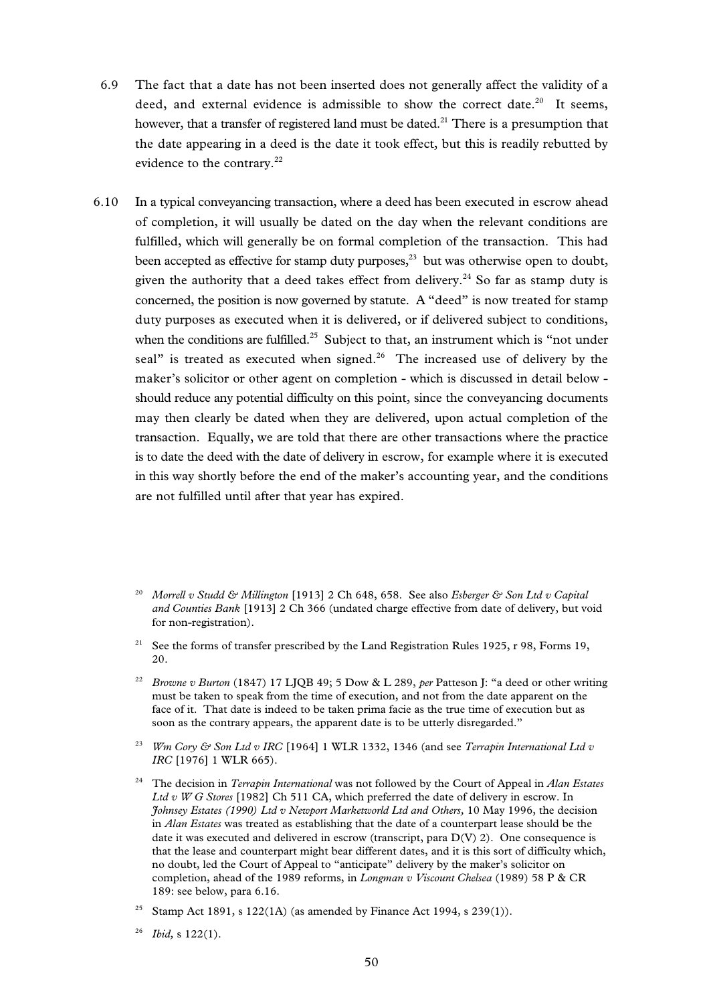- 6.9 The fact that a date has not been inserted does not generally affect the validity of a deed, and external evidence is admissible to show the correct date.<sup>20</sup> It seems, however, that a transfer of registered land must be dated.<sup>21</sup> There is a presumption that the date appearing in a deed is the date it took effect, but this is readily rebutted by evidence to the contrary.<sup>22</sup>
- 6.10 In a typical conveyancing transaction, where a deed has been executed in escrow ahead of completion, it will usually be dated on the day when the relevant conditions are fulfilled, which will generally be on formal completion of the transaction. This had been accepted as effective for stamp duty purposes, $^{23}$  but was otherwise open to doubt, given the authority that a deed takes effect from delivery.<sup>24</sup> So far as stamp duty is concerned, the position is now governed by statute. A "deed" is now treated for stamp duty purposes as executed when it is delivered, or if delivered subject to conditions, when the conditions are fulfilled.<sup>25</sup> Subject to that, an instrument which is "not under seal" is treated as executed when signed.<sup>26</sup> The increased use of delivery by the maker's solicitor or other agent on completion - which is discussed in detail below should reduce any potential difficulty on this point, since the conveyancing documents may then clearly be dated when they are delivered, upon actual completion of the transaction. Equally, we are told that there are other transactions where the practice is to date the deed with the date of delivery in escrow, for example where it is executed in this way shortly before the end of the maker's accounting year, and the conditions are not fulfilled until after that year has expired.
	- <sup>20</sup> Morrell v Studd & Millington [1913] 2 Ch 648, 658. See also *Esberger & Son Ltd v Capital and Counties Bank* [1913] 2 Ch 366 (undated charge effective from date of delivery, but void for non-registration).
	- <sup>21</sup> See the forms of transfer prescribed by the Land Registration Rules 1925, r 98, Forms 19, 20.
	- <sup>22</sup> Browne v Burton (1847) 17 LJQB 49; 5 Dow & L 289, per Patteson J: "a deed or other writing must be taken to speak from the time of execution, and not from the date apparent on the face of it. That date is indeed to be taken prima facie as the true time of execution but as soon as the contrary appears, the apparent date is to be utterly disregarded."
	- <sup>23</sup> *Wm Cory & Son Ltd v IRC* [1964] 1 WLR 1332, 1346 (and see *Terrapin International Ltd v IRC* [1976] 1 WLR 665).
	- The decision in *Terrapin International* was not followed by the Court of Appeal in *Alan Estates* <sup>24</sup> *Ltd v W G Stores* [1982] Ch 511 CA, which preferred the date of delivery in escrow. In *Johnsey Estates (1990) Ltd v Newport Marketworld Ltd and Others,* 10 May 1996, the decision in *Alan Estates* was treated as establishing that the date of a counterpart lease should be the date it was executed and delivered in escrow (transcript, para D(V) 2). One consequence is that the lease and counterpart might bear different dates, and it is this sort of difficulty which, no doubt, led the Court of Appeal to "anticipate" delivery by the maker's solicitor on completion, ahead of the 1989 reforms, in *Longman v Viscount Chelsea* (1989) 58 P & CR 189: see below, para 6.16.
	- <sup>25</sup> Stamp Act 1891, s 122(1A) (as amended by Finance Act 1994, s 239(1)).
	- <sup>26</sup> *Ibid, s* 122(1).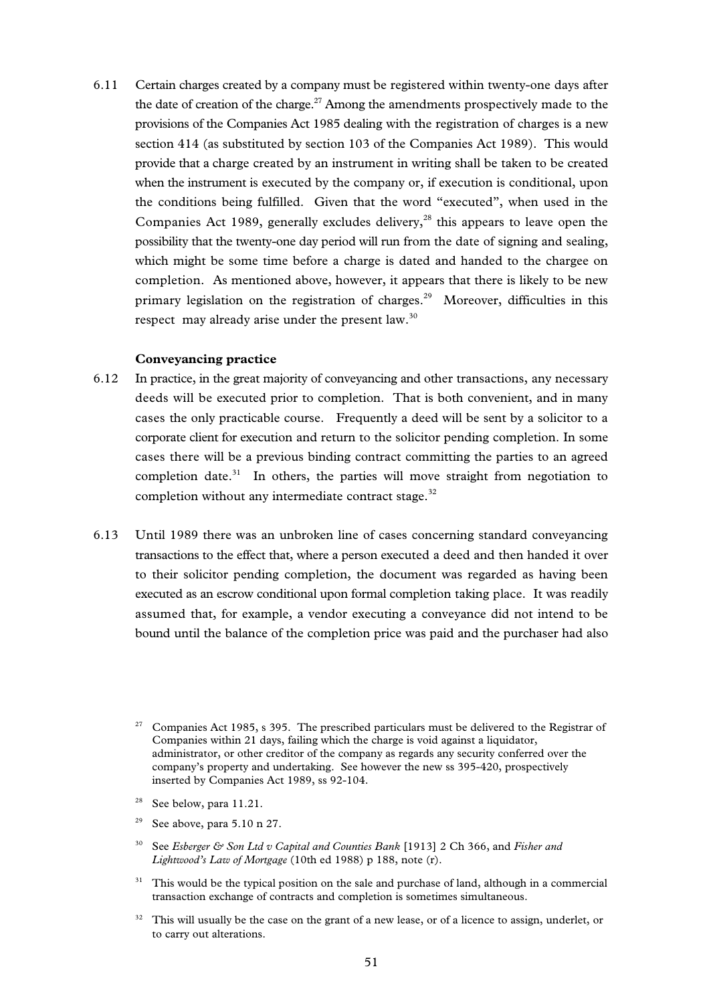6.11 Certain charges created by a company must be registered within twenty-one days after the date of creation of the charge.<sup>27</sup> Among the amendments prospectively made to the provisions of the Companies Act 1985 dealing with the registration of charges is a new section 414 (as substituted by section 103 of the Companies Act 1989). This would provide that a charge created by an instrument in writing shall be taken to be created when the instrument is executed by the company or, if execution is conditional, upon the conditions being fulfilled. Given that the word "executed", when used in the Companies Act 1989, generally excludes delivery, $^{28}$  this appears to leave open the possibility that the twenty-one day period will run from the date of signing and sealing, which might be some time before a charge is dated and handed to the chargee on completion. As mentioned above, however, it appears that there is likely to be new primary legislation on the registration of charges.<sup>29</sup> Moreover, difficulties in this respect may already arise under the present law.<sup>30</sup>

### **Conveyancing practice**

- 6.12 In practice, in the great majority of conveyancing and other transactions, any necessary deeds will be executed prior to completion. That is both convenient, and in many cases the only practicable course. Frequently a deed will be sent by a solicitor to a corporate client for execution and return to the solicitor pending completion. In some cases there will be a previous binding contract committing the parties to an agreed completion date. $31$  In others, the parties will move straight from negotiation to completion without any intermediate contract stage. $32$
- 6.13 Until 1989 there was an unbroken line of cases concerning standard conveyancing transactions to the effect that, where a person executed a deed and then handed it over to their solicitor pending completion, the document was regarded as having been executed as an escrow conditional upon formal completion taking place. It was readily assumed that, for example, a vendor executing a conveyance did not intend to be bound until the balance of the completion price was paid and the purchaser had also

- $28$  See below, para 11.21.
- <sup>29</sup> See above, para  $5.10 \text{ n } 27$ .
- <sup>30</sup> See *Esberger & Son Ltd v Capital and Counties Bank* [1913] 2 Ch 366, and *Fisher and Lightwood's Law of Mortgage* (10th ed 1988) p 188, note (r).
- $31$  This would be the typical position on the sale and purchase of land, although in a commercial transaction exchange of contracts and completion is sometimes simultaneous.
- This will usually be the case on the grant of a new lease, or of a licence to assign, underlet, or to carry out alterations.

Companies Act 1985, s 395. The prescribed particulars must be delivered to the Registrar of Companies within 21 days, failing which the charge is void against a liquidator, administrator, or other creditor of the company as regards any security conferred over the company's property and undertaking. See however the new ss 395-420, prospectively inserted by Companies Act 1989, ss 92-104.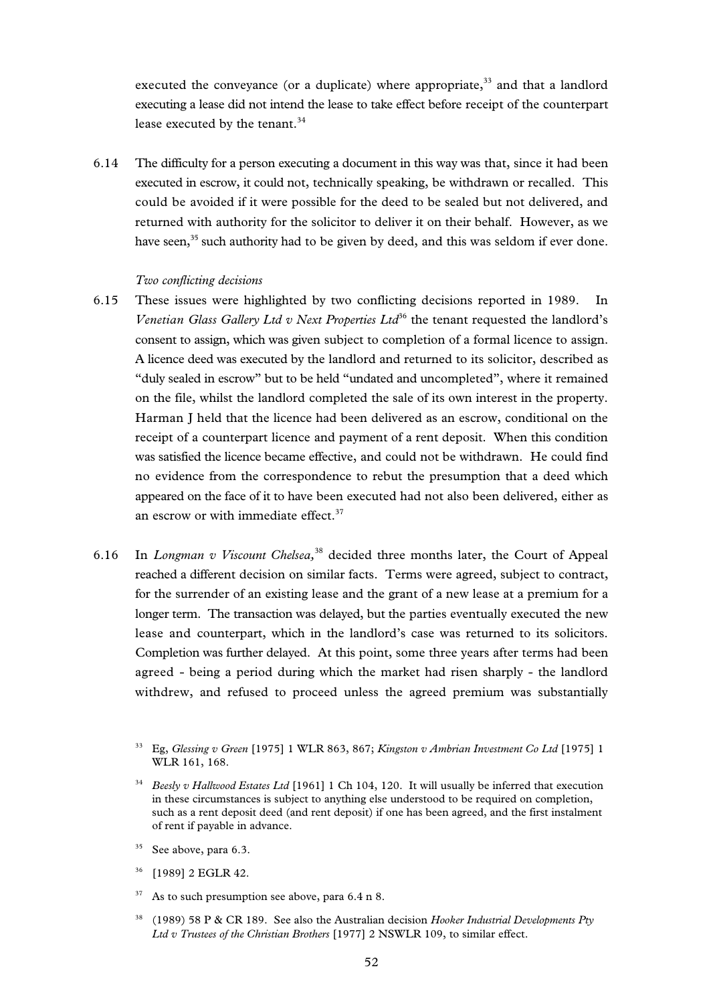executed the conveyance (or a duplicate) where appropriate, $33$  and that a landlord executing a lease did not intend the lease to take effect before receipt of the counterpart lease executed by the tenant.<sup>34</sup>

6.14 The difficulty for a person executing a document in this way was that, since it had been executed in escrow, it could not, technically speaking, be withdrawn or recalled. This could be avoided if it were possible for the deed to be sealed but not delivered, and returned with authority for the solicitor to deliver it on their behalf. However, as we have seen, $35$  such authority had to be given by deed, and this was seldom if ever done.

#### *Two conflicting decisions*

- 6.15 These issues were highlighted by two conflicting decisions reported in 1989. In Venetian Glass Gallery Ltd v Next Properties Ltd<sup>36</sup> the tenant requested the landlord's consent to assign, which was given subject to completion of a formal licence to assign. A licence deed was executed by the landlord and returned to its solicitor, described as "duly sealed in escrow" but to be held "undated and uncompleted", where it remained on the file, whilst the landlord completed the sale of its own interest in the property. Harman J held that the licence had been delivered as an escrow, conditional on the receipt of a counterpart licence and payment of a rent deposit. When this condition was satisfied the licence became effective, and could not be withdrawn. He could find no evidence from the correspondence to rebut the presumption that a deed which appeared on the face of it to have been executed had not also been delivered, either as an escrow or with immediate effect.<sup>37</sup>
- 6.16 In *Longman v Viscount Chelsea*,<sup>38</sup> decided three months later, the Court of Appeal reached a different decision on similar facts. Terms were agreed, subject to contract, for the surrender of an existing lease and the grant of a new lease at a premium for a longer term. The transaction was delayed, but the parties eventually executed the new lease and counterpart, which in the landlord's case was returned to its solicitors. Completion was further delayed. At this point, some three years after terms had been agreed - being a period during which the market had risen sharply - the landlord withdrew, and refused to proceed unless the agreed premium was substantially

- $35$  See above, para 6.3.
- <sup>36</sup> [1989] 2 EGLR 42.

 $37$  As to such presumption see above, para 6.4 n 8.

(1989) 58 P & CR 189. See also the Australian decision *Hooker Industrial Developments Pty* <sup>38</sup> *Ltd v Trustees of the Christian Brothers* [1977] 2 NSWLR 109, to similar effect.

Eg, *Glessing v Green* [1975] 1 WLR 863, 867; *Kingston v Ambrian Investment Co Ltd* [1975] 1 WLR 161, 168.

<sup>&</sup>lt;sup>34</sup> Beesly v Hallwood Estates Ltd [1961] 1 Ch 104, 120. It will usually be inferred that execution in these circumstances is subject to anything else understood to be required on completion, such as a rent deposit deed (and rent deposit) if one has been agreed, and the first instalment of rent if payable in advance.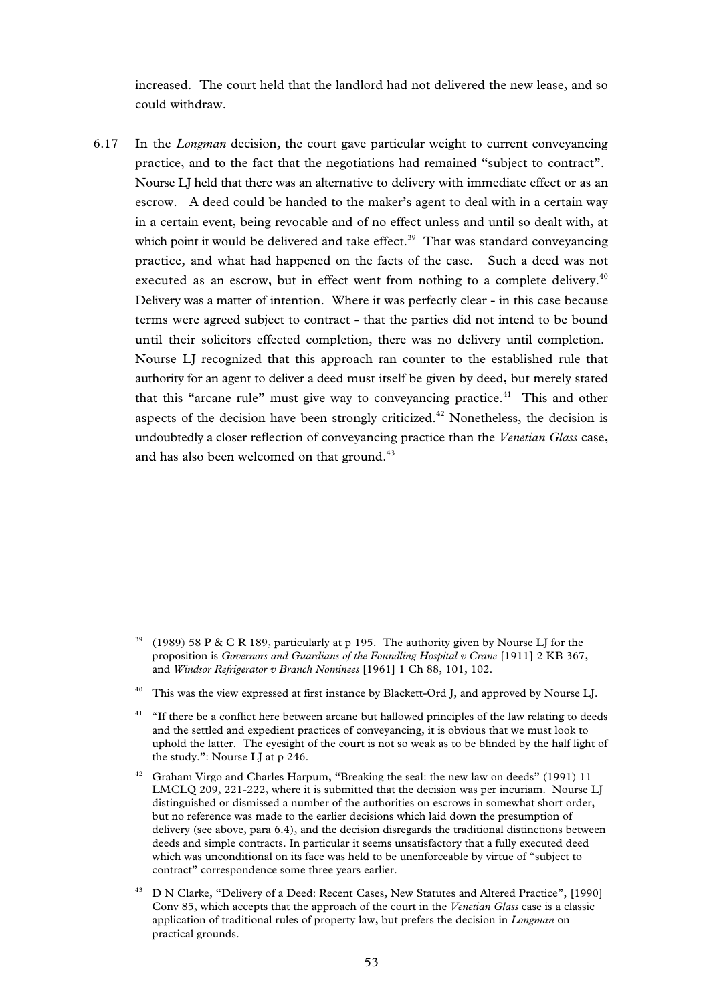increased. The court held that the landlord had not delivered the new lease, and so could withdraw.

6.17 In the *Longman* decision, the court gave particular weight to current conveyancing practice, and to the fact that the negotiations had remained "subject to contract". Nourse LJ held that there was an alternative to delivery with immediate effect or as an escrow. A deed could be handed to the maker's agent to deal with in a certain way in a certain event, being revocable and of no effect unless and until so dealt with, at which point it would be delivered and take effect.<sup>39</sup> That was standard conveyancing practice, and what had happened on the facts of the case. Such a deed was not executed as an escrow, but in effect went from nothing to a complete delivery.<sup>40</sup> Delivery was a matter of intention. Where it was perfectly clear - in this case because terms were agreed subject to contract - that the parties did not intend to be bound until their solicitors effected completion, there was no delivery until completion. Nourse LJ recognized that this approach ran counter to the established rule that authority for an agent to deliver a deed must itself be given by deed, but merely stated that this "arcane rule" must give way to conveyancing practice.<sup>41</sup> This and other aspects of the decision have been strongly criticized.<sup>42</sup> Nonetheless, the decision is undoubtedly a closer reflection of conveyancing practice than the *Venetian Glass* case, and has also been welcomed on that ground.<sup>43</sup>

- (1989) 58 P & C R 189, particularly at p 195. The authority given by Nourse LJ for the proposition is *Governors and Guardians of the Foundling Hospital v Crane* [1911] 2 KB 367, and *Windsor Refrigerator v Branch Nominees* [1961] 1 Ch 88, 101, 102.
- $40$  This was the view expressed at first instance by Blackett-Ord J, and approved by Nourse LJ.
- <sup>41</sup> "If there be a conflict here between arcane but hallowed principles of the law relating to deeds and the settled and expedient practices of conveyancing, it is obvious that we must look to uphold the latter. The eyesight of the court is not so weak as to be blinded by the half light of the study.": Nourse LJ at p 246.
- Graham Virgo and Charles Harpum, "Breaking the seal: the new law on deeds" (1991) 11 LMCLQ 209, 221-222, where it is submitted that the decision was per incuriam. Nourse LJ distinguished or dismissed a number of the authorities on escrows in somewhat short order, but no reference was made to the earlier decisions which laid down the presumption of delivery (see above, para 6.4), and the decision disregards the traditional distinctions between deeds and simple contracts. In particular it seems unsatisfactory that a fully executed deed which was unconditional on its face was held to be unenforceable by virtue of "subject to contract" correspondence some three years earlier.
- D N Clarke, "Delivery of a Deed: Recent Cases, New Statutes and Altered Practice", [1990] Conv 85, which accepts that the approach of the court in the *Venetian Glass* case is a classic application of traditional rules of property law, but prefers the decision in *Longman* on practical grounds.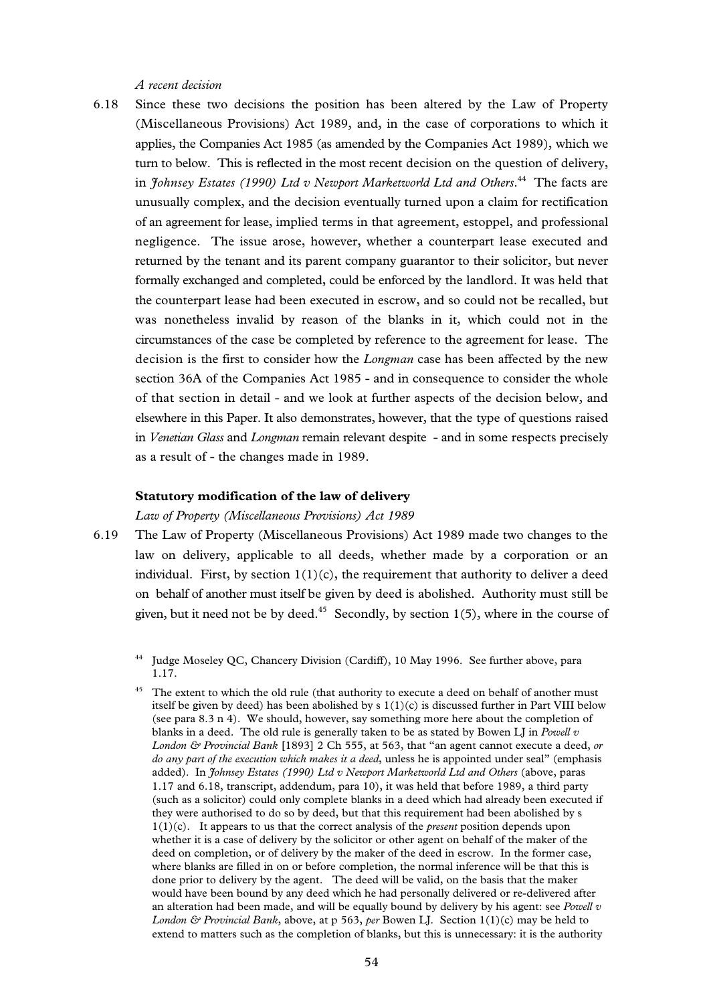*A recent decision*

6.18 Since these two decisions the position has been altered by the Law of Property (Miscellaneous Provisions) Act 1989, and, in the case of corporations to which it applies, the Companies Act 1985 (as amended by the Companies Act 1989), which we turn to below. This is reflected in the most recent decision on the question of delivery, in *Johnsey Estates (1990) Ltd v Newport Marketworld Ltd and Others.*<sup>44</sup> The facts are unusually complex, and the decision eventually turned upon a claim for rectification of an agreement for lease, implied terms in that agreement, estoppel, and professional negligence. The issue arose, however, whether a counterpart lease executed and returned by the tenant and its parent company guarantor to their solicitor, but never formally exchanged and completed, could be enforced by the landlord. It was held that the counterpart lease had been executed in escrow, and so could not be recalled, but was nonetheless invalid by reason of the blanks in it, which could not in the circumstances of the case be completed by reference to the agreement for lease. The decision is the first to consider how the *Longman* case has been affected by the new section 36A of the Companies Act 1985 - and in consequence to consider the whole of that section in detail - and we look at further aspects of the decision below, and elsewhere in this Paper. It also demonstrates, however, that the type of questions raised in *Venetian Glass* and *Longman* remain relevant despite - and in some respects precisely as a result of - the changes made in 1989.

#### **Statutory modification of the law of delivery**

#### *Law of Property (Miscellaneous Provisions) Act 1989*

6.19 The Law of Property (Miscellaneous Provisions) Act 1989 made two changes to the law on delivery, applicable to all deeds, whether made by a corporation or an individual. First, by section  $1(1)(c)$ , the requirement that authority to deliver a deed on behalf of another must itself be given by deed is abolished. Authority must still be given, but it need not be by deed.<sup>45</sup> Secondly, by section  $1(5)$ , where in the course of

<sup>&</sup>lt;sup>44</sup> Judge Moseley QC, Chancery Division (Cardiff), 10 May 1996. See further above, para 1.17.

The extent to which the old rule (that authority to execute a deed on behalf of another must itself be given by deed) has been abolished by  $s \ 1(1)(c)$  is discussed further in Part VIII below (see para 8.3 n 4). We should, however, say something more here about the completion of blanks in a deed. The old rule is generally taken to be as stated by Bowen LJ in *Powell v London & Provincial Bank* [1893] 2 Ch 555, at 563, that "an agent cannot execute a deed, *or do any part of the execution which makes it a deed*, unless he is appointed under seal" (emphasis added). In *Johnsey Estates (1990) Ltd v Newport Marketworld Ltd and Others* (above, paras 1.17 and 6.18, transcript, addendum, para 10), it was held that before 1989, a third party (such as a solicitor) could only complete blanks in a deed which had already been executed if they were authorised to do so by deed, but that this requirement had been abolished by s 1(1)(c). It appears to us that the correct analysis of the *present* position depends upon whether it is a case of delivery by the solicitor or other agent on behalf of the maker of the deed on completion, or of delivery by the maker of the deed in escrow. In the former case, where blanks are filled in on or before completion, the normal inference will be that this is done prior to delivery by the agent. The deed will be valid, on the basis that the maker would have been bound by any deed which he had personally delivered or re-delivered after an alteration had been made, and will be equally bound by delivery by his agent: see *Powell v London & Provincial Bank*, above, at p 563, *per* Bowen LJ. Section 1(1)(c) may be held to extend to matters such as the completion of blanks, but this is unnecessary: it is the authority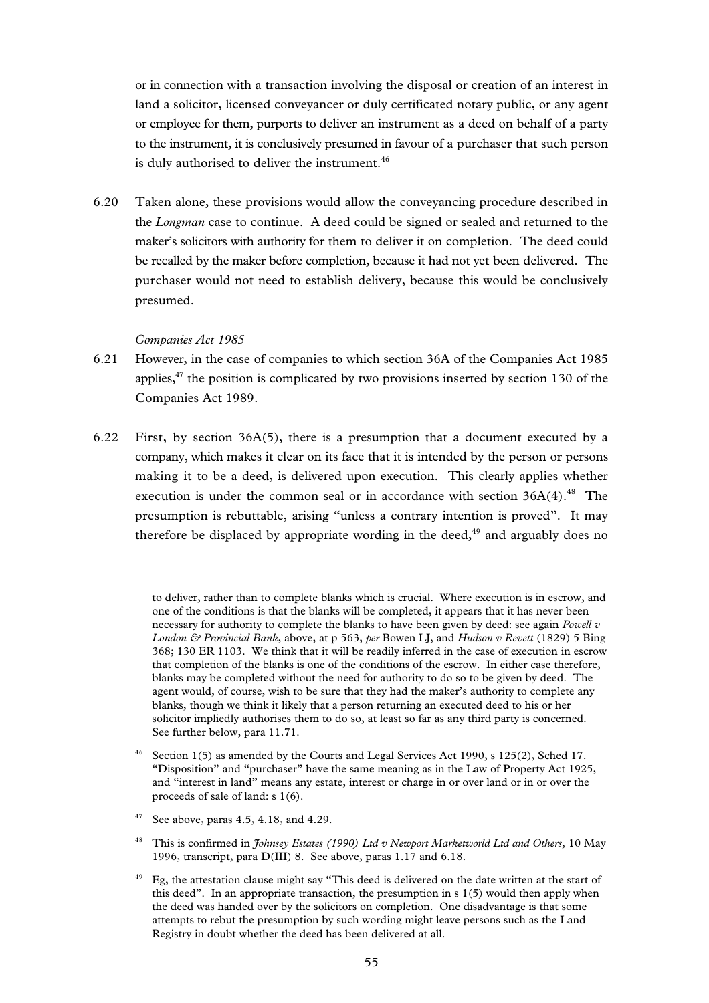or in connection with a transaction involving the disposal or creation of an interest in land a solicitor, licensed conveyancer or duly certificated notary public, or any agent or employee for them, purports to deliver an instrument as a deed on behalf of a party to the instrument, it is conclusively presumed in favour of a purchaser that such person is duly authorised to deliver the instrument.<sup>46</sup>

6.20 Taken alone, these provisions would allow the conveyancing procedure described in the *Longman* case to continue. A deed could be signed or sealed and returned to the maker's solicitors with authority for them to deliver it on completion. The deed could be recalled by the maker before completion, because it had not yet been delivered. The purchaser would not need to establish delivery, because this would be conclusively presumed.

#### *Companies Act 1985*

- 6.21 However, in the case of companies to which section 36A of the Companies Act 1985 applies,  $\frac{4}{7}$  the position is complicated by two provisions inserted by section 130 of the Companies Act 1989.
- 6.22 First, by section  $36A(5)$ , there is a presumption that a document executed by a company, which makes it clear on its face that it is intended by the person or persons making it to be a deed, is delivered upon execution. This clearly applies whether execution is under the common seal or in accordance with section  $36A(4).$ <sup>48</sup> The presumption is rebuttable, arising "unless a contrary intention is proved". It may therefore be displaced by appropriate wording in the deed, $49$  and arguably does no

to deliver, rather than to complete blanks which is crucial. Where execution is in escrow, and one of the conditions is that the blanks will be completed, it appears that it has never been necessary for authority to complete the blanks to have been given by deed: see again *Powell v London & Provincial Bank*, above, at p 563, *per* Bowen LJ, and *Hudson v Revett* (1829) 5 Bing 368; 130 ER 1103. We think that it will be readily inferred in the case of execution in escrow that completion of the blanks is one of the conditions of the escrow. In either case therefore, blanks may be completed without the need for authority to do so to be given by deed. The agent would, of course, wish to be sure that they had the maker's authority to complete any blanks, though we think it likely that a person returning an executed deed to his or her solicitor impliedly authorises them to do so, at least so far as any third party is concerned. See further below, para 11.71.

- <sup>46</sup> Section 1(5) as amended by the Courts and Legal Services Act 1990, s 125(2), Sched 17. "Disposition" and "purchaser" have the same meaning as in the Law of Property Act 1925, and "interest in land" means any estate, interest or charge in or over land or in or over the proceeds of sale of land: s 1(6).
- <sup>47</sup> See above, paras  $4.5$ ,  $4.18$ , and  $4.29$ .
- <sup>48</sup> This is confirmed in *Johnsey Estates (1990) Ltd v Newport Marketworld Ltd and Others*, 10 May 1996, transcript, para D(III) 8. See above, paras 1.17 and 6.18.
- Eg, the attestation clause might say "This deed is delivered on the date written at the start of this deed". In an appropriate transaction, the presumption in s 1(5) would then apply when the deed was handed over by the solicitors on completion. One disadvantage is that some attempts to rebut the presumption by such wording might leave persons such as the Land Registry in doubt whether the deed has been delivered at all.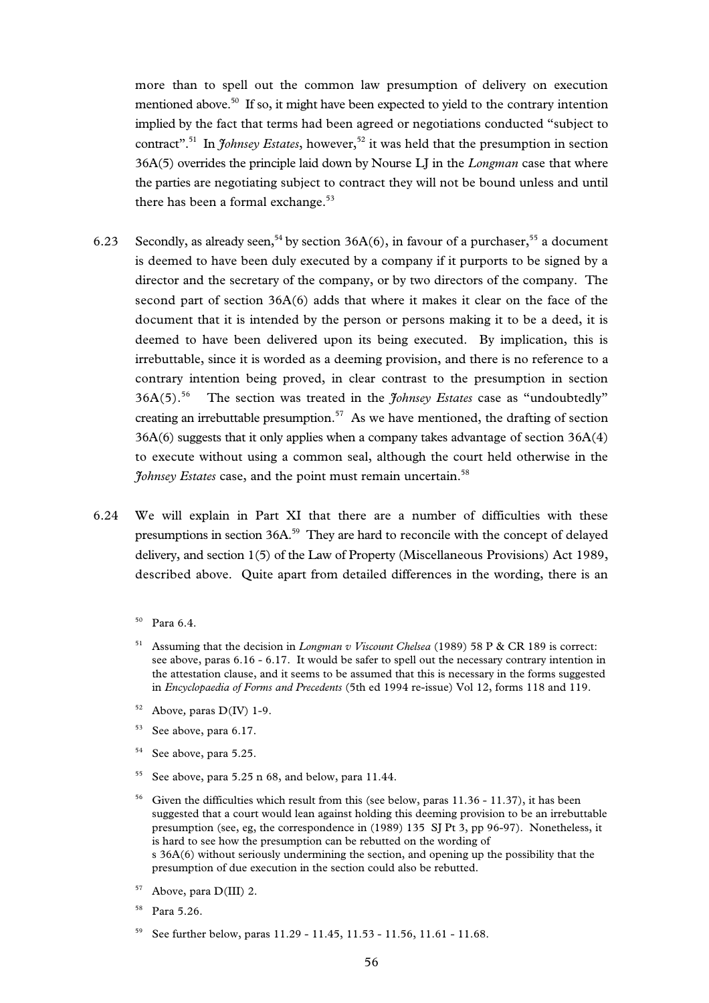more than to spell out the common law presumption of delivery on execution mentioned above.<sup>50</sup> If so, it might have been expected to yield to the contrary intention implied by the fact that terms had been agreed or negotiations conducted "subject to contract".<sup>51</sup> In *Johnsey Estates*, however,<sup>52</sup> it was held that the presumption in section 36A(5) overrides the principle laid down by Nourse LJ in the *Longman* case that where the parties are negotiating subject to contract they will not be bound unless and until there has been a formal exchange. $53$ 

- 6.23 Secondly, as already seen,<sup>54</sup> by section 36A(6), in favour of a purchaser,<sup>55</sup> a document is deemed to have been duly executed by a company if it purports to be signed by a director and the secretary of the company, or by two directors of the company. The second part of section 36A(6) adds that where it makes it clear on the face of the document that it is intended by the person or persons making it to be a deed, it is deemed to have been delivered upon its being executed. By implication, this is irrebuttable, since it is worded as a deeming provision, and there is no reference to a contrary intention being proved, in clear contrast to the presumption in section 36A(5). The section was treated in the *Johnsey Estates* case as "undoubtedly" 56 creating an irrebuttable presumption.<sup>57</sup> As we have mentioned, the drafting of section  $36A(6)$  suggests that it only applies when a company takes advantage of section  $36A(4)$ to execute without using a common seal, although the court held otherwise in the *Johnsey Estates* case, and the point must remain uncertain.<sup>58</sup>
- 6.24 We will explain in Part XI that there are a number of difficulties with these presumptions in section  $36A$ <sup>59</sup>. They are hard to reconcile with the concept of delayed delivery, and section 1(5) of the Law of Property (Miscellaneous Provisions) Act 1989, described above. Quite apart from detailed differences in the wording, there is an
	- $50$  Para 6.4.
	- <sup>51</sup> Assuming that the decision in *Longman v Viscount Chelsea* (1989) 58 P & CR 189 is correct: see above, paras 6.16 - 6.17. It would be safer to spell out the necessary contrary intention in the attestation clause, and it seems to be assumed that this is necessary in the forms suggested in *Encyclopaedia of Forms and Precedents* (5th ed 1994 re-issue) Vol 12, forms 118 and 119.
	- <sup>52</sup> Above, paras D(IV) 1-9.
	- $53$  See above, para 6.17.
	- $54$  See above, para 5.25.
	- $55$  See above, para 5.25 n 68, and below, para 11.44.
	- $56$  Given the difficulties which result from this (see below, paras 11.36 11.37), it has been suggested that a court would lean against holding this deeming provision to be an irrebuttable presumption (see, eg, the correspondence in (1989) 135 SJ Pt 3, pp 96-97). Nonetheless, it is hard to see how the presumption can be rebutted on the wording of s 36A(6) without seriously undermining the section, and opening up the possibility that the presumption of due execution in the section could also be rebutted.
	- $57$  Above, para D(III) 2.
	- $58$  Para 5.26.
	- See further below, paras 11.29 11.45, 11.53 11.56, 11.61 11.68.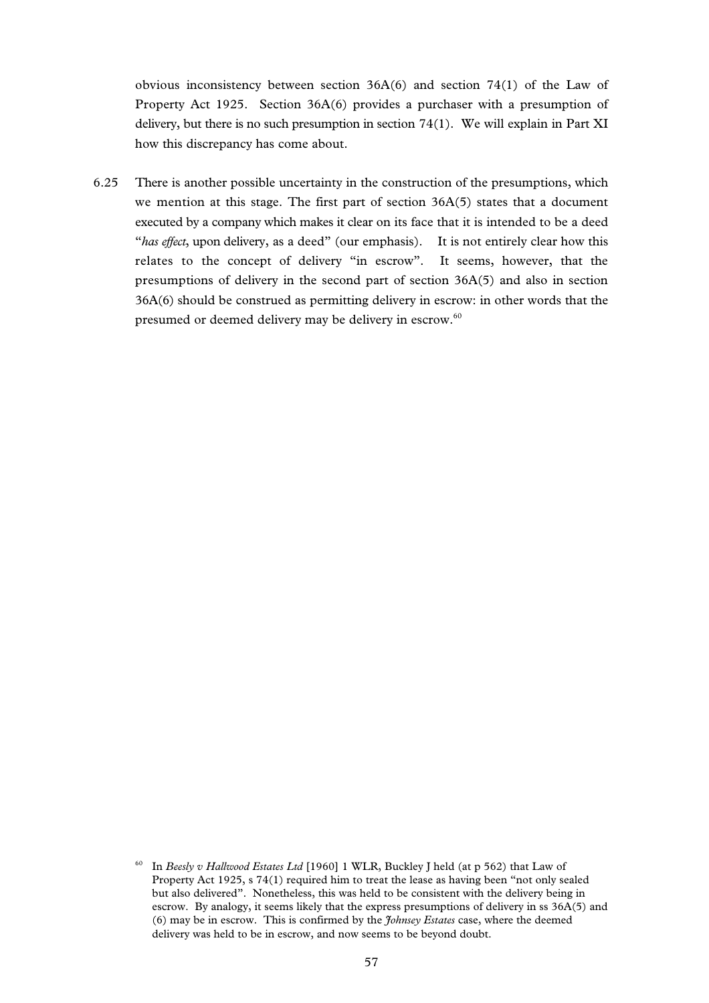obvious inconsistency between section 36A(6) and section 74(1) of the Law of Property Act 1925. Section 36A(6) provides a purchaser with a presumption of delivery, but there is no such presumption in section 74(1). We will explain in Part XI how this discrepancy has come about.

6.25 There is another possible uncertainty in the construction of the presumptions, which we mention at this stage. The first part of section 36A(5) states that a document executed by a company which makes it clear on its face that it is intended to be a deed "*has effect*, upon delivery, as a deed" (our emphasis). It is not entirely clear how this relates to the concept of delivery "in escrow". It seems, however, that the presumptions of delivery in the second part of section 36A(5) and also in section 36A(6) should be construed as permitting delivery in escrow: in other words that the presumed or deemed delivery may be delivery in escrow.<sup>60</sup>

<sup>&</sup>lt;sup>60</sup> In *Beesly v Hallwood Estates Ltd* [1960] 1 WLR, Buckley J held (at p 562) that Law of Property Act 1925, s 74(1) required him to treat the lease as having been "not only sealed but also delivered". Nonetheless, this was held to be consistent with the delivery being in escrow. By analogy, it seems likely that the express presumptions of delivery in ss 36A(5) and (6) may be in escrow. This is confirmed by the *Johnsey Estates* case, where the deemed delivery was held to be in escrow, and now seems to be beyond doubt.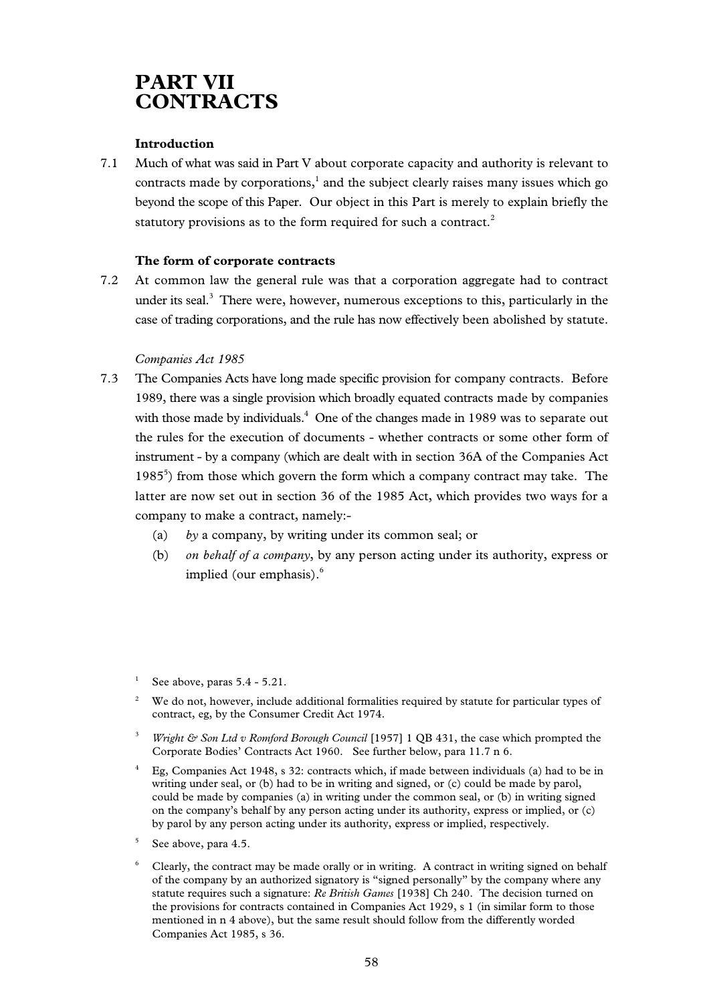# **PART VII CONTRACTS**

# **Introduction**

7.1 Much of what was said in Part V about corporate capacity and authority is relevant to contracts made by corporations, $\frac{1}{2}$  and the subject clearly raises many issues which go beyond the scope of this Paper. Our object in this Part is merely to explain briefly the statutory provisions as to the form required for such a contract. $<sup>2</sup>$ </sup>

# **The form of corporate contracts**

7.2 At common law the general rule was that a corporation aggregate had to contract under its seal.<sup>3</sup> There were, however, numerous exceptions to this, particularly in the case of trading corporations, and the rule has now effectively been abolished by statute.

### *Companies Act 1985*

- 7.3 The Companies Acts have long made specific provision for company contracts. Before 1989, there was a single provision which broadly equated contracts made by companies with those made by individuals. $4$  One of the changes made in 1989 was to separate out the rules for the execution of documents - whether contracts or some other form of instrument - by a company (which are dealt with in section 36A of the Companies Act 1985 $^5$ ) from those which govern the form which a company contract may take. The latter are now set out in section 36 of the 1985 Act, which provides two ways for a company to make a contract, namely:-
	- (a) *by* a company, by writing under its common seal; or
	- (b) *on behalf of a company*, by any person acting under its authority, express or implied (our emphasis). $<sup>6</sup>$ </sup>
	- See above, paras 5.4 5.21.
	- <sup>2</sup> We do not, however, include additional formalities required by statute for particular types of contract, eg, by the Consumer Credit Act 1974.
	- *Wright & Son Ltd v Romford Borough Council* [1957] 1 OB 431, the case which prompted the Corporate Bodies' Contracts Act 1960. See further below, para 11.7 n 6.
	- Eg, Companies Act 1948, s 32: contracts which, if made between individuals (a) had to be in <sup>4</sup> writing under seal, or (b) had to be in writing and signed, or (c) could be made by parol, could be made by companies (a) in writing under the common seal, or (b) in writing signed on the company's behalf by any person acting under its authority, express or implied, or (c) by parol by any person acting under its authority, express or implied, respectively.
	- See above, para 4.5.
	- Clearly, the contract may be made orally or in writing. A contract in writing signed on behalf <sup>6</sup> of the company by an authorized signatory is "signed personally" by the company where any statute requires such a signature: *Re British Games* [1938] Ch 240. The decision turned on the provisions for contracts contained in Companies Act 1929, s 1 (in similar form to those mentioned in n 4 above), but the same result should follow from the differently worded Companies Act 1985, s 36.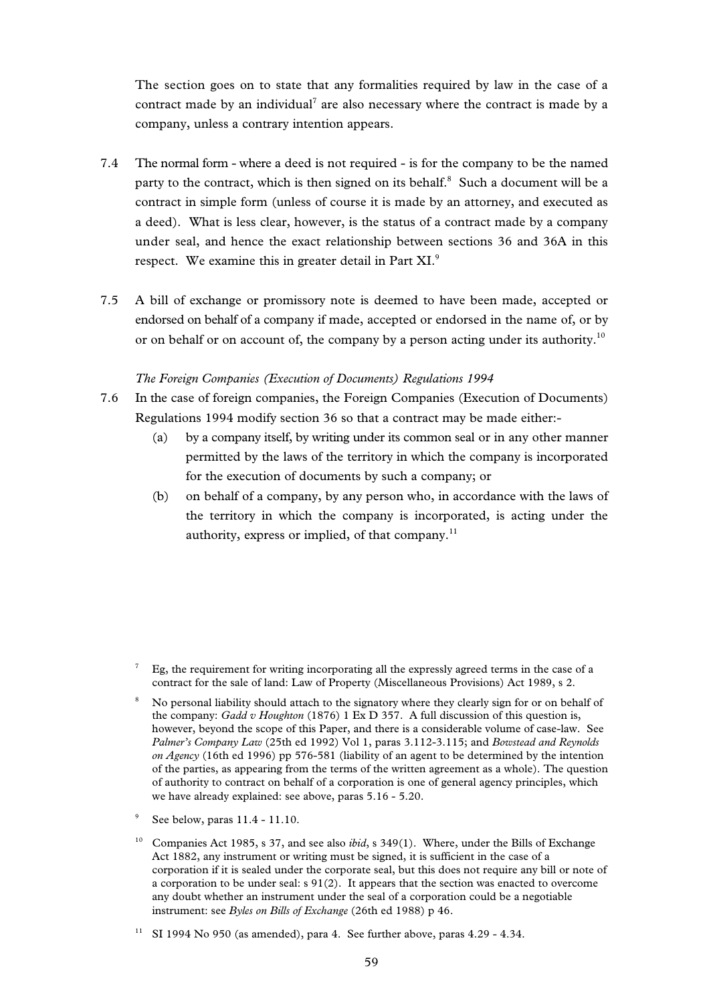The section goes on to state that any formalities required by law in the case of a contract made by an individual<sup>7</sup> are also necessary where the contract is made by a company, unless a contrary intention appears.

- 7.4 The normal form where a deed is not required is for the company to be the named party to the contract, which is then signed on its behalf. $\delta$  Such a document will be a contract in simple form (unless of course it is made by an attorney, and executed as a deed). What is less clear, however, is the status of a contract made by a company under seal, and hence the exact relationship between sections 36 and 36A in this respect. We examine this in greater detail in Part XI.<sup>9</sup>
- 7.5 A bill of exchange or promissory note is deemed to have been made, accepted or endorsed on behalf of a company if made, accepted or endorsed in the name of, or by or on behalf or on account of, the company by a person acting under its authority.<sup>10</sup>

# *The Foreign Companies (Execution of Documents) Regulations 1994*

- 7.6 In the case of foreign companies, the Foreign Companies (Execution of Documents) Regulations 1994 modify section 36 so that a contract may be made either:-
	- (a) by a company itself, by writing under its common seal or in any other manner permitted by the laws of the territory in which the company is incorporated for the execution of documents by such a company; or
	- (b) on behalf of a company, by any person who, in accordance with the laws of the territory in which the company is incorporated, is acting under the authority, express or implied, of that company. $^{11}$

- Eg, the requirement for writing incorporating all the expressly agreed terms in the case of a <sup>7</sup> contract for the sale of land: Law of Property (Miscellaneous Provisions) Act 1989, s 2.
- No personal liability should attach to the signatory where they clearly sign for or on behalf of <sup>8</sup> the company: *Gadd v Houghton* (1876) 1 Ex D 357. A full discussion of this question is, however, beyond the scope of this Paper, and there is a considerable volume of case-law. See *Palmer's Company Law* (25th ed 1992) Vol 1, paras 3.112-3.115; and *Bowstead and Reynolds on Agency* (16th ed 1996) pp 576-581 (liability of an agent to be determined by the intention of the parties, as appearing from the terms of the written agreement as a whole). The question of authority to contract on behalf of a corporation is one of general agency principles, which we have already explained: see above, paras 5.16 - 5.20.
- $\degree$  See below, paras 11.4 11.10.
- <sup>10</sup> Companies Act 1985, s 37, and see also *ibid*, s 349(1). Where, under the Bills of Exchange Act 1882, any instrument or writing must be signed, it is sufficient in the case of a corporation if it is sealed under the corporate seal, but this does not require any bill or note of a corporation to be under seal:  $s \theta(2)$ . It appears that the section was enacted to overcome any doubt whether an instrument under the seal of a corporation could be a negotiable instrument: see *Byles on Bills of Exchange* (26th ed 1988) p 46.
- SI 1994 No 950 (as amended), para 4. See further above, paras 4.29 4.34.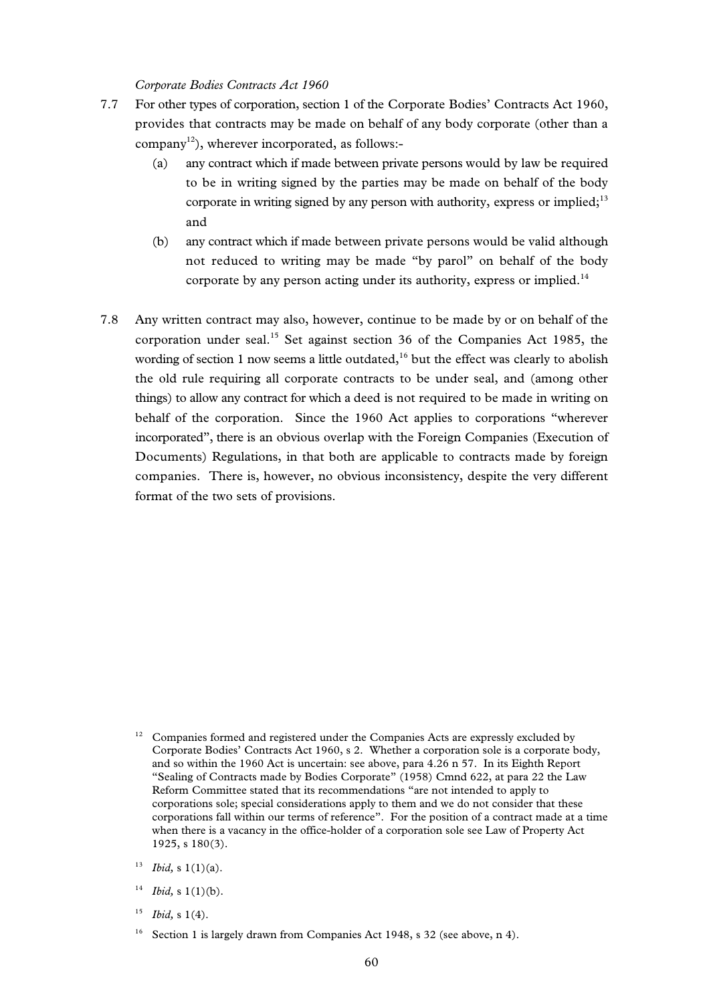# *Corporate Bodies Contracts Act 1960*

- 7.7 For other types of corporation, section 1 of the Corporate Bodies' Contracts Act 1960, provides that contracts may be made on behalf of any body corporate (other than a company<sup>12</sup>), wherever incorporated, as follows:-
	- (a) any contract which if made between private persons would by law be required to be in writing signed by the parties may be made on behalf of the body corporate in writing signed by any person with authority, express or implied; $13$ and
	- (b) any contract which if made between private persons would be valid although not reduced to writing may be made "by parol" on behalf of the body corporate by any person acting under its authority, express or implied.<sup>14</sup>
- 7.8 Any written contract may also, however, continue to be made by or on behalf of the corporation under seal.<sup>15</sup> Set against section 36 of the Companies Act 1985, the wording of section 1 now seems a little outdated,  $\frac{16}{16}$  but the effect was clearly to abolish the old rule requiring all corporate contracts to be under seal, and (among other things) to allow any contract for which a deed is not required to be made in writing on behalf of the corporation. Since the 1960 Act applies to corporations "wherever incorporated", there is an obvious overlap with the Foreign Companies (Execution of Documents) Regulations, in that both are applicable to contracts made by foreign companies. There is, however, no obvious inconsistency, despite the very different format of the two sets of provisions.

- $13$  *Ibid,* s 1(1)(a).
- <sup>14</sup> *Ibid,* s 1(1)(b).
- $15$  *Ibid, s* 1(4).
- <sup>16</sup> Section 1 is largely drawn from Companies Act 1948, s 32 (see above, n 4).

 $12$  Companies formed and registered under the Companies Acts are expressly excluded by Corporate Bodies' Contracts Act 1960, s 2. Whether a corporation sole is a corporate body, and so within the 1960 Act is uncertain: see above, para 4.26 n 57. In its Eighth Report "Sealing of Contracts made by Bodies Corporate" (1958) Cmnd 622, at para 22 the Law Reform Committee stated that its recommendations "are not intended to apply to corporations sole; special considerations apply to them and we do not consider that these corporations fall within our terms of reference". For the position of a contract made at a time when there is a vacancy in the office-holder of a corporation sole see Law of Property Act 1925, s 180(3).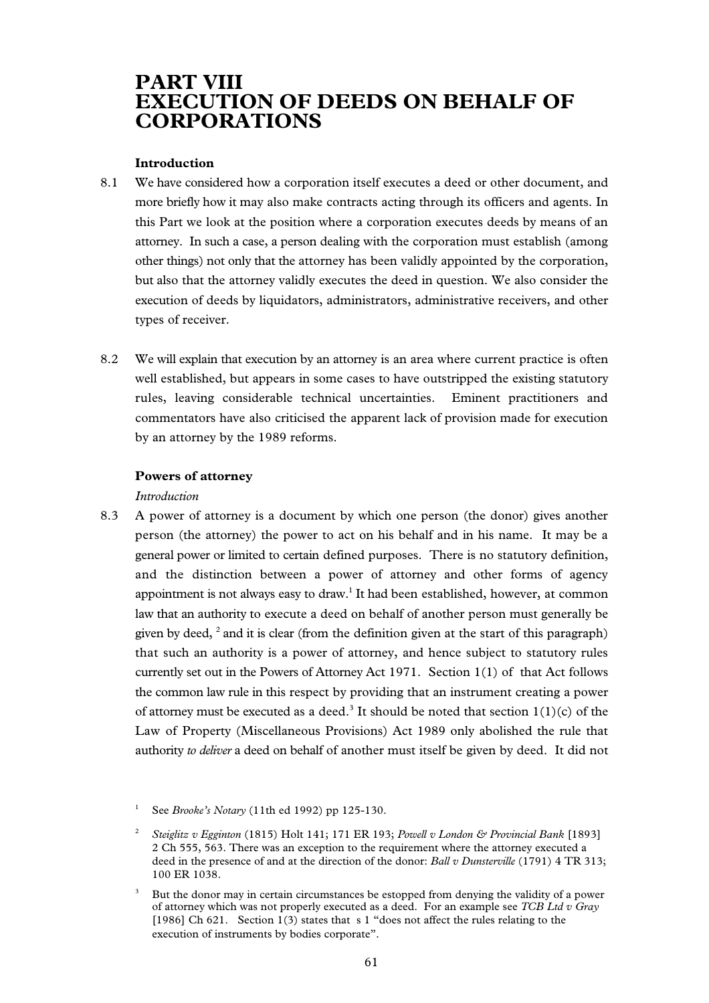# **PART VIII EXECUTION OF DEEDS ON BEHALF OF CORPORATIONS**

# **Introduction**

- 8.1 We have considered how a corporation itself executes a deed or other document, and more briefly how it may also make contracts acting through its officers and agents. In this Part we look at the position where a corporation executes deeds by means of an attorney. In such a case, a person dealing with the corporation must establish (among other things) not only that the attorney has been validly appointed by the corporation, but also that the attorney validly executes the deed in question. We also consider the execution of deeds by liquidators, administrators, administrative receivers, and other types of receiver.
- 8.2 We will explain that execution by an attorney is an area where current practice is often well established, but appears in some cases to have outstripped the existing statutory rules, leaving considerable technical uncertainties. Eminent practitioners and commentators have also criticised the apparent lack of provision made for execution by an attorney by the 1989 reforms.

# **Powers of attorney**

# *Introduction*

8.3 A power of attorney is a document by which one person (the donor) gives another person (the attorney) the power to act on his behalf and in his name. It may be a general power or limited to certain defined purposes. There is no statutory definition, and the distinction between a power of attorney and other forms of agency appointment is not always easy to draw.<sup>1</sup> It had been established, however, at common law that an authority to execute a deed on behalf of another person must generally be given by deed,  $\alpha$  and it is clear (from the definition given at the start of this paragraph) that such an authority is a power of attorney, and hence subject to statutory rules currently set out in the Powers of Attorney Act 1971. Section 1(1) of that Act follows the common law rule in this respect by providing that an instrument creating a power of attorney must be executed as a deed.<sup>3</sup> It should be noted that section  $1(1)(c)$  of the Law of Property (Miscellaneous Provisions) Act 1989 only abolished the rule that authority *to deliver* a deed on behalf of another must itself be given by deed. It did not

<sup>1</sup> See *Brooke's Notary* (11th ed 1992) pp 125-130.

*Steiglitz v Egginton* (1815) Holt 141; 171 ER 193; *Powell v London & Provincial Bank* [1893] <sup>2</sup> 2 Ch 555, 563. There was an exception to the requirement where the attorney executed a deed in the presence of and at the direction of the donor: *Ball v Dunsterville* (1791) 4 TR 313; 100 ER 1038.

But the donor may in certain circumstances be estopped from denying the validity of a power of attorney which was not properly executed as a deed. For an example see *TCB Ltd v Gray* [1986] Ch 621. Section 1(3) states that s 1 "does not affect the rules relating to the execution of instruments by bodies corporate".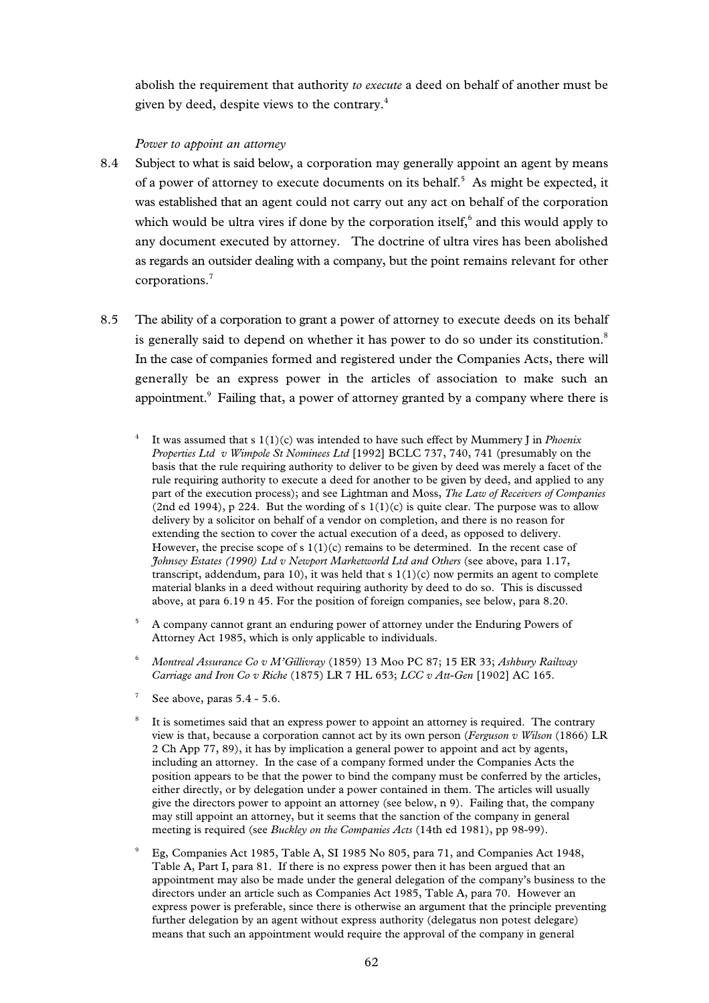abolish the requirement that authority *to execute* a deed on behalf of another must be given by deed, despite views to the contrary.<sup>4</sup>

### *Power to appoint an attorney*

- 8.4 Subject to what is said below, a corporation may generally appoint an agent by means of a power of attorney to execute documents on its behalf.<sup>5</sup> As might be expected, it was established that an agent could not carry out any act on behalf of the corporation which would be ultra vires if done by the corporation itself, $<sup>6</sup>$  and this would apply to</sup> any document executed by attorney. The doctrine of ultra vires has been abolished as regards an outsider dealing with a company, but the point remains relevant for other corporations. 7
- 8.5 The ability of a corporation to grant a power of attorney to execute deeds on its behalf is generally said to depend on whether it has power to do so under its constitution.<sup>8</sup> In the case of companies formed and registered under the Companies Acts, there will generally be an express power in the articles of association to make such an appointment.<sup>9</sup> Failing that, a power of attorney granted by a company where there is
	- It was assumed that s  $1(1)(c)$  was intended to have such effect by Mummery J in *Phoenix Properties Ltd v Wimpole St Nominees Ltd* [1992] BCLC 737, 740, 741 (presumably on the basis that the rule requiring authority to deliver to be given by deed was merely a facet of the rule requiring authority to execute a deed for another to be given by deed, and applied to any part of the execution process); and see Lightman and Moss, *The Law of Receivers of Companies* (2nd ed 1994), p 224. But the wording of s  $1(1)(c)$  is quite clear. The purpose was to allow delivery by a solicitor on behalf of a vendor on completion, and there is no reason for extending the section to cover the actual execution of a deed, as opposed to delivery. However, the precise scope of s  $1(1)(c)$  remains to be determined. In the recent case of *Johnsey Estates (1990) Ltd v Newport Marketworld Ltd and Others* (see above, para 1.17, transcript, addendum, para 10), it was held that  $s \frac{1}{1)(c)}$  now permits an agent to complete material blanks in a deed without requiring authority by deed to do so. This is discussed above, at para 6.19 n 45. For the position of foreign companies, see below, para 8.20.
	- <sup>5</sup> A company cannot grant an enduring power of attorney under the Enduring Powers of Attorney Act 1985, which is only applicable to individuals.
	- *Montreal Assurance Co v M'Gillivray* (1859) 13 Moo PC 87; 15 ER 33; *Ashbury Railway* <sup>6</sup> *Carriage and Iron Co v Riche* (1875) LR 7 HL 653; *LCC v Att-Gen* [1902] AC 165.
	- See above, paras  $5.4 5.6$ .
	- It is sometimes said that an express power to appoint an attorney is required. The contrary view is that, because a corporation cannot act by its own person (*Ferguson v Wilson* (1866) LR 2 Ch App 77, 89), it has by implication a general power to appoint and act by agents, including an attorney. In the case of a company formed under the Companies Acts the position appears to be that the power to bind the company must be conferred by the articles, either directly, or by delegation under a power contained in them. The articles will usually give the directors power to appoint an attorney (see below, n 9). Failing that, the company may still appoint an attorney, but it seems that the sanction of the company in general meeting is required (see *Buckley on the Companies Acts* (14th ed 1981), pp 98-99).
	- Eg, Companies Act 1985, Table A, SI 1985 No 805, para 71, and Companies Act 1948, <sup>9</sup> Table A, Part I, para 81. If there is no express power then it has been argued that an appointment may also be made under the general delegation of the company's business to the directors under an article such as Companies Act 1985, Table A, para 70. However an express power is preferable, since there is otherwise an argument that the principle preventing further delegation by an agent without express authority (delegatus non potest delegare) means that such an appointment would require the approval of the company in general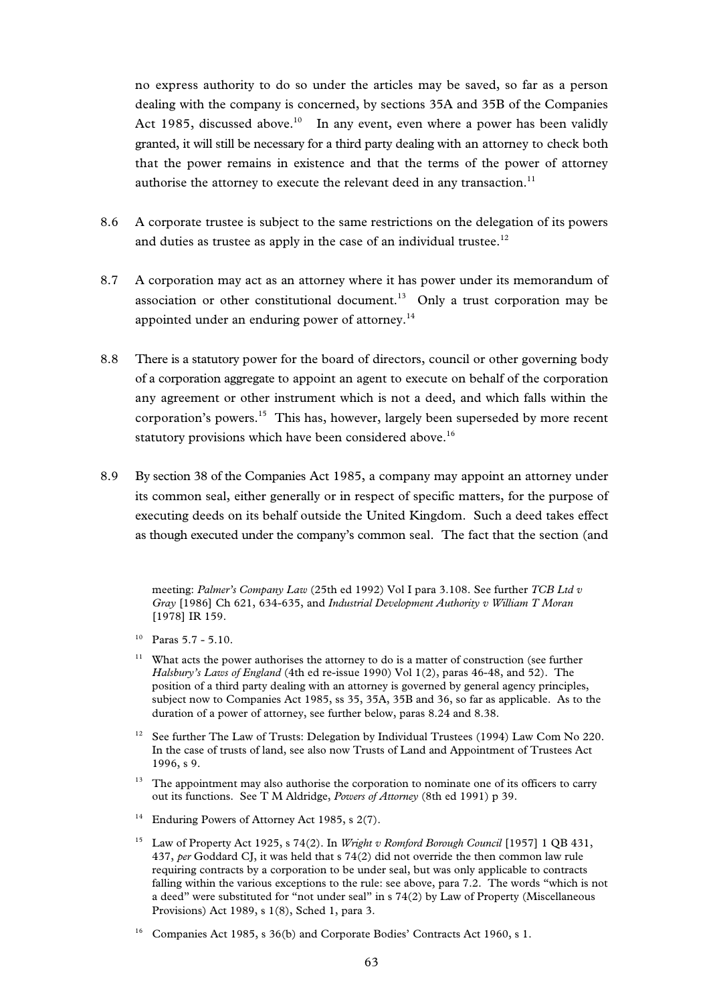no express authority to do so under the articles may be saved, so far as a person dealing with the company is concerned, by sections 35A and 35B of the Companies Act 1985, discussed above.<sup>10</sup> In any event, even where a power has been validly granted, it will still be necessary for a third party dealing with an attorney to check both that the power remains in existence and that the terms of the power of attorney authorise the attorney to execute the relevant deed in any transaction.<sup>11</sup>

- 8.6 A corporate trustee is subject to the same restrictions on the delegation of its powers and duties as trustee as apply in the case of an individual trustee.<sup>12</sup>
- 8.7 A corporation may act as an attorney where it has power under its memorandum of association or other constitutional document.<sup>13</sup> Only a trust corporation may be appointed under an enduring power of attorney.<sup>14</sup>
- 8.8 There is a statutory power for the board of directors, council or other governing body of a corporation aggregate to appoint an agent to execute on behalf of the corporation any agreement or other instrument which is not a deed, and which falls within the corporation's powers.<sup>15</sup> This has, however, largely been superseded by more recent statutory provisions which have been considered above.<sup>16</sup>
- 8.9 By section 38 of the Companies Act 1985, a company may appoint an attorney under its common seal, either generally or in respect of specific matters, for the purpose of executing deeds on its behalf outside the United Kingdom. Such a deed takes effect as though executed under the company's common seal. The fact that the section (and

meeting: *Palmer's Company Law* (25th ed 1992) Vol I para 3.108. See further *TCB Ltd v Gray* [1986] Ch 621, 634-635, and *Industrial Development Authority v William T Moran* [1978] IR 159.

- $^{10}$  Paras 5.7 5.10.
- $11$  What acts the power authorises the attorney to do is a matter of construction (see further *Halsbury's Laws of England* (4th ed re-issue 1990) Vol 1(2), paras 46-48, and 52). The position of a third party dealing with an attorney is governed by general agency principles, subject now to Companies Act 1985, ss 35, 35A, 35B and 36, so far as applicable. As to the duration of a power of attorney, see further below, paras 8.24 and 8.38.
- <sup>12</sup> See further The Law of Trusts: Delegation by Individual Trustees (1994) Law Com No 220. In the case of trusts of land, see also now Trusts of Land and Appointment of Trustees Act 1996, s 9.
- $13$  The appointment may also authorise the corporation to nominate one of its officers to carry out its functions. See T M Aldridge, *Powers of Attorney* (8th ed 1991) p 39.
- <sup>14</sup> Enduring Powers of Attorney Act 1985, s  $2(7)$ .
- <sup>15</sup> Law of Property Act 1925, s 74(2). In *Wright v Romford Borough Council* [1957] 1 QB 431, 437, *per* Goddard CJ, it was held that s 74(2) did not override the then common law rule requiring contracts by a corporation to be under seal, but was only applicable to contracts falling within the various exceptions to the rule: see above, para 7.2. The words "which is not a deed" were substituted for "not under seal" in s 74(2) by Law of Property (Miscellaneous Provisions) Act 1989, s 1(8), Sched 1, para 3.
- Companies Act 1985, s 36(b) and Corporate Bodies' Contracts Act 1960, s 1.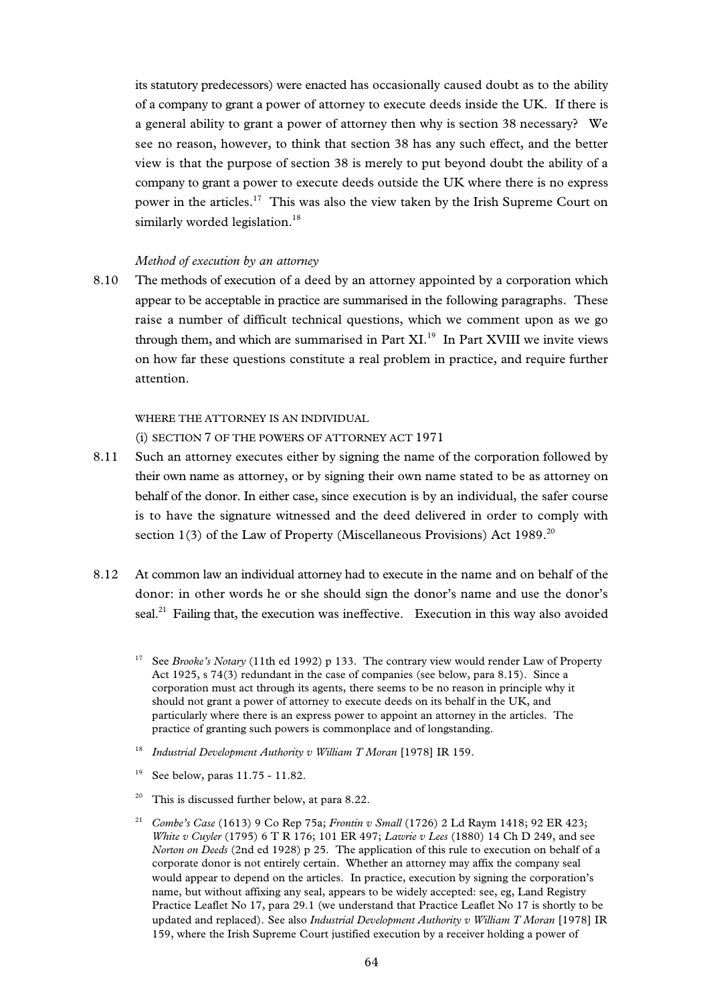its statutory predecessors) were enacted has occasionally caused doubt as to the ability of a company to grant a power of attorney to execute deeds inside the UK. If there is a general ability to grant a power of attorney then why is section 38 necessary? We see no reason, however, to think that section 38 has any such effect, and the better view is that the purpose of section 38 is merely to put beyond doubt the ability of a company to grant a power to execute deeds outside the UK where there is no express power in the articles.<sup>17</sup> This was also the view taken by the Irish Supreme Court on similarly worded legislation.<sup>18</sup>

#### *Method of execution by an attorney*

8.10 The methods of execution of a deed by an attorney appointed by a corporation which appear to be acceptable in practice are summarised in the following paragraphs. These raise a number of difficult technical questions, which we comment upon as we go through them, and which are summarised in Part  $XI<sup>19</sup>$  In Part XVIII we invite views on how far these questions constitute a real problem in practice, and require further attention.

## WHERE THE ATTORNEY IS AN INDIVIDUAL

(i) SECTION 7 OF THE POWERS OF ATTORNEY ACT 1971

- 8.11 Such an attorney executes either by signing the name of the corporation followed by their own name as attorney, or by signing their own name stated to be as attorney on behalf of the donor. In either case, since execution is by an individual, the safer course is to have the signature witnessed and the deed delivered in order to comply with section 1(3) of the Law of Property (Miscellaneous Provisions) Act 1989.<sup>20</sup>
- 8.12 At common law an individual attorney had to execute in the name and on behalf of the donor: in other words he or she should sign the donor's name and use the donor's seal. $^{21}$  Failing that, the execution was ineffective. Execution in this way also avoided
	- <sup>17</sup> See *Brooke's Notary* (11th ed 1992) p 133. The contrary view would render Law of Property Act 1925, s 74(3) redundant in the case of companies (see below, para 8.15). Since a corporation must act through its agents, there seems to be no reason in principle why it should not grant a power of attorney to execute deeds on its behalf in the UK, and particularly where there is an express power to appoint an attorney in the articles. The practice of granting such powers is commonplace and of longstanding.
	- <sup>18</sup> Industrial Development Authority v William T Moran [1978] IR 159.
	- $19$  See below, paras 11.75 11.82.
	- <sup>20</sup> This is discussed further below, at para 8.22.
	- <sup>21</sup> Combe's Case (1613) 9 Co Rep 75a; *Frontin v Small* (1726) 2 Ld Raym 1418; 92 ER 423; *White v Cuyler* (1795) 6 T R 176; 101 ER 497; *Lawrie v Lees* (1880) 14 Ch D 249, and see *Norton on Deeds* (2nd ed 1928) p 25. The application of this rule to execution on behalf of a corporate donor is not entirely certain. Whether an attorney may affix the company seal would appear to depend on the articles. In practice, execution by signing the corporation's name, but without affixing any seal, appears to be widely accepted: see, eg, Land Registry Practice Leaflet No 17, para 29.1 (we understand that Practice Leaflet No 17 is shortly to be updated and replaced). See also *Industrial Development Authority v William T Moran* [1978] IR 159, where the Irish Supreme Court justified execution by a receiver holding a power of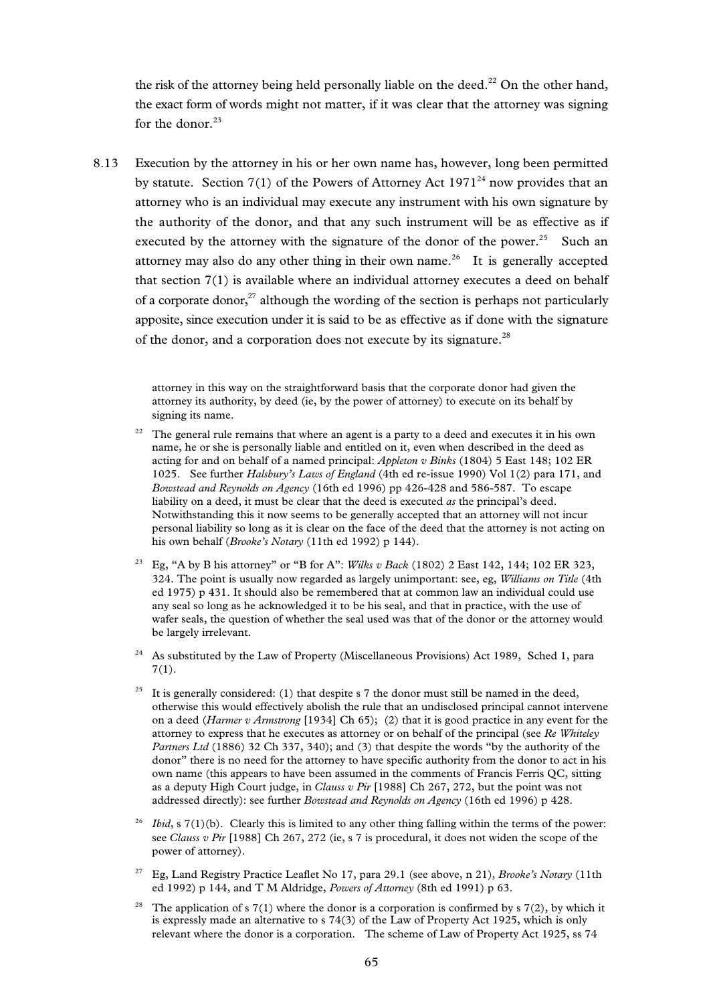the risk of the attorney being held personally liable on the deed.<sup>22</sup> On the other hand, the exact form of words might not matter, if it was clear that the attorney was signing for the donor.<sup>23</sup>

8.13 Execution by the attorney in his or her own name has, however, long been permitted by statute. Section 7(1) of the Powers of Attorney Act  $1971<sup>24</sup>$  now provides that an attorney who is an individual may execute any instrument with his own signature by the authority of the donor, and that any such instrument will be as effective as if executed by the attorney with the signature of the donor of the power.<sup>25</sup> Such an attorney may also do any other thing in their own name.<sup>26</sup> It is generally accepted that section 7(1) is available where an individual attorney executes a deed on behalf of a corporate donor,<sup>27</sup> although the wording of the section is perhaps not particularly apposite, since execution under it is said to be as effective as if done with the signature of the donor, and a corporation does not execute by its signature.<sup>28</sup>

> attorney in this way on the straightforward basis that the corporate donor had given the attorney its authority, by deed (ie, by the power of attorney) to execute on its behalf by signing its name.

- $22$  The general rule remains that where an agent is a party to a deed and executes it in his own name, he or she is personally liable and entitled on it, even when described in the deed as acting for and on behalf of a named principal: *Appleton v Binks* (1804) 5 East 148; 102 ER 1025.See further *Halsbury's Laws of England* (4th ed re-issue 1990) Vol 1(2) para 171, and *Bowstead and Reynolds on Agency* (16th ed 1996) pp 426-428 and 586-587. To escape liability on a deed, it must be clear that the deed is executed *as* the principal's deed. Notwithstanding this it now seems to be generally accepted that an attorney will not incur personal liability so long as it is clear on the face of the deed that the attorney is not acting on his own behalf (*Brooke's Notary* (11th ed 1992) p 144).
- <sup>23</sup> Eg, "A by B his attorney" or "B for A": *Wilks v Back* (1802) 2 East 142, 144; 102 ER 323, 324. The point is usually now regarded as largely unimportant: see, eg, *Williams on Title* (4th ed 1975) p 431. It should also be remembered that at common law an individual could use any seal so long as he acknowledged it to be his seal, and that in practice, with the use of wafer seals, the question of whether the seal used was that of the donor or the attorney would be largely irrelevant.
- <sup>24</sup> As substituted by the Law of Property (Miscellaneous Provisions) Act 1989, Sched 1, para 7(1).
- <sup>25</sup> It is generally considered: (1) that despite s 7 the donor must still be named in the deed, otherwise this would effectively abolish the rule that an undisclosed principal cannot intervene on a deed (*Harmer v Armstrong* [1934] Ch 65); (2) that it is good practice in any event for the attorney to express that he executes as attorney or on behalf of the principal (see *Re Whiteley Partners Ltd* (1886) 32 Ch 337, 340); and (3) that despite the words "by the authority of the donor" there is no need for the attorney to have specific authority from the donor to act in his own name (this appears to have been assumed in the comments of Francis Ferris QC, sitting as a deputy High Court judge, in *Clauss v Pir* [1988] Ch 267, 272, but the point was not addressed directly): see further *Bowstead and Reynolds on Agency* (16th ed 1996) p 428.
- $I<sup>26</sup>$  *Ibid*, s 7(1)(b). Clearly this is limited to any other thing falling within the terms of the power: see *Clauss v Pir* [1988] Ch 267, 272 (ie, s 7 is procedural, it does not widen the scope of the power of attorney).
- <sup>27</sup> Eg, Land Registry Practice Leaflet No 17, para 29.1 (see above, n 21), *Brooke's Notary* (11th ed 1992) p 144, and T M Aldridge, *Powers of Attorney* (8th ed 1991) p 63.
- The application of s  $7(1)$  where the donor is a corporation is confirmed by s  $7(2)$ , by which it is expressly made an alternative to s 74(3) of the Law of Property Act 1925, which is only relevant where the donor is a corporation. The scheme of Law of Property Act 1925, ss 74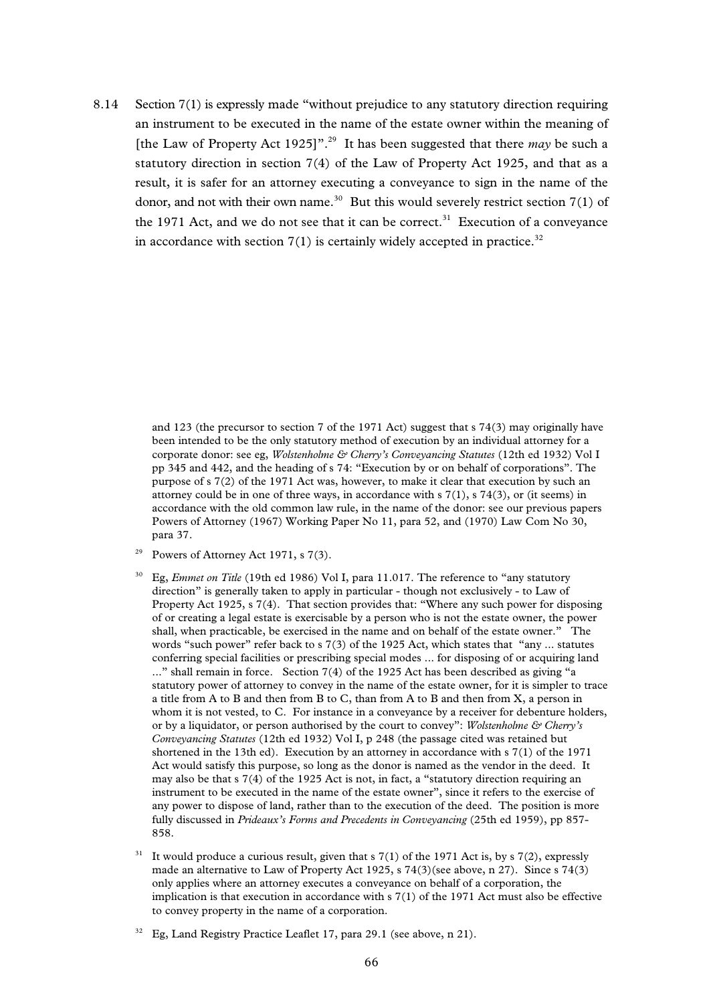8.14 Section 7(1) is expressly made "without prejudice to any statutory direction requiring an instrument to be executed in the name of the estate owner within the meaning of [the Law of Property Act 1925]".<sup>29</sup> It has been suggested that there *may* be such a statutory direction in section 7(4) of the Law of Property Act 1925, and that as a result, it is safer for an attorney executing a conveyance to sign in the name of the donor, and not with their own name.<sup>30</sup> But this would severely restrict section  $7(1)$  of the 1971 Act, and we do not see that it can be correct.<sup>31</sup> Execution of a conveyance in accordance with section  $7(1)$  is certainly widely accepted in practice.<sup>32</sup>

> and 123 (the precursor to section 7 of the 1971 Act) suggest that s 74(3) may originally have been intended to be the only statutory method of execution by an individual attorney for a corporate donor: see eg, *Wolstenholme & Cherry's Conveyancing Statutes* (12th ed 1932) Vol I pp 345 and 442, and the heading of s 74: "Execution by or on behalf of corporations". The purpose of s 7(2) of the 1971 Act was, however, to make it clear that execution by such an attorney could be in one of three ways, in accordance with  $s \, 7(1)$ ,  $s \, 74(3)$ , or (it seems) in accordance with the old common law rule, in the name of the donor: see our previous papers Powers of Attorney (1967) Working Paper No 11, para 52, and (1970) Law Com No 30, para 37.

- <sup>29</sup> Powers of Attorney Act 1971, s  $7(3)$ .
- Eg, *Emmet on Title* (19th ed 1986) Vol I, para 11.017. The reference to "any statutory direction" is generally taken to apply in particular - though not exclusively - to Law of Property Act 1925, s 7(4). That section provides that: "Where any such power for disposing of or creating a legal estate is exercisable by a person who is not the estate owner, the power shall, when practicable, be exercised in the name and on behalf of the estate owner." The words "such power" refer back to s 7(3) of the 1925 Act, which states that "any ... statutes conferring special facilities or prescribing special modes ... for disposing of or acquiring land ..." shall remain in force. Section 7(4) of the 1925 Act has been described as giving "a statutory power of attorney to convey in the name of the estate owner, for it is simpler to trace a title from A to B and then from B to C, than from A to B and then from X, a person in whom it is not vested, to C. For instance in a conveyance by a receiver for debenture holders, or by a liquidator, or person authorised by the court to convey": *Wolstenholme & Cherry's Conveyancing Statutes* (12th ed 1932) Vol I, p 248 (the passage cited was retained but shortened in the 13th ed). Execution by an attorney in accordance with s 7(1) of the 1971 Act would satisfy this purpose, so long as the donor is named as the vendor in the deed. It may also be that s 7(4) of the 1925 Act is not, in fact, a "statutory direction requiring an instrument to be executed in the name of the estate owner", since it refers to the exercise of any power to dispose of land, rather than to the execution of the deed. The position is more fully discussed in *Prideaux's Forms and Precedents in Conveyancing* (25th ed 1959), pp 857- 858.
- It would produce a curious result, given that s  $7(1)$  of the 1971 Act is, by s  $7(2)$ , expressly made an alternative to Law of Property Act 1925, s 74(3)(see above, n 27). Since s 74(3) only applies where an attorney executes a conveyance on behalf of a corporation, the implication is that execution in accordance with  $\frac{s}{7(1)}$  of the 1971 Act must also be effective to convey property in the name of a corporation.

Eg, Land Registry Practice Leaflet 17, para 29.1 (see above, n 21).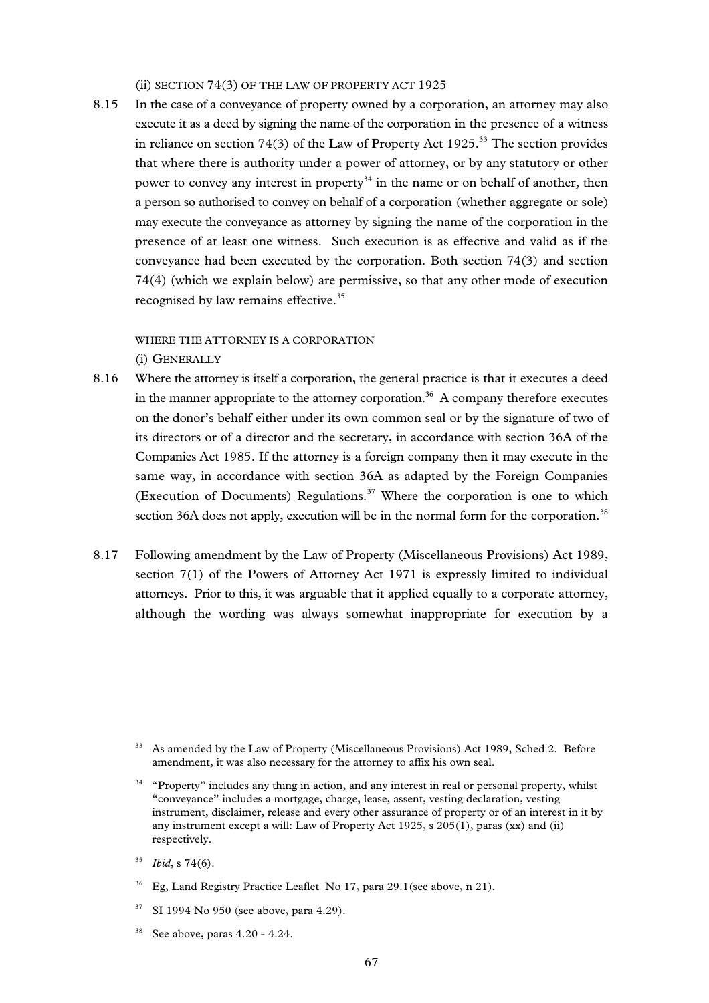(ii) SECTION 74(3) OF THE LAW OF PROPERTY ACT 1925

8.15 In the case of a conveyance of property owned by a corporation, an attorney may also execute it as a deed by signing the name of the corporation in the presence of a witness in reliance on section 74(3) of the Law of Property Act 1925.<sup>33</sup> The section provides that where there is authority under a power of attorney, or by any statutory or other power to convey any interest in property<sup>34</sup> in the name or on behalf of another, then a person so authorised to convey on behalf of a corporation (whether aggregate or sole) may execute the conveyance as attorney by signing the name of the corporation in the presence of at least one witness. Such execution is as effective and valid as if the conveyance had been executed by the corporation. Both section 74(3) and section 74(4) (which we explain below) are permissive, so that any other mode of execution recognised by law remains effective.<sup>35</sup>

WHERE THE ATTORNEY IS A CORPORATION

(i) GENERALLY

- 8.16 Where the attorney is itself a corporation, the general practice is that it executes a deed in the manner appropriate to the attorney corporation.<sup>36</sup> A company therefore executes on the donor's behalf either under its own common seal or by the signature of two of its directors or of a director and the secretary, in accordance with section 36A of the Companies Act 1985. If the attorney is a foreign company then it may execute in the same way, in accordance with section 36A as adapted by the Foreign Companies (Execution of Documents) Regulations.<sup>37</sup> Where the corporation is one to which section 36A does not apply, execution will be in the normal form for the corporation.<sup>38</sup>
- 8.17 Following amendment by the Law of Property (Miscellaneous Provisions) Act 1989, section 7(1) of the Powers of Attorney Act 1971 is expressly limited to individual attorneys. Prior to this, it was arguable that it applied equally to a corporate attorney, although the wording was always somewhat inappropriate for execution by a

See above, paras  $4.20 - 4.24$ .

<sup>&</sup>lt;sup>33</sup> As amended by the Law of Property (Miscellaneous Provisions) Act 1989, Sched 2. Before amendment, it was also necessary for the attorney to affix his own seal.

 $34$  "Property" includes any thing in action, and any interest in real or personal property, whilst "conveyance" includes a mortgage, charge, lease, assent, vesting declaration, vesting instrument, disclaimer, release and every other assurance of property or of an interest in it by any instrument except a will: Law of Property Act 1925, s 205(1), paras (xx) and (ii) respectively.

<sup>&</sup>lt;sup>35</sup> *Ibid*, s 74(6).

<sup>&</sup>lt;sup>36</sup> Eg, Land Registry Practice Leaflet No 17, para 29.1(see above, n 21).

 $37$  SI 1994 No 950 (see above, para 4.29).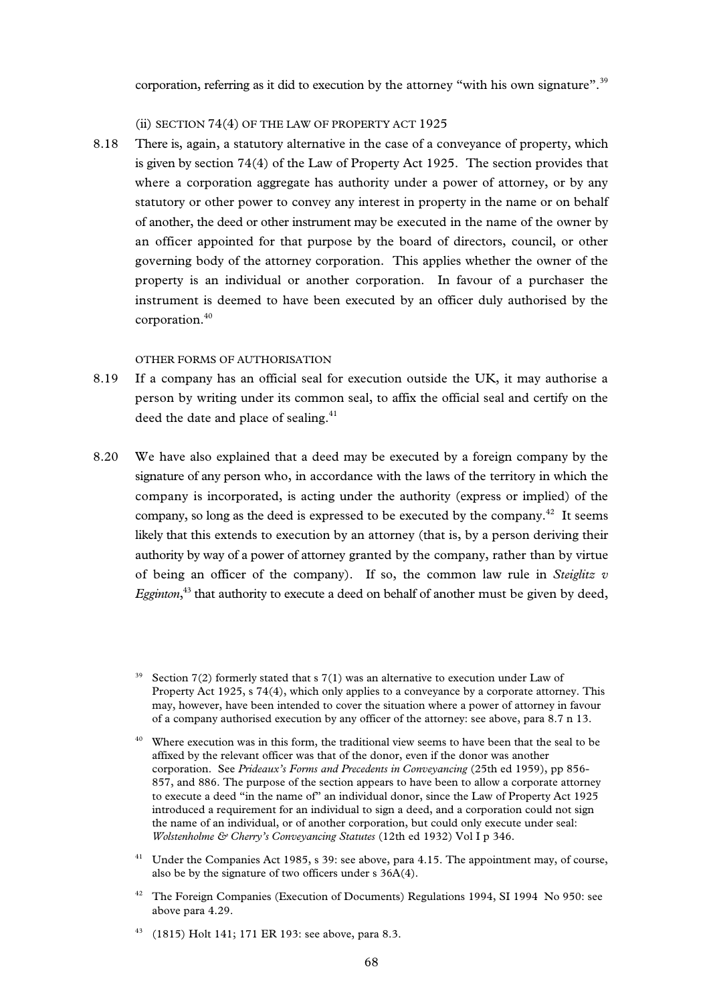corporation, referring as it did to execution by the attorney "with his own signature".<sup>39</sup>

## (ii) SECTION 74(4) OF THE LAW OF PROPERTY ACT 1925

8.18 There is, again, a statutory alternative in the case of a conveyance of property, which is given by section 74(4) of the Law of Property Act 1925. The section provides that where a corporation aggregate has authority under a power of attorney, or by any statutory or other power to convey any interest in property in the name or on behalf of another, the deed or other instrument may be executed in the name of the owner by an officer appointed for that purpose by the board of directors, council, or other governing body of the attorney corporation. This applies whether the owner of the property is an individual or another corporation. In favour of a purchaser the instrument is deemed to have been executed by an officer duly authorised by the corporation.<sup>40</sup>

## OTHER FORMS OF AUTHORISATION

- 8.19 If a company has an official seal for execution outside the UK, it may authorise a person by writing under its common seal, to affix the official seal and certify on the deed the date and place of sealing.<sup>41</sup>
- 8.20 We have also explained that a deed may be executed by a foreign company by the signature of any person who, in accordance with the laws of the territory in which the company is incorporated, is acting under the authority (express or implied) of the company, so long as the deed is expressed to be executed by the company.<sup> $42$ </sup> It seems likely that this extends to execution by an attorney (that is, by a person deriving their authority by way of a power of attorney granted by the company, rather than by virtue of being an officer of the company). If so, the common law rule in *Steiglitz v Egginton*<sup>43</sup> that authority to execute a deed on behalf of another must be given by deed,

- <sup>41</sup> Under the Companies Act 1985, s 39: see above, para 4.15. The appointment may, of course, also be by the signature of two officers under s 36A(4).
- <sup>42</sup> The Foreign Companies (Execution of Documents) Regulations 1994, SI 1994 No 950; see above para 4.29.

Section 7(2) formerly stated that s  $7(1)$  was an alternative to execution under Law of Property Act 1925, s 74(4), which only applies to a conveyance by a corporate attorney. This may, however, have been intended to cover the situation where a power of attorney in favour of a company authorised execution by any officer of the attorney: see above, para 8.7 n 13.

 $40$  Where execution was in this form, the traditional view seems to have been that the seal to be affixed by the relevant officer was that of the donor, even if the donor was another corporation. See *Prideaux's Forms and Precedents in Conveyancing* (25th ed 1959), pp 856- 857, and 886. The purpose of the section appears to have been to allow a corporate attorney to execute a deed "in the name of" an individual donor, since the Law of Property Act 1925 introduced a requirement for an individual to sign a deed, and a corporation could not sign the name of an individual, or of another corporation, but could only execute under seal: *Wolstenholme & Cherry's Conveyancing Statutes* (12th ed 1932) Vol I p 346.

 $(1815)$  Holt 141; 171 ER 193: see above, para 8.3.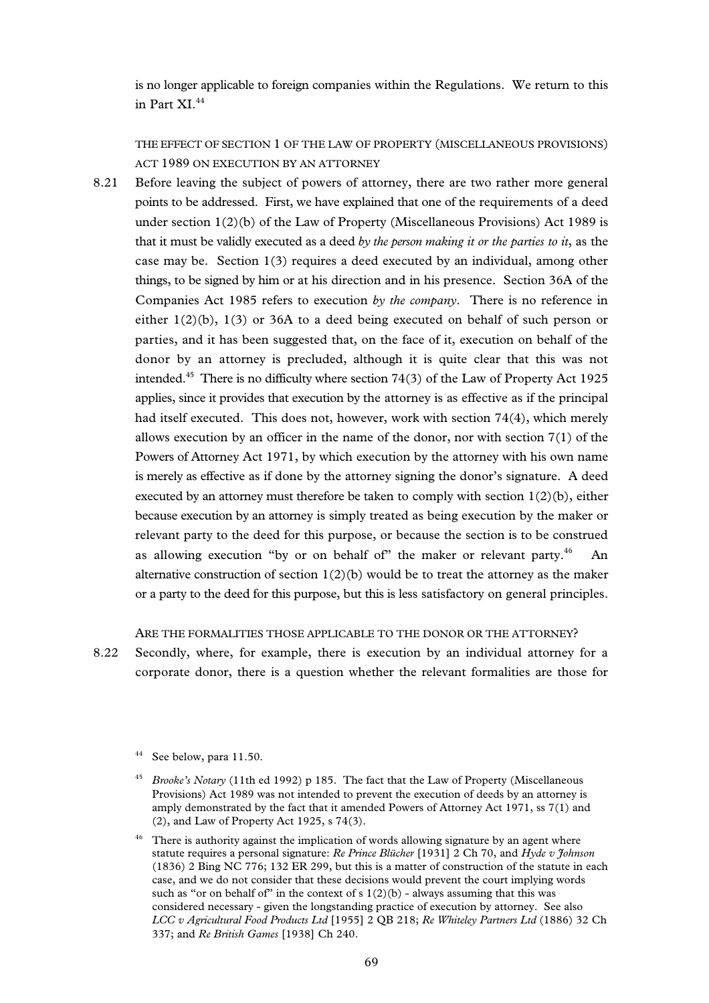is no longer applicable to foreign companies within the Regulations. We return to this in Part XI.<sup>44</sup>

THE EFFECT OF SECTION 1 OF THE LAW OF PROPERTY (MISCELLANEOUS PROVISIONS) ACT 1989 ON EXECUTION BY AN ATTORNEY

8.21 Before leaving the subject of powers of attorney, there are two rather more general points to be addressed. First, we have explained that one of the requirements of a deed under section  $1(2)(b)$  of the Law of Property (Miscellaneous Provisions) Act 1989 is that it must be validly executed as a deed *by the person making it or the parties to it*, as the case may be. Section 1(3) requires a deed executed by an individual, among other things, to be signed by him or at his direction and in his presence. Section 36A of the Companies Act 1985 refers to execution *by the company*. There is no reference in either  $1(2)(b)$ ,  $1(3)$  or 36A to a deed being executed on behalf of such person or parties, and it has been suggested that, on the face of it, execution on behalf of the donor by an attorney is precluded, although it is quite clear that this was not intended.<sup>45</sup> There is no difficulty where section 74(3) of the Law of Property Act 1925 applies, since it provides that execution by the attorney is as effective as if the principal had itself executed. This does not, however, work with section 74(4), which merely allows execution by an officer in the name of the donor, nor with section 7(1) of the Powers of Attorney Act 1971, by which execution by the attorney with his own name is merely as effective as if done by the attorney signing the donor's signature. A deed executed by an attorney must therefore be taken to comply with section  $1(2)(b)$ , either because execution by an attorney is simply treated as being execution by the maker or relevant party to the deed for this purpose, or because the section is to be construed as allowing execution "by or on behalf of" the maker or relevant party.<sup>46</sup> An alternative construction of section  $1(2)(b)$  would be to treat the attorney as the maker or a party to the deed for this purpose, but this is less satisfactory on general principles.

ARE THE FORMALITIES THOSE APPLICABLE TO THE DONOR OR THE ATTORNEY?

8.22 Secondly, where, for example, there is execution by an individual attorney for a corporate donor, there is a question whether the relevant formalities are those for

<sup>45</sup> Brooke's Notary (11th ed 1992) p 185. The fact that the Law of Property (Miscellaneous Provisions) Act 1989 was not intended to prevent the execution of deeds by an attorney is amply demonstrated by the fact that it amended Powers of Attorney Act 1971, ss 7(1) and (2), and Law of Property Act 1925, s 74(3).

See below, para 11.50.

There is authority against the implication of words allowing signature by an agent where statute requires a personal signature: *Re Prince Blücher* [1931] 2 Ch 70, and *Hyde v Johnson* (1836) 2 Bing NC 776; 132 ER 299, but this is a matter of construction of the statute in each case, and we do not consider that these decisions would prevent the court implying words such as "or on behalf of" in the context of s  $1(2)(b)$  - always assuming that this was considered necessary - given the longstanding practice of execution by attorney. See also *LCC v Agricultural Food Products Ltd* [1955] 2 QB 218; *Re Whiteley Partners Ltd* (1886) 32 Ch 337; and *Re British Games* [1938] Ch 240.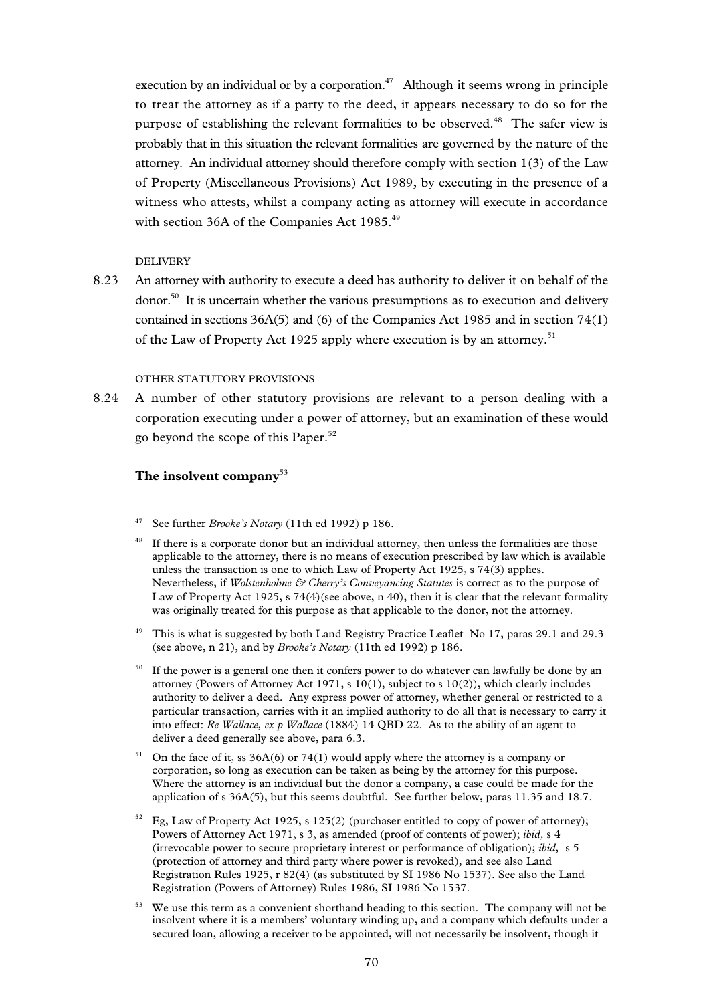execution by an individual or by a corporation.<sup> $47$ </sup> Although it seems wrong in principle to treat the attorney as if a party to the deed, it appears necessary to do so for the purpose of establishing the relevant formalities to be observed.<sup>48</sup> The safer view is probably that in this situation the relevant formalities are governed by the nature of the attorney. An individual attorney should therefore comply with section 1(3) of the Law of Property (Miscellaneous Provisions) Act 1989, by executing in the presence of a witness who attests, whilst a company acting as attorney will execute in accordance with section 36A of the Companies Act 1985.<sup>49</sup>

#### DELIVERY

8.23 An attorney with authority to execute a deed has authority to deliver it on behalf of the donor. $50$  It is uncertain whether the various presumptions as to execution and delivery contained in sections 36A(5) and (6) of the Companies Act 1985 and in section 74(1) of the Law of Property Act 1925 apply where execution is by an attorney.<sup>51</sup>

#### OTHER STATUTORY PROVISIONS

8.24 A number of other statutory provisions are relevant to a person dealing with a corporation executing under a power of attorney, but an examination of these would go beyond the scope of this Paper.<sup>52</sup>

## **The insolvent company**<sup>53</sup>

- <sup>47</sup> See further *Brooke's Notary* (11th ed 1992) p 186.
- If there is a corporate donor but an individual attorney, then unless the formalities are those applicable to the attorney, there is no means of execution prescribed by law which is available unless the transaction is one to which Law of Property Act 1925, s 74(3) applies. Nevertheless, if *Wolstenholme & Cherry's Conveyancing Statutes* is correct as to the purpose of Law of Property Act 1925, s 74(4)(see above, n 40), then it is clear that the relevant formality was originally treated for this purpose as that applicable to the donor, not the attorney.
- This is what is suggested by both Land Registry Practice Leaflet No 17, paras 29.1 and 29.3 (see above, n 21), and by *Brooke's Notary* (11th ed 1992) p 186.
- $50$  If the power is a general one then it confers power to do whatever can lawfully be done by an attorney (Powers of Attorney Act 1971, s 10(1), subject to s 10(2)), which clearly includes authority to deliver a deed. Any express power of attorney, whether general or restricted to a particular transaction, carries with it an implied authority to do all that is necessary to carry it into effect: *Re Wallace, ex p Wallace* (1884) 14 QBD 22. As to the ability of an agent to deliver a deed generally see above, para 6.3.
- On the face of it, ss  $36A(6)$  or  $74(1)$  would apply where the attorney is a company or corporation, so long as execution can be taken as being by the attorney for this purpose. Where the attorney is an individual but the donor a company, a case could be made for the application of s 36A(5), but this seems doubtful. See further below, paras 11.35 and 18.7.
- Eg, Law of Property Act 1925, s  $125(2)$  (purchaser entitled to copy of power of attorney); Powers of Attorney Act 1971, s 3, as amended (proof of contents of power); *ibid,* s 4 (irrevocable power to secure proprietary interest or performance of obligation); *ibid,* s 5 (protection of attorney and third party where power is revoked), and see also Land Registration Rules 1925, r 82(4) (as substituted by SI 1986 No 1537). See also the Land Registration (Powers of Attorney) Rules 1986, SI 1986 No 1537.
- We use this term as a convenient shorthand heading to this section. The company will not be insolvent where it is a members' voluntary winding up, and a company which defaults under a secured loan, allowing a receiver to be appointed, will not necessarily be insolvent, though it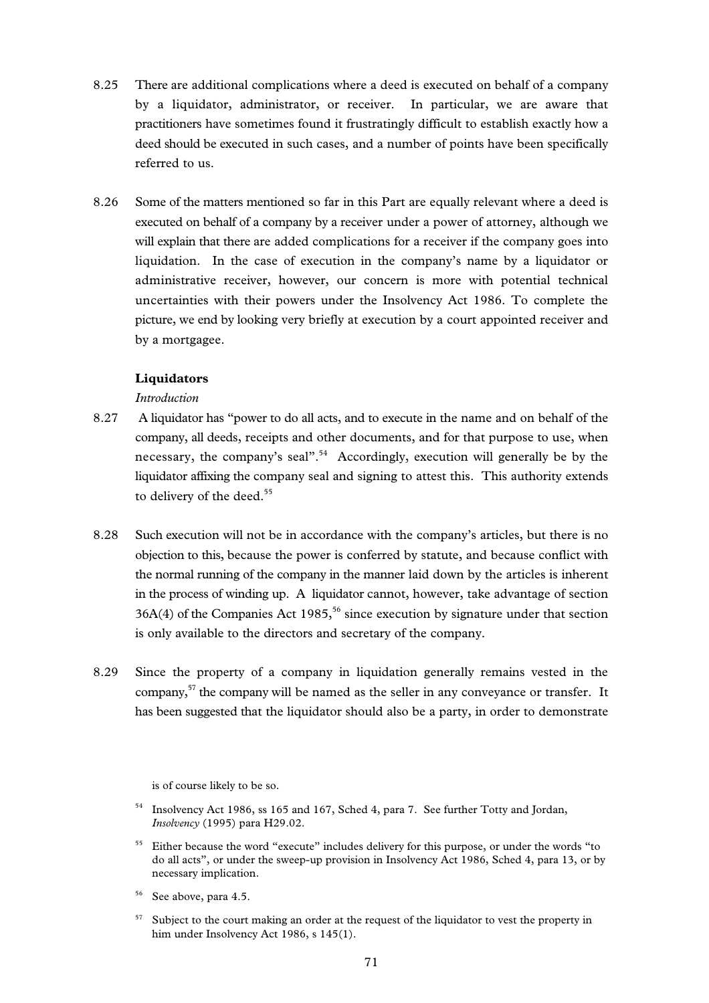- 8.25 There are additional complications where a deed is executed on behalf of a company by a liquidator, administrator, or receiver. In particular, we are aware that practitioners have sometimes found it frustratingly difficult to establish exactly how a deed should be executed in such cases, and a number of points have been specifically referred to us.
- 8.26 Some of the matters mentioned so far in this Part are equally relevant where a deed is executed on behalf of a company by a receiver under a power of attorney, although we will explain that there are added complications for a receiver if the company goes into liquidation. In the case of execution in the company's name by a liquidator or administrative receiver, however, our concern is more with potential technical uncertainties with their powers under the Insolvency Act 1986. To complete the picture, we end by looking very briefly at execution by a court appointed receiver and by a mortgagee.

## **Liquidators**

## *Introduction*

- 8.27 A liquidator has "power to do all acts, and to execute in the name and on behalf of the company, all deeds, receipts and other documents, and for that purpose to use, when necessary, the company's seal".<sup>54</sup> Accordingly, execution will generally be by the liquidator affixing the company seal and signing to attest this. This authority extends to delivery of the deed.<sup>55</sup>
- 8.28 Such execution will not be in accordance with the company's articles, but there is no objection to this, because the power is conferred by statute, and because conflict with the normal running of the company in the manner laid down by the articles is inherent in the process of winding up. A liquidator cannot, however, take advantage of section  $36A(4)$  of the Companies Act 1985,<sup>56</sup> since execution by signature under that section is only available to the directors and secretary of the company.
- 8.29 Since the property of a company in liquidation generally remains vested in the company, $57$  the company will be named as the seller in any conveyance or transfer. It has been suggested that the liquidator should also be a party, in order to demonstrate

is of course likely to be so.

- <sup>54</sup> Insolvency Act 1986, ss 165 and 167, Sched 4, para 7. See further Totty and Jordan, *Insolvency* (1995) para H29.02.
- <sup>55</sup> Either because the word "execute" includes delivery for this purpose, or under the words "to do all acts", or under the sweep-up provision in Insolvency Act 1986, Sched 4, para 13, or by necessary implication.
- $56$  See above, para 4.5.
- $57$  Subject to the court making an order at the request of the liquidator to vest the property in him under Insolvency Act 1986, s 145(1).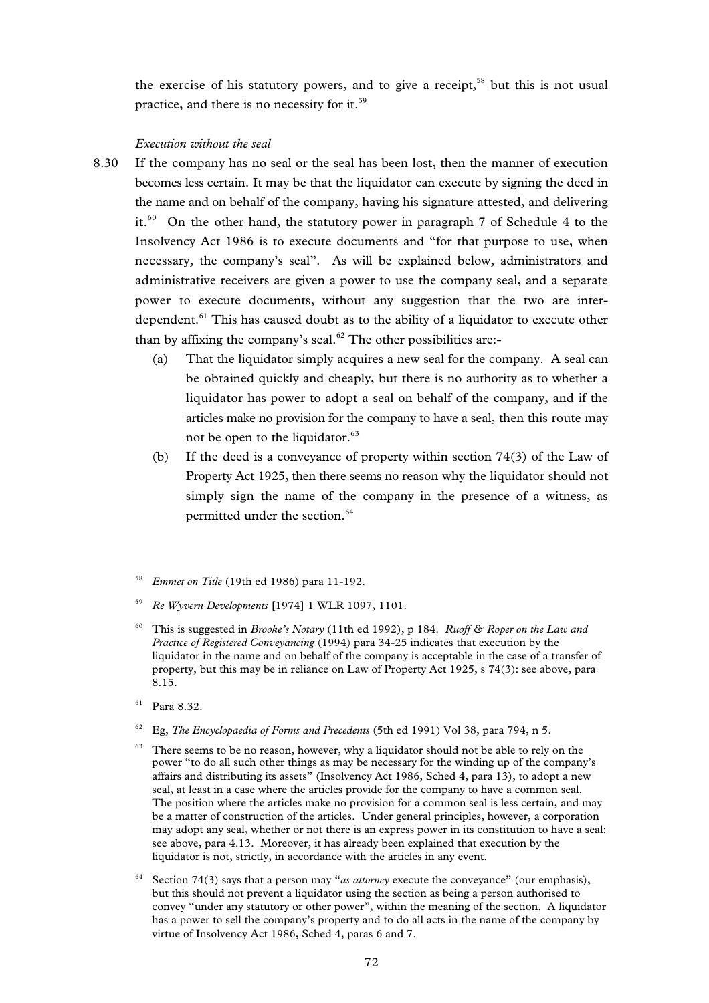the exercise of his statutory powers, and to give a receipt,<sup>58</sup> but this is not usual practice, and there is no necessity for it.<sup>59</sup>

#### *Execution without the seal*

- 8.30 If the company has no seal or the seal has been lost, then the manner of execution becomes less certain. It may be that the liquidator can execute by signing the deed in the name and on behalf of the company, having his signature attested, and delivering it.<sup>60</sup> On the other hand, the statutory power in paragraph 7 of Schedule 4 to the Insolvency Act 1986 is to execute documents and "for that purpose to use, when necessary, the company's seal". As will be explained below, administrators and administrative receivers are given a power to use the company seal, and a separate power to execute documents, without any suggestion that the two are interdependent. $61$  This has caused doubt as to the ability of a liquidator to execute other than by affixing the company's seal.<sup>62</sup> The other possibilities are:-
	- (a) That the liquidator simply acquires a new seal for the company. A seal can be obtained quickly and cheaply, but there is no authority as to whether a liquidator has power to adopt a seal on behalf of the company, and if the articles make no provision for the company to have a seal, then this route may not be open to the liquidator.<sup>63</sup>
	- (b) If the deed is a conveyance of property within section 74(3) of the Law of Property Act 1925, then there seems no reason why the liquidator should not simply sign the name of the company in the presence of a witness, as permitted under the section.<sup>64</sup>
	- <sup>58</sup> Emmet on Title (19th ed 1986) para 11-192.
	- <sup>59</sup> Re Wyvern Developments [1974] 1 WLR 1097, 1101.
	- <sup>60</sup> This is suggested in *Brooke's Notary* (11th ed 1992), p 184. *Ruoff & Roper on the Law and Practice of Registered Conveyancing* (1994) para 34-25 indicates that execution by the liquidator in the name and on behalf of the company is acceptable in the case of a transfer of property, but this may be in reliance on Law of Property Act 1925, s 74(3): see above, para 8.15.
	- $61$  Para 8.32.
	- <sup>62</sup> Eg, *The Encyclopaedia of Forms and Precedents* (5th ed 1991) Vol 38, para 794, n 5.
	- There seems to be no reason, however, why a liquidator should not be able to rely on the power "to do all such other things as may be necessary for the winding up of the company's affairs and distributing its assets" (Insolvency Act 1986, Sched 4, para 13), to adopt a new seal, at least in a case where the articles provide for the company to have a common seal. The position where the articles make no provision for a common seal is less certain, and may be a matter of construction of the articles. Under general principles, however, a corporation may adopt any seal, whether or not there is an express power in its constitution to have a seal: see above, para 4.13. Moreover, it has already been explained that execution by the liquidator is not, strictly, in accordance with the articles in any event.
	- Section 74(3) says that a person may "*as attorney* execute the conveyance" (our emphasis), but this should not prevent a liquidator using the section as being a person authorised to convey "under any statutory or other power", within the meaning of the section. A liquidator has a power to sell the company's property and to do all acts in the name of the company by virtue of Insolvency Act 1986, Sched 4, paras 6 and 7.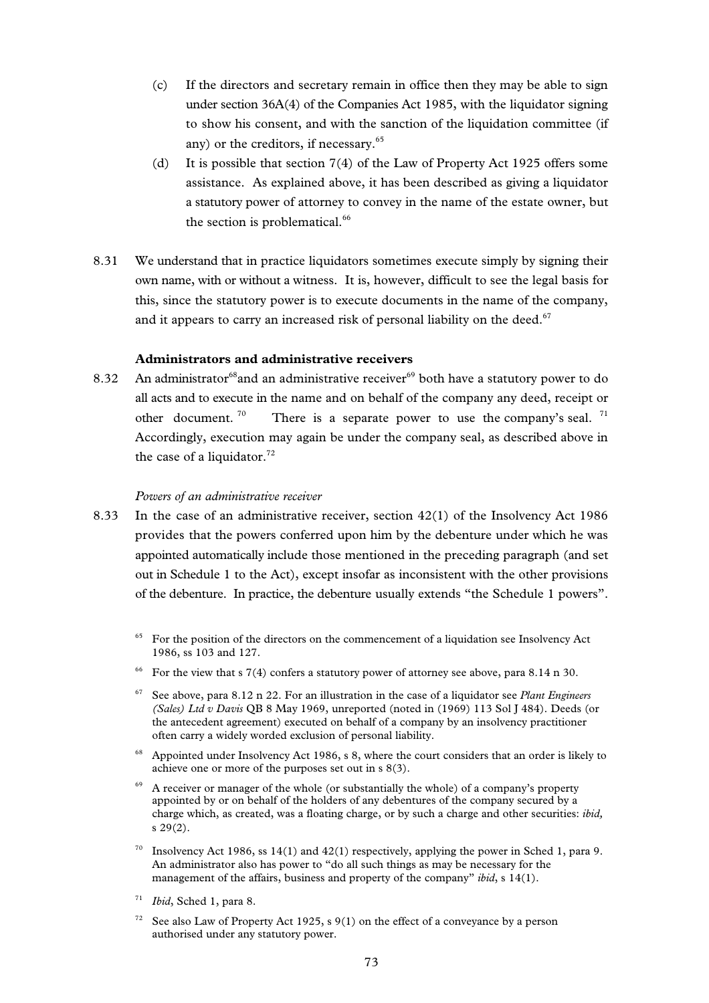- (c) If the directors and secretary remain in office then they may be able to sign under section 36A(4) of the Companies Act 1985, with the liquidator signing to show his consent, and with the sanction of the liquidation committee (if any) or the creditors, if necessary.<sup>65</sup>
- (d) It is possible that section 7(4) of the Law of Property Act 1925 offers some assistance. As explained above, it has been described as giving a liquidator a statutory power of attorney to convey in the name of the estate owner, but the section is problematical.<sup>66</sup>
- 8.31 We understand that in practice liquidators sometimes execute simply by signing their own name, with or without a witness. It is, however, difficult to see the legal basis for this, since the statutory power is to execute documents in the name of the company, and it appears to carry an increased risk of personal liability on the deed.<sup>67</sup>

## **Administrators and administrative receivers**

8.32 An administrator<sup>68</sup> and an administrative receiver<sup>69</sup> both have a statutory power to do all acts and to execute in the name and on behalf of the company any deed, receipt or other document. <sup>70</sup> There is a separate power to use the company's seal. <sup>71</sup> Accordingly, execution may again be under the company seal, as described above in the case of a liquidator.<sup>72</sup>

#### *Powers of an administrative receiver*

- 8.33 In the case of an administrative receiver, section 42(1) of the Insolvency Act 1986 provides that the powers conferred upon him by the debenture under which he was appointed automatically include those mentioned in the preceding paragraph (and set out in Schedule 1 to the Act), except insofar as inconsistent with the other provisions of the debenture. In practice, the debenture usually extends "the Schedule 1 powers".
	- $<sup>65</sup>$  For the position of the directors on the commencement of a liquidation see Insolvency Act</sup> 1986, ss 103 and 127.
	- $66$  For the view that s 7(4) confers a statutory power of attorney see above, para 8.14 n 30.
	- See above, para 8.12 n 22. For an illustration in the case of a liquidator see *Plant Engineers* <sup>67</sup> *(Sales) Ltd v Davis* QB 8 May 1969, unreported (noted in (1969) 113 Sol J 484). Deeds (or the antecedent agreement) executed on behalf of a company by an insolvency practitioner often carry a widely worded exclusion of personal liability.
	- <sup>68</sup> Appointed under Insolvency Act 1986, s 8, where the court considers that an order is likely to achieve one or more of the purposes set out in s 8(3).
	- A receiver or manager of the whole (or substantially the whole) of a company's property appointed by or on behalf of the holders of any debentures of the company secured by a charge which, as created, was a floating charge, or by such a charge and other securities: *ibid,* s 29(2).
	- <sup>70</sup> Insolvency Act 1986, ss 14(1) and 42(1) respectively, applying the power in Sched 1, para 9. An administrator also has power to "do all such things as may be necessary for the management of the affairs, business and property of the company" *ibid*, s 14(1).
	- $I<sup>71</sup>$  *Ibid*, Sched 1, para 8.
	- <sup>72</sup> See also Law of Property Act 1925, s  $9(1)$  on the effect of a conveyance by a person authorised under any statutory power.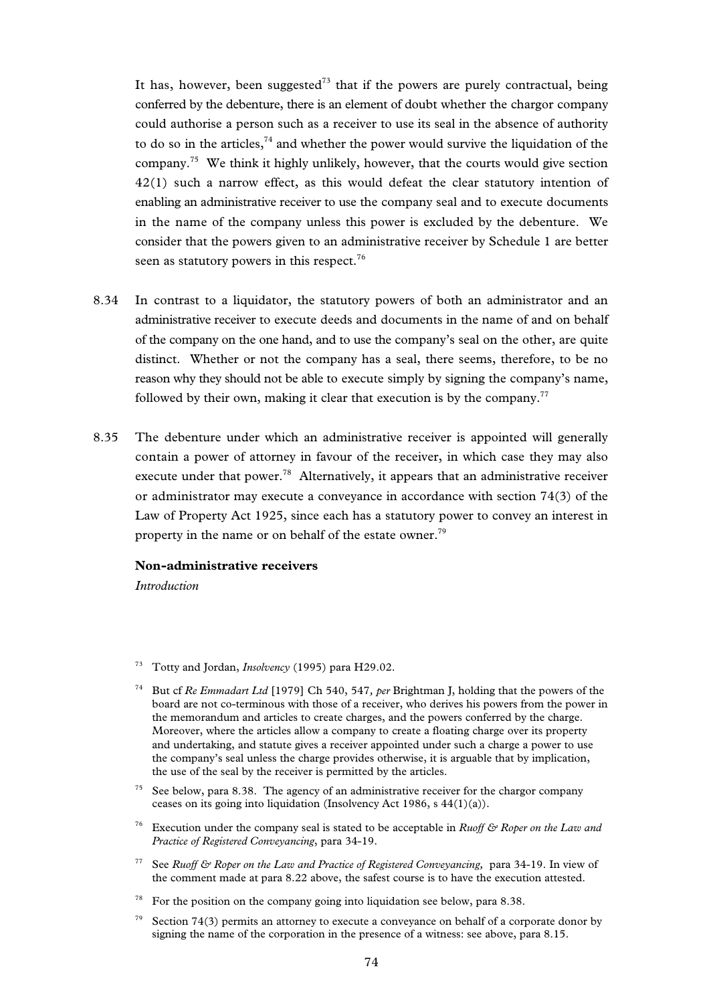It has, however, been suggested<sup>73</sup> that if the powers are purely contractual, being conferred by the debenture, there is an element of doubt whether the chargor company could authorise a person such as a receiver to use its seal in the absence of authority to do so in the articles,  $74$  and whether the power would survive the liquidation of the company.<sup> $75$ </sup> We think it highly unlikely, however, that the courts would give section 42(1) such a narrow effect, as this would defeat the clear statutory intention of enabling an administrative receiver to use the company seal and to execute documents in the name of the company unless this power is excluded by the debenture. We consider that the powers given to an administrative receiver by Schedule 1 are better seen as statutory powers in this respect.<sup>76</sup>

- 8.34 In contrast to a liquidator, the statutory powers of both an administrator and an administrative receiver to execute deeds and documents in the name of and on behalf of the company on the one hand, and to use the company's seal on the other, are quite distinct. Whether or not the company has a seal, there seems, therefore, to be no reason why they should not be able to execute simply by signing the company's name, followed by their own, making it clear that execution is by the company.<sup>77</sup>
- 8.35 The debenture under which an administrative receiver is appointed will generally contain a power of attorney in favour of the receiver, in which case they may also execute under that power.<sup>78</sup> Alternatively, it appears that an administrative receiver or administrator may execute a conveyance in accordance with section 74(3) of the Law of Property Act 1925, since each has a statutory power to convey an interest in property in the name or on behalf of the estate owner.<sup>79</sup>

#### **Non-administrative receivers**

*Introduction*

- <sup>74</sup> But cf *Re Emmadart Ltd* [1979] Ch 540, 547, per Brightman J, holding that the powers of the board are not co-terminous with those of a receiver, who derives his powers from the power in the memorandum and articles to create charges, and the powers conferred by the charge. Moreover, where the articles allow a company to create a floating charge over its property and undertaking, and statute gives a receiver appointed under such a charge a power to use the company's seal unless the charge provides otherwise, it is arguable that by implication, the use of the seal by the receiver is permitted by the articles.
- See below, para 8.38. The agency of an administrative receiver for the chargor company ceases on its going into liquidation (Insolvency Act 1986, s 44(1)(a)).
- <sup>76</sup> Execution under the company seal is stated to be acceptable in *Ruoff* & *Roper on the Law and Practice of Registered Conveyancing*, para 34-19.
- <sup>77</sup> See *Ruoff* & *Roper on the Law and Practice of Registered Conveyancing,* para 34-19. In view of the comment made at para 8.22 above, the safest course is to have the execution attested.
- $78$  For the position on the company going into liquidation see below, para 8.38.
- $\frac{79}{2}$  Section 74(3) permits an attorney to execute a conveyance on behalf of a corporate donor by signing the name of the corporation in the presence of a witness: see above, para 8.15.

<sup>&</sup>lt;sup>73</sup> Totty and Jordan, *Insolvency* (1995) para H29.02.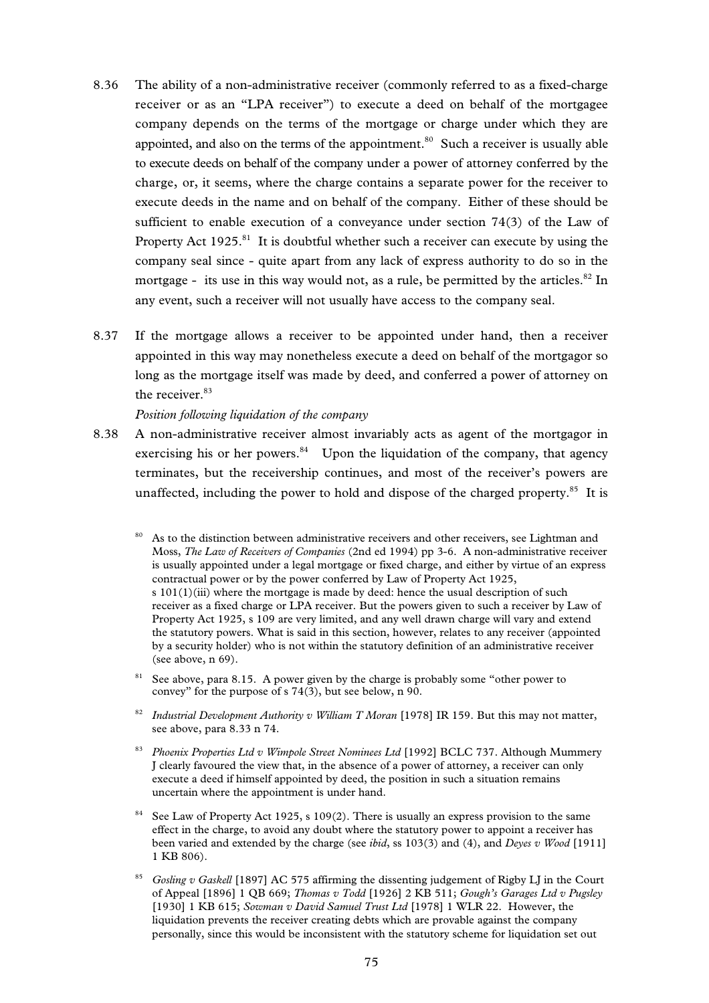- 8.36 The ability of a non-administrative receiver (commonly referred to as a fixed-charge receiver or as an "LPA receiver") to execute a deed on behalf of the mortgagee company depends on the terms of the mortgage or charge under which they are appointed, and also on the terms of the appointment. $80$  Such a receiver is usually able to execute deeds on behalf of the company under a power of attorney conferred by the charge, or, it seems, where the charge contains a separate power for the receiver to execute deeds in the name and on behalf of the company. Either of these should be sufficient to enable execution of a conveyance under section 74(3) of the Law of Property Act  $1925$ .<sup>81</sup> It is doubtful whether such a receiver can execute by using the company seal since - quite apart from any lack of express authority to do so in the mortgage - its use in this way would not, as a rule, be permitted by the articles.<sup>82</sup> In any event, such a receiver will not usually have access to the company seal.
- 8.37 If the mortgage allows a receiver to be appointed under hand, then a receiver appointed in this way may nonetheless execute a deed on behalf of the mortgagor so long as the mortgage itself was made by deed, and conferred a power of attorney on the receiver.<sup>83</sup>

*Position following liquidation of the company*

- 8.38 A non-administrative receiver almost invariably acts as agent of the mortgagor in exercising his or her powers. $84$  Upon the liquidation of the company, that agency terminates, but the receivership continues, and most of the receiver's powers are unaffected, including the power to hold and dispose of the charged property.<sup>85</sup> It is
	- As to the distinction between administrative receivers and other receivers, see Lightman and Moss, *The Law of Receivers of Companies* (2nd ed 1994) pp 3-6. A non-administrative receiver is usually appointed under a legal mortgage or fixed charge, and either by virtue of an express contractual power or by the power conferred by Law of Property Act 1925, s 101(1)(iii) where the mortgage is made by deed: hence the usual description of such receiver as a fixed charge or LPA receiver. But the powers given to such a receiver by Law of Property Act 1925, s 109 are very limited, and any well drawn charge will vary and extend the statutory powers. What is said in this section, however, relates to any receiver (appointed by a security holder) who is not within the statutory definition of an administrative receiver (see above, n 69).
	- $81$  See above, para 8.15. A power given by the charge is probably some "other power to convey" for the purpose of s 74(3), but see below, n 90.
	- <sup>82</sup> Industrial Development Authority v William T Moran [1978] IR 159. But this may not matter, see above, para 8.33 n 74.
	- <sup>83</sup> Phoenix Properties Ltd v Wimpole Street Nominees Ltd [1992] BCLC 737. Although Mummery J clearly favoured the view that, in the absence of a power of attorney, a receiver can only execute a deed if himself appointed by deed, the position in such a situation remains uncertain where the appointment is under hand.
	- <sup>84</sup> See Law of Property Act 1925, s 109(2). There is usually an express provision to the same effect in the charge, to avoid any doubt where the statutory power to appoint a receiver has been varied and extended by the charge (see *ibid*, ss 103(3) and (4), and *Deyes v Wood* [1911] 1 KB 806).
	- *Gosling v Gaskell* [1897] AC 575 affirming the dissenting judgement of Rigby LJ in the Court of Appeal [1896] 1 QB 669; *Thomas v Todd* [1926] 2 KB 511; *Gough's Garages Ltd v Pugsley* [1930] 1 KB 615; *Sowman v David Samuel Trust Ltd* [1978] 1 WLR 22. However, the liquidation prevents the receiver creating debts which are provable against the company personally, since this would be inconsistent with the statutory scheme for liquidation set out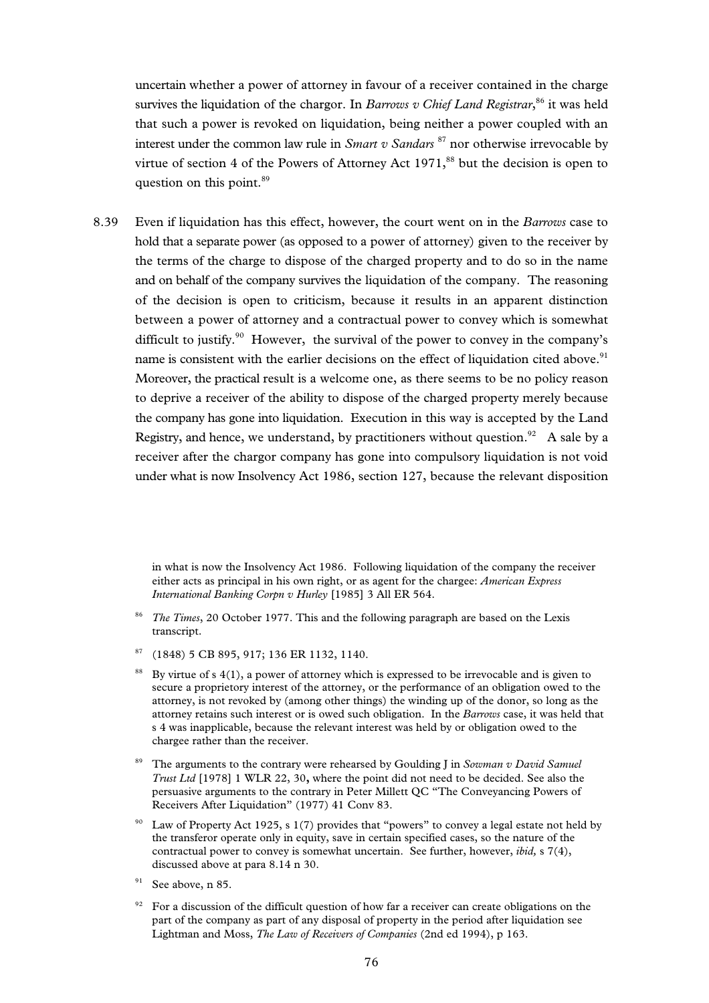uncertain whether a power of attorney in favour of a receiver contained in the charge survives the liquidation of the chargor. In *Barrows v Chief Land Registrar*,  $86$  it was held that such a power is revoked on liquidation, being neither a power coupled with an interest under the common law rule in *Smart v Sandars*  $87$  nor otherwise irrevocable by virtue of section 4 of the Powers of Attorney Act  $1971$ ,<sup>88</sup> but the decision is open to question on this point.<sup>89</sup>

8.39 Even if liquidation has this effect, however, the court went on in the *Barrows* case to hold that a separate power (as opposed to a power of attorney) given to the receiver by the terms of the charge to dispose of the charged property and to do so in the name and on behalf of the company survives the liquidation of the company. The reasoning of the decision is open to criticism, because it results in an apparent distinction between a power of attorney and a contractual power to convey which is somewhat difficult to justify.<sup>90</sup> However, the survival of the power to convey in the company's name is consistent with the earlier decisions on the effect of liquidation cited above.<sup>91</sup> Moreover, the practical result is a welcome one, as there seems to be no policy reason to deprive a receiver of the ability to dispose of the charged property merely because the company has gone into liquidation. Execution in this way is accepted by the Land Registry, and hence, we understand, by practitioners without question. <sup>92</sup> A sale by a receiver after the chargor company has gone into compulsory liquidation is not void under what is now Insolvency Act 1986, section 127, because the relevant disposition

> in what is now the Insolvency Act 1986. Following liquidation of the company the receiver either acts as principal in his own right, or as agent for the chargee: *American Express International Banking Corpn v Hurley* [1985] 3 All ER 564.

- <sup>86</sup> *The Times*, 20 October 1977. This and the following paragraph are based on the Lexis transcript.
- $87$  (1848) 5 CB 895, 917; 136 ER 1132, 1140.
- By virtue of  $s(4(1))$ , a power of attorney which is expressed to be irrevocable and is given to secure a proprietory interest of the attorney, or the performance of an obligation owed to the attorney, is not revoked by (among other things) the winding up of the donor, so long as the attorney retains such interest or is owed such obligation. In the *Barrows* case, it was held that s 4 was inapplicable, because the relevant interest was held by or obligation owed to the chargee rather than the receiver.
- The arguments to the contrary were rehearsed by Goulding J in *Sowman v David Samuel* <sup>89</sup> *Trust Ltd* [1978] 1 WLR 22, 30**,** where the point did not need to be decided. See also the persuasive arguments to the contrary in Peter Millett QC "The Conveyancing Powers of Receivers After Liquidation" (1977) 41 Conv 83.
- Law of Property Act 1925, s 1(7) provides that "powers" to convey a legal estate not held by the transferor operate only in equity, save in certain specified cases, so the nature of the contractual power to convey is somewhat uncertain. See further, however, *ibid,* s 7(4), discussed above at para 8.14 n 30.
- $91$  See above, n 85.
- $92$  For a discussion of the difficult question of how far a receiver can create obligations on the part of the company as part of any disposal of property in the period after liquidation see Lightman and Moss, *The Law of Receivers of Companies* (2nd ed 1994), p 163.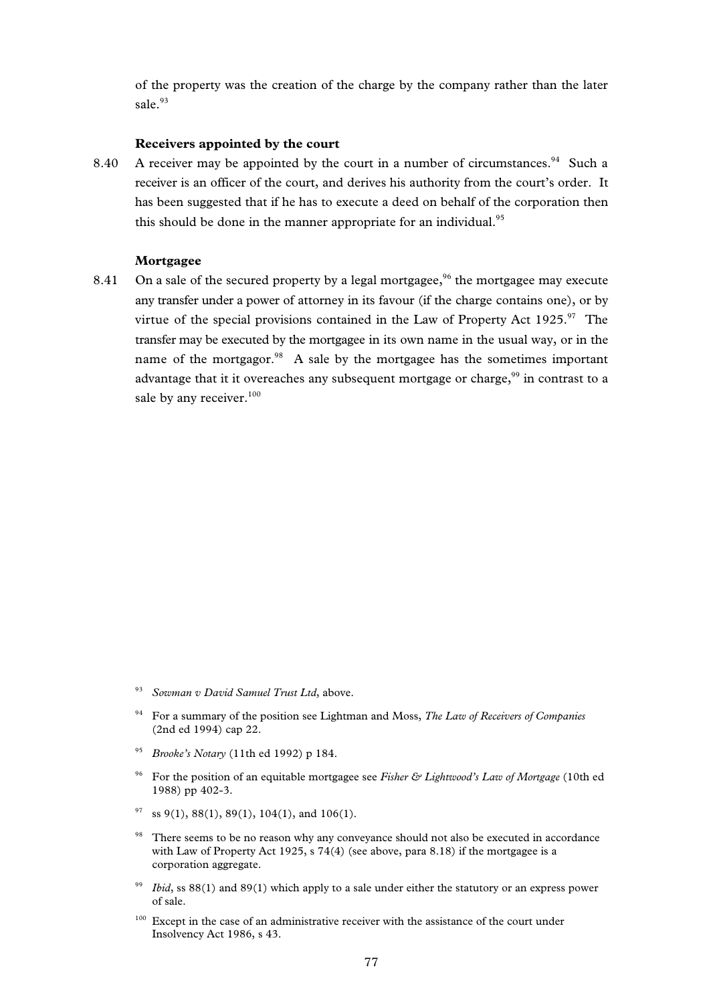of the property was the creation of the charge by the company rather than the later sale.<sup>93</sup>

## **Receivers appointed by the court**

8.40 A receiver may be appointed by the court in a number of circumstances.<sup>94</sup> Such a receiver is an officer of the court, and derives his authority from the court's order. It has been suggested that if he has to execute a deed on behalf of the corporation then this should be done in the manner appropriate for an individual.<sup>95</sup>

#### **Mortgagee**

8.41 On a sale of the secured property by a legal mortgagee,<sup>96</sup> the mortgagee may execute any transfer under a power of attorney in its favour (if the charge contains one), or by virtue of the special provisions contained in the Law of Property Act  $1925.^{97}$  The transfer may be executed by the mortgagee in its own name in the usual way, or in the name of the mortgagor.<sup>98</sup> A sale by the mortgagee has the sometimes important advantage that it it overeaches any subsequent mortgage or charge,  $99$  in contrast to a sale by any receiver.<sup>100</sup>

- <sup>93</sup> Sowman v David Samuel Trust Ltd, above.
- For a summary of the position see Lightman and Moss, *The Law of Receivers of Companies* <sup>94</sup> (2nd ed 1994) cap 22.
- <sup>95</sup> *Brooke's Notary* (11th ed 1992) p 184.
- <sup>96</sup> For the position of an equitable mortgagee see *Fisher & Lightwood's Law of Mortgage* (10th ed 1988) pp 402-3.
- ss  $9(1)$ ,  $88(1)$ ,  $89(1)$ ,  $104(1)$ , and  $106(1)$ .
- <sup>98</sup> There seems to be no reason why any conveyance should not also be executed in accordance with Law of Property Act 1925, s 74(4) (see above, para 8.18) if the mortgagee is a corporation aggregate.
- $I<sup>99</sup>$  *Ibid*, ss 88(1) and 89(1) which apply to a sale under either the statutory or an express power of sale.
- $100$  Except in the case of an administrative receiver with the assistance of the court under Insolvency Act 1986, s 43.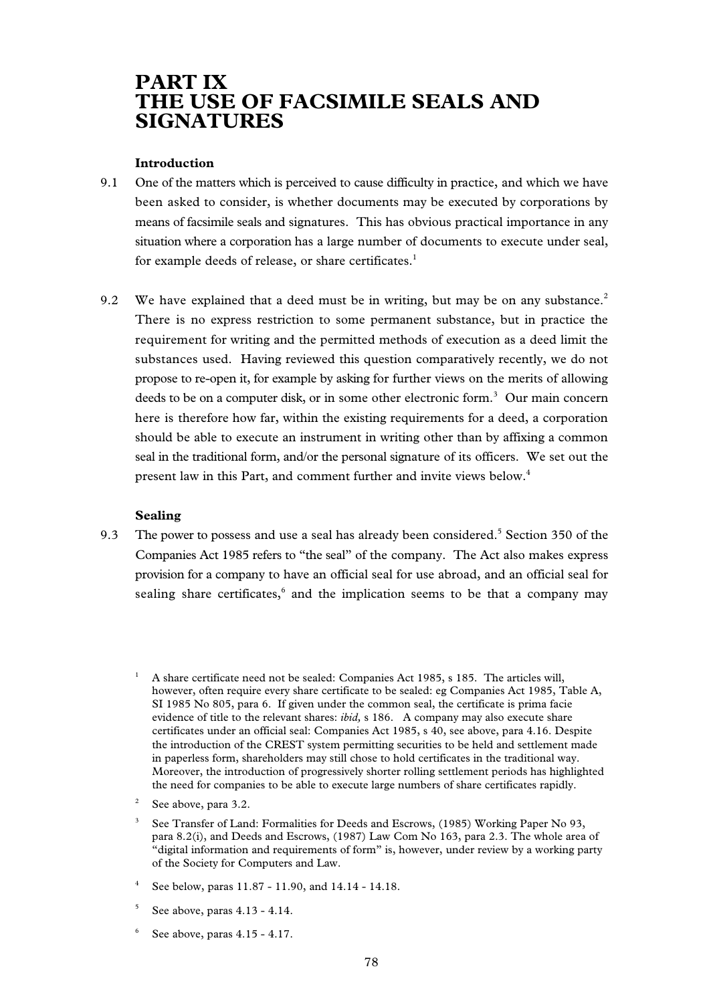## **PART IX THE USE OF FACSIMILE SEALS AND SIGNATURES**

## **Introduction**

- 9.1 One of the matters which is perceived to cause difficulty in practice, and which we have been asked to consider, is whether documents may be executed by corporations by means of facsimile seals and signatures. This has obvious practical importance in any situation where a corporation has a large number of documents to execute under seal, for example deeds of release, or share certificates.<sup>1</sup>
- 9.2 We have explained that a deed must be in writing, but may be on any substance.<sup>2</sup> There is no express restriction to some permanent substance, but in practice the requirement for writing and the permitted methods of execution as a deed limit the substances used. Having reviewed this question comparatively recently, we do not propose to re-open it, for example by asking for further views on the merits of allowing deeds to be on a computer disk, or in some other electronic form.<sup>3</sup> Our main concern here is therefore how far, within the existing requirements for a deed, a corporation should be able to execute an instrument in writing other than by affixing a common seal in the traditional form, and/or the personal signature of its officers. We set out the present law in this Part, and comment further and invite views below.<sup>4</sup>

## **Sealing**

- 9.3 The power to possess and use a seal has already been considered.<sup>5</sup> Section 350 of the Companies Act 1985 refers to "the seal" of the company. The Act also makes express provision for a company to have an official seal for use abroad, and an official seal for sealing share certificates, $6$  and the implication seems to be that a company may
	- A share certificate need not be sealed: Companies Act 1985, s 185. The articles will, <sup>1</sup> however, often require every share certificate to be sealed: eg Companies Act 1985, Table A, SI 1985 No 805, para 6. If given under the common seal, the certificate is prima facie evidence of title to the relevant shares: *ibid,* s 186. A company may also execute share certificates under an official seal: Companies Act 1985, s 40, see above, para 4.16. Despite the introduction of the CREST system permitting securities to be held and settlement made in paperless form, shareholders may still chose to hold certificates in the traditional way. Moreover, the introduction of progressively shorter rolling settlement periods has highlighted the need for companies to be able to execute large numbers of share certificates rapidly.
	- See above, para 3.2.
	- See Transfer of Land: Formalities for Deeds and Escrows, (1985) Working Paper No 93, para 8.2(i), and Deeds and Escrows, (1987) Law Com No 163, para 2.3. The whole area of "digital information and requirements of form" is, however, under review by a working party of the Society for Computers and Law.
	- See below, paras 11.87 11.90, and 14.14 14.18. <sup>4</sup>
	- $5$  See above, paras 4.13 4.14.
	- See above, paras 4.15 4.17.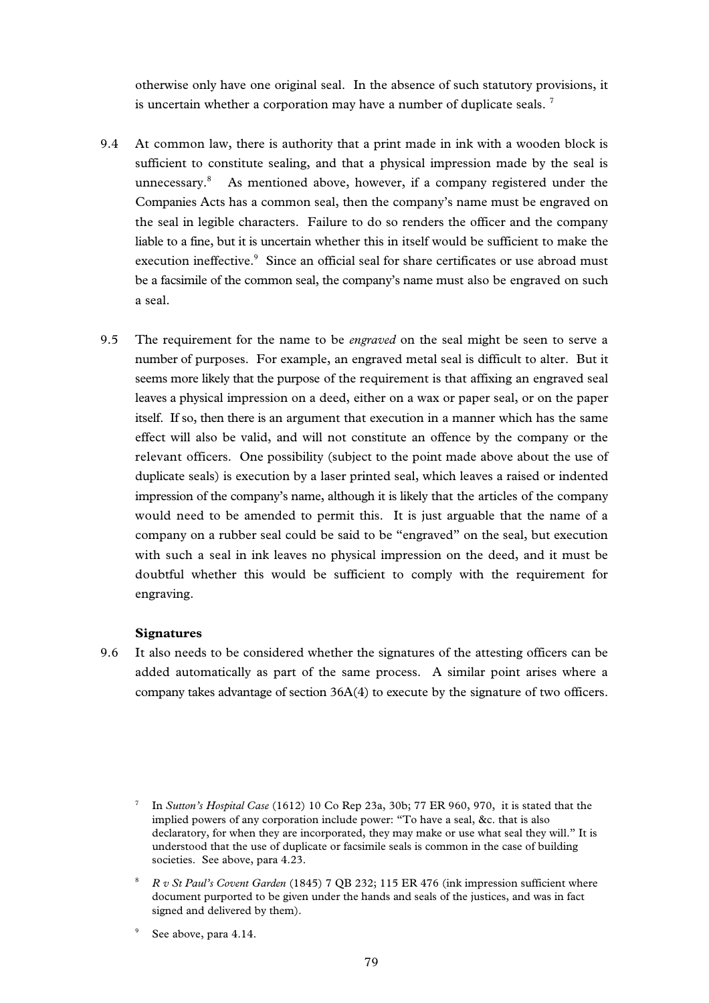otherwise only have one original seal. In the absence of such statutory provisions, it is uncertain whether a corporation may have a number of duplicate seals.  $<sup>7</sup>$ </sup>

- 9.4 At common law, there is authority that a print made in ink with a wooden block is sufficient to constitute sealing, and that a physical impression made by the seal is unnecessary.<sup>8</sup> As mentioned above, however, if a company registered under the Companies Acts has a common seal, then the company's name must be engraved on the seal in legible characters. Failure to do so renders the officer and the company liable to a fine, but it is uncertain whether this in itself would be sufficient to make the execution ineffective.<sup>9</sup> Since an official seal for share certificates or use abroad must be a facsimile of the common seal, the company's name must also be engraved on such a seal.
- 9.5 The requirement for the name to be *engraved* on the seal might be seen to serve a number of purposes. For example, an engraved metal seal is difficult to alter. But it seems more likely that the purpose of the requirement is that affixing an engraved seal leaves a physical impression on a deed, either on a wax or paper seal, or on the paper itself. If so, then there is an argument that execution in a manner which has the same effect will also be valid, and will not constitute an offence by the company or the relevant officers. One possibility (subject to the point made above about the use of duplicate seals) is execution by a laser printed seal, which leaves a raised or indented impression of the company's name, although it is likely that the articles of the company would need to be amended to permit this. It is just arguable that the name of a company on a rubber seal could be said to be "engraved" on the seal, but execution with such a seal in ink leaves no physical impression on the deed, and it must be doubtful whether this would be sufficient to comply with the requirement for engraving.

## **Signatures**

9.6 It also needs to be considered whether the signatures of the attesting officers can be added automatically as part of the same process. A similar point arises where a company takes advantage of section 36A(4) to execute by the signature of two officers.

In *Sutton's Hospital Case* (1612) 10 Co Rep 23a, 30b; 77 ER 960, 970, it is stated that the <sup>7</sup> implied powers of any corporation include power: "To have a seal, &c. that is also declaratory, for when they are incorporated, they may make or use what seal they will." It is understood that the use of duplicate or facsimile seals is common in the case of building societies. See above, para 4.23.

*R v St Paul's Covent Garden* (1845) 7 QB 232; 115 ER 476 (ink impression sufficient where <sup>8</sup> document purported to be given under the hands and seals of the justices, and was in fact signed and delivered by them).

See above, para 4.14.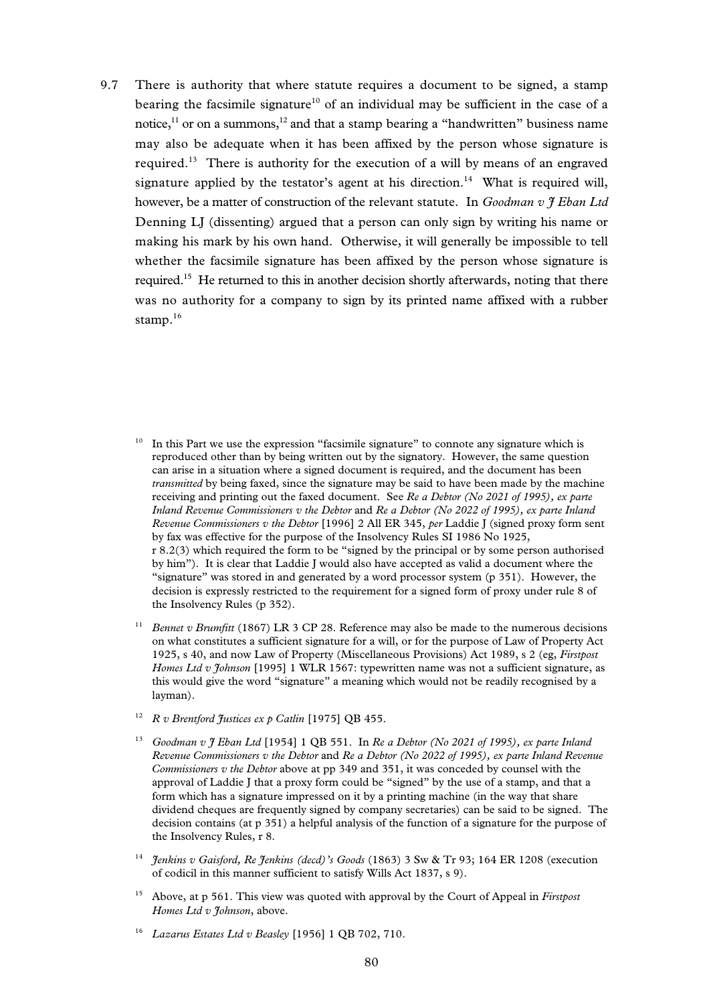9.7 There is authority that where statute requires a document to be signed, a stamp bearing the facsimile signature<sup>10</sup> of an individual may be sufficient in the case of a notice, $11$  or on a summons,  $12$  and that a stamp bearing a "handwritten" business name may also be adequate when it has been affixed by the person whose signature is required.<sup>13</sup> There is authority for the execution of a will by means of an engraved signature applied by the testator's agent at his direction.<sup>14</sup> What is required will, however, be a matter of construction of the relevant statute. In *Goodman v J Eban Ltd* Denning LJ (dissenting) argued that a person can only sign by writing his name or making his mark by his own hand. Otherwise, it will generally be impossible to tell whether the facsimile signature has been affixed by the person whose signature is required.<sup>15</sup> He returned to this in another decision shortly afterwards, noting that there was no authority for a company to sign by its printed name affixed with a rubber stamp.<sup>16</sup>

- In this Part we use the expression "facsimile signature" to connote any signature which is reproduced other than by being written out by the signatory. However, the same question can arise in a situation where a signed document is required, and the document has been *transmitted* by being faxed, since the signature may be said to have been made by the machine receiving and printing out the faxed document. See *Re a Debtor (No 2021 of 1995), ex parte Inland Revenue Commissioners v the Debtor* and *Re a Debtor (No 2022 of 1995), ex parte Inland Revenue Commissioners v the Debtor* [1996] 2 All ER 345, *per* Laddie J (signed proxy form sent by fax was effective for the purpose of the Insolvency Rules SI 1986 No 1925, r 8.2(3) which required the form to be "signed by the principal or by some person authorised by him"). It is clear that Laddie J would also have accepted as valid a document where the "signature" was stored in and generated by a word processor system (p 351). However, the decision is expressly restricted to the requirement for a signed form of proxy under rule 8 of the Insolvency Rules (p 352).
- *Bennet v Brumfitt* (1867) LR 3 CP 28. Reference may also be made to the numerous decisions on what constitutes a sufficient signature for a will, or for the purpose of Law of Property Act 1925, s 40, and now Law of Property (Miscellaneous Provisions) Act 1989, s 2 (eg, *Firstpost Homes Ltd v Johnson* [1995] 1 WLR 1567: typewritten name was not a sufficient signature, as this would give the word "signature" a meaning which would not be readily recognised by a layman).
- <sup>12</sup> *R v Brentford Justices ex p Catlin* [1975] QB 455.
- <sup>13</sup> Goodman v J Eban Ltd [1954] 1 QB 551. In *Re a Debtor (No 2021 of 1995), ex parte Inland Revenue Commissioners v the Debtor* and *Re a Debtor (No 2022 of 1995), ex parte Inland Revenue Commissioners v the Debtor* above at pp 349 and 351, it was conceded by counsel with the approval of Laddie J that a proxy form could be "signed" by the use of a stamp, and that a form which has a signature impressed on it by a printing machine (in the way that share dividend cheques are frequently signed by company secretaries) can be said to be signed. The decision contains (at p 351) a helpful analysis of the function of a signature for the purpose of the Insolvency Rules, r 8.
- <sup>14</sup> *Jenkins v Gaisford, Re Jenkins (decd)'s Goods* (1863) 3 Sw & Tr 93; 164 ER 1208 (execution of codicil in this manner sufficient to satisfy Wills Act 1837, s 9).
- <sup>15</sup> Above, at p 561. This view was quoted with approval by the Court of Appeal in *Firstpost Homes Ltd v Tohnson*, above.
- Lazarus Estates Ltd v Beasley [1956] 1 QB 702, 710.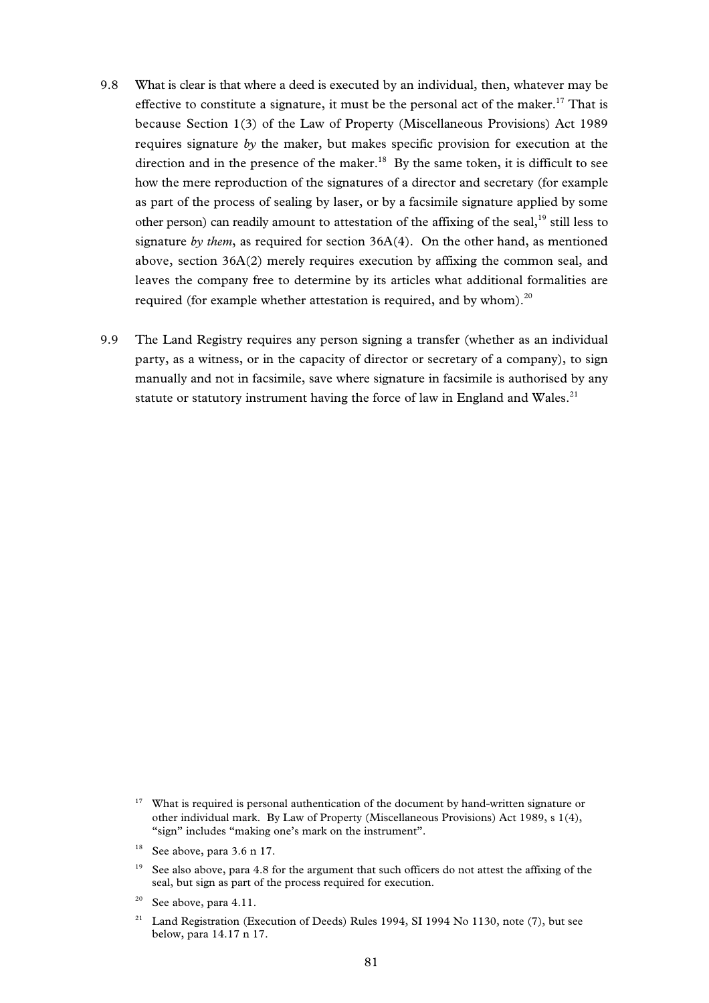- 9.8 What is clear is that where a deed is executed by an individual, then, whatever may be effective to constitute a signature, it must be the personal act of the maker.<sup>17</sup> That is because Section 1(3) of the Law of Property (Miscellaneous Provisions) Act 1989 requires signature *by* the maker, but makes specific provision for execution at the direction and in the presence of the maker.<sup>18</sup> By the same token, it is difficult to see how the mere reproduction of the signatures of a director and secretary (for example as part of the process of sealing by laser, or by a facsimile signature applied by some other person) can readily amount to attestation of the affixing of the seal,  $19$  still less to signature *by them*, as required for section 36A(4). On the other hand, as mentioned above, section 36A(2) merely requires execution by affixing the common seal, and leaves the company free to determine by its articles what additional formalities are required (for example whether attestation is required, and by whom). $^{20}$
- 9.9 The Land Registry requires any person signing a transfer (whether as an individual party, as a witness, or in the capacity of director or secretary of a company), to sign manually and not in facsimile, save where signature in facsimile is authorised by any statute or statutory instrument having the force of law in England and Wales.<sup>21</sup>

 $17$  What is required is personal authentication of the document by hand-written signature or other individual mark. By Law of Property (Miscellaneous Provisions) Act 1989, s 1(4), "sign" includes "making one's mark on the instrument".

 $18$  See above, para 3.6 n 17.

<sup>&</sup>lt;sup>19</sup> See also above, para 4.8 for the argument that such officers do not attest the affixing of the seal, but sign as part of the process required for execution.

<sup>&</sup>lt;sup>20</sup> See above, para  $4.11$ .

<sup>&</sup>lt;sup>21</sup> Land Registration (Execution of Deeds) Rules 1994, SI 1994 No 1130, note (7), but see below, para 14.17 n 17.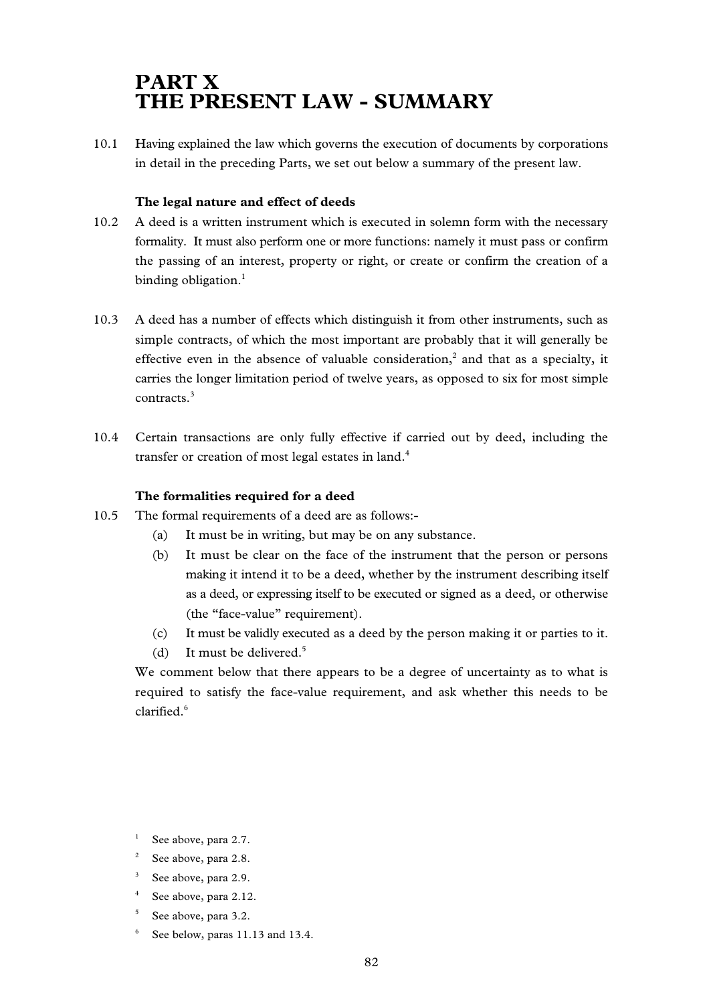# **PART X THE PRESENT LAW - SUMMARY**

10.1 Having explained the law which governs the execution of documents by corporations in detail in the preceding Parts, we set out below a summary of the present law.

## **The legal nature and effect of deeds**

- 10.2 A deed is a written instrument which is executed in solemn form with the necessary formality. It must also perform one or more functions: namely it must pass or confirm the passing of an interest, property or right, or create or confirm the creation of a binding obligation. $<sup>1</sup>$ </sup>
- 10.3 A deed has a number of effects which distinguish it from other instruments, such as simple contracts, of which the most important are probably that it will generally be effective even in the absence of valuable consideration,<sup>2</sup> and that as a specialty, it carries the longer limitation period of twelve years, as opposed to six for most simple contracts.<sup>3</sup>
- 10.4 Certain transactions are only fully effective if carried out by deed, including the transfer or creation of most legal estates in land.<sup>4</sup>

## **The formalities required for a deed**

- 10.5 The formal requirements of a deed are as follows:-
	- (a) It must be in writing, but may be on any substance.
	- (b) It must be clear on the face of the instrument that the person or persons making it intend it to be a deed, whether by the instrument describing itself as a deed, or expressing itself to be executed or signed as a deed, or otherwise (the "face-value" requirement).
	- (c) It must be validly executed as a deed by the person making it or parties to it.
	- (d) It must be delivered.<sup>5</sup>

We comment below that there appears to be a degree of uncertainty as to what is required to satisfy the face-value requirement, and ask whether this needs to be clarified.<sup>6</sup>

- $^1$  See above, para 2.7.
- See above, para 2.8.
- See above, para 2.9.
- See above, para 2.12.
- See above, para 3.2.
- See below, paras 11.13 and 13.4.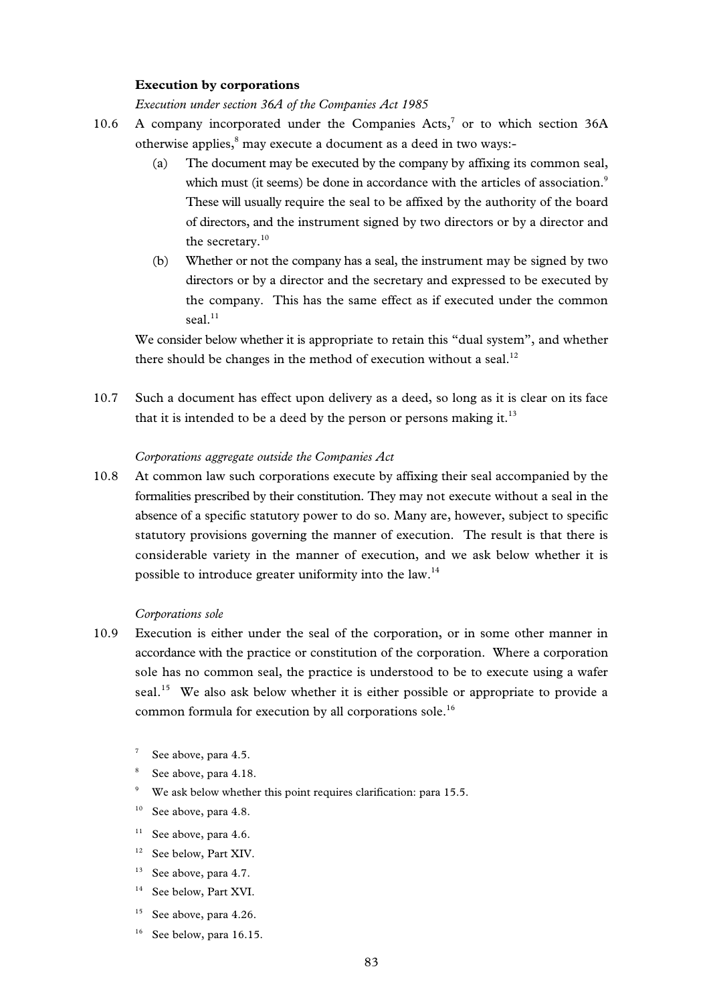## **Execution by corporations**

*Execution under section 36A of the Companies Act 1985*

- 10.6 A company incorporated under the Companies Acts,<sup>7</sup> or to which section 36A otherwise applies,<sup>8</sup> may execute a document as a deed in two ways:-
	- (a) The document may be executed by the company by affixing its common seal, which must (it seems) be done in accordance with the articles of association.<sup>9</sup> These will usually require the seal to be affixed by the authority of the board of directors, and the instrument signed by two directors or by a director and the secretary.<sup>10</sup>
	- (b) Whether or not the company has a seal, the instrument may be signed by two directors or by a director and the secretary and expressed to be executed by the company. This has the same effect as if executed under the common seal. $^{11}$

We consider below whether it is appropriate to retain this "dual system", and whether there should be changes in the method of execution without a seal. $12$ 

10.7 Such a document has effect upon delivery as a deed, so long as it is clear on its face that it is intended to be a deed by the person or persons making it.<sup>13</sup>

## *Corporations aggregate outside the Companies Act*

10.8 At common law such corporations execute by affixing their seal accompanied by the formalities prescribed by their constitution. They may not execute without a seal in the absence of a specific statutory power to do so. Many are, however, subject to specific statutory provisions governing the manner of execution. The result is that there is considerable variety in the manner of execution, and we ask below whether it is possible to introduce greater uniformity into the law.<sup>14</sup>

#### *Corporations sole*

- 10.9 Execution is either under the seal of the corporation, or in some other manner in accordance with the practice or constitution of the corporation. Where a corporation sole has no common seal, the practice is understood to be to execute using a wafer seal.<sup>15</sup> We also ask below whether it is either possible or appropriate to provide a common formula for execution by all corporations sole.<sup>16</sup>
	- $\frac{7}{1}$  See above, para 4.5.
	- See above, para 4.18.
	- $\degree$  We ask below whether this point requires clarification: para 15.5.
	- $10$  See above, para 4.8.
	- $11$  See above, para 4.6.
	- $12$  See below, Part XIV.
	- $13$  See above, para 4.7.
	- <sup>14</sup> See below, Part XVI.
	- $15$  See above, para 4.26.
	- $16$  See below, para 16.15.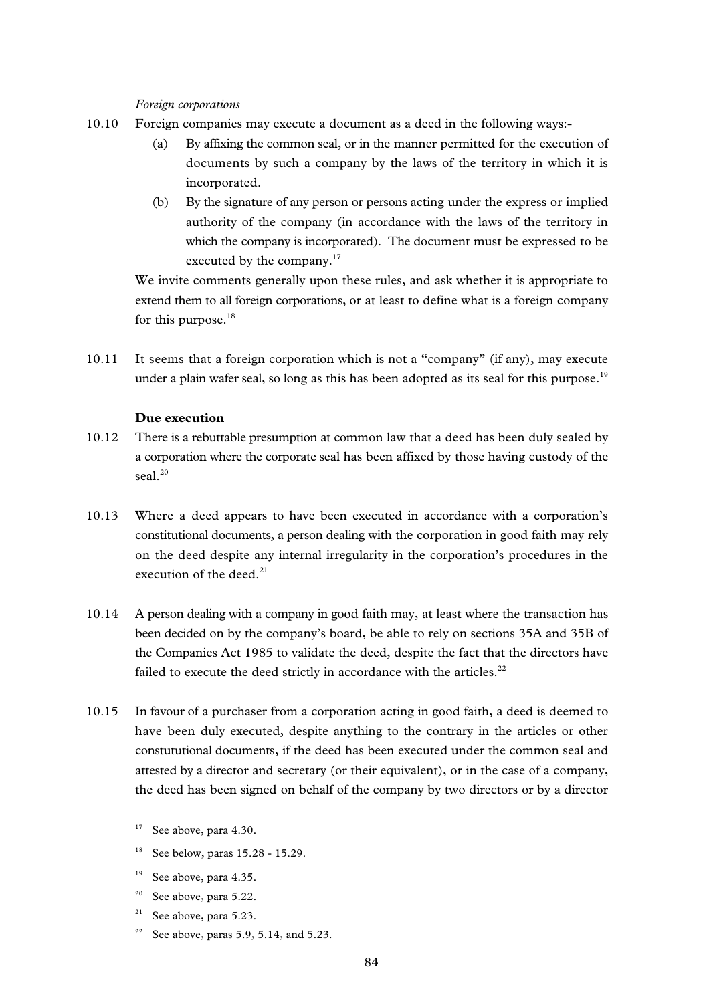*Foreign corporations*

- 10.10 Foreign companies may execute a document as a deed in the following ways:-
	- (a) By affixing the common seal, or in the manner permitted for the execution of documents by such a company by the laws of the territory in which it is incorporated.
	- (b) By the signature of any person or persons acting under the express or implied authority of the company (in accordance with the laws of the territory in which the company is incorporated). The document must be expressed to be executed by the company.<sup>17</sup>

We invite comments generally upon these rules, and ask whether it is appropriate to extend them to all foreign corporations, or at least to define what is a foreign company for this purpose.<sup>18</sup>

10.11 It seems that a foreign corporation which is not a "company" (if any), may execute under a plain wafer seal, so long as this has been adopted as its seal for this purpose.<sup>19</sup>

## **Due execution**

- 10.12 There is a rebuttable presumption at common law that a deed has been duly sealed by a corporation where the corporate seal has been affixed by those having custody of the seal. $20$
- 10.13 Where a deed appears to have been executed in accordance with a corporation's constitutional documents, a person dealing with the corporation in good faith may rely on the deed despite any internal irregularity in the corporation's procedures in the execution of the deed. $21$
- 10.14 A person dealing with a company in good faith may, at least where the transaction has been decided on by the company's board, be able to rely on sections 35A and 35B of the Companies Act 1985 to validate the deed, despite the fact that the directors have failed to execute the deed strictly in accordance with the articles. $22$
- 10.15 In favour of a purchaser from a corporation acting in good faith, a deed is deemed to have been duly executed, despite anything to the contrary in the articles or other constututional documents, if the deed has been executed under the common seal and attested by a director and secretary (or their equivalent), or in the case of a company, the deed has been signed on behalf of the company by two directors or by a director
	- $17$  See above, para 4.30.
	- <sup>18</sup> See below, paras  $15.28 15.29$ .
	- $19$  See above, para 4.35.
	- $20$  See above, para 5.22.
	- $21$  See above, para 5.23.
	- <sup>22</sup> See above, paras 5.9, 5.14, and 5.23.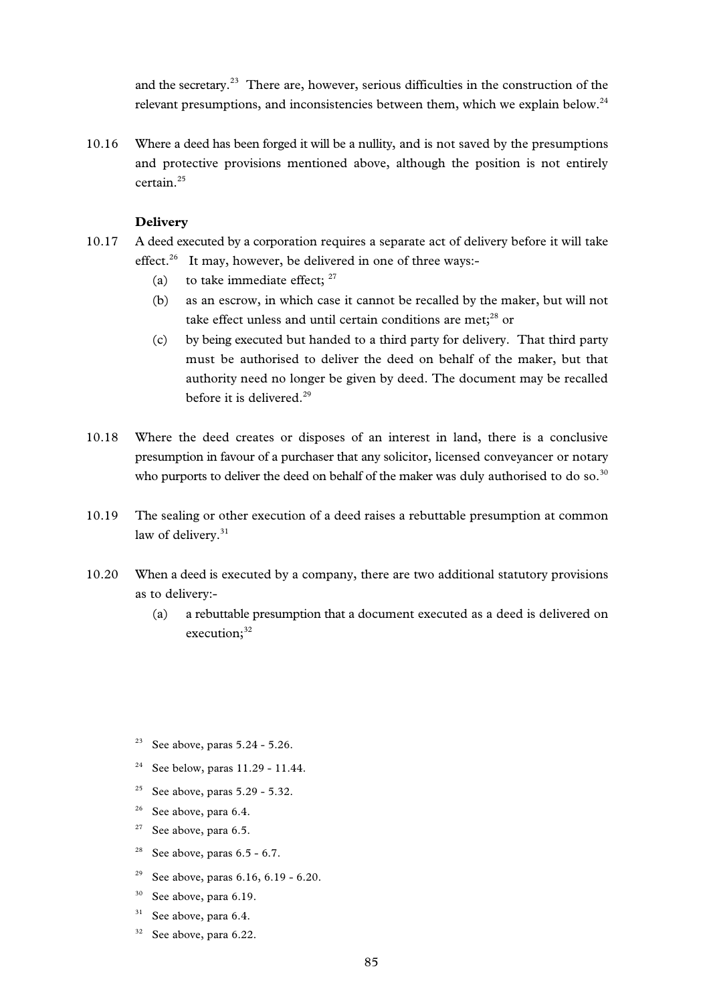and the secretary.<sup>23</sup> There are, however, serious difficulties in the construction of the relevant presumptions, and inconsistencies between them, which we explain below. $^{24}$ 

10.16 Where a deed has been forged it will be a nullity, and is not saved by the presumptions and protective provisions mentioned above, although the position is not entirely certain.<sup>25</sup>

## **Delivery**

- 10.17 A deed executed by a corporation requires a separate act of delivery before it will take effect.<sup>26</sup> It may, however, be delivered in one of three ways:-
	- (a) to take immediate effect;  $27$
	- (b) as an escrow, in which case it cannot be recalled by the maker, but will not take effect unless and until certain conditions are met; $^{28}$  or
	- (c) by being executed but handed to a third party for delivery. That third party must be authorised to deliver the deed on behalf of the maker, but that authority need no longer be given by deed. The document may be recalled before it is delivered.<sup>29</sup>
- 10.18 Where the deed creates or disposes of an interest in land, there is a conclusive presumption in favour of a purchaser that any solicitor, licensed conveyancer or notary who purports to deliver the deed on behalf of the maker was duly authorised to do so.<sup>30</sup>
- 10.19 The sealing or other execution of a deed raises a rebuttable presumption at common law of delivery.<sup>31</sup>
- 10.20 When a deed is executed by a company, there are two additional statutory provisions as to delivery:-
	- (a) a rebuttable presumption that a document executed as a deed is delivered on execution;<sup>32</sup>
	- See above, paras  $5.24 5.26$ .
	- <sup>24</sup> See below, paras  $11.29 11.44$ .
	- <sup>25</sup> See above, paras  $5.29 5.32$ .
	- $26$  See above, para 6.4.
	- $27$  See above, para 6.5.
	- <sup>28</sup> See above, paras  $6.5 6.7$ .
	- <sup>29</sup> See above, paras  $6.16, 6.19 6.20$ .
	- $30$  See above, para 6.19.
	- $31$  See above, para 6.4.
	- $32$  See above, para 6.22.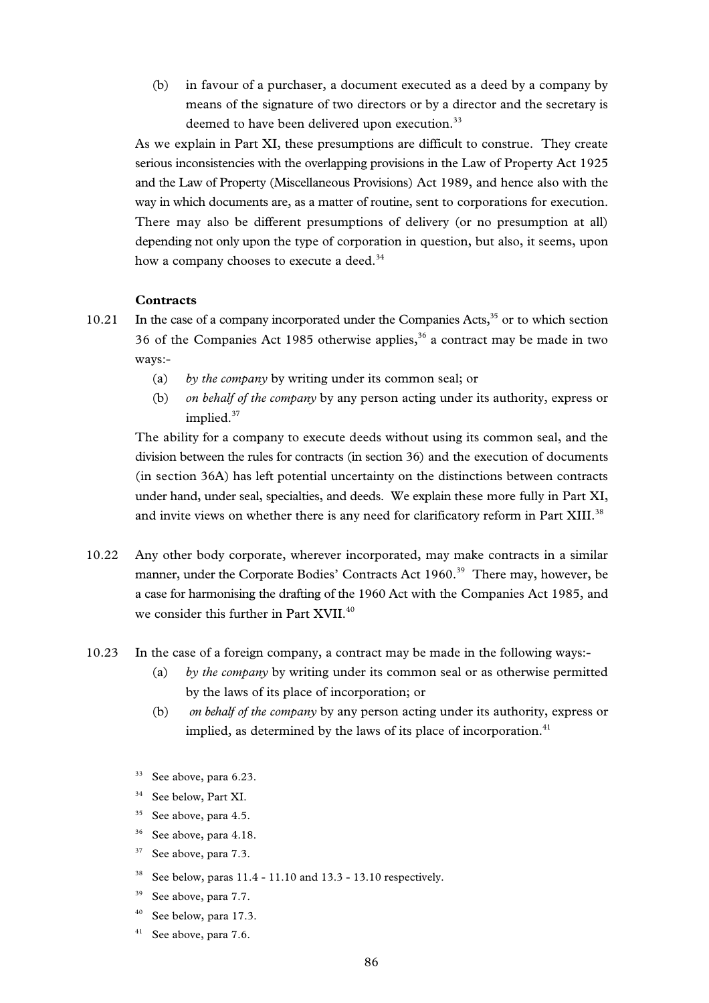(b) in favour of a purchaser, a document executed as a deed by a company by means of the signature of two directors or by a director and the secretary is deemed to have been delivered upon execution.<sup>33</sup>

As we explain in Part XI, these presumptions are difficult to construe. They create serious inconsistencies with the overlapping provisions in the Law of Property Act 1925 and the Law of Property (Miscellaneous Provisions) Act 1989, and hence also with the way in which documents are, as a matter of routine, sent to corporations for execution. There may also be different presumptions of delivery (or no presumption at all) depending not only upon the type of corporation in question, but also, it seems, upon how a company chooses to execute a deed.<sup>34</sup>

## **Contracts**

- 10.21 In the case of a company incorporated under the Companies Acts,  $35$  or to which section 36 of the Companies Act 1985 otherwise applies,  $36$  a contract may be made in two ways:-
	- (a) *by the company* by writing under its common seal; or
	- (b) *on behalf of the company* by any person acting under its authority, express or implied.<sup>37</sup>

The ability for a company to execute deeds without using its common seal, and the division between the rules for contracts (in section 36) and the execution of documents (in section 36A) has left potential uncertainty on the distinctions between contracts under hand, under seal, specialties, and deeds. We explain these more fully in Part XI, and invite views on whether there is any need for clarificatory reform in Part XIII.<sup>38</sup>

- 10.22 Any other body corporate, wherever incorporated, may make contracts in a similar manner, under the Corporate Bodies' Contracts Act 1960.<sup>39</sup> There may, however, be a case for harmonising the drafting of the 1960 Act with the Companies Act 1985, and we consider this further in Part XVII.<sup>40</sup>
- 10.23 In the case of a foreign company, a contract may be made in the following ways:-
	- (a) *by the company* by writing under its common seal or as otherwise permitted by the laws of its place of incorporation; or
	- (b) *on behalf of the company* by any person acting under its authority, express or implied, as determined by the laws of its place of incorporation.<sup>41</sup>
	- $33$  See above, para 6.23.
	- <sup>34</sup> See below, Part XI.
	- $35$  See above, para 4.5.
	- $36$  See above, para 4.18.
	- $37$  See above, para 7.3.
	- $38$  See below, paras 11.4 11.10 and 13.3 13.10 respectively.
	- $39$  See above, para 7.7.
	- $40$  See below, para 17.3.
	- $41$  See above, para 7.6.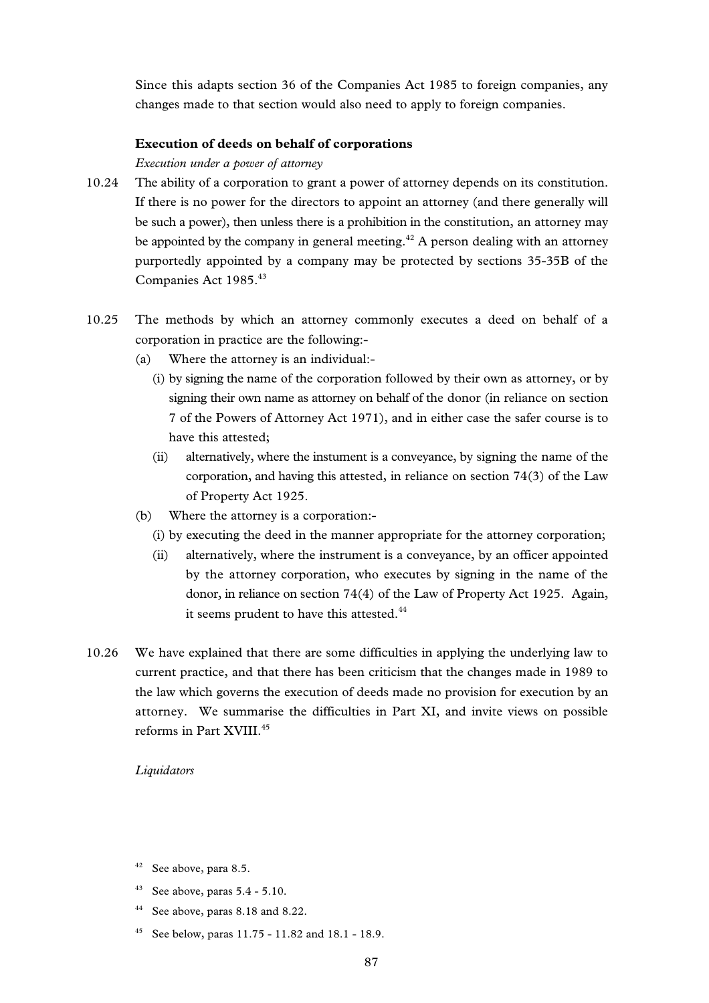Since this adapts section 36 of the Companies Act 1985 to foreign companies, any changes made to that section would also need to apply to foreign companies.

## **Execution of deeds on behalf of corporations**

*Execution under a power of attorney*

- 10.24 The ability of a corporation to grant a power of attorney depends on its constitution. If there is no power for the directors to appoint an attorney (and there generally will be such a power), then unless there is a prohibition in the constitution, an attorney may be appointed by the company in general meeting.<sup> $42$ </sup> A person dealing with an attorney purportedly appointed by a company may be protected by sections 35-35B of the Companies Act 1985.<sup>43</sup>
- 10.25 The methods by which an attorney commonly executes a deed on behalf of a corporation in practice are the following:-
	- (a) Where the attorney is an individual:-
		- (i) by signing the name of the corporation followed by their own as attorney, or by signing their own name as attorney on behalf of the donor (in reliance on section 7 of the Powers of Attorney Act 1971), and in either case the safer course is to have this attested;
		- (ii) alternatively, where the instument is a conveyance, by signing the name of the corporation, and having this attested, in reliance on section 74(3) of the Law of Property Act 1925.
	- (b) Where the attorney is a corporation:-
		- (i) by executing the deed in the manner appropriate for the attorney corporation;
		- (ii) alternatively, where the instrument is a conveyance, by an officer appointed by the attorney corporation, who executes by signing in the name of the donor, in reliance on section 74(4) of the Law of Property Act 1925. Again, it seems prudent to have this attested.<sup>44</sup>
- 10.26 We have explained that there are some difficulties in applying the underlying law to current practice, and that there has been criticism that the changes made in 1989 to the law which governs the execution of deeds made no provision for execution by an attorney. We summarise the difficulties in Part XI, and invite views on possible reforms in Part XVIII.<sup>45</sup>

## *Liquidators*

- $42$  See above, para 8.5.
- <sup>43</sup> See above, paras  $5.4 5.10$ .
- $44$  See above, paras 8.18 and 8.22.
- See below, paras  $11.75 11.82$  and  $18.1 18.9$ .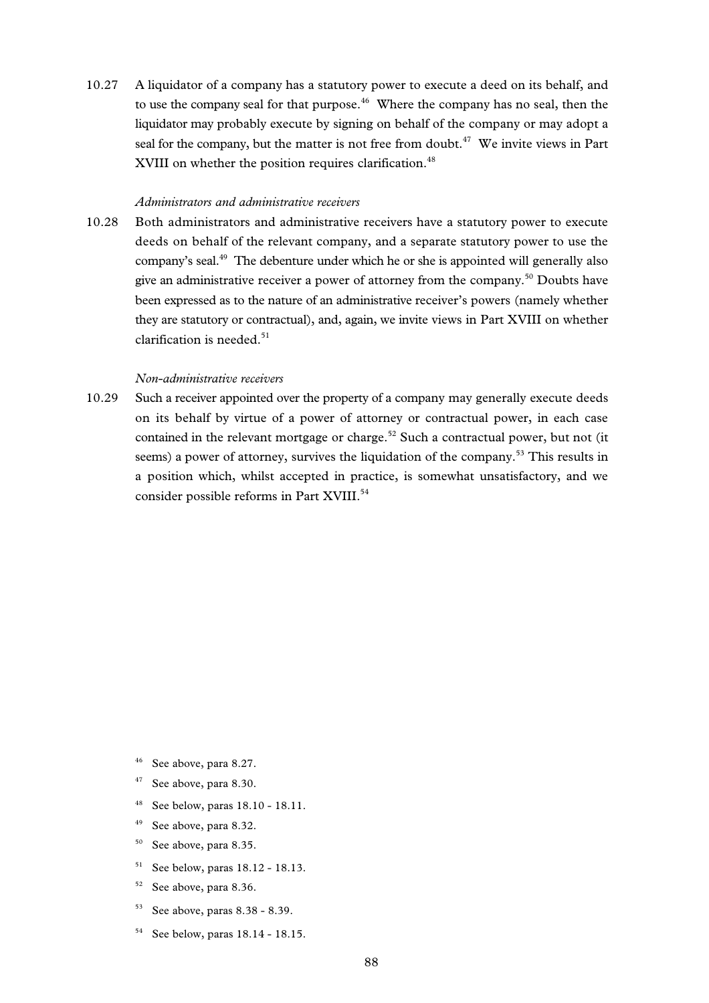10.27 A liquidator of a company has a statutory power to execute a deed on its behalf, and to use the company seal for that purpose.<sup> $46$ </sup> Where the company has no seal, then the liquidator may probably execute by signing on behalf of the company or may adopt a seal for the company, but the matter is not free from doubt.<sup> $47$ </sup> We invite views in Part XVIII on whether the position requires clarification.<sup>48</sup>

## *Administrators and administrative receivers*

10.28 Both administrators and administrative receivers have a statutory power to execute deeds on behalf of the relevant company, and a separate statutory power to use the company's seal. $49$  The debenture under which he or she is appointed will generally also give an administrative receiver a power of attorney from the company.<sup>50</sup> Doubts have been expressed as to the nature of an administrative receiver's powers (namely whether they are statutory or contractual), and, again, we invite views in Part XVIII on whether clarification is needed. $51$ 

## *Non-administrative receivers*

10.29 Such a receiver appointed over the property of a company may generally execute deeds on its behalf by virtue of a power of attorney or contractual power, in each case contained in the relevant mortgage or charge.<sup>52</sup> Such a contractual power, but not (it seems) a power of attorney, survives the liquidation of the company.<sup>53</sup> This results in a position which, whilst accepted in practice, is somewhat unsatisfactory, and we consider possible reforms in Part XVIII.<sup>54</sup>

- See above, para 8.27.
- $47$  See above, para 8.30.
- <sup>48</sup> See below, paras  $18.10 18.11$ .
- $49$  See above, para 8.32.
- $50$  See above, para 8.35.
- $51$  See below, paras 18.12 18.13.
- $52$  See above, para 8.36.
- $53$  See above, paras 8.38 8.39.
- $54$  See below, paras 18.14 18.15.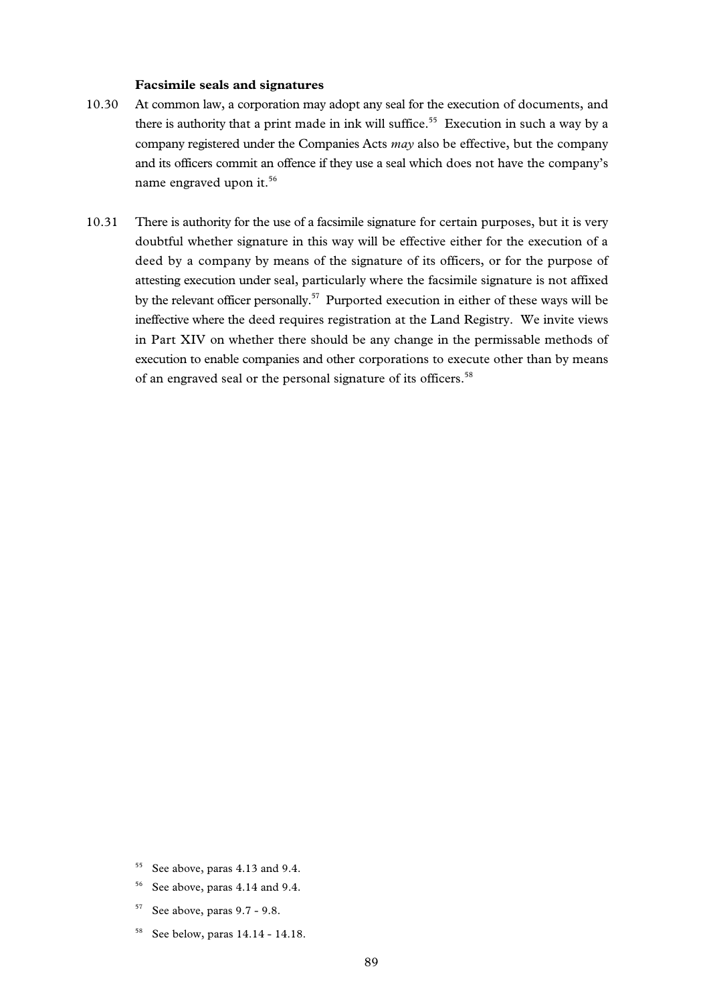## **Facsimile seals and signatures**

- 10.30 At common law, a corporation may adopt any seal for the execution of documents, and there is authority that a print made in ink will suffice.<sup>55</sup> Execution in such a way by a company registered under the Companies Acts *may* also be effective, but the company and its officers commit an offence if they use a seal which does not have the company's name engraved upon it.<sup>56</sup>
- 10.31 There is authority for the use of a facsimile signature for certain purposes, but it is very doubtful whether signature in this way will be effective either for the execution of a deed by a company by means of the signature of its officers, or for the purpose of attesting execution under seal, particularly where the facsimile signature is not affixed by the relevant officer personally.<sup>57</sup> Purported execution in either of these ways will be ineffective where the deed requires registration at the Land Registry. We invite views in Part XIV on whether there should be any change in the permissable methods of execution to enable companies and other corporations to execute other than by means of an engraved seal or the personal signature of its officers.<sup>58</sup>

- See above, paras 4.13 and 9.4.
- $56$  See above, paras 4.14 and 9.4.
- $57$  See above, paras  $9.7 9.8$ .
- $58$  See below, paras 14.14 14.18.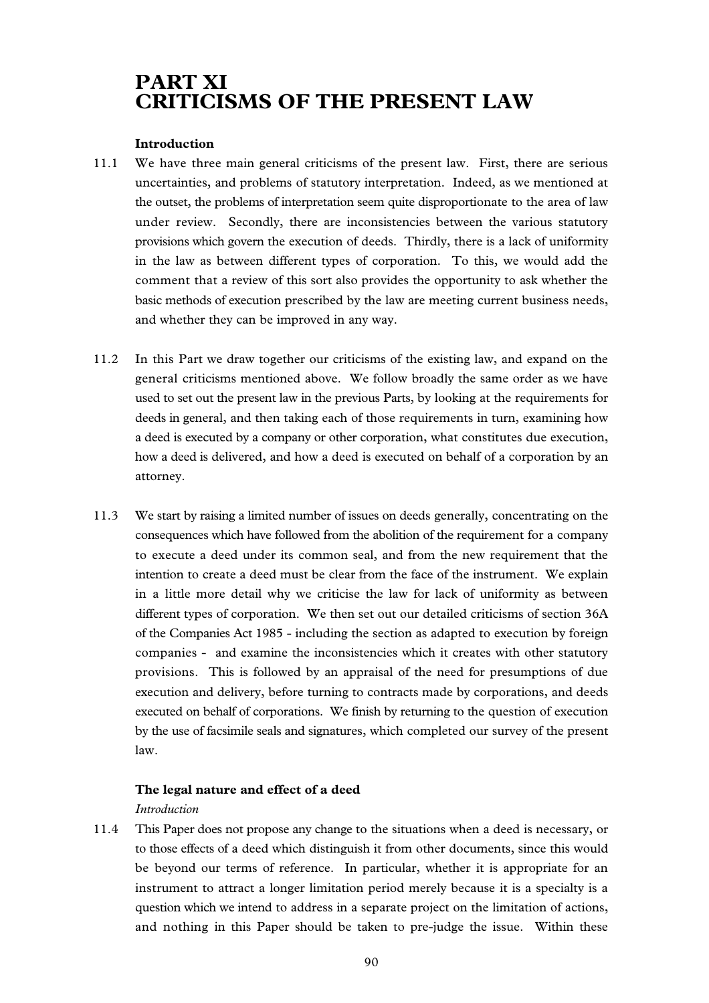## **PART XI CRITICISMS OF THE PRESENT LAW**

## **Introduction**

- 11.1 We have three main general criticisms of the present law. First, there are serious uncertainties, and problems of statutory interpretation. Indeed, as we mentioned at the outset, the problems of interpretation seem quite disproportionate to the area of law under review. Secondly, there are inconsistencies between the various statutory provisions which govern the execution of deeds. Thirdly, there is a lack of uniformity in the law as between different types of corporation. To this, we would add the comment that a review of this sort also provides the opportunity to ask whether the basic methods of execution prescribed by the law are meeting current business needs, and whether they can be improved in any way.
- 11.2 In this Part we draw together our criticisms of the existing law, and expand on the general criticisms mentioned above. We follow broadly the same order as we have used to set out the present law in the previous Parts, by looking at the requirements for deeds in general, and then taking each of those requirements in turn, examining how a deed is executed by a company or other corporation, what constitutes due execution, how a deed is delivered, and how a deed is executed on behalf of a corporation by an attorney.
- 11.3 We start by raising a limited number of issues on deeds generally, concentrating on the consequences which have followed from the abolition of the requirement for a company to execute a deed under its common seal, and from the new requirement that the intention to create a deed must be clear from the face of the instrument. We explain in a little more detail why we criticise the law for lack of uniformity as between different types of corporation. We then set out our detailed criticisms of section 36A of the Companies Act 1985 - including the section as adapted to execution by foreign companies - and examine the inconsistencies which it creates with other statutory provisions. This is followed by an appraisal of the need for presumptions of due execution and delivery, before turning to contracts made by corporations, and deeds executed on behalf of corporations. We finish by returning to the question of execution by the use of facsimile seals and signatures, which completed our survey of the present law.

## **The legal nature and effect of a deed**

## *Introduction*

11.4 This Paper does not propose any change to the situations when a deed is necessary, or to those effects of a deed which distinguish it from other documents, since this would be beyond our terms of reference. In particular, whether it is appropriate for an instrument to attract a longer limitation period merely because it is a specialty is a question which we intend to address in a separate project on the limitation of actions, and nothing in this Paper should be taken to pre-judge the issue. Within these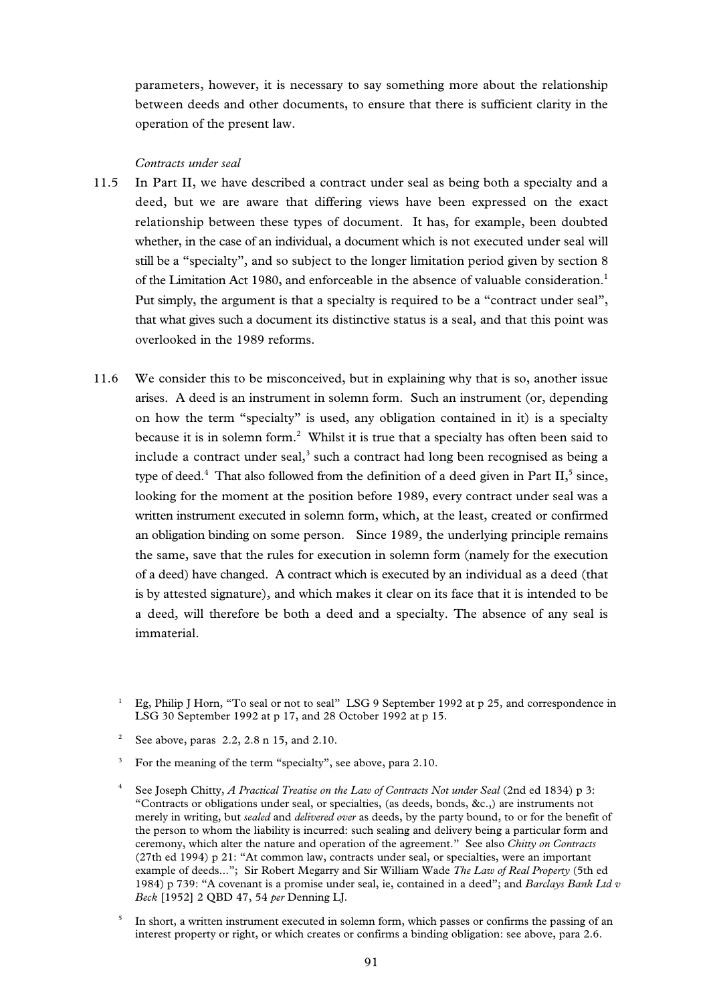parameters, however, it is necessary to say something more about the relationship between deeds and other documents, to ensure that there is sufficient clarity in the operation of the present law.

## *Contracts under seal*

- 11.5 In Part II, we have described a contract under seal as being both a specialty and a deed, but we are aware that differing views have been expressed on the exact relationship between these types of document. It has, for example, been doubted whether, in the case of an individual, a document which is not executed under seal will still be a "specialty", and so subject to the longer limitation period given by section 8 of the Limitation Act 1980, and enforceable in the absence of valuable consideration.<sup>1</sup> Put simply, the argument is that a specialty is required to be a "contract under seal", that what gives such a document its distinctive status is a seal, and that this point was overlooked in the 1989 reforms.
- 11.6 We consider this to be misconceived, but in explaining why that is so, another issue arises. A deed is an instrument in solemn form. Such an instrument (or, depending on how the term "specialty" is used, any obligation contained in it) is a specialty because it is in solemn form.<sup>2</sup> Whilst it is true that a specialty has often been said to include a contract under seal, $3$  such a contract had long been recognised as being a type of deed.<sup>4</sup> That also followed from the definition of a deed given in Part II,<sup>5</sup> since, looking for the moment at the position before 1989, every contract under seal was a written instrument executed in solemn form, which, at the least, created or confirmed an obligation binding on some person. Since 1989, the underlying principle remains the same, save that the rules for execution in solemn form (namely for the execution of a deed) have changed. A contract which is executed by an individual as a deed (that is by attested signature), and which makes it clear on its face that it is intended to be a deed, will therefore be both a deed and a specialty. The absence of any seal is immaterial.

- <sup>2</sup> See above, paras 2.2, 2.8 n 15, and 2.10.
- For the meaning of the term "specialty", see above, para 2.10.
- See Joseph Chitty, *A Practical Treatise on the Law of Contracts Not under Seal* (2nd ed 1834) p 3: <sup>4</sup> "Contracts or obligations under seal, or specialties, (as deeds, bonds, &c.,) are instruments not merely in writing, but *sealed* and *delivered over* as deeds, by the party bound, to or for the benefit of the person to whom the liability is incurred: such sealing and delivery being a particular form and ceremony, which alter the nature and operation of the agreement." See also *Chitty on Contracts* (27th ed 1994) p 21: "At common law, contracts under seal, or specialties, were an important example of deeds..."; Sir Robert Megarry and Sir William Wade *The Law of Real Property* (5th ed 1984) p 739: "A covenant is a promise under seal, ie, contained in a deed"; and *Barclays Bank Ltd v Beck* [1952] 2 QBD 47, 54 *per* Denning LJ.
- In short, a written instrument executed in solemn form, which passes or confirms the passing of an interest property or right, or which creates or confirms a binding obligation: see above, para 2.6.

<sup>&</sup>lt;sup>1</sup> Eg, Philip J Horn, "To seal or not to seal" LSG 9 September 1992 at p 25, and correspondence in LSG 30 September 1992 at p 17, and 28 October 1992 at p 15.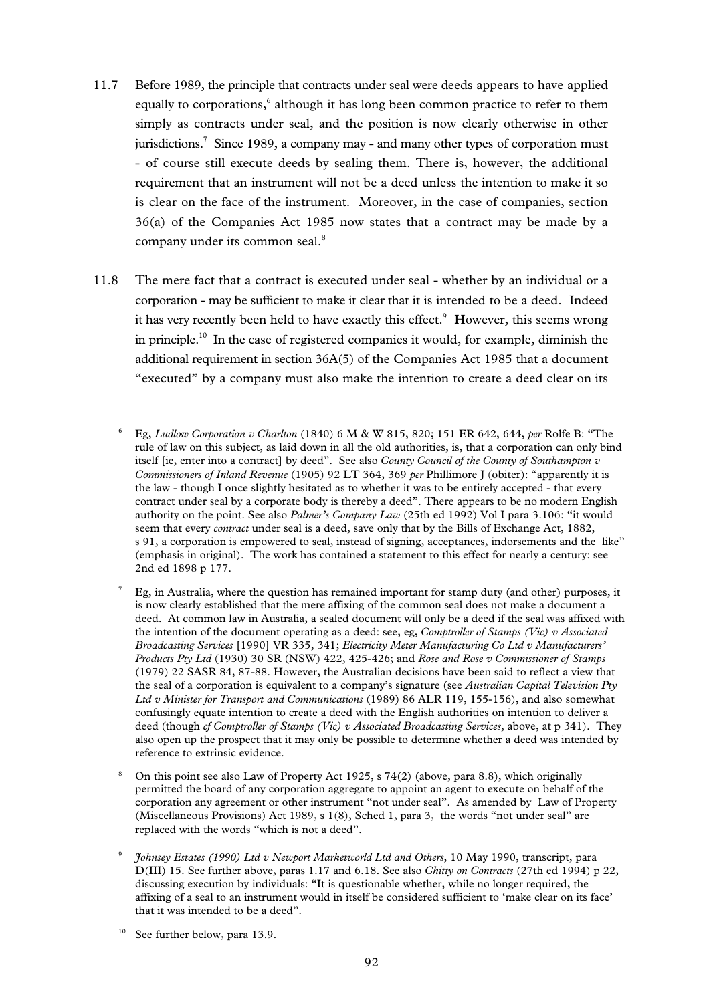- 11.7 Before 1989, the principle that contracts under seal were deeds appears to have applied equally to corporations,<sup>6</sup> although it has long been common practice to refer to them simply as contracts under seal, and the position is now clearly otherwise in other jurisdictions.<sup>7</sup> Since 1989, a company may - and many other types of corporation must - of course still execute deeds by sealing them. There is, however, the additional requirement that an instrument will not be a deed unless the intention to make it so is clear on the face of the instrument. Moreover, in the case of companies, section 36(a) of the Companies Act 1985 now states that a contract may be made by a company under its common seal.<sup>8</sup>
- 11.8 The mere fact that a contract is executed under seal whether by an individual or a corporation - may be sufficient to make it clear that it is intended to be a deed. Indeed it has very recently been held to have exactly this effect. $<sup>9</sup>$  However, this seems wrong</sup> in principle.<sup>10</sup> In the case of registered companies it would, for example, diminish the additional requirement in section 36A(5) of the Companies Act 1985 that a document "executed" by a company must also make the intention to create a deed clear on its
	- Eg, *Ludlow Corporation v Charlton* (1840) 6 M & W 815, 820; 151 ER 642, 644, *per* Rolfe B: "The <sup>6</sup> rule of law on this subject, as laid down in all the old authorities, is, that a corporation can only bind itself [ie, enter into a contract] by deed". See also *County Council of the County of Southampton v Commissioners of Inland Revenue* (1905) 92 LT 364, 369 *per* Phillimore J (obiter): "apparently it is the law - though I once slightly hesitated as to whether it was to be entirely accepted - that every contract under seal by a corporate body is thereby a deed". There appears to be no modern English authority on the point. See also *Palmer's Company Law* (25th ed 1992) Vol I para 3.106: "it would seem that every *contract* under seal is a deed, save only that by the Bills of Exchange Act, 1882, s 91, a corporation is empowered to seal, instead of signing, acceptances, indorsements and the like" (emphasis in original). The work has contained a statement to this effect for nearly a century: see 2nd ed 1898 p 177.
	- Eg, in Australia, where the question has remained important for stamp duty (and other) purposes, it <sup>7</sup> is now clearly established that the mere affixing of the common seal does not make a document a deed. At common law in Australia, a sealed document will only be a deed if the seal was affixed with the intention of the document operating as a deed: see, eg, *Comptroller of Stamps (Vic) v Associated Broadcasting Services* [1990] VR 335, 341; *Electricity Meter Manufacturing Co Ltd v Manufacturers' Products Pty Ltd* (1930) 30 SR (NSW) 422, 425-426; and *Rose and Rose v Commissioner of Stamps* (1979) 22 SASR 84, 87-88. However, the Australian decisions have been said to reflect a view that the seal of a corporation is equivalent to a company's signature (see *Australian Capital Television Pty Ltd v Minister for Transport and Communications* (1989) 86 ALR 119, 155-156), and also somewhat confusingly equate intention to create a deed with the English authorities on intention to deliver a deed (though *cf Comptroller of Stamps (Vic) v Associated Broadcasting Services*, above, at p 341). They also open up the prospect that it may only be possible to determine whether a deed was intended by reference to extrinsic evidence.
	- On this point see also Law of Property Act 1925, s 74(2) (above, para 8.8), which originally <sup>8</sup> permitted the board of any corporation aggregate to appoint an agent to execute on behalf of the corporation any agreement or other instrument "not under seal". As amended by Law of Property (Miscellaneous Provisions) Act 1989, s 1(8), Sched 1, para 3, the words "not under seal" are replaced with the words "which is not a deed".
	- *Johnsey Estates (1990) Ltd v Newport Marketworld Ltd and Others*, 10 May 1990, transcript, para <sup>9</sup> D(III) 15. See further above, paras 1.17 and 6.18. See also *Chitty on Contracts* (27th ed 1994) p 22, discussing execution by individuals: "It is questionable whether, while no longer required, the affixing of a seal to an instrument would in itself be considered sufficient to 'make clear on its face' that it was intended to be a deed".
	- See further below, para 13.9.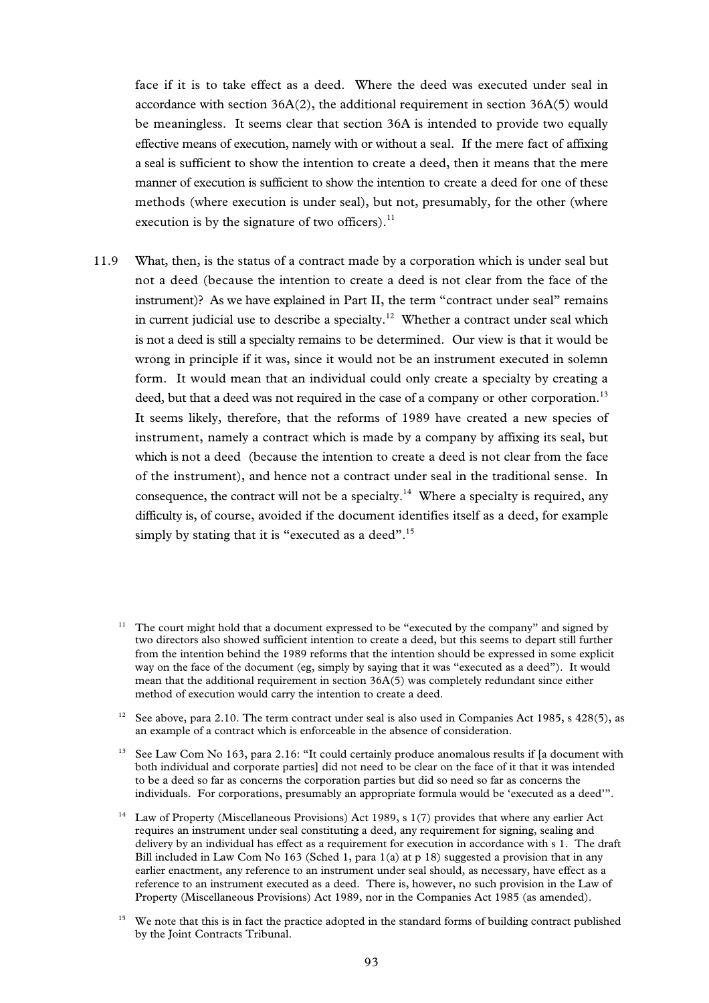face if it is to take effect as a deed. Where the deed was executed under seal in accordance with section  $36A(2)$ , the additional requirement in section  $36A(5)$  would be meaningless. It seems clear that section 36A is intended to provide two equally effective means of execution, namely with or without a seal. If the mere fact of affixing a seal is sufficient to show the intention to create a deed, then it means that the mere manner of execution is sufficient to show the intention to create a deed for one of these methods (where execution is under seal), but not, presumably, for the other (where execution is by the signature of two officers). $^{11}$ 

11.9 What, then, is the status of a contract made by a corporation which is under seal but not a deed (because the intention to create a deed is not clear from the face of the instrument)? As we have explained in Part II, the term "contract under seal" remains in current judicial use to describe a specialty.<sup>12</sup> Whether a contract under seal which is not a deed is still a specialty remains to be determined. Our view is that it would be wrong in principle if it was, since it would not be an instrument executed in solemn form. It would mean that an individual could only create a specialty by creating a deed, but that a deed was not required in the case of a company or other corporation.<sup>13</sup> It seems likely, therefore, that the reforms of 1989 have created a new species of instrument, namely a contract which is made by a company by affixing its seal, but which is not a deed (because the intention to create a deed is not clear from the face of the instrument), and hence not a contract under seal in the traditional sense. In consequence, the contract will not be a specialty.<sup>14</sup> Where a specialty is required, any difficulty is, of course, avoided if the document identifies itself as a deed, for example simply by stating that it is "executed as a deed".<sup>15</sup>

 $11$  The court might hold that a document expressed to be "executed by the company" and signed by two directors also showed sufficient intention to create a deed, but this seems to depart still further from the intention behind the 1989 reforms that the intention should be expressed in some explicit way on the face of the document (eg, simply by saying that it was "executed as a deed"). It would mean that the additional requirement in section 36A(5) was completely redundant since either method of execution would carry the intention to create a deed.

<sup>&</sup>lt;sup>12</sup> See above, para 2.10. The term contract under seal is also used in Companies Act 1985, s 428(5), as an example of a contract which is enforceable in the absence of consideration.

<sup>&</sup>lt;sup>13</sup> See Law Com No 163, para 2.16: "It could certainly produce anomalous results if [a document with both individual and corporate parties] did not need to be clear on the face of it that it was intended to be a deed so far as concerns the corporation parties but did so need so far as concerns the individuals. For corporations, presumably an appropriate formula would be 'executed as a deed'".

Law of Property (Miscellaneous Provisions) Act 1989, s 1(7) provides that where any earlier Act requires an instrument under seal constituting a deed, any requirement for signing, sealing and delivery by an individual has effect as a requirement for execution in accordance with s 1. The draft Bill included in Law Com No 163 (Sched 1, para 1(a) at p 18) suggested a provision that in any earlier enactment, any reference to an instrument under seal should, as necessary, have effect as a reference to an instrument executed as a deed. There is, however, no such provision in the Law of Property (Miscellaneous Provisions) Act 1989, nor in the Companies Act 1985 (as amended).

We note that this is in fact the practice adopted in the standard forms of building contract published by the Joint Contracts Tribunal.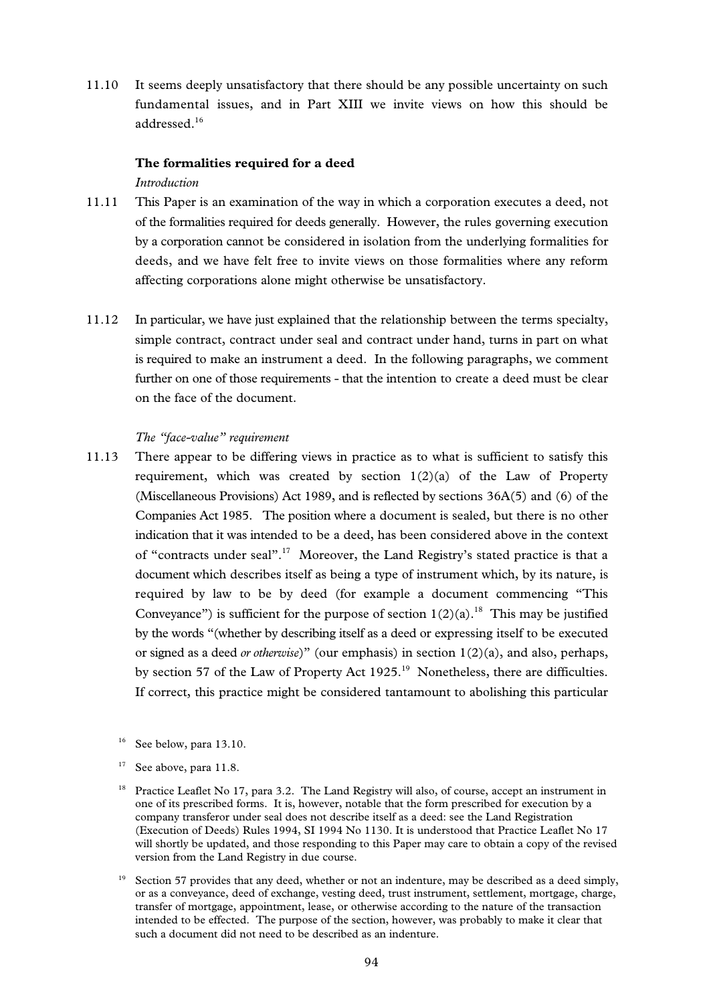11.10 It seems deeply unsatisfactory that there should be any possible uncertainty on such fundamental issues, and in Part XIII we invite views on how this should be addressed.<sup>16</sup>

## **The formalities required for a deed**

## *Introduction*

- 11.11 This Paper is an examination of the way in which a corporation executes a deed, not of the formalities required for deeds generally. However, the rules governing execution by a corporation cannot be considered in isolation from the underlying formalities for deeds, and we have felt free to invite views on those formalities where any reform affecting corporations alone might otherwise be unsatisfactory.
- 11.12 In particular, we have just explained that the relationship between the terms specialty, simple contract, contract under seal and contract under hand, turns in part on what is required to make an instrument a deed. In the following paragraphs, we comment further on one of those requirements - that the intention to create a deed must be clear on the face of the document.

## *The "face-value" requirement*

11.13 There appear to be differing views in practice as to what is sufficient to satisfy this requirement, which was created by section  $1(2)(a)$  of the Law of Property (Miscellaneous Provisions) Act 1989, and is reflected by sections 36A(5) and (6) of the Companies Act 1985. The position where a document is sealed, but there is no other indication that it was intended to be a deed, has been considered above in the context of "contracts under seal".<sup>17</sup> Moreover, the Land Registry's stated practice is that a document which describes itself as being a type of instrument which, by its nature, is required by law to be by deed (for example a document commencing "This Conveyance") is sufficient for the purpose of section  $1(2)(a)$ .<sup>18</sup> This may be justified by the words "(whether by describing itself as a deed or expressing itself to be executed or signed as a deed *or otherwise*)" (our emphasis) in section 1(2)(a), and also, perhaps, by section 57 of the Law of Property Act 1925.<sup>19</sup> Nonetheless, there are difficulties. If correct, this practice might be considered tantamount to abolishing this particular

 $16$  See below, para 13.10.

See above, para 11.8.

- Practice Leaflet No 17, para 3.2. The Land Registry will also, of course, accept an instrument in one of its prescribed forms. It is, however, notable that the form prescribed for execution by a company transferor under seal does not describe itself as a deed: see the Land Registration (Execution of Deeds) Rules 1994, SI 1994 No 1130. It is understood that Practice Leaflet No 17 will shortly be updated, and those responding to this Paper may care to obtain a copy of the revised version from the Land Registry in due course.
- <sup>19</sup> Section 57 provides that any deed, whether or not an indenture, may be described as a deed simply, or as a conveyance, deed of exchange, vesting deed, trust instrument, settlement, mortgage, charge, transfer of mortgage, appointment, lease, or otherwise according to the nature of the transaction intended to be effected. The purpose of the section, however, was probably to make it clear that such a document did not need to be described as an indenture.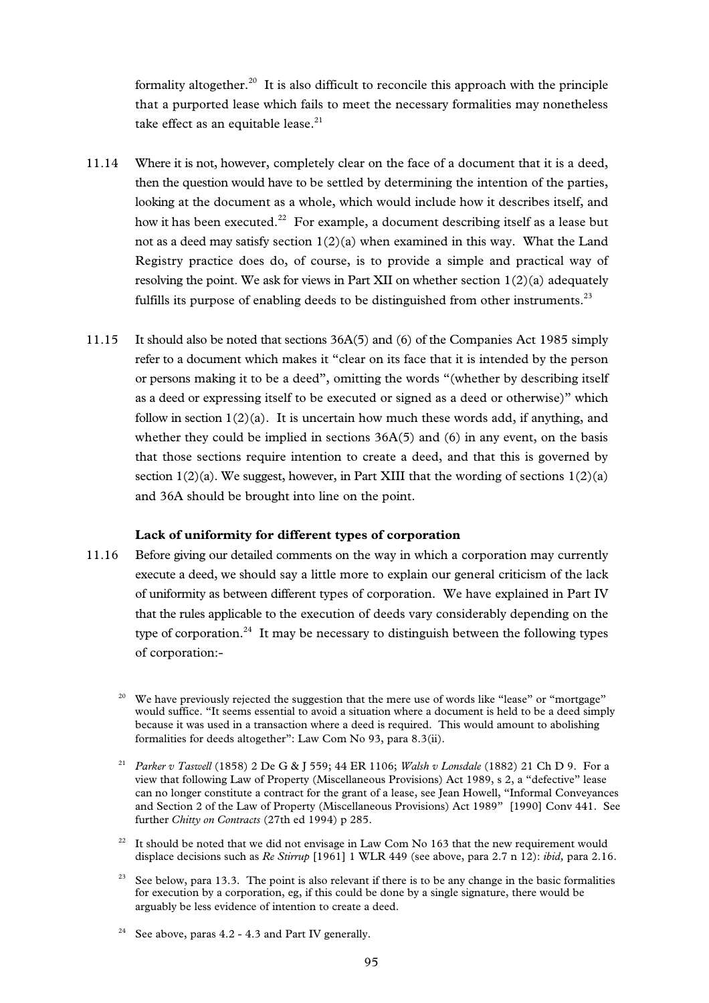formality altogether.<sup>20</sup> It is also difficult to reconcile this approach with the principle that a purported lease which fails to meet the necessary formalities may nonetheless take effect as an equitable lease. $21$ 

- 11.14 Where it is not, however, completely clear on the face of a document that it is a deed, then the question would have to be settled by determining the intention of the parties, looking at the document as a whole, which would include how it describes itself, and how it has been executed.<sup>22</sup> For example, a document describing itself as a lease but not as a deed may satisfy section 1(2)(a) when examined in this way. What the Land Registry practice does do, of course, is to provide a simple and practical way of resolving the point. We ask for views in Part XII on whether section  $1(2)(a)$  adequately fulfills its purpose of enabling deeds to be distinguished from other instruments.<sup>23</sup>
- 11.15 It should also be noted that sections 36A(5) and (6) of the Companies Act 1985 simply refer to a document which makes it "clear on its face that it is intended by the person or persons making it to be a deed", omitting the words "(whether by describing itself as a deed or expressing itself to be executed or signed as a deed or otherwise)" which follow in section  $1(2)(a)$ . It is uncertain how much these words add, if anything, and whether they could be implied in sections  $36A(5)$  and (6) in any event, on the basis that those sections require intention to create a deed, and that this is governed by section  $1(2)(a)$ . We suggest, however, in Part XIII that the wording of sections  $1(2)(a)$ and 36A should be brought into line on the point.

#### **Lack of uniformity for different types of corporation**

- 11.16 Before giving our detailed comments on the way in which a corporation may currently execute a deed, we should say a little more to explain our general criticism of the lack of uniformity as between different types of corporation. We have explained in Part IV that the rules applicable to the execution of deeds vary considerably depending on the type of corporation.<sup>24</sup> It may be necessary to distinguish between the following types of corporation:-
	- <sup>20</sup> We have previously rejected the suggestion that the mere use of words like "lease" or "mortgage" would suffice. "It seems essential to avoid a situation where a document is held to be a deed simply because it was used in a transaction where a deed is required. This would amount to abolishing formalities for deeds altogether": Law Com No 93, para 8.3(ii).
	- <sup>21</sup> Parker v Taswell (1858) 2 De G & J 559; 44 ER 1106; *Walsh v Lonsdale* (1882) 21 Ch D 9. For a view that following Law of Property (Miscellaneous Provisions) Act 1989, s 2, a "defective" lease can no longer constitute a contract for the grant of a lease, see Jean Howell, "Informal Conveyances and Section 2 of the Law of Property (Miscellaneous Provisions) Act 1989" [1990] Conv 441. See further *Chitty on Contracts* (27th ed 1994) p 285.
	- $22$  It should be noted that we did not envisage in Law Com No 163 that the new requirement would displace decisions such as *Re Stirrup* [1961] 1 WLR 449 (see above, para 2.7 n 12): *ibid,* para 2.16.
	- See below, para 13.3. The point is also relevant if there is to be any change in the basic formalities for execution by a corporation, eg, if this could be done by a single signature, there would be arguably be less evidence of intention to create a deed.

<sup>&</sup>lt;sup>24</sup> See above, paras  $4.2$  -  $4.3$  and Part IV generally.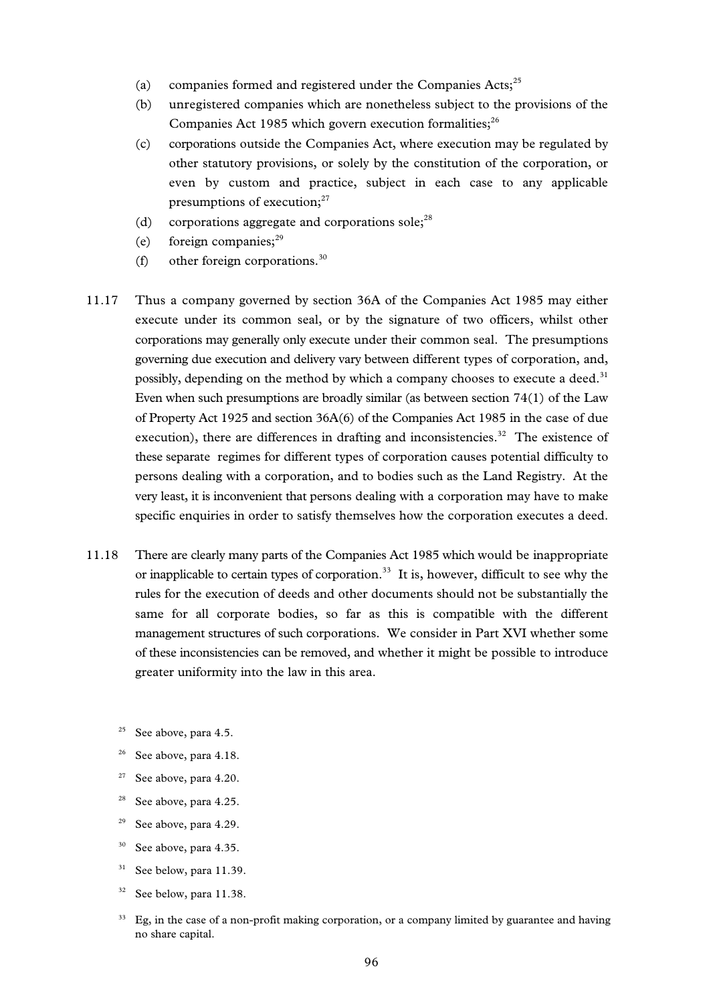- (a) companies formed and registered under the Companies Acts;<sup>25</sup>
- (b) unregistered companies which are nonetheless subject to the provisions of the Companies Act 1985 which govern execution formalities; $^{26}$
- (c) corporations outside the Companies Act, where execution may be regulated by other statutory provisions, or solely by the constitution of the corporation, or even by custom and practice, subject in each case to any applicable presumptions of execution;<sup>27</sup>
- (d) corporations aggregate and corporations sole;<sup>28</sup>
- (e) foreign companies; $^{29}$
- (f) other foreign corporations.  $30$
- 11.17 Thus a company governed by section 36A of the Companies Act 1985 may either execute under its common seal, or by the signature of two officers, whilst other corporations may generally only execute under their common seal. The presumptions governing due execution and delivery vary between different types of corporation, and, possibly, depending on the method by which a company chooses to execute a deed.<sup>31</sup> Even when such presumptions are broadly similar (as between section 74(1) of the Law of Property Act 1925 and section 36A(6) of the Companies Act 1985 in the case of due execution), there are differences in drafting and inconsistencies.<sup>32</sup> The existence of these separate regimes for different types of corporation causes potential difficulty to persons dealing with a corporation, and to bodies such as the Land Registry. At the very least, it is inconvenient that persons dealing with a corporation may have to make specific enquiries in order to satisfy themselves how the corporation executes a deed.
- 11.18 There are clearly many parts of the Companies Act 1985 which would be inappropriate or inapplicable to certain types of corporation.<sup>33</sup> It is, however, difficult to see why the rules for the execution of deeds and other documents should not be substantially the same for all corporate bodies, so far as this is compatible with the different management structures of such corporations. We consider in Part XVI whether some of these inconsistencies can be removed, and whether it might be possible to introduce greater uniformity into the law in this area.
	- $25$  See above, para 4.5.
	- $26$  See above, para 4.18.
	- <sup>27</sup> See above, para  $4.20$ .
	- $28$  See above, para 4.25.
	- $29$  See above, para 4.29.
	- $30$  See above, para 4.35.
	- $31$  See below, para 11.39.
	- $32$  See below, para 11.38.
	- $^{33}$  Eg, in the case of a non-profit making corporation, or a company limited by guarantee and having no share capital.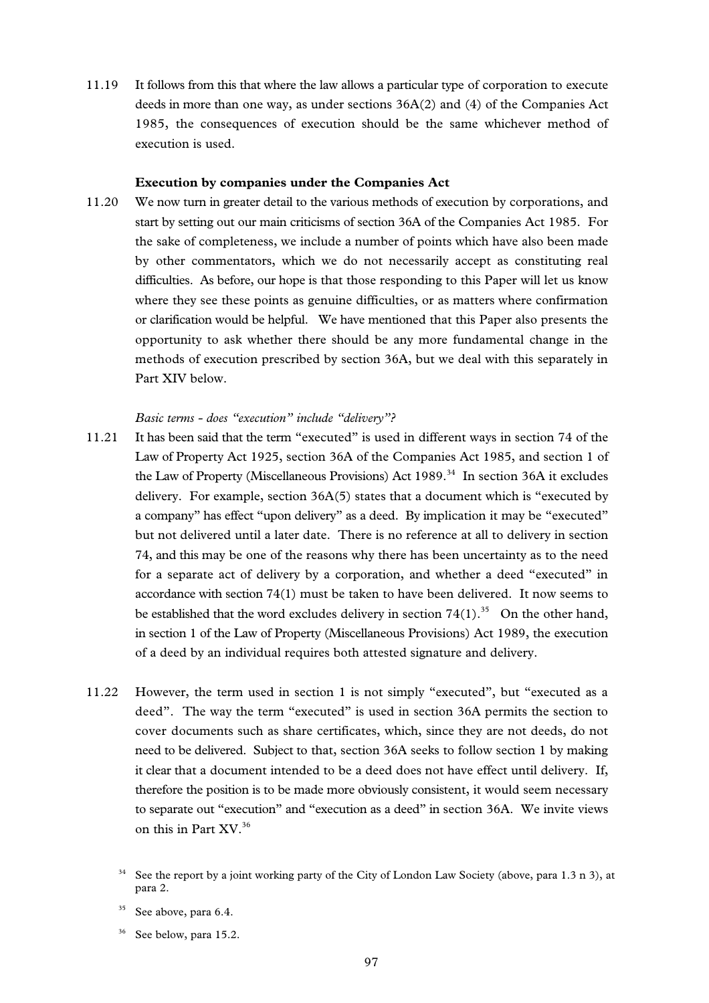11.19 It follows from this that where the law allows a particular type of corporation to execute deeds in more than one way, as under sections 36A(2) and (4) of the Companies Act 1985, the consequences of execution should be the same whichever method of execution is used.

## **Execution by companies under the Companies Act**

11.20 We now turn in greater detail to the various methods of execution by corporations, and start by setting out our main criticisms of section 36A of the Companies Act 1985. For the sake of completeness, we include a number of points which have also been made by other commentators, which we do not necessarily accept as constituting real difficulties. As before, our hope is that those responding to this Paper will let us know where they see these points as genuine difficulties, or as matters where confirmation or clarification would be helpful. We have mentioned that this Paper also presents the opportunity to ask whether there should be any more fundamental change in the methods of execution prescribed by section 36A, but we deal with this separately in Part XIV below.

## *Basic terms - does "execution" include "delivery"?*

- 11.21 It has been said that the term "executed" is used in different ways in section 74 of the Law of Property Act 1925, section 36A of the Companies Act 1985, and section 1 of the Law of Property (Miscellaneous Provisions) Act  $1989<sup>34</sup>$  In section 36A it excludes delivery. For example, section 36A(5) states that a document which is "executed by a company" has effect "upon delivery" as a deed. By implication it may be "executed" but not delivered until a later date. There is no reference at all to delivery in section 74, and this may be one of the reasons why there has been uncertainty as to the need for a separate act of delivery by a corporation, and whether a deed "executed" in accordance with section 74(1) must be taken to have been delivered. It now seems to be established that the word excludes delivery in section  $74(1)$ .<sup>35</sup> On the other hand, in section 1 of the Law of Property (Miscellaneous Provisions) Act 1989, the execution of a deed by an individual requires both attested signature and delivery.
- 11.22 However, the term used in section 1 is not simply "executed", but "executed as a deed". The way the term "executed" is used in section 36A permits the section to cover documents such as share certificates, which, since they are not deeds, do not need to be delivered. Subject to that, section 36A seeks to follow section 1 by making it clear that a document intended to be a deed does not have effect until delivery. If, therefore the position is to be made more obviously consistent, it would seem necessary to separate out "execution" and "execution as a deed" in section 36A. We invite views on this in Part XV.<sup>36</sup>

- $35$  See above, para 6.4.
- See below, para 15.2.

<sup>&</sup>lt;sup>34</sup> See the report by a joint working party of the City of London Law Society (above, para 1.3 n 3), at para 2.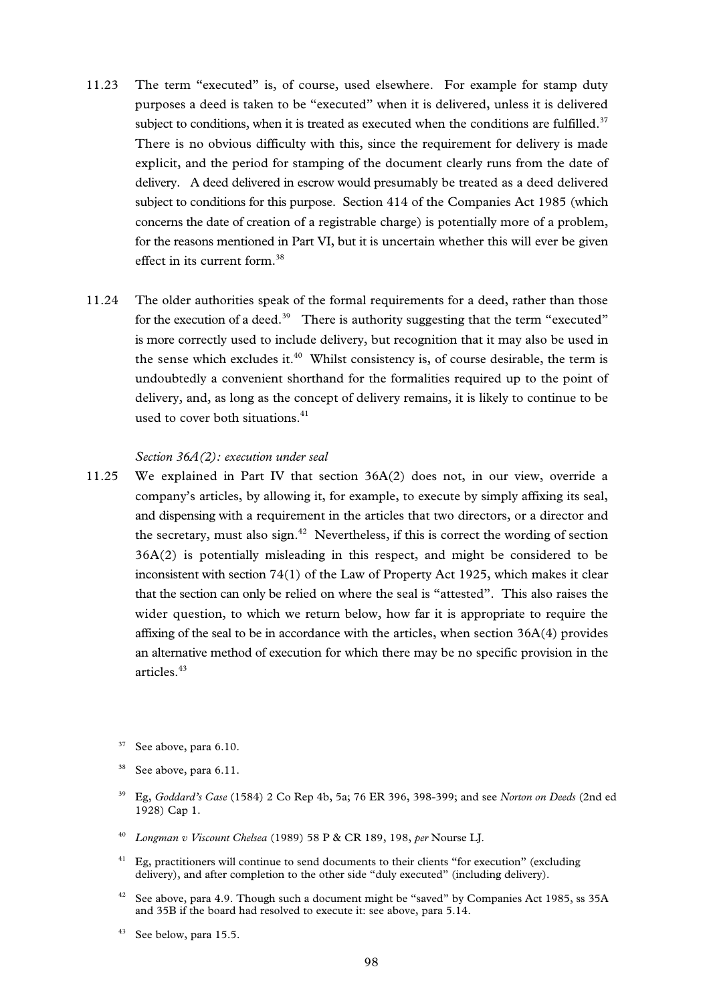- 11.23 The term "executed" is, of course, used elsewhere. For example for stamp duty purposes a deed is taken to be "executed" when it is delivered, unless it is delivered subject to conditions, when it is treated as executed when the conditions are fulfilled. $37$ There is no obvious difficulty with this, since the requirement for delivery is made explicit, and the period for stamping of the document clearly runs from the date of delivery. A deed delivered in escrow would presumably be treated as a deed delivered subject to conditions for this purpose. Section 414 of the Companies Act 1985 (which concerns the date of creation of a registrable charge) is potentially more of a problem, for the reasons mentioned in Part VI, but it is uncertain whether this will ever be given effect in its current form.<sup>38</sup>
- 11.24 The older authorities speak of the formal requirements for a deed, rather than those for the execution of a deed.<sup>39</sup> There is authority suggesting that the term "executed" is more correctly used to include delivery, but recognition that it may also be used in the sense which excludes it. $40$  Whilst consistency is, of course desirable, the term is undoubtedly a convenient shorthand for the formalities required up to the point of delivery, and, as long as the concept of delivery remains, it is likely to continue to be used to cover both situations. $41$

#### *Section 36A(2): execution under seal*

- 11.25 We explained in Part IV that section 36A(2) does not, in our view, override a company's articles, by allowing it, for example, to execute by simply affixing its seal, and dispensing with a requirement in the articles that two directors, or a director and the secretary, must also sign. $^{42}$  Nevertheless, if this is correct the wording of section 36A(2) is potentially misleading in this respect, and might be considered to be inconsistent with section 74(1) of the Law of Property Act 1925, which makes it clear that the section can only be relied on where the seal is "attested". This also raises the wider question, to which we return below, how far it is appropriate to require the affixing of the seal to be in accordance with the articles, when section 36A(4) provides an alternative method of execution for which there may be no specific provision in the articles.<sup>43</sup>
	- See above, para 6.10.
	- See above, para 6.11.
	- Eg, *Goddard's Case* (1584) 2 Co Rep 4b, 5a; 76 ER 396, 398-399; and see *Norton on Deeds* (2nd ed <sup>39</sup> 1928) Cap 1.
	- <sup>40</sup> Longman v Viscount Chelsea (1989) 58 P & CR 189, 198, per Nourse LJ.
	- <sup>41</sup> Eg, practitioners will continue to send documents to their clients "for execution" (excluding delivery), and after completion to the other side "duly executed" (including delivery).
	- <sup>42</sup> See above, para 4.9. Though such a document might be "saved" by Companies Act 1985, ss 35A and 35B if the board had resolved to execute it: see above, para 5.14.
	- See below, para 15.5.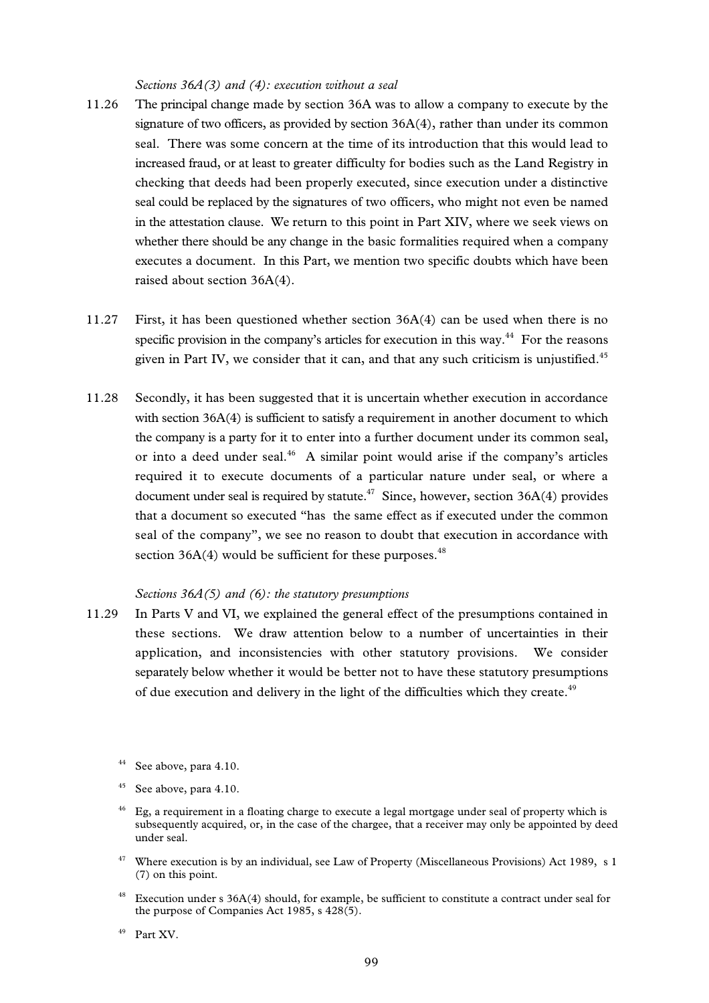## *Sections 36A(3) and (4): execution without a seal*

- 11.26 The principal change made by section 36A was to allow a company to execute by the signature of two officers, as provided by section 36A(4), rather than under its common seal. There was some concern at the time of its introduction that this would lead to increased fraud, or at least to greater difficulty for bodies such as the Land Registry in checking that deeds had been properly executed, since execution under a distinctive seal could be replaced by the signatures of two officers, who might not even be named in the attestation clause. We return to this point in Part XIV, where we seek views on whether there should be any change in the basic formalities required when a company executes a document. In this Part, we mention two specific doubts which have been raised about section 36A(4).
- 11.27 First, it has been questioned whether section 36A(4) can be used when there is no specific provision in the company's articles for execution in this way.<sup>44</sup> For the reasons given in Part IV, we consider that it can, and that any such criticism is unjustified.<sup>45</sup>
- 11.28 Secondly, it has been suggested that it is uncertain whether execution in accordance with section 36A(4) is sufficient to satisfy a requirement in another document to which the company is a party for it to enter into a further document under its common seal, or into a deed under seal. $46$  A similar point would arise if the company's articles required it to execute documents of a particular nature under seal, or where a document under seal is required by statute.<sup> $47$ </sup> Since, however, section 36A(4) provides that a document so executed "has the same effect as if executed under the common seal of the company", we see no reason to doubt that execution in accordance with section  $36A(4)$  would be sufficient for these purposes.<sup>48</sup>

#### *Sections 36A(5) and (6): the statutory presumptions*

- 11.29 In Parts V and VI, we explained the general effect of the presumptions contained in these sections. We draw attention below to a number of uncertainties in their application, and inconsistencies with other statutory provisions. We consider separately below whether it would be better not to have these statutory presumptions of due execution and delivery in the light of the difficulties which they create.<sup>49</sup>
	- See above, para 4.10.
	- $45$  See above, para 4.10.
	- $46$  Eg, a requirement in a floating charge to execute a legal mortgage under seal of property which is subsequently acquired, or, in the case of the chargee, that a receiver may only be appointed by deed under seal.
	- <sup>47</sup> Where execution is by an individual, see Law of Property (Miscellaneous Provisions) Act 1989, s 1 (7) on this point.
	- <sup>48</sup> Execution under s  $36A(4)$  should, for example, be sufficient to constitute a contract under seal for the purpose of Companies Act 1985, s 428(5).
	- <sup>49</sup> Part XV.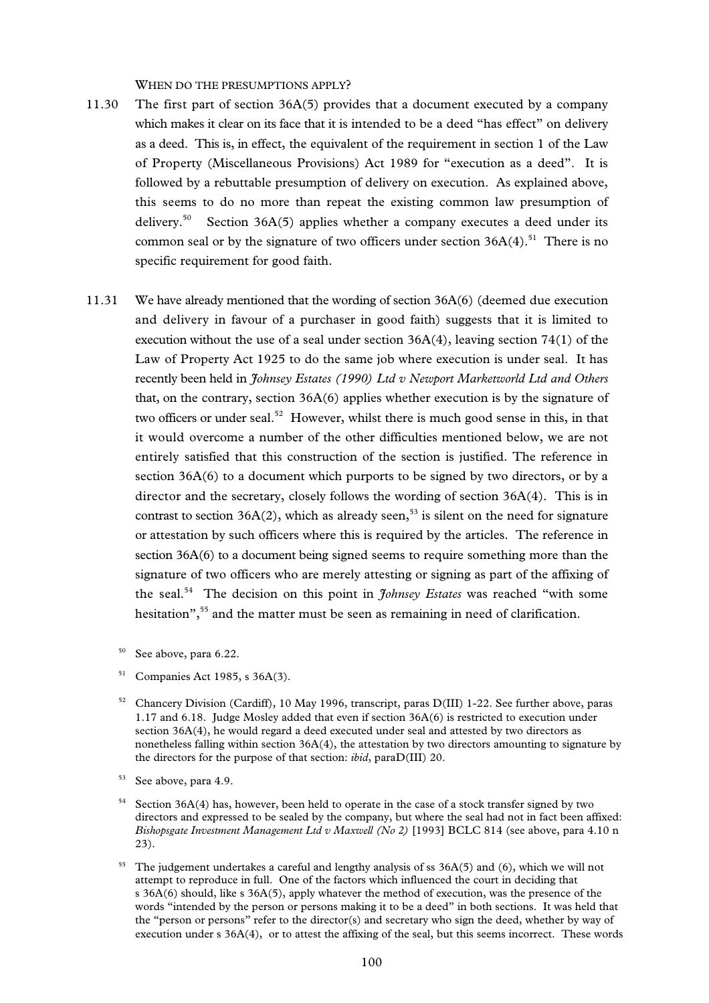WHEN DO THE PRESUMPTIONS APPLY?

- 11.30 The first part of section 36A(5) provides that a document executed by a company which makes it clear on its face that it is intended to be a deed "has effect" on delivery as a deed. This is, in effect, the equivalent of the requirement in section 1 of the Law of Property (Miscellaneous Provisions) Act 1989 for "execution as a deed". It is followed by a rebuttable presumption of delivery on execution. As explained above, this seems to do no more than repeat the existing common law presumption of delivery.<sup>50</sup> Section 36A(5) applies whether a company executes a deed under its common seal or by the signature of two officers under section  $36A(4)$ <sup>51</sup>. There is no specific requirement for good faith.
- 11.31 We have already mentioned that the wording of section 36A(6) (deemed due execution and delivery in favour of a purchaser in good faith) suggests that it is limited to execution without the use of a seal under section  $36A(4)$ , leaving section  $74(1)$  of the Law of Property Act 1925 to do the same job where execution is under seal. It has recently been held in *Johnsey Estates (1990) Ltd v Newport Marketworld Ltd and Others* that, on the contrary, section 36A(6) applies whether execution is by the signature of two officers or under seal.<sup>52</sup> However, whilst there is much good sense in this, in that it would overcome a number of the other difficulties mentioned below, we are not entirely satisfied that this construction of the section is justified. The reference in section 36A(6) to a document which purports to be signed by two directors, or by a director and the secretary, closely follows the wording of section 36A(4). This is in contrast to section 36A(2), which as already seen,<sup>53</sup> is silent on the need for signature or attestation by such officers where this is required by the articles. The reference in section 36A(6) to a document being signed seems to require something more than the signature of two officers who are merely attesting or signing as part of the affixing of the seal.<sup>54</sup> The decision on this point in *Johnsey Estates* was reached "with some hesitation",<sup>55</sup> and the matter must be seen as remaining in need of clarification.
	- $50$  See above, para 6.22.
	- Companies Act 1985, s 36A(3).
	- <sup>52</sup> Chancery Division (Cardiff), 10 May 1996, transcript, paras D(III) 1-22. See further above, paras 1.17 and 6.18. Judge Mosley added that even if section 36A(6) is restricted to execution under section 36A(4), he would regard a deed executed under seal and attested by two directors as nonetheless falling within section 36A(4), the attestation by two directors amounting to signature by the directors for the purpose of that section: *ibid*, paraD(III) 20.
	- $53$  See above, para 4.9.
	- Section  $36A(4)$  has, however, been held to operate in the case of a stock transfer signed by two directors and expressed to be sealed by the company, but where the seal had not in fact been affixed: *Bishopsgate Investment Management Ltd v Maxwell (No 2)* [1993] BCLC 814 (see above, para 4.10 n 23).
	- The judgement undertakes a careful and lengthy analysis of ss  $36A(5)$  and  $(6)$ , which we will not attempt to reproduce in full. One of the factors which influenced the court in deciding that s 36A(6) should, like s 36A(5), apply whatever the method of execution, was the presence of the words "intended by the person or persons making it to be a deed" in both sections. It was held that the "person or persons" refer to the director(s) and secretary who sign the deed, whether by way of execution under s 36A(4), or to attest the affixing of the seal, but this seems incorrect. These words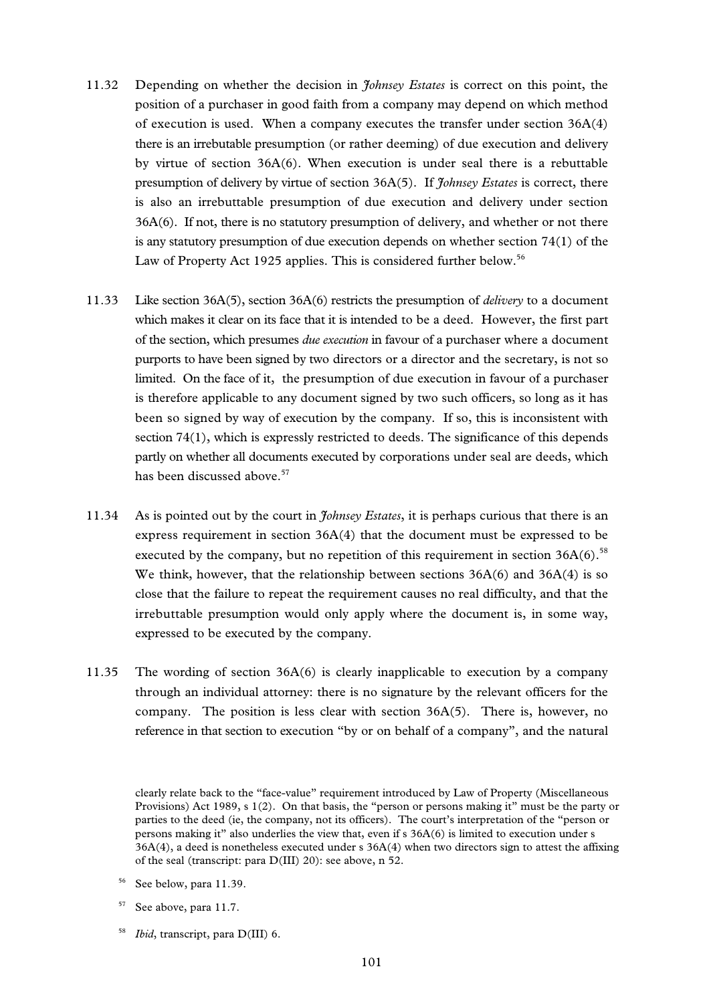- 11.32 Depending on whether the decision in *Johnsey Estates* is correct on this point, the position of a purchaser in good faith from a company may depend on which method of execution is used. When a company executes the transfer under section  $36A(4)$ there is an irrebutable presumption (or rather deeming) of due execution and delivery by virtue of section 36A(6). When execution is under seal there is a rebuttable presumption of delivery by virtue of section 36A(5). If *Johnsey Estates* is correct, there is also an irrebuttable presumption of due execution and delivery under section 36A(6). If not, there is no statutory presumption of delivery, and whether or not there is any statutory presumption of due execution depends on whether section 74(1) of the Law of Property Act 1925 applies. This is considered further below.<sup>56</sup>
- 11.33 Like section 36A(5), section 36A(6) restricts the presumption of *delivery* to a document which makes it clear on its face that it is intended to be a deed. However, the first part of the section, which presumes *due execution* in favour of a purchaser where a document purports to have been signed by two directors or a director and the secretary, is not so limited. On the face of it, the presumption of due execution in favour of a purchaser is therefore applicable to any document signed by two such officers, so long as it has been so signed by way of execution by the company. If so, this is inconsistent with section 74(1), which is expressly restricted to deeds. The significance of this depends partly on whether all documents executed by corporations under seal are deeds, which has been discussed above.<sup>57</sup>
- 11.34 As is pointed out by the court in *Johnsey Estates*, it is perhaps curious that there is an express requirement in section 36A(4) that the document must be expressed to be executed by the company, but no repetition of this requirement in section  $36A(6).$ <sup>58</sup> We think, however, that the relationship between sections  $36A(6)$  and  $36A(4)$  is so close that the failure to repeat the requirement causes no real difficulty, and that the irrebuttable presumption would only apply where the document is, in some way, expressed to be executed by the company.
- 11.35 The wording of section 36A(6) is clearly inapplicable to execution by a company through an individual attorney: there is no signature by the relevant officers for the company. The position is less clear with section  $36A(5)$ . There is, however, no reference in that section to execution "by or on behalf of a company", and the natural

clearly relate back to the "face-value" requirement introduced by Law of Property (Miscellaneous Provisions) Act 1989, s 1(2). On that basis, the "person or persons making it" must be the party or parties to the deed (ie, the company, not its officers). The court's interpretation of the "person or persons making it" also underlies the view that, even if s 36A(6) is limited to execution under s 36A(4), a deed is nonetheless executed under s 36A(4) when two directors sign to attest the affixing of the seal (transcript: para D(III) 20): see above, n 52.

- <sup>56</sup> See below, para 11.39.
- $57$  See above, para 11.7.
- <sup>58</sup> *Ibid*, transcript, para D(III) 6.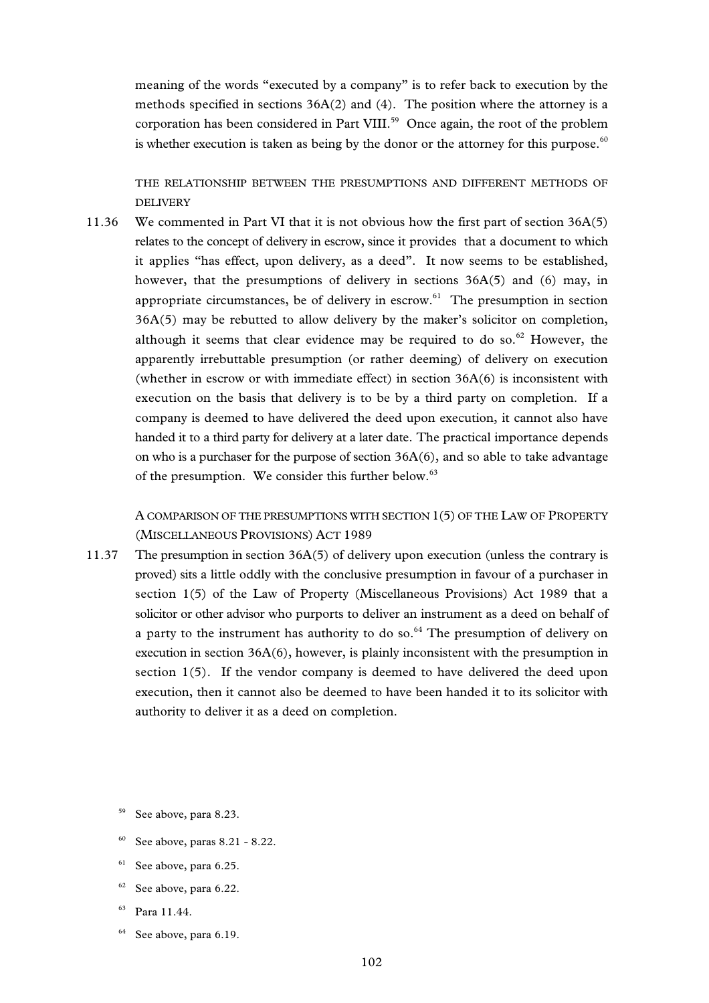meaning of the words "executed by a company" is to refer back to execution by the methods specified in sections 36A(2) and (4). The position where the attorney is a corporation has been considered in Part VIII.<sup>59</sup> Once again, the root of the problem is whether execution is taken as being by the donor or the attorney for this purpose. $60$ 

THE RELATIONSHIP BETWEEN THE PRESUMPTIONS AND DIFFERENT METHODS OF DELIVERY

11.36 We commented in Part VI that it is not obvious how the first part of section 36A(5) relates to the concept of delivery in escrow, since it provides that a document to which it applies "has effect, upon delivery, as a deed". It now seems to be established, however, that the presumptions of delivery in sections 36A(5) and (6) may, in appropriate circumstances, be of delivery in escrow. $61$  The presumption in section 36A(5) may be rebutted to allow delivery by the maker's solicitor on completion, although it seems that clear evidence may be required to do so. $62$  However, the apparently irrebuttable presumption (or rather deeming) of delivery on execution (whether in escrow or with immediate effect) in section 36A(6) is inconsistent with execution on the basis that delivery is to be by a third party on completion. If a company is deemed to have delivered the deed upon execution, it cannot also have handed it to a third party for delivery at a later date. The practical importance depends on who is a purchaser for the purpose of section 36A(6), and so able to take advantage of the presumption. We consider this further below.<sup>63</sup>

A COMPARISON OF THE PRESUMPTIONS WITH SECTION 1(5) OF THE LAW OF PROPERTY (MISCELLANEOUS PROVISIONS) ACT 1989

11.37 The presumption in section 36A(5) of delivery upon execution (unless the contrary is proved) sits a little oddly with the conclusive presumption in favour of a purchaser in section 1(5) of the Law of Property (Miscellaneous Provisions) Act 1989 that a solicitor or other advisor who purports to deliver an instrument as a deed on behalf of a party to the instrument has authority to do so. $^{64}$  The presumption of delivery on execution in section 36A(6), however, is plainly inconsistent with the presumption in section 1(5). If the vendor company is deemed to have delivered the deed upon execution, then it cannot also be deemed to have been handed it to its solicitor with authority to deliver it as a deed on completion.

 $59$  See above, para 8.23.

- $60$  See above, paras 8.21 8.22.
- $61$  See above, para 6.25.
- $62$  See above, para 6.22.
- <sup>63</sup> Para 11.44.
- See above, para 6.19.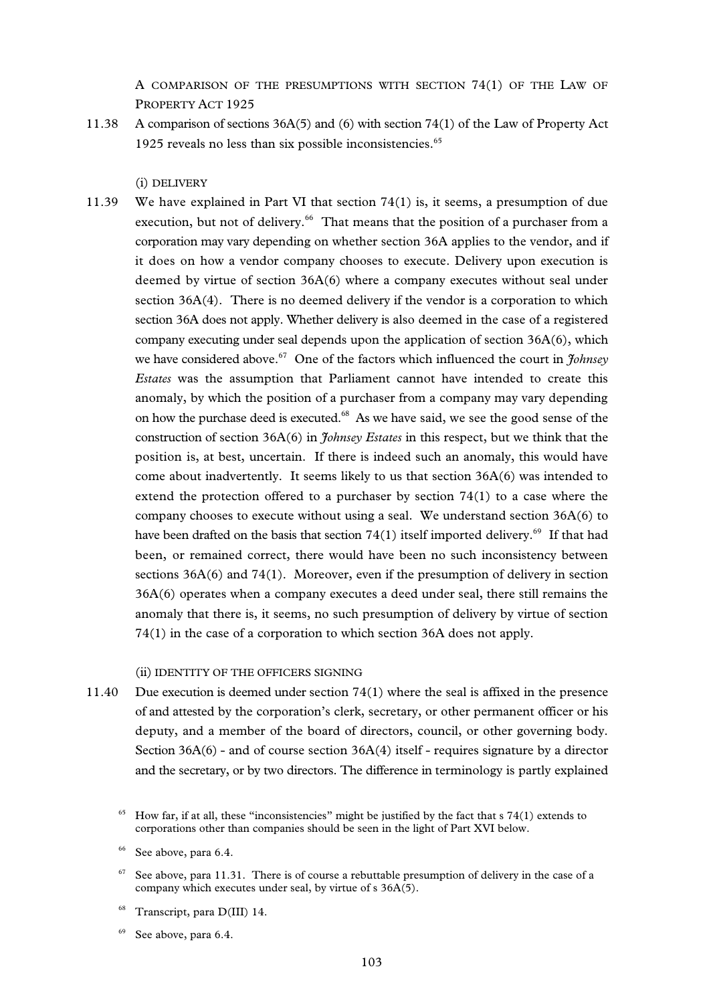A COMPARISON OF THE PRESUMPTIONS WITH SECTION 74(1) OF THE LAW OF PROPERTY ACT 1925

11.38 A comparison of sections 36A(5) and (6) with section 74(1) of the Law of Property Act 1925 reveals no less than six possible inconsistencies.<sup>65</sup>

### (i) DELIVERY

11.39 We have explained in Part VI that section 74(1) is, it seems, a presumption of due execution, but not of delivery.<sup>66</sup> That means that the position of a purchaser from a corporation may vary depending on whether section 36A applies to the vendor, and if it does on how a vendor company chooses to execute. Delivery upon execution is deemed by virtue of section 36A(6) where a company executes without seal under section 36A(4). There is no deemed delivery if the vendor is a corporation to which section 36A does not apply. Whether delivery is also deemed in the case of a registered company executing under seal depends upon the application of section 36A(6), which we have considered above.<sup>67</sup> One of the factors which influenced the court in *Johnsey Estates* was the assumption that Parliament cannot have intended to create this anomaly, by which the position of a purchaser from a company may vary depending on how the purchase deed is executed.<sup>68</sup> As we have said, we see the good sense of the construction of section 36A(6) in *Johnsey Estates* in this respect, but we think that the position is, at best, uncertain. If there is indeed such an anomaly, this would have come about inadvertently. It seems likely to us that section  $36A(6)$  was intended to extend the protection offered to a purchaser by section  $74(1)$  to a case where the company chooses to execute without using a seal. We understand section 36A(6) to have been drafted on the basis that section  $74(1)$  itself imported delivery.<sup>69</sup> If that had been, or remained correct, there would have been no such inconsistency between sections 36A(6) and 74(1). Moreover, even if the presumption of delivery in section 36A(6) operates when a company executes a deed under seal, there still remains the anomaly that there is, it seems, no such presumption of delivery by virtue of section 74(1) in the case of a corporation to which section 36A does not apply.

(ii) IDENTITY OF THE OFFICERS SIGNING

11.40 Due execution is deemed under section 74(1) where the seal is affixed in the presence of and attested by the corporation's clerk, secretary, or other permanent officer or his deputy, and a member of the board of directors, council, or other governing body. Section  $36A(6)$  - and of course section  $36A(4)$  itself - requires signature by a director and the secretary, or by two directors. The difference in terminology is partly explained

 $65$  How far, if at all, these "inconsistencies" might be justified by the fact that s 74(1) extends to corporations other than companies should be seen in the light of Part XVI below.

 $66$  See above, para 6.4.

See above, para 11.31. There is of course a rebuttable presumption of delivery in the case of a company which executes under seal, by virtue of s 36A(5).

 $68$  Transcript, para D(III) 14.

See above, para 6.4.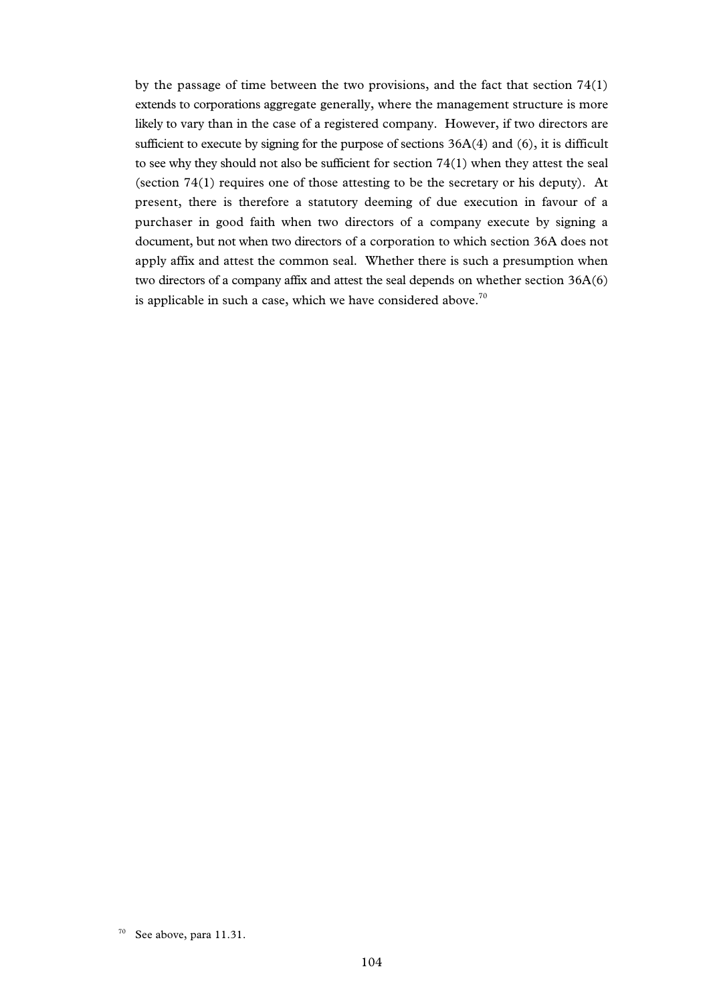by the passage of time between the two provisions, and the fact that section 74(1) extends to corporations aggregate generally, where the management structure is more likely to vary than in the case of a registered company. However, if two directors are sufficient to execute by signing for the purpose of sections 36A(4) and (6), it is difficult to see why they should not also be sufficient for section 74(1) when they attest the seal (section 74(1) requires one of those attesting to be the secretary or his deputy). At present, there is therefore a statutory deeming of due execution in favour of a purchaser in good faith when two directors of a company execute by signing a document, but not when two directors of a corporation to which section 36A does not apply affix and attest the common seal. Whether there is such a presumption when two directors of a company affix and attest the seal depends on whether section 36A(6) is applicable in such a case, which we have considered above.<sup>70</sup>

 $70$  See above, para 11.31.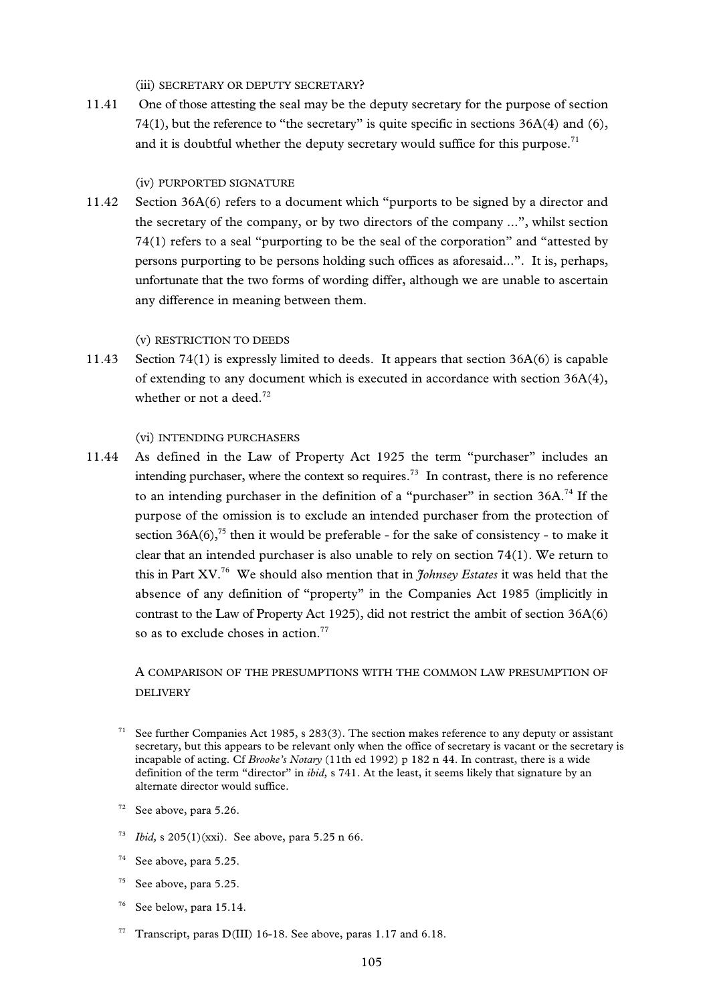(iii) SECRETARY OR DEPUTY SECRETARY?

11.41 One of those attesting the seal may be the deputy secretary for the purpose of section 74(1), but the reference to "the secretary" is quite specific in sections 36A(4) and (6), and it is doubtful whether the deputy secretary would suffice for this purpose.<sup>71</sup>

# (iv) PURPORTED SIGNATURE

11.42 Section 36A(6) refers to a document which "purports to be signed by a director and the secretary of the company, or by two directors of the company ...", whilst section 74(1) refers to a seal "purporting to be the seal of the corporation" and "attested by persons purporting to be persons holding such offices as aforesaid...". It is, perhaps, unfortunate that the two forms of wording differ, although we are unable to ascertain any difference in meaning between them.

(v) RESTRICTION TO DEEDS

11.43 Section 74(1) is expressly limited to deeds. It appears that section 36A(6) is capable of extending to any document which is executed in accordance with section  $36A(4)$ , whether or not a deed.<sup>72</sup>

# (vi) INTENDING PURCHASERS

11.44 As defined in the Law of Property Act 1925 the term "purchaser" includes an intending purchaser, where the context so requires.<sup>73</sup> In contrast, there is no reference to an intending purchaser in the definition of a "purchaser" in section  $36A$ .<sup>74</sup> If the purpose of the omission is to exclude an intended purchaser from the protection of section  $36A(6)$ ,  $^{75}$  then it would be preferable - for the sake of consistency - to make it clear that an intended purchaser is also unable to rely on section 74(1). We return to this in Part XV.<sup>76</sup> We should also mention that in *Johnsey Estates* it was held that the absence of any definition of "property" in the Companies Act 1985 (implicitly in contrast to the Law of Property Act 1925), did not restrict the ambit of section 36A(6) so as to exclude choses in action. $77$ 

# A COMPARISON OF THE PRESUMPTIONS WITH THE COMMON LAW PRESUMPTION OF DELIVERY

- See further Companies Act 1985, s 283(3). The section makes reference to any deputy or assistant secretary, but this appears to be relevant only when the office of secretary is vacant or the secretary is incapable of acting. Cf *Brooke's Notary* (11th ed 1992) p 182 n 44. In contrast, there is a wide definition of the term "director" in *ibid,* s 741. At the least, it seems likely that signature by an alternate director would suffice.
- $72$  See above, para 5.26.
- <sup>73</sup> *Ibid,* s 205(1)(xxi). See above, para 5.25 n 66.
- $74$  See above, para 5.25.
- $75$  See above, para 5.25.
- $76$  See below, para 15.14.
- Transcript, paras D(III) 16-18. See above, paras 1.17 and 6.18.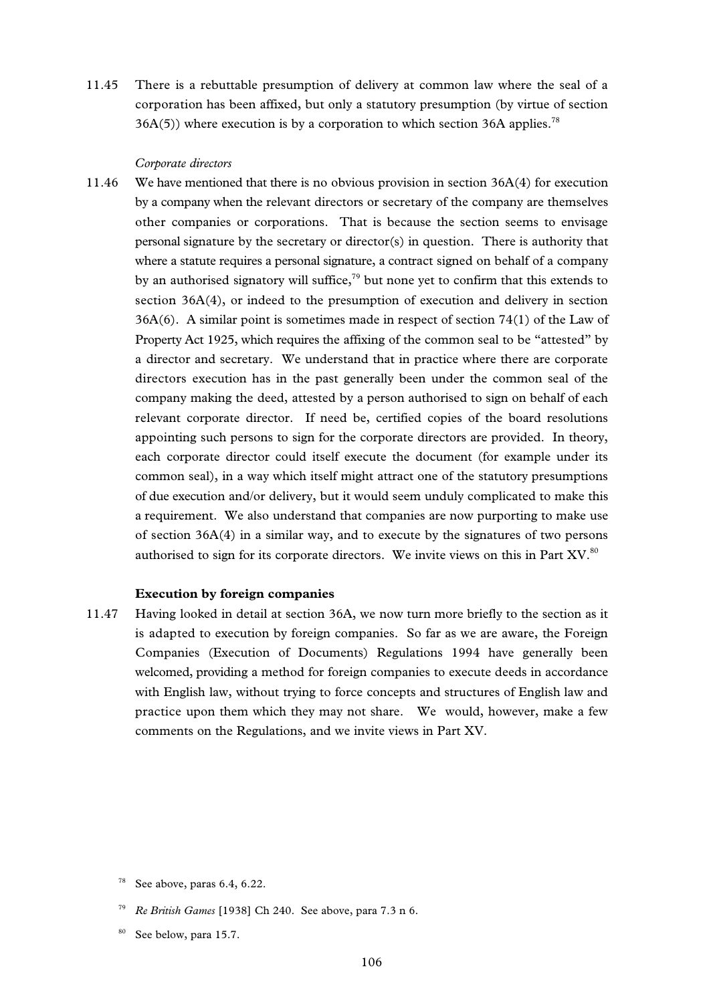11.45 There is a rebuttable presumption of delivery at common law where the seal of a corporation has been affixed, but only a statutory presumption (by virtue of section  $36A(5)$ ) where execution is by a corporation to which section 36A applies.<sup>78</sup>

### *Corporate directors*

11.46 We have mentioned that there is no obvious provision in section 36A(4) for execution by a company when the relevant directors or secretary of the company are themselves other companies or corporations. That is because the section seems to envisage personal signature by the secretary or director(s) in question. There is authority that where a statute requires a personal signature, a contract signed on behalf of a company by an authorised signatory will suffice,<sup> $79$ </sup> but none yet to confirm that this extends to section 36A(4), or indeed to the presumption of execution and delivery in section 36A(6). A similar point is sometimes made in respect of section 74(1) of the Law of Property Act 1925, which requires the affixing of the common seal to be "attested" by a director and secretary. We understand that in practice where there are corporate directors execution has in the past generally been under the common seal of the company making the deed, attested by a person authorised to sign on behalf of each relevant corporate director. If need be, certified copies of the board resolutions appointing such persons to sign for the corporate directors are provided. In theory, each corporate director could itself execute the document (for example under its common seal), in a way which itself might attract one of the statutory presumptions of due execution and/or delivery, but it would seem unduly complicated to make this a requirement. We also understand that companies are now purporting to make use of section 36A(4) in a similar way, and to execute by the signatures of two persons authorised to sign for its corporate directors. We invite views on this in Part  $XV$ <sup>80</sup>

### **Execution by foreign companies**

11.47 Having looked in detail at section 36A, we now turn more briefly to the section as it is adapted to execution by foreign companies. So far as we are aware, the Foreign Companies (Execution of Documents) Regulations 1994 have generally been welcomed, providing a method for foreign companies to execute deeds in accordance with English law, without trying to force concepts and structures of English law and practice upon them which they may not share. We would, however, make a few comments on the Regulations, and we invite views in Part XV.

 $78$  See above, paras 6.4, 6.22.

<sup>&</sup>lt;sup>79</sup> Re British Games [1938] Ch 240. See above, para 7.3 n 6.

See below, para 15.7.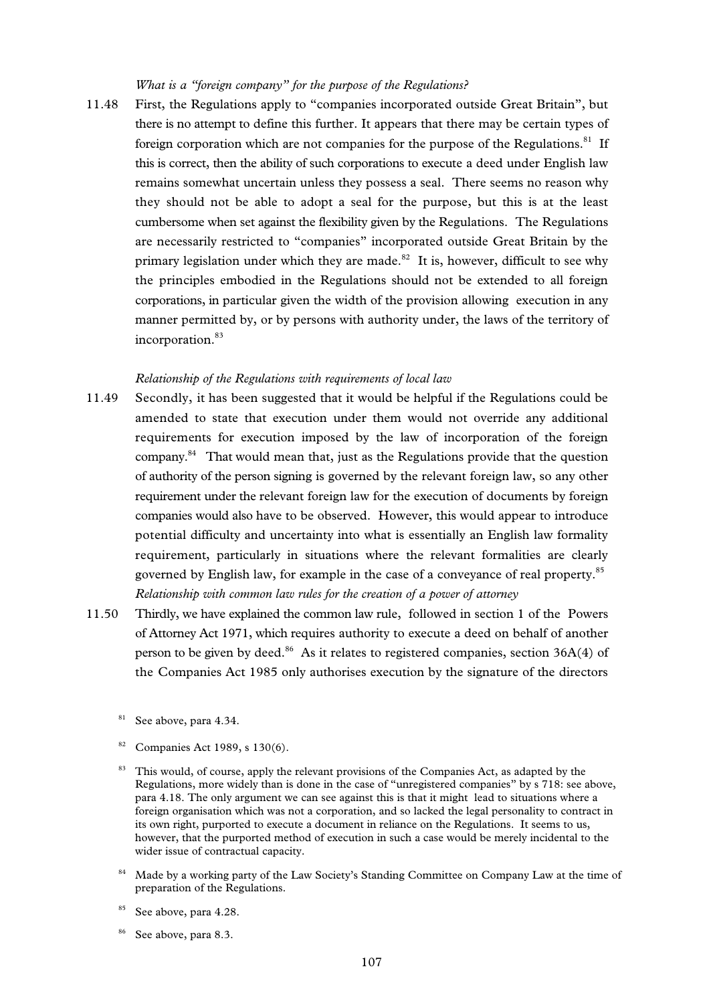# *What is a "foreign company" for the purpose of the Regulations?*

11.48 First, the Regulations apply to "companies incorporated outside Great Britain", but there is no attempt to define this further. It appears that there may be certain types of foreign corporation which are not companies for the purpose of the Regulations.<sup>81</sup> If this is correct, then the ability of such corporations to execute a deed under English law remains somewhat uncertain unless they possess a seal. There seems no reason why they should not be able to adopt a seal for the purpose, but this is at the least cumbersome when set against the flexibility given by the Regulations. The Regulations are necessarily restricted to "companies" incorporated outside Great Britain by the primary legislation under which they are made. $82$  It is, however, difficult to see why the principles embodied in the Regulations should not be extended to all foreign corporations, in particular given the width of the provision allowing execution in any manner permitted by, or by persons with authority under, the laws of the territory of incorporation.<sup>83</sup>

## *Relationship of the Regulations with requirements of local law*

- 11.49 Secondly, it has been suggested that it would be helpful if the Regulations could be amended to state that execution under them would not override any additional requirements for execution imposed by the law of incorporation of the foreign company. $84$  That would mean that, just as the Regulations provide that the question of authority of the person signing is governed by the relevant foreign law, so any other requirement under the relevant foreign law for the execution of documents by foreign companies would also have to be observed. However, this would appear to introduce potential difficulty and uncertainty into what is essentially an English law formality requirement, particularly in situations where the relevant formalities are clearly governed by English law, for example in the case of a conveyance of real property.<sup>85</sup> *Relationship with common law rules for the creation of a power of attorney*
- 11.50 Thirdly, we have explained the common law rule, followed in section 1 of the Powers of Attorney Act 1971, which requires authority to execute a deed on behalf of another person to be given by deed.<sup>86</sup> As it relates to registered companies, section  $36A(4)$  of the Companies Act 1985 only authorises execution by the signature of the directors
	- $81$  See above, para 4.34.
	- $82$  Companies Act 1989, s 130(6).
	- <sup>83</sup> This would, of course, apply the relevant provisions of the Companies Act, as adapted by the Regulations, more widely than is done in the case of "unregistered companies" by s 718: see above, para 4.18. The only argument we can see against this is that it might lead to situations where a foreign organisation which was not a corporation, and so lacked the legal personality to contract in its own right, purported to execute a document in reliance on the Regulations. It seems to us, however, that the purported method of execution in such a case would be merely incidental to the wider issue of contractual capacity.
	- <sup>84</sup> Made by a working party of the Law Society's Standing Committee on Company Law at the time of preparation of the Regulations.
	- See above, para 4.28.
	- See above, para 8.3.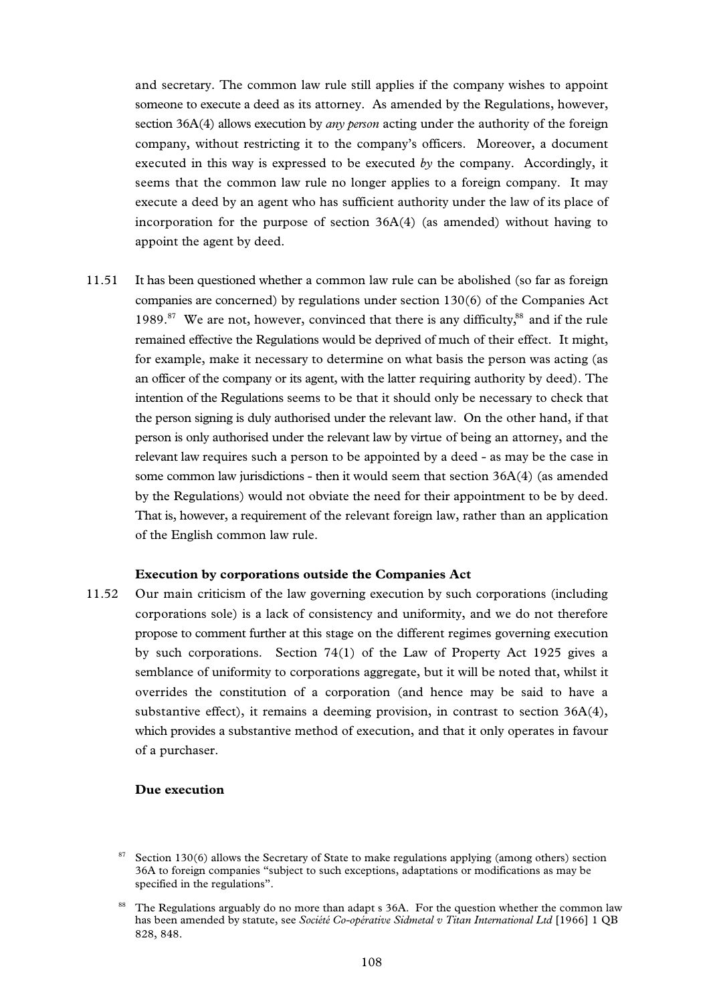and secretary. The common law rule still applies if the company wishes to appoint someone to execute a deed as its attorney. As amended by the Regulations, however, section 36A(4) allows execution by *any person* acting under the authority of the foreign company, without restricting it to the company's officers. Moreover, a document executed in this way is expressed to be executed *by* the company. Accordingly, it seems that the common law rule no longer applies to a foreign company. It may execute a deed by an agent who has sufficient authority under the law of its place of incorporation for the purpose of section 36A(4) (as amended) without having to appoint the agent by deed.

11.51 It has been questioned whether a common law rule can be abolished (so far as foreign companies are concerned) by regulations under section 130(6) of the Companies Act 1989.<sup>87</sup> We are not, however, convinced that there is any difficulty,  $88^\circ$  and if the rule remained effective the Regulations would be deprived of much of their effect. It might, for example, make it necessary to determine on what basis the person was acting (as an officer of the company or its agent, with the latter requiring authority by deed). The intention of the Regulations seems to be that it should only be necessary to check that the person signing is duly authorised under the relevant law. On the other hand, if that person is only authorised under the relevant law by virtue of being an attorney, and the relevant law requires such a person to be appointed by a deed - as may be the case in some common law jurisdictions - then it would seem that section 36A(4) (as amended by the Regulations) would not obviate the need for their appointment to be by deed. That is, however, a requirement of the relevant foreign law, rather than an application of the English common law rule.

### **Execution by corporations outside the Companies Act**

11.52 Our main criticism of the law governing execution by such corporations (including corporations sole) is a lack of consistency and uniformity, and we do not therefore propose to comment further at this stage on the different regimes governing execution by such corporations. Section 74(1) of the Law of Property Act 1925 gives a semblance of uniformity to corporations aggregate, but it will be noted that, whilst it overrides the constitution of a corporation (and hence may be said to have a substantive effect), it remains a deeming provision, in contrast to section  $36A(4)$ , which provides a substantive method of execution, and that it only operates in favour of a purchaser.

# **Due execution**

Section 130(6) allows the Secretary of State to make regulations applying (among others) section 36A to foreign companies "subject to such exceptions, adaptations or modifications as may be specified in the regulations".

The Regulations arguably do no more than adapt s 36A. For the question whether the common law has been amended by statute, see *Société Co-opérative Sidmetal v Titan International Ltd* [1966] 1 QB 828, 848.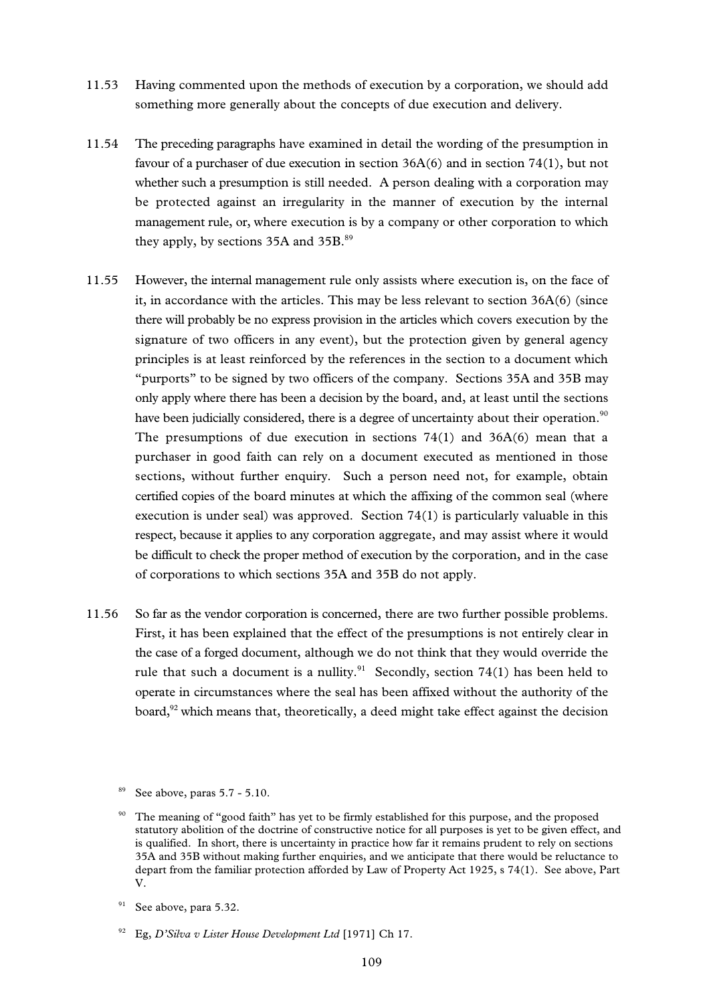- 11.53 Having commented upon the methods of execution by a corporation, we should add something more generally about the concepts of due execution and delivery.
- 11.54 The preceding paragraphs have examined in detail the wording of the presumption in favour of a purchaser of due execution in section 36A(6) and in section 74(1), but not whether such a presumption is still needed. A person dealing with a corporation may be protected against an irregularity in the manner of execution by the internal management rule, or, where execution is by a company or other corporation to which they apply, by sections 35A and 35B.<sup>89</sup>
- 11.55 However, the internal management rule only assists where execution is, on the face of it, in accordance with the articles. This may be less relevant to section 36A(6) (since there will probably be no express provision in the articles which covers execution by the signature of two officers in any event), but the protection given by general agency principles is at least reinforced by the references in the section to a document which "purports" to be signed by two officers of the company. Sections 35A and 35B may only apply where there has been a decision by the board, and, at least until the sections have been judicially considered, there is a degree of uncertainty about their operation.<sup>90</sup> The presumptions of due execution in sections  $74(1)$  and  $36A(6)$  mean that a purchaser in good faith can rely on a document executed as mentioned in those sections, without further enquiry. Such a person need not, for example, obtain certified copies of the board minutes at which the affixing of the common seal (where execution is under seal) was approved. Section 74(1) is particularly valuable in this respect, because it applies to any corporation aggregate, and may assist where it would be difficult to check the proper method of execution by the corporation, and in the case of corporations to which sections 35A and 35B do not apply.
- 11.56 So far as the vendor corporation is concerned, there are two further possible problems. First, it has been explained that the effect of the presumptions is not entirely clear in the case of a forged document, although we do not think that they would override the rule that such a document is a nullity.<sup>91</sup> Secondly, section 74(1) has been held to operate in circumstances where the seal has been affixed without the authority of the board,  $92$  which means that, theoretically, a deed might take effect against the decision

See above, paras  $5.7 - 5.10$ .

 $\frac{90}{100}$  The meaning of "good faith" has yet to be firmly established for this purpose, and the proposed statutory abolition of the doctrine of constructive notice for all purposes is yet to be given effect, and is qualified. In short, there is uncertainty in practice how far it remains prudent to rely on sections 35A and 35B without making further enquiries, and we anticipate that there would be reluctance to depart from the familiar protection afforded by Law of Property Act 1925, s 74(1). See above, Part V.

 $91$  See above, para 5.32.

Eg, *D'Silva v Lister House Development Ltd* [1971] Ch 17.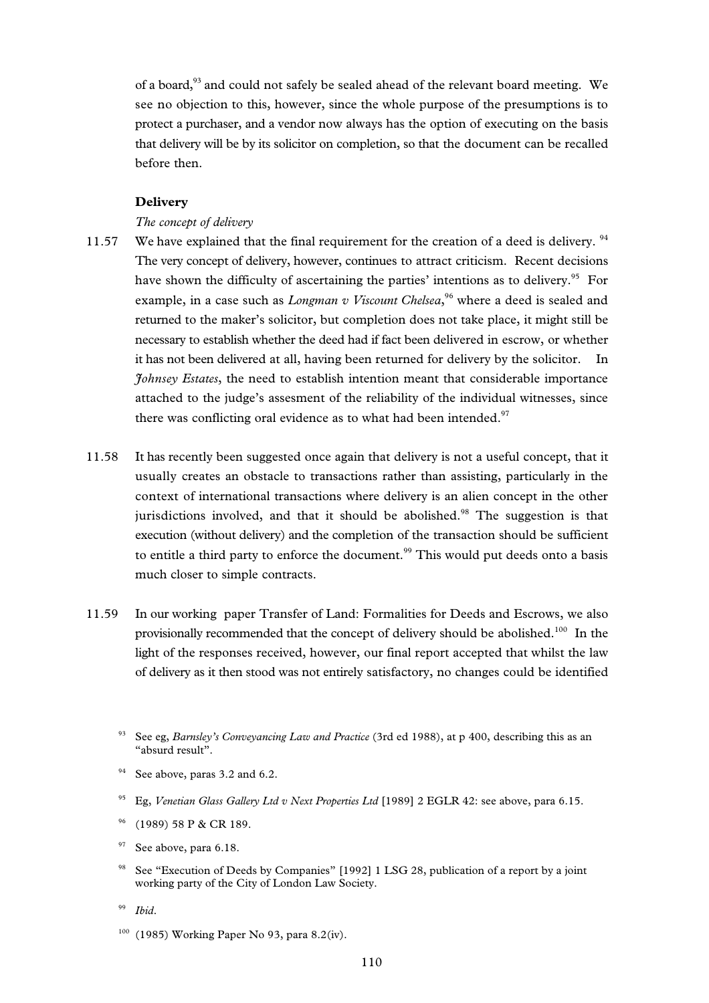of a board,<sup>93</sup> and could not safely be sealed ahead of the relevant board meeting. We see no objection to this, however, since the whole purpose of the presumptions is to protect a purchaser, and a vendor now always has the option of executing on the basis that delivery will be by its solicitor on completion, so that the document can be recalled before then.

# **Delivery**

# *The concept of delivery*

- 11.57 We have explained that the final requirement for the creation of a deed is delivery.  $94$ The very concept of delivery, however, continues to attract criticism. Recent decisions have shown the difficulty of ascertaining the parties' intentions as to delivery.<sup>95</sup> For example, in a case such as *Longman v Viscount Chelsea*,<sup>96</sup> where a deed is sealed and returned to the maker's solicitor, but completion does not take place, it might still be necessary to establish whether the deed had if fact been delivered in escrow, or whether it has not been delivered at all, having been returned for delivery by the solicitor. In *Johnsey Estates*, the need to establish intention meant that considerable importance attached to the judge's assesment of the reliability of the individual witnesses, since there was conflicting oral evidence as to what had been intended. $97$
- 11.58 It has recently been suggested once again that delivery is not a useful concept, that it usually creates an obstacle to transactions rather than assisting, particularly in the context of international transactions where delivery is an alien concept in the other jurisdictions involved, and that it should be abolished.<sup>98</sup> The suggestion is that execution (without delivery) and the completion of the transaction should be sufficient to entitle a third party to enforce the document.<sup>99</sup> This would put deeds onto a basis much closer to simple contracts.
- 11.59 In our working paper Transfer of Land: Formalities for Deeds and Escrows, we also provisionally recommended that the concept of delivery should be abolished.<sup>100</sup> In the light of the responses received, however, our final report accepted that whilst the law of delivery as it then stood was not entirely satisfactory, no changes could be identified
	- See eg, *Barnsley's Conveyancing Law and Practice* (3rd ed 1988), at p 400, describing this as an "absurd result".
	- $94$  See above, paras 3.2 and 6.2.
	- <sup>95</sup> Eg, *Venetian Glass Gallery Ltd v Next Properties Ltd* [1989] 2 EGLR 42: see above, para 6.15.
	- $96$  (1989) 58 P & CR 189.
	- $97$  See above, para 6.18.
	- <sup>98</sup> See "Execution of Deeds by Companies" [1992] 1 LSG 28, publication of a report by a joint working party of the City of London Law Society.
	- *Ibid*. 99

 $100$  (1985) Working Paper No 93, para 8.2(iv).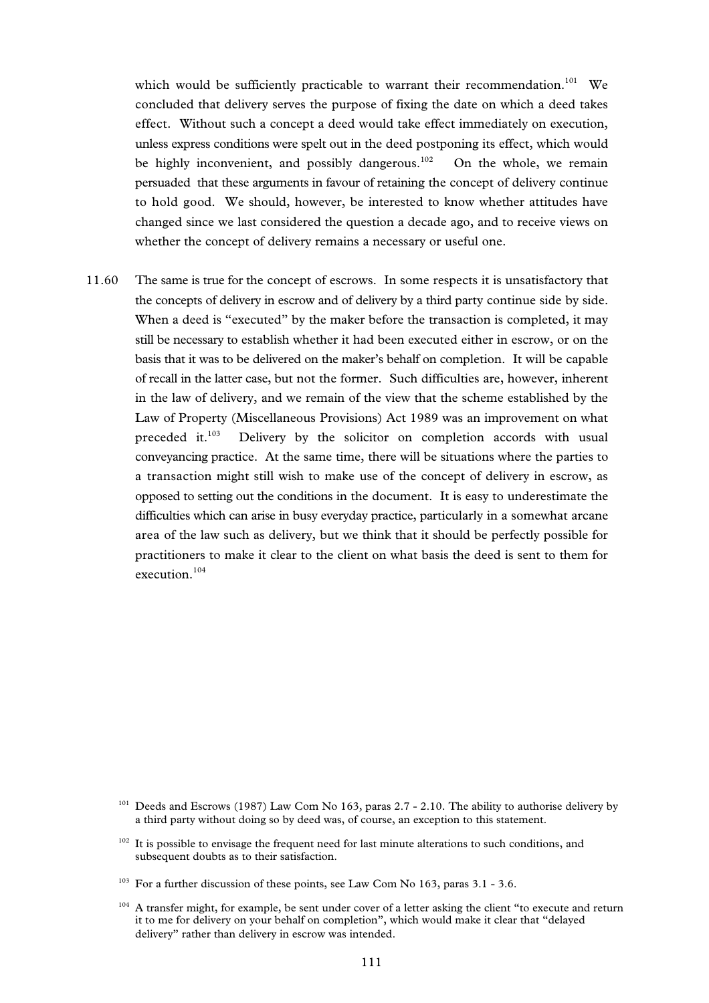which would be sufficiently practicable to warrant their recommendation.<sup>101</sup> We concluded that delivery serves the purpose of fixing the date on which a deed takes effect. Without such a concept a deed would take effect immediately on execution, unless express conditions were spelt out in the deed postponing its effect, which would be highly inconvenient, and possibly dangerous.<sup>102</sup> On the whole, we remain persuaded that these arguments in favour of retaining the concept of delivery continue to hold good. We should, however, be interested to know whether attitudes have changed since we last considered the question a decade ago, and to receive views on whether the concept of delivery remains a necessary or useful one.

11.60 The same is true for the concept of escrows. In some respects it is unsatisfactory that the concepts of delivery in escrow and of delivery by a third party continue side by side. When a deed is "executed" by the maker before the transaction is completed, it may still be necessary to establish whether it had been executed either in escrow, or on the basis that it was to be delivered on the maker's behalf on completion. It will be capable of recall in the latter case, but not the former. Such difficulties are, however, inherent in the law of delivery, and we remain of the view that the scheme established by the Law of Property (Miscellaneous Provisions) Act 1989 was an improvement on what Delivery by the solicitor on completion accords with usual preceded it. $103$ conveyancing practice. At the same time, there will be situations where the parties to a transaction might still wish to make use of the concept of delivery in escrow, as opposed to setting out the conditions in the document. It is easy to underestimate the difficulties which can arise in busy everyday practice, particularly in a somewhat arcane area of the law such as delivery, but we think that it should be perfectly possible for practitioners to make it clear to the client on what basis the deed is sent to them for execution.<sup>104</sup>

 $101$  Deeds and Escrows (1987) Law Com No 163, paras 2.7 - 2.10. The ability to authorise delivery by a third party without doing so by deed was, of course, an exception to this statement.

 $102$  It is possible to envisage the frequent need for last minute alterations to such conditions, and subsequent doubts as to their satisfaction.

<sup>&</sup>lt;sup>103</sup> For a further discussion of these points, see Law Com No 163, paras  $3.1 - 3.6$ .

<sup>&</sup>lt;sup>104</sup> A transfer might, for example, be sent under cover of a letter asking the client "to execute and return it to me for delivery on your behalf on completion", which would make it clear that "delayed delivery" rather than delivery in escrow was intended.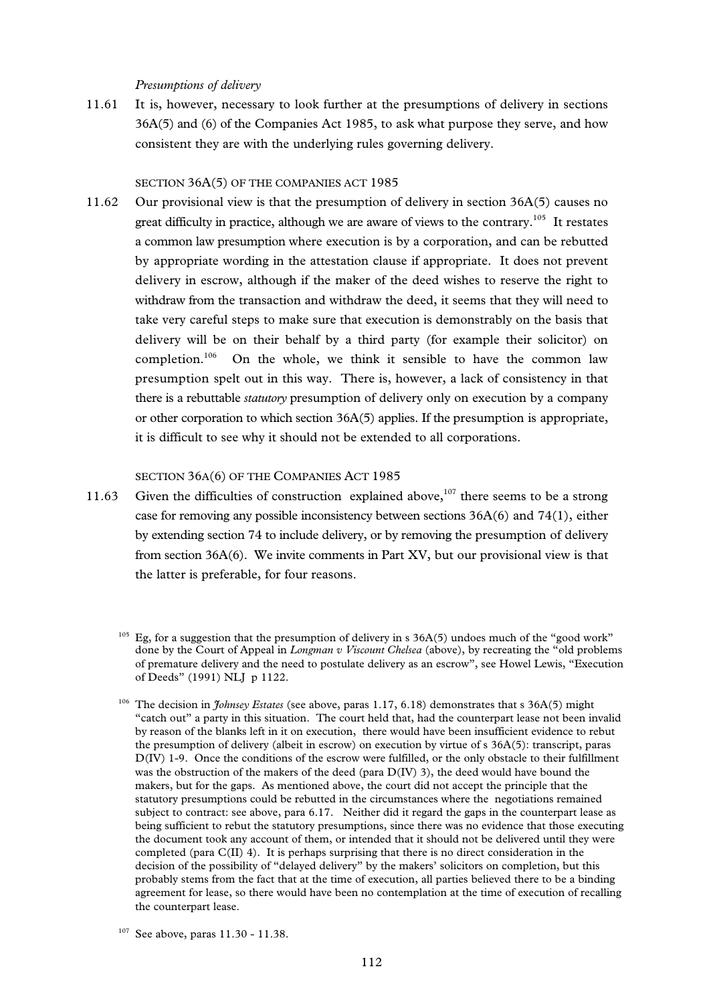# *Presumptions of delivery*

11.61 It is, however, necessary to look further at the presumptions of delivery in sections 36A(5) and (6) of the Companies Act 1985, to ask what purpose they serve, and how consistent they are with the underlying rules governing delivery.

# SECTION 36A(5) OF THE COMPANIES ACT 1985

11.62 Our provisional view is that the presumption of delivery in section 36A(5) causes no great difficulty in practice, although we are aware of views to the contrary.<sup>105</sup> It restates a common law presumption where execution is by a corporation, and can be rebutted by appropriate wording in the attestation clause if appropriate. It does not prevent delivery in escrow, although if the maker of the deed wishes to reserve the right to withdraw from the transaction and withdraw the deed, it seems that they will need to take very careful steps to make sure that execution is demonstrably on the basis that delivery will be on their behalf by a third party (for example their solicitor) on completion.<sup>106</sup> On the whole, we think it sensible to have the common law presumption spelt out in this way. There is, however, a lack of consistency in that there is a rebuttable *statutory* presumption of delivery only on execution by a company or other corporation to which section 36A(5) applies. If the presumption is appropriate, it is difficult to see why it should not be extended to all corporations.

# SECTION 36A(6) OF THE COMPANIES ACT 1985

11.63 Given the difficulties of construction explained above,  $107$  there seems to be a strong case for removing any possible inconsistency between sections  $36A(6)$  and  $74(1)$ , either by extending section 74 to include delivery, or by removing the presumption of delivery from section 36A(6). We invite comments in Part XV, but our provisional view is that the latter is preferable, for four reasons.

<sup>&</sup>lt;sup>105</sup> Eg, for a suggestion that the presumption of delivery in s  $36A(5)$  undoes much of the "good work" done by the Court of Appeal in *Longman v Viscount Chelsea* (above), by recreating the "old problems of premature delivery and the need to postulate delivery as an escrow", see Howel Lewis, "Execution of Deeds" (1991) NLJ p 1122.

<sup>&</sup>lt;sup>106</sup> The decision in *Johnsey Estates* (see above, paras 1.17, 6.18) demonstrates that s 36A(5) might "catch out" a party in this situation. The court held that, had the counterpart lease not been invalid by reason of the blanks left in it on execution, there would have been insufficient evidence to rebut the presumption of delivery (albeit in escrow) on execution by virtue of s 36A(5): transcript, paras D(IV) 1-9. Once the conditions of the escrow were fulfilled, or the only obstacle to their fulfillment was the obstruction of the makers of the deed (para  $D(IV)$ ), the deed would have bound the makers, but for the gaps. As mentioned above, the court did not accept the principle that the statutory presumptions could be rebutted in the circumstances where the negotiations remained subject to contract: see above, para 6.17. Neither did it regard the gaps in the counterpart lease as being sufficient to rebut the statutory presumptions, since there was no evidence that those executing the document took any account of them, or intended that it should not be delivered until they were completed (para  $C(\Pi)$  4). It is perhaps surprising that there is no direct consideration in the decision of the possibility of "delayed delivery" by the makers' solicitors on completion, but this probably stems from the fact that at the time of execution, all parties believed there to be a binding agreement for lease, so there would have been no contemplation at the time of execution of recalling the counterpart lease.

 $107$  See above, paras 11.30 - 11.38.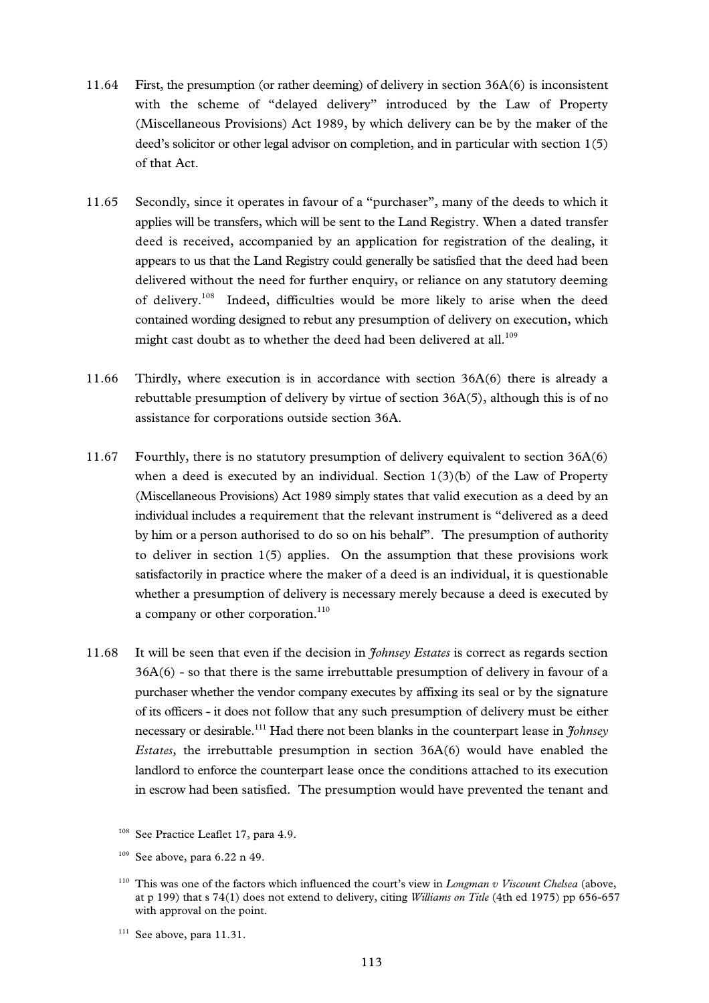- 11.64 First, the presumption (or rather deeming) of delivery in section 36A(6) is inconsistent with the scheme of "delayed delivery" introduced by the Law of Property (Miscellaneous Provisions) Act 1989, by which delivery can be by the maker of the deed's solicitor or other legal advisor on completion, and in particular with section 1(5) of that Act.
- 11.65 Secondly, since it operates in favour of a "purchaser", many of the deeds to which it applies will be transfers, which will be sent to the Land Registry. When a dated transfer deed is received, accompanied by an application for registration of the dealing, it appears to us that the Land Registry could generally be satisfied that the deed had been delivered without the need for further enquiry, or reliance on any statutory deeming of delivery.<sup>108</sup> Indeed, difficulties would be more likely to arise when the deed contained wording designed to rebut any presumption of delivery on execution, which might cast doubt as to whether the deed had been delivered at all.<sup>109</sup>
- 11.66 Thirdly, where execution is in accordance with section 36A(6) there is already a rebuttable presumption of delivery by virtue of section 36A(5), although this is of no assistance for corporations outside section 36A.
- 11.67 Fourthly, there is no statutory presumption of delivery equivalent to section 36A(6) when a deed is executed by an individual. Section  $1(3)(b)$  of the Law of Property (Miscellaneous Provisions) Act 1989 simply states that valid execution as a deed by an individual includes a requirement that the relevant instrument is "delivered as a deed by him or a person authorised to do so on his behalf". The presumption of authority to deliver in section 1(5) applies. On the assumption that these provisions work satisfactorily in practice where the maker of a deed is an individual, it is questionable whether a presumption of delivery is necessary merely because a deed is executed by a company or other corporation.<sup>110</sup>
- 11.68 It will be seen that even if the decision in *Johnsey Estates* is correct as regards section 36A(6) - so that there is the same irrebuttable presumption of delivery in favour of a purchaser whether the vendor company executes by affixing its seal or by the signature of its officers - it does not follow that any such presumption of delivery must be either necessary or desirable.<sup>111</sup> Had there not been blanks in the counterpart lease in *Johnsey Estates,* the irrebuttable presumption in section 36A(6) would have enabled the landlord to enforce the counterpart lease once the conditions attached to its execution in escrow had been satisfied. The presumption would have prevented the tenant and

 $108$  See Practice Leaflet 17, para 4.9.

 $109$  See above, para 6.22 n 49.

<sup>&</sup>lt;sup>110</sup> This was one of the factors which influenced the court's view in *Longman v Viscount Chelsea* (above, at p 199) that s 74(1) does not extend to delivery, citing *Williams on Title* (4th ed 1975) pp 656-657 with approval on the point.

 $111$  See above, para 11.31.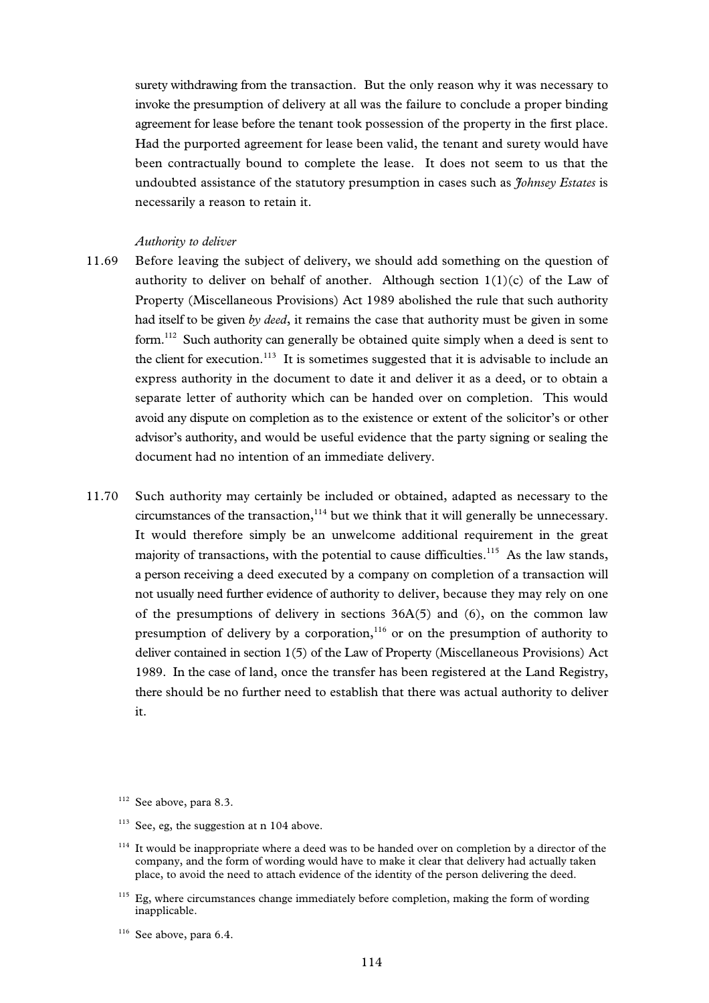surety withdrawing from the transaction. But the only reason why it was necessary to invoke the presumption of delivery at all was the failure to conclude a proper binding agreement for lease before the tenant took possession of the property in the first place. Had the purported agreement for lease been valid, the tenant and surety would have been contractually bound to complete the lease. It does not seem to us that the undoubted assistance of the statutory presumption in cases such as *Johnsey Estates* is necessarily a reason to retain it.

# *Authority to deliver*

- 11.69 Before leaving the subject of delivery, we should add something on the question of authority to deliver on behalf of another. Although section  $1(1)(c)$  of the Law of Property (Miscellaneous Provisions) Act 1989 abolished the rule that such authority had itself to be given *by deed*, it remains the case that authority must be given in some form.<sup> $112$ </sup> Such authority can generally be obtained quite simply when a deed is sent to the client for execution.<sup>113</sup> It is sometimes suggested that it is advisable to include an express authority in the document to date it and deliver it as a deed, or to obtain a separate letter of authority which can be handed over on completion. This would avoid any dispute on completion as to the existence or extent of the solicitor's or other advisor's authority, and would be useful evidence that the party signing or sealing the document had no intention of an immediate delivery.
- 11.70 Such authority may certainly be included or obtained, adapted as necessary to the circumstances of the transaction,  $h^{114}$  but we think that it will generally be unnecessary. It would therefore simply be an unwelcome additional requirement in the great majority of transactions, with the potential to cause difficulties.<sup>115</sup> As the law stands, a person receiving a deed executed by a company on completion of a transaction will not usually need further evidence of authority to deliver, because they may rely on one of the presumptions of delivery in sections  $36A(5)$  and  $(6)$ , on the common law presumption of delivery by a corporation,  $116$  or on the presumption of authority to deliver contained in section 1(5) of the Law of Property (Miscellaneous Provisions) Act 1989. In the case of land, once the transfer has been registered at the Land Registry, there should be no further need to establish that there was actual authority to deliver it.

 $112$  See above, para 8.3.

 $113$  See, eg, the suggestion at n 104 above.

 $114$  It would be inappropriate where a deed was to be handed over on completion by a director of the company, and the form of wording would have to make it clear that delivery had actually taken place, to avoid the need to attach evidence of the identity of the person delivering the deed.

<sup>&</sup>lt;sup>115</sup> Eg, where circumstances change immediately before completion, making the form of wording inapplicable.

 $116$  See above, para 6.4.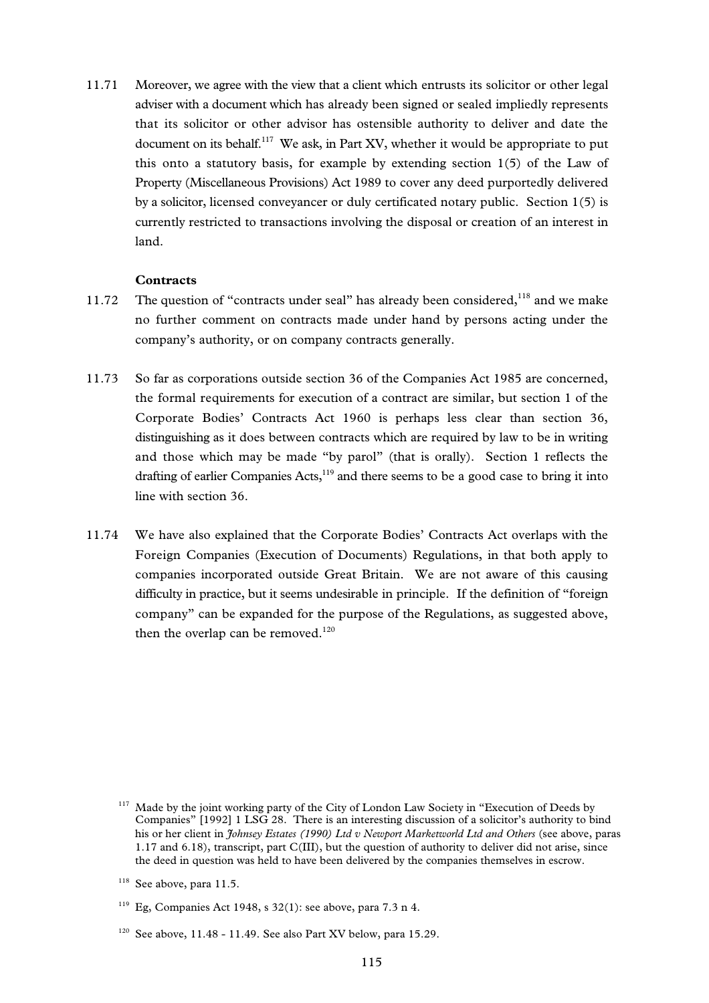11.71 Moreover, we agree with the view that a client which entrusts its solicitor or other legal adviser with a document which has already been signed or sealed impliedly represents that its solicitor or other advisor has ostensible authority to deliver and date the document on its behalf. $117$  We ask, in Part XV, whether it would be appropriate to put this onto a statutory basis, for example by extending section 1(5) of the Law of Property (Miscellaneous Provisions) Act 1989 to cover any deed purportedly delivered by a solicitor, licensed conveyancer or duly certificated notary public. Section 1(5) is currently restricted to transactions involving the disposal or creation of an interest in land.

### **Contracts**

- 11.72 The question of "contracts under seal" has already been considered,  $118$  and we make no further comment on contracts made under hand by persons acting under the company's authority, or on company contracts generally.
- 11.73 So far as corporations outside section 36 of the Companies Act 1985 are concerned, the formal requirements for execution of a contract are similar, but section 1 of the Corporate Bodies' Contracts Act 1960 is perhaps less clear than section 36, distinguishing as it does between contracts which are required by law to be in writing and those which may be made "by parol" (that is orally). Section 1 reflects the drafting of earlier Companies  $Acts$ <sup>119</sup> and there seems to be a good case to bring it into line with section 36.
- 11.74 We have also explained that the Corporate Bodies' Contracts Act overlaps with the Foreign Companies (Execution of Documents) Regulations, in that both apply to companies incorporated outside Great Britain. We are not aware of this causing difficulty in practice, but it seems undesirable in principle. If the definition of "foreign company" can be expanded for the purpose of the Regulations, as suggested above, then the overlap can be removed. $120$

 $117$  Made by the joint working party of the City of London Law Society in "Execution of Deeds by Companies" [1992] 1 LSG 28. There is an interesting discussion of a solicitor's authority to bind his or her client in *Johnsey Estates (1990) Ltd v Newport Marketworld Ltd and Others* (see above, paras 1.17 and 6.18), transcript, part C(III), but the question of authority to deliver did not arise, since the deed in question was held to have been delivered by the companies themselves in escrow.

 $118$  See above, para 11.5.

<sup>&</sup>lt;sup>119</sup> Eg, Companies Act 1948, s  $32(1)$ : see above, para 7.3 n 4.

 $120$  See above, 11.48 - 11.49. See also Part XV below, para 15.29.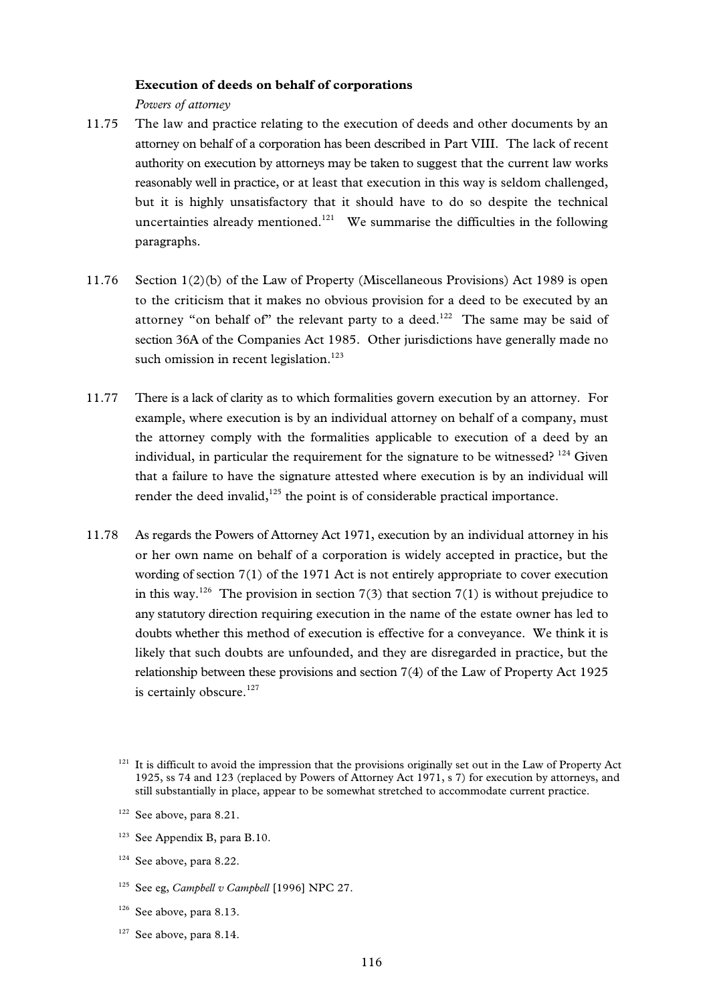# **Execution of deeds on behalf of corporations**

*Powers of attorney*

- 11.75 The law and practice relating to the execution of deeds and other documents by an attorney on behalf of a corporation has been described in Part VIII. The lack of recent authority on execution by attorneys may be taken to suggest that the current law works reasonably well in practice, or at least that execution in this way is seldom challenged, but it is highly unsatisfactory that it should have to do so despite the technical uncertainties already mentioned.<sup>121</sup> We summarise the difficulties in the following paragraphs.
- 11.76 Section 1(2)(b) of the Law of Property (Miscellaneous Provisions) Act 1989 is open to the criticism that it makes no obvious provision for a deed to be executed by an attorney "on behalf of" the relevant party to a deed.<sup>122</sup> The same may be said of section 36A of the Companies Act 1985. Other jurisdictions have generally made no such omission in recent legislation.<sup>123</sup>
- 11.77 There is a lack of clarity as to which formalities govern execution by an attorney. For example, where execution is by an individual attorney on behalf of a company, must the attorney comply with the formalities applicable to execution of a deed by an individual, in particular the requirement for the signature to be witnessed?  $124$  Given that a failure to have the signature attested where execution is by an individual will render the deed invalid,  $125$  the point is of considerable practical importance.
- 11.78 As regards the Powers of Attorney Act 1971, execution by an individual attorney in his or her own name on behalf of a corporation is widely accepted in practice, but the wording of section 7(1) of the 1971 Act is not entirely appropriate to cover execution in this way.<sup>126</sup> The provision in section 7(3) that section 7(1) is without prejudice to any statutory direction requiring execution in the name of the estate owner has led to doubts whether this method of execution is effective for a conveyance. We think it is likely that such doubts are unfounded, and they are disregarded in practice, but the relationship between these provisions and section 7(4) of the Law of Property Act 1925 is certainly obscure.<sup>127</sup>

 $124$  See above, para 8.22.

- $126$  See above, para 8.13.
- $127$  See above, para 8.14.

 $121$  It is difficult to avoid the impression that the provisions originally set out in the Law of Property Act 1925, ss 74 and 123 (replaced by Powers of Attorney Act 1971, s 7) for execution by attorneys, and still substantially in place, appear to be somewhat stretched to accommodate current practice.

 $122$  See above, para 8.21.

 $123$  See Appendix B, para B.10.

<sup>&</sup>lt;sup>125</sup> See eg, *Campbell v Campbell* [1996] NPC 27.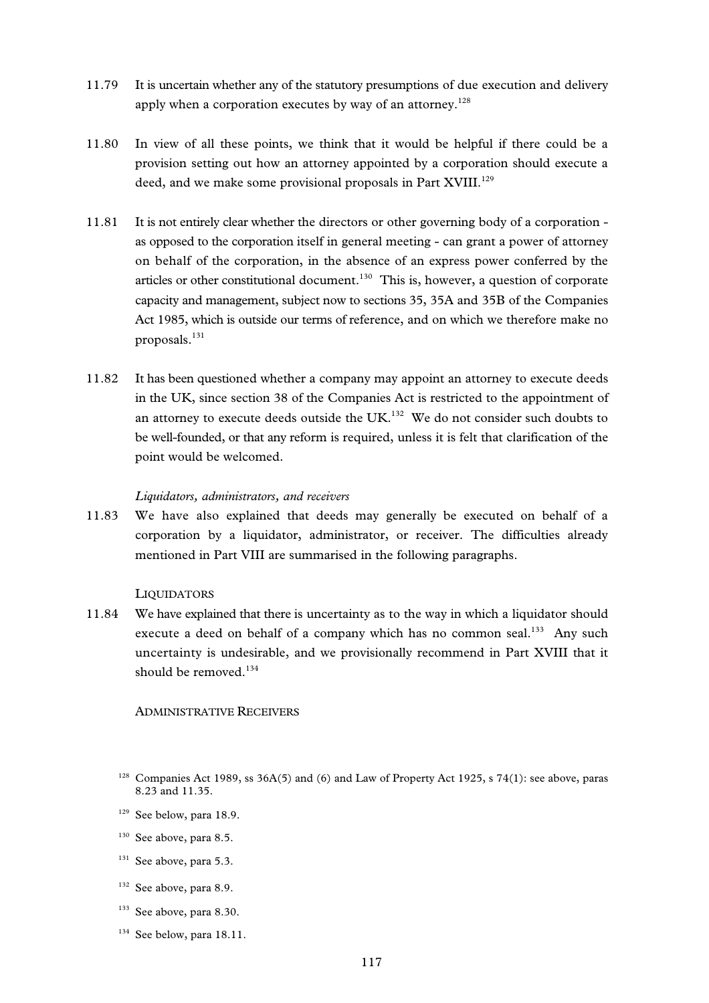- 11.79 It is uncertain whether any of the statutory presumptions of due execution and delivery apply when a corporation executes by way of an attorney.<sup>128</sup>
- 11.80 In view of all these points, we think that it would be helpful if there could be a provision setting out how an attorney appointed by a corporation should execute a deed, and we make some provisional proposals in Part XVIII.<sup>129</sup>
- 11.81 It is not entirely clear whether the directors or other governing body of a corporation as opposed to the corporation itself in general meeting - can grant a power of attorney on behalf of the corporation, in the absence of an express power conferred by the articles or other constitutional document.<sup>130</sup> This is, however, a question of corporate capacity and management, subject now to sections 35, 35A and 35B of the Companies Act 1985, which is outside our terms of reference, and on which we therefore make no proposals.<sup>131</sup>
- 11.82 It has been questioned whether a company may appoint an attorney to execute deeds in the UK, since section 38 of the Companies Act is restricted to the appointment of an attorney to execute deeds outside the UK. $^{132}$  We do not consider such doubts to be well-founded, or that any reform is required, unless it is felt that clarification of the point would be welcomed.

### *Liquidators, administrators, and receivers*

11.83 We have also explained that deeds may generally be executed on behalf of a corporation by a liquidator, administrator, or receiver. The difficulties already mentioned in Part VIII are summarised in the following paragraphs.

### LIQUIDATORS

11.84 We have explained that there is uncertainty as to the way in which a liquidator should execute a deed on behalf of a company which has no common seal.<sup>133</sup> Any such uncertainty is undesirable, and we provisionally recommend in Part XVIII that it should be removed.<sup>134</sup>

## ADMINISTRATIVE RECEIVERS

- <sup>128</sup> Companies Act 1989, ss  $36A(5)$  and (6) and Law of Property Act 1925, s  $74(1)$ : see above, paras 8.23 and 11.35.
- $129$  See below, para 18.9.
- $130$  See above, para 8.5.
- $131$  See above, para 5.3.
- $132$  See above, para 8.9.
- $133$  See above, para 8.30.
- $134$  See below, para 18.11.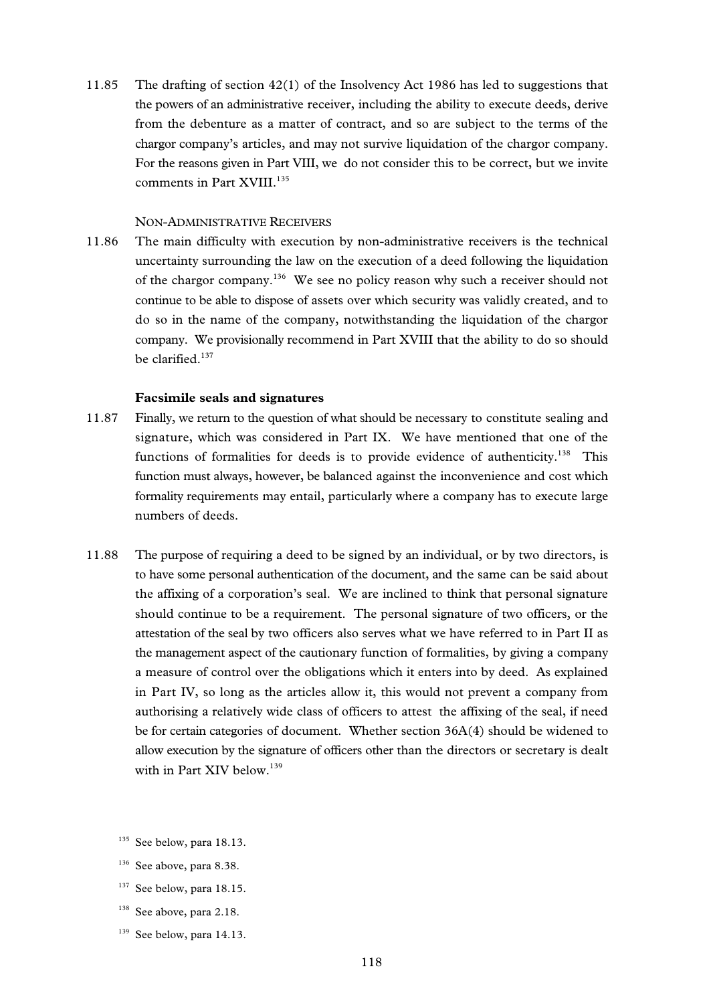11.85 The drafting of section 42(1) of the Insolvency Act 1986 has led to suggestions that the powers of an administrative receiver, including the ability to execute deeds, derive from the debenture as a matter of contract, and so are subject to the terms of the chargor company's articles, and may not survive liquidation of the chargor company. For the reasons given in Part VIII, we do not consider this to be correct, but we invite comments in Part XVIII.<sup>135</sup>

### NON-ADMINISTRATIVE RECEIVERS

11.86 The main difficulty with execution by non-administrative receivers is the technical uncertainty surrounding the law on the execution of a deed following the liquidation of the chargor company.<sup>136</sup> We see no policy reason why such a receiver should not continue to be able to dispose of assets over which security was validly created, and to do so in the name of the company, notwithstanding the liquidation of the chargor company. We provisionally recommend in Part XVIII that the ability to do so should be clarified.<sup>137</sup>

### **Facsimile seals and signatures**

- 11.87 Finally, we return to the question of what should be necessary to constitute sealing and signature, which was considered in Part IX. We have mentioned that one of the functions of formalities for deeds is to provide evidence of authenticity.<sup>138</sup> This function must always, however, be balanced against the inconvenience and cost which formality requirements may entail, particularly where a company has to execute large numbers of deeds.
- 11.88 The purpose of requiring a deed to be signed by an individual, or by two directors, is to have some personal authentication of the document, and the same can be said about the affixing of a corporation's seal. We are inclined to think that personal signature should continue to be a requirement. The personal signature of two officers, or the attestation of the seal by two officers also serves what we have referred to in Part II as the management aspect of the cautionary function of formalities, by giving a company a measure of control over the obligations which it enters into by deed. As explained in Part IV, so long as the articles allow it, this would not prevent a company from authorising a relatively wide class of officers to attest the affixing of the seal, if need be for certain categories of document. Whether section 36A(4) should be widened to allow execution by the signature of officers other than the directors or secretary is dealt with in Part XIV below.<sup>139</sup>

- $137$  See below, para 18.15.
- $138$  See above, para 2.18.

<sup>&</sup>lt;sup>135</sup> See below, para 18.13.

 $136$  See above, para 8.38.

 $139$  See below, para 14.13.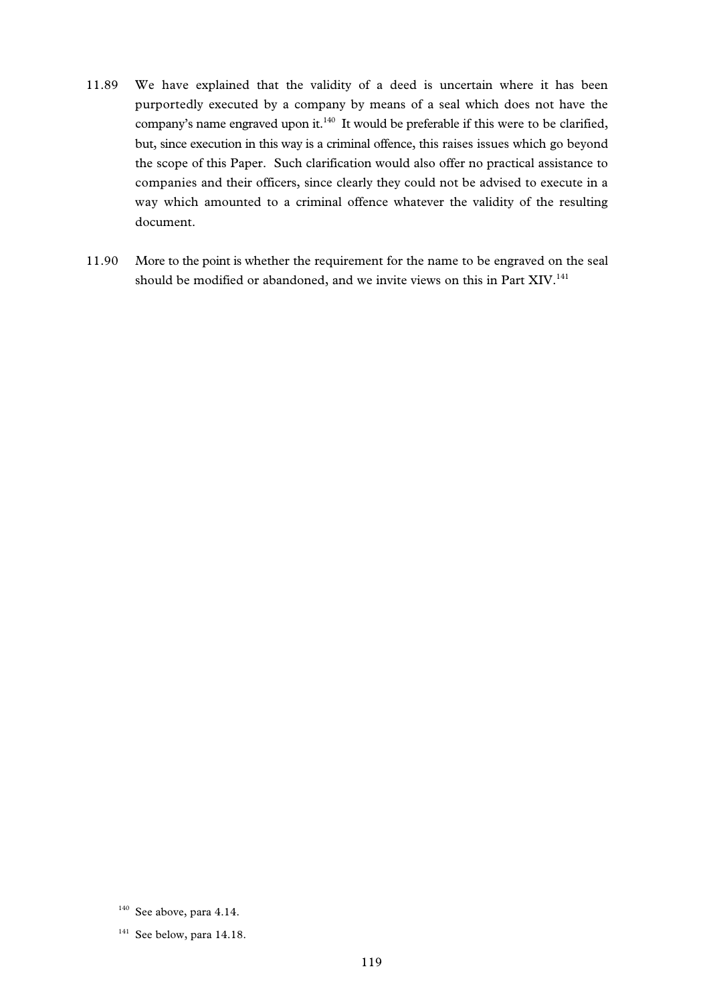- 11.89 We have explained that the validity of a deed is uncertain where it has been purportedly executed by a company by means of a seal which does not have the company's name engraved upon it.<sup>140</sup> It would be preferable if this were to be clarified, but, since execution in this way is a criminal offence, this raises issues which go beyond the scope of this Paper. Such clarification would also offer no practical assistance to companies and their officers, since clearly they could not be advised to execute in a way which amounted to a criminal offence whatever the validity of the resulting document.
- 11.90 More to the point is whether the requirement for the name to be engraved on the seal should be modified or abandoned, and we invite views on this in Part XIV.<sup>141</sup>

 $140$  See above, para 4.14.

 $141$  See below, para 14.18.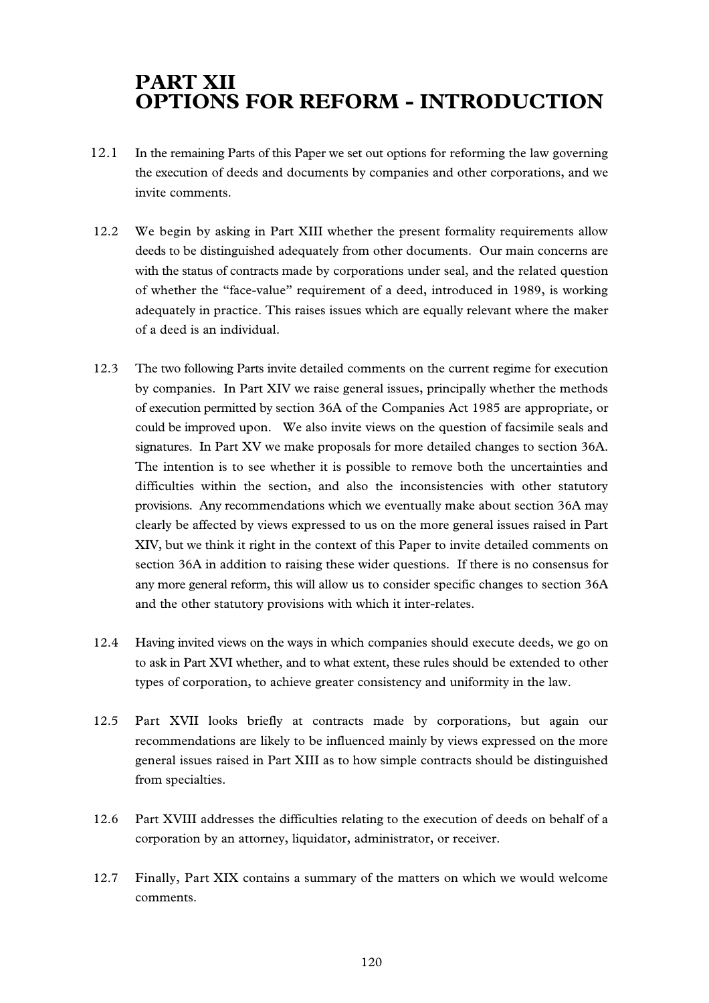# **PART XII OPTIONS FOR REFORM - INTRODUCTION**

- 12.1 In the remaining Parts of this Paper we set out options for reforming the law governing the execution of deeds and documents by companies and other corporations, and we invite comments.
- 12.2 We begin by asking in Part XIII whether the present formality requirements allow deeds to be distinguished adequately from other documents. Our main concerns are with the status of contracts made by corporations under seal, and the related question of whether the "face-value" requirement of a deed, introduced in 1989, is working adequately in practice. This raises issues which are equally relevant where the maker of a deed is an individual.
- 12.3 The two following Parts invite detailed comments on the current regime for execution by companies. In Part XIV we raise general issues, principally whether the methods of execution permitted by section 36A of the Companies Act 1985 are appropriate, or could be improved upon. We also invite views on the question of facsimile seals and signatures. In Part XV we make proposals for more detailed changes to section 36A. The intention is to see whether it is possible to remove both the uncertainties and difficulties within the section, and also the inconsistencies with other statutory provisions. Any recommendations which we eventually make about section 36A may clearly be affected by views expressed to us on the more general issues raised in Part XIV, but we think it right in the context of this Paper to invite detailed comments on section 36A in addition to raising these wider questions. If there is no consensus for any more general reform, this will allow us to consider specific changes to section 36A and the other statutory provisions with which it inter-relates.
- 12.4 Having invited views on the ways in which companies should execute deeds, we go on to ask in Part XVI whether, and to what extent, these rules should be extended to other types of corporation, to achieve greater consistency and uniformity in the law.
- 12.5 Part XVII looks briefly at contracts made by corporations, but again our recommendations are likely to be influenced mainly by views expressed on the more general issues raised in Part XIII as to how simple contracts should be distinguished from specialties.
- 12.6 Part XVIII addresses the difficulties relating to the execution of deeds on behalf of a corporation by an attorney, liquidator, administrator, or receiver.
- 12.7 Finally, Part XIX contains a summary of the matters on which we would welcome comments.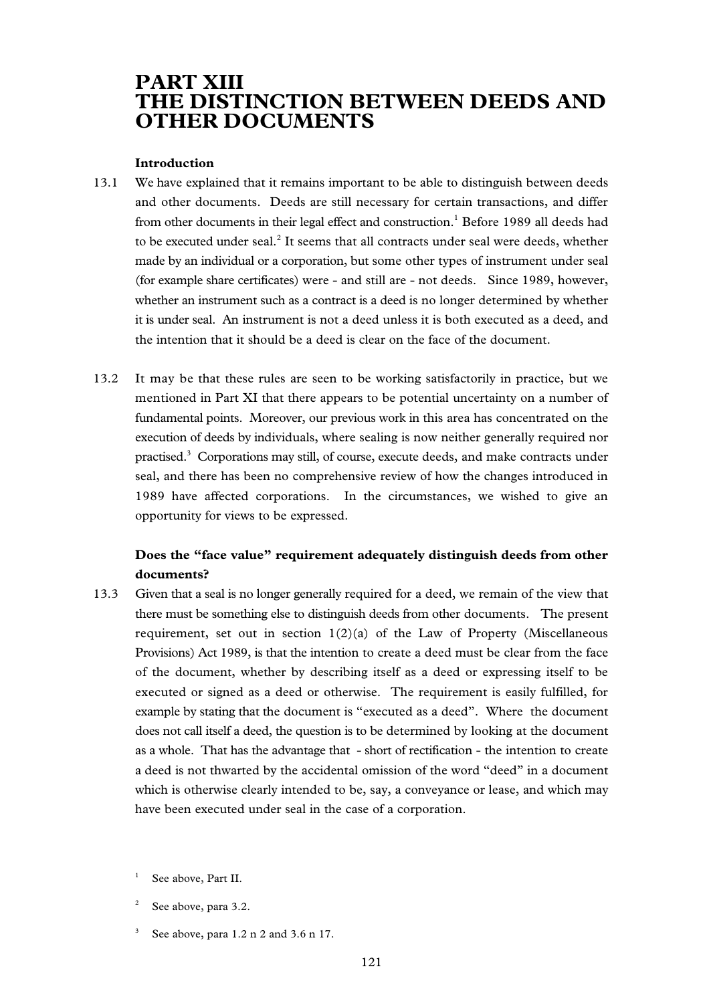# **PART XIII THE DISTINCTION BETWEEN DEEDS AND OTHER DOCUMENTS**

# **Introduction**

- 13.1 We have explained that it remains important to be able to distinguish between deeds and other documents. Deeds are still necessary for certain transactions, and differ from other documents in their legal effect and construction.<sup>1</sup> Before 1989 all deeds had to be executed under seal.<sup>2</sup> It seems that all contracts under seal were deeds, whether made by an individual or a corporation, but some other types of instrument under seal (for example share certificates) were - and still are - not deeds. Since 1989, however, whether an instrument such as a contract is a deed is no longer determined by whether it is under seal. An instrument is not a deed unless it is both executed as a deed, and the intention that it should be a deed is clear on the face of the document.
- 13.2 It may be that these rules are seen to be working satisfactorily in practice, but we mentioned in Part XI that there appears to be potential uncertainty on a number of fundamental points. Moreover, our previous work in this area has concentrated on the execution of deeds by individuals, where sealing is now neither generally required nor practised.<sup>3</sup> Corporations may still, of course, execute deeds, and make contracts under seal, and there has been no comprehensive review of how the changes introduced in 1989 have affected corporations. In the circumstances, we wished to give an opportunity for views to be expressed.

# **Does the "face value" requirement adequately distinguish deeds from other documents?**

- 13.3 Given that a seal is no longer generally required for a deed, we remain of the view that there must be something else to distinguish deeds from other documents. The present requirement, set out in section  $1(2)(a)$  of the Law of Property (Miscellaneous Provisions) Act 1989, is that the intention to create a deed must be clear from the face of the document, whether by describing itself as a deed or expressing itself to be executed or signed as a deed or otherwise. The requirement is easily fulfilled, for example by stating that the document is "executed as a deed". Where the document does not call itself a deed, the question is to be determined by looking at the document as a whole. That has the advantage that - short of rectification - the intention to create a deed is not thwarted by the accidental omission of the word "deed" in a document which is otherwise clearly intended to be, say, a conveyance or lease, and which may have been executed under seal in the case of a corporation.
	- $<sup>1</sup>$  See above, Part II.</sup>
	- $\degree$  See above, para 3.2.

See above, para 1.2 n 2 and 3.6 n 17.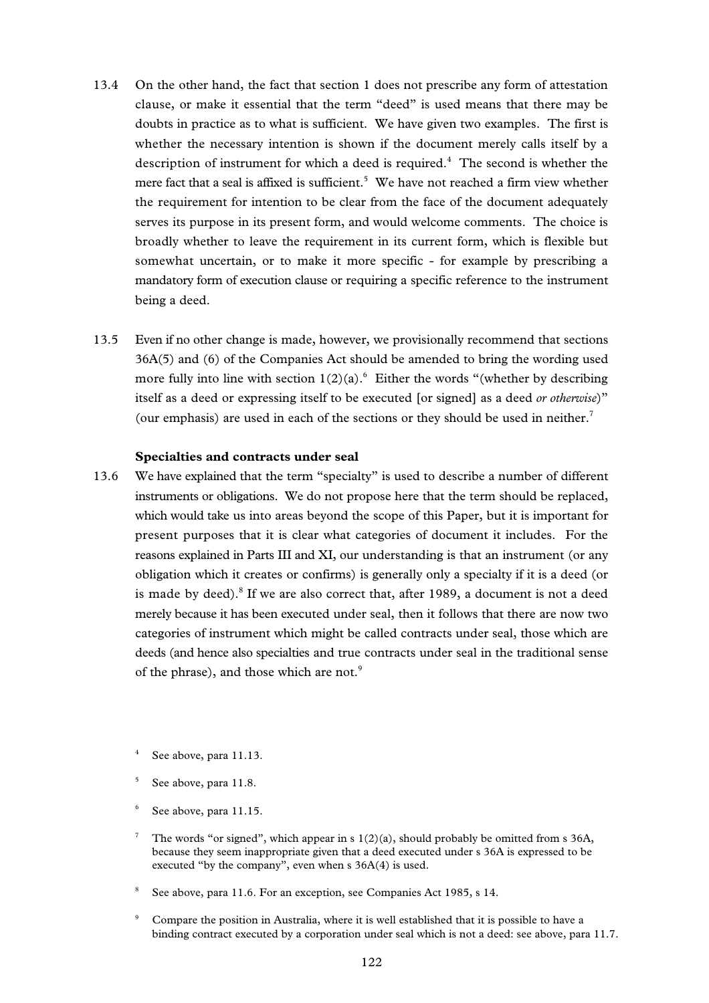- 13.4 On the other hand, the fact that section 1 does not prescribe any form of attestation clause, or make it essential that the term "deed" is used means that there may be doubts in practice as to what is sufficient. We have given two examples. The first is whether the necessary intention is shown if the document merely calls itself by a description of instrument for which a deed is required. $4$  The second is whether the mere fact that a seal is affixed is sufficient.<sup>5</sup> We have not reached a firm view whether the requirement for intention to be clear from the face of the document adequately serves its purpose in its present form, and would welcome comments. The choice is broadly whether to leave the requirement in its current form, which is flexible but somewhat uncertain, or to make it more specific - for example by prescribing a mandatory form of execution clause or requiring a specific reference to the instrument being a deed.
- 13.5 Even if no other change is made, however, we provisionally recommend that sections 36A(5) and (6) of the Companies Act should be amended to bring the wording used more fully into line with section  $1(2)(a)$ .<sup>6</sup> Either the words "(whether by describing itself as a deed or expressing itself to be executed [or signed] as a deed *or otherwise*)" (our emphasis) are used in each of the sections or they should be used in neither.<sup>7</sup>

### **Specialties and contracts under seal**

- 13.6 We have explained that the term "specialty" is used to describe a number of different instruments or obligations. We do not propose here that the term should be replaced, which would take us into areas beyond the scope of this Paper, but it is important for present purposes that it is clear what categories of document it includes. For the reasons explained in Parts III and XI, our understanding is that an instrument (or any obligation which it creates or confirms) is generally only a specialty if it is a deed (or is made by deed). $8$  If we are also correct that, after 1989, a document is not a deed merely because it has been executed under seal, then it follows that there are now two categories of instrument which might be called contracts under seal, those which are deeds (and hence also specialties and true contracts under seal in the traditional sense of the phrase), and those which are not.<sup>9</sup>
	- See above, para 11.13.
	- See above, para 11.8.
	- $6$  See above, para 11.15.
	- <sup>7</sup> The words "or signed", which appear in s  $1(2)(a)$ , should probably be omitted from s 36A, because they seem inappropriate given that a deed executed under s 36A is expressed to be executed "by the company", even when s 36A(4) is used.
	- See above, para 11.6. For an exception, see Companies Act 1985, s 14.
	- Compare the position in Australia, where it is well established that it is possible to have a binding contract executed by a corporation under seal which is not a deed: see above, para 11.7.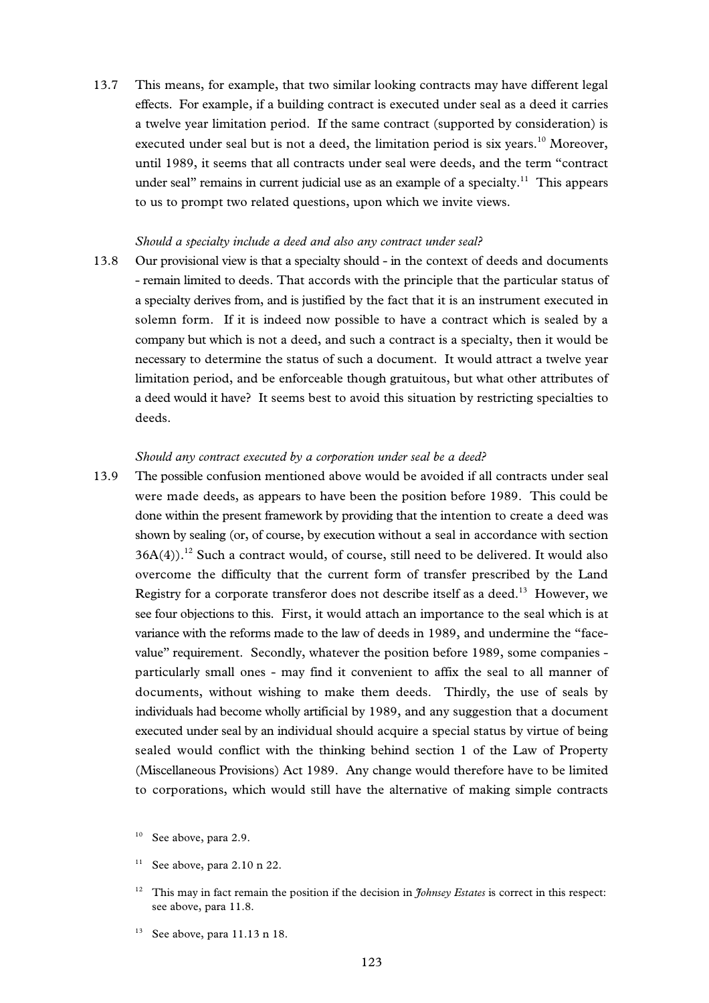13.7 This means, for example, that two similar looking contracts may have different legal effects. For example, if a building contract is executed under seal as a deed it carries a twelve year limitation period. If the same contract (supported by consideration) is executed under seal but is not a deed, the limitation period is six years.<sup>10</sup> Moreover, until 1989, it seems that all contracts under seal were deeds, and the term "contract under seal" remains in current judicial use as an example of a specialty.<sup>11</sup> This appears to us to prompt two related questions, upon which we invite views.

## *Should a specialty include a deed and also any contract under seal?*

13.8 Our provisional view is that a specialty should - in the context of deeds and documents - remain limited to deeds. That accords with the principle that the particular status of a specialty derives from, and is justified by the fact that it is an instrument executed in solemn form. If it is indeed now possible to have a contract which is sealed by a company but which is not a deed, and such a contract is a specialty, then it would be necessary to determine the status of such a document. It would attract a twelve year limitation period, and be enforceable though gratuitous, but what other attributes of a deed would it have? It seems best to avoid this situation by restricting specialties to deeds.

### *Should any contract executed by a corporation under seal be a deed?*

13.9 The possible confusion mentioned above would be avoided if all contracts under seal were made deeds, as appears to have been the position before 1989. This could be done within the present framework by providing that the intention to create a deed was shown by sealing (or, of course, by execution without a seal in accordance with section  $36A(4)$ .<sup>12</sup> Such a contract would, of course, still need to be delivered. It would also overcome the difficulty that the current form of transfer prescribed by the Land Registry for a corporate transferor does not describe itself as a deed.<sup>13</sup> However, we see four objections to this. First, it would attach an importance to the seal which is at variance with the reforms made to the law of deeds in 1989, and undermine the "facevalue" requirement. Secondly, whatever the position before 1989, some companies particularly small ones - may find it convenient to affix the seal to all manner of documents, without wishing to make them deeds. Thirdly, the use of seals by individuals had become wholly artificial by 1989, and any suggestion that a document executed under seal by an individual should acquire a special status by virtue of being sealed would conflict with the thinking behind section 1 of the Law of Property (Miscellaneous Provisions) Act 1989. Any change would therefore have to be limited to corporations, which would still have the alternative of making simple contracts

See above, para 2.9.

 $11$  See above, para 2.10 n 22.

<sup>&</sup>lt;sup>12</sup> This may in fact remain the position if the decision in *Johnsey Estates* is correct in this respect: see above, para 11.8.

See above, para 11.13 n 18.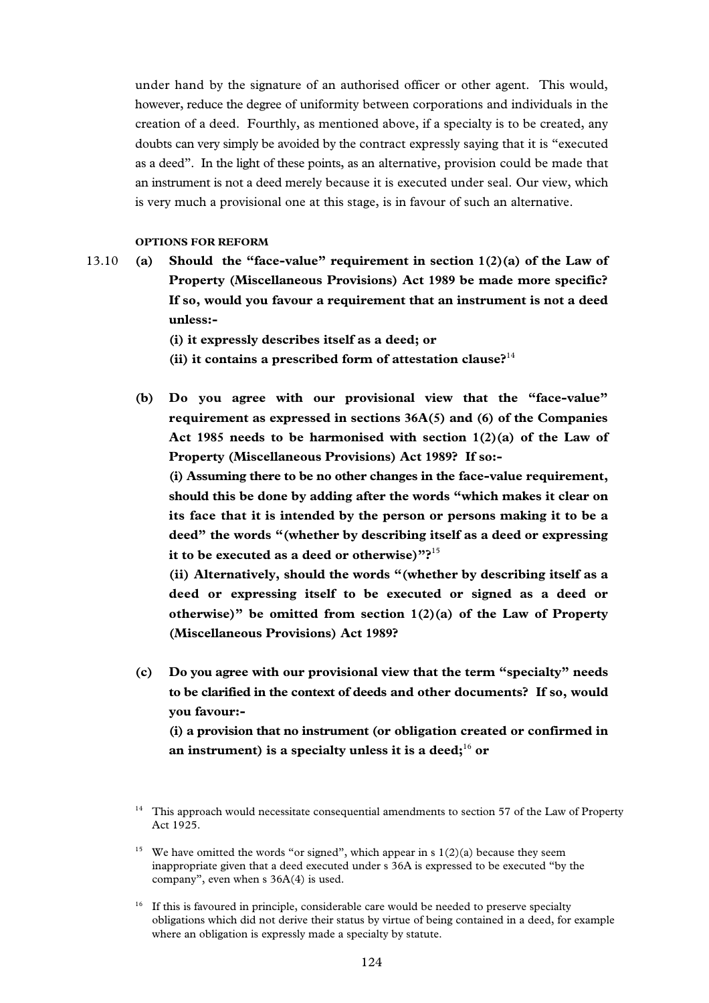under hand by the signature of an authorised officer or other agent. This would, however, reduce the degree of uniformity between corporations and individuals in the creation of a deed. Fourthly, as mentioned above, if a specialty is to be created, any doubts can very simply be avoided by the contract expressly saying that it is "executed as a deed". In the light of these points, as an alternative, provision could be made that an instrument is not a deed merely because it is executed under seal. Our view, which is very much a provisional one at this stage, is in favour of such an alternative.

### **OPTIONS FOR REFORM**

13.10 **(a) Should the "face-value" requirement in section 1(2)(a) of the Law of Property (Miscellaneous Provisions) Act 1989 be made more specific? If so, would you favour a requirement that an instrument is not a deed unless:-** 

**(i) it expressly describes itself as a deed; or** 

- **(ii) it contains a prescribed form of attestation clause?**<sup>14</sup>
- **(b) Do you agree with our provisional view that the "face-value" requirement as expressed in sections 36A(5) and (6) of the Companies Act 1985 needs to be harmonised with section 1(2)(a) of the Law of Property (Miscellaneous Provisions) Act 1989? If so:-**

**(i) Assuming there to be no other changes in the face-value requirement, should this be done by adding after the words "which makes it clear on its face that it is intended by the person or persons making it to be a deed" the words "(whether by describing itself as a deed or expressing it to be executed as a deed or otherwise)"?**<sup>15</sup>

**(ii) Alternatively, should the words "(whether by describing itself as a deed or expressing itself to be executed or signed as a deed or otherwise)" be omitted from section 1(2)(a) of the Law of Property (Miscellaneous Provisions) Act 1989?**

**(c) Do you agree with our provisional view that the term "specialty" needs to be clarified in the context of deeds and other documents? If so, would you favour:-**

**(i) a provision that no instrument (or obligation created or confirmed in** an instrument) is a specialty unless it is a deed;<sup>16</sup> or

 $14$  This approach would necessitate consequential amendments to section 57 of the Law of Property Act 1925.

<sup>&</sup>lt;sup>15</sup> We have omitted the words "or signed", which appear in s  $1(2)(a)$  because they seem inappropriate given that a deed executed under s 36A is expressed to be executed "by the company", even when s 36A(4) is used.

If this is favoured in principle, considerable care would be needed to preserve specialty obligations which did not derive their status by virtue of being contained in a deed, for example where an obligation is expressly made a specialty by statute.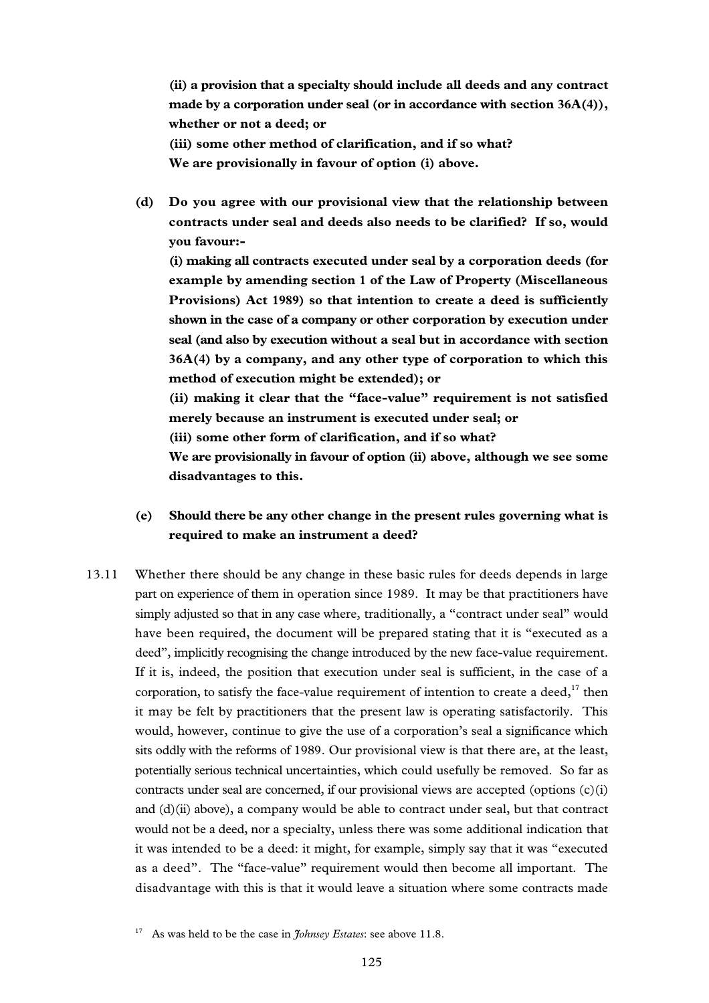**(ii) a provision that a specialty should include all deeds and any contract made by a corporation under seal (or in accordance with section 36A(4)), whether or not a deed; or (iii) some other method of clarification, and if so what? We are provisionally in favour of option (i) above.**

**(d) Do you agree with our provisional view that the relationship between contracts under seal and deeds also needs to be clarified? If so, would you favour:-**

**(i) making all contracts executed under seal by a corporation deeds (for example by amending section 1 of the Law of Property (Miscellaneous Provisions) Act 1989) so that intention to create a deed is sufficiently shown in the case of a company or other corporation by execution under seal (and also by execution without a seal but in accordance with section 36A(4) by a company, and any other type of corporation to which this method of execution might be extended); or**

**(ii) making it clear that the "face-value" requirement is not satisfied merely because an instrument is executed under seal; or**

**(iii) some other form of clarification, and if so what?**

**We are provisionally in favour of option (ii) above, although we see some disadvantages to this.** 

- **(e) Should there be any other change in the present rules governing what is required to make an instrument a deed?**
- 13.11 Whether there should be any change in these basic rules for deeds depends in large part on experience of them in operation since 1989. It may be that practitioners have simply adjusted so that in any case where, traditionally, a "contract under seal" would have been required, the document will be prepared stating that it is "executed as a deed", implicitly recognising the change introduced by the new face-value requirement. If it is, indeed, the position that execution under seal is sufficient, in the case of a corporation, to satisfy the face-value requirement of intention to create a deed,  $17$  then it may be felt by practitioners that the present law is operating satisfactorily. This would, however, continue to give the use of a corporation's seal a significance which sits oddly with the reforms of 1989. Our provisional view is that there are, at the least, potentially serious technical uncertainties, which could usefully be removed. So far as contracts under seal are concerned, if our provisional views are accepted (options  $(c)(i)$ ) and (d)(ii) above), a company would be able to contract under seal, but that contract would not be a deed, nor a specialty, unless there was some additional indication that it was intended to be a deed: it might, for example, simply say that it was "executed as a deed". The "face-value" requirement would then become all important. The disadvantage with this is that it would leave a situation where some contracts made

<sup>&</sup>lt;sup>17</sup> As was held to be the case in *Johnsey Estates*: see above 11.8.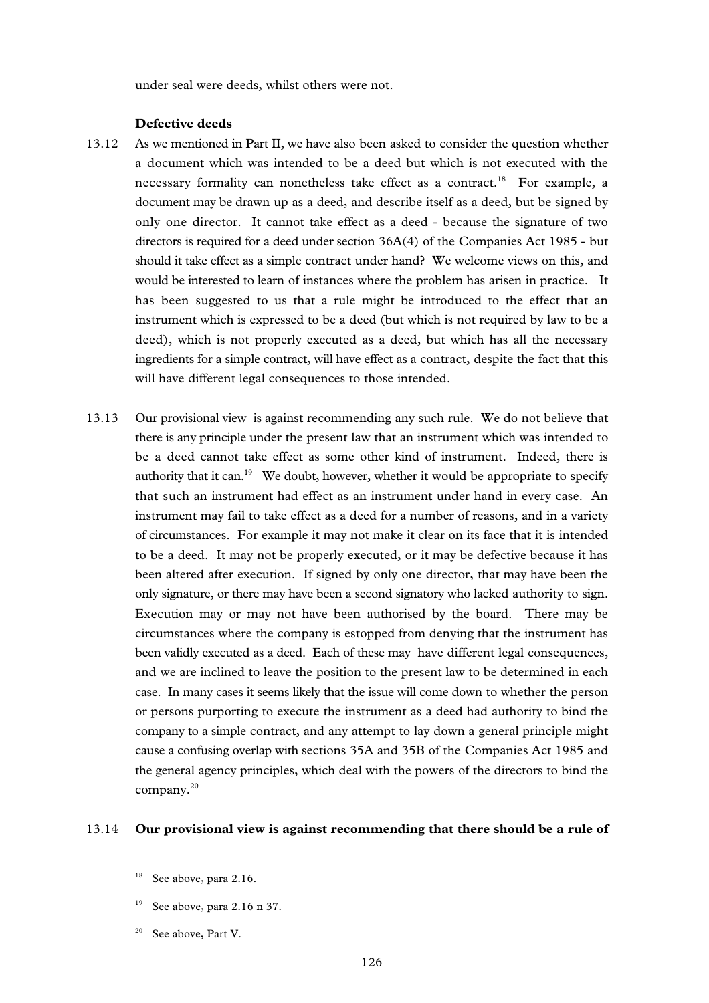under seal were deeds, whilst others were not.

### **Defective deeds**

- 13.12 As we mentioned in Part II, we have also been asked to consider the question whether a document which was intended to be a deed but which is not executed with the necessary formality can nonetheless take effect as a contract.<sup>18</sup> For example, a document may be drawn up as a deed, and describe itself as a deed, but be signed by only one director. It cannot take effect as a deed - because the signature of two directors is required for a deed under section 36A(4) of the Companies Act 1985 - but should it take effect as a simple contract under hand? We welcome views on this, and would be interested to learn of instances where the problem has arisen in practice. It has been suggested to us that a rule might be introduced to the effect that an instrument which is expressed to be a deed (but which is not required by law to be a deed), which is not properly executed as a deed, but which has all the necessary ingredients for a simple contract, will have effect as a contract, despite the fact that this will have different legal consequences to those intended.
- 13.13 Our provisional view is against recommending any such rule. We do not believe that there is any principle under the present law that an instrument which was intended to be a deed cannot take effect as some other kind of instrument. Indeed, there is authority that it can.<sup>19</sup> We doubt, however, whether it would be appropriate to specify that such an instrument had effect as an instrument under hand in every case. An instrument may fail to take effect as a deed for a number of reasons, and in a variety of circumstances. For example it may not make it clear on its face that it is intended to be a deed. It may not be properly executed, or it may be defective because it has been altered after execution. If signed by only one director, that may have been the only signature, or there may have been a second signatory who lacked authority to sign. Execution may or may not have been authorised by the board. There may be circumstances where the company is estopped from denying that the instrument has been validly executed as a deed. Each of these may have different legal consequences, and we are inclined to leave the position to the present law to be determined in each case. In many cases it seems likely that the issue will come down to whether the person or persons purporting to execute the instrument as a deed had authority to bind the company to a simple contract, and any attempt to lay down a general principle might cause a confusing overlap with sections 35A and 35B of the Companies Act 1985 and the general agency principles, which deal with the powers of the directors to bind the company. 20

### 13.14 **Our provisional view is against recommending that there should be a rule of**

- $18$  See above, para 2.16.
- $19$  See above, para 2.16 n 37.
- See above, Part V.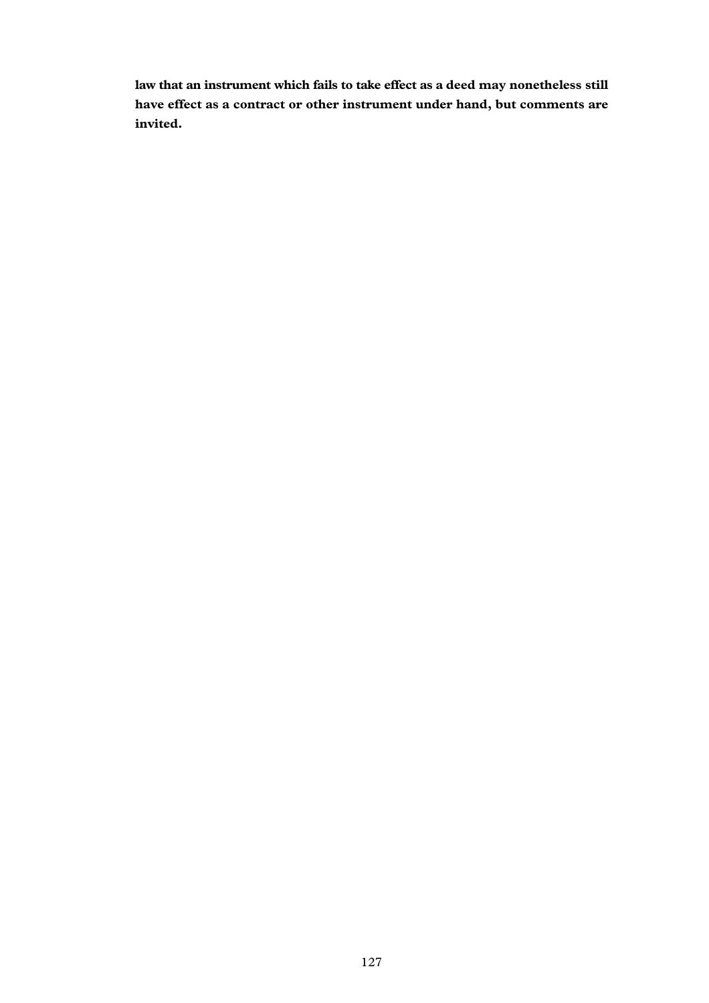**law that an instrument which fails to take effect as a deed may nonetheless still have effect as a contract or other instrument under hand, but comments are invited.**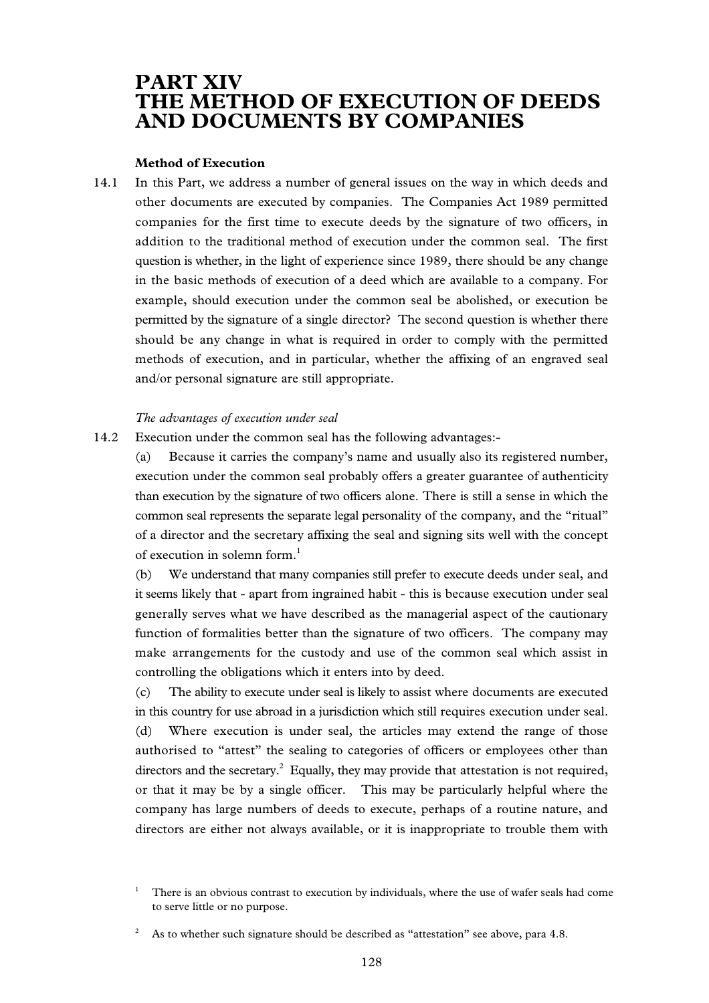# **PART XIV THE METHOD OF EXECUTION OF DEEDS AND DOCUMENTS BY COMPANIES**

# **Method of Execution**

14.1 In this Part, we address a number of general issues on the way in which deeds and other documents are executed by companies. The Companies Act 1989 permitted companies for the first time to execute deeds by the signature of two officers, in addition to the traditional method of execution under the common seal. The first question is whether, in the light of experience since 1989, there should be any change in the basic methods of execution of a deed which are available to a company. For example, should execution under the common seal be abolished, or execution be permitted by the signature of a single director? The second question is whether there should be any change in what is required in order to comply with the permitted methods of execution, and in particular, whether the affixing of an engraved seal and/or personal signature are still appropriate.

### *The advantages of execution under seal*

14.2 Execution under the common seal has the following advantages:-

(a) Because it carries the company's name and usually also its registered number, execution under the common seal probably offers a greater guarantee of authenticity than execution by the signature of two officers alone. There is still a sense in which the common seal represents the separate legal personality of the company, and the "ritual" of a director and the secretary affixing the seal and signing sits well with the concept of execution in solemn form.<sup>1</sup>

(b) We understand that many companies still prefer to execute deeds under seal, and it seems likely that - apart from ingrained habit - this is because execution under seal generally serves what we have described as the managerial aspect of the cautionary function of formalities better than the signature of two officers. The company may make arrangements for the custody and use of the common seal which assist in controlling the obligations which it enters into by deed.

(c) The ability to execute under seal is likely to assist where documents are executed in this country for use abroad in a jurisdiction which still requires execution under seal. (d) Where execution is under seal, the articles may extend the range of those authorised to "attest" the sealing to categories of officers or employees other than directors and the secretary. $^2$  Equally, they may provide that attestation is not required, or that it may be by a single officer. This may be particularly helpful where the company has large numbers of deeds to execute, perhaps of a routine nature, and directors are either not always available, or it is inappropriate to trouble them with

There is an obvious contrast to execution by individuals, where the use of wafer seals had come <sup>1</sup> to serve little or no purpose.

<sup>&</sup>lt;sup>2</sup> As to whether such signature should be described as "attestation" see above, para 4.8.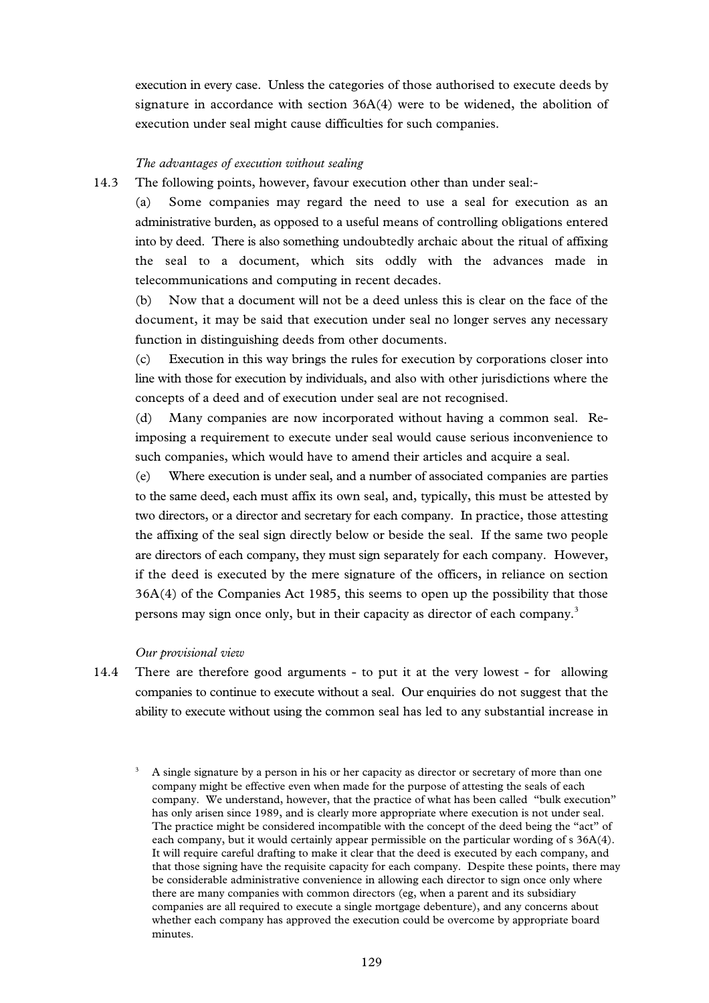execution in every case. Unless the categories of those authorised to execute deeds by signature in accordance with section 36A(4) were to be widened, the abolition of execution under seal might cause difficulties for such companies.

### *The advantages of execution without sealing*

14.3 The following points, however, favour execution other than under seal:-

(a) Some companies may regard the need to use a seal for execution as an administrative burden, as opposed to a useful means of controlling obligations entered into by deed. There is also something undoubtedly archaic about the ritual of affixing the seal to a document, which sits oddly with the advances made in telecommunications and computing in recent decades.

(b) Now that a document will not be a deed unless this is clear on the face of the document, it may be said that execution under seal no longer serves any necessary function in distinguishing deeds from other documents.

(c) Execution in this way brings the rules for execution by corporations closer into line with those for execution by individuals, and also with other jurisdictions where the concepts of a deed and of execution under seal are not recognised.

(d) Many companies are now incorporated without having a common seal. Reimposing a requirement to execute under seal would cause serious inconvenience to such companies, which would have to amend their articles and acquire a seal.

(e) Where execution is under seal, and a number of associated companies are parties to the same deed, each must affix its own seal, and, typically, this must be attested by two directors, or a director and secretary for each company. In practice, those attesting the affixing of the seal sign directly below or beside the seal. If the same two people are directors of each company, they must sign separately for each company. However, if the deed is executed by the mere signature of the officers, in reliance on section 36A(4) of the Companies Act 1985, this seems to open up the possibility that those persons may sign once only, but in their capacity as director of each company.<sup>3</sup>

### *Our provisional view*

14.4 There are therefore good arguments - to put it at the very lowest - for allowing companies to continue to execute without a seal. Our enquiries do not suggest that the ability to execute without using the common seal has led to any substantial increase in

A single signature by a person in his or her capacity as director or secretary of more than one company might be effective even when made for the purpose of attesting the seals of each company. We understand, however, that the practice of what has been called "bulk execution" has only arisen since 1989, and is clearly more appropriate where execution is not under seal. The practice might be considered incompatible with the concept of the deed being the "act" of each company, but it would certainly appear permissible on the particular wording of s 36A(4). It will require careful drafting to make it clear that the deed is executed by each company, and that those signing have the requisite capacity for each company. Despite these points, there may be considerable administrative convenience in allowing each director to sign once only where there are many companies with common directors (eg, when a parent and its subsidiary companies are all required to execute a single mortgage debenture), and any concerns about whether each company has approved the execution could be overcome by appropriate board minutes.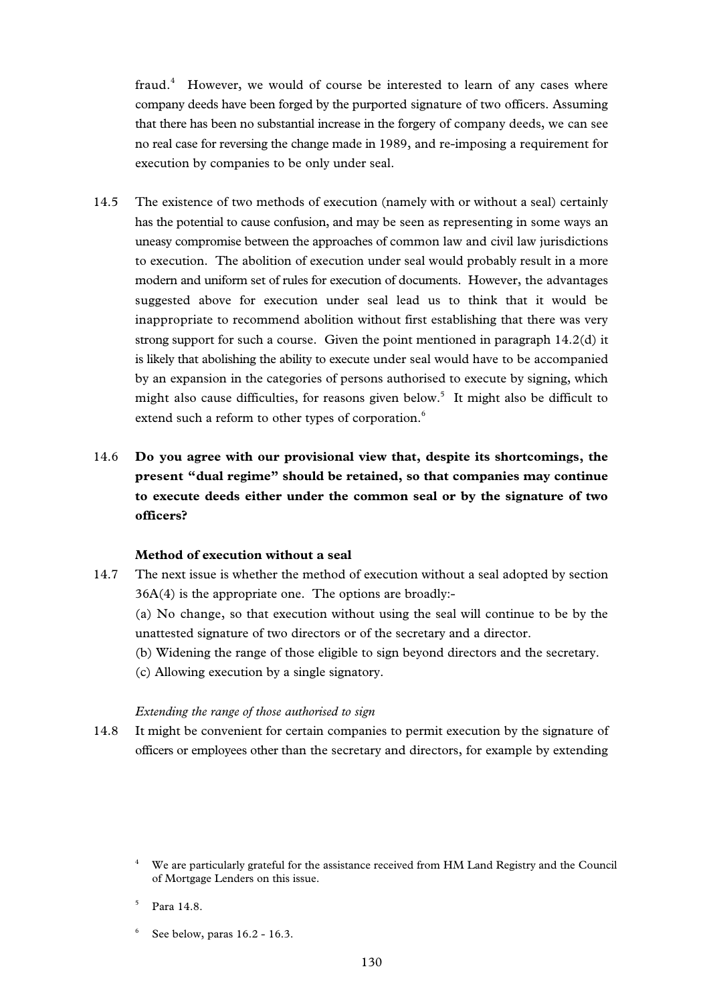fraud.<sup>4</sup> However, we would of course be interested to learn of any cases where company deeds have been forged by the purported signature of two officers. Assuming that there has been no substantial increase in the forgery of company deeds, we can see no real case for reversing the change made in 1989, and re-imposing a requirement for execution by companies to be only under seal.

- 14.5 The existence of two methods of execution (namely with or without a seal) certainly has the potential to cause confusion, and may be seen as representing in some ways an uneasy compromise between the approaches of common law and civil law jurisdictions to execution. The abolition of execution under seal would probably result in a more modern and uniform set of rules for execution of documents. However, the advantages suggested above for execution under seal lead us to think that it would be inappropriate to recommend abolition without first establishing that there was very strong support for such a course. Given the point mentioned in paragraph 14.2(d) it is likely that abolishing the ability to execute under seal would have to be accompanied by an expansion in the categories of persons authorised to execute by signing, which might also cause difficulties, for reasons given below.<sup>5</sup> It might also be difficult to extend such a reform to other types of corporation.<sup>6</sup>
- 14.6 **Do you agree with our provisional view that, despite its shortcomings, the present "dual regime" should be retained, so that companies may continue to execute deeds either under the common seal or by the signature of two officers?**

# **Method of execution without a seal**

- 14.7 The next issue is whether the method of execution without a seal adopted by section 36A(4) is the appropriate one. The options are broadly:- (a) No change, so that execution without using the seal will continue to be by the unattested signature of two directors or of the secretary and a director. (b) Widening the range of those eligible to sign beyond directors and the secretary.
	- (c) Allowing execution by a single signatory.

### *Extending the range of those authorised to sign*

14.8 It might be convenient for certain companies to permit execution by the signature of officers or employees other than the secretary and directors, for example by extending

 $5$  Para 14.8.

See below, paras 16.2 - 16.3.

<sup>&</sup>lt;sup>4</sup> We are particularly grateful for the assistance received from HM Land Registry and the Council of Mortgage Lenders on this issue.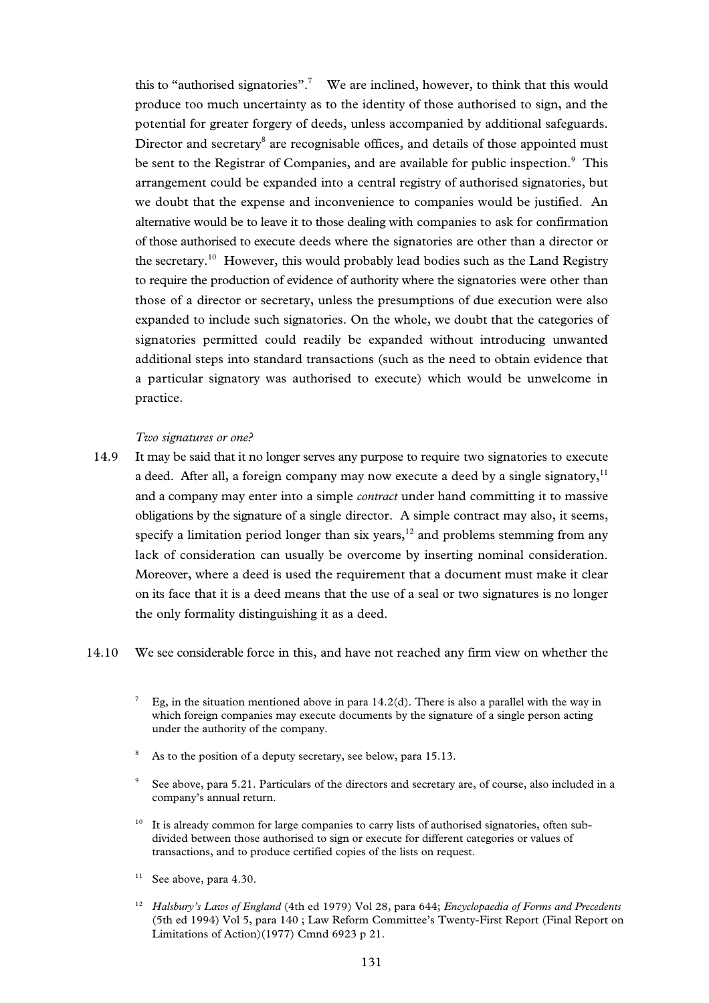this to "authorised signatories".<sup>7</sup> We are inclined, however, to think that this would produce too much uncertainty as to the identity of those authorised to sign, and the potential for greater forgery of deeds, unless accompanied by additional safeguards. Director and secretary<sup>8</sup> are recognisable offices, and details of those appointed must be sent to the Registrar of Companies, and are available for public inspection.<sup>9</sup> This arrangement could be expanded into a central registry of authorised signatories, but we doubt that the expense and inconvenience to companies would be justified. An alternative would be to leave it to those dealing with companies to ask for confirmation of those authorised to execute deeds where the signatories are other than a director or the secretary.<sup>10</sup> However, this would probably lead bodies such as the Land Registry to require the production of evidence of authority where the signatories were other than those of a director or secretary, unless the presumptions of due execution were also expanded to include such signatories. On the whole, we doubt that the categories of signatories permitted could readily be expanded without introducing unwanted additional steps into standard transactions (such as the need to obtain evidence that a particular signatory was authorised to execute) which would be unwelcome in practice.

### *Two signatures or one?*

14.9 It may be said that it no longer serves any purpose to require two signatories to execute a deed. After all, a foreign company may now execute a deed by a single signatory, $<sup>11</sup>$ </sup> and a company may enter into a simple *contract* under hand committing it to massive obligations by the signature of a single director. A simple contract may also, it seems, specify a limitation period longer than six years, $12$  and problems stemming from any lack of consideration can usually be overcome by inserting nominal consideration. Moreover, where a deed is used the requirement that a document must make it clear on its face that it is a deed means that the use of a seal or two signatures is no longer the only formality distinguishing it as a deed.

### 14.10 We see considerable force in this, and have not reached any firm view on whether the

- Eg, in the situation mentioned above in para  $14.2(d)$ . There is also a parallel with the way in which foreign companies may execute documents by the signature of a single person acting under the authority of the company.
- $8\text{ A}s$  to the position of a deputy secretary, see below, para 15.13.
- See above, para 5.21. Particulars of the directors and secretary are, of course, also included in a <sup>9</sup> company's annual return.
- <sup>10</sup> It is already common for large companies to carry lists of authorised signatories, often subdivided between those authorised to sign or execute for different categories or values of transactions, and to produce certified copies of the lists on request.
- $11$  See above, para 4.30.
- *Halsbury's Laws of England* (4th ed 1979) Vol 28, para 644; *Encyclopaedia of Forms and Precedents* <sup>12</sup> (5th ed 1994) Vol 5, para 140 ; Law Reform Committee's Twenty-First Report (Final Report on Limitations of Action)(1977) Cmnd 6923 p 21.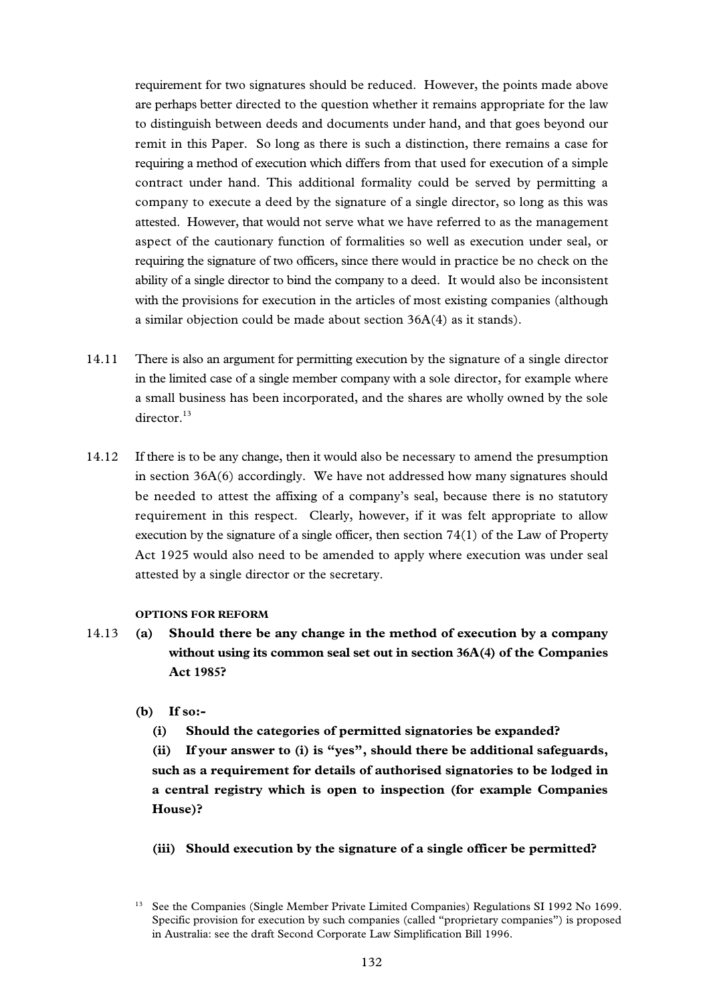requirement for two signatures should be reduced. However, the points made above are perhaps better directed to the question whether it remains appropriate for the law to distinguish between deeds and documents under hand, and that goes beyond our remit in this Paper. So long as there is such a distinction, there remains a case for requiring a method of execution which differs from that used for execution of a simple contract under hand. This additional formality could be served by permitting a company to execute a deed by the signature of a single director, so long as this was attested. However, that would not serve what we have referred to as the management aspect of the cautionary function of formalities so well as execution under seal, or requiring the signature of two officers, since there would in practice be no check on the ability of a single director to bind the company to a deed. It would also be inconsistent with the provisions for execution in the articles of most existing companies (although a similar objection could be made about section 36A(4) as it stands).

- 14.11 There is also an argument for permitting execution by the signature of a single director in the limited case of a single member company with a sole director, for example where a small business has been incorporated, and the shares are wholly owned by the sole director.<sup>13</sup>
- 14.12 If there is to be any change, then it would also be necessary to amend the presumption in section 36A(6) accordingly. We have not addressed how many signatures should be needed to attest the affixing of a company's seal, because there is no statutory requirement in this respect. Clearly, however, if it was felt appropriate to allow execution by the signature of a single officer, then section 74(1) of the Law of Property Act 1925 would also need to be amended to apply where execution was under seal attested by a single director or the secretary.

### **OPTIONS FOR REFORM**

- 14.13 **(a) Should there be any change in the method of execution by a company without using its common seal set out in section 36A(4) of the Companies Act 1985?**
	- **(b) If so:-** 
		- **(i) Should the categories of permitted signatories be expanded?**

**(ii) If your answer to (i) is "yes", should there be additional safeguards, such as a requirement for details of authorised signatories to be lodged in a central registry which is open to inspection (for example Companies House)?**

# **(iii) Should execution by the signature of a single officer be permitted?**

See the Companies (Single Member Private Limited Companies) Regulations SI 1992 No 1699. Specific provision for execution by such companies (called "proprietary companies") is proposed in Australia: see the draft Second Corporate Law Simplification Bill 1996.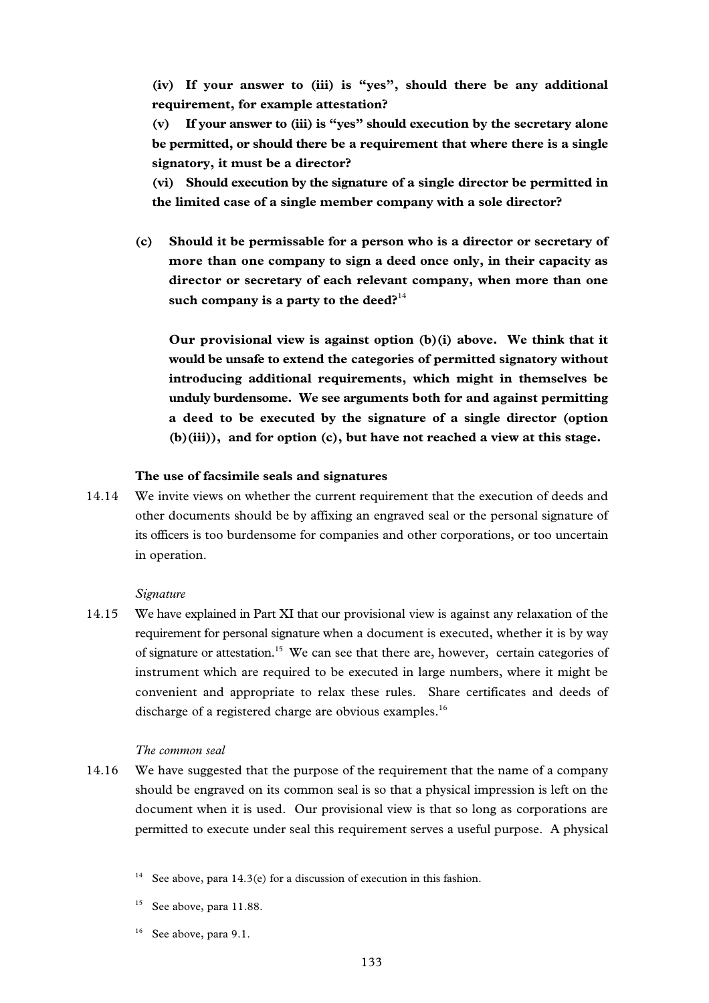**(iv) If your answer to (iii) is "yes", should there be any additional requirement, for example attestation?**

**(v) If your answer to (iii) is "yes" should execution by the secretary alone be permitted, or should there be a requirement that where there is a single signatory, it must be a director?**

**(vi) Should execution by the signature of a single director be permitted in the limited case of a single member company with a sole director?**

**(c) Should it be permissable for a person who is a director or secretary of more than one company to sign a deed once only, in their capacity as director or secretary of each relevant company, when more than one such company is a party to the deed?**<sup>14</sup>

**Our provisional view is against option (b)(i) above. We think that it would be unsafe to extend the categories of permitted signatory without introducing additional requirements, which might in themselves be unduly burdensome. We see arguments both for and against permitting a deed to be executed by the signature of a single director (option (b)(iii)), and for option (c), but have not reached a view at this stage.**

# **The use of facsimile seals and signatures**

14.14 We invite views on whether the current requirement that the execution of deeds and other documents should be by affixing an engraved seal or the personal signature of its officers is too burdensome for companies and other corporations, or too uncertain in operation.

### *Signature*

14.15 We have explained in Part XI that our provisional view is against any relaxation of the requirement for personal signature when a document is executed, whether it is by way of signature or attestation.<sup>15</sup> We can see that there are, however, certain categories of instrument which are required to be executed in large numbers, where it might be convenient and appropriate to relax these rules. Share certificates and deeds of discharge of a registered charge are obvious examples.<sup>16</sup>

# *The common seal*

14.16 We have suggested that the purpose of the requirement that the name of a company should be engraved on its common seal is so that a physical impression is left on the document when it is used. Our provisional view is that so long as corporations are permitted to execute under seal this requirement serves a useful purpose. A physical

- $15$  See above, para 11.88.
- See above, para 9.1.

<sup>&</sup>lt;sup>14</sup> See above, para 14.3(e) for a discussion of execution in this fashion.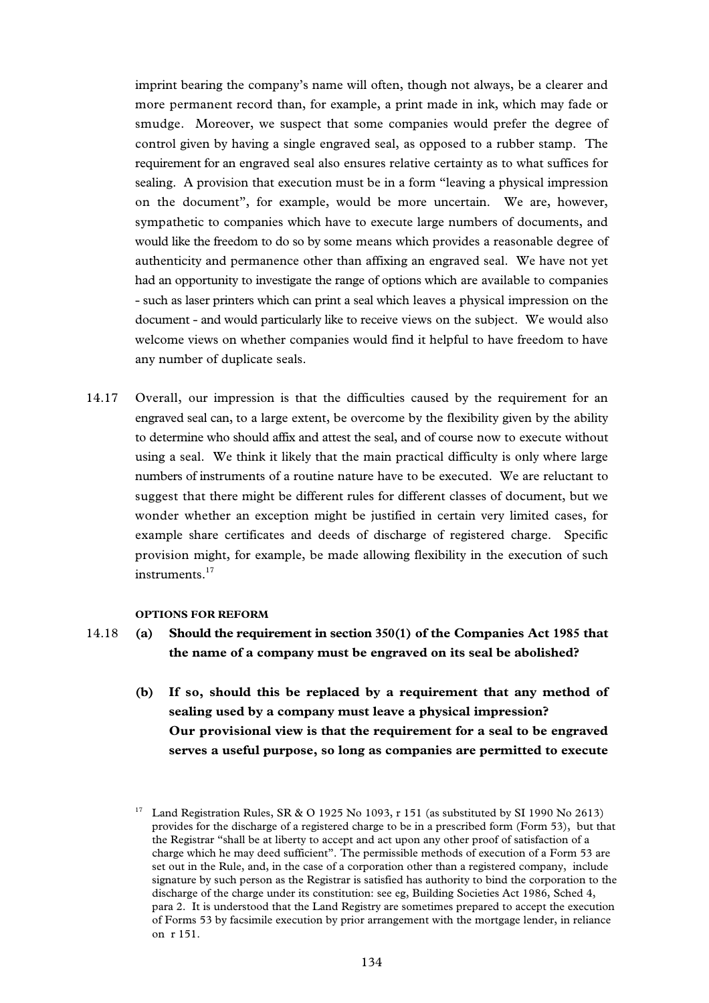imprint bearing the company's name will often, though not always, be a clearer and more permanent record than, for example, a print made in ink, which may fade or smudge. Moreover, we suspect that some companies would prefer the degree of control given by having a single engraved seal, as opposed to a rubber stamp. The requirement for an engraved seal also ensures relative certainty as to what suffices for sealing. A provision that execution must be in a form "leaving a physical impression on the document", for example, would be more uncertain. We are, however, sympathetic to companies which have to execute large numbers of documents, and would like the freedom to do so by some means which provides a reasonable degree of authenticity and permanence other than affixing an engraved seal. We have not yet had an opportunity to investigate the range of options which are available to companies - such as laser printers which can print a seal which leaves a physical impression on the document - and would particularly like to receive views on the subject. We would also welcome views on whether companies would find it helpful to have freedom to have any number of duplicate seals.

14.17 Overall, our impression is that the difficulties caused by the requirement for an engraved seal can, to a large extent, be overcome by the flexibility given by the ability to determine who should affix and attest the seal, and of course now to execute without using a seal. We think it likely that the main practical difficulty is only where large numbers of instruments of a routine nature have to be executed. We are reluctant to suggest that there might be different rules for different classes of document, but we wonder whether an exception might be justified in certain very limited cases, for example share certificates and deeds of discharge of registered charge. Specific provision might, for example, be made allowing flexibility in the execution of such instruments.<sup>17</sup>

### **OPTIONS FOR REFORM**

- 14.18 **(a) Should the requirement in section 350(1) of the Companies Act 1985 that the name of a company must be engraved on its seal be abolished?** 
	- **(b) If so, should this be replaced by a requirement that any method of sealing used by a company must leave a physical impression? Our provisional view is that the requirement for a seal to be engraved serves a useful purpose, so long as companies are permitted to execute**

<sup>&</sup>lt;sup>17</sup> Land Registration Rules, SR & O 1925 No 1093, r 151 (as substituted by SI 1990 No 2613) provides for the discharge of a registered charge to be in a prescribed form (Form 53), but that the Registrar "shall be at liberty to accept and act upon any other proof of satisfaction of a charge which he may deed sufficient". The permissible methods of execution of a Form 53 are set out in the Rule, and, in the case of a corporation other than a registered company, include signature by such person as the Registrar is satisfied has authority to bind the corporation to the discharge of the charge under its constitution: see eg, Building Societies Act 1986, Sched 4, para 2. It is understood that the Land Registry are sometimes prepared to accept the execution of Forms 53 by facsimile execution by prior arrangement with the mortgage lender, in reliance on r 151.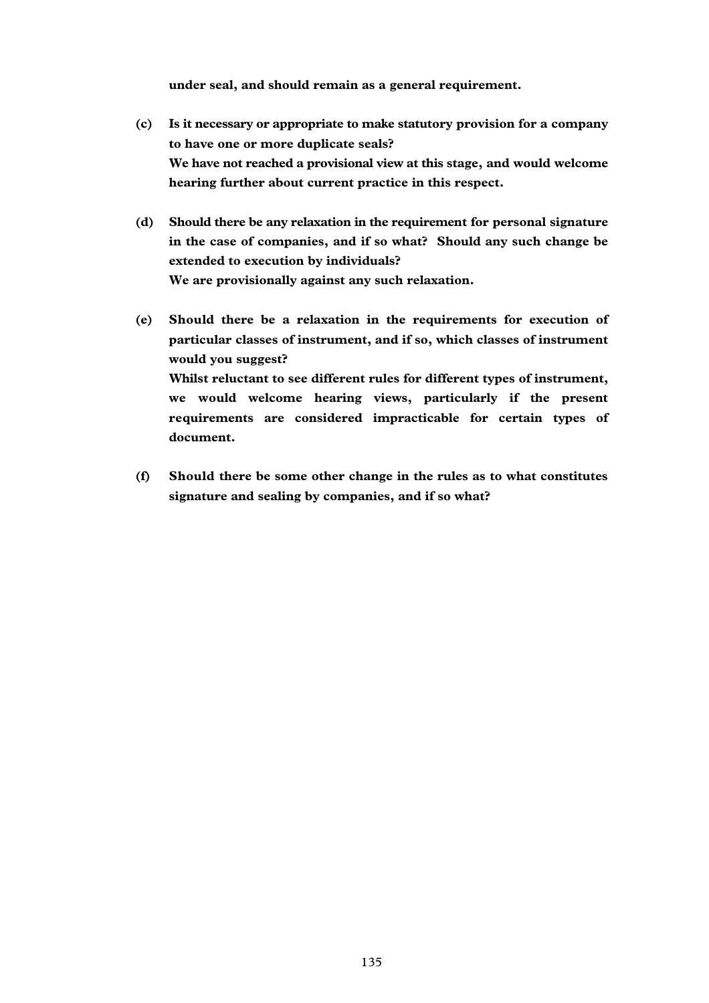**under seal, and should remain as a general requirement.**

- **(c) Is it necessary or appropriate to make statutory provision for a company to have one or more duplicate seals? We have not reached a provisional view at this stage, and would welcome hearing further about current practice in this respect.**
- **(d) Should there be any relaxation in the requirement for personal signature in the case of companies, and if so what? Should any such change be extended to execution by individuals? We are provisionally against any such relaxation.**
- **(e) Should there be a relaxation in the requirements for execution of particular classes of instrument, and if so, which classes of instrument would you suggest? Whilst reluctant to see different rules for different types of instrument, we would welcome hearing views, particularly if the present requirements are considered impracticable for certain types of document.**
- **(f) Should there be some other change in the rules as to what constitutes signature and sealing by companies, and if so what?**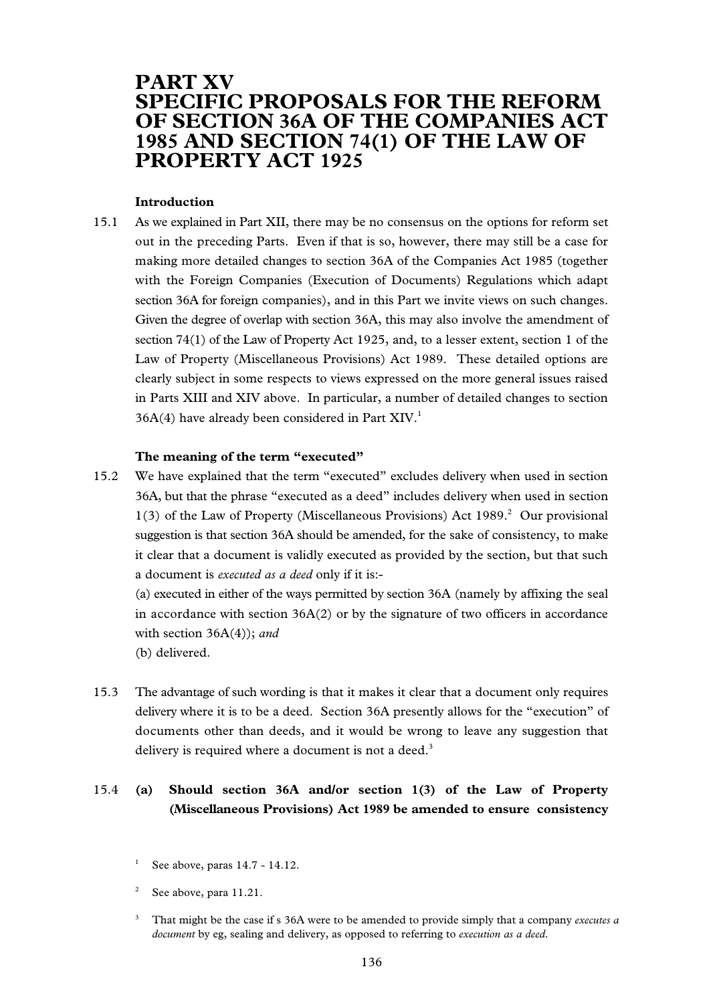# **PART XV SPECIFIC PROPOSALS FOR THE REFORM OF SECTION 36A OF THE COMPANIES ACT 1985 AND SECTION 74(1) OF THE LAW OF PROPERTY ACT 1925**

# **Introduction**

15.1 As we explained in Part XII, there may be no consensus on the options for reform set out in the preceding Parts. Even if that is so, however, there may still be a case for making more detailed changes to section 36A of the Companies Act 1985 (together with the Foreign Companies (Execution of Documents) Regulations which adapt section 36A for foreign companies), and in this Part we invite views on such changes. Given the degree of overlap with section 36A, this may also involve the amendment of section 74(1) of the Law of Property Act 1925, and, to a lesser extent, section 1 of the Law of Property (Miscellaneous Provisions) Act 1989. These detailed options are clearly subject in some respects to views expressed on the more general issues raised in Parts XIII and XIV above.In particular, a number of detailed changes to section  $36A(4)$  have already been considered in Part XIV.<sup>1</sup>

# **The meaning of the term "executed"**

15.2 We have explained that the term "executed" excludes delivery when used in section 36A, but that the phrase "executed as a deed" includes delivery when used in section 1(3) of the Law of Property (Miscellaneous Provisions) Act 1989.<sup>2</sup> Our provisional suggestion is that section 36A should be amended, for the sake of consistency, to make it clear that a document is validly executed as provided by the section, but that such a document is *executed as a deed* only if it is:-

(a) executed in either of the ways permitted by section 36A (namely by affixing the seal in accordance with section  $36A(2)$  or by the signature of two officers in accordance with section 36A(4)); *and*

- (b) delivered.
- 15.3 The advantage of such wording is that it makes it clear that a document only requires delivery where it is to be a deed. Section 36A presently allows for the "execution" of documents other than deeds, and it would be wrong to leave any suggestion that delivery is required where a document is not a deed.<sup>3</sup>

# 15.4 **(a) Should section 36A and/or section 1(3) of the Law of Property (Miscellaneous Provisions) Act 1989 be amended to ensure consistency**

- <sup>1</sup> See above, paras  $14.7 14.12$ .
- <sup>2</sup> See above, para  $11.21$ .
- <sup>3</sup> That might be the case if s 36A were to be amended to provide simply that a company *executes a document* by eg, sealing and delivery, as opposed to referring to *execution as a deed*.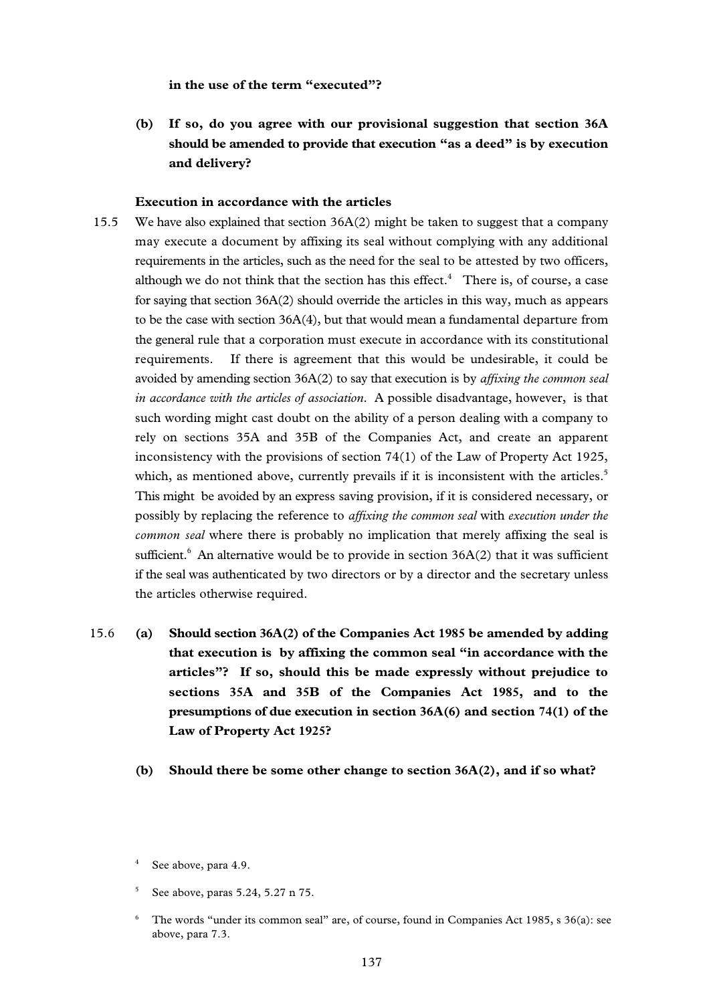**in the use of the term "executed"?** 

**(b) If so, do you agree with our provisional suggestion that section 36A should be amended to provide that execution "as a deed" is by execution and delivery?**

# **Execution in accordance with the articles**

- 15.5 We have also explained that section  $36A(2)$  might be taken to suggest that a company may execute a document by affixing its seal without complying with any additional requirements in the articles, such as the need for the seal to be attested by two officers, although we do not think that the section has this effect. $4$  There is, of course, a case for saying that section 36A(2) should override the articles in this way, much as appears to be the case with section 36A(4), but that would mean a fundamental departure from the general rule that a corporation must execute in accordance with its constitutional requirements. If there is agreement that this would be undesirable, it could be avoided by amending section 36A(2) to say that execution is by *affixing the common seal in accordance with the articles of association*. A possible disadvantage, however, is that such wording might cast doubt on the ability of a person dealing with a company to rely on sections 35A and 35B of the Companies Act, and create an apparent inconsistency with the provisions of section 74(1) of the Law of Property Act 1925, which, as mentioned above, currently prevails if it is inconsistent with the articles.<sup>5</sup> This might be avoided by an express saving provision, if it is considered necessary, or possibly by replacing the reference to *affixing the common seal* with *execution under the common seal* where there is probably no implication that merely affixing the seal is sufficient. An alternative would be to provide in section  $36A(2)$  that it was sufficient if the seal was authenticated by two directors or by a director and the secretary unless the articles otherwise required.
- 15.6 **(a) Should section 36A(2) of the Companies Act 1985 be amended by adding that execution is by affixing the common seal "in accordance with the articles"? If so, should this be made expressly without prejudice to sections 35A and 35B of the Companies Act 1985, and to the presumptions of due execution in section 36A(6) and section 74(1) of the Law of Property Act 1925?**
	- **(b) Should there be some other change to section 36A(2), and if so what?**

The words "under its common seal" are, of course, found in Companies Act 1985, s 36(a): see above, para 7.3.

 $4$  See above, para 4.9.

See above, paras 5.24, 5.27 n 75.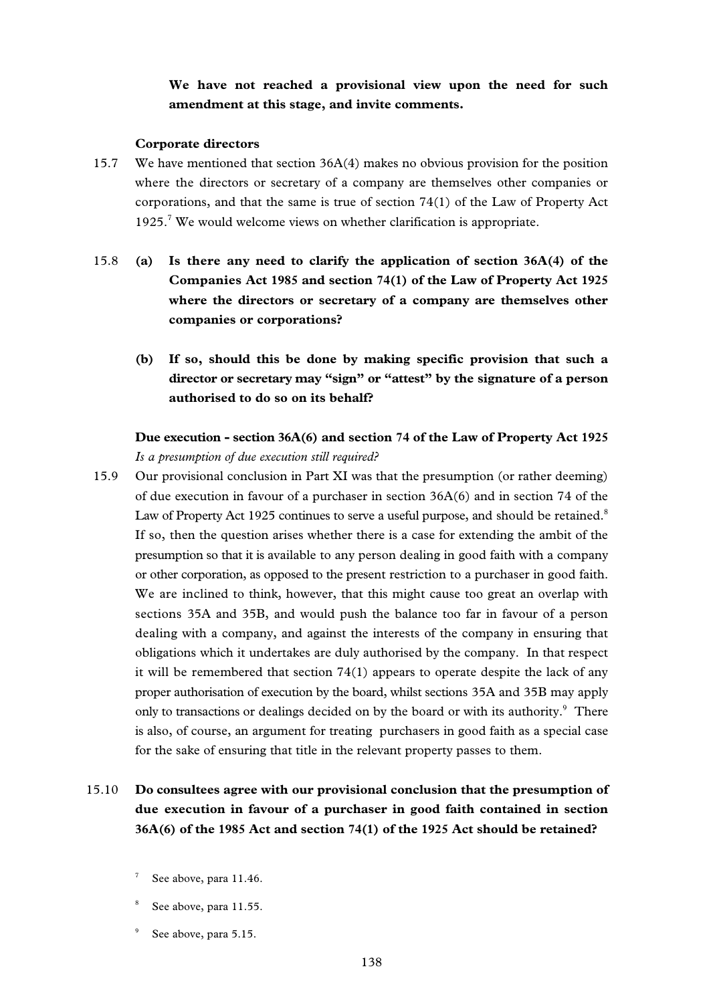# **We have not reached a provisional view upon the need for such amendment at this stage, and invite comments.**

#### **Corporate directors**

- 15.7 We have mentioned that section 36A(4) makes no obvious provision for the position where the directors or secretary of a company are themselves other companies or corporations, and that the same is true of section 74(1) of the Law of Property Act  $1925$ .<sup>7</sup> We would welcome views on whether clarification is appropriate.
- 15.8 **(a) Is there any need to clarify the application of section 36A(4) of the Companies Act 1985 and section 74(1) of the Law of Property Act 1925 where the directors or secretary of a company are themselves other companies or corporations?**
	- **(b) If so, should this be done by making specific provision that such a director or secretary may "sign" or "attest" by the signature of a person authorised to do so on its behalf?**

# **Due execution - section 36A(6) and section 74 of the Law of Property Act 1925** *Is a presumption of due execution still required?*

15.9 Our provisional conclusion in Part XI was that the presumption (or rather deeming) of due execution in favour of a purchaser in section 36A(6) and in section 74 of the Law of Property Act 1925 continues to serve a useful purpose, and should be retained.<sup>8</sup> If so, then the question arises whether there is a case for extending the ambit of the presumption so that it is available to any person dealing in good faith with a company or other corporation, as opposed to the present restriction to a purchaser in good faith. We are inclined to think, however, that this might cause too great an overlap with sections 35A and 35B, and would push the balance too far in favour of a person dealing with a company, and against the interests of the company in ensuring that obligations which it undertakes are duly authorised by the company. In that respect it will be remembered that section 74(1) appears to operate despite the lack of any proper authorisation of execution by the board, whilst sections 35A and 35B may apply only to transactions or dealings decided on by the board or with its authority.<sup>9</sup> There is also, of course, an argument for treating purchasers in good faith as a special case for the sake of ensuring that title in the relevant property passes to them.

# 15.10 **Do consultees agree with our provisional conclusion that the presumption of due execution in favour of a purchaser in good faith contained in section 36A(6) of the 1985 Act and section 74(1) of the 1925 Act should be retained?**

- $\frac{7}{1}$  See above, para 11.46.
- See above, para 11.55.
- See above, para 5.15.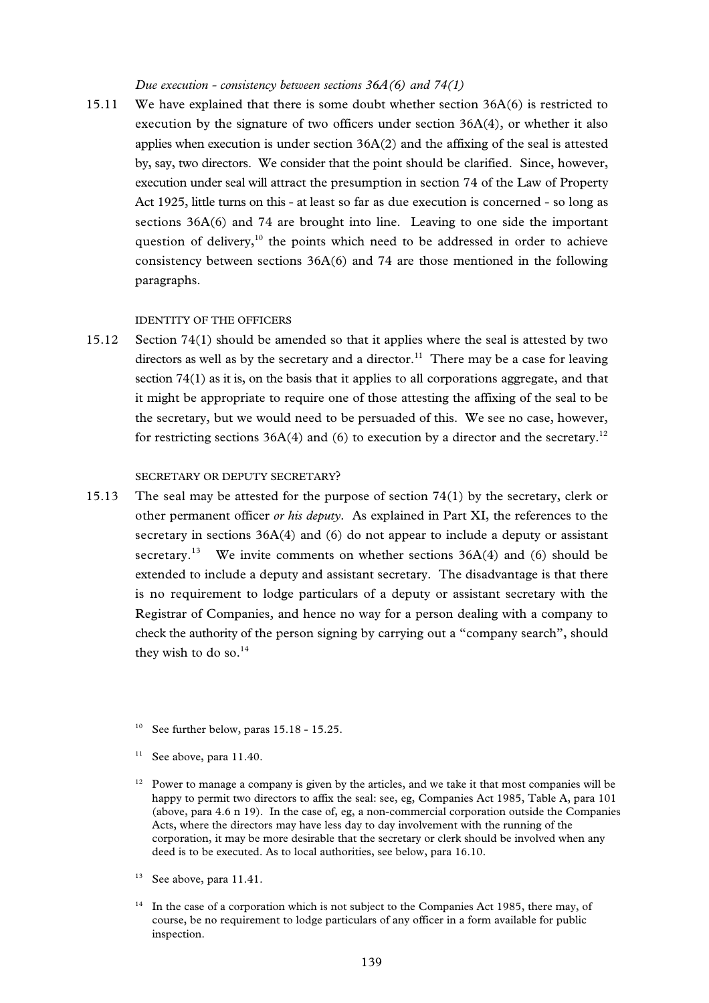*Due execution - consistency between sections 36A(6) and 74(1)*

15.11 We have explained that there is some doubt whether section 36A(6) is restricted to execution by the signature of two officers under section  $36A(4)$ , or whether it also applies when execution is under section  $36A(2)$  and the affixing of the seal is attested by, say, two directors. We consider that the point should be clarified. Since, however, execution under seal will attract the presumption in section 74 of the Law of Property Act 1925, little turns on this - at least so far as due execution is concerned - so long as sections 36A(6) and 74 are brought into line. Leaving to one side the important question of delivery, $10$  the points which need to be addressed in order to achieve consistency between sections 36A(6) and 74 are those mentioned in the following paragraphs.

# IDENTITY OF THE OFFICERS

15.12 Section 74(1) should be amended so that it applies where the seal is attested by two directors as well as by the secretary and a director.<sup>11</sup> There may be a case for leaving section 74(1) as it is, on the basis that it applies to all corporations aggregate, and that it might be appropriate to require one of those attesting the affixing of the seal to be the secretary, but we would need to be persuaded of this. We see no case, however, for restricting sections 36A(4) and (6) to execution by a director and the secretary.<sup>12</sup>

### SECRETARY OR DEPUTY SECRETARY?

- 15.13 The seal may be attested for the purpose of section 74(1) by the secretary, clerk or other permanent officer *or his deputy*. As explained in Part XI, the references to the secretary in sections 36A(4) and (6) do not appear to include a deputy or assistant secretary.<sup>13</sup> We invite comments on whether sections  $36A(4)$  and (6) should be extended to include a deputy and assistant secretary. The disadvantage is that there is no requirement to lodge particulars of a deputy or assistant secretary with the Registrar of Companies, and hence no way for a person dealing with a company to check the authority of the person signing by carrying out a "company search", should they wish to do so. $14$ 
	- $^{10}$  See further below, paras 15.18 15.25.
	- See above, para 11.40.
	- $12$  Power to manage a company is given by the articles, and we take it that most companies will be happy to permit two directors to affix the seal: see, eg, Companies Act 1985, Table A, para 101 (above, para 4.6 n 19). In the case of, eg, a non-commercial corporation outside the Companies Acts, where the directors may have less day to day involvement with the running of the corporation, it may be more desirable that the secretary or clerk should be involved when any deed is to be executed. As to local authorities, see below, para 16.10.
	- $^{13}$  See above, para 11.41.
	- In the case of a corporation which is not subject to the Companies Act 1985, there may, of course, be no requirement to lodge particulars of any officer in a form available for public inspection.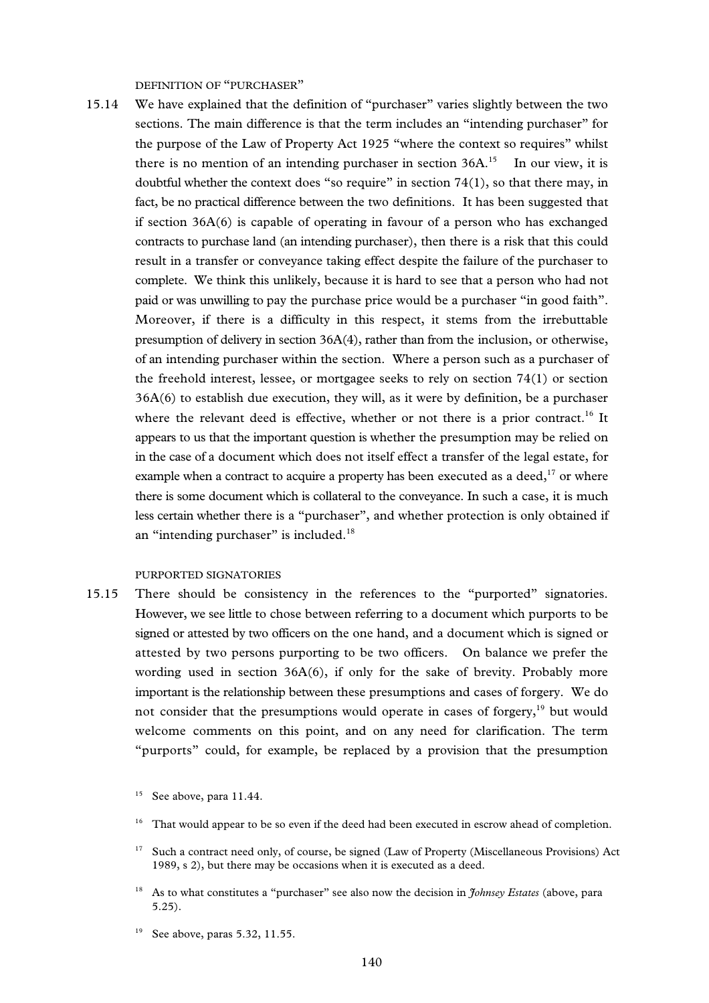DEFINITION OF "PURCHASER"

15.14 We have explained that the definition of "purchaser" varies slightly between the two sections. The main difference is that the term includes an "intending purchaser" for the purpose of the Law of Property Act 1925 "where the context so requires" whilst there is no mention of an intending purchaser in section  $36A$ <sup>15</sup> In our view, it is doubtful whether the context does "so require" in section  $74(1)$ , so that there may, in fact, be no practical difference between the two definitions. It has been suggested that if section 36A(6) is capable of operating in favour of a person who has exchanged contracts to purchase land (an intending purchaser), then there is a risk that this could result in a transfer or conveyance taking effect despite the failure of the purchaser to complete. We think this unlikely, because it is hard to see that a person who had not paid or was unwilling to pay the purchase price would be a purchaser "in good faith". Moreover, if there is a difficulty in this respect, it stems from the irrebuttable presumption of delivery in section 36A(4), rather than from the inclusion, or otherwise, of an intending purchaser within the section. Where a person such as a purchaser of the freehold interest, lessee, or mortgagee seeks to rely on section 74(1) or section 36A(6) to establish due execution, they will, as it were by definition, be a purchaser where the relevant deed is effective, whether or not there is a prior contract.<sup>16</sup> It appears to us that the important question is whether the presumption may be relied on in the case of a document which does not itself effect a transfer of the legal estate, for example when a contract to acquire a property has been executed as a deed, $17$  or where there is some document which is collateral to the conveyance. In such a case, it is much less certain whether there is a "purchaser", and whether protection is only obtained if an "intending purchaser" is included.<sup>18</sup>

#### PURPORTED SIGNATORIES

15.15 There should be consistency in the references to the "purported" signatories. However, we see little to chose between referring to a document which purports to be signed or attested by two officers on the one hand, and a document which is signed or attested by two persons purporting to be two officers. On balance we prefer the wording used in section 36A(6), if only for the sake of brevity. Probably more important is the relationship between these presumptions and cases of forgery. We do not consider that the presumptions would operate in cases of forgery,<sup>19</sup> but would welcome comments on this point, and on any need for clarification. The term "purports" could, for example, be replaced by a provision that the presumption

 $15$  See above, para 11.44.

<sup>&</sup>lt;sup>16</sup> That would appear to be so even if the deed had been executed in escrow ahead of completion.

 $17$  Such a contract need only, of course, be signed (Law of Property (Miscellaneous Provisions) Act 1989, s 2), but there may be occasions when it is executed as a deed.

<sup>&</sup>lt;sup>18</sup> As to what constitutes a "purchaser" see also now the decision in *Johnsey Estates* (above, para 5.25).

See above, paras  $5.32$ ,  $11.55$ .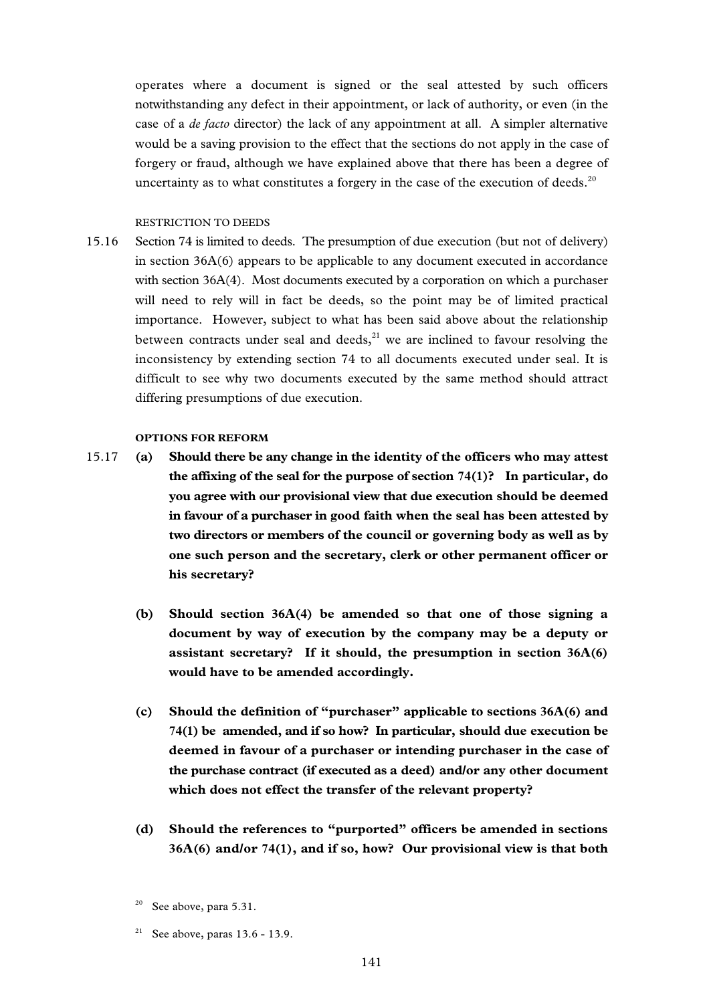operates where a document is signed or the seal attested by such officers notwithstanding any defect in their appointment, or lack of authority, or even (in the case of a *de facto* director) the lack of any appointment at all. A simpler alternative would be a saving provision to the effect that the sections do not apply in the case of forgery or fraud, although we have explained above that there has been a degree of uncertainty as to what constitutes a forgery in the case of the execution of deeds.<sup>20</sup>

#### RESTRICTION TO DEEDS

15.16 Section 74 is limited to deeds. The presumption of due execution (but not of delivery) in section 36A(6) appears to be applicable to any document executed in accordance with section 36A(4). Most documents executed by a corporation on which a purchaser will need to rely will in fact be deeds, so the point may be of limited practical importance. However, subject to what has been said above about the relationship between contracts under seal and deeds, $^{21}$  we are inclined to favour resolving the inconsistency by extending section 74 to all documents executed under seal. It is difficult to see why two documents executed by the same method should attract differing presumptions of due execution.

#### **OPTIONS FOR REFORM**

- 15.17 **(a) Should there be any change in the identity of the officers who may attest the affixing of the seal for the purpose of section 74(1)? In particular, do you agree with our provisional view that due execution should be deemed in favour of a purchaser in good faith when the seal has been attested by two directors or members of the council or governing body as well as by one such person and the secretary, clerk or other permanent officer or his secretary?**
	- **(b) Should section 36A(4) be amended so that one of those signing a document by way of execution by the company may be a deputy or assistant secretary? If it should, the presumption in section 36A(6) would have to be amended accordingly.**
	- **(c) Should the definition of "purchaser" applicable to sections 36A(6) and 74(1) be amended, and if so how? In particular, should due execution be deemed in favour of a purchaser or intending purchaser in the case of the purchase contract (if executed as a deed) and/or any other document which does not effect the transfer of the relevant property?**
	- **(d) Should the references to "purported" officers be amended in sections 36A(6) and/or 74(1), and if so, how? Our provisional view is that both**

 $20$  See above, para 5.31.

<sup>&</sup>lt;sup>21</sup> See above, paras  $13.6 - 13.9$ .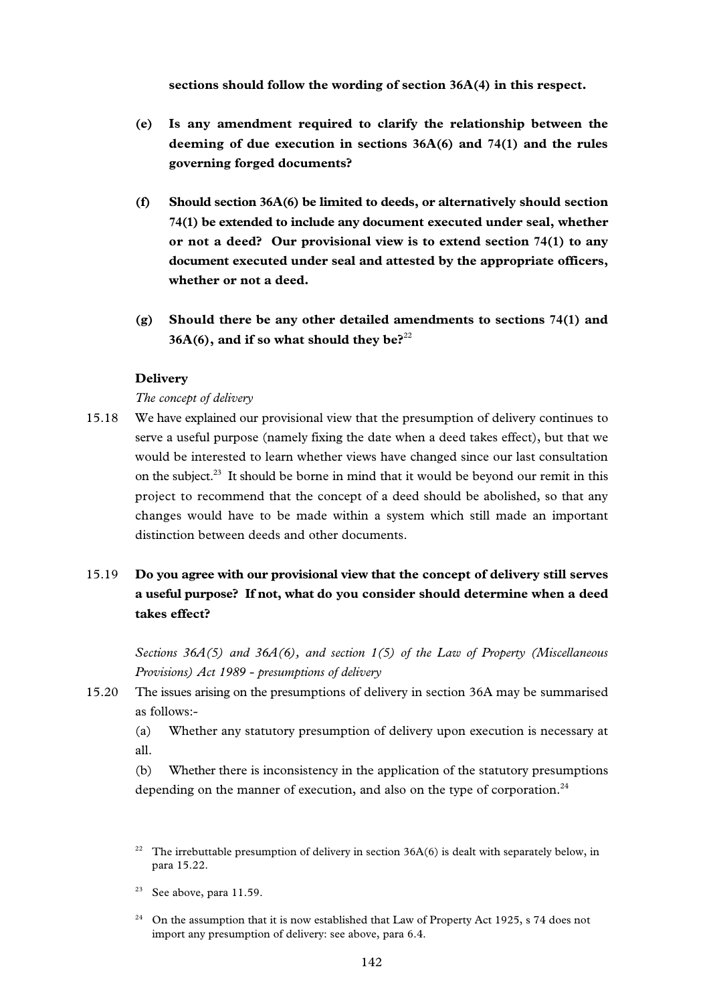**sections should follow the wording of section 36A(4) in this respect.**

- **(e) Is any amendment required to clarify the relationship between the deeming of due execution in sections 36A(6) and 74(1) and the rules governing forged documents?**
- **(f) Should section 36A(6) be limited to deeds, or alternatively should section 74(1) be extended to include any document executed under seal, whether or not a deed? Our provisional view is to extend section 74(1) to any document executed under seal and attested by the appropriate officers, whether or not a deed.**
- **(g) Should there be any other detailed amendments to sections 74(1) and 36A(6), and if so what should they be?**<sup>22</sup>

# **Delivery**

*The concept of delivery*

15.18 We have explained our provisional view that the presumption of delivery continues to serve a useful purpose (namely fixing the date when a deed takes effect), but that we would be interested to learn whether views have changed since our last consultation on the subject. $^{23}$  It should be borne in mind that it would be beyond our remit in this project to recommend that the concept of a deed should be abolished, so that any changes would have to be made within a system which still made an important distinction between deeds and other documents.

# 15.19 **Do you agree with our provisional view that the concept of delivery still serves a useful purpose? If not, what do you consider should determine when a deed takes effect?**

*Sections 36A(5) and 36A(6), and section 1(5) of the Law of Property (Miscellaneous Provisions) Act 1989 - presumptions of delivery*

- 15.20 The issues arising on the presumptions of delivery in section 36A may be summarised as follows:-
	- (a) Whether any statutory presumption of delivery upon execution is necessary at all.
	- (b) Whether there is inconsistency in the application of the statutory presumptions depending on the manner of execution, and also on the type of corporation.<sup>24</sup>
	- <sup>22</sup> The irrebuttable presumption of delivery in section  $36A(6)$  is dealt with separately below, in para 15.22.
	- <sup>23</sup> See above, para 11.59.
	- <sup>24</sup> On the assumption that it is now established that Law of Property Act 1925, s 74 does not import any presumption of delivery: see above, para 6.4.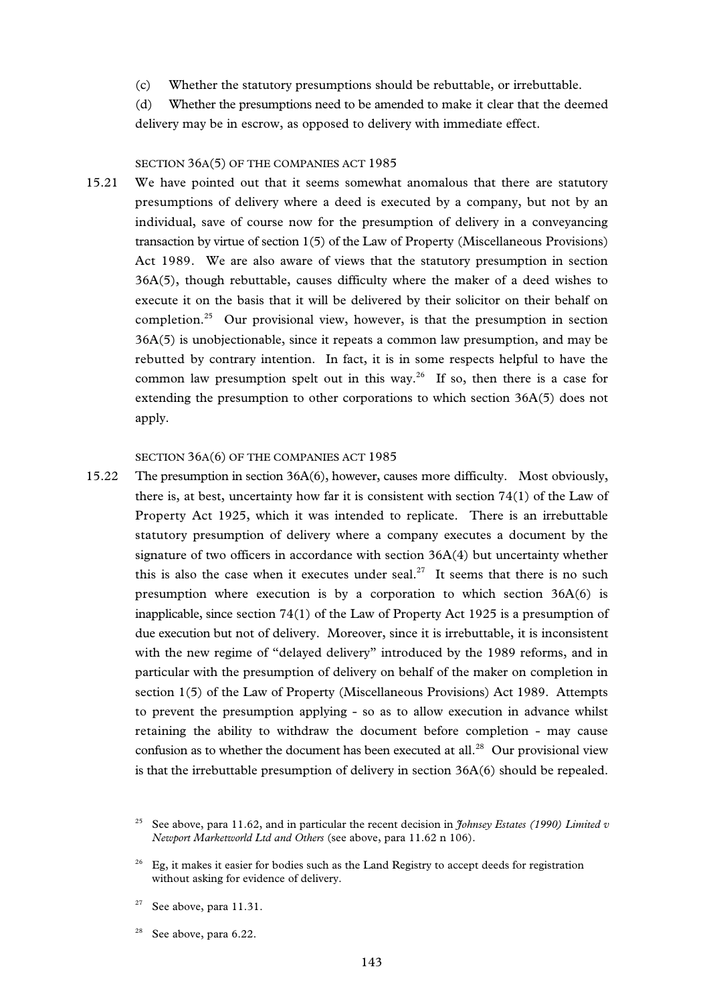(c) Whether the statutory presumptions should be rebuttable, or irrebuttable.

(d) Whether the presumptions need to be amended to make it clear that the deemed delivery may be in escrow, as opposed to delivery with immediate effect.

# SECTION 36A(5) OF THE COMPANIES ACT 1985

15.21 We have pointed out that it seems somewhat anomalous that there are statutory presumptions of delivery where a deed is executed by a company, but not by an individual, save of course now for the presumption of delivery in a conveyancing transaction by virtue of section 1(5) of the Law of Property (Miscellaneous Provisions) Act 1989. We are also aware of views that the statutory presumption in section 36A(5), though rebuttable, causes difficulty where the maker of a deed wishes to execute it on the basis that it will be delivered by their solicitor on their behalf on completion.<sup>25</sup> Our provisional view, however, is that the presumption in section 36A(5) is unobjectionable, since it repeats a common law presumption, and may be rebutted by contrary intention. In fact, it is in some respects helpful to have the common law presumption spelt out in this way.<sup>26</sup> If so, then there is a case for extending the presumption to other corporations to which section 36A(5) does not apply.

#### SECTION 36A(6) OF THE COMPANIES ACT 1985

15.22 The presumption in section 36A(6), however, causes more difficulty. Most obviously, there is, at best, uncertainty how far it is consistent with section 74(1) of the Law of Property Act 1925, which it was intended to replicate. There is an irrebuttable statutory presumption of delivery where a company executes a document by the signature of two officers in accordance with section 36A(4) but uncertainty whether this is also the case when it executes under seal.<sup>27</sup> It seems that there is no such presumption where execution is by a corporation to which section 36A(6) is inapplicable, since section 74(1) of the Law of Property Act 1925 is a presumption of due execution but not of delivery. Moreover, since it is irrebuttable, it is inconsistent with the new regime of "delayed delivery" introduced by the 1989 reforms, and in particular with the presumption of delivery on behalf of the maker on completion in section 1(5) of the Law of Property (Miscellaneous Provisions) Act 1989. Attempts to prevent the presumption applying - so as to allow execution in advance whilst retaining the ability to withdraw the document before completion - may cause confusion as to whether the document has been executed at all.<sup>28</sup> Our provisional view is that the irrebuttable presumption of delivery in section 36A(6) should be repealed.

<sup>&</sup>lt;sup>25</sup> See above, para 11.62, and in particular the recent decision in *Johnsey Estates (1990) Limited v Newport Marketworld Ltd and Others* (see above, para 11.62 n 106).

 $26$  Eg, it makes it easier for bodies such as the Land Registry to accept deeds for registration without asking for evidence of delivery.

<sup>&</sup>lt;sup>27</sup> See above, para  $11.31$ .

See above, para 6.22.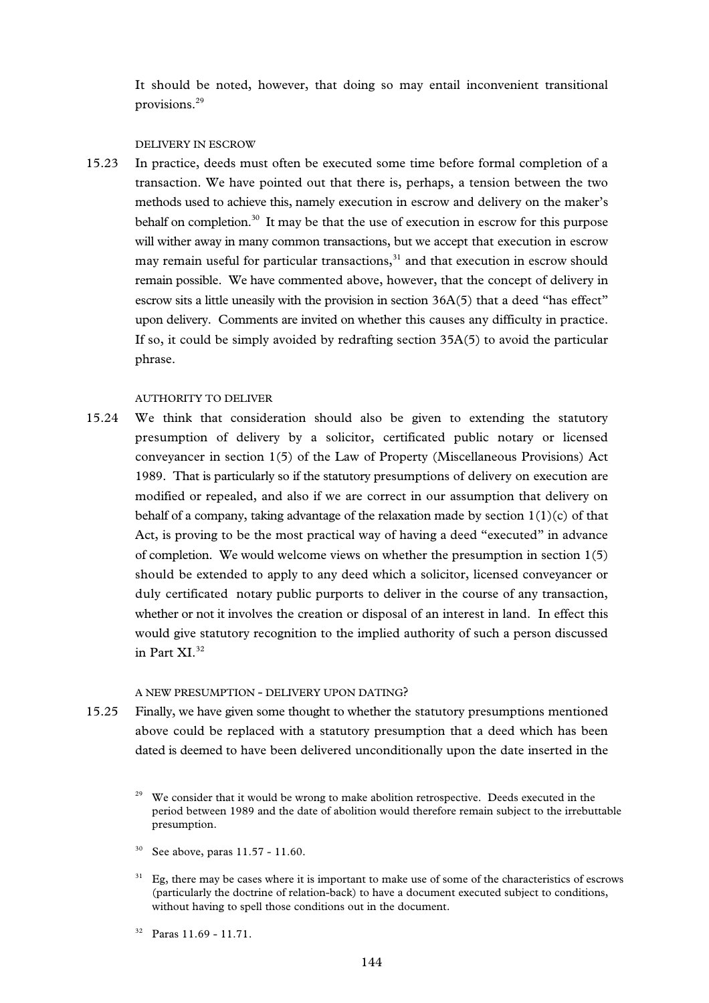It should be noted, however, that doing so may entail inconvenient transitional provisions.<sup>29</sup>

#### DELIVERY IN ESCROW

15.23 In practice, deeds must often be executed some time before formal completion of a transaction. We have pointed out that there is, perhaps, a tension between the two methods used to achieve this, namely execution in escrow and delivery on the maker's behalf on completion.<sup>30</sup> It may be that the use of execution in escrow for this purpose will wither away in many common transactions, but we accept that execution in escrow may remain useful for particular transactions, $31$  and that execution in escrow should remain possible. We have commented above, however, that the concept of delivery in escrow sits a little uneasily with the provision in section  $36A(5)$  that a deed "has effect" upon delivery. Comments are invited on whether this causes any difficulty in practice. If so, it could be simply avoided by redrafting section 35A(5) to avoid the particular phrase.

#### AUTHORITY TO DELIVER

15.24 We think that consideration should also be given to extending the statutory presumption of delivery by a solicitor, certificated public notary or licensed conveyancer in section 1(5) of the Law of Property (Miscellaneous Provisions) Act 1989. That is particularly so if the statutory presumptions of delivery on execution are modified or repealed, and also if we are correct in our assumption that delivery on behalf of a company, taking advantage of the relaxation made by section  $1(1)(c)$  of that Act, is proving to be the most practical way of having a deed "executed" in advance of completion. We would welcome views on whether the presumption in section  $1(5)$ should be extended to apply to any deed which a solicitor, licensed conveyancer or duly certificated notary public purports to deliver in the course of any transaction, whether or not it involves the creation or disposal of an interest in land. In effect this would give statutory recognition to the implied authority of such a person discussed in Part XI.<sup>32</sup>

#### A NEW PRESUMPTION - DELIVERY UPON DATING?

15.25 Finally, we have given some thought to whether the statutory presumptions mentioned above could be replaced with a statutory presumption that a deed which has been dated is deemed to have been delivered unconditionally upon the date inserted in the

 $32$  Paras 11.69 - 11.71.

 $29$  We consider that it would be wrong to make abolition retrospective. Deeds executed in the period between 1989 and the date of abolition would therefore remain subject to the irrebuttable presumption.

 $30$  See above, paras 11.57 - 11.60.

 $10^{31}$  Eg, there may be cases where it is important to make use of some of the characteristics of escrows (particularly the doctrine of relation-back) to have a document executed subject to conditions, without having to spell those conditions out in the document.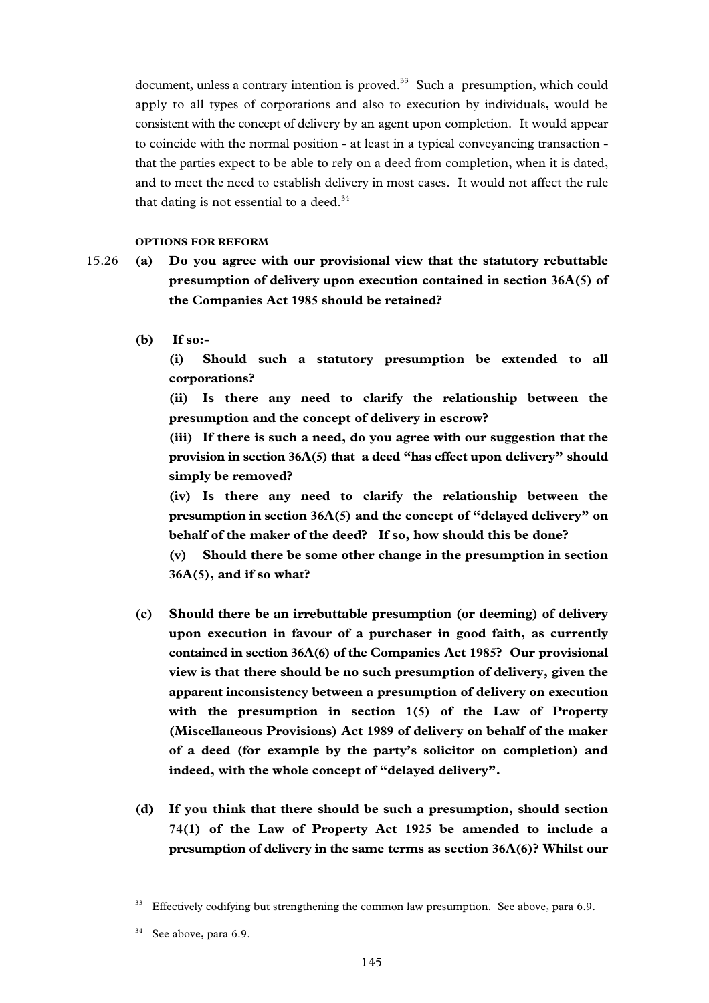document, unless a contrary intention is proved.<sup>33</sup> Such a presumption, which could apply to all types of corporations and also to execution by individuals, would be consistent with the concept of delivery by an agent upon completion. It would appear to coincide with the normal position - at least in a typical conveyancing transaction that the parties expect to be able to rely on a deed from completion, when it is dated, and to meet the need to establish delivery in most cases. It would not affect the rule that dating is not essential to a deed. $34$ 

#### **OPTIONS FOR REFORM**

15.26 **(a) Do you agree with our provisional view that the statutory rebuttable presumption of delivery upon execution contained in section 36A(5) of the Companies Act 1985 should be retained?**

**(b) If so:-**

**(i) Should such a statutory presumption be extended to all corporations?**

**(ii) Is there any need to clarify the relationship between the presumption and the concept of delivery in escrow?** 

**(iii) If there is such a need, do you agree with our suggestion that the provision in section 36A(5) that a deed "has effect upon delivery" should simply be removed?**

**(iv) Is there any need to clarify the relationship between the presumption in section 36A(5) and the concept of "delayed delivery" on behalf of the maker of the deed? If so, how should this be done?**

**(v) Should there be some other change in the presumption in section 36A(5), and if so what?**

- **(c) Should there be an irrebuttable presumption (or deeming) of delivery upon execution in favour of a purchaser in good faith, as currently contained in section 36A(6) of the Companies Act 1985? Our provisional view is that there should be no such presumption of delivery, given the apparent inconsistency between a presumption of delivery on execution with the presumption in section 1(5) of the Law of Property (Miscellaneous Provisions) Act 1989 of delivery on behalf of the maker of a deed (for example by the party's solicitor on completion) and indeed, with the whole concept of "delayed delivery".**
- **(d) If you think that there should be such a presumption, should section 74(1) of the Law of Property Act 1925 be amended to include a presumption of delivery in the same terms as section 36A(6)? Whilst our**

<sup>&</sup>lt;sup>33</sup> Effectively codifying but strengthening the common law presumption. See above, para 6.9.

See above, para 6.9.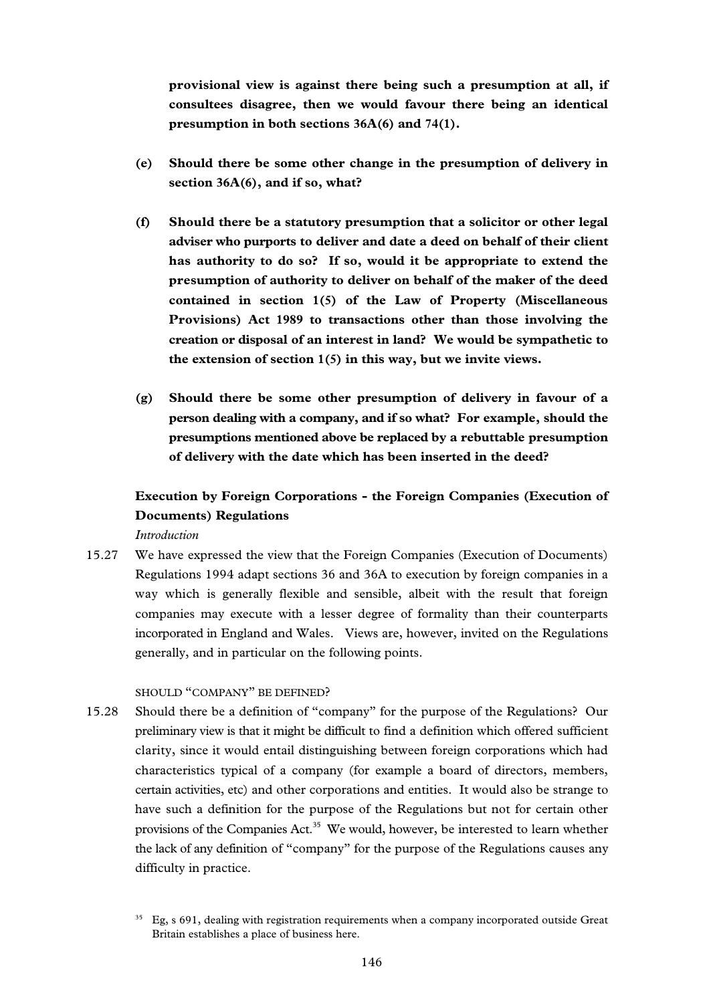**provisional view is against there being such a presumption at all, if consultees disagree, then we would favour there being an identical presumption in both sections 36A(6) and 74(1).**

- **(e) Should there be some other change in the presumption of delivery in section 36A(6), and if so, what?**
- **(f) Should there be a statutory presumption that a solicitor or other legal adviser who purports to deliver and date a deed on behalf of their client has authority to do so? If so, would it be appropriate to extend the presumption of authority to deliver on behalf of the maker of the deed contained in section 1(5) of the Law of Property (Miscellaneous Provisions) Act 1989 to transactions other than those involving the creation or disposal of an interest in land? We would be sympathetic to the extension of section 1(5) in this way, but we invite views.**
- **(g) Should there be some other presumption of delivery in favour of a person dealing with a company, and if so what? For example, should the presumptions mentioned above be replaced by a rebuttable presumption of delivery with the date which has been inserted in the deed?**

# **Execution by Foreign Corporations - the Foreign Companies (Execution of Documents) Regulations**

*Introduction*

15.27 We have expressed the view that the Foreign Companies (Execution of Documents) Regulations 1994 adapt sections 36 and 36A to execution by foreign companies in a way which is generally flexible and sensible, albeit with the result that foreign companies may execute with a lesser degree of formality than their counterparts incorporated in England and Wales. Views are, however, invited on the Regulations generally, and in particular on the following points.

# SHOULD "COMPANY" BE DEFINED?

15.28 Should there be a definition of "company" for the purpose of the Regulations? Our preliminary view is that it might be difficult to find a definition which offered sufficient clarity, since it would entail distinguishing between foreign corporations which had characteristics typical of a company (for example a board of directors, members, certain activities, etc) and other corporations and entities. It would also be strange to have such a definition for the purpose of the Regulations but not for certain other provisions of the Companies Act.<sup>35</sup> We would, however, be interested to learn whether the lack of any definition of "company" for the purpose of the Regulations causes any difficulty in practice.

Eg, s 691, dealing with registration requirements when a company incorporated outside Great Britain establishes a place of business here.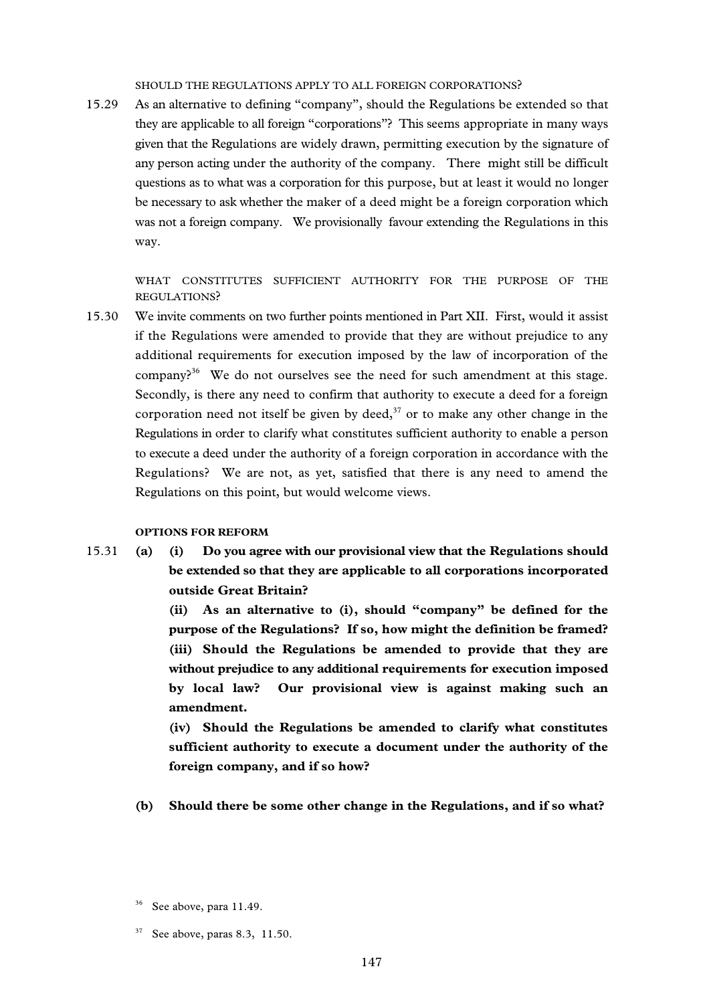# SHOULD THE REGULATIONS APPLY TO ALL FOREIGN CORPORATIONS?

15.29 As an alternative to defining "company", should the Regulations be extended so that they are applicable to all foreign "corporations"? This seems appropriate in many ways given that the Regulations are widely drawn, permitting execution by the signature of any person acting under the authority of the company. There might still be difficult questions as to what was a corporation for this purpose, but at least it would no longer be necessary to ask whether the maker of a deed might be a foreign corporation which was not a foreign company. We provisionally favour extending the Regulations in this way.

WHAT CONSTITUTES SUFFICIENT AUTHORITY FOR THE PURPOSE OF THE REGULATIONS?

15.30 We invite comments on two further points mentioned in Part XII. First, would it assist if the Regulations were amended to provide that they are without prejudice to any additional requirements for execution imposed by the law of incorporation of the company?<sup>36</sup> We do not ourselves see the need for such amendment at this stage. Secondly, is there any need to confirm that authority to execute a deed for a foreign corporation need not itself be given by deed, $37$  or to make any other change in the Regulations in order to clarify what constitutes sufficient authority to enable a person to execute a deed under the authority of a foreign corporation in accordance with the Regulations? We are not, as yet, satisfied that there is any need to amend the Regulations on this point, but would welcome views.

#### **OPTIONS FOR REFORM**

15.31 **(a) (i) Do you agree with our provisional view that the Regulations should be extended so that they are applicable to all corporations incorporated outside Great Britain?**

> **(ii) As an alternative to (i), should "company" be defined for the purpose of the Regulations? If so, how might the definition be framed? (iii) Should the Regulations be amended to provide that they are without prejudice to any additional requirements for execution imposed by local law? Our provisional view is against making such an amendment.**

> **(iv) Should the Regulations be amended to clarify what constitutes sufficient authority to execute a document under the authority of the foreign company, and if so how?**

**(b) Should there be some other change in the Regulations, and if so what?**

 $36$  See above, para 11.49.

 $37$  See above, paras 8.3, 11.50.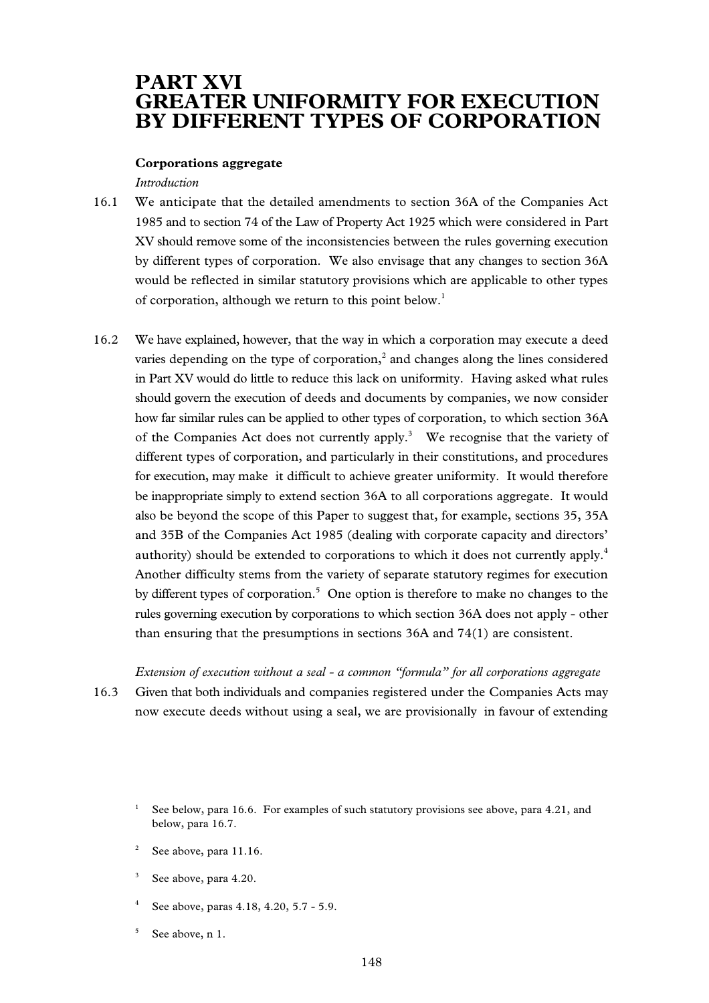# **PART XVI GREATER UNIFORMITY FOR EXECUTION BY DIFFERENT TYPES OF CORPORATION**

### **Corporations aggregate**

*Introduction*

- 16.1 We anticipate that the detailed amendments to section 36A of the Companies Act 1985 and to section 74 of the Law of Property Act 1925 which were considered in Part XV should remove some of the inconsistencies between the rules governing execution by different types of corporation. We also envisage that any changes to section 36A would be reflected in similar statutory provisions which are applicable to other types of corporation, although we return to this point below.<sup>1</sup>
- 16.2 We have explained, however, that the way in which a corporation may execute a deed varies depending on the type of corporation, $\alpha$  and changes along the lines considered in Part XV would do little to reduce this lack on uniformity. Having asked what rules should govern the execution of deeds and documents by companies, we now consider how far similar rules can be applied to other types of corporation, to which section 36A of the Companies Act does not currently apply.<sup>3</sup> We recognise that the variety of different types of corporation, and particularly in their constitutions, and procedures for execution, may make it difficult to achieve greater uniformity. It would therefore be inappropriate simply to extend section 36A to all corporations aggregate. It would also be beyond the scope of this Paper to suggest that, for example, sections 35, 35A and 35B of the Companies Act 1985 (dealing with corporate capacity and directors' authority) should be extended to corporations to which it does not currently apply.<sup>4</sup> Another difficulty stems from the variety of separate statutory regimes for execution by different types of corporation.<sup>5</sup> One option is therefore to make no changes to the rules governing execution by corporations to which section 36A does not apply - other than ensuring that the presumptions in sections 36A and 74(1) are consistent.

*Extension of execution without a seal - a common "formula" for all corporations aggregate*

16.3 Given that both individuals and companies registered under the Companies Acts may now execute deeds without using a seal, we are provisionally in favour of extending

See below, para 16.6. For examples of such statutory provisions see above, para 4.21, and <sup>1</sup> below, para 16.7.

- $2^{\circ}$  See above, para 11.16.
- $3$  See above, para 4.20.
- <sup>4</sup> See above, paras  $4.18, 4.20, 5.7 5.9$ .
- $5$  See above, n 1.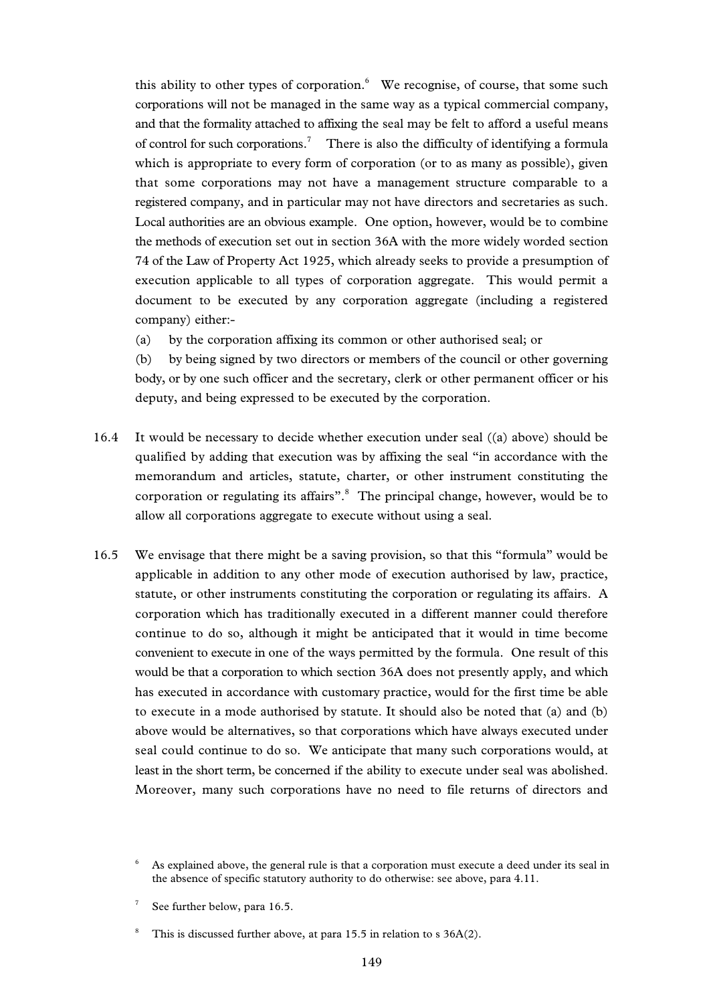this ability to other types of corporation. $6$  We recognise, of course, that some such corporations will not be managed in the same way as a typical commercial company, and that the formality attached to affixing the seal may be felt to afford a useful means of control for such corporations.<sup>7</sup> There is also the difficulty of identifying a formula which is appropriate to every form of corporation (or to as many as possible), given that some corporations may not have a management structure comparable to a registered company, and in particular may not have directors and secretaries as such. Local authorities are an obvious example. One option, however, would be to combine the methods of execution set out in section 36A with the more widely worded section 74 of the Law of Property Act 1925, which already seeks to provide a presumption of execution applicable to all types of corporation aggregate. This would permit a document to be executed by any corporation aggregate (including a registered company) either:-

(a) by the corporation affixing its common or other authorised seal; or

(b) by being signed by two directors or members of the council or other governing body, or by one such officer and the secretary, clerk or other permanent officer or his deputy, and being expressed to be executed by the corporation.

- 16.4 It would be necessary to decide whether execution under seal ((a) above) should be qualified by adding that execution was by affixing the seal "in accordance with the memorandum and articles, statute, charter, or other instrument constituting the corporation or regulating its affairs".<sup>8</sup> The principal change, however, would be to allow all corporations aggregate to execute without using a seal.
- 16.5 We envisage that there might be a saving provision, so that this "formula" would be applicable in addition to any other mode of execution authorised by law, practice, statute, or other instruments constituting the corporation or regulating its affairs. A corporation which has traditionally executed in a different manner could therefore continue to do so, although it might be anticipated that it would in time become convenient to execute in one of the ways permitted by the formula. One result of this would be that a corporation to which section 36A does not presently apply, and which has executed in accordance with customary practice, would for the first time be able to execute in a mode authorised by statute. It should also be noted that (a) and (b) above would be alternatives, so that corporations which have always executed under seal could continue to do so. We anticipate that many such corporations would, at least in the short term, be concerned if the ability to execute under seal was abolished. Moreover, many such corporations have no need to file returns of directors and

 $6$  As explained above, the general rule is that a corporation must execute a deed under its seal in the absence of specific statutory authority to do otherwise: see above, para 4.11.

 $\frac{7}{1}$  See further below, para 16.5.

This is discussed further above, at para 15.5 in relation to s 36A(2).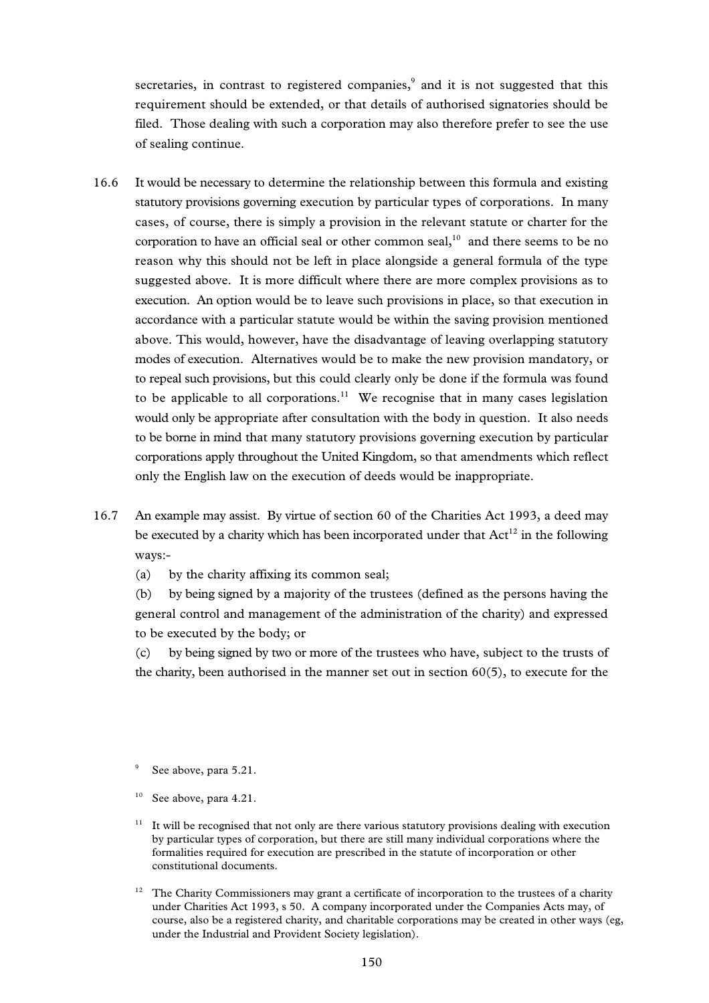secretaries, in contrast to registered companies, $9$  and it is not suggested that this requirement should be extended, or that details of authorised signatories should be filed. Those dealing with such a corporation may also therefore prefer to see the use of sealing continue.

- 16.6 It would be necessary to determine the relationship between this formula and existing statutory provisions governing execution by particular types of corporations. In many cases, of course, there is simply a provision in the relevant statute or charter for the corporation to have an official seal or other common seal, $10$  and there seems to be no reason why this should not be left in place alongside a general formula of the type suggested above. It is more difficult where there are more complex provisions as to execution. An option would be to leave such provisions in place, so that execution in accordance with a particular statute would be within the saving provision mentioned above. This would, however, have the disadvantage of leaving overlapping statutory modes of execution. Alternatives would be to make the new provision mandatory, or to repeal such provisions, but this could clearly only be done if the formula was found to be applicable to all corporations.<sup>11</sup> We recognise that in many cases legislation would only be appropriate after consultation with the body in question. It also needs to be borne in mind that many statutory provisions governing execution by particular corporations apply throughout the United Kingdom, so that amendments which reflect only the English law on the execution of deeds would be inappropriate.
- 16.7 An example may assist. By virtue of section 60 of the Charities Act 1993, a deed may be executed by a charity which has been incorporated under that  $Act^{12}$  in the following ways:-
	- (a) by the charity affixing its common seal;

(b) by being signed by a majority of the trustees (defined as the persons having the general control and management of the administration of the charity) and expressed to be executed by the body; or

(c) by being signed by two or more of the trustees who have, subject to the trusts of the charity, been authorised in the manner set out in section 60(5), to execute for the

- See above, para 5.21.
- $10$  See above, para 4.21.
- $11$  It will be recognised that not only are there various statutory provisions dealing with execution by particular types of corporation, but there are still many individual corporations where the formalities required for execution are prescribed in the statute of incorporation or other constitutional documents.
- <sup>12</sup> The Charity Commissioners may grant a certificate of incorporation to the trustees of a charity under Charities Act 1993, s 50. A company incorporated under the Companies Acts may, of course, also be a registered charity, and charitable corporations may be created in other ways (eg, under the Industrial and Provident Society legislation).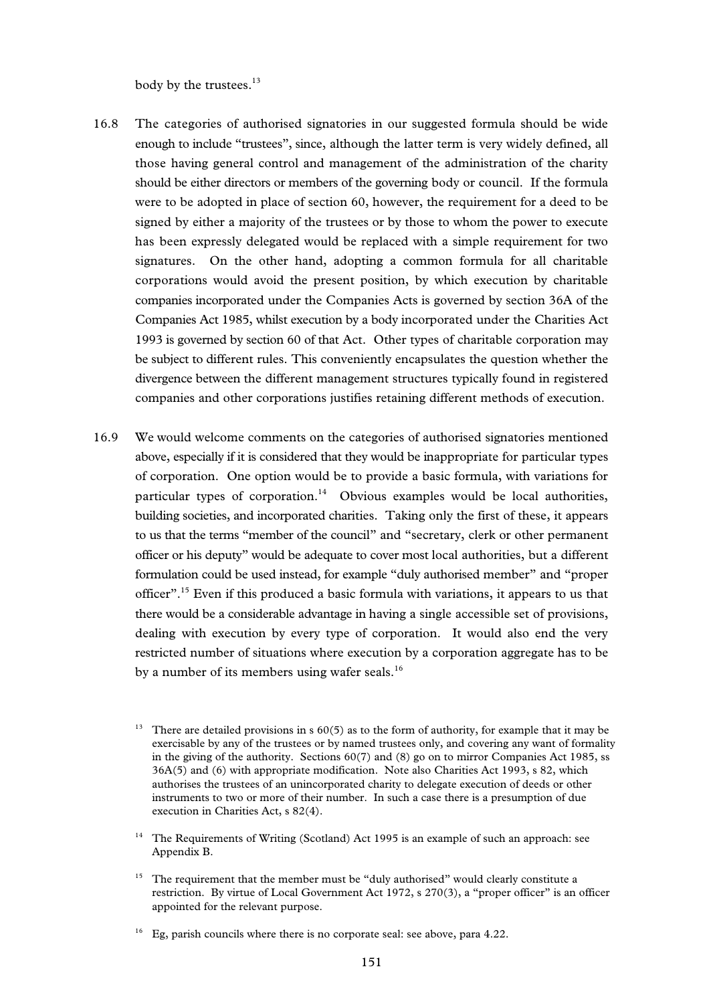body by the trustees.<sup>13</sup>

- 16.8 The categories of authorised signatories in our suggested formula should be wide enough to include "trustees", since, although the latter term is very widely defined, all those having general control and management of the administration of the charity should be either directors or members of the governing body or council. If the formula were to be adopted in place of section 60, however, the requirement for a deed to be signed by either a majority of the trustees or by those to whom the power to execute has been expressly delegated would be replaced with a simple requirement for two signatures. On the other hand, adopting a common formula for all charitable corporations would avoid the present position, by which execution by charitable companies incorporated under the Companies Acts is governed by section 36A of the Companies Act 1985, whilst execution by a body incorporated under the Charities Act 1993 is governed by section 60 of that Act. Other types of charitable corporation may be subject to different rules. This conveniently encapsulates the question whether the divergence between the different management structures typically found in registered companies and other corporations justifies retaining different methods of execution.
- 16.9 We would welcome comments on the categories of authorised signatories mentioned above, especially if it is considered that they would be inappropriate for particular types of corporation. One option would be to provide a basic formula, with variations for particular types of corporation.<sup>14</sup> Obvious examples would be local authorities, building societies, and incorporated charities. Taking only the first of these, it appears to us that the terms "member of the council" and "secretary, clerk or other permanent officer or his deputy" would be adequate to cover most local authorities, but a different formulation could be used instead, for example "duly authorised member" and "proper officer".<sup>15</sup> Even if this produced a basic formula with variations, it appears to us that there would be a considerable advantage in having a single accessible set of provisions, dealing with execution by every type of corporation. It would also end the very restricted number of situations where execution by a corporation aggregate has to be by a number of its members using wafer seals.<sup>16</sup>

- $14$  The Requirements of Writing (Scotland) Act 1995 is an example of such an approach: see Appendix B.
- $15$  The requirement that the member must be "duly authorised" would clearly constitute a restriction. By virtue of Local Government Act 1972, s 270(3), a "proper officer" is an officer appointed for the relevant purpose.

<sup>&</sup>lt;sup>13</sup> There are detailed provisions in s  $60(5)$  as to the form of authority, for example that it may be exercisable by any of the trustees or by named trustees only, and covering any want of formality in the giving of the authority. Sections  $60(7)$  and  $(8)$  go on to mirror Companies Act 1985, ss 36A(5) and (6) with appropriate modification. Note also Charities Act 1993, s 82, which authorises the trustees of an unincorporated charity to delegate execution of deeds or other instruments to two or more of their number. In such a case there is a presumption of due execution in Charities Act, s 82(4).

<sup>&</sup>lt;sup>16</sup> Eg, parish councils where there is no corporate seal: see above, para  $4.22$ .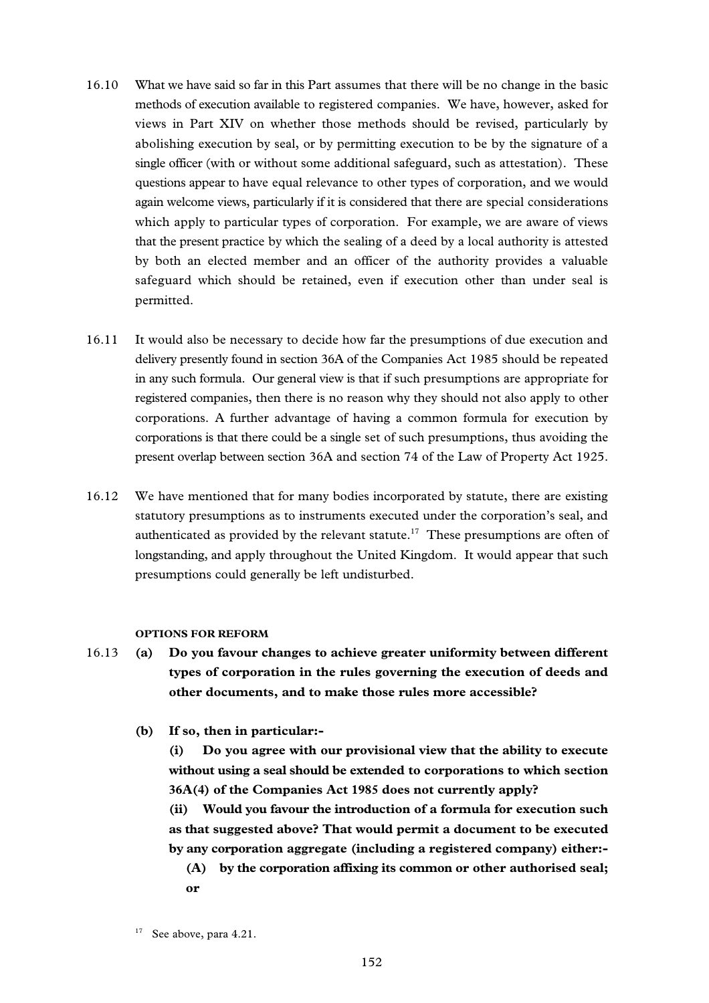- 16.10 What we have said so far in this Part assumes that there will be no change in the basic methods of execution available to registered companies. We have, however, asked for views in Part XIV on whether those methods should be revised, particularly by abolishing execution by seal, or by permitting execution to be by the signature of a single officer (with or without some additional safeguard, such as attestation). These questions appear to have equal relevance to other types of corporation, and we would again welcome views, particularly if it is considered that there are special considerations which apply to particular types of corporation. For example, we are aware of views that the present practice by which the sealing of a deed by a local authority is attested by both an elected member and an officer of the authority provides a valuable safeguard which should be retained, even if execution other than under seal is permitted.
- 16.11 It would also be necessary to decide how far the presumptions of due execution and delivery presently found in section 36A of the Companies Act 1985 should be repeated in any such formula. Our general view is that if such presumptions are appropriate for registered companies, then there is no reason why they should not also apply to other corporations. A further advantage of having a common formula for execution by corporations is that there could be a single set of such presumptions, thus avoiding the present overlap between section 36A and section 74 of the Law of Property Act 1925.
- 16.12 We have mentioned that for many bodies incorporated by statute, there are existing statutory presumptions as to instruments executed under the corporation's seal, and authenticated as provided by the relevant statute.<sup>17</sup> These presumptions are often of longstanding, and apply throughout the United Kingdom. It would appear that such presumptions could generally be left undisturbed.

#### **OPTIONS FOR REFORM**

- 16.13 **(a) Do you favour changes to achieve greater uniformity between different types of corporation in the rules governing the execution of deeds and other documents, and to make those rules more accessible?** 
	- **(b) If so, then in particular:-**

**(i) Do you agree with our provisional view that the ability to execute without using a seal should be extended to corporations to which section 36A(4) of the Companies Act 1985 does not currently apply?** 

**(ii) Would you favour the introduction of a formula for execution such as that suggested above? That would permit a document to be executed by any corporation aggregate (including a registered company) either:-**

**(A) by the corporation affixing its common or other authorised seal; or**

See above, para 4.21.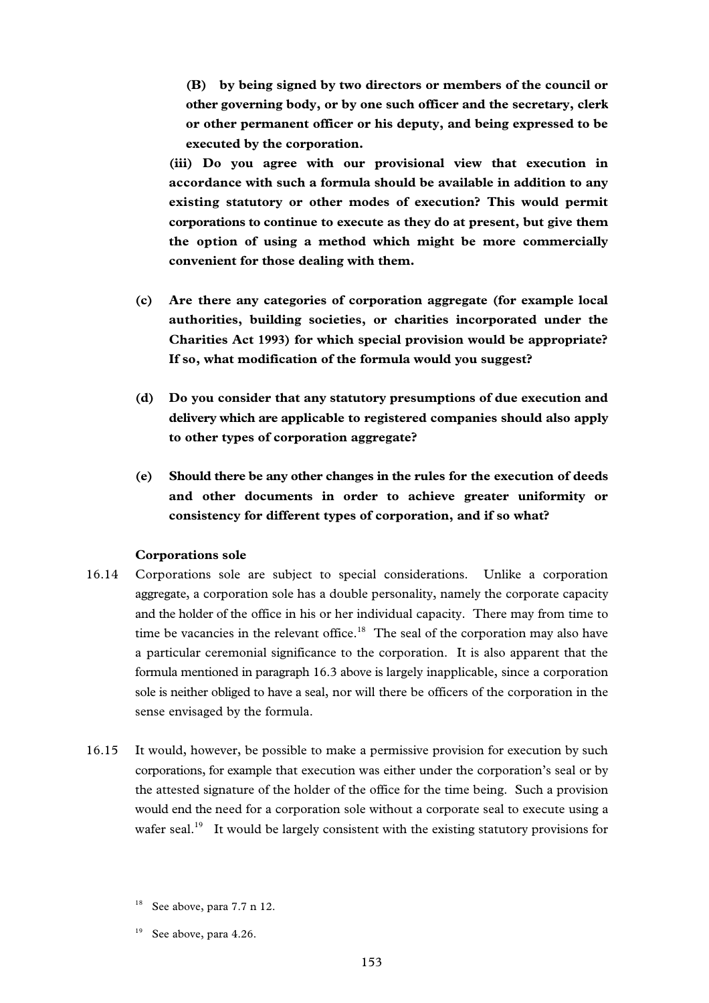**(B) by being signed by two directors or members of the council or other governing body, or by one such officer and the secretary, clerk or other permanent officer or his deputy, and being expressed to be executed by the corporation.**

**(iii) Do you agree with our provisional view that execution in accordance with such a formula should be available in addition to any existing statutory or other modes of execution? This would permit corporations to continue to execute as they do at present, but give them the option of using a method which might be more commercially convenient for those dealing with them.**

- **(c) Are there any categories of corporation aggregate (for example local authorities, building societies, or charities incorporated under the Charities Act 1993) for which special provision would be appropriate? If so, what modification of the formula would you suggest?**
- **(d) Do you consider that any statutory presumptions of due execution and delivery which are applicable to registered companies should also apply to other types of corporation aggregate?**
- **(e) Should there be any other changes in the rules for the execution of deeds and other documents in order to achieve greater uniformity or consistency for different types of corporation, and if so what?**

# **Corporations sole**

- 16.14 Corporations sole are subject to special considerations. Unlike a corporation aggregate, a corporation sole has a double personality, namely the corporate capacity and the holder of the office in his or her individual capacity. There may from time to time be vacancies in the relevant office.<sup>18</sup> The seal of the corporation may also have a particular ceremonial significance to the corporation. It is also apparent that the formula mentioned in paragraph 16.3 above is largely inapplicable, since a corporation sole is neither obliged to have a seal, nor will there be officers of the corporation in the sense envisaged by the formula.
- 16.15 It would, however, be possible to make a permissive provision for execution by such corporations, for example that execution was either under the corporation's seal or by the attested signature of the holder of the office for the time being. Such a provision would end the need for a corporation sole without a corporate seal to execute using a wafer seal.<sup>19</sup> It would be largely consistent with the existing statutory provisions for

 $18$  See above, para 7.7 n 12.

See above, para 4.26.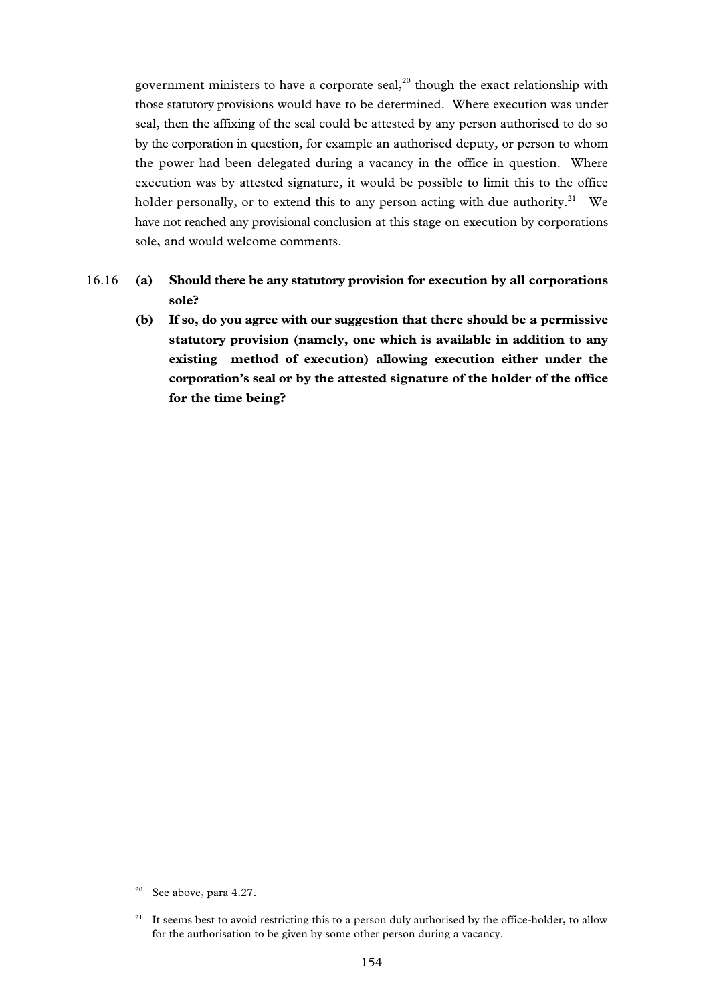government ministers to have a corporate seal, $^{20}$  though the exact relationship with those statutory provisions would have to be determined. Where execution was under seal, then the affixing of the seal could be attested by any person authorised to do so by the corporation in question, for example an authorised deputy, or person to whom the power had been delegated during a vacancy in the office in question. Where execution was by attested signature, it would be possible to limit this to the office holder personally, or to extend this to any person acting with due authority.<sup>21</sup> We have not reached any provisional conclusion at this stage on execution by corporations sole, and would welcome comments.

- 16.16 **(a) Should there be any statutory provision for execution by all corporations sole?**
	- **(b) If so, do you agree with our suggestion that there should be a permissive statutory provision (namely, one which is available in addition to any existing method of execution) allowing execution either under the corporation's seal or by the attested signature of the holder of the office for the time being?**

 $20$  See above, para 4.27.

 $1/21$  It seems best to avoid restricting this to a person duly authorised by the office-holder, to allow for the authorisation to be given by some other person during a vacancy.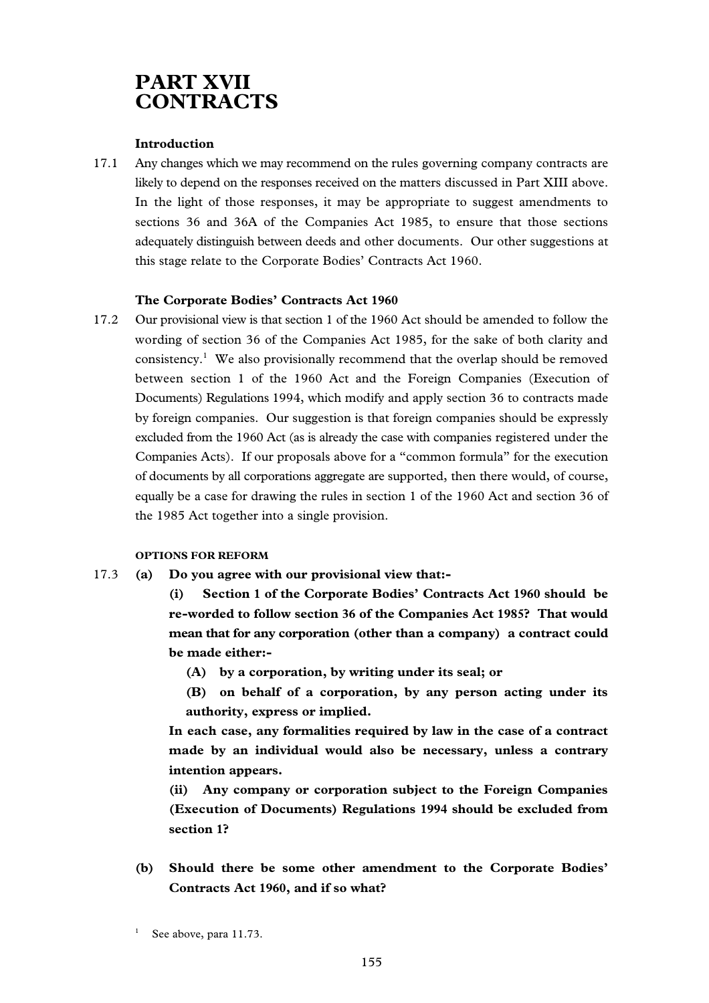# **PART XVII CONTRACTS**

# **Introduction**

17.1 Any changes which we may recommend on the rules governing company contracts are likely to depend on the responses received on the matters discussed in Part XIII above. In the light of those responses, it may be appropriate to suggest amendments to sections 36 and 36A of the Companies Act 1985, to ensure that those sections adequately distinguish between deeds and other documents. Our other suggestions at this stage relate to the Corporate Bodies' Contracts Act 1960.

### **The Corporate Bodies' Contracts Act 1960**

17.2 Our provisional view is that section 1 of the 1960 Act should be amended to follow the wording of section 36 of the Companies Act 1985, for the sake of both clarity and consistency.<sup>1</sup> We also provisionally recommend that the overlap should be removed between section 1 of the 1960 Act and the Foreign Companies (Execution of Documents) Regulations 1994, which modify and apply section 36 to contracts made by foreign companies. Our suggestion is that foreign companies should be expressly excluded from the 1960 Act (as is already the case with companies registered under the Companies Acts). If our proposals above for a "common formula" for the execution of documents by all corporations aggregate are supported, then there would, of course, equally be a case for drawing the rules in section 1 of the 1960 Act and section 36 of the 1985 Act together into a single provision.

**OPTIONS FOR REFORM**

17.3 **(a) Do you agree with our provisional view that:-**

**(i) Section 1 of the Corporate Bodies' Contracts Act 1960 should be re-worded to follow section 36 of the Companies Act 1985? That would mean that for any corporation (other than a company) a contract could be made either:-**

- **(A) by a corporation, by writing under its seal; or**
- **(B) on behalf of a corporation, by any person acting under its authority, express or implied.**

**In each case, any formalities required by law in the case of a contract made by an individual would also be necessary, unless a contrary intention appears.**

**(ii) Any company or corporation subject to the Foreign Companies (Execution of Documents) Regulations 1994 should be excluded from section 1?**

**(b) Should there be some other amendment to the Corporate Bodies' Contracts Act 1960, and if so what?**

<sup>1</sup> See above, para 11.73.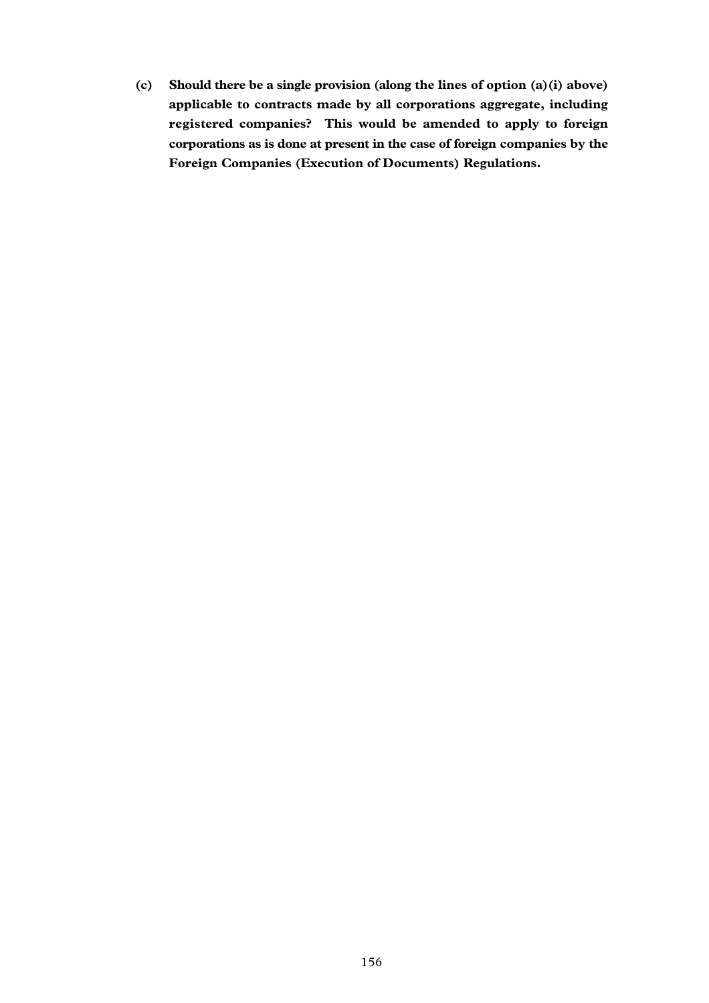**(c) Should there be a single provision (along the lines of option (a)(i) above) applicable to contracts made by all corporations aggregate, including registered companies? This would be amended to apply to foreign corporations as is done at present in the case of foreign companies by the Foreign Companies (Execution of Documents) Regulations.**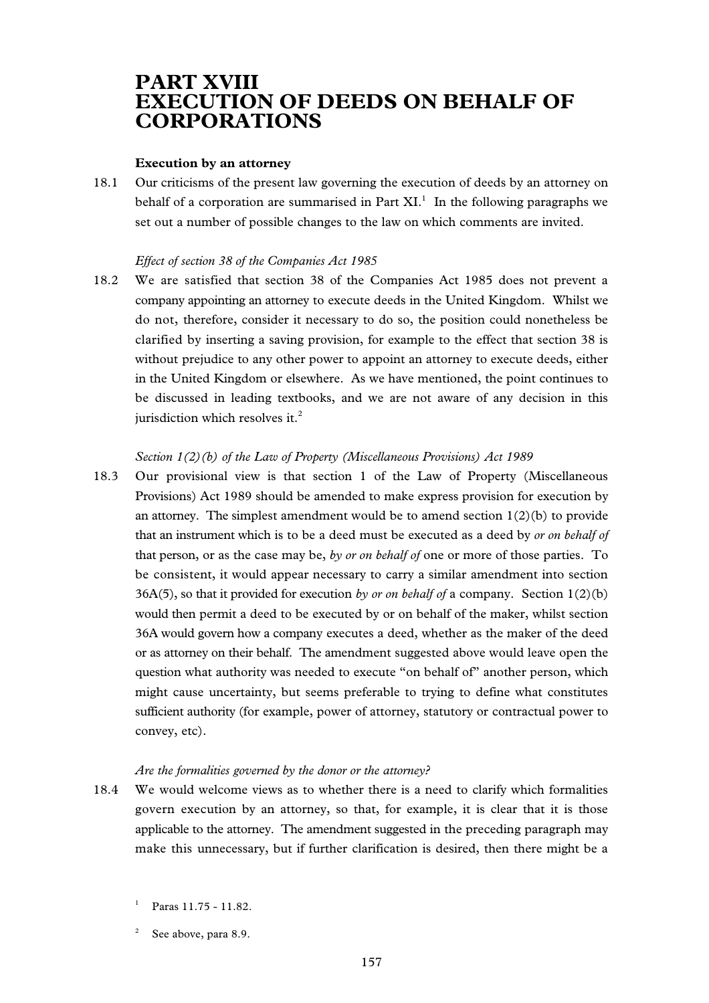# **PART XVIII EXECUTION OF DEEDS ON BEHALF OF CORPORATIONS**

#### **Execution by an attorney**

18.1 Our criticisms of the present law governing the execution of deeds by an attorney on behalf of a corporation are summarised in Part  $XI<sup>1</sup>$ . In the following paragraphs we set out a number of possible changes to the law on which comments are invited.

#### *Effect of section 38 of the Companies Act 1985*

18.2 We are satisfied that section 38 of the Companies Act 1985 does not prevent a company appointing an attorney to execute deeds in the United Kingdom. Whilst we do not, therefore, consider it necessary to do so, the position could nonetheless be clarified by inserting a saving provision, for example to the effect that section 38 is without prejudice to any other power to appoint an attorney to execute deeds, either in the United Kingdom or elsewhere. As we have mentioned, the point continues to be discussed in leading textbooks, and we are not aware of any decision in this jurisdiction which resolves it. $^{2}$ 

#### *Section 1(2)(b) of the Law of Property (Miscellaneous Provisions) Act 1989*

18.3 Our provisional view is that section 1 of the Law of Property (Miscellaneous Provisions) Act 1989 should be amended to make express provision for execution by an attorney. The simplest amendment would be to amend section  $1(2)(b)$  to provide that an instrument which is to be a deed must be executed as a deed by *or on behalf of* that person, or as the case may be, *by or on behalf of* one or more of those parties. To be consistent, it would appear necessary to carry a similar amendment into section 36A(5), so that it provided for execution *by or on behalf of* a company. Section 1(2)(b) would then permit a deed to be executed by or on behalf of the maker, whilst section 36A would govern how a company executes a deed, whether as the maker of the deed or as attorney on their behalf. The amendment suggested above would leave open the question what authority was needed to execute "on behalf of" another person, which might cause uncertainty, but seems preferable to trying to define what constitutes sufficient authority (for example, power of attorney, statutory or contractual power to convey, etc).

#### *Are the formalities governed by the donor or the attorney?*

- 18.4 We would welcome views as to whether there is a need to clarify which formalities govern execution by an attorney, so that, for example, it is clear that it is those applicable to the attorney. The amendment suggested in the preceding paragraph may make this unnecessary, but if further clarification is desired, then there might be a
	- <sup>1</sup> Paras 11.75 11.82.
	- $2^{\circ}$  See above, para 8.9.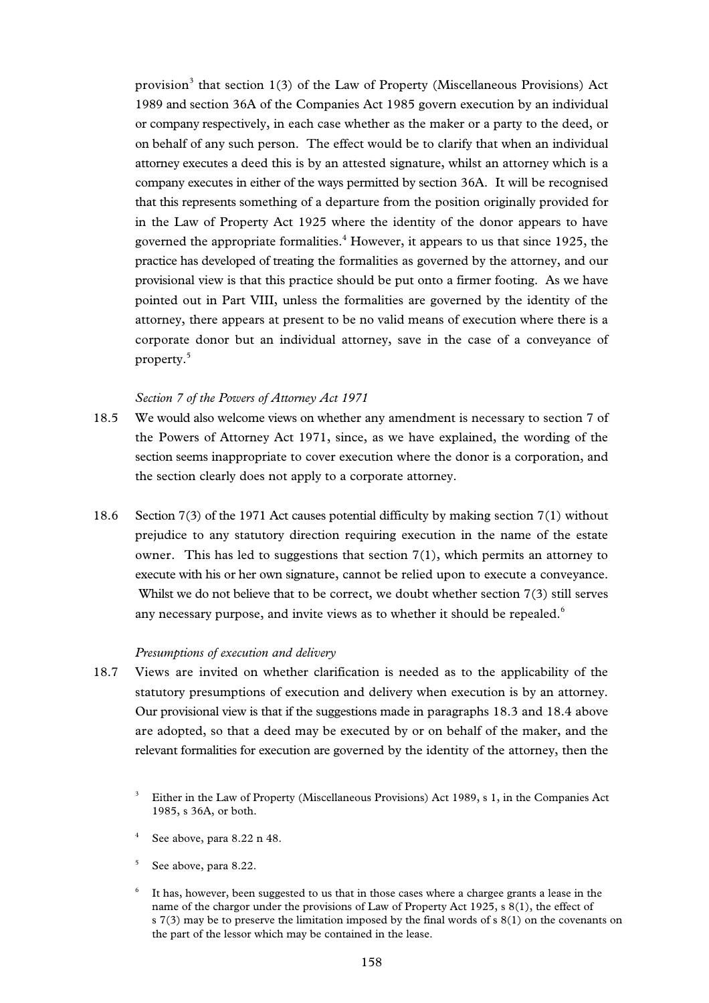provision<sup>3</sup> that section  $1(3)$  of the Law of Property (Miscellaneous Provisions) Act 1989 and section 36A of the Companies Act 1985 govern execution by an individual or company respectively, in each case whether as the maker or a party to the deed, or on behalf of any such person. The effect would be to clarify that when an individual attorney executes a deed this is by an attested signature, whilst an attorney which is a company executes in either of the ways permitted by section 36A. It will be recognised that this represents something of a departure from the position originally provided for in the Law of Property Act 1925 where the identity of the donor appears to have governed the appropriate formalities.<sup> $4$ </sup> However, it appears to us that since 1925, the practice has developed of treating the formalities as governed by the attorney, and our provisional view is that this practice should be put onto a firmer footing. As we have pointed out in Part VIII, unless the formalities are governed by the identity of the attorney, there appears at present to be no valid means of execution where there is a corporate donor but an individual attorney, save in the case of a conveyance of property.<sup>5</sup>

#### *Section 7 of the Powers of Attorney Act 1971*

- 18.5 We would also welcome views on whether any amendment is necessary to section 7 of the Powers of Attorney Act 1971, since, as we have explained, the wording of the section seems inappropriate to cover execution where the donor is a corporation, and the section clearly does not apply to a corporate attorney.
- 18.6 Section 7(3) of the 1971 Act causes potential difficulty by making section 7(1) without prejudice to any statutory direction requiring execution in the name of the estate owner. This has led to suggestions that section  $7(1)$ , which permits an attorney to execute with his or her own signature, cannot be relied upon to execute a conveyance. Whilst we do not believe that to be correct, we doubt whether section 7(3) still serves any necessary purpose, and invite views as to whether it should be repealed.<sup>6</sup>

#### *Presumptions of execution and delivery*

- 18.7 Views are invited on whether clarification is needed as to the applicability of the statutory presumptions of execution and delivery when execution is by an attorney. Our provisional view is that if the suggestions made in paragraphs 18.3 and 18.4 above are adopted, so that a deed may be executed by or on behalf of the maker, and the relevant formalities for execution are governed by the identity of the attorney, then the
	- <sup>3</sup> Either in the Law of Property (Miscellaneous Provisions) Act 1989, s 1, in the Companies Act 1985, s 36A, or both.
	- $4$  See above, para 8.22 n 48.
	- $5$  See above, para 8.22.
	- It has, however, been suggested to us that in those cases where a chargee grants a lease in the <sup>6</sup> name of the chargor under the provisions of Law of Property Act 1925, s 8(1), the effect of s 7(3) may be to preserve the limitation imposed by the final words of s 8(1) on the covenants on the part of the lessor which may be contained in the lease.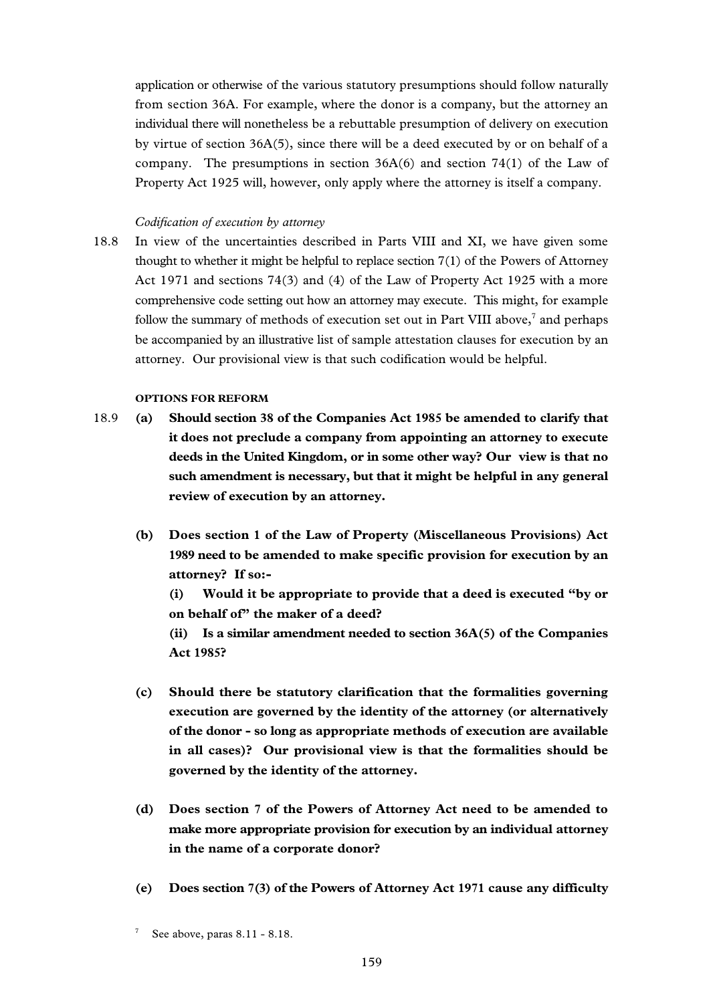application or otherwise of the various statutory presumptions should follow naturally from section 36A. For example, where the donor is a company, but the attorney an individual there will nonetheless be a rebuttable presumption of delivery on execution by virtue of section  $36A(5)$ , since there will be a deed executed by or on behalf of a company. The presumptions in section  $36A(6)$  and section  $74(1)$  of the Law of Property Act 1925 will, however, only apply where the attorney is itself a company.

### *Codification of execution by attorney*

18.8 In view of the uncertainties described in Parts VIII and XI, we have given some thought to whether it might be helpful to replace section 7(1) of the Powers of Attorney Act 1971 and sections 74(3) and (4) of the Law of Property Act 1925 with a more comprehensive code setting out how an attorney may execute. This might, for example follow the summary of methods of execution set out in Part VIII above, $\frac{7}{1}$  and perhaps be accompanied by an illustrative list of sample attestation clauses for execution by an attorney. Our provisional view is that such codification would be helpful.

#### **OPTIONS FOR REFORM**

- 18.9 **(a) Should section 38 of the Companies Act 1985 be amended to clarify that it does not preclude a company from appointing an attorney to execute deeds in the United Kingdom, or in some other way? Our view is that no such amendment is necessary, but that it might be helpful in any general review of execution by an attorney.**
	- **(b) Does section 1 of the Law of Property (Miscellaneous Provisions) Act 1989 need to be amended to make specific provision for execution by an attorney? If so:-**

**(i) Would it be appropriate to provide that a deed is executed "by or on behalf of" the maker of a deed?** 

**(ii) Is a similar amendment needed to section 36A(5) of the Companies Act 1985?**

- **(c) Should there be statutory clarification that the formalities governing execution are governed by the identity of the attorney (or alternatively of the donor - so long as appropriate methods of execution are available in all cases)? Our provisional view is that the formalities should be governed by the identity of the attorney.**
- **(d) Does section 7 of the Powers of Attorney Act need to be amended to make more appropriate provision for execution by an individual attorney in the name of a corporate donor?**
- **(e) Does section 7(3) of the Powers of Attorney Act 1971 cause any difficulty**

See above, paras 8.11 - 8.18.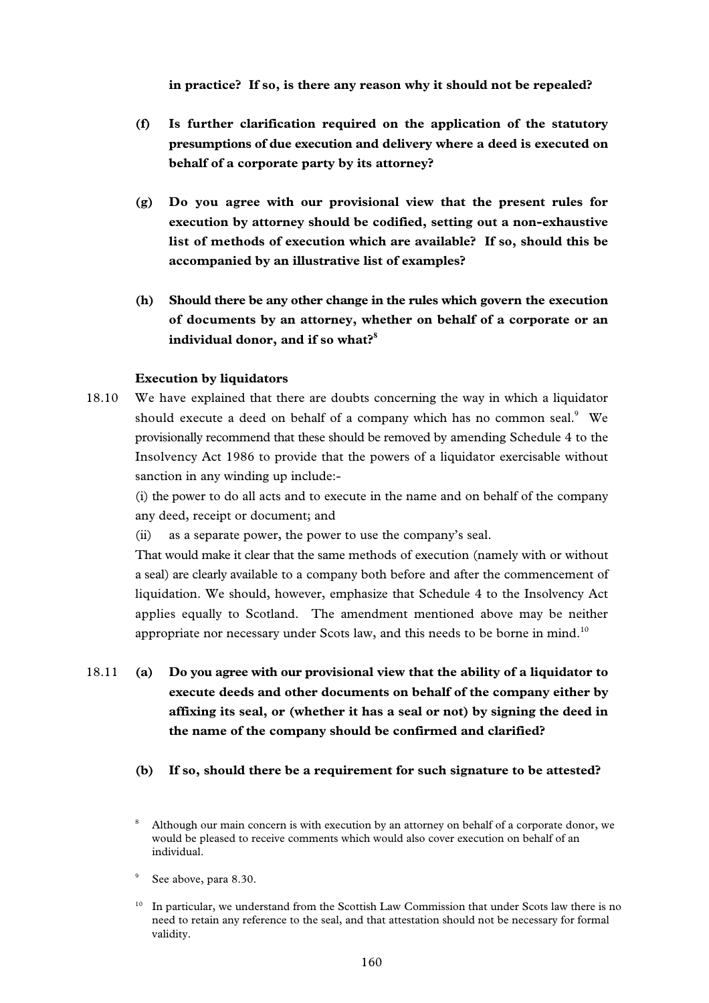**in practice? If so, is there any reason why it should not be repealed?**

- **(f) Is further clarification required on the application of the statutory presumptions of due execution and delivery where a deed is executed on behalf of a corporate party by its attorney?**
- **(g) Do you agree with our provisional view that the present rules for execution by attorney should be codified, setting out a non-exhaustive list of methods of execution which are available? If so, should this be accompanied by an illustrative list of examples?**
- **(h) Should there be any other change in the rules which govern the execution of documents by an attorney, whether on behalf of a corporate or an individual donor, and if so what?<sup>8</sup>**

### **Execution by liquidators**

18.10 We have explained that there are doubts concerning the way in which a liquidator should execute a deed on behalf of a company which has no common seal. $9$  We provisionally recommend that these should be removed by amending Schedule 4 to the Insolvency Act 1986 to provide that the powers of a liquidator exercisable without sanction in any winding up include:-

(i) the power to do all acts and to execute in the name and on behalf of the company any deed, receipt or document; and

(ii) as a separate power, the power to use the company's seal.

That would make it clear that the same methods of execution (namely with or without a seal) are clearly available to a company both before and after the commencement of liquidation. We should, however, emphasize that Schedule 4 to the Insolvency Act applies equally to Scotland. The amendment mentioned above may be neither appropriate nor necessary under Scots law, and this needs to be borne in mind.<sup>10</sup>

- 18.11 **(a) Do you agree with our provisional view that the ability of a liquidator to execute deeds and other documents on behalf of the company either by affixing its seal, or (whether it has a seal or not) by signing the deed in the name of the company should be confirmed and clarified?** 
	- **(b) If so, should there be a requirement for such signature to be attested?**

Although our main concern is with execution by an attorney on behalf of a corporate donor, we would be pleased to receive comments which would also cover execution on behalf of an individual.

See above, para 8.30.

In particular, we understand from the Scottish Law Commission that under Scots law there is no need to retain any reference to the seal, and that attestation should not be necessary for formal validity.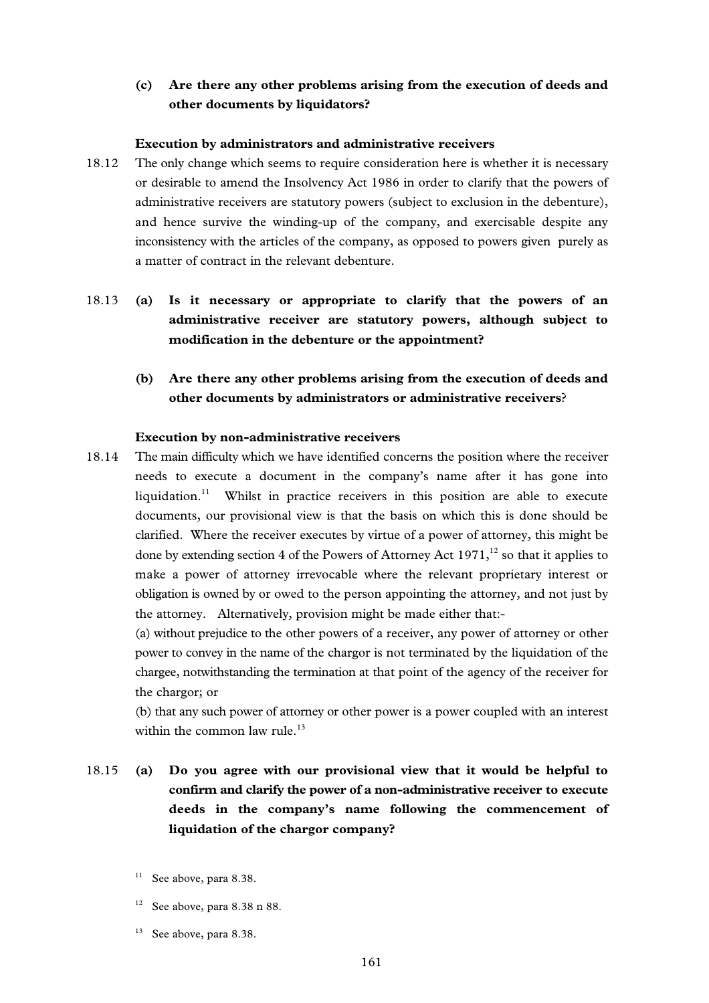# **(c) Are there any other problems arising from the execution of deeds and other documents by liquidators?**

#### **Execution by administrators and administrative receivers**

- 18.12 The only change which seems to require consideration here is whether it is necessary or desirable to amend the Insolvency Act 1986 in order to clarify that the powers of administrative receivers are statutory powers (subject to exclusion in the debenture), and hence survive the winding-up of the company, and exercisable despite any inconsistency with the articles of the company, as opposed to powers given purely as a matter of contract in the relevant debenture.
- 18.13 **(a) Is it necessary or appropriate to clarify that the powers of an administrative receiver are statutory powers, although subject to modification in the debenture or the appointment?**
	- **(b) Are there any other problems arising from the execution of deeds and other documents by administrators or administrative receivers**?

### **Execution by non-administrative receivers**

18.14 The main difficulty which we have identified concerns the position where the receiver needs to execute a document in the company's name after it has gone into liquidation.<sup>11</sup> Whilst in practice receivers in this position are able to execute documents, our provisional view is that the basis on which this is done should be clarified. Where the receiver executes by virtue of a power of attorney, this might be done by extending section 4 of the Powers of Attorney Act  $1971$ ,<sup>12</sup> so that it applies to make a power of attorney irrevocable where the relevant proprietary interest or obligation is owned by or owed to the person appointing the attorney, and not just by the attorney. Alternatively, provision might be made either that:-

(a) without prejudice to the other powers of a receiver, any power of attorney or other power to convey in the name of the chargor is not terminated by the liquidation of the chargee, notwithstanding the termination at that point of the agency of the receiver for the chargor; or

(b) that any such power of attorney or other power is a power coupled with an interest within the common law rule. $^{13}$ 

# 18.15 **(a) Do you agree with our provisional view that it would be helpful to confirm and clarify the power of a non-administrative receiver to execute deeds in the company's name following the commencement of liquidation of the chargor company?**

- $11$  See above, para 8.38.
- $12$  See above, para 8.38 n 88.
- $13$  See above, para 8.38.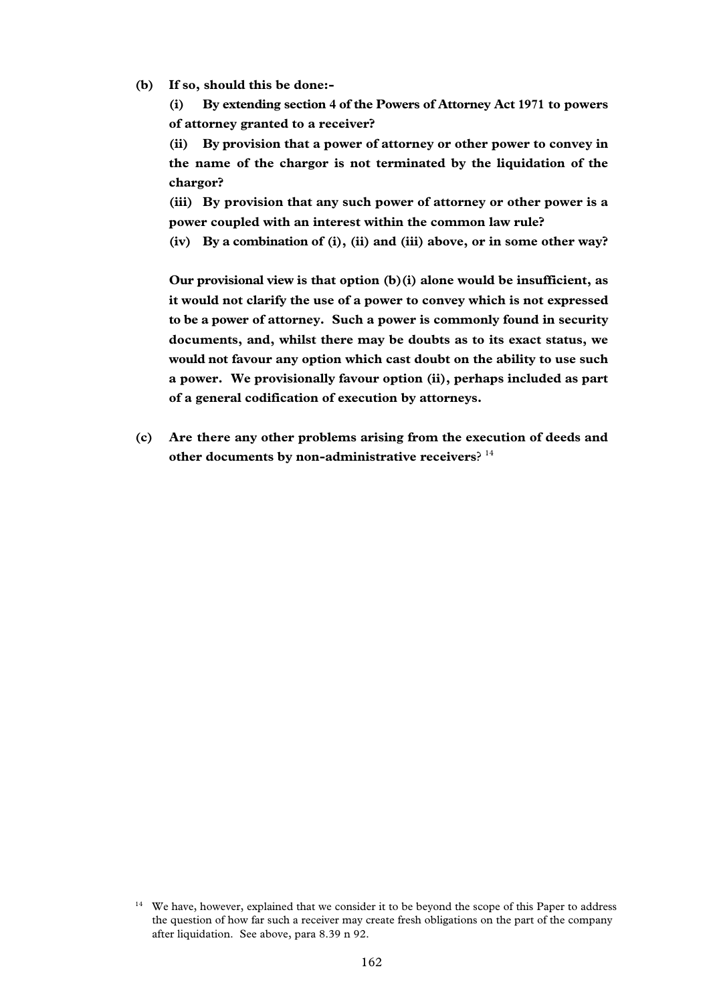**(b) If so, should this be done:-**

**(i) By extending section 4 of the Powers of Attorney Act 1971 to powers of attorney granted to a receiver?** 

**(ii) By provision that a power of attorney or other power to convey in the name of the chargor is not terminated by the liquidation of the chargor?** 

**(iii) By provision that any such power of attorney or other power is a power coupled with an interest within the common law rule?**

**(iv) By a combination of (i), (ii) and (iii) above, or in some other way?**

**Our provisional view is that option (b)(i) alone would be insufficient, as it would not clarify the use of a power to convey which is not expressed to be a power of attorney. Such a power is commonly found in security documents, and, whilst there may be doubts as to its exact status, we would not favour any option which cast doubt on the ability to use such a power. We provisionally favour option (ii), perhaps included as part of a general codification of execution by attorneys.**

**(c) Are there any other problems arising from the execution of deeds and other documents by non-administrative receivers**? <sup>14</sup>

<sup>&</sup>lt;sup>14</sup> We have, however, explained that we consider it to be beyond the scope of this Paper to address the question of how far such a receiver may create fresh obligations on the part of the company after liquidation. See above, para 8.39 n 92.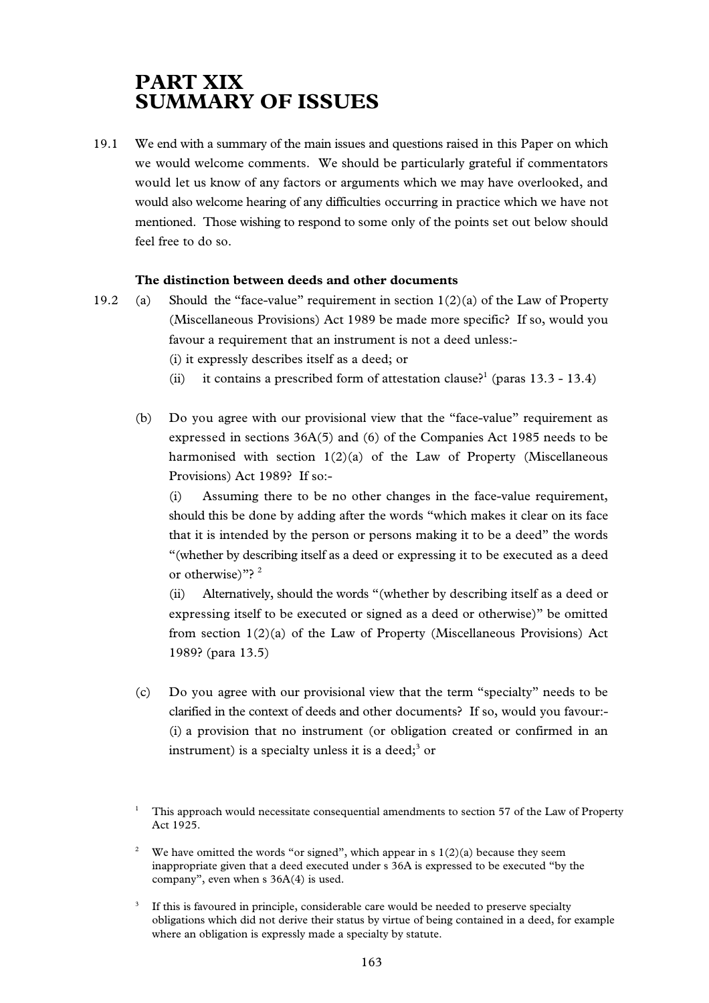# **PART XIX SUMMARY OF ISSUES**

19.1 We end with a summary of the main issues and questions raised in this Paper on which we would welcome comments. We should be particularly grateful if commentators would let us know of any factors or arguments which we may have overlooked, and would also welcome hearing of any difficulties occurring in practice which we have not mentioned. Those wishing to respond to some only of the points set out below should feel free to do so.

# **The distinction between deeds and other documents**

- 19.2 (a) Should the "face-value" requirement in section  $1(2)(a)$  of the Law of Property (Miscellaneous Provisions) Act 1989 be made more specific? If so, would you favour a requirement that an instrument is not a deed unless:-
	- (i) it expressly describes itself as a deed; or
	- (ii) it contains a prescribed form of attestation clause?<sup>1</sup> (paras  $13.3 13.4$ )
	- (b) Do you agree with our provisional view that the "face-value" requirement as expressed in sections 36A(5) and (6) of the Companies Act 1985 needs to be harmonised with section  $1(2)(a)$  of the Law of Property (Miscellaneous Provisions) Act 1989? If so:-

(i) Assuming there to be no other changes in the face-value requirement, should this be done by adding after the words "which makes it clear on its face that it is intended by the person or persons making it to be a deed" the words "(whether by describing itself as a deed or expressing it to be executed as a deed or otherwise)"? <sup>2</sup>

(ii) Alternatively, should the words "(whether by describing itself as a deed or expressing itself to be executed or signed as a deed or otherwise)" be omitted from section  $1(2)(a)$  of the Law of Property (Miscellaneous Provisions) Act 1989? (para 13.5)

(c) Do you agree with our provisional view that the term "specialty" needs to be clarified in the context of deeds and other documents? If so, would you favour:- (i) a provision that no instrument (or obligation created or confirmed in an instrument) is a specialty unless it is a deed;<sup>3</sup> or

If this is favoured in principle, considerable care would be needed to preserve specialty obligations which did not derive their status by virtue of being contained in a deed, for example where an obligation is expressly made a specialty by statute.

 $1$  This approach would necessitate consequential amendments to section 57 of the Law of Property Act 1925.

<sup>&</sup>lt;sup>2</sup> We have omitted the words "or signed", which appear in s  $1(2)(a)$  because they seem inappropriate given that a deed executed under s 36A is expressed to be executed "by the company", even when s 36A(4) is used.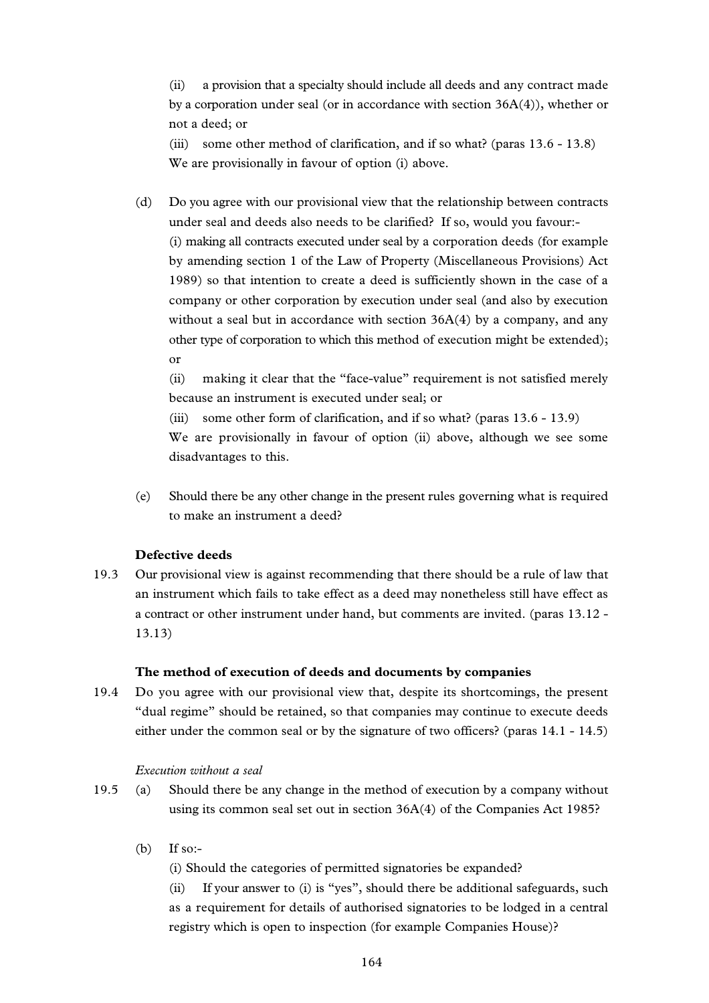(ii) a provision that a specialty should include all deeds and any contract made by a corporation under seal (or in accordance with section  $36A(4)$ ), whether or not a deed; or

(iii) some other method of clarification, and if so what? (paras 13.6 - 13.8) We are provisionally in favour of option (i) above.

(d) Do you agree with our provisional view that the relationship between contracts under seal and deeds also needs to be clarified? If so, would you favour:- (i) making all contracts executed under seal by a corporation deeds (for example by amending section 1 of the Law of Property (Miscellaneous Provisions) Act 1989) so that intention to create a deed is sufficiently shown in the case of a company or other corporation by execution under seal (and also by execution without a seal but in accordance with section  $36A(4)$  by a company, and any other type of corporation to which this method of execution might be extended); or

(ii) making it clear that the "face-value" requirement is not satisfied merely because an instrument is executed under seal; or

(iii) some other form of clarification, and if so what? (paras 13.6 - 13.9)

We are provisionally in favour of option (ii) above, although we see some disadvantages to this.

(e) Should there be any other change in the present rules governing what is required to make an instrument a deed?

# **Defective deeds**

19.3 Our provisional view is against recommending that there should be a rule of law that an instrument which fails to take effect as a deed may nonetheless still have effect as a contract or other instrument under hand, but comments are invited. (paras 13.12 - 13.13)

# **The method of execution of deeds and documents by companies**

19.4 Do you agree with our provisional view that, despite its shortcomings, the present "dual regime" should be retained, so that companies may continue to execute deeds either under the common seal or by the signature of two officers? (paras 14.1 - 14.5)

# *Execution without a seal*

- 19.5 (a) Should there be any change in the method of execution by a company without using its common seal set out in section 36A(4) of the Companies Act 1985?
	- $(b)$  If so:-

(i) Should the categories of permitted signatories be expanded?

(ii) If your answer to (i) is "yes", should there be additional safeguards, such as a requirement for details of authorised signatories to be lodged in a central registry which is open to inspection (for example Companies House)?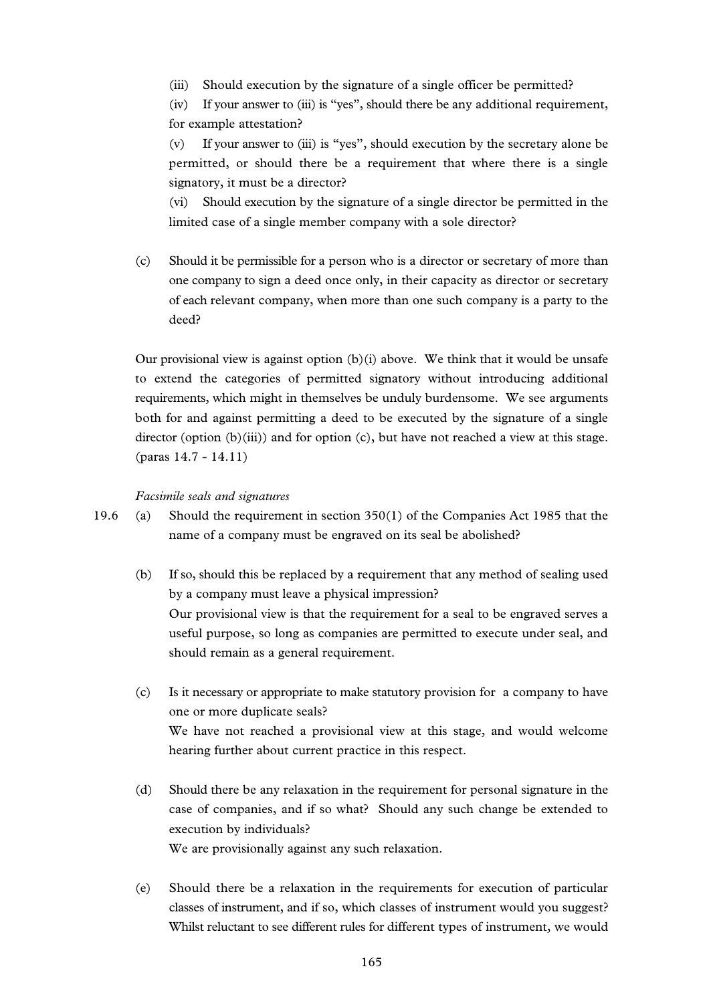(iii) Should execution by the signature of a single officer be permitted?

(iv) If your answer to (iii) is "yes", should there be any additional requirement, for example attestation?

(v) If your answer to (iii) is "yes", should execution by the secretary alone be permitted, or should there be a requirement that where there is a single signatory, it must be a director?

(vi) Should execution by the signature of a single director be permitted in the limited case of a single member company with a sole director?

(c) Should it be permissible for a person who is a director or secretary of more than one company to sign a deed once only, in their capacity as director or secretary of each relevant company, when more than one such company is a party to the deed?

Our provisional view is against option  $(b)(i)$  above. We think that it would be unsafe to extend the categories of permitted signatory without introducing additional requirements, which might in themselves be unduly burdensome. We see arguments both for and against permitting a deed to be executed by the signature of a single director (option  $(b)(iii)$ ) and for option (c), but have not reached a view at this stage. (paras 14.7 - 14.11)

# *Facsimile seals and signatures*

- 19.6 (a) Should the requirement in section 350(1) of the Companies Act 1985 that the name of a company must be engraved on its seal be abolished?
	- (b) If so, should this be replaced by a requirement that any method of sealing used by a company must leave a physical impression? Our provisional view is that the requirement for a seal to be engraved serves a useful purpose, so long as companies are permitted to execute under seal, and should remain as a general requirement.
	- (c) Is it necessary or appropriate to make statutory provision for a company to have one or more duplicate seals? We have not reached a provisional view at this stage, and would welcome hearing further about current practice in this respect.
	- (d) Should there be any relaxation in the requirement for personal signature in the case of companies, and if so what? Should any such change be extended to execution by individuals? We are provisionally against any such relaxation.
	- (e) Should there be a relaxation in the requirements for execution of particular classes of instrument, and if so, which classes of instrument would you suggest? Whilst reluctant to see different rules for different types of instrument, we would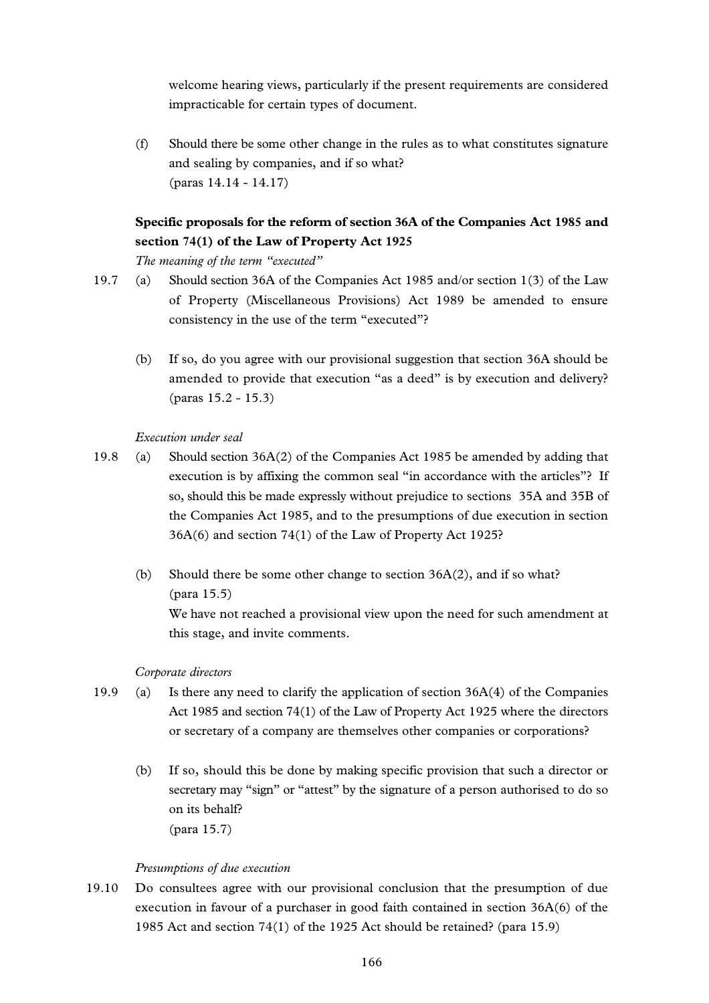welcome hearing views, particularly if the present requirements are considered impracticable for certain types of document.

(f) Should there be some other change in the rules as to what constitutes signature and sealing by companies, and if so what? (paras 14.14 - 14.17)

# **Specific proposals for the reform of section 36A of the Companies Act 1985 and section 74(1) of the Law of Property Act 1925**

*The meaning of the term "executed"*

- 19.7 (a) Should section 36A of the Companies Act 1985 and/or section 1(3) of the Law of Property (Miscellaneous Provisions) Act 1989 be amended to ensure consistency in the use of the term "executed"?
	- (b) If so, do you agree with our provisional suggestion that section 36A should be amended to provide that execution "as a deed" is by execution and delivery? (paras 15.2 - 15.3)

*Execution under seal*

- 19.8 (a) Should section 36A(2) of the Companies Act 1985 be amended by adding that execution is by affixing the common seal "in accordance with the articles"? If so, should this be made expressly without prejudice to sections 35A and 35B of the Companies Act 1985, and to the presumptions of due execution in section 36A(6) and section 74(1) of the Law of Property Act 1925?
	- (b) Should there be some other change to section  $36A(2)$ , and if so what? (para 15.5) We have not reached a provisional view upon the need for such amendment at this stage, and invite comments.

# *Corporate directors*

- 19.9 (a) Is there any need to clarify the application of section  $36A(4)$  of the Companies Act 1985 and section 74(1) of the Law of Property Act 1925 where the directors or secretary of a company are themselves other companies or corporations?
	- (b) If so, should this be done by making specific provision that such a director or secretary may "sign" or "attest" by the signature of a person authorised to do so on its behalf? (para 15.7)

# *Presumptions of due execution*

19.10 Do consultees agree with our provisional conclusion that the presumption of due execution in favour of a purchaser in good faith contained in section 36A(6) of the 1985 Act and section 74(1) of the 1925 Act should be retained? (para 15.9)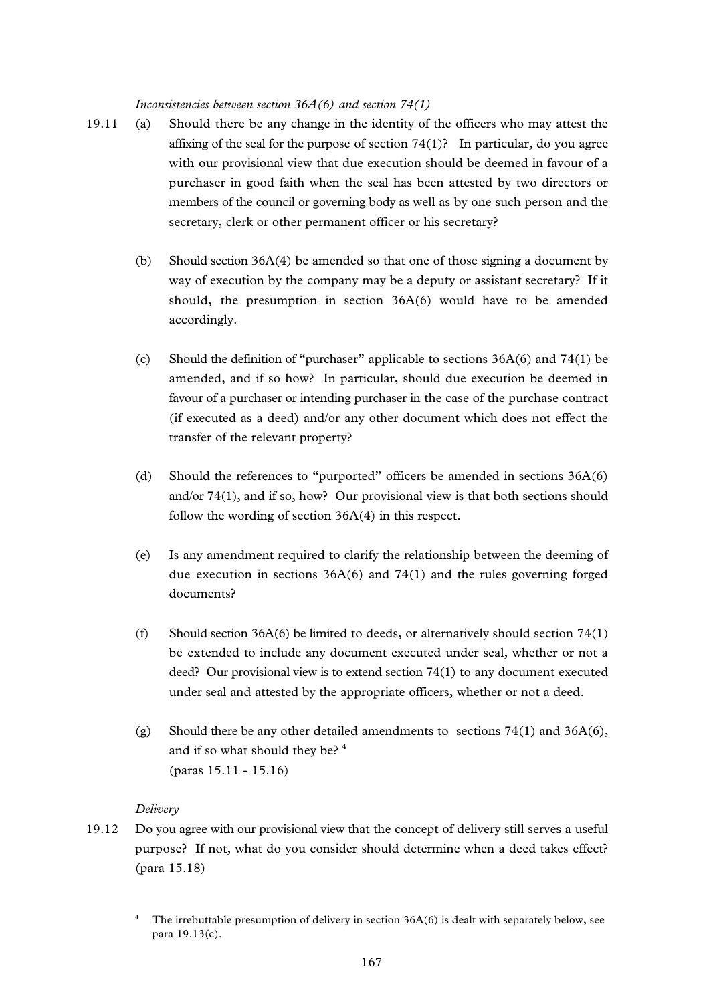### *Inconsistencies between section 36A(6) and section 74(1)*

- 19.11 (a) Should there be any change in the identity of the officers who may attest the affixing of the seal for the purpose of section  $74(1)$ ? In particular, do you agree with our provisional view that due execution should be deemed in favour of a purchaser in good faith when the seal has been attested by two directors or members of the council or governing body as well as by one such person and the secretary, clerk or other permanent officer or his secretary?
	- (b) Should section  $36A(4)$  be amended so that one of those signing a document by way of execution by the company may be a deputy or assistant secretary? If it should, the presumption in section 36A(6) would have to be amended accordingly.
	- (c) Should the definition of "purchaser" applicable to sections  $36A(6)$  and  $74(1)$  be amended, and if so how? In particular, should due execution be deemed in favour of a purchaser or intending purchaser in the case of the purchase contract (if executed as a deed) and/or any other document which does not effect the transfer of the relevant property?
	- (d) Should the references to "purported" officers be amended in sections 36A(6) and/or 74(1), and if so, how? Our provisional view is that both sections should follow the wording of section 36A(4) in this respect.
	- (e) Is any amendment required to clarify the relationship between the deeming of due execution in sections 36A(6) and 74(1) and the rules governing forged documents?
	- (f) Should section 36A(6) be limited to deeds, or alternatively should section  $74(1)$ be extended to include any document executed under seal, whether or not a deed? Our provisional view is to extend section 74(1) to any document executed under seal and attested by the appropriate officers, whether or not a deed.
	- (g) Should there be any other detailed amendments to sections  $74(1)$  and  $36A(6)$ , and if so what should they be?  $4$ (paras 15.11 - 15.16)

# *Delivery*

- 19.12 Do you agree with our provisional view that the concept of delivery still serves a useful purpose? If not, what do you consider should determine when a deed takes effect? (para 15.18)
	- <sup>4</sup> The irrebuttable presumption of delivery in section  $36A(6)$  is dealt with separately below, see para 19.13(c).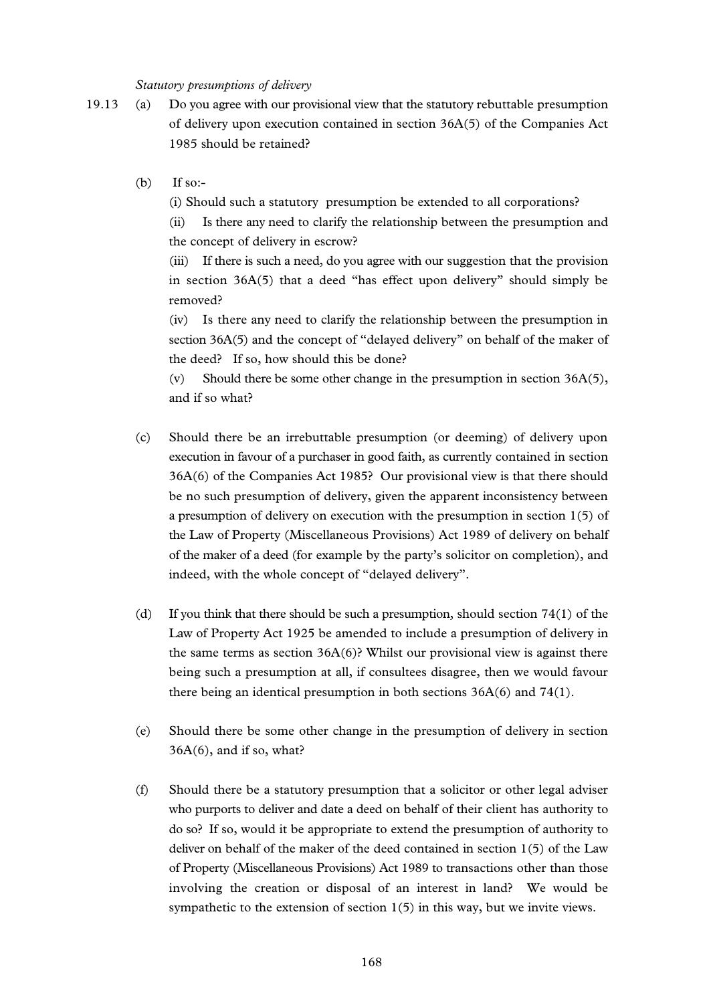#### *Statutory presumptions of delivery*

- 19.13 (a) Do you agree with our provisional view that the statutory rebuttable presumption of delivery upon execution contained in section 36A(5) of the Companies Act 1985 should be retained?
	- $(b)$  If so:-

(i) Should such a statutory presumption be extended to all corporations?

(ii) Is there any need to clarify the relationship between the presumption and the concept of delivery in escrow?

(iii) If there is such a need, do you agree with our suggestion that the provision in section 36A(5) that a deed "has effect upon delivery" should simply be removed?

(iv) Is there any need to clarify the relationship between the presumption in section 36A(5) and the concept of "delayed delivery" on behalf of the maker of the deed? If so, how should this be done?

(v) Should there be some other change in the presumption in section 36A(5), and if so what?

- (c) Should there be an irrebuttable presumption (or deeming) of delivery upon execution in favour of a purchaser in good faith, as currently contained in section 36A(6) of the Companies Act 1985? Our provisional view is that there should be no such presumption of delivery, given the apparent inconsistency between a presumption of delivery on execution with the presumption in section 1(5) of the Law of Property (Miscellaneous Provisions) Act 1989 of delivery on behalf of the maker of a deed (for example by the party's solicitor on completion), and indeed, with the whole concept of "delayed delivery".
- (d) If you think that there should be such a presumption, should section  $74(1)$  of the Law of Property Act 1925 be amended to include a presumption of delivery in the same terms as section  $36A(6)$ ? Whilst our provisional view is against there being such a presumption at all, if consultees disagree, then we would favour there being an identical presumption in both sections 36A(6) and 74(1).
- (e) Should there be some other change in the presumption of delivery in section  $36A(6)$ , and if so, what?
- (f) Should there be a statutory presumption that a solicitor or other legal adviser who purports to deliver and date a deed on behalf of their client has authority to do so? If so, would it be appropriate to extend the presumption of authority to deliver on behalf of the maker of the deed contained in section 1(5) of the Law of Property (Miscellaneous Provisions) Act 1989 to transactions other than those involving the creation or disposal of an interest in land? We would be sympathetic to the extension of section 1(5) in this way, but we invite views.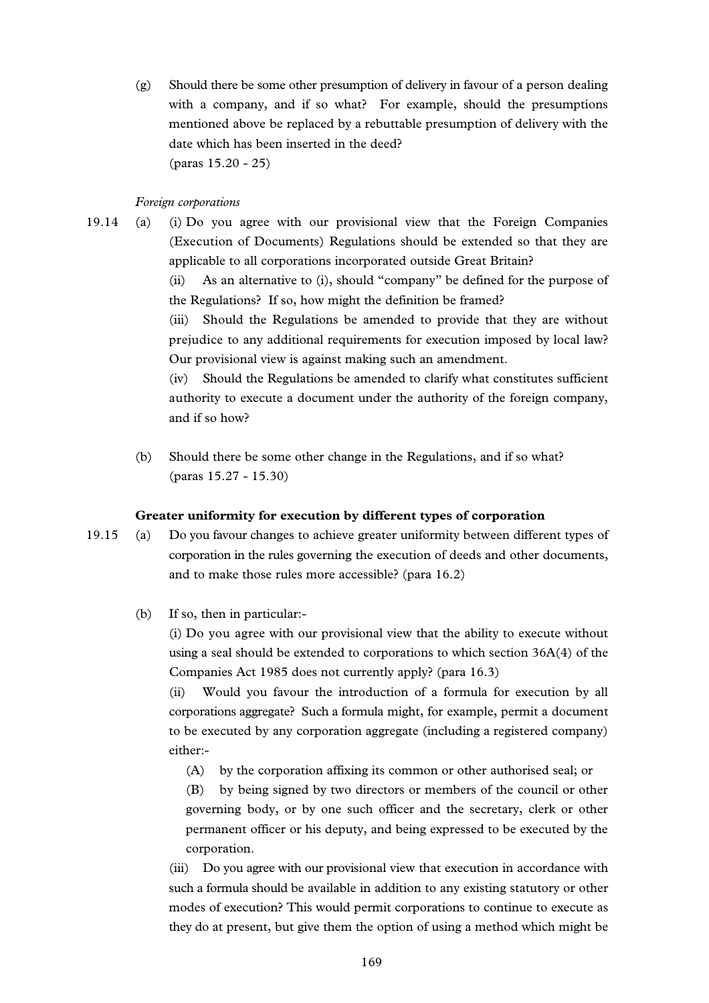(g) Should there be some other presumption of delivery in favour of a person dealing with a company, and if so what? For example, should the presumptions mentioned above be replaced by a rebuttable presumption of delivery with the date which has been inserted in the deed? (paras 15.20 - 25)

### *Foreign corporations*

19.14 (a) (i) Do you agree with our provisional view that the Foreign Companies (Execution of Documents) Regulations should be extended so that they are applicable to all corporations incorporated outside Great Britain?

> (ii) As an alternative to (i), should "company" be defined for the purpose of the Regulations? If so, how might the definition be framed?

> (iii) Should the Regulations be amended to provide that they are without prejudice to any additional requirements for execution imposed by local law? Our provisional view is against making such an amendment.

> (iv) Should the Regulations be amended to clarify what constitutes sufficient authority to execute a document under the authority of the foreign company, and if so how?

(b) Should there be some other change in the Regulations, and if so what? (paras 15.27 - 15.30)

### **Greater uniformity for execution by different types of corporation**

- 19.15 (a) Do you favour changes to achieve greater uniformity between different types of corporation in the rules governing the execution of deeds and other documents, and to make those rules more accessible? (para 16.2)
	- (b) If so, then in particular:-

(i) Do you agree with our provisional view that the ability to execute without using a seal should be extended to corporations to which section 36A(4) of the Companies Act 1985 does not currently apply? (para 16.3)

(ii) Would you favour the introduction of a formula for execution by all corporations aggregate? Such a formula might, for example, permit a document to be executed by any corporation aggregate (including a registered company) either:-

(A) by the corporation affixing its common or other authorised seal; or

(B) by being signed by two directors or members of the council or other governing body, or by one such officer and the secretary, clerk or other permanent officer or his deputy, and being expressed to be executed by the corporation.

(iii) Do you agree with our provisional view that execution in accordance with such a formula should be available in addition to any existing statutory or other modes of execution? This would permit corporations to continue to execute as they do at present, but give them the option of using a method which might be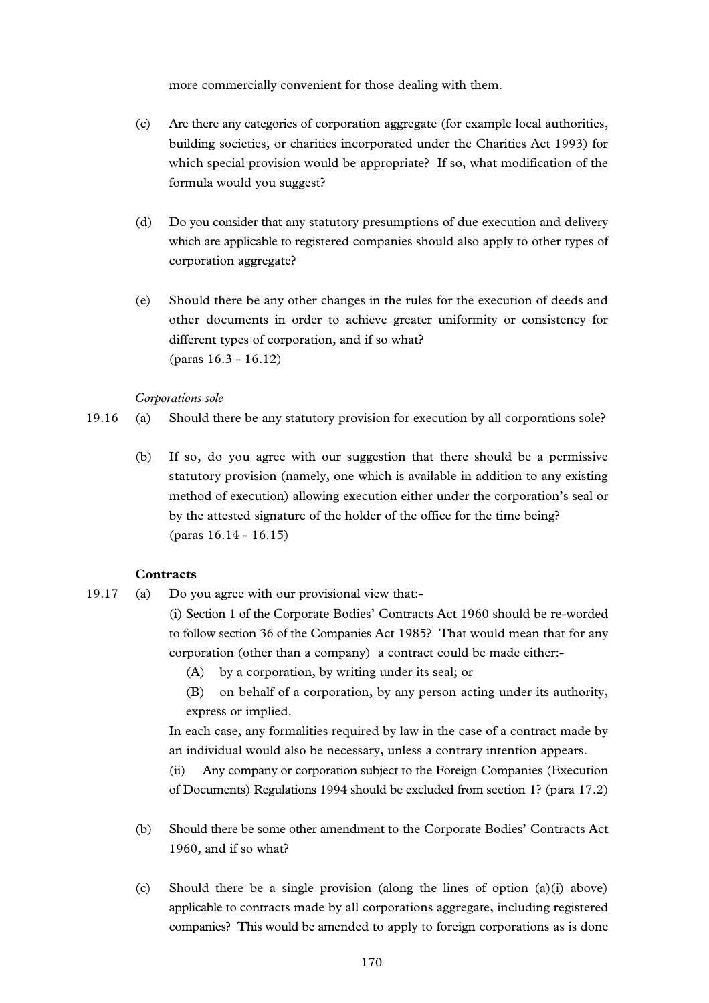more commercially convenient for those dealing with them.

- (c) Are there any categories of corporation aggregate (for example local authorities, building societies, or charities incorporated under the Charities Act 1993) for which special provision would be appropriate? If so, what modification of the formula would you suggest?
- (d) Do you consider that any statutory presumptions of due execution and delivery which are applicable to registered companies should also apply to other types of corporation aggregate?
- (e) Should there be any other changes in the rules for the execution of deeds and other documents in order to achieve greater uniformity or consistency for different types of corporation, and if so what? (paras 16.3 - 16.12)

#### *Corporations sole*

- 19.16 (a) Should there be any statutory provision for execution by all corporations sole?
	- (b) If so, do you agree with our suggestion that there should be a permissive statutory provision (namely, one which is available in addition to any existing method of execution) allowing execution either under the corporation's seal or by the attested signature of the holder of the office for the time being? (paras 16.14 - 16.15)

#### **Contracts**

19.17 (a) Do you agree with our provisional view that:-

(i) Section 1 of the Corporate Bodies' Contracts Act 1960 should be re-worded to follow section 36 of the Companies Act 1985? That would mean that for any corporation (other than a company) a contract could be made either:-

- (A) by a corporation, by writing under its seal; or
- (B) on behalf of a corporation, by any person acting under its authority, express or implied.

In each case, any formalities required by law in the case of a contract made by an individual would also be necessary, unless a contrary intention appears.

(ii) Any company or corporation subject to the Foreign Companies (Execution of Documents) Regulations 1994 should be excluded from section 1? (para 17.2)

- (b) Should there be some other amendment to the Corporate Bodies' Contracts Act 1960, and if so what?
- (c) Should there be a single provision (along the lines of option (a)(i) above) applicable to contracts made by all corporations aggregate, including registered companies? This would be amended to apply to foreign corporations as is done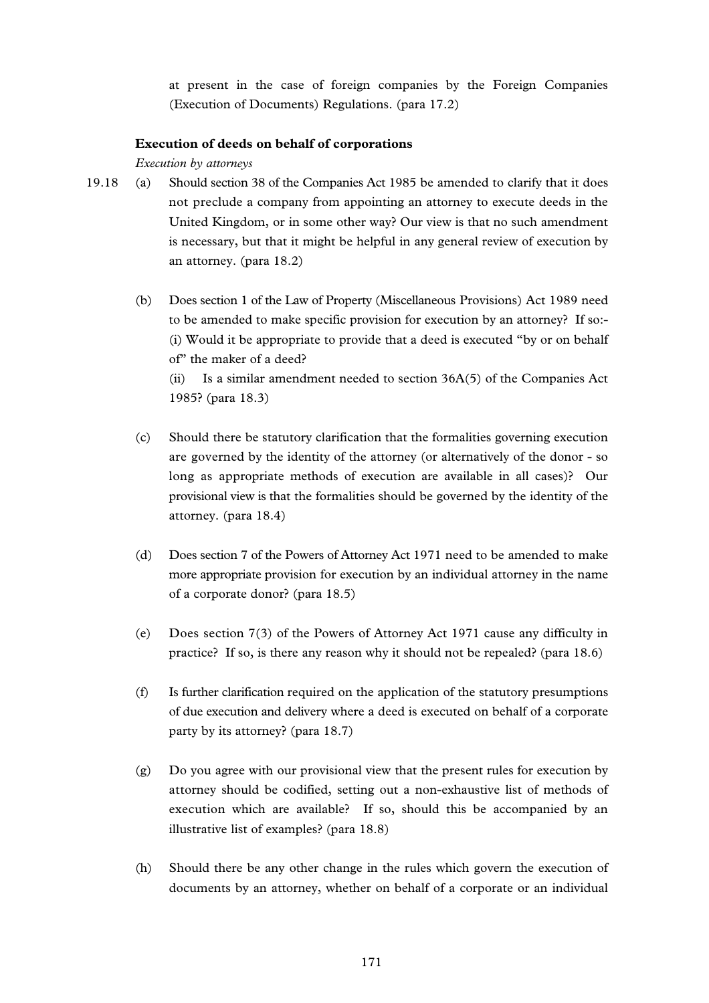at present in the case of foreign companies by the Foreign Companies (Execution of Documents) Regulations. (para 17.2)

# **Execution of deeds on behalf of corporations**

*Execution by attorneys*

- 19.18 (a) Should section 38 of the Companies Act 1985 be amended to clarify that it does not preclude a company from appointing an attorney to execute deeds in the United Kingdom, or in some other way? Our view is that no such amendment is necessary, but that it might be helpful in any general review of execution by an attorney. (para 18.2)
	- (b) Does section 1 of the Law of Property (Miscellaneous Provisions) Act 1989 need to be amended to make specific provision for execution by an attorney? If so:- (i) Would it be appropriate to provide that a deed is executed "by or on behalf of" the maker of a deed?

(ii) Is a similar amendment needed to section 36A(5) of the Companies Act 1985? (para 18.3)

- (c) Should there be statutory clarification that the formalities governing execution are governed by the identity of the attorney (or alternatively of the donor - so long as appropriate methods of execution are available in all cases)? Our provisional view is that the formalities should be governed by the identity of the attorney. (para 18.4)
- (d) Does section 7 of the Powers of Attorney Act 1971 need to be amended to make more appropriate provision for execution by an individual attorney in the name of a corporate donor? (para 18.5)
- (e) Does section 7(3) of the Powers of Attorney Act 1971 cause any difficulty in practice? If so, is there any reason why it should not be repealed? (para 18.6)
- (f) Is further clarification required on the application of the statutory presumptions of due execution and delivery where a deed is executed on behalf of a corporate party by its attorney? (para 18.7)
- (g) Do you agree with our provisional view that the present rules for execution by attorney should be codified, setting out a non-exhaustive list of methods of execution which are available? If so, should this be accompanied by an illustrative list of examples? (para 18.8)
- (h) Should there be any other change in the rules which govern the execution of documents by an attorney, whether on behalf of a corporate or an individual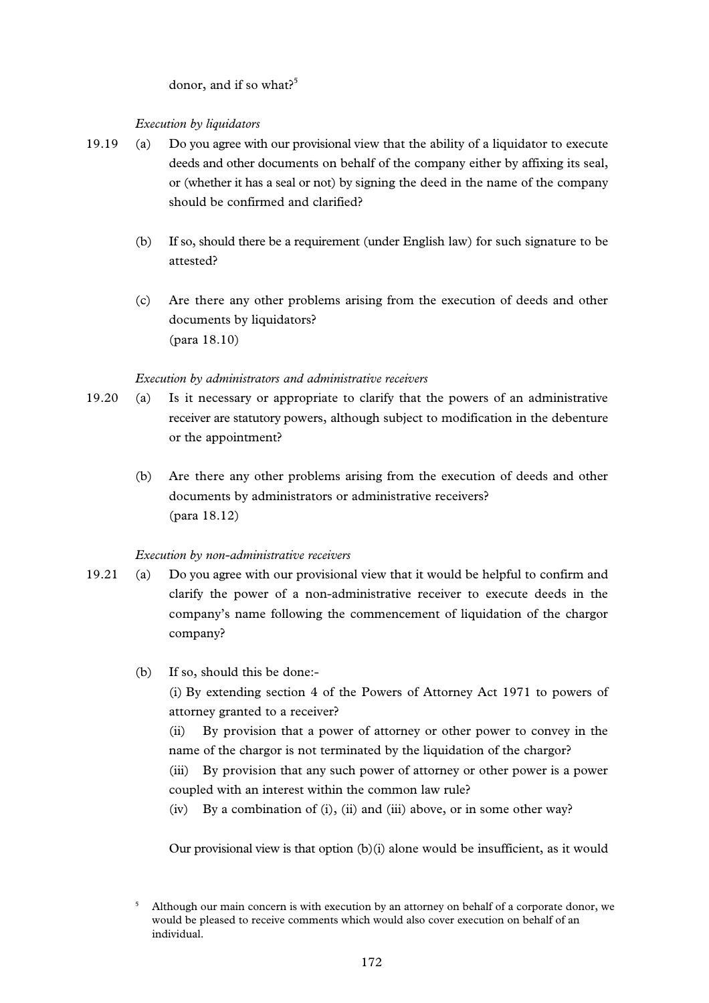donor, and if so what?<sup>5</sup>

*Execution by liquidators*

- 19.19 (a) Do you agree with our provisional view that the ability of a liquidator to execute deeds and other documents on behalf of the company either by affixing its seal, or (whether it has a seal or not) by signing the deed in the name of the company should be confirmed and clarified?
	- (b) If so, should there be a requirement (under English law) for such signature to be attested?
	- (c) Are there any other problems arising from the execution of deeds and other documents by liquidators? (para 18.10)

## *Execution by administrators and administrative receivers*

- 19.20 (a) Is it necessary or appropriate to clarify that the powers of an administrative receiver are statutory powers, although subject to modification in the debenture or the appointment?
	- (b) Are there any other problems arising from the execution of deeds and other documents by administrators or administrative receivers? (para 18.12)

# *Execution by non-administrative receivers*

- 19.21 (a) Do you agree with our provisional view that it would be helpful to confirm and clarify the power of a non-administrative receiver to execute deeds in the company's name following the commencement of liquidation of the chargor company?
	- (b) If so, should this be done:-

(i) By extending section 4 of the Powers of Attorney Act 1971 to powers of attorney granted to a receiver?

(ii) By provision that a power of attorney or other power to convey in the name of the chargor is not terminated by the liquidation of the chargor?

(iii) By provision that any such power of attorney or other power is a power coupled with an interest within the common law rule?

(iv) By a combination of (i), (ii) and (iii) above, or in some other way?

Our provisional view is that option (b)(i) alone would be insufficient, as it would

Although our main concern is with execution by an attorney on behalf of a corporate donor, we would be pleased to receive comments which would also cover execution on behalf of an individual.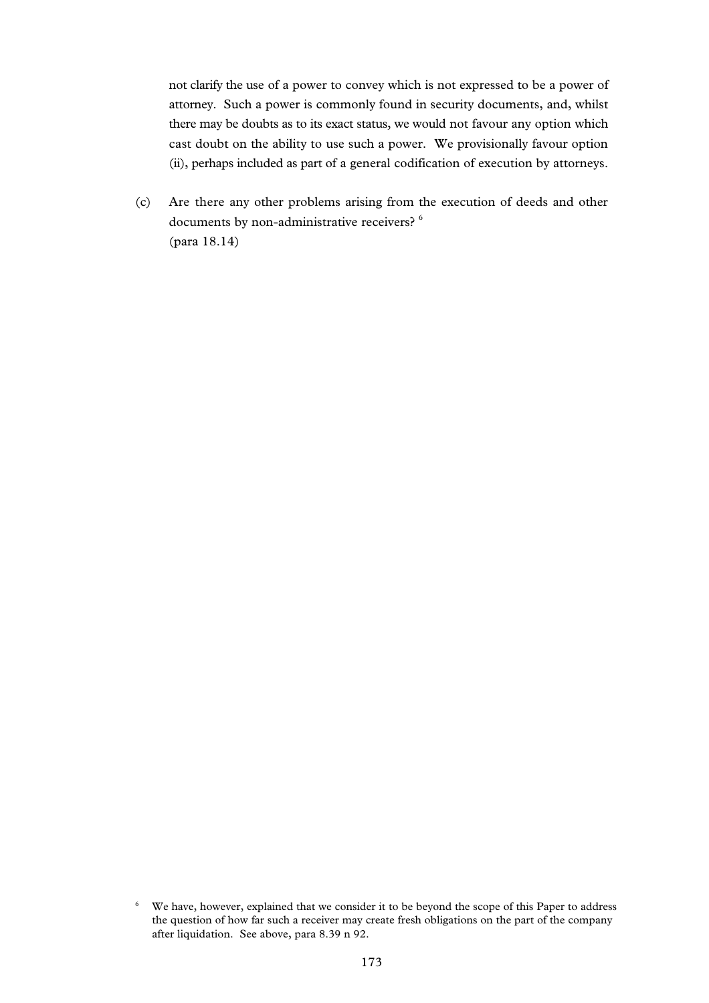not clarify the use of a power to convey which is not expressed to be a power of attorney. Such a power is commonly found in security documents, and, whilst there may be doubts as to its exact status, we would not favour any option which cast doubt on the ability to use such a power. We provisionally favour option (ii), perhaps included as part of a general codification of execution by attorneys.

(c) Are there any other problems arising from the execution of deeds and other documents by non-administrative receivers?<sup>6</sup> (para 18.14)

<sup>&</sup>lt;sup>6</sup> We have, however, explained that we consider it to be beyond the scope of this Paper to address the question of how far such a receiver may create fresh obligations on the part of the company after liquidation. See above, para 8.39 n 92.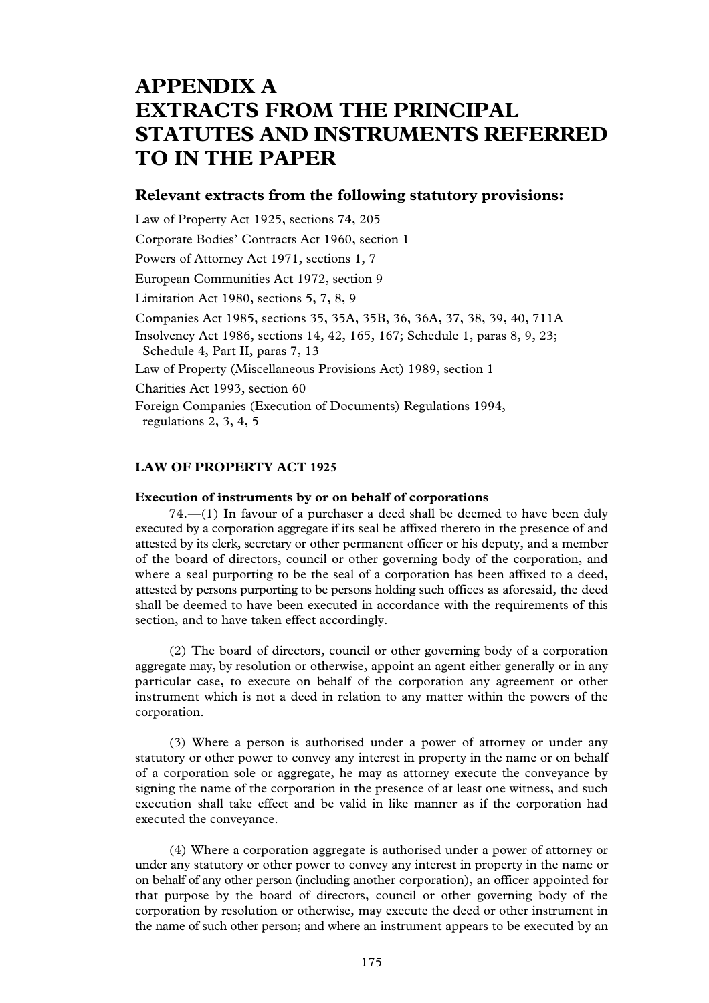# **APPENDIX A EXTRACTS FROM THE PRINCIPAL STATUTES AND INSTRUMENTS REFERRED TO IN THE PAPER**

# **Relevant extracts from the following statutory provisions:**

Law of Property Act 1925, sections 74, 205 Corporate Bodies' Contracts Act 1960, section 1 Powers of Attorney Act 1971, sections 1, 7 European Communities Act 1972, section 9 Limitation Act 1980, sections 5, 7, 8, 9 Companies Act 1985, sections 35, 35A, 35B, 36, 36A, 37, 38, 39, 40, 711A Insolvency Act 1986, sections 14, 42, 165, 167; Schedule 1, paras 8, 9, 23; Schedule 4, Part II, paras 7, 13 Law of Property (Miscellaneous Provisions Act) 1989, section 1 Charities Act 1993, section 60 Foreign Companies (Execution of Documents) Regulations 1994, regulations 2, 3, 4, 5

# **LAW OF PROPERTY ACT 1925**

## **Execution of instruments by or on behalf of corporations**

74.—(1) In favour of a purchaser a deed shall be deemed to have been duly executed by a corporation aggregate if its seal be affixed thereto in the presence of and attested by its clerk, secretary or other permanent officer or his deputy, and a member of the board of directors, council or other governing body of the corporation, and where a seal purporting to be the seal of a corporation has been affixed to a deed, attested by persons purporting to be persons holding such offices as aforesaid, the deed shall be deemed to have been executed in accordance with the requirements of this section, and to have taken effect accordingly.

(2) The board of directors, council or other governing body of a corporation aggregate may, by resolution or otherwise, appoint an agent either generally or in any particular case, to execute on behalf of the corporation any agreement or other instrument which is not a deed in relation to any matter within the powers of the corporation.

(3) Where a person is authorised under a power of attorney or under any statutory or other power to convey any interest in property in the name or on behalf of a corporation sole or aggregate, he may as attorney execute the conveyance by signing the name of the corporation in the presence of at least one witness, and such execution shall take effect and be valid in like manner as if the corporation had executed the conveyance.

(4) Where a corporation aggregate is authorised under a power of attorney or under any statutory or other power to convey any interest in property in the name or on behalf of any other person (including another corporation), an officer appointed for that purpose by the board of directors, council or other governing body of the corporation by resolution or otherwise, may execute the deed or other instrument in the name of such other person; and where an instrument appears to be executed by an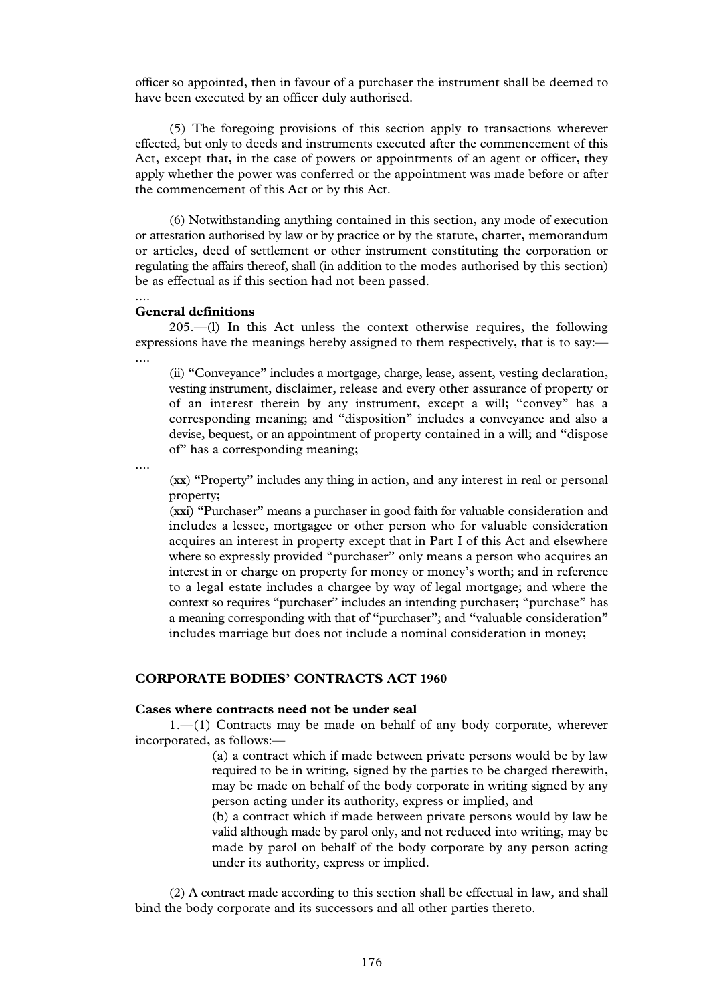officer so appointed, then in favour of a purchaser the instrument shall be deemed to have been executed by an officer duly authorised.

(5) The foregoing provisions of this section apply to transactions wherever effected, but only to deeds and instruments executed after the commencement of this Act, except that, in the case of powers or appointments of an agent or officer, they apply whether the power was conferred or the appointment was made before or after the commencement of this Act or by this Act.

(6) Notwithstanding anything contained in this section, any mode of execution or attestation authorised by law or by practice or by the statute, charter, memorandum or articles, deed of settlement or other instrument constituting the corporation or regulating the affairs thereof, shall (in addition to the modes authorised by this section) be as effectual as if this section had not been passed.

#### **General definitions**

205.—(l) In this Act unless the context otherwise requires, the following expressions have the meanings hereby assigned to them respectively, that is to say:— ....

(ii) "Conveyance" includes a mortgage, charge, lease, assent, vesting declaration, vesting instrument, disclaimer, release and every other assurance of property or of an interest therein by any instrument, except a will; "convey" has a corresponding meaning; and "disposition" includes a conveyance and also a devise, bequest, or an appointment of property contained in a will; and "dispose of" has a corresponding meaning;

....

....

(xx) "Property" includes any thing in action, and any interest in real or personal property;

(xxi) "Purchaser" means a purchaser in good faith for valuable consideration and includes a lessee, mortgagee or other person who for valuable consideration acquires an interest in property except that in Part I of this Act and elsewhere where so expressly provided "purchaser" only means a person who acquires an interest in or charge on property for money or money's worth; and in reference to a legal estate includes a chargee by way of legal mortgage; and where the context so requires "purchaser" includes an intending purchaser; "purchase" has a meaning corresponding with that of "purchaser"; and "valuable consideration" includes marriage but does not include a nominal consideration in money;

#### **CORPORATE BODIES' CONTRACTS ACT 1960**

## **Cases where contracts need not be under seal**

1.—(1) Contracts may be made on behalf of any body corporate, wherever incorporated, as follows:—

> (a) a contract which if made between private persons would be by law required to be in writing, signed by the parties to be charged therewith, may be made on behalf of the body corporate in writing signed by any person acting under its authority, express or implied, and

> (b) a contract which if made between private persons would by law be valid although made by parol only, and not reduced into writing, may be made by parol on behalf of the body corporate by any person acting under its authority, express or implied.

(2) A contract made according to this section shall be effectual in law, and shall bind the body corporate and its successors and all other parties thereto.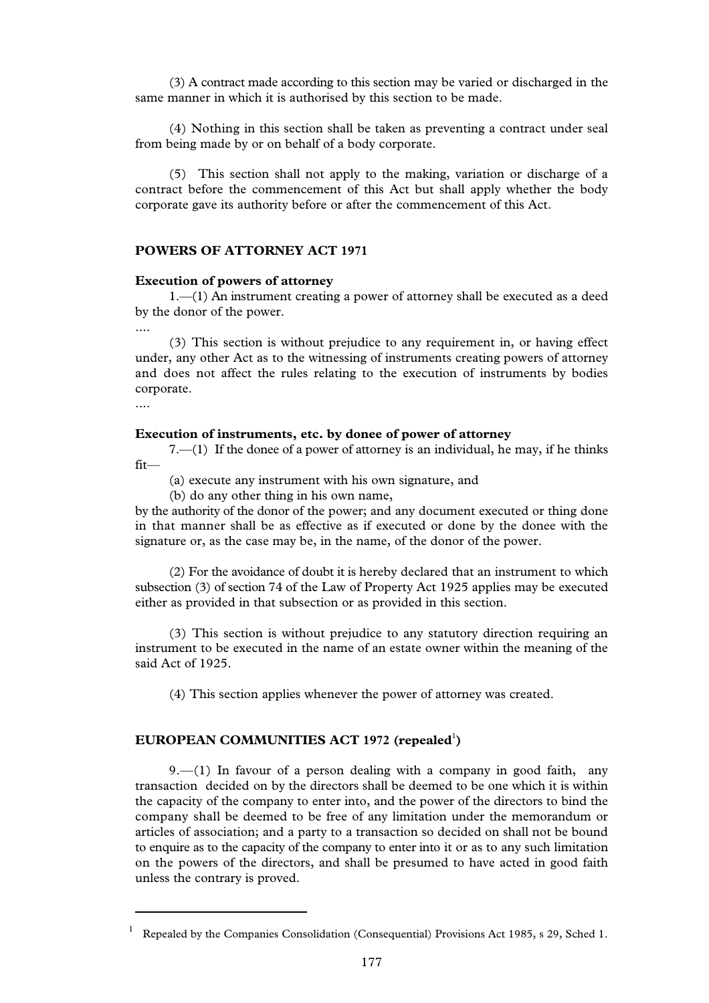(3) A contract made according to this section may be varied or discharged in the same manner in which it is authorised by this section to be made.

(4) Nothing in this section shall be taken as preventing a contract under seal from being made by or on behalf of a body corporate.

(5) This section shall not apply to the making, variation or discharge of a contract before the commencement of this Act but shall apply whether the body corporate gave its authority before or after the commencement of this Act.

## **POWERS OF ATTORNEY ACT 1971**

#### **Execution of powers of attorney**

1.—(1) An instrument creating a power of attorney shall be executed as a deed by the donor of the power.

....

(3) This section is without prejudice to any requirement in, or having effect under, any other Act as to the witnessing of instruments creating powers of attorney and does not affect the rules relating to the execution of instruments by bodies corporate.

....

#### **Execution of instruments, etc. by donee of power of attorney**

 $7.$ —(1) If the donee of a power of attorney is an individual, he may, if he thinks fit—

(a) execute any instrument with his own signature, and

(b) do any other thing in his own name,

by the authority of the donor of the power; and any document executed or thing done in that manner shall be as effective as if executed or done by the donee with the signature or, as the case may be, in the name, of the donor of the power.

(2) For the avoidance of doubt it is hereby declared that an instrument to which subsection (3) of section 74 of the Law of Property Act 1925 applies may be executed either as provided in that subsection or as provided in this section.

(3) This section is without prejudice to any statutory direction requiring an instrument to be executed in the name of an estate owner within the meaning of the said Act of 1925.

(4) This section applies whenever the power of attorney was created.

# **EUROPEAN COMMUNITIES ACT 1972 (repealed<sup>1</sup>)**

9.—(1) In favour of a person dealing with a company in good faith, any transaction decided on by the directors shall be deemed to be one which it is within the capacity of the company to enter into, and the power of the directors to bind the company shall be deemed to be free of any limitation under the memorandum or articles of association; and a party to a transaction so decided on shall not be bound to enquire as to the capacity of the company to enter into it or as to any such limitation on the powers of the directors, and shall be presumed to have acted in good faith unless the contrary is proved.

Repealed by the Companies Consolidation (Consequential) Provisions Act 1985, s 29, Sched 1.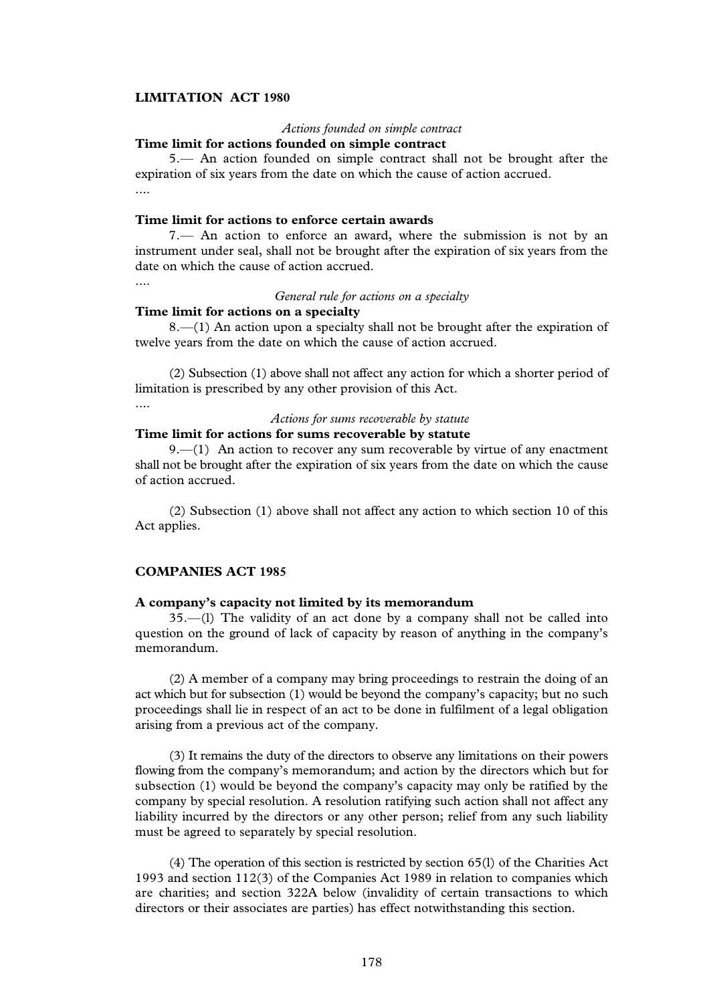## **LIMITATION ACT 1980**

#### *Actions founded on simple contract*

#### **Time limit for actions founded on simple contract**

5.— An action founded on simple contract shall not be brought after the expiration of six years from the date on which the cause of action accrued. ....

#### **Time limit for actions to enforce certain awards**

7.— An action to enforce an award, where the submission is not by an instrument under seal, shall not be brought after the expiration of six years from the date on which the cause of action accrued.

....

## *General rule for actions on a specialty*

#### **Time limit for actions on a specialty**

8.—(1) An action upon a specialty shall not be brought after the expiration of twelve years from the date on which the cause of action accrued.

(2) Subsection (1) above shall not affect any action for which a shorter period of limitation is prescribed by any other provision of this Act.

....

# *Actions for sums recoverable by statute*

## **Time limit for actions for sums recoverable by statute**

 $9-(1)$  An action to recover any sum recoverable by virtue of any enactment shall not be brought after the expiration of six years from the date on which the cause of action accrued.

(2) Subsection (1) above shall not affect any action to which section 10 of this Act applies.

#### **COMPANIES ACT 1985**

#### **A company's capacity not limited by its memorandum**

35.—(l) The validity of an act done by a company shall not be called into question on the ground of lack of capacity by reason of anything in the company's memorandum.

(2) A member of a company may bring proceedings to restrain the doing of an act which but for subsection (1) would be beyond the company's capacity; but no such proceedings shall lie in respect of an act to be done in fulfilment of a legal obligation arising from a previous act of the company.

(3) It remains the duty of the directors to observe any limitations on their powers flowing from the company's memorandum; and action by the directors which but for subsection (1) would be beyond the company's capacity may only be ratified by the company by special resolution. A resolution ratifying such action shall not affect any liability incurred by the directors or any other person; relief from any such liability must be agreed to separately by special resolution.

(4) The operation of this section is restricted by section 65(l) of the Charities Act 1993 and section 112(3) of the Companies Act 1989 in relation to companies which are charities; and section 322A below (invalidity of certain transactions to which directors or their associates are parties) has effect notwithstanding this section.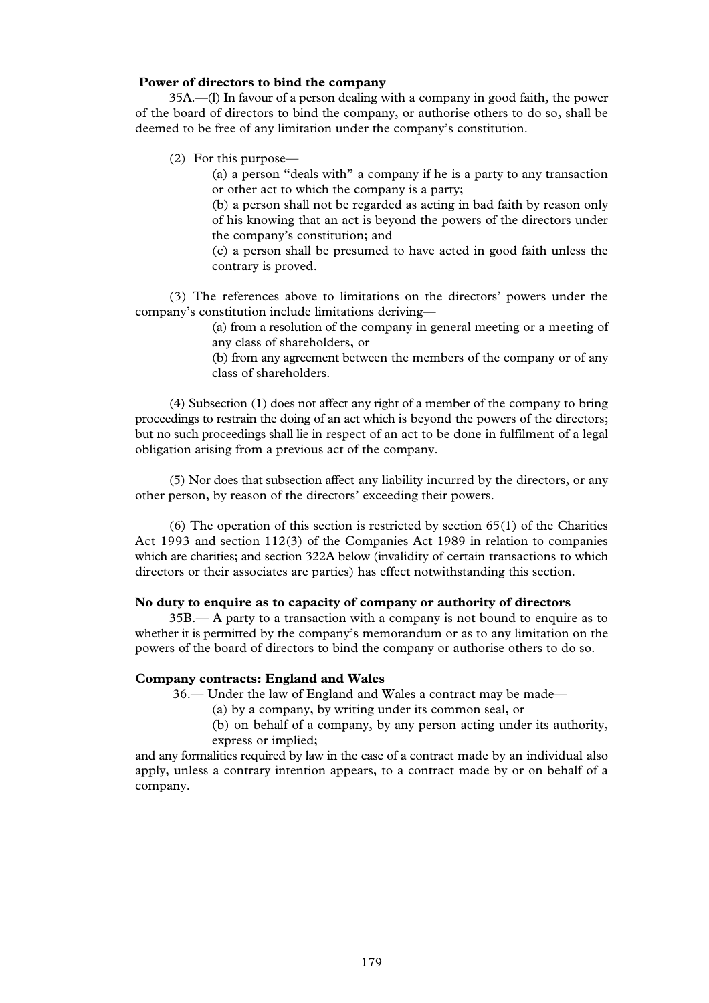## **Power of directors to bind the company**

35A.—(l) In favour of a person dealing with a company in good faith, the power of the board of directors to bind the company, or authorise others to do so, shall be deemed to be free of any limitation under the company's constitution.

(2) For this purpose—

(a) a person "deals with" a company if he is a party to any transaction or other act to which the company is a party;

(b) a person shall not be regarded as acting in bad faith by reason only of his knowing that an act is beyond the powers of the directors under the company's constitution; and

(c) a person shall be presumed to have acted in good faith unless the contrary is proved.

(3) The references above to limitations on the directors' powers under the company's constitution include limitations deriving—

> (a) from a resolution of the company in general meeting or a meeting of any class of shareholders, or

> (b) from any agreement between the members of the company or of any class of shareholders.

(4) Subsection (1) does not affect any right of a member of the company to bring proceedings to restrain the doing of an act which is beyond the powers of the directors; but no such proceedings shall lie in respect of an act to be done in fulfilment of a legal obligation arising from a previous act of the company.

(5) Nor does that subsection affect any liability incurred by the directors, or any other person, by reason of the directors' exceeding their powers.

(6) The operation of this section is restricted by section  $65(1)$  of the Charities Act 1993 and section 112(3) of the Companies Act 1989 in relation to companies which are charities; and section 322A below (invalidity of certain transactions to which directors or their associates are parties) has effect notwithstanding this section.

## **No duty to enquire as to capacity of company or authority of directors**

35B.— A party to a transaction with a company is not bound to enquire as to whether it is permitted by the company's memorandum or as to any limitation on the powers of the board of directors to bind the company or authorise others to do so.

## **Company contracts: England and Wales**

36.— Under the law of England and Wales a contract may be made—

- (a) by a company, by writing under its common seal, or
- (b) on behalf of a company, by any person acting under its authority, express or implied;

and any formalities required by law in the case of a contract made by an individual also apply, unless a contrary intention appears, to a contract made by or on behalf of a company.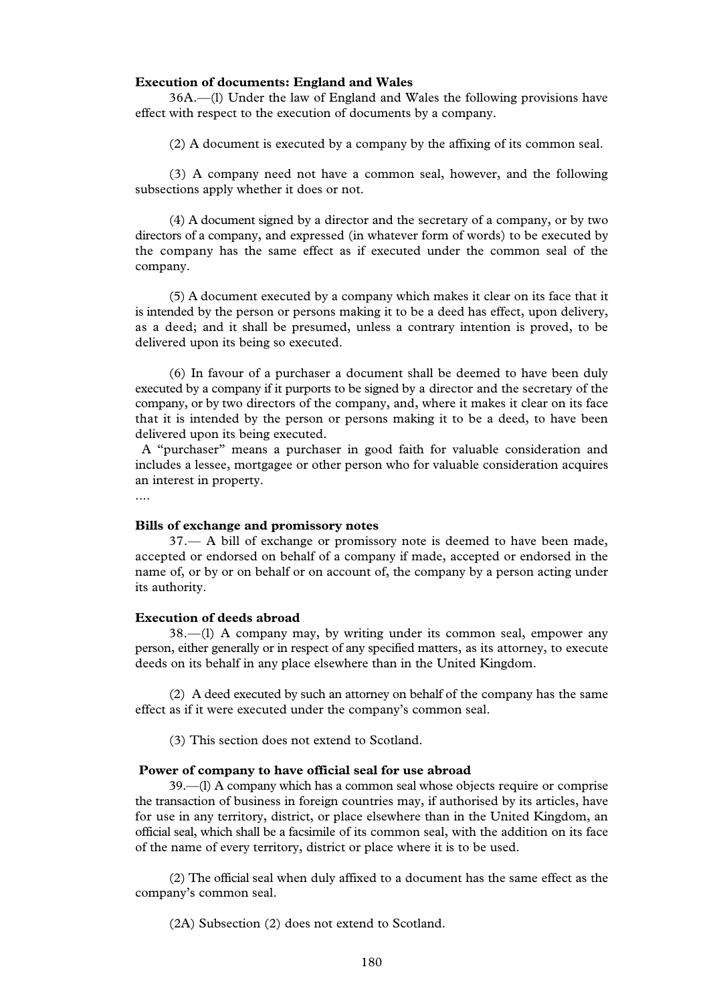#### **Execution of documents: England and Wales**

36A.—(l) Under the law of England and Wales the following provisions have effect with respect to the execution of documents by a company.

(2) A document is executed by a company by the affixing of its common seal.

(3) A company need not have a common seal, however, and the following subsections apply whether it does or not.

(4) A document signed by a director and the secretary of a company, or by two directors of a company, and expressed (in whatever form of words) to be executed by the company has the same effect as if executed under the common seal of the company.

(5) A document executed by a company which makes it clear on its face that it is intended by the person or persons making it to be a deed has effect, upon delivery, as a deed; and it shall be presumed, unless a contrary intention is proved, to be delivered upon its being so executed.

(6) In favour of a purchaser a document shall be deemed to have been duly executed by a company if it purports to be signed by a director and the secretary of the company, or by two directors of the company, and, where it makes it clear on its face that it is intended by the person or persons making it to be a deed, to have been delivered upon its being executed.

A "purchaser" means a purchaser in good faith for valuable consideration and includes a lessee, mortgagee or other person who for valuable consideration acquires an interest in property.

....

#### **Bills of exchange and promissory notes**

37.— A bill of exchange or promissory note is deemed to have been made, accepted or endorsed on behalf of a company if made, accepted or endorsed in the name of, or by or on behalf or on account of, the company by a person acting under its authority.

#### **Execution of deeds abroad**

38.—(l) A company may, by writing under its common seal, empower any person, either generally or in respect of any specified matters, as its attorney, to execute deeds on its behalf in any place elsewhere than in the United Kingdom.

(2) A deed executed by such an attorney on behalf of the company has the same effect as if it were executed under the company's common seal.

(3) This section does not extend to Scotland.

#### **Power of company to have official seal for use abroad**

39.—(l) A company which has a common seal whose objects require or comprise the transaction of business in foreign countries may, if authorised by its articles, have for use in any territory, district, or place elsewhere than in the United Kingdom, an official seal, which shall be a facsimile of its common seal, with the addition on its face of the name of every territory, district or place where it is to be used.

(2) The official seal when duly affixed to a document has the same effect as the company's common seal.

(2A) Subsection (2) does not extend to Scotland.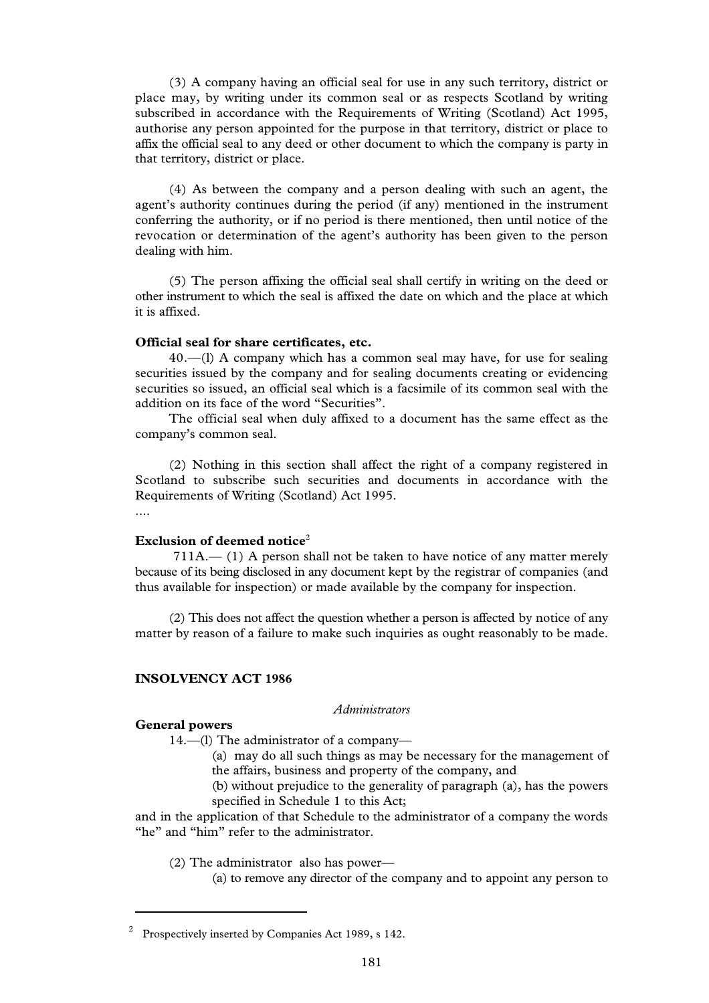(3) A company having an official seal for use in any such territory, district or place may, by writing under its common seal or as respects Scotland by writing subscribed in accordance with the Requirements of Writing (Scotland) Act 1995, authorise any person appointed for the purpose in that territory, district or place to affix the official seal to any deed or other document to which the company is party in that territory, district or place.

(4) As between the company and a person dealing with such an agent, the agent's authority continues during the period (if any) mentioned in the instrument conferring the authority, or if no period is there mentioned, then until notice of the revocation or determination of the agent's authority has been given to the person dealing with him.

(5) The person affixing the official seal shall certify in writing on the deed or other instrument to which the seal is affixed the date on which and the place at which it is affixed.

## **Official seal for share certificates, etc.**

40.—(l) A company which has a common seal may have, for use for sealing securities issued by the company and for sealing documents creating or evidencing securities so issued, an official seal which is a facsimile of its common seal with the addition on its face of the word "Securities".

The official seal when duly affixed to a document has the same effect as the company's common seal.

(2) Nothing in this section shall affect the right of a company registered in Scotland to subscribe such securities and documents in accordance with the Requirements of Writing (Scotland) Act 1995.

....

## **Exclusion of deemed notice**<sup>2</sup>

711A.— (1) A person shall not be taken to have notice of any matter merely because of its being disclosed in any document kept by the registrar of companies (and thus available for inspection) or made available by the company for inspection.

(2) This does not affect the question whether a person is affected by notice of any matter by reason of a failure to make such inquiries as ought reasonably to be made.

## **INSOLVENCY ACT 1986**

## *Administrators*

#### **General powers**

14.—(l) The administrator of a company—

- (a) may do all such things as may be necessary for the management of the affairs, business and property of the company, and
- (b) without prejudice to the generality of paragraph (a), has the powers specified in Schedule 1 to this Act;

and in the application of that Schedule to the administrator of a company the words "he" and "him" refer to the administrator.

(2) The administrator also has power—

(a) to remove any director of the company and to appoint any person to

Prospectively inserted by Companies Act 1989, s 142.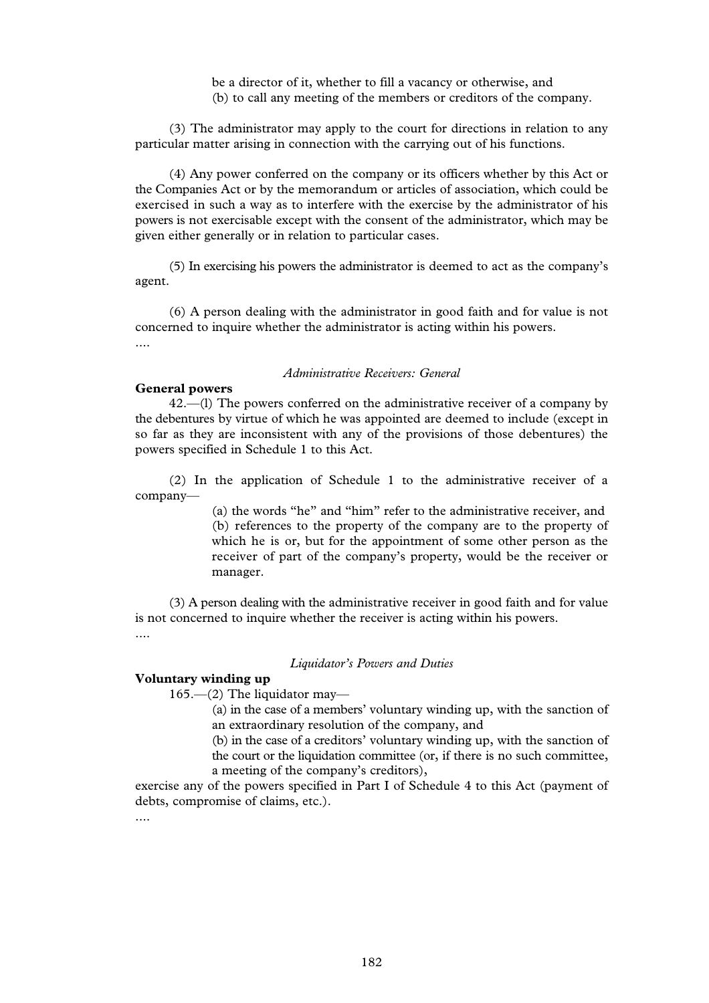be a director of it, whether to fill a vacancy or otherwise, and (b) to call any meeting of the members or creditors of the company.

(3) The administrator may apply to the court for directions in relation to any particular matter arising in connection with the carrying out of his functions.

(4) Any power conferred on the company or its officers whether by this Act or the Companies Act or by the memorandum or articles of association, which could be exercised in such a way as to interfere with the exercise by the administrator of his powers is not exercisable except with the consent of the administrator, which may be given either generally or in relation to particular cases.

(5) In exercising his powers the administrator is deemed to act as the company's agent.

(6) A person dealing with the administrator in good faith and for value is not concerned to inquire whether the administrator is acting within his powers. ....

# *Administrative Receivers: General*

#### **General powers**

42.—(l) The powers conferred on the administrative receiver of a company by the debentures by virtue of which he was appointed are deemed to include (except in so far as they are inconsistent with any of the provisions of those debentures) the powers specified in Schedule 1 to this Act.

(2) In the application of Schedule 1 to the administrative receiver of a company—

> (a) the words "he" and "him" refer to the administrative receiver, and (b) references to the property of the company are to the property of which he is or, but for the appointment of some other person as the receiver of part of the company's property, would be the receiver or manager.

(3) A person dealing with the administrative receiver in good faith and for value is not concerned to inquire whether the receiver is acting within his powers. ....

#### *Liquidator's Powers and Duties*

## **Voluntary winding up**

165.—(2) The liquidator may—

(a) in the case of a members' voluntary winding up, with the sanction of an extraordinary resolution of the company, and

(b) in the case of a creditors' voluntary winding up, with the sanction of the court or the liquidation committee (or, if there is no such committee, a meeting of the company's creditors),

exercise any of the powers specified in Part I of Schedule 4 to this Act (payment of debts, compromise of claims, etc.).

....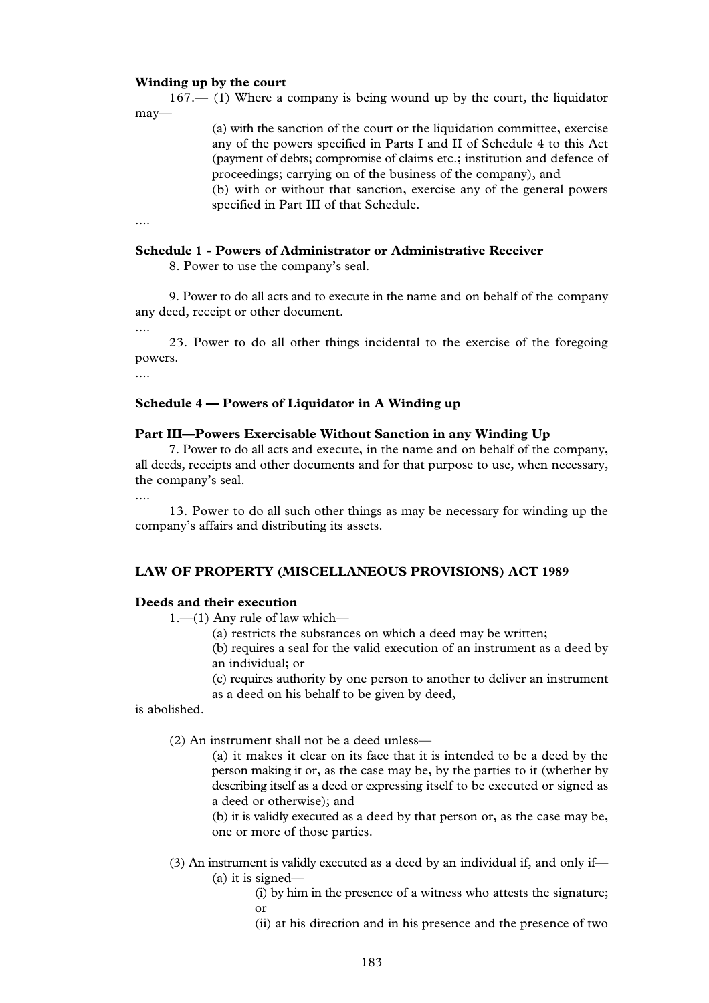#### **Winding up by the court**

167.— (1) Where a company is being wound up by the court, the liquidator may—

> (a) with the sanction of the court or the liquidation committee, exercise any of the powers specified in Parts I and II of Schedule 4 to this Act (payment of debts; compromise of claims etc.; institution and defence of proceedings; carrying on of the business of the company), and

> (b) with or without that sanction, exercise any of the general powers specified in Part III of that Schedule.

....

# **Schedule 1 - Powers of Administrator or Administrative Receiver**

8. Power to use the company's seal.

9. Power to do all acts and to execute in the name and on behalf of the company any deed, receipt or other document.

....

23. Power to do all other things incidental to the exercise of the foregoing powers.

....

## **Schedule 4 — Powers of Liquidator in A Winding up**

#### **Part III—Powers Exercisable Without Sanction in any Winding Up**

7. Power to do all acts and execute, in the name and on behalf of the company, all deeds, receipts and other documents and for that purpose to use, when necessary, the company's seal.

....

13. Power to do all such other things as may be necessary for winding up the company's affairs and distributing its assets.

#### **LAW OF PROPERTY (MISCELLANEOUS PROVISIONS) ACT 1989**

## **Deeds and their execution**

- 1.—(1) Any rule of law which—
	- (a) restricts the substances on which a deed may be written;
	- (b) requires a seal for the valid execution of an instrument as a deed by an individual; or

(c) requires authority by one person to another to deliver an instrument as a deed on his behalf to be given by deed,

is abolished.

(2) An instrument shall not be a deed unless—

(a) it makes it clear on its face that it is intended to be a deed by the person making it or, as the case may be, by the parties to it (whether by describing itself as a deed or expressing itself to be executed or signed as a deed or otherwise); and

(b) it is validly executed as a deed by that person or, as the case may be, one or more of those parties.

- (3) An instrument is validly executed as a deed by an individual if, and only if— (a) it is signed—
	- (i) by him in the presence of a witness who attests the signature; or
	- (ii) at his direction and in his presence and the presence of two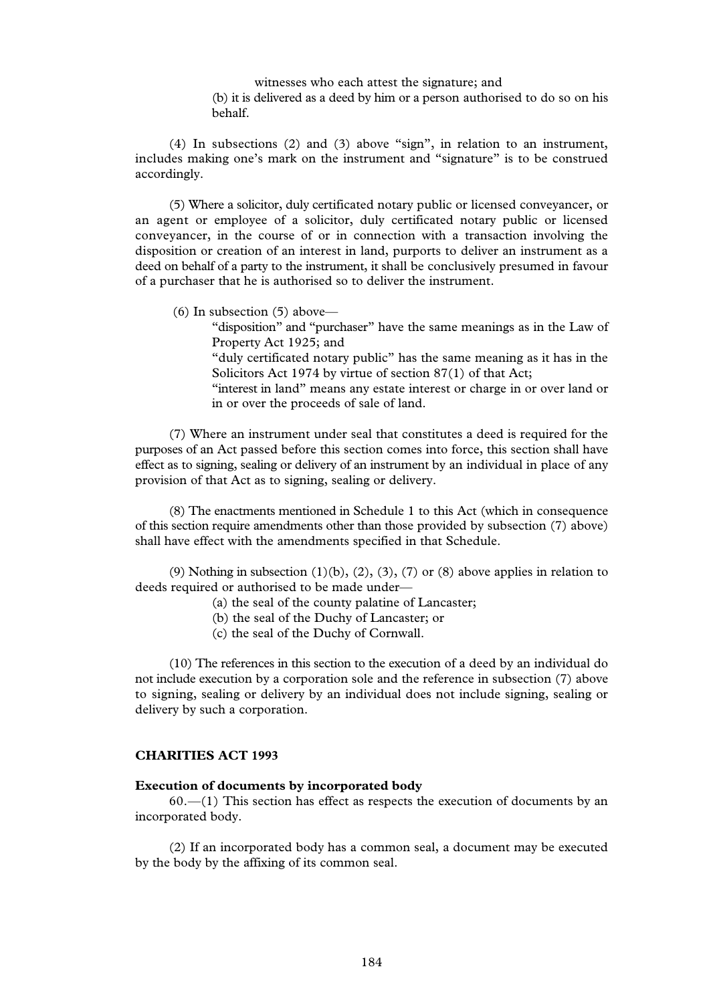witnesses who each attest the signature; and (b) it is delivered as a deed by him or a person authorised to do so on his behalf.

(4) In subsections (2) and (3) above "sign", in relation to an instrument, includes making one's mark on the instrument and "signature" is to be construed accordingly.

(5) Where a solicitor, duly certificated notary public or licensed conveyancer, or an agent or employee of a solicitor, duly certificated notary public or licensed conveyancer, in the course of or in connection with a transaction involving the disposition or creation of an interest in land, purports to deliver an instrument as a deed on behalf of a party to the instrument, it shall be conclusively presumed in favour of a purchaser that he is authorised so to deliver the instrument.

(6) In subsection (5) above—

"disposition" and "purchaser" have the same meanings as in the Law of Property Act 1925; and

"duly certificated notary public" has the same meaning as it has in the Solicitors Act 1974 by virtue of section 87(1) of that Act;

"interest in land" means any estate interest or charge in or over land or in or over the proceeds of sale of land.

(7) Where an instrument under seal that constitutes a deed is required for the purposes of an Act passed before this section comes into force, this section shall have effect as to signing, sealing or delivery of an instrument by an individual in place of any provision of that Act as to signing, sealing or delivery.

(8) The enactments mentioned in Schedule 1 to this Act (which in consequence of this section require amendments other than those provided by subsection (7) above) shall have effect with the amendments specified in that Schedule.

(9) Nothing in subsection  $(1)(b)$ ,  $(2)$ ,  $(3)$ ,  $(7)$  or  $(8)$  above applies in relation to deeds required or authorised to be made under—

- (a) the seal of the county palatine of Lancaster;
- (b) the seal of the Duchy of Lancaster; or
- (c) the seal of the Duchy of Cornwall.

(10) The references in this section to the execution of a deed by an individual do not include execution by a corporation sole and the reference in subsection (7) above to signing, sealing or delivery by an individual does not include signing, sealing or delivery by such a corporation.

## **CHARITIES ACT 1993**

#### **Execution of documents by incorporated body**

 $60$ .—(1) This section has effect as respects the execution of documents by an incorporated body.

(2) If an incorporated body has a common seal, a document may be executed by the body by the affixing of its common seal.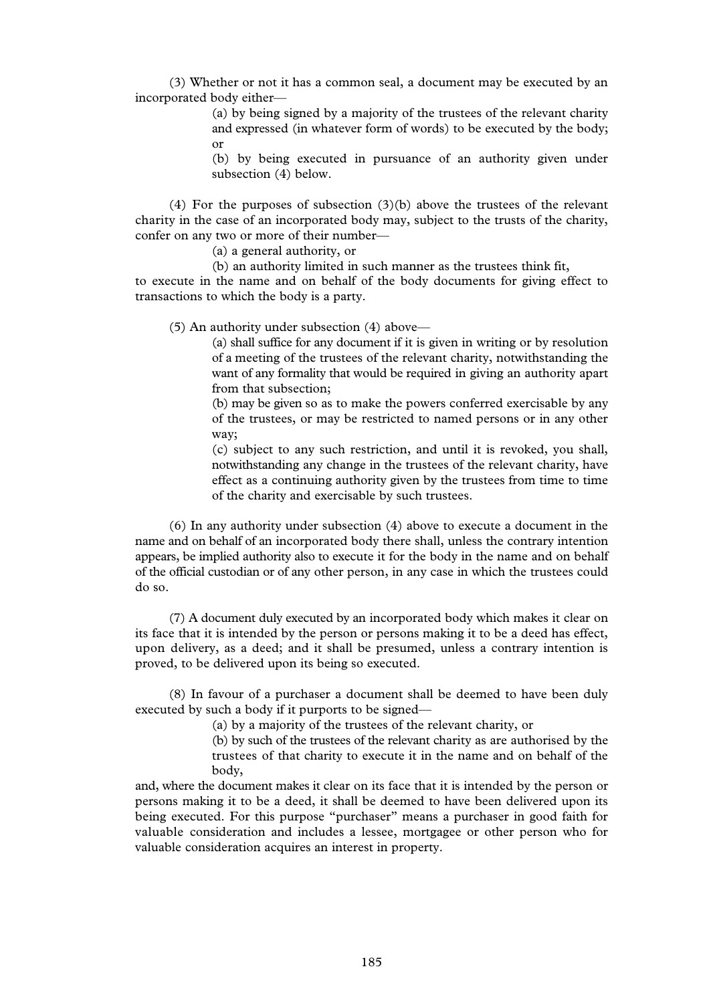(3) Whether or not it has a common seal, a document may be executed by an incorporated body either—

> (a) by being signed by a majority of the trustees of the relevant charity and expressed (in whatever form of words) to be executed by the body; or

> (b) by being executed in pursuance of an authority given under subsection (4) below.

(4) For the purposes of subsection (3)(b) above the trustees of the relevant charity in the case of an incorporated body may, subject to the trusts of the charity, confer on any two or more of their number—

(a) a general authority, or

(b) an authority limited in such manner as the trustees think fit,

to execute in the name and on behalf of the body documents for giving effect to transactions to which the body is a party.

(5) An authority under subsection (4) above—

(a) shall suffice for any document if it is given in writing or by resolution of a meeting of the trustees of the relevant charity, notwithstanding the want of any formality that would be required in giving an authority apart from that subsection;

(b) may be given so as to make the powers conferred exercisable by any of the trustees, or may be restricted to named persons or in any other way;

(c) subject to any such restriction, and until it is revoked, you shall, notwithstanding any change in the trustees of the relevant charity, have effect as a continuing authority given by the trustees from time to time of the charity and exercisable by such trustees.

(6) In any authority under subsection (4) above to execute a document in the name and on behalf of an incorporated body there shall, unless the contrary intention appears, be implied authority also to execute it for the body in the name and on behalf of the official custodian or of any other person, in any case in which the trustees could do so.

(7) A document duly executed by an incorporated body which makes it clear on its face that it is intended by the person or persons making it to be a deed has effect, upon delivery, as a deed; and it shall be presumed, unless a contrary intention is proved, to be delivered upon its being so executed.

(8) In favour of a purchaser a document shall be deemed to have been duly executed by such a body if it purports to be signed—

(a) by a majority of the trustees of the relevant charity, or

(b) by such of the trustees of the relevant charity as are authorised by the trustees of that charity to execute it in the name and on behalf of the body,

and, where the document makes it clear on its face that it is intended by the person or persons making it to be a deed, it shall be deemed to have been delivered upon its being executed. For this purpose "purchaser" means a purchaser in good faith for valuable consideration and includes a lessee, mortgagee or other person who for valuable consideration acquires an interest in property.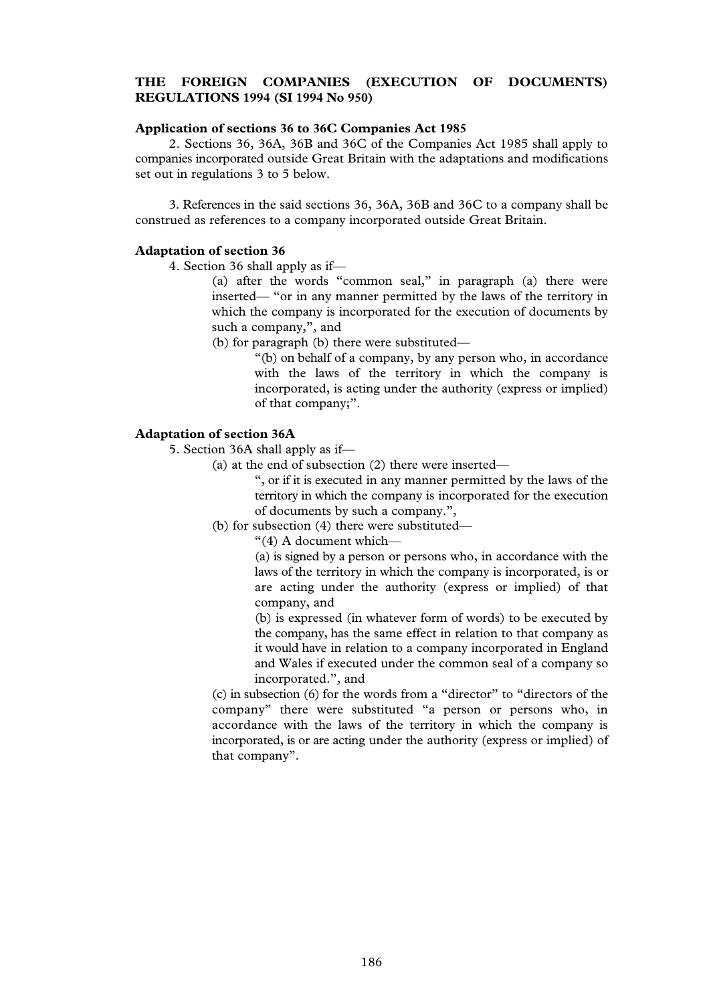# **THE FOREIGN COMPANIES (EXECUTION OF DOCUMENTS) REGULATIONS 1994 (SI 1994 No 950)**

## **Application of sections 36 to 36C Companies Act 1985**

2. Sections 36, 36A, 36B and 36C of the Companies Act 1985 shall apply to companies incorporated outside Great Britain with the adaptations and modifications set out in regulations 3 to 5 below.

3. References in the said sections 36, 36A, 36B and 36C to a company shall be construed as references to a company incorporated outside Great Britain.

## **Adaptation of section 36**

4. Section 36 shall apply as if—

(a) after the words "common seal," in paragraph (a) there were inserted— "or in any manner permitted by the laws of the territory in which the company is incorporated for the execution of documents by such a company,", and

(b) for paragraph (b) there were substituted—

"(b) on behalf of a company, by any person who, in accordance with the laws of the territory in which the company is incorporated, is acting under the authority (express or implied) of that company;".

# **Adaptation of section 36A**

5. Section 36A shall apply as if—

(a) at the end of subsection (2) there were inserted—

", or if it is executed in any manner permitted by the laws of the territory in which the company is incorporated for the execution of documents by such a company.",

(b) for subsection (4) there were substituted—

"(4) A document which—

(a) is signed by a person or persons who, in accordance with the laws of the territory in which the company is incorporated, is or are acting under the authority (express or implied) of that company, and

(b) is expressed (in whatever form of words) to be executed by the company, has the same effect in relation to that company as it would have in relation to a company incorporated in England and Wales if executed under the common seal of a company so incorporated.", and

(c) in subsection (6) for the words from a "director" to "directors of the company" there were substituted "a person or persons who, in accordance with the laws of the territory in which the company is incorporated, is or are acting under the authority (express or implied) of that company".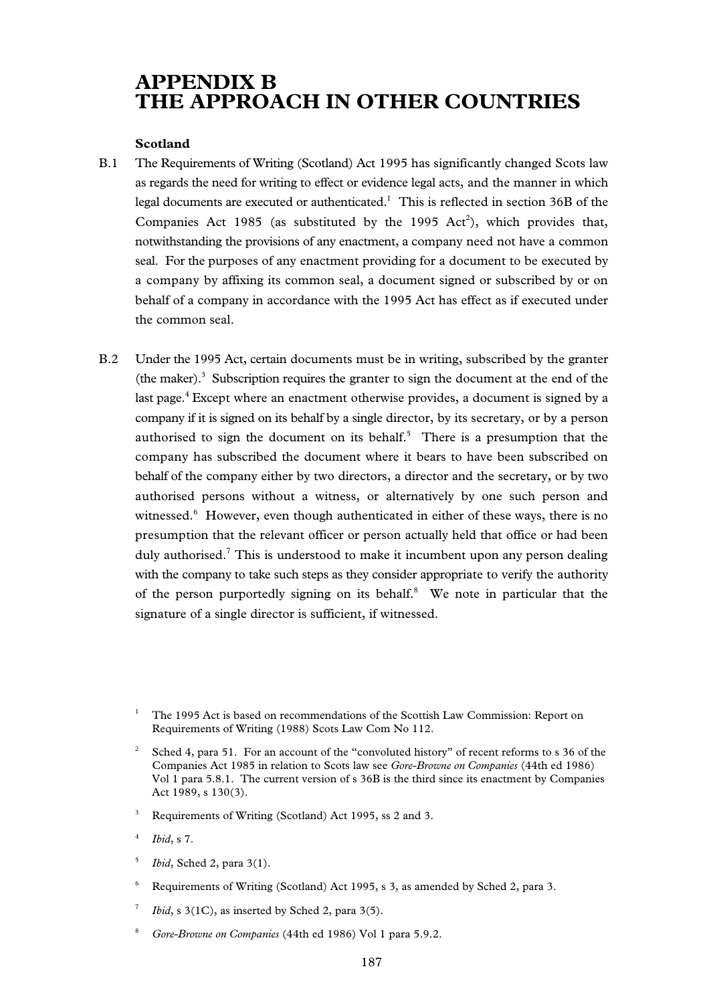# **APPENDIX B THE APPROACH IN OTHER COUNTRIES**

## **Scotland**

- B.1 The Requirements of Writing (Scotland) Act 1995 has significantly changed Scots law as regards the need for writing to effect or evidence legal acts, and the manner in which legal documents are executed or authenticated.<sup>1</sup> This is reflected in section 36B of the Companies Act 1985 (as substituted by the 1995  $Act^2$ ), which provides that, notwithstanding the provisions of any enactment, a company need not have a common seal. For the purposes of any enactment providing for a document to be executed by a company by affixing its common seal, a document signed or subscribed by or on behalf of a company in accordance with the 1995 Act has effect as if executed under the common seal.
- B.2 Under the 1995 Act, certain documents must be in writing, subscribed by the granter (the maker). $3$  Subscription requires the granter to sign the document at the end of the last page.<sup>4</sup> Except where an enactment otherwise provides, a document is signed by a company if it is signed on its behalf by a single director, by its secretary, or by a person authorised to sign the document on its behalf.<sup>5</sup> There is a presumption that the company has subscribed the document where it bears to have been subscribed on behalf of the company either by two directors, a director and the secretary, or by two authorised persons without a witness, or alternatively by one such person and witnessed.<sup>6</sup> However, even though authenticated in either of these ways, there is no presumption that the relevant officer or person actually held that office or had been duly authorised.<sup>7</sup> This is understood to make it incumbent upon any person dealing with the company to take such steps as they consider appropriate to verify the authority of the person purportedly signing on its behalf.<sup>8</sup> We note in particular that the signature of a single director is sufficient, if witnessed.

- *Ibid*, Sched 2, para 3(1).
- <sup>6</sup> Requirements of Writing (Scotland) Act 1995, s 3, as amended by Sched 2, para 3.
- *I Ibid*, s  $3(1C)$ , as inserted by Sched 2, para  $3(5)$ .
- <sup>8</sup> Gore-Browne on Companies (44th ed 1986) Vol 1 para 5.9.2.

<sup>&</sup>lt;sup>1</sup> The 1995 Act is based on recommendations of the Scottish Law Commission: Report on Requirements of Writing (1988) Scots Law Com No 112.

<sup>&</sup>lt;sup>2</sup> Sched 4, para 51. For an account of the "convoluted history" of recent reforms to s 36 of the Companies Act 1985 in relation to Scots law see *Gore-Browne on Companies* (44th ed 1986) Vol 1 para 5.8.1. The current version of s 36B is the third since its enactment by Companies Act 1989, s 130(3).

<sup>&</sup>lt;sup>3</sup> Requirements of Writing (Scotland) Act 1995, ss 2 and 3.

 $<sup>4</sup>$  *Ibid*, s 7.</sup>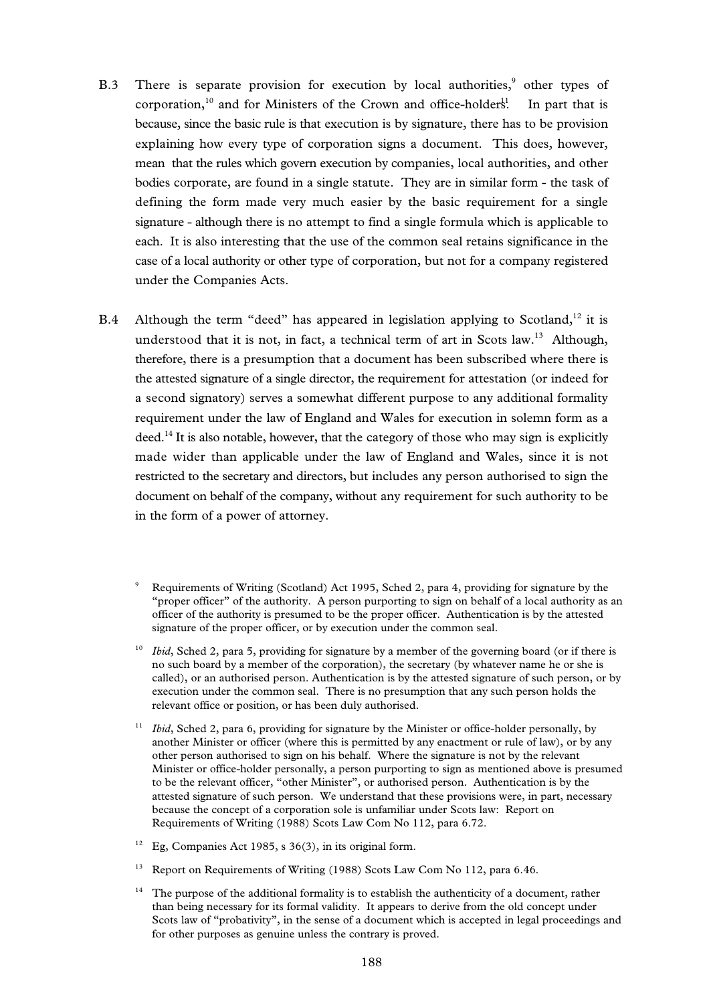- B.3 There is separate provision for execution by local authorities,<sup>9</sup> other types of corporation,<sup>10</sup> and for Ministers of the Crown and office-holders<sup>1</sup>. In part that is because, since the basic rule is that execution is by signature, there has to be provision explaining how every type of corporation signs a document. This does, however, mean that the rules which govern execution by companies, local authorities, and other bodies corporate, are found in a single statute. They are in similar form - the task of defining the form made very much easier by the basic requirement for a single signature - although there is no attempt to find a single formula which is applicable to each. It is also interesting that the use of the common seal retains significance in the case of a local authority or other type of corporation, but not for a company registered under the Companies Acts.
- B.4 Although the term "deed" has appeared in legislation applying to Scotland,  $12$  it is understood that it is not, in fact, a technical term of art in Scots law.<sup>13</sup> Although, therefore, there is a presumption that a document has been subscribed where there is the attested signature of a single director, the requirement for attestation (or indeed for a second signatory) serves a somewhat different purpose to any additional formality requirement under the law of England and Wales for execution in solemn form as a  $\beta$  deed.<sup>14</sup> It is also notable, however, that the category of those who may sign is explicitly made wider than applicable under the law of England and Wales, since it is not restricted to the secretary and directors, but includes any person authorised to sign the document on behalf of the company, without any requirement for such authority to be in the form of a power of attorney.
	- Requirements of Writing (Scotland) Act 1995, Sched 2, para 4, providing for signature by the <sup>9</sup> "proper officer" of the authority. A person purporting to sign on behalf of a local authority as an officer of the authority is presumed to be the proper officer. Authentication is by the attested signature of the proper officer, or by execution under the common seal.
	- <sup>10</sup> *Ibid*, Sched 2, para 5, providing for signature by a member of the governing board (or if there is no such board by a member of the corporation), the secretary (by whatever name he or she is called), or an authorised person. Authentication is by the attested signature of such person, or by execution under the common seal. There is no presumption that any such person holds the relevant office or position, or has been duly authorised.
	- <sup>11</sup> *Ibid*, Sched 2, para 6, providing for signature by the Minister or office-holder personally, by another Minister or officer (where this is permitted by any enactment or rule of law), or by any other person authorised to sign on his behalf. Where the signature is not by the relevant Minister or office-holder personally, a person purporting to sign as mentioned above is presumed to be the relevant officer, "other Minister", or authorised person. Authentication is by the attested signature of such person. We understand that these provisions were, in part, necessary because the concept of a corporation sole is unfamiliar under Scots law: Report on Requirements of Writing (1988) Scots Law Com No 112, para 6.72.
	- <sup>12</sup> Eg, Companies Act 1985, s 36(3), in its original form.
	- <sup>13</sup> Report on Requirements of Writing (1988) Scots Law Com No 112, para 6.46.
	- $14$  The purpose of the additional formality is to establish the authenticity of a document, rather than being necessary for its formal validity. It appears to derive from the old concept under Scots law of "probativity", in the sense of a document which is accepted in legal proceedings and for other purposes as genuine unless the contrary is proved.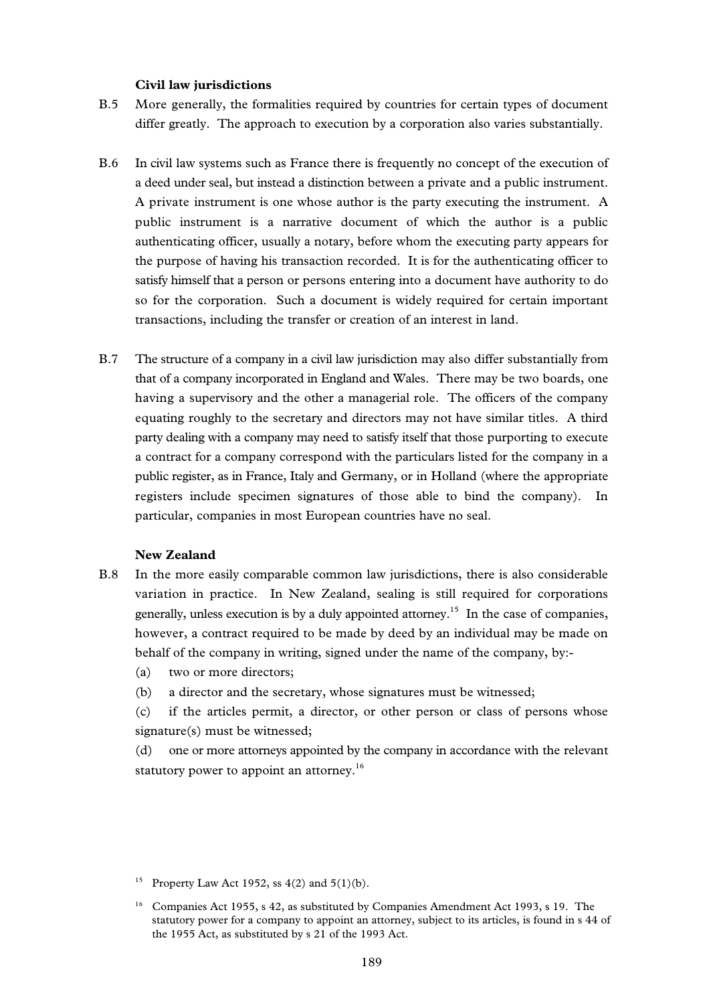# **Civil law jurisdictions**

- B.5 More generally, the formalities required by countries for certain types of document differ greatly. The approach to execution by a corporation also varies substantially.
- B.6 In civil law systems such as France there is frequently no concept of the execution of a deed under seal, but instead a distinction between a private and a public instrument. A private instrument is one whose author is the party executing the instrument. A public instrument is a narrative document of which the author is a public authenticating officer, usually a notary, before whom the executing party appears for the purpose of having his transaction recorded. It is for the authenticating officer to satisfy himself that a person or persons entering into a document have authority to do so for the corporation. Such a document is widely required for certain important transactions, including the transfer or creation of an interest in land.
- B.7 The structure of a company in a civil law jurisdiction may also differ substantially from that of a company incorporated in England and Wales. There may be two boards, one having a supervisory and the other a managerial role. The officers of the company equating roughly to the secretary and directors may not have similar titles. A third party dealing with a company may need to satisfy itself that those purporting to execute a contract for a company correspond with the particulars listed for the company in a public register, as in France, Italy and Germany, or in Holland (where the appropriate registers include specimen signatures of those able to bind the company). In particular, companies in most European countries have no seal.

## **New Zealand**

- B.8 In the more easily comparable common law jurisdictions, there is also considerable variation in practice. In New Zealand, sealing is still required for corporations generally, unless execution is by a duly appointed attorney.<sup>15</sup> In the case of companies, however, a contract required to be made by deed by an individual may be made on behalf of the company in writing, signed under the name of the company, by:-
	- (a) two or more directors;
	- (b) a director and the secretary, whose signatures must be witnessed;
	- (c) if the articles permit, a director, or other person or class of persons whose signature(s) must be witnessed;

(d) one or more attorneys appointed by the company in accordance with the relevant statutory power to appoint an attorney.<sup>16</sup>

<sup>16</sup> Companies Act 1955, s 42, as substituted by Companies Amendment Act 1993, s 19. The statutory power for a company to appoint an attorney, subject to its articles, is found in s 44 of the 1955 Act, as substituted by s 21 of the 1993 Act.

<sup>&</sup>lt;sup>15</sup> Property Law Act 1952, ss  $4(2)$  and  $5(1)(b)$ .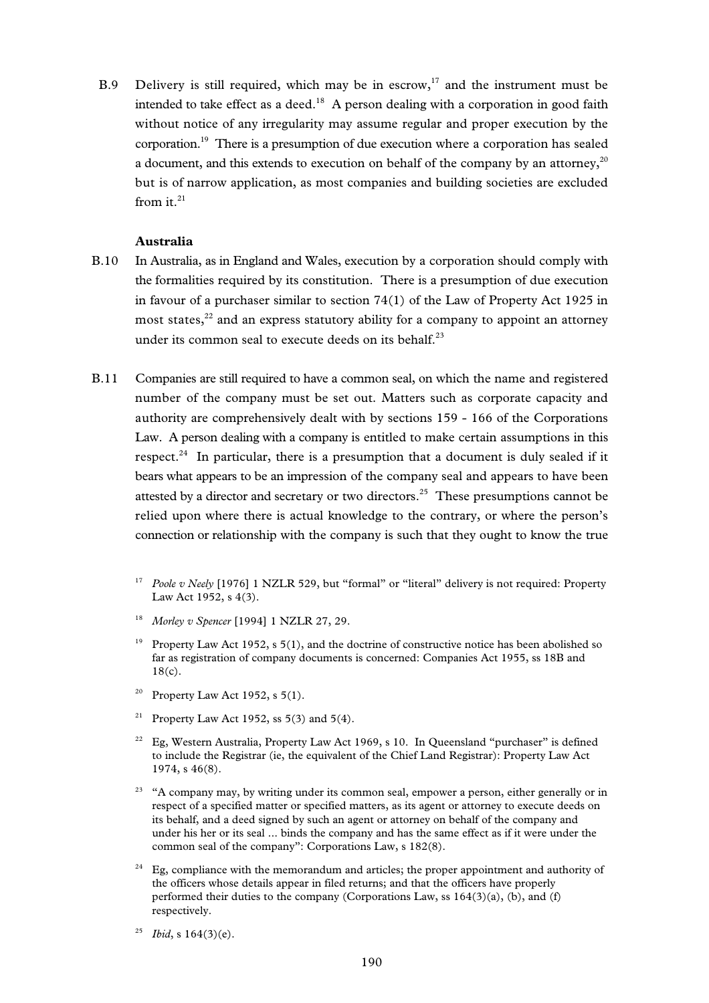B.9 Delivery is still required, which may be in escrow, $17$  and the instrument must be intended to take effect as a deed.<sup>18</sup> A person dealing with a corporation in good faith without notice of any irregularity may assume regular and proper execution by the corporation.<sup>19</sup> There is a presumption of due execution where a corporation has sealed a document, and this extends to execution on behalf of the company by an attorney, $^{20}$ but is of narrow application, as most companies and building societies are excluded from it. $^{21}$ 

## **Australia**

- B.10 In Australia, as in England and Wales, execution by a corporation should comply with the formalities required by its constitution. There is a presumption of due execution in favour of a purchaser similar to section 74(1) of the Law of Property Act 1925 in most states, $^{22}$  and an express statutory ability for a company to appoint an attorney under its common seal to execute deeds on its behalf. $23$
- B.11 Companies are still required to have a common seal, on which the name and registered number of the company must be set out. Matters such as corporate capacity and authority are comprehensively dealt with by sections 159 - 166 of the Corporations Law. A person dealing with a company is entitled to make certain assumptions in this respect. $^{24}$  In particular, there is a presumption that a document is duly sealed if it bears what appears to be an impression of the company seal and appears to have been attested by a director and secretary or two directors.<sup>25</sup> These presumptions cannot be relied upon where there is actual knowledge to the contrary, or where the person's connection or relationship with the company is such that they ought to know the true
	- <sup>17</sup> Poole v Neely [1976] 1 NZLR 529, but "formal" or "literal" delivery is not required: Property Law Act 1952, s 4(3).
	- <sup>18</sup> Morley v Spencer [1994] 1 NZLR 27, 29.
	- <sup>19</sup> Property Law Act 1952, s 5(1), and the doctrine of constructive notice has been abolished so far as registration of company documents is concerned: Companies Act 1955, ss 18B and 18(c).
	- <sup>20</sup> Property Law Act 1952, s  $5(1)$ .
	- <sup>21</sup> Property Law Act 1952, ss 5(3) and 5(4).
	- <sup>22</sup> Eg, Western Australia, Property Law Act 1969, s 10. In Queensland "purchaser" is defined to include the Registrar (ie, the equivalent of the Chief Land Registrar): Property Law Act 1974, s 46(8).
	- <sup>23</sup> "A company may, by writing under its common seal, empower a person, either generally or in respect of a specified matter or specified matters, as its agent or attorney to execute deeds on its behalf, and a deed signed by such an agent or attorney on behalf of the company and under his her or its seal ... binds the company and has the same effect as if it were under the common seal of the company": Corporations Law, s 182(8).
	- <sup>24</sup> Eg, compliance with the memorandum and articles; the proper appointment and authority of the officers whose details appear in filed returns; and that the officers have properly performed their duties to the company (Corporations Law, ss  $164(3)(a)$ , (b), and (f) respectively.
	- $^{25}$  *Ibid*, s 164(3)(e).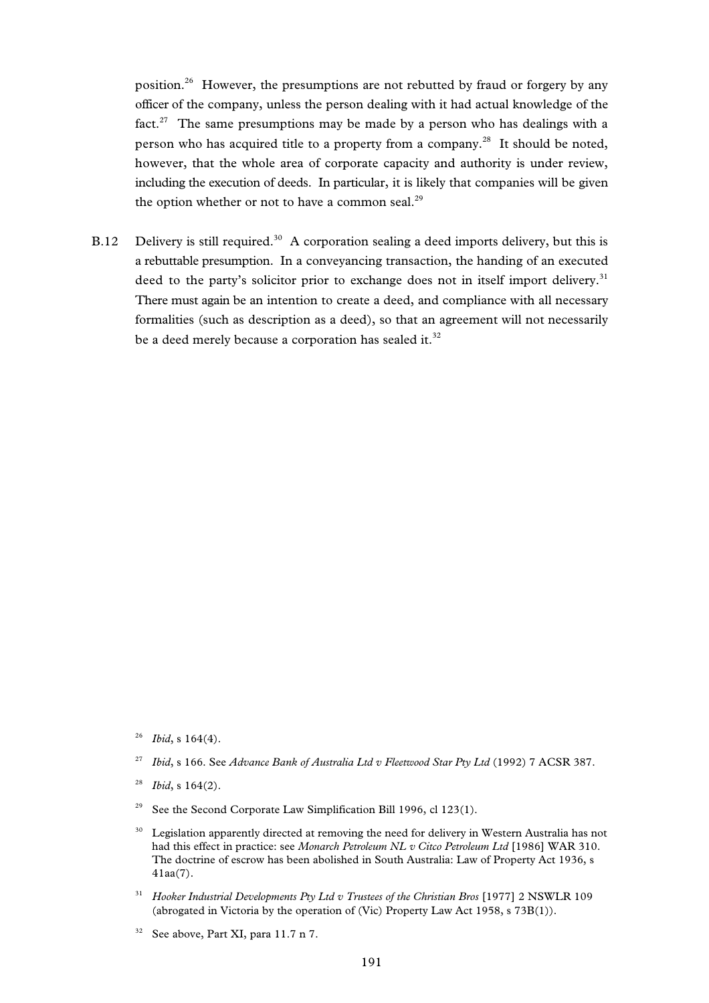position.<sup>26</sup> However, the presumptions are not rebutted by fraud or forgery by any officer of the company, unless the person dealing with it had actual knowledge of the fact.<sup>27</sup> The same presumptions may be made by a person who has dealings with a person who has acquired title to a property from a company.<sup>28</sup> It should be noted, however, that the whole area of corporate capacity and authority is under review, including the execution of deeds. In particular, it is likely that companies will be given the option whether or not to have a common seal. $^{29}$ 

B.12 Delivery is still required.<sup>30</sup> A corporation sealing a deed imports delivery, but this is a rebuttable presumption. In a conveyancing transaction, the handing of an executed deed to the party's solicitor prior to exchange does not in itself import delivery.<sup>31</sup> There must again be an intention to create a deed, and compliance with all necessary formalities (such as description as a deed), so that an agreement will not necessarily be a deed merely because a corporation has sealed it.<sup>32</sup>

- <sup>26</sup> *Ibid*, s 164(4).
- <sup>27</sup> Ibid, s 166. See *Advance Bank of Australia Ltd v Fleetwood Star Pty Ltd* (1992) 7 ACSR 387.
- <sup>28</sup> *Ibid*, s  $164(2)$ .
- <sup>29</sup> See the Second Corporate Law Simplification Bill 1996, cl 123(1).
- $30\degree$  Legislation apparently directed at removing the need for delivery in Western Australia has not had this effect in practice: see *Monarch Petroleum NL v Citco Petroleum Ltd* [1986] WAR 310. The doctrine of escrow has been abolished in South Australia: Law of Property Act 1936, s 41aa(7).
- <sup>31</sup> Hooker Industrial Developments Pty Ltd v Trustees of the Christian Bros [1977] 2 NSWLR 109 (abrogated in Victoria by the operation of (Vic) Property Law Act 1958, s 73B(1)).
- $32$  See above, Part XI, para 11.7 n 7.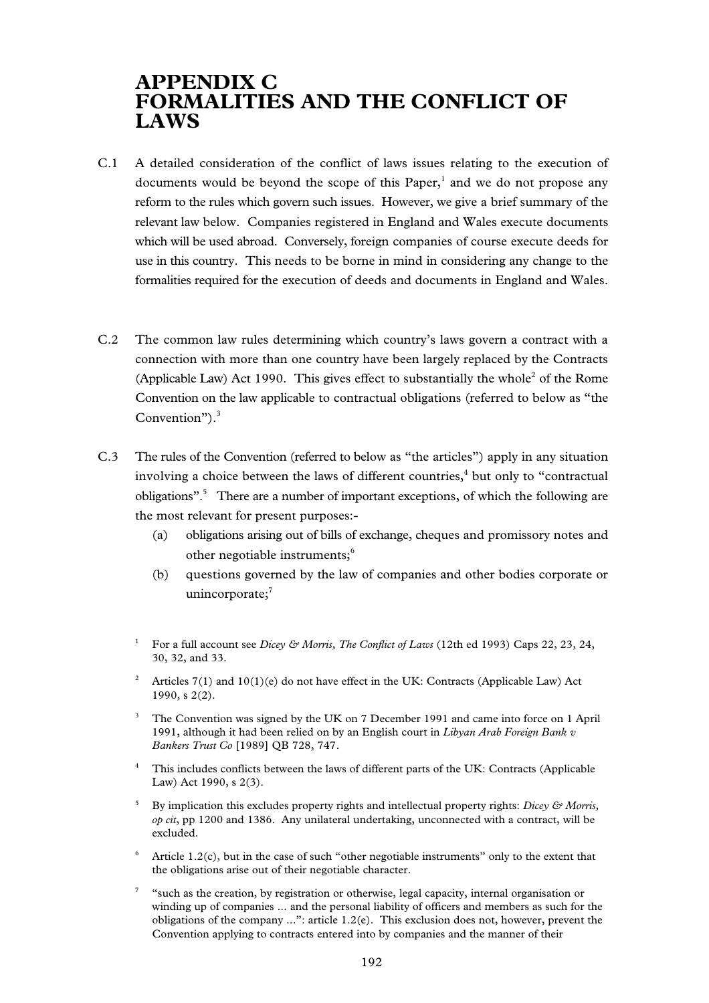# **APPENDIX C FORMALITIES AND THE CONFLICT OF LAWS**

- C.1 A detailed consideration of the conflict of laws issues relating to the execution of documents would be beyond the scope of this  $Paper<sub>1</sub><sup>1</sup>$  and we do not propose any reform to the rules which govern such issues. However, we give a brief summary of the relevant law below. Companies registered in England and Wales execute documents which will be used abroad. Conversely, foreign companies of course execute deeds for use in this country. This needs to be borne in mind in considering any change to the formalities required for the execution of deeds and documents in England and Wales.
- C.2 The common law rules determining which country's laws govern a contract with a connection with more than one country have been largely replaced by the Contracts (Applicable Law) Act 1990. This gives effect to substantially the whole<sup>2</sup> of the Rome Convention on the law applicable to contractual obligations (referred to below as "the Convention").<sup>3</sup>
- C.3 The rules of the Convention (referred to below as "the articles") apply in any situation involving a choice between the laws of different countries, $<sup>4</sup>$  but only to "contractual</sup> obligations".<sup>5</sup> There are a number of important exceptions, of which the following are the most relevant for present purposes:-
	- (a) obligations arising out of bills of exchange, cheques and promissory notes and other negotiable instruments;<sup>6</sup>
	- (b) questions governed by the law of companies and other bodies corporate or unincorporate;<sup>7</sup>
	- <sup>1</sup> For a full account see *Dicey & Morris, The Conflict of Laws* (12th ed 1993) Caps 22, 23, 24, 30, 32, and 33.
	- <sup>2</sup> Articles 7(1) and 10(1)(e) do not have effect in the UK: Contracts (Applicable Law) Act 1990, s 2(2).
	- <sup>3</sup> The Convention was signed by the UK on 7 December 1991 and came into force on 1 April 1991, although it had been relied on by an English court in *Libyan Arab Foreign Bank v Bankers Trust Co* [1989] QB 728, 747.
	- <sup>4</sup> This includes conflicts between the laws of different parts of the UK: Contracts (Applicable Law) Act 1990, s 2(3).
	- <sup>5</sup> By implication this excludes property rights and intellectual property rights: *Dicey & Morris*, *op cit*, pp 1200 and 1386. Any unilateral undertaking, unconnected with a contract, will be excluded.
	- Article 1.2(c), but in the case of such "other negotiable instruments" only to the extent that the obligations arise out of their negotiable character.
	- "such as the creation, by registration or otherwise, legal capacity, internal organisation or <sup>7</sup> winding up of companies ... and the personal liability of officers and members as such for the obligations of the company ...": article 1.2(e). This exclusion does not, however, prevent the Convention applying to contracts entered into by companies and the manner of their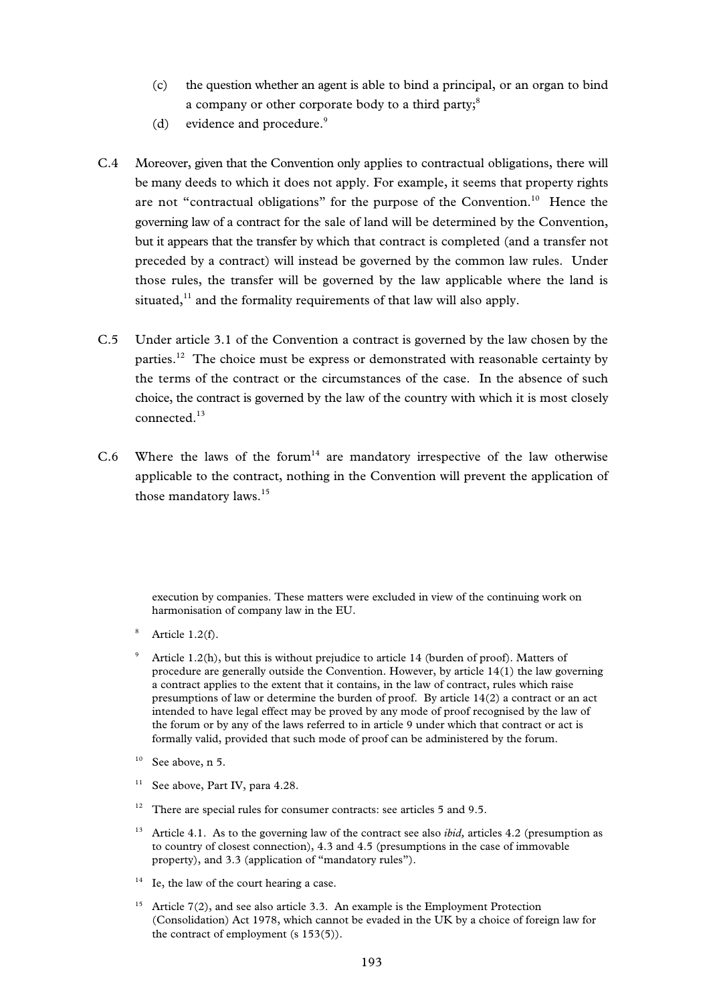- (c) the question whether an agent is able to bind a principal, or an organ to bind a company or other corporate body to a third party;<sup>8</sup>
- (d) evidence and procedure.<sup>9</sup>
- C.4 Moreover, given that the Convention only applies to contractual obligations, there will be many deeds to which it does not apply. For example, it seems that property rights are not "contractual obligations" for the purpose of the Convention.<sup>10</sup> Hence the governing law of a contract for the sale of land will be determined by the Convention, but it appears that the transfer by which that contract is completed (and a transfer not preceded by a contract) will instead be governed by the common law rules. Under those rules, the transfer will be governed by the law applicable where the land is situated, $<sup>11</sup>$  and the formality requirements of that law will also apply.</sup>
- C.5 Under article 3.1 of the Convention a contract is governed by the law chosen by the parties.<sup>12</sup> The choice must be express or demonstrated with reasonable certainty by the terms of the contract or the circumstances of the case. In the absence of such choice, the contract is governed by the law of the country with which it is most closely connected.<sup>13</sup>
- $C.6$  Where the laws of the forum<sup>14</sup> are mandatory irrespective of the law otherwise applicable to the contract, nothing in the Convention will prevent the application of those mandatory laws.<sup>15</sup>

execution by companies. These matters were excluded in view of the continuing work on harmonisation of company law in the EU.

- Article  $1.2(f)$ .
- Article  $1.2(h)$ , but this is without prejudice to article 14 (burden of proof). Matters of procedure are generally outside the Convention. However, by article 14(1) the law governing a contract applies to the extent that it contains, in the law of contract, rules which raise presumptions of law or determine the burden of proof. By article 14(2) a contract or an act intended to have legal effect may be proved by any mode of proof recognised by the law of the forum or by any of the laws referred to in article 9 under which that contract or act is formally valid, provided that such mode of proof can be administered by the forum.
- $10$  See above, n 5.
- $11$  See above, Part IV, para 4.28.
- $12$  There are special rules for consumer contracts: see articles 5 and 9.5.
- <sup>13</sup> Article 4.1. As to the governing law of the contract see also *ibid*, articles 4.2 (presumption as to country of closest connection), 4.3 and 4.5 (presumptions in the case of immovable property), and 3.3 (application of "mandatory rules").
- $14$  Ie, the law of the court hearing a case.
- Article  $7(2)$ , and see also article 3.3. An example is the Employment Protection (Consolidation) Act 1978, which cannot be evaded in the UK by a choice of foreign law for the contract of employment (s 153(5)).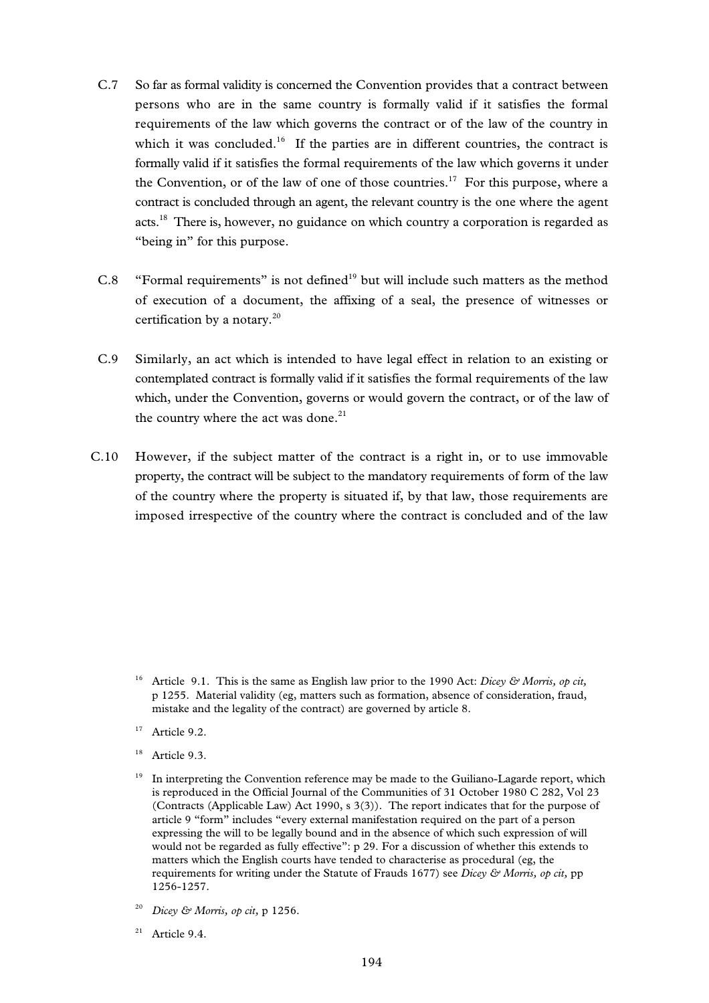- C.7 So far as formal validity is concerned the Convention provides that a contract between persons who are in the same country is formally valid if it satisfies the formal requirements of the law which governs the contract or of the law of the country in which it was concluded.<sup>16</sup> If the parties are in different countries, the contract is formally valid if it satisfies the formal requirements of the law which governs it under the Convention, or of the law of one of those countries.<sup>17</sup> For this purpose, where a contract is concluded through an agent, the relevant country is the one where the agent acts.<sup>18</sup> There is, however, no guidance on which country a corporation is regarded as "being in" for this purpose.
- $C.8$  "Formal requirements" is not defined<sup>19</sup> but will include such matters as the method of execution of a document, the affixing of a seal, the presence of witnesses or certification by a notary.<sup>20</sup>
- C.9 Similarly, an act which is intended to have legal effect in relation to an existing or contemplated contract is formally valid if it satisfies the formal requirements of the law which, under the Convention, governs or would govern the contract, or of the law of the country where the act was done.<sup>21</sup>
- C.10 However, if the subject matter of the contract is a right in, or to use immovable property, the contract will be subject to the mandatory requirements of form of the law of the country where the property is situated if, by that law, those requirements are imposed irrespective of the country where the contract is concluded and of the law

- <sup>16</sup> Article 9.1. This is the same as English law prior to the 1990 Act: *Dicey & Morris, op cit,* p 1255. Material validity (eg, matters such as formation, absence of consideration, fraud, mistake and the legality of the contract) are governed by article 8.
- $17$  Article 9.2.
- $18$  Article 9.3.
- $19$  In interpreting the Convention reference may be made to the Guiliano-Lagarde report, which is reproduced in the Official Journal of the Communities of 31 October 1980 C 282, Vol 23 (Contracts (Applicable Law) Act 1990, s 3(3)). The report indicates that for the purpose of article 9 "form" includes "every external manifestation required on the part of a person expressing the will to be legally bound and in the absence of which such expression of will would not be regarded as fully effective": p 29. For a discussion of whether this extends to matters which the English courts have tended to characterise as procedural (eg, the requirements for writing under the Statute of Frauds 1677) see *Dicey & Morris, op cit,* pp 1256-1257.
- <sup>20</sup> Dicey & Morris, op cit, p 1256.
- $21$  Article 9.4.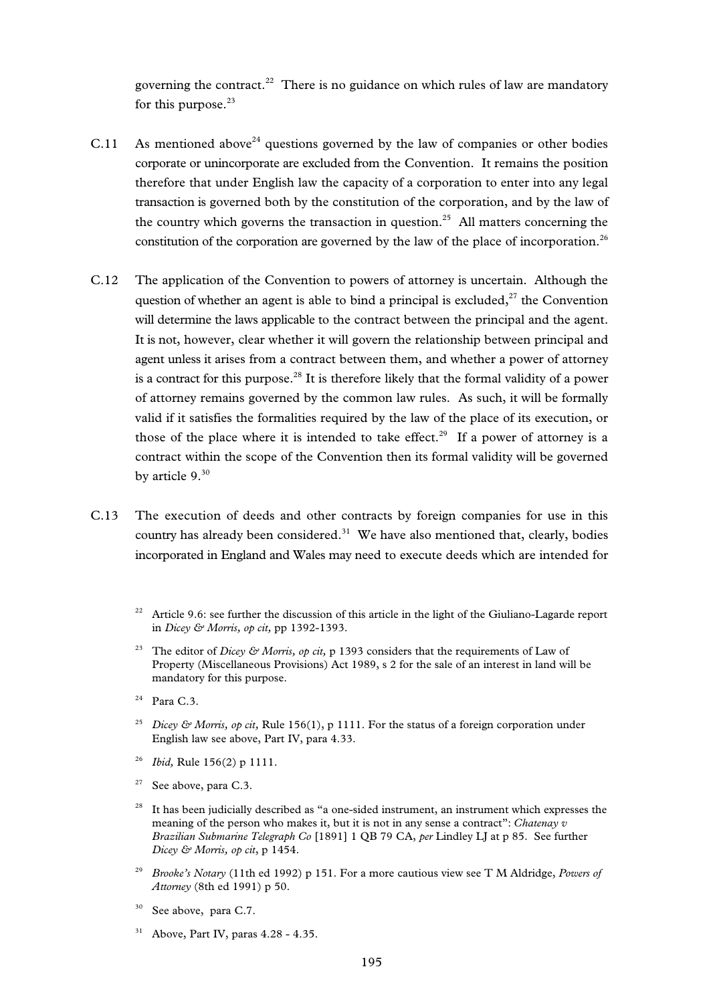governing the contract.<sup>22</sup> There is no guidance on which rules of law are mandatory for this purpose. $23$ 

- C.11 As mentioned above<sup>24</sup> questions governed by the law of companies or other bodies corporate or unincorporate are excluded from the Convention. It remains the position therefore that under English law the capacity of a corporation to enter into any legal transaction is governed both by the constitution of the corporation, and by the law of the country which governs the transaction in question.<sup>25</sup> All matters concerning the constitution of the corporation are governed by the law of the place of incorporation.<sup>26</sup>
- C.12 The application of the Convention to powers of attorney is uncertain. Although the question of whether an agent is able to bind a principal is excluded, $^{27}$  the Convention will determine the laws applicable to the contract between the principal and the agent. It is not, however, clear whether it will govern the relationship between principal and agent unless it arises from a contract between them, and whether a power of attorney is a contract for this purpose.<sup>28</sup> It is therefore likely that the formal validity of a power of attorney remains governed by the common law rules. As such, it will be formally valid if it satisfies the formalities required by the law of the place of its execution, or those of the place where it is intended to take effect.<sup>29</sup> If a power of attorney is a contract within the scope of the Convention then its formal validity will be governed by article 9.<sup>30</sup>
- C.13 The execution of deeds and other contracts by foreign companies for use in this country has already been considered. $31$  We have also mentioned that, clearly, bodies incorporated in England and Wales may need to execute deeds which are intended for
	- <sup>22</sup> Article 9.6: see further the discussion of this article in the light of the Giuliano-Lagarde report in *Dicey & Morris, op cit,* pp 1392-1393.
	- <sup>23</sup> The editor of *Dicey & Morris, op cit,*  $p$  1393 considers that the requirements of Law of Property (Miscellaneous Provisions) Act 1989, s 2 for the sale of an interest in land will be mandatory for this purpose.
	- $24$  Para C.3.
	- <sup>25</sup> Dicey & Morris, op cit, Rule 156(1), p 1111. For the status of a foreign corporation under English law see above, Part IV, para 4.33.
	- <sup>26</sup> *Ibid*, Rule 156(2) p 1111.
	- $27$  See above, para C.3.
	- $28$  It has been judicially described as "a one-sided instrument, an instrument which expresses the meaning of the person who makes it, but it is not in any sense a contract": *Chatenay v Brazilian Submarine Telegraph Co* [1891] 1 QB 79 CA, *per* Lindley LJ at p 85. See further *Dicey & Morris, op cit*, p 1454.
	- <sup>29</sup> Brooke's Notary (11th ed 1992) p 151. For a more cautious view see T M Aldridge, *Powers of Attorney* (8th ed 1991) p 50.
	- $30$  See above, para C.7.
	- $31$  Above, Part IV, paras  $4.28 4.35$ .